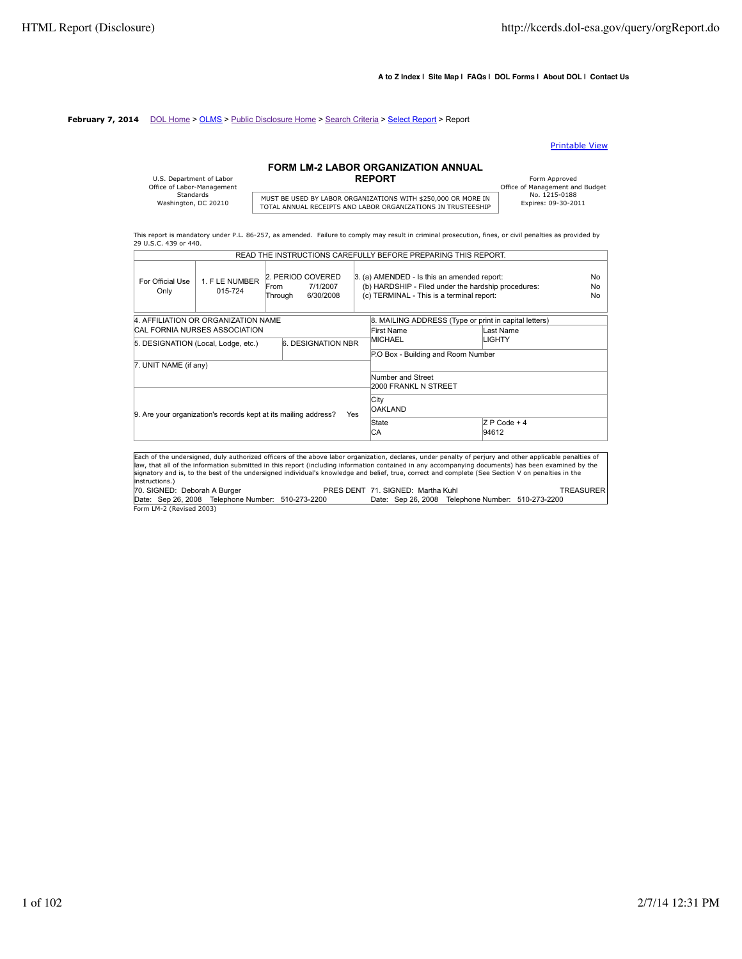$\overline{a}$ 

#### **A to Z Index | Site Map | FAQs | DOL Forms | About DOL | Contact Us**

### **February 7, 2014** DOL Home > OLMS > Public Disclosure Home > Search Criteria > Select Report > Report

#### Printable View

# **FORM LM-2 LABOR ORGANIZATION ANNUAL**

| U.S. Department of Labor<br>Office of Labor-Management |                               |
|--------------------------------------------------------|-------------------------------|
| Standards                                              | MUST BE USED BY LABOR ORGANI  |
| Washington, DC 20210                                   | TOTAL ANNUAL RECEIPTS AND LAB |

MUST BE USED BY LABOR ORGANIZATIONS WITH \$250,000 OR MORE IN THISTORIC TO THE TOTAL ANNUAL RECEIPTS AND LABOR ORGANIZATIONS IN TRUSTEESHIP

Form Approved<br>
Office of Management and Budget<br>
No. 1215-0188

This report is mandatory under P.L. 86-257, as amended. Failure to comply may result in criminal prosecution, fines, or civil penalties as provided by 29 U.S.C. 439 or 440. READ THE INSTRUCTIONS CAREFULLY BEFORE PREPARING THIS REPORT.

|                                                                               |                                                   |                  |                                            |                        | READ THE INSTRUCTIONS CAREFULLY BEFORE PREPARING THIS REPORT.                                                                                                                                                                                                                                                                                                                                                                                                      |                        |           |  |                              |
|-------------------------------------------------------------------------------|---------------------------------------------------|------------------|--------------------------------------------|------------------------|--------------------------------------------------------------------------------------------------------------------------------------------------------------------------------------------------------------------------------------------------------------------------------------------------------------------------------------------------------------------------------------------------------------------------------------------------------------------|------------------------|-----------|--|------------------------------|
| For Official Use<br>Only                                                      | 1. F LE NUMBER<br>015-724                         | lFrom<br>Through | 2. PERIOD COVERED<br>7/1/2007<br>6/30/2008 |                        | 3. (a) AMENDED - Is this an amended report:<br>(b) HARDSHIP - Filed under the hardship procedures:<br>(c) TERMINAL - This is a terminal report:                                                                                                                                                                                                                                                                                                                    |                        |           |  | No<br><b>No</b><br><b>No</b> |
|                                                                               | 4. AFFILIATION OR ORGANIZATION NAME               |                  |                                            |                        | 8. MAILING ADDRESS (Type or print in capital letters)                                                                                                                                                                                                                                                                                                                                                                                                              |                        |           |  |                              |
|                                                                               | CAL FORNIA NURSES ASSOCIATION                     |                  |                                            |                        | First Name                                                                                                                                                                                                                                                                                                                                                                                                                                                         |                        | Last Name |  |                              |
|                                                                               |                                                   |                  | 6. DESIGNATION NBR                         |                        | MICHAEL                                                                                                                                                                                                                                                                                                                                                                                                                                                            |                        | LIGHTY    |  |                              |
|                                                                               | 5. DESIGNATION (Local, Lodge, etc.)               |                  |                                            |                        | P.O Box - Building and Room Number                                                                                                                                                                                                                                                                                                                                                                                                                                 |                        |           |  |                              |
| 7. UNIT NAME (if any)                                                         |                                                   |                  |                                            |                        |                                                                                                                                                                                                                                                                                                                                                                                                                                                                    |                        |           |  |                              |
| 9. Are your organization's records kept at its mailing address?<br><b>Yes</b> |                                                   |                  | Number and Street<br>2000 FRANKL N STREET  |                        |                                                                                                                                                                                                                                                                                                                                                                                                                                                                    |                        |           |  |                              |
|                                                                               |                                                   |                  |                                            | City<br><b>OAKLAND</b> |                                                                                                                                                                                                                                                                                                                                                                                                                                                                    |                        |           |  |                              |
|                                                                               |                                                   |                  |                                            | State<br>СA            |                                                                                                                                                                                                                                                                                                                                                                                                                                                                    | $ZP$ Code + 4<br>94612 |           |  |                              |
| instructions.)                                                                |                                                   |                  |                                            |                        | Each of the undersigned, duly authorized officers of the above labor organization, declares, under penalty of perjury and other applicable penalties of<br>law, that all of the information submitted in this report (including information contained in any accompanying documents) has been examined by the<br>signatory and is, to the best of the undersigned individual's knowledge and belief, true, correct and complete (See Section V on penalties in the |                        |           |  |                              |
| 70. SIGNED: Deborah A Burger                                                  |                                                   |                  |                                            |                        | PRES DENT 71, SIGNED: Martha Kuhl                                                                                                                                                                                                                                                                                                                                                                                                                                  |                        |           |  | <b>TREASURER</b>             |
|                                                                               | Date: Sep 26, 2008 Telephone Number: 510-273-2200 |                  |                                            |                        | Date: Sep 26, 2008 Telephone Number: 510-273-2200                                                                                                                                                                                                                                                                                                                                                                                                                  |                        |           |  |                              |
| Form LM-2 (Revised 2003)                                                      |                                                   |                  |                                            |                        |                                                                                                                                                                                                                                                                                                                                                                                                                                                                    |                        |           |  |                              |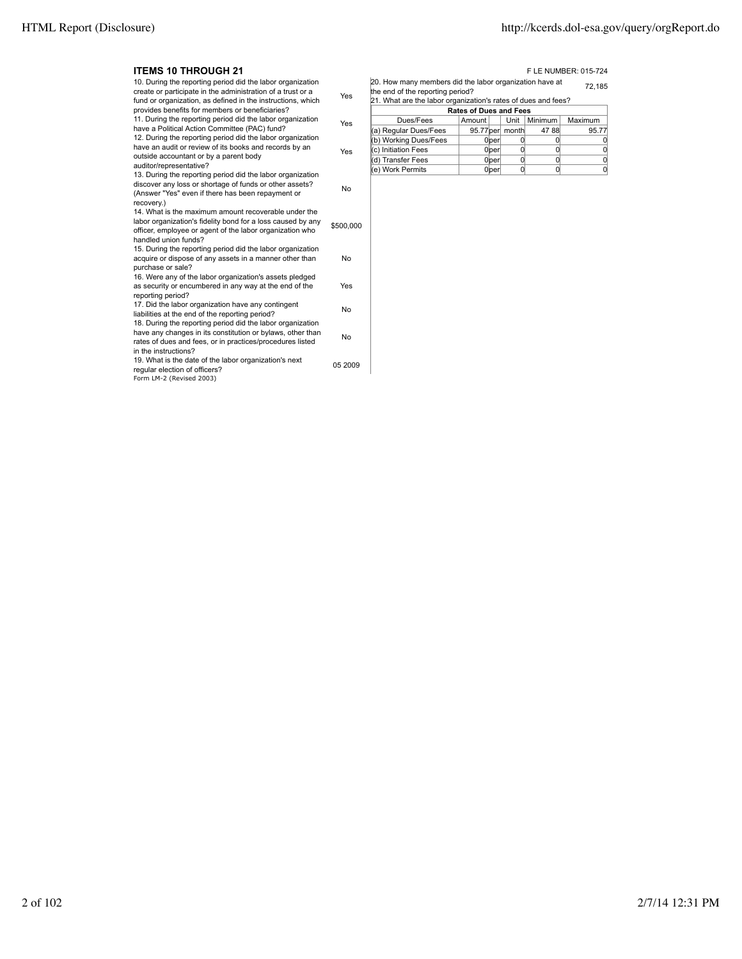#### **ITEMS 10 THROUGH 21 FLE NUMBER: 015-724**

| …∟™JIVIIIIVUUII∡I                                                                                                                                                                                                                           |           |
|---------------------------------------------------------------------------------------------------------------------------------------------------------------------------------------------------------------------------------------------|-----------|
| 10. During the reporting period did the labor organization<br>create or participate in the administration of a trust or a<br>fund or organization, as defined in the instructions, which<br>provides benefits for members or beneficiaries? | Yes       |
| 11. During the reporting period did the labor organization<br>have a Political Action Committee (PAC) fund?<br>12. During the reporting period did the labor organization                                                                   | Yes       |
| have an audit or review of its books and records by an<br>outside accountant or by a parent body<br>auditor/representative?                                                                                                                 | Yes       |
| 13. During the reporting period did the labor organization<br>discover any loss or shortage of funds or other assets?<br>(Answer "Yes" even if there has been repayment or<br>recovery.)                                                    | No        |
| 14. What is the maximum amount recoverable under the<br>labor organization's fidelity bond for a loss caused by any<br>officer, employee or agent of the labor organization who<br>handled union funds?                                     | \$500,000 |
| 15. During the reporting period did the labor organization<br>acquire or dispose of any assets in a manner other than<br>purchase or sale?                                                                                                  | No        |
| 16. Were any of the labor organization's assets pledged<br>as security or encumbered in any way at the end of the<br>reporting period?                                                                                                      | Yes       |
| 17. Did the labor organization have any contingent<br>liabilities at the end of the reporting period?<br>18. During the reporting period did the labor organization                                                                         | No        |
| have any changes in its constitution or bylaws, other than<br>rates of dues and fees, or in practices/procedures listed<br>in the instructions?                                                                                             | No        |
| 19. What is the date of the labor organization's next<br>regular election of officers?<br>Form LM-2 (Revised 2003)                                                                                                                          | 05 2009   |
|                                                                                                                                                                                                                                             |           |

20. How many members did the labor organization have at the end of the reporting period? 72,185 21. What are the labor organization's rates of dues and fees?

| $\vert z \vert$ . What are the labor organization's rates of questand lees? |        |                   |                   |         |         |  |
|-----------------------------------------------------------------------------|--------|-------------------|-------------------|---------|---------|--|
| <b>Rates of Dues and Fees</b>                                               |        |                   |                   |         |         |  |
| Dues/Fees                                                                   | Amount |                   | Unit              | Minimum | Maximum |  |
| (a) Regular Dues/Fees                                                       |        |                   | 95.77 per   month | 47 88   | 95.77   |  |
| (b) Working Dues/Fees                                                       |        | 0 <sub>lper</sub> |                   |         |         |  |
| (c) Initiation Fees                                                         |        | 0 <sub>lper</sub> |                   |         |         |  |
| (d) Transfer Fees                                                           |        | 0 <sub>lper</sub> |                   |         |         |  |
| (e) Work Permits                                                            |        | 0 ber             |                   |         |         |  |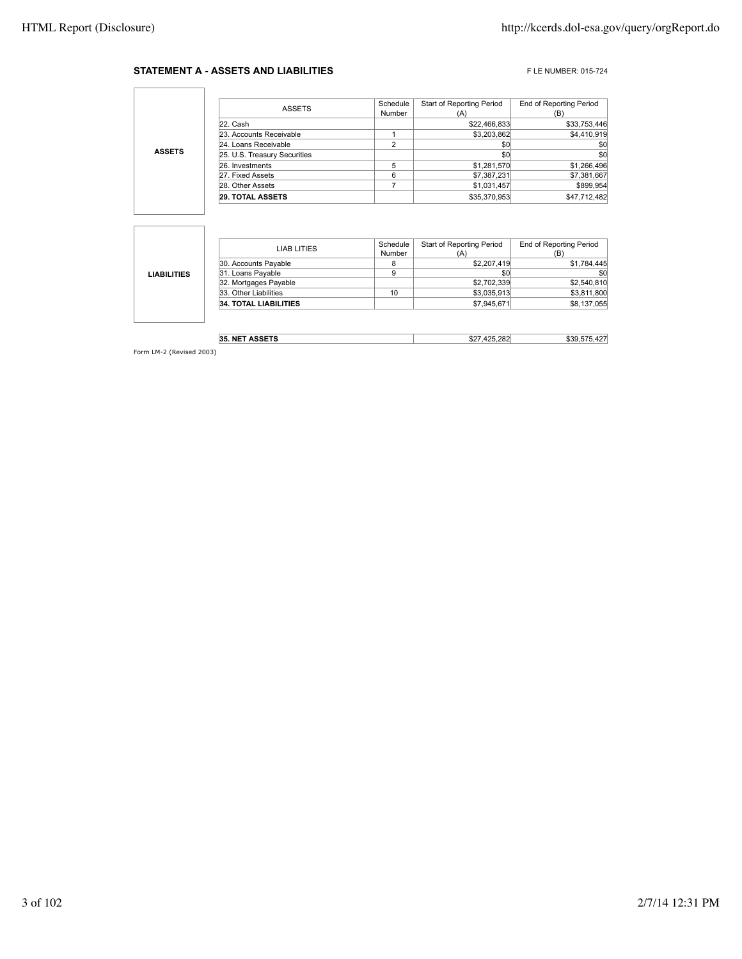### **STATEMENT A - ASSETS AND LIABILITIES** FLE NUMBER: 015-724

٦

|               | <b>ASSETS</b>                | Schedule<br>Number | Start of Reporting Period<br>(A) | End of Reporting Period<br>(B) |
|---------------|------------------------------|--------------------|----------------------------------|--------------------------------|
|               | 22. Cash                     |                    | \$22,466,833                     | \$33,753,446                   |
|               | 23. Accounts Receivable      |                    | \$3.203.862                      | \$4,410.919                    |
| <b>ASSETS</b> | 24. Loans Receivable         | ີ                  | \$0                              | \$0                            |
|               | 25. U.S. Treasury Securities |                    | \$0                              | \$0                            |
|               | 26. Investments              |                    | \$1,281,570                      | \$1,266,496                    |
|               | 27. Fixed Assets             | 6                  | \$7,387,231                      | \$7,381,667                    |
|               | 28. Other Assets             |                    | \$1,031,457                      | \$899.954                      |
|               | <b>29. TOTAL ASSETS</b>      |                    | \$35,370,953                     | \$47.712.482                   |

|                    | LIAB LITIES                  | Schedule | <b>Start of Reporting Period</b> | <b>End of Reporting Period</b> |
|--------------------|------------------------------|----------|----------------------------------|--------------------------------|
|                    |                              | Number   | (A)                              | (B)                            |
|                    | 30. Accounts Payable         |          | \$2,207,419                      | \$1,784,445                    |
| <b>LIABILITIES</b> | 31. Loans Payable            |          | \$0                              | \$0                            |
|                    | 32. Mortgages Payable        |          | \$2,702,339                      | \$2,540,810                    |
|                    | 33. Other Liabilities        | 10       | \$3,035,913                      | \$3,811,800                    |
|                    | <b>34. TOTAL LIABILITIES</b> |          | \$7,945,671                      | \$8,137,055                    |
|                    |                              |          |                                  |                                |

| 0.00570<br>NF.<br>35.<br>. | nor'<br>$\sim$<br>ے ت | $\ddot{\,}$ |
|----------------------------|-----------------------|-------------|
|                            |                       |             |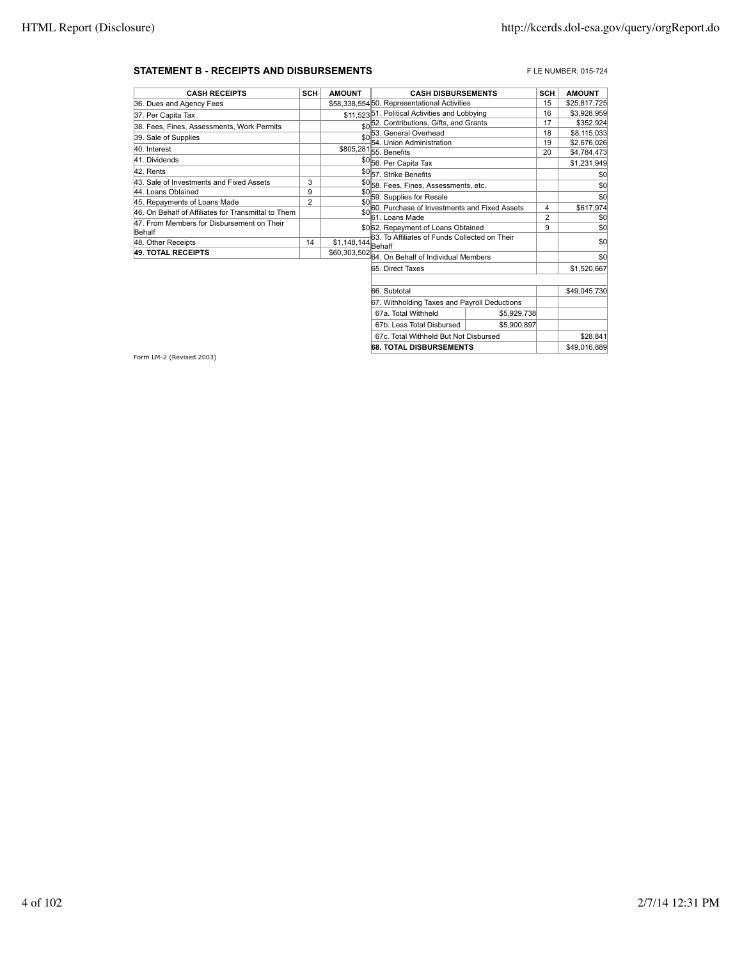#### **STATEMENT B - RECEIPTS AND DISBURSEMENTS** FLE NUMBER: 015-724

| <b>CASH RECEIPTS</b>                                 | <b>SCH</b>     | <b>AMOUNT</b>       | <b>CASH DISBURSEMENTS</b>                            | <b>SCH</b>     | <b>AMOUNT</b> |
|------------------------------------------------------|----------------|---------------------|------------------------------------------------------|----------------|---------------|
| 36. Dues and Agency Fees                             |                |                     | \$58.338.55450. Representational Activities          | 15             | \$25,817,725  |
| 37. Per Capita Tax                                   |                |                     | \$11,523 51. Political Activities and Lobbying       | 16             | \$3,928,959   |
| 38. Fees, Fines, Assessments, Work Permits           |                |                     | \$0 <sup>52</sup> . Contributions, Gifts, and Grants | 17             | \$352,924     |
| 39. Sale of Supplies                                 |                | \$0                 | 53. General Overhead                                 | 18             | \$8,115,033   |
|                                                      |                |                     | 54. Union Administration                             | 19             | \$2,676,026   |
| 40. Interest                                         |                |                     | \$805,281 55. Benefits                               | 20             | \$4,784,473   |
| 41. Dividends                                        |                |                     | \$056. Per Capita Tax                                |                | \$1,231,949   |
| 42. Rents                                            |                |                     | \$0 <sub>57.</sub> Strike Benefits                   |                | \$0           |
| 43. Sale of Investments and Fixed Assets             | 3              |                     | \$0 <sub>58</sub> Fees, Fines, Assessments, etc.     |                | \$0           |
| 44. Loans Obtained                                   | 9              | \$0                 | 59. Supplies for Resale                              |                | \$0           |
| 45. Repayments of Loans Made                         | $\overline{2}$ | \$0                 | 60. Purchase of Investments and Fixed Assets         | 4              |               |
| 46. On Behalf of Affiliates for Transmittal to Them  |                | \$0                 | 61. Loans Made                                       | $\overline{2}$ | \$617,974     |
| 47. From Members for Disbursement on Their<br>Behalf |                |                     | \$0 62. Repayment of Loans Obtained                  | 9              | \$0<br>\$0    |
| 48. Other Receipts                                   | 14             | $$1,148,144$ Behalf | 63. To Affiliates of Funds Collected on Their        |                | \$0           |
| <b>49. TOTAL RECEIPTS</b>                            |                |                     | \$60,303,502 64. On Behalf of Individual Members     |                | \$0           |
|                                                      |                |                     | 65. Direct Taxes                                     |                | \$1,520,667   |
|                                                      |                |                     |                                                      |                |               |
|                                                      |                |                     | 66. Subtotal                                         |                | \$49,045.730  |
|                                                      |                |                     | 67. Withholding Taxes and Payroll Deductions         |                |               |

67a. Total Withheld \$5,929,738 67b. Less Total Disbursed | \$5,900,897 67c. Total Withheld But Not Disbursed \$28,841 **68. TOTAL DISBURSEMENTS**  $\begin{array}{|c|c|c|c|c|} \hline \textbf{68. TOTAL DISBURSEMENTS} \hline \end{array}$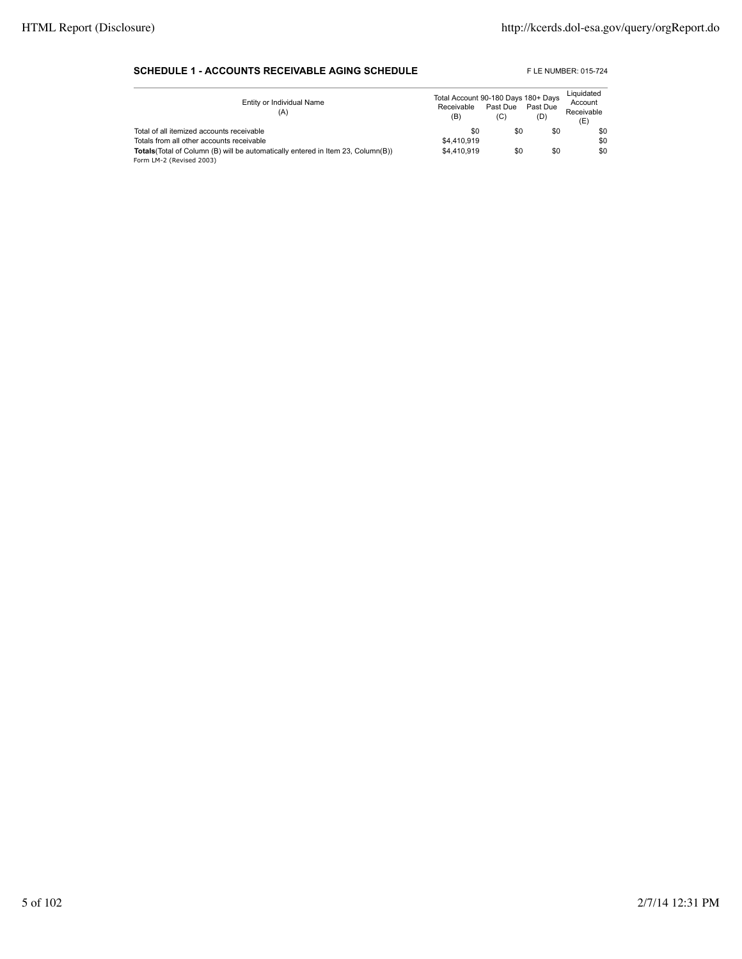### **SCHEDULE 1 - ACCOUNTS RECEIVABLE AGING SCHEDULE** FLE NUMBER: 015-724

| Entity or Individual Name<br>(A)                                                        | Total Account 90-180 Days 180+ Days<br>Receivable<br>(B) | Past Due<br>(C) | Past Due<br>(D) | Liquidated<br>Account<br>Receivable<br>(E) |
|-----------------------------------------------------------------------------------------|----------------------------------------------------------|-----------------|-----------------|--------------------------------------------|
| Total of all itemized accounts receivable                                               | \$0                                                      | \$0             | \$0             | \$0                                        |
| Totals from all other accounts receivable                                               | \$4,410,919                                              |                 |                 | \$0                                        |
| <b>Totals</b> (Total of Column (B) will be automatically entered in Item 23, Column(B)) | \$4,410,919                                              | \$0             | \$0             | \$0                                        |
| Form LM-2 (Revised 2003)                                                                |                                                          |                 |                 |                                            |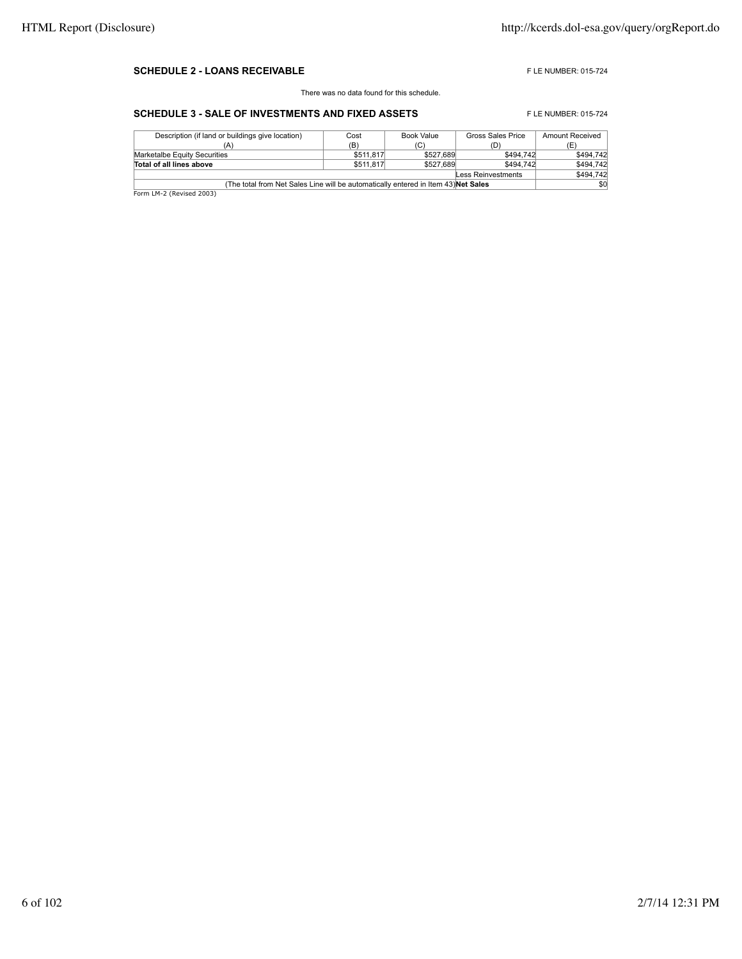#### **SCHEDULE 2 - LOANS RECEIVABLE EXECUTE AND RECEIVABLE F** LE NUMBER: 015-724

There was no data found for this schedule.

## **SCHEDULE 3 - SALE OF INVESTMENTS AND FIXED ASSETS** FLE NUMBER: 015-724

| Description (if land or buildings give location)                                   | Cost      | Book Value | Gross Sales Price  | Amount Received |  |
|------------------------------------------------------------------------------------|-----------|------------|--------------------|-----------------|--|
| (A)                                                                                | (B)       | (C)        | D.                 | (E'             |  |
| Marketalbe Equity Securities                                                       | \$511,817 | \$527,689  | \$494.742          | \$494.742       |  |
| Total of all lines above                                                           | \$511,817 | \$527,689  | \$494.742          | \$494.742       |  |
|                                                                                    |           |            | Less Reinvestments | \$494,742       |  |
| (The total from Net Sales Line will be automatically entered in Item 43) Net Sales |           |            |                    |                 |  |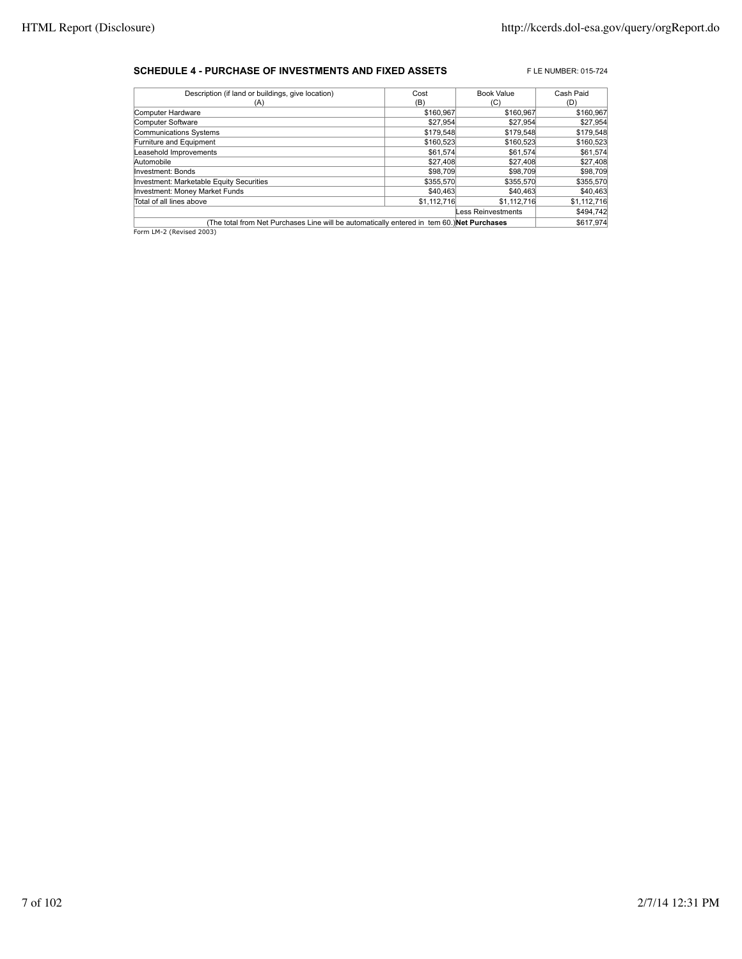#### **SCHEDULE 4 - PURCHASE OF INVESTMENTS AND FIXED ASSETS** FLE NUMBER: 015-724

| Description (if land or buildings, give location)                                          | Cost        | <b>Book Value</b>  | Cash Paid   |
|--------------------------------------------------------------------------------------------|-------------|--------------------|-------------|
| (A)                                                                                        | (B)         | (C)                | (D)         |
| Computer Hardware                                                                          | \$160,967   | \$160,967          | \$160,967   |
| Computer Software                                                                          | \$27,954    | \$27,954           | \$27,954    |
| Communications Systems                                                                     | \$179,548   | \$179,548          | \$179,548   |
| Furniture and Equipment                                                                    | \$160,523   | \$160,523          | \$160,523   |
| Leasehold Improvements                                                                     | \$61,574    | \$61,574           | \$61,574    |
| Automobile                                                                                 | \$27,408    | \$27,408           | \$27,408    |
| Investment: Bonds                                                                          | \$98,709    | \$98,709           | \$98,709    |
| Investment: Marketable Equity Securities                                                   | \$355,570   | \$355,570          | \$355,570   |
| Investment: Money Market Funds                                                             | \$40,463    | \$40,463           | \$40,463    |
| Total of all lines above                                                                   | \$1,112,716 | \$1,112,716        | \$1,112,716 |
|                                                                                            |             | Less Reinvestments | \$494,742   |
| (The total from Net Purchases Line will be automatically entered in tem 60.) Net Purchases |             |                    | \$617,974   |
| Form LM-2 (Revised 2003)                                                                   |             |                    |             |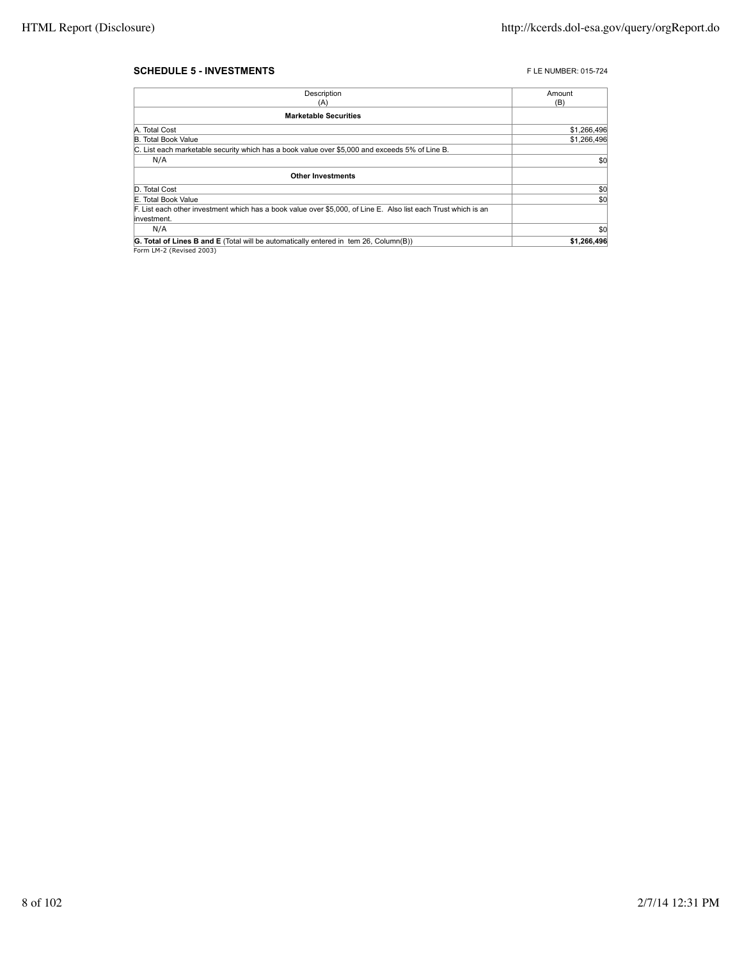#### **SCHEDULE 5 - INVESTMENTS FLE NUMBER: 015-724**

| Description                                                                                                    | Amount      |
|----------------------------------------------------------------------------------------------------------------|-------------|
| (A)                                                                                                            | (B)         |
| <b>Marketable Securities</b>                                                                                   |             |
| A. Total Cost                                                                                                  | \$1,266,496 |
| <b>B. Total Book Value</b>                                                                                     | \$1,266,496 |
| C. List each marketable security which has a book value over \$5,000 and exceeds 5% of Line B.                 |             |
| N/A                                                                                                            | \$0         |
| <b>Other Investments</b>                                                                                       |             |
| D. Total Cost                                                                                                  | \$0         |
|                                                                                                                |             |
| E. Total Book Value                                                                                            | \$0         |
| F. List each other investment which has a book value over \$5,000, of Line E. Also list each Trust which is an |             |
| linvestment.                                                                                                   |             |
| N/A                                                                                                            | \$0         |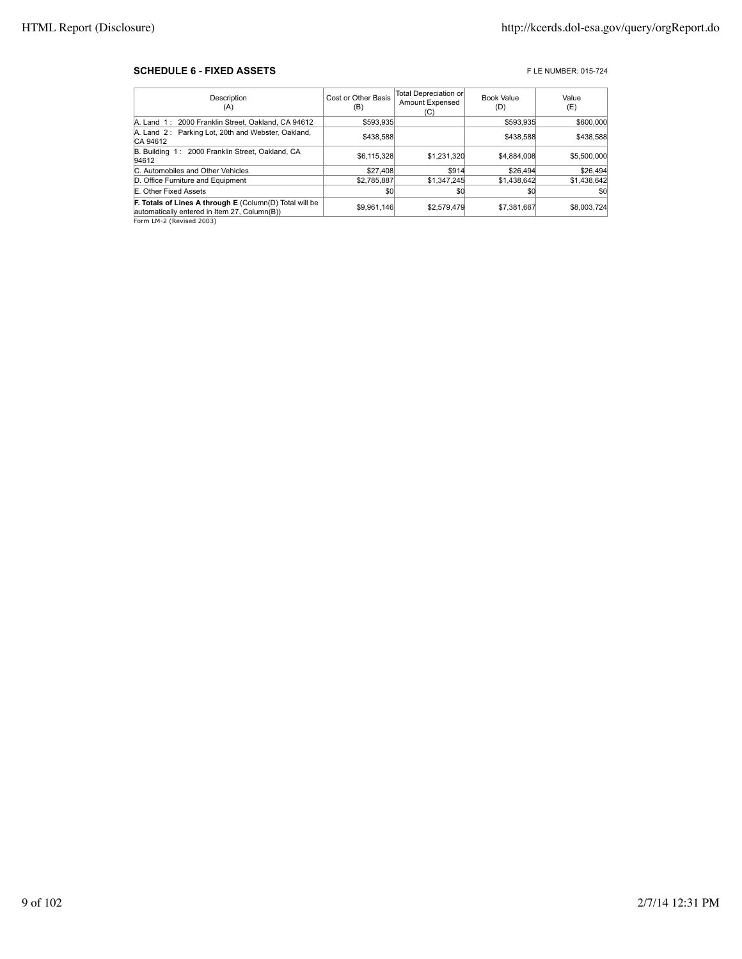#### **SCHEDULE 6 - FIXED ASSETS FIXED ASSETS FIXED ASSETS**

| Description<br>(A)                                                                                             | Cost or Other Basis<br>(B) | Total Depreciation or<br><b>Amount Expensed</b><br>(C) | <b>Book Value</b><br>(D) | Value<br>(E) |
|----------------------------------------------------------------------------------------------------------------|----------------------------|--------------------------------------------------------|--------------------------|--------------|
| A. Land 1: 2000 Franklin Street, Oakland, CA 94612                                                             | \$593,935                  |                                                        | \$593.935                | \$600,000    |
| A. Land 2: Parking Lot, 20th and Webster, Oakland,<br>CA 94612                                                 | \$438,588                  |                                                        | \$438,588                | \$438,588    |
| B. Building 1: 2000 Franklin Street, Oakland, CA<br>94612                                                      | \$6,115,328                | \$1.231.320                                            | \$4,884,008              | \$5,500,000  |
| C. Automobiles and Other Vehicles                                                                              | \$27,408                   | \$914                                                  | \$26,494                 | \$26,494     |
| D. Office Furniture and Equipment                                                                              | \$2,785,887                | \$1.347.245                                            | \$1,438,642              | \$1,438,642  |
| E. Other Fixed Assets                                                                                          | \$0                        | \$0                                                    | \$0                      | \$0          |
| <b>F. Totals of Lines A through E (Column(D) Total will be</b><br>automatically entered in Item 27, Column(B)) | \$9,961,146                | \$2,579,479                                            | \$7,381,667              | \$8,003,724  |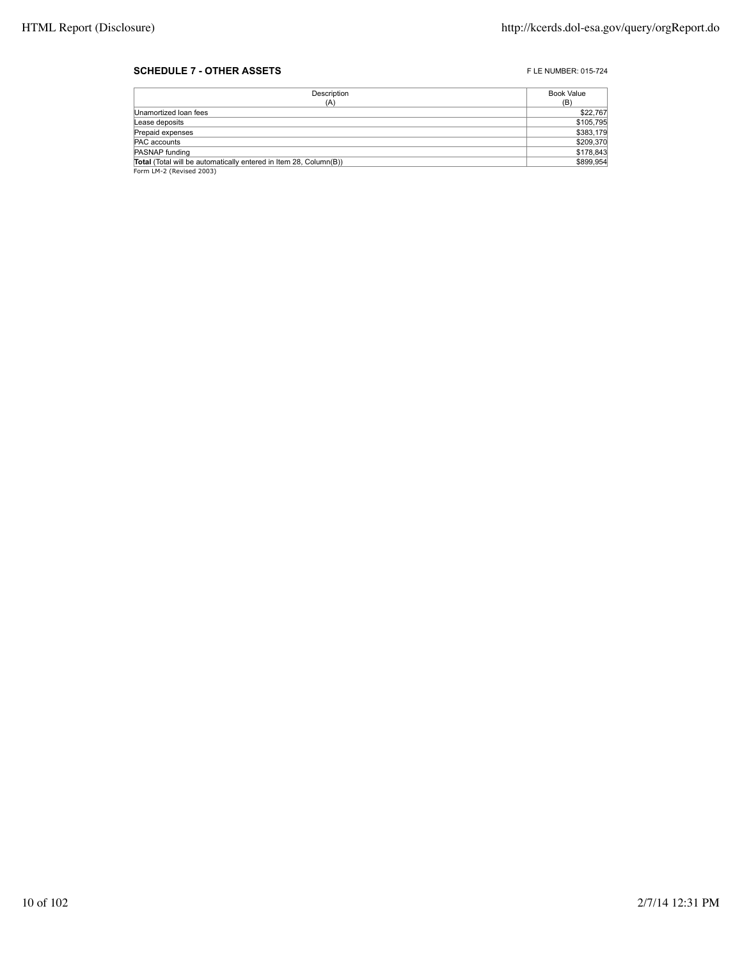### **SCHEDULE 7 - OTHER ASSETS FLE NUMBER: 015-724**

| Description                                                       | Book Value |
|-------------------------------------------------------------------|------------|
| (A)                                                               | (B)        |
| Unamortized Ioan fees                                             | \$22,767   |
| Lease deposits                                                    | \$105,795  |
| Prepaid expenses                                                  | \$383,179  |
| PAC accounts                                                      | \$209,370  |
| PASNAP funding                                                    | \$178,843  |
| Total (Total will be automatically entered in Item 28, Column(B)) | \$899,954  |
| Form LM-2 (Revised 2003)                                          |            |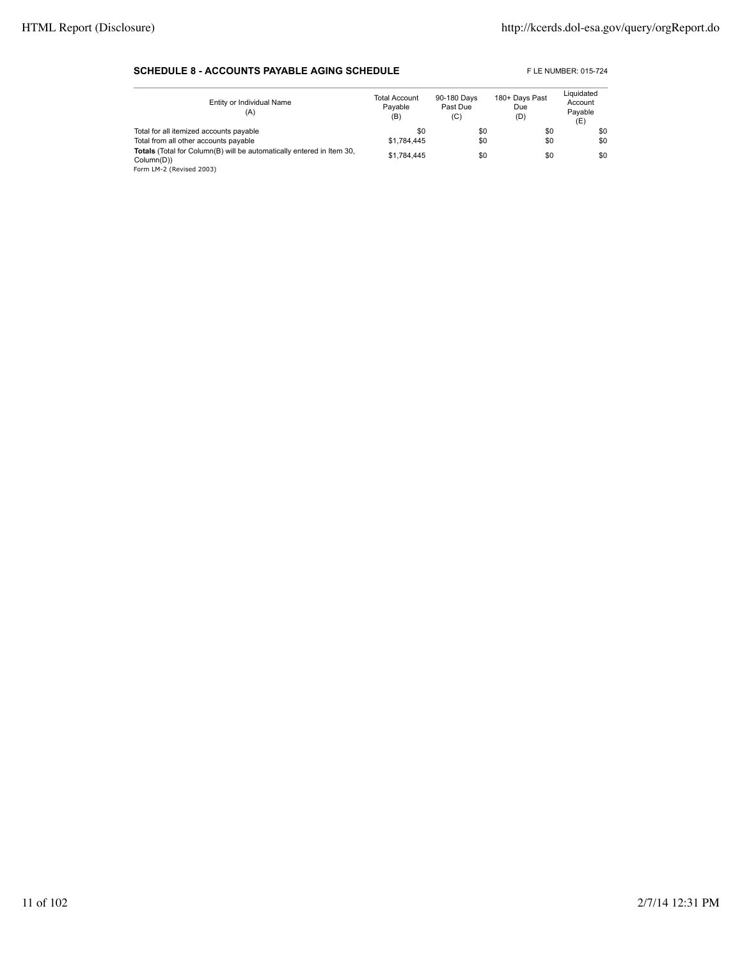### **SCHEDULE 8 - ACCOUNTS PAYABLE AGING SCHEDULE** FLE NUMBER: 015-724

| Entity or Individual Name<br>(A)                                                                                | <b>Total Account</b><br>Pavable<br>(B) | 90-180 Days<br>Past Due<br>(C) | 180+ Days Past<br>Due<br>(D) | Liquidated<br>Account<br>Pavable<br>(E) |
|-----------------------------------------------------------------------------------------------------------------|----------------------------------------|--------------------------------|------------------------------|-----------------------------------------|
| Total for all itemized accounts payable                                                                         | \$0                                    | \$0                            | \$0                          | \$0                                     |
| Total from all other accounts payable                                                                           | \$1.784.445                            | \$0                            | \$0                          | \$0                                     |
| Totals (Total for Column(B) will be automatically entered in Item 30,<br>Column(D))<br>Form LM-2 (Revised 2003) | \$1.784.445                            | \$0                            | \$0                          | \$0                                     |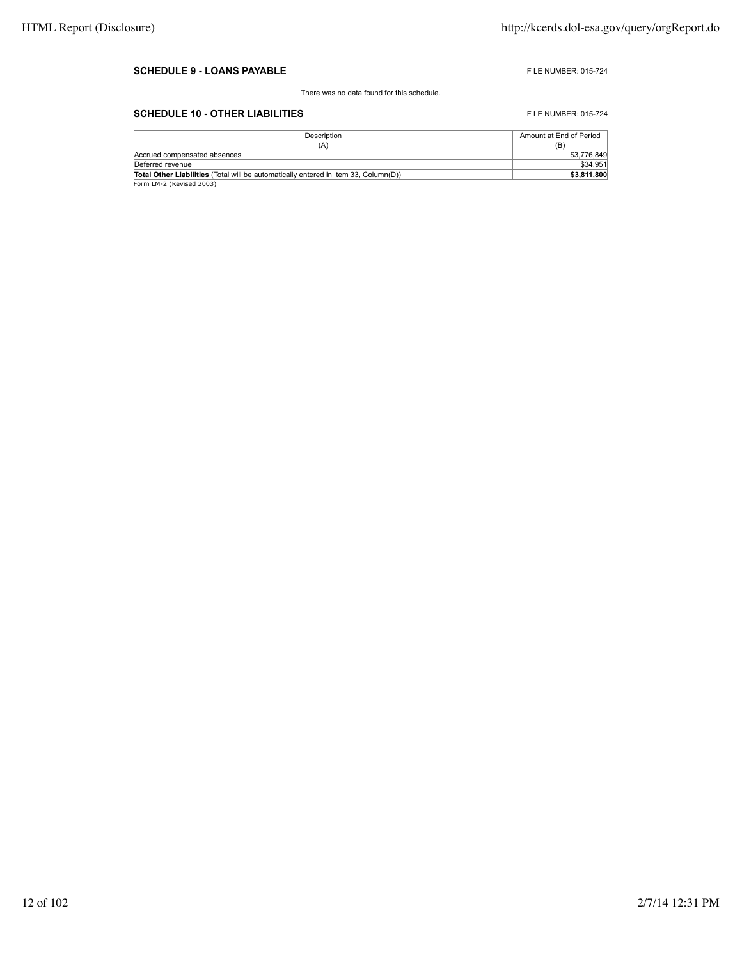#### **SCHEDULE 9 - LOANS PAYABLE FLE NUMBER: 015-724**

There was no data found for this schedule.

## **SCHEDULE 10 - OTHER LIABILITIES** FLE NUMBER: 015-724

| Description                                                                               | Amount at End of Period |
|-------------------------------------------------------------------------------------------|-------------------------|
| (A)                                                                                       | (B)                     |
| Accrued compensated absences                                                              | \$3,776,849             |
| Deferred revenue                                                                          | \$34,951                |
| <b>Total Other Liabilities</b> (Total will be automatically entered in tem 33. Column(D)) | \$3,811,800             |
| Form LM-2 (Revised 2003)                                                                  |                         |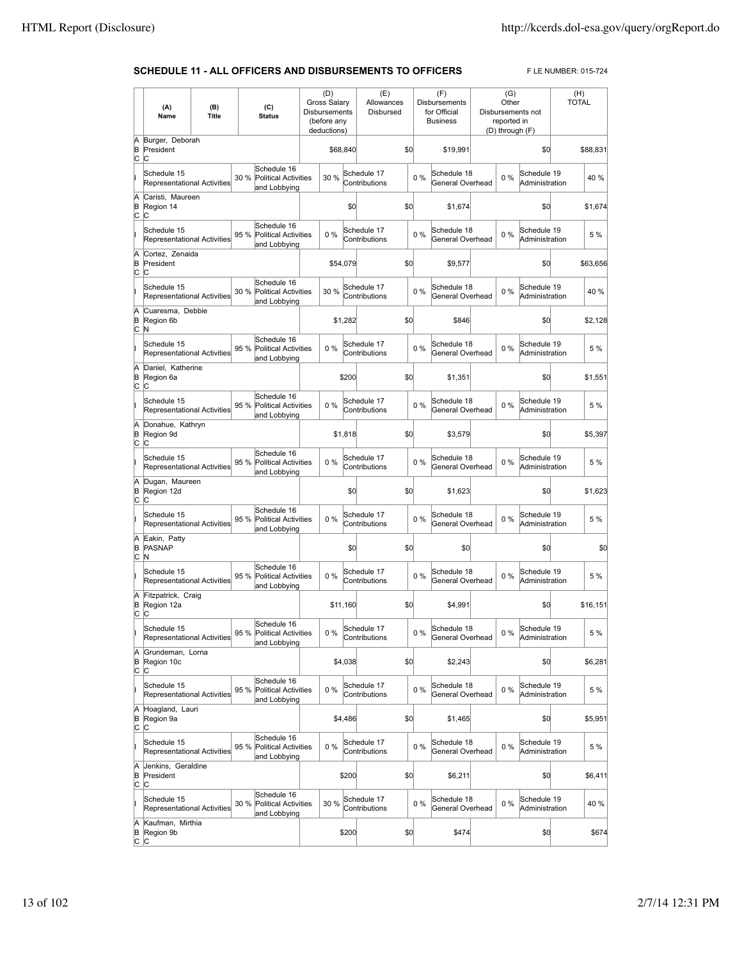## **SCHEDULE 11 - ALL OFFICERS AND DISBURSEMENTS TO OFFICERS** FLE NUMBER: 015-724

|                 | (A)<br>Name                                            | (B)<br>Title |      | (C)<br><b>Status</b>                                       | (D)<br><b>Gross Salary</b><br>Disbursements<br>(before any<br>deductions) |          | (E)<br>Allowances<br>Disbursed |     |       | (F)<br><b>Disbursements</b><br>for Official<br><b>Business</b> | (G)<br>Other<br>reported in<br>(D) through (F) | Disbursements not             | (H)<br><b>TOTAL</b> |
|-----------------|--------------------------------------------------------|--------------|------|------------------------------------------------------------|---------------------------------------------------------------------------|----------|--------------------------------|-----|-------|----------------------------------------------------------------|------------------------------------------------|-------------------------------|---------------------|
| Ā<br>B<br>c     | Burger, Deborah<br>President<br>C                      |              |      |                                                            | \$68,840                                                                  |          |                                | \$0 |       | \$19,991                                                       |                                                | \$0                           | \$88,831            |
|                 | Schedule 15<br>Representational Activities             |              | 30 % | Schedule 16<br><b>Political Activities</b>                 | 30 %                                                                      |          | Schedule 17<br>Contributions   |     | $0\%$ | Schedule 18<br>General Overhead                                | 0%                                             | Schedule 19<br>Administration | 40%                 |
| Ā<br>B<br>C     | Caristi, Maureen<br>Region 14<br>C                     |              |      | and Lobbying                                               |                                                                           | \$0      |                                | \$0 |       | \$1.674                                                        |                                                | \$0                           | \$1,674             |
|                 | Schedule 15<br><b>Representational Activities</b>      |              | 95 % | Schedule 16<br><b>Political Activities</b><br>and Lobbying | 0%                                                                        |          | Schedule 17<br>Contributions   |     | 0%    | Schedule 18<br>General Overhead                                | 0%                                             | Schedule 19<br>Administration | 5 %                 |
| A<br>B<br>C     | Cortez, Zenaida<br>President<br>C                      |              |      |                                                            | \$54,079                                                                  |          |                                | \$0 |       | \$9,577                                                        |                                                | \$0                           | \$63,656            |
|                 | Schedule 15<br><b>Representational Activities</b>      |              | 30 % | Schedule 16<br><b>Political Activities</b>                 | 30 %                                                                      |          | Schedule 17<br>Contributions   |     | 0%    | Schedule 18<br>General Overhead                                | $0\%$                                          | Schedule 19<br>Administration | 40 %                |
| A<br>B          | Cuaresma, Debbie<br>Region 6b                          |              |      | and Lobbying                                               |                                                                           | \$1,282  |                                | \$0 |       | \$846                                                          |                                                | \$0                           | \$2,128             |
| C               | N<br>Schedule 15<br><b>Representational Activities</b> |              | 95 % | Schedule 16<br><b>Political Activities</b><br>and Lobbying | 0%                                                                        |          | Schedule 17<br>Contributions   |     | 0%    | Schedule 18<br>General Overhead                                | $0\%$                                          | Schedule 19<br>Administration | 5 %                 |
| A<br>B<br>C     | Daniel, Katherine<br>Region 6a<br>C                    |              |      |                                                            |                                                                           | \$200    |                                | \$0 |       | \$1,351                                                        |                                                | \$0                           | \$1,551             |
|                 | Schedule 15<br>Representational Activities             |              | 95 % | Schedule 16<br><b>Political Activities</b><br>and Lobbying | 0%                                                                        |          | Schedule 17<br>Contributions   |     | $0\%$ | Schedule 18<br>General Overhead                                | 0%                                             | Schedule 19<br>Administration | 5 %                 |
| A<br>B<br>C     | Donahue, Kathryn<br>Region 9d<br>C                     |              |      |                                                            |                                                                           | \$1,818  |                                | \$0 |       | \$3,579                                                        |                                                | \$0                           | \$5,397             |
|                 | Schedule 15<br>Representational Activities             |              | 95 % | Schedule 16<br><b>Political Activities</b><br>and Lobbying | 0%                                                                        |          | Schedule 17<br>Contributions   |     | 0%    | Schedule 18<br>General Overhead                                | $0\%$                                          | Schedule 19<br>Administration | 5 %                 |
| A<br>B<br>C     | Dugan, Maureen<br>Region 12d<br>Iс                     |              |      |                                                            |                                                                           | \$0      |                                | \$0 |       | \$1,623                                                        |                                                | \$0                           | \$1,623             |
|                 | Schedule 15<br>Representational Activities             |              | 95 % | Schedule 16<br>Political Activities<br>and Lobbying        | 0%                                                                        |          | Schedule 17<br>Contributions   |     | $0\%$ | Schedule 18<br>General Overhead                                | $0\%$                                          | Schedule 19<br>Administration | 5 %                 |
| A<br>B<br>C     | Eakin, Patty<br><b>PASNAP</b><br>N                     |              |      |                                                            |                                                                           | \$0      |                                | \$0 |       | \$0                                                            |                                                | \$0                           | \$0                 |
|                 | Schedule 15<br>Representational Activities             |              | 95 % | Schedule 16<br><b>Political Activities</b><br>and Lobbying | $0\%$                                                                     |          | Schedule 17<br>Contributions   |     | $0\%$ | Schedule 18<br>General Overhead                                | 0%                                             | Schedule 19<br>Administration | 5 %                 |
| A<br>B<br>C     | Fitzpatrick, Craig<br>Region 12a<br>C                  |              |      |                                                            |                                                                           | \$11,160 |                                | \$0 |       | \$4,991                                                        |                                                | \$0                           | \$16,151            |
|                 | Schedule 15<br>Representational Activities             |              |      | Schedule 16<br>95 % Political Activities<br>and Lobbying   | $0\%$                                                                     |          | Schedule 17<br>Contributions   |     | $0\%$ | Schedule 18<br>General Overhead                                | 0 %                                            | Schedule 19<br>Administration | 5 %                 |
| A<br>B<br>C     | Grundeman, Lorna<br>Region 10c<br>C                    |              |      |                                                            |                                                                           | \$4,038  |                                | \$0 |       | \$2,243                                                        |                                                | \$0                           | \$6,281             |
|                 | Schedule 15<br>Representational Activities             |              | 95 % | Schedule 16<br>Political Activities<br>and Lobbying        | 0%                                                                        |          | Schedule 17<br>Contributions   |     | $0\%$ | Schedule 18<br>General Overhead                                | $0\%$                                          | Schedule 19<br>Administration | 5 %                 |
| A<br>B<br>c     | Hoagland, Lauri<br>Region 9a<br>C                      |              |      |                                                            |                                                                           | \$4,486  |                                | \$0 |       | \$1,465                                                        |                                                | \$0                           | \$5,951             |
| Iï              | Schedule 15<br><b>Representational Activities</b>      |              | 95 % | Schedule 16<br><b>Political Activities</b><br>and Lobbying | $0\%$                                                                     |          | Schedule 17<br>Contributions   |     | $0\%$ | Schedule 18<br>General Overhead                                | $0\%$                                          | Schedule 19<br>Administration | 5 %                 |
| A<br>B<br>C     | Jenkins, Geraldine<br>President<br>C                   |              |      |                                                            |                                                                           | \$200    |                                | \$0 |       | \$6,211                                                        |                                                | \$0                           | \$6,411             |
|                 | Schedule 15<br>Representational Activities             |              | 30 % | Schedule 16<br><b>Political Activities</b><br>and Lobbying | 30 %                                                                      |          | Schedule 17<br>Contributions   |     | 0%    | Schedule 18<br>General Overhead                                | 0%                                             | Schedule 19<br>Administration | 40 %                |
| A<br>B<br>∣c ∣c | Kaufman, Mirthia<br>Region 9b                          |              |      |                                                            |                                                                           | \$200    |                                | \$0 |       | \$474                                                          |                                                | \$0                           | \$674               |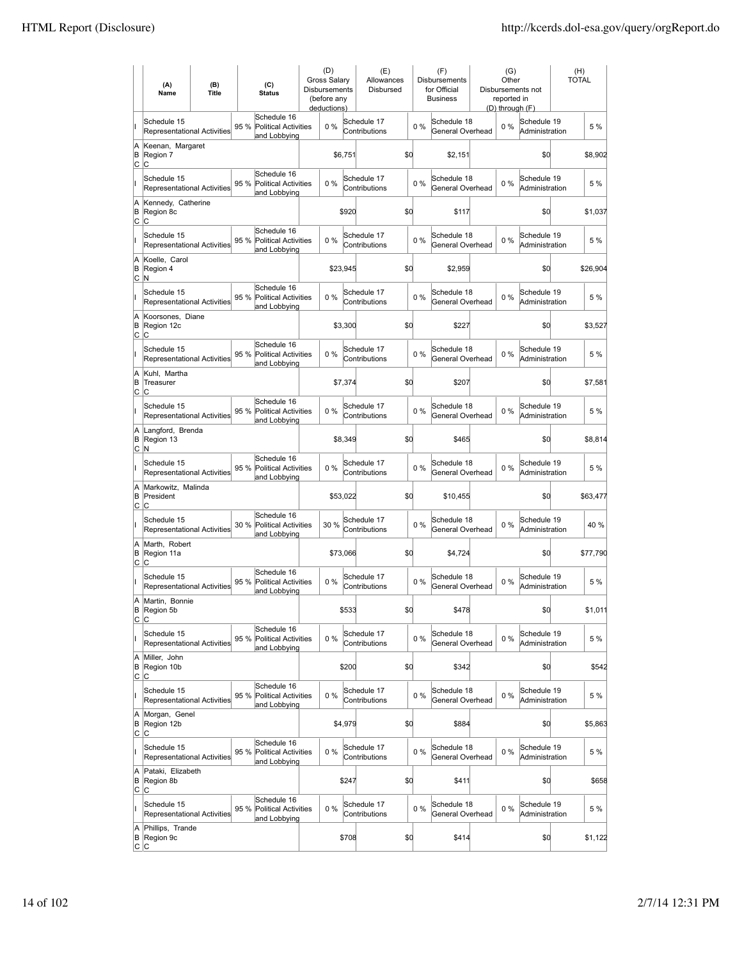|               | (A)<br>Name                                       | (B)<br><b>Title</b> |      | (C)<br><b>Status</b>                                       | (D)<br>Gross Salary<br><b>Disbursements</b><br>(before any<br>deductions) |          | (E)<br>Allowances<br>Disbursed |     |       | (F)<br>Disbursements<br>for Official<br><b>Business</b> | (G)<br>Other<br>reported in<br>(D) through (F) | Disbursements not             | (H)<br><b>TOTAL</b> |
|---------------|---------------------------------------------------|---------------------|------|------------------------------------------------------------|---------------------------------------------------------------------------|----------|--------------------------------|-----|-------|---------------------------------------------------------|------------------------------------------------|-------------------------------|---------------------|
| II            | Schedule 15<br>Representational Activities        |                     | 95 % | Schedule 16<br>Political Activities<br>and Lobbying        | 0%                                                                        |          | Schedule 17<br>Contributions   |     | 0%    | Schedule 18<br>General Overhead                         | 0%                                             | Schedule 19<br>Administration | 5 %                 |
| A<br>B<br>C   | Keenan, Margaret<br>Region 7<br>C                 |                     |      |                                                            |                                                                           | \$6,751  |                                | \$d |       | \$2,151                                                 |                                                | \$0                           | \$8,902             |
| II            | Schedule 15<br>Representational Activities        |                     | 95 % | Schedule 16<br><b>Political Activities</b><br>and Lobbying | 0%                                                                        |          | Schedule 17<br>Contributions   |     | 0%    | Schedule 18<br>General Overhead                         | $0\%$                                          | Schedule 19<br>Administration | 5 %                 |
| A<br>B<br>C   | Kennedy, Catherine<br>Region 8c<br>lC.            |                     |      |                                                            |                                                                           | \$920    |                                | \$d |       | \$117                                                   |                                                | \$0                           | \$1,037             |
| ı             | Schedule 15<br>Representational Activities        |                     | 95 % | Schedule 16<br><b>Political Activities</b><br>and Lobbying | 0%                                                                        |          | Schedule 17<br>Contributions   |     | $0\%$ | Schedule 18<br>General Overhead                         | $0\%$                                          | Schedule 19<br>Administration | 5 %                 |
| A<br>B<br>lc. | Koelle, Carol<br>Region 4<br>N                    |                     |      |                                                            |                                                                           | \$23,945 |                                | \$O |       | \$2,959                                                 |                                                | \$0                           | \$26,904            |
| lı.           | Schedule 15<br><b>Representational Activities</b> |                     | 95 % | Schedule 16<br><b>Political Activities</b><br>and Lobbying | $0\%$                                                                     |          | Schedule 17<br>Contributions   |     | $0\%$ | Schedule 18<br>General Overhead                         | $0\%$                                          | Schedule 19<br>Administration | 5 %                 |
| A<br>B<br>lc. | Koorsones, Diane<br>Region 12c<br>C               |                     |      |                                                            |                                                                           | \$3,300  |                                | \$d |       | \$227                                                   |                                                | \$d                           | \$3,527             |
| Iı            | Schedule 15<br>Representational Activities        |                     | 95 % | Schedule 16<br><b>Political Activities</b><br>and Lobbying | $0\%$                                                                     |          | Schedule 17<br>Contributions   |     | $0\%$ | Schedule 18<br>General Overhead                         | $0\%$                                          | Schedule 19<br>Administration | 5 %                 |
| A<br>B<br>C   | Kuhl, Martha<br>Treasurer<br>C                    |                     |      |                                                            |                                                                           | \$7,374  |                                | \$d |       | \$207                                                   |                                                | \$d                           | \$7,581             |
| lı.           | Schedule 15<br><b>Representational Activities</b> |                     | 95 % | Schedule 16<br><b>Political Activities</b><br>and Lobbying | 0%                                                                        |          | Schedule 17<br>Contributions   |     | $0\%$ | Schedule 18<br>General Overhead                         | $0\%$                                          | Schedule 19<br>Administration | 5 %                 |
| A<br>B<br>lc. | Langford, Brenda<br>Region 13<br>N                |                     |      |                                                            |                                                                           | \$8,349  |                                | \$d |       | \$465                                                   |                                                | \$d                           | \$8,814             |
| lı.           | Schedule 15<br>Representational Activities        |                     | 95 % | Schedule 16<br><b>Political Activities</b><br>and Lobbying | $0\%$                                                                     |          | Schedule 17<br>Contributions   |     | 0%    | Schedule 18<br>General Overhead                         | $0\%$                                          | Schedule 19<br>Administration | 5 %                 |
| A<br>B<br>C   | Markowitz, Malinda<br>President<br>lC.            |                     |      |                                                            |                                                                           | \$53,022 |                                | \$d |       | \$10,455                                                |                                                | \$d                           | \$63,477            |
| lı.           | Schedule 15<br>Representational Activities        |                     | 30 % | Schedule 16<br><b>Political Activities</b><br>and Lobbying | 30 %                                                                      |          | Schedule 17<br>Contributions   |     | $0\%$ | Schedule 18<br>General Overhead                         | $0\%$                                          | Schedule 19<br>Administration | 40 %                |
| A<br>B<br>C   | Marth. Robert<br>Region 11a<br>Iс                 |                     |      |                                                            |                                                                           | \$73,066 |                                | \$d |       | \$4,724                                                 |                                                | \$d                           | \$77,790            |
|               | Schedule 15<br>Representational Activities        |                     | 95 % | Schedule 16<br>Political Activities<br>and Lobbying        | $0\%$                                                                     |          | Schedule 17<br>Contributions   |     | $0\%$ | Schedule 18<br>General Overhead                         | $0\%$                                          | Schedule 19<br>Administration | 5 %                 |
| A<br>B<br>C.  | Martin, Bonnie<br>Region 5b<br>lC.                |                     |      |                                                            |                                                                           | \$533    |                                | \$q |       | \$478                                                   |                                                | \$d                           | \$1,011             |
| lı.           | Schedule 15<br><b>Representational Activities</b> |                     | 95 % | Schedule 16<br><b>Political Activities</b><br>and Lobbying | $0\%$                                                                     |          | Schedule 17<br>Contributions   |     | $0\%$ | Schedule 18<br>General Overhead                         | $0\%$                                          | Schedule 19<br>Administration | 5 %                 |
| A<br>B<br>C   | Miller, John<br>Region 10b<br>C                   |                     |      |                                                            |                                                                           | \$200    |                                | \$d |       | \$342                                                   |                                                | \$0                           | \$542               |
| lı.           | Schedule 15<br><b>Representational Activities</b> |                     | 95 % | Schedule 16<br>Political Activities<br>and Lobbying        | 0%                                                                        |          | Schedule 17<br>Contributions   |     | $0\%$ | Schedule 18<br>General Overhead                         | $0\%$                                          | Schedule 19<br>Administration | 5 %                 |
| A<br>B<br>C   | Morgan, Genel<br>Region 12b<br>lc.                |                     |      |                                                            |                                                                           | \$4,979  |                                | \$d |       | \$884                                                   |                                                | \$d                           | \$5,863             |
| lı.           | Schedule 15<br><b>Representational Activities</b> |                     | 95 % | Schedule 16<br><b>Political Activities</b><br>and Lobbying | 0%                                                                        |          | Schedule 17<br>Contributions   |     | 0%    | Schedule 18<br>General Overhead                         | 0%                                             | Schedule 19<br>Administration | 5 %                 |
| A<br>B<br>C   | Pataki, Elizabeth<br>Region 8b<br>C               |                     |      |                                                            |                                                                           | \$247    |                                | \$d |       | \$411                                                   |                                                | \$d                           | \$658               |
| L             | Schedule 15<br><b>Representational Activities</b> |                     | 95 % | Schedule 16<br>Political Activities<br>and Lobbying        | 0%                                                                        |          | Schedule 17<br>Contributions   |     | 0%    | Schedule 18<br>General Overhead                         | $0\%$                                          | Schedule 19<br>Administration | 5 %                 |
| A<br>В        | Phillips, Trande<br>Region 9c<br> C C             |                     |      |                                                            |                                                                           | \$708    |                                | \$d |       | \$414                                                   |                                                | \$0                           | \$1,122             |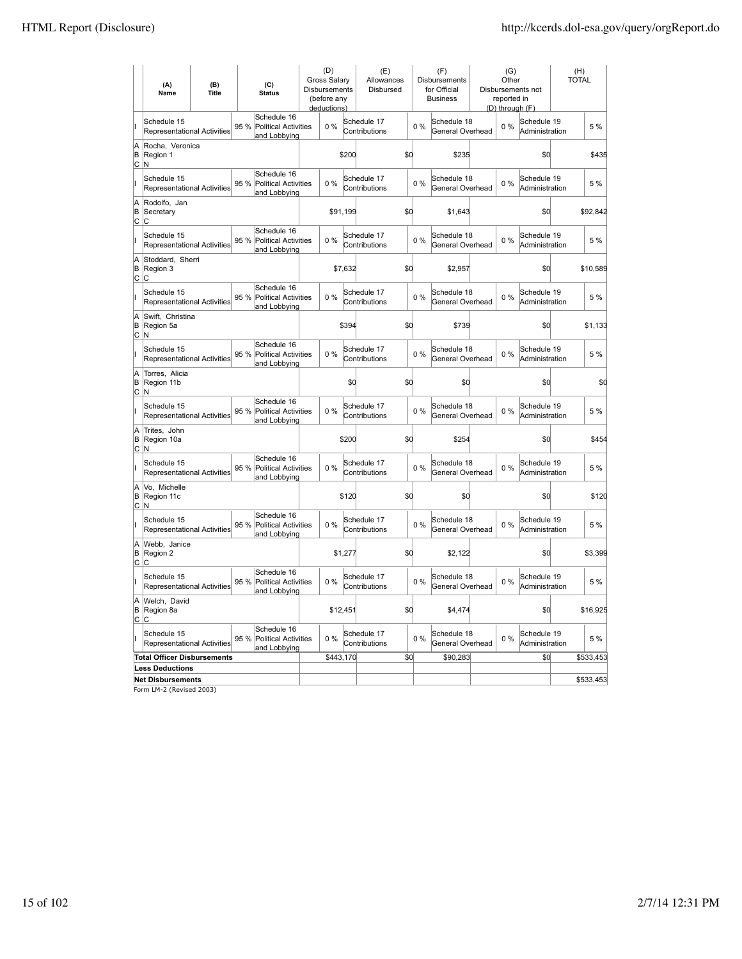|                          | (A)<br>Name                                       | (B)<br><b>Title</b> | (C)<br><b>Status</b>                                               | (D)<br>Gross Salary<br>Disbursements<br>(before any<br>deductions) |          | (E)<br>Allowances<br>Disbursed |     |       | (F)<br>Disbursements<br>for Official<br><b>Business</b> | (G)<br>Other<br>reported in<br>(D) through (F) | Disbursements not             | (H)<br><b>TOTAL</b> |
|--------------------------|---------------------------------------------------|---------------------|--------------------------------------------------------------------|--------------------------------------------------------------------|----------|--------------------------------|-----|-------|---------------------------------------------------------|------------------------------------------------|-------------------------------|---------------------|
|                          | Schedule 15<br><b>Representational Activities</b> |                     | Schedule 16<br>95 %<br>Political Activities<br>and Lobbying        | 0%                                                                 |          | Schedule 17<br>Contributions   |     | $0\%$ | Schedule 18<br>General Overhead                         | $0\%$                                          | Schedule 19<br>Administration | 5 %                 |
| A<br>B<br>lc.            | Rocha, Veronica<br>Region 1<br>IN.                |                     |                                                                    |                                                                    | \$200    |                                | \$d |       | \$235                                                   |                                                | \$0                           | \$435               |
|                          | Schedule 15<br><b>Representational Activities</b> |                     | Schedule 16<br>95%<br><b>Political Activities</b><br>and Lobbying  | $0\%$                                                              |          | Schedule 17<br>Contributions   |     | $0\%$ | Schedule 18<br>General Overhead                         | $0\%$                                          | Schedule 19<br>Administration | 5 %                 |
| A<br>B<br> c             | Rodolfo, Jan<br>Secretary<br>C                    |                     |                                                                    |                                                                    | \$91,199 |                                | \$d |       | \$1,643                                                 |                                                | \$0                           | \$92,842            |
|                          | Schedule 15<br>Representational Activities        |                     | Schedule 16<br>95 %<br>Political Activities<br>and Lobbying        | $0\%$                                                              |          | Schedule 17<br>Contributions   |     | $0\%$ | Schedule 18<br>General Overhead                         | 0%                                             | Schedule 19<br>Administration | 5 %                 |
| A<br>ΙB<br> c            | Stoddard, Sherri<br>Region 3<br>C                 |                     |                                                                    |                                                                    | \$7,632  |                                | \$d |       | \$2,957                                                 |                                                | \$d                           | \$10,589            |
|                          | Schedule 15<br>Representational Activities        |                     | Schedule 16<br>95 %<br><b>Political Activities</b><br>and Lobbying | $0\%$                                                              |          | Schedule 17<br>Contributions   |     | $0\%$ | Schedule 18<br>General Overhead                         | 0%                                             | Schedule 19<br>Administration | 5 %                 |
| A<br>B<br>$\overline{c}$ | Swift, Christina<br>Region 5a<br>lN.              |                     |                                                                    |                                                                    | \$394    |                                | \$d |       | \$739                                                   |                                                | \$d                           | \$1,133             |
| Iı                       | Schedule 15<br><b>Representational Activities</b> |                     | Schedule 16<br>95 %<br><b>Political Activities</b><br>and Lobbying | 0%                                                                 |          | Schedule 17<br>Contributions   |     | 0%    | Schedule 18<br>General Overhead                         | $0\%$                                          | Schedule 19<br>Administration | 5 %                 |
| A<br>B<br> c             | Torres, Alicia<br>Region 11b<br>N                 |                     |                                                                    |                                                                    | \$d      |                                | \$d |       | \$0                                                     |                                                | \$d                           | \$0                 |
|                          | Schedule 15<br>Representational Activities        |                     | Schedule 16<br>95 %<br>Political Activities<br>and Lobbying        | 0%                                                                 |          | Schedule 17<br>Contributions   |     | $0\%$ | Schedule 18<br>General Overhead                         | $0\%$                                          | Schedule 19<br>Administration | 5 %                 |
| A<br>İΒ<br> c            | Trites, John<br>Region 10a<br>M                   |                     |                                                                    |                                                                    | \$200    |                                | \$d |       | \$254                                                   |                                                | \$d                           | \$454               |
|                          | Schedule 15<br>Representational Activities        |                     | Schedule 16<br>95 %<br><b>Political Activities</b><br>and Lobbying | 0%                                                                 |          | Schedule 17<br>Contributions   |     | $0\%$ | Schedule 18<br>General Overhead                         | 0%                                             | Schedule 19<br>Administration | 5 %                 |
| A<br>B                   | Vo. Michelle<br>Region 11c<br> C N                |                     |                                                                    |                                                                    | \$120    |                                | \$d |       | \$0                                                     |                                                | \$d                           | \$120               |
|                          | Schedule 15<br><b>Representational Activities</b> |                     | Schedule 16<br>95%<br>Political Activities<br>and Lobbying         | 0%                                                                 |          | Schedule 17<br>Contributions   |     | 0%    | Schedule 18<br>General Overhead                         | $0\%$                                          | Schedule 19<br>Administration | 5 %                 |
| A<br>B<br>C.             | Webb, Janice<br>Region 2<br>C                     |                     |                                                                    |                                                                    | \$1,277  |                                | \$d |       | \$2,122                                                 |                                                | \$d                           | \$3,399             |
|                          | Schedule 15<br>Representational Activities        |                     | Schedule 16<br><b>Political Activities</b><br>95 %<br>and Lobbying | $0\%$                                                              |          | Schedule 17<br>Contributions   |     | 0%    | Schedule 18<br>General Overhead                         | 0%                                             | Schedule 19<br>Administration | 5 %                 |
| A<br>B<br>Iс             | Welch, David<br>Region 8a<br>lC.                  |                     |                                                                    |                                                                    | \$12,451 |                                | \$d |       | \$4,474                                                 |                                                | \$d                           | \$16,925            |
|                          | Schedule 15<br>Representational Activities        |                     | Schedule 16<br>95 %<br><b>Political Activities</b><br>and Lobbying | $0\%$                                                              |          | Schedule 17<br>Contributions   |     | $0\%$ | Schedule 18<br>General Overhead                         | 0%                                             | Schedule 19<br>Administration | 5 %                 |
|                          | <b>Total Officer Disbursements</b>                |                     |                                                                    | \$443,170                                                          |          |                                | \$0 |       | \$90,283                                                |                                                | \$0                           | \$533,453           |
|                          | <b>Less Deductions</b>                            |                     |                                                                    |                                                                    |          |                                |     |       |                                                         |                                                |                               |                     |
|                          | <b>Net Disbursements</b>                          |                     |                                                                    |                                                                    |          |                                |     |       |                                                         |                                                |                               | \$533,453           |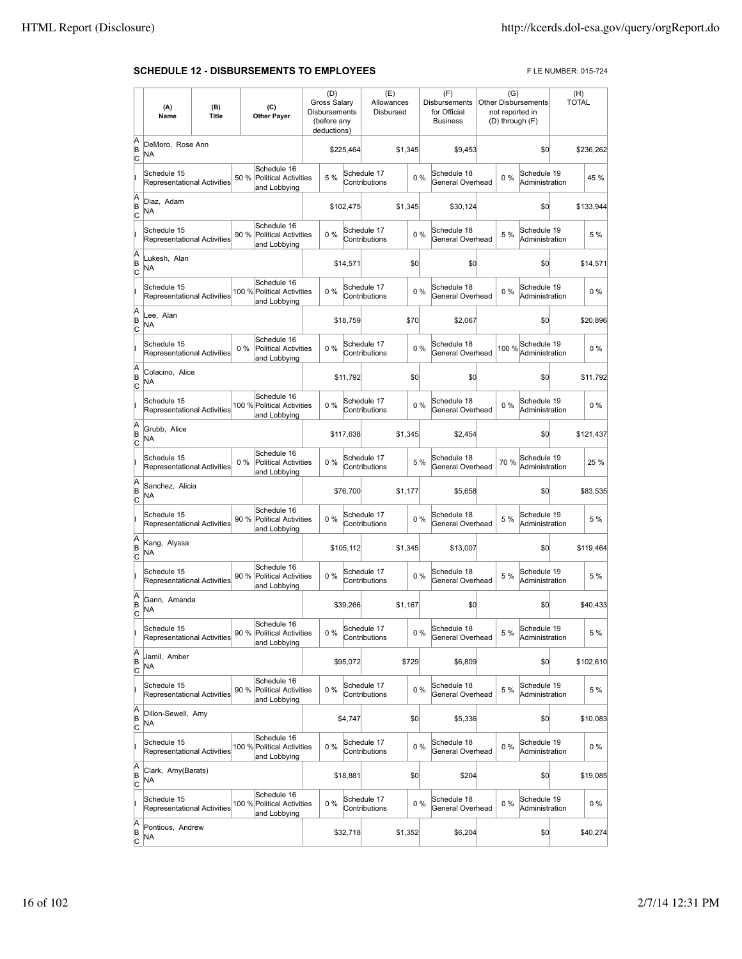## **SCHEDULE 12 - DISBURSEMENTS TO EMPLOYEES** FLE NUMBER: 015-724

|             | (A)<br>Name                                       | (B)<br>Title |       | (C)<br><b>Other Payer</b>                                  | (D)<br>Gross Salary<br>Disbursements<br>(before any<br>deductions) |           | (E)<br>Allowances<br>Disbursed |         |       | (F)<br>Disbursements<br>for Official<br><b>Business</b> | (G)<br>not reported in | <b>Other Disbursements</b><br>(D) through (F) | (H)<br><b>TOTAL</b> |           |
|-------------|---------------------------------------------------|--------------|-------|------------------------------------------------------------|--------------------------------------------------------------------|-----------|--------------------------------|---------|-------|---------------------------------------------------------|------------------------|-----------------------------------------------|---------------------|-----------|
| A<br>B<br>c | DeMoro, Rose Ann<br>ΝA                            |              |       |                                                            |                                                                    | \$225,464 |                                | \$1,345 |       | \$9,453                                                 |                        | \$0                                           |                     | \$236,262 |
|             | Schedule 15<br>Representational Activities        |              | 50 %  | Schedule 16<br><b>Political Activities</b><br>and Lobbying | 5 %                                                                |           | Schedule 17<br>Contributions   |         | 0%    | Schedule 18<br>General Overhead                         | 0%                     | Schedule 19<br>Administration                 |                     | 45 %      |
| A<br>B<br>C | Diaz, Adam<br>NA                                  |              |       |                                                            |                                                                    | \$102.475 |                                | \$1.345 |       | \$30.124                                                |                        | \$0                                           |                     | \$133,944 |
|             | Schedule 15<br><b>Representational Activities</b> |              | 90 %  | Schedule 16<br><b>Political Activities</b><br>and Lobbying | 0%                                                                 |           | Schedule 17<br>Contributions   |         | 0%    | Schedule 18<br>General Overhead                         | 5 %                    | Schedule 19<br>Administration                 |                     | 5 %       |
| A<br>B<br>C | Lukesh, Alan<br><b>NA</b>                         |              |       |                                                            |                                                                    | \$14,571  |                                |         | \$0   | \$0                                                     |                        | \$0                                           |                     | \$14,571  |
|             | Schedule 15<br>Representational Activities        |              |       | Schedule 16<br>100 % Political Activities<br>and Lobbying  | 0%                                                                 |           | Schedule 17<br>Contributions   |         | 0%    | Schedule 18<br>General Overhead                         | 0%                     | Schedule 19<br>Administration                 |                     | 0%        |
| A<br>B<br>c | Lee, Alan<br>NA                                   |              |       |                                                            |                                                                    | \$18,759  |                                | \$70    |       | \$2,067                                                 |                        | \$0                                           |                     | \$20,896  |
|             | Schedule 15<br>Representational Activities        |              | $0\%$ | Schedule 16<br><b>Political Activities</b><br>and Lobbying | 0%                                                                 |           | Schedule 17<br>Contributions   |         | 0%    | Schedule 18<br>General Overhead                         | 100 %                  | Schedule 19<br>Administration                 |                     | 0%        |
| A<br>B<br>C | Colacino, Alice<br>NA                             |              |       |                                                            |                                                                    | \$11,792  |                                |         | \$0   | \$0                                                     |                        | \$0                                           |                     | \$11,792  |
|             | Schedule 15<br><b>Representational Activities</b> |              |       | Schedule 16<br>100 % Political Activities<br>and Lobbying  | 0%                                                                 |           | Schedule 17<br>Contributions   |         | 0%    | Schedule 18<br>General Overhead                         | $0\%$                  | Schedule 19<br>Administration                 |                     | $0\%$     |
| A<br>B<br>C | Grubb, Alice<br>NA                                |              |       |                                                            |                                                                    | \$117,638 |                                | \$1,345 |       | \$2,454                                                 |                        | \$0                                           |                     | \$121,437 |
|             | Schedule 15<br>Representational Activities        |              | $0\%$ | Schedule 16<br><b>Political Activities</b><br>and Lobbying | 0%                                                                 |           | Schedule 17<br>Contributions   |         | 5 %   | Schedule 18<br>General Overhead                         | 70 %                   | Schedule 19<br>Administration                 |                     | 25 %      |
| A<br>B<br>c | Sanchez, Alicia<br>NA                             |              |       |                                                            |                                                                    | \$76,700  |                                | \$1,177 |       | \$5,658                                                 |                        | \$0                                           |                     | \$83,535  |
|             | Schedule 15<br>Representational Activities        |              | 90 %  | Schedule 16<br>Political Activities<br>and Lobbying        | 0%                                                                 |           | Schedule 17<br>Contributions   |         | 0%    | Schedule 18<br>General Overhead                         | 5 %                    | Schedule 19<br>Administration                 |                     | 5 %       |
| A<br>B<br>C | Kang, Alyssa<br>NA                                |              |       |                                                            |                                                                    | \$105,112 |                                | \$1,345 |       | \$13,007                                                |                        | \$0                                           |                     | \$119,464 |
|             | Schedule 15<br><b>Representational Activities</b> |              | 90 %  | Schedule 16<br><b>Political Activities</b><br>and Lobbying | 0%                                                                 |           | Schedule 17<br>Contributions   |         | 0%    | Schedule 18<br>General Overhead                         | 5 %                    | Schedule 19<br>Administration                 |                     | 5 %       |
| A<br>B<br>C | Gann, Amanda<br><b>NA</b>                         |              |       |                                                            |                                                                    | \$39,266  |                                | \$1,167 |       | \$0                                                     |                        | \$0                                           |                     | \$40,433  |
|             | Schedule 15<br>Representational Activities        |              |       | Schedule 16<br>90 % Political Activities<br>and Lobbying   | $0\%$                                                              |           | Schedule 17<br>Contributions   |         | $0\%$ | Schedule 18<br>General Overhead                         | 5 %                    | Schedule 19<br>Administration                 |                     | 5 %       |
| A<br>B<br>C | Jamil, Amber<br>NA                                |              |       |                                                            |                                                                    | \$95,072  |                                | \$729   |       | \$6,809                                                 |                        | \$0                                           |                     | \$102,610 |
|             | Schedule 15<br><b>Representational Activities</b> |              | 90 %  | Schedule 16<br><b>Political Activities</b><br>and Lobbying | 0%                                                                 |           | Schedule 17<br>Contributions   |         | $0\%$ | Schedule 18<br>General Overhead                         | 5 %                    | Schedule 19<br>Administration                 |                     | 5 %       |
| A<br>B<br>C | Dillon-Sewell, Amy<br>NA                          |              |       |                                                            |                                                                    | \$4,747   |                                |         | \$0   | \$5,336                                                 |                        | \$0                                           |                     | \$10,083  |
|             | Schedule 15<br>Representational Activities        |              |       | Schedule 16<br>100 % Political Activities<br>and Lobbying  | $0\%$                                                              |           | Schedule 17<br>Contributions   |         | 0%    | Schedule 18<br>General Overhead                         | $0\%$                  | Schedule 19<br>Administration                 |                     | $0\%$     |
| A<br>B<br>C | Clark, Amy(Barats)<br>NA.                         |              |       |                                                            |                                                                    | \$18,881  |                                |         | \$0   | \$204                                                   |                        | \$0                                           |                     | \$19,085  |
|             | Schedule 15<br>Representational Activities        |              |       | Schedule 16<br>100 % Political Activities<br>and Lobbying  | 0%                                                                 |           | Schedule 17<br>Contributions   |         | 0%    | Schedule 18<br>General Overhead                         | 0%                     | Schedule 19<br>Administration                 |                     | $0\%$     |
| A<br>B<br>C | Pontious, Andrew<br>NA                            |              |       |                                                            |                                                                    | \$32,718  |                                | \$1,352 |       | \$6,204                                                 |                        | \$0                                           |                     | \$40,274  |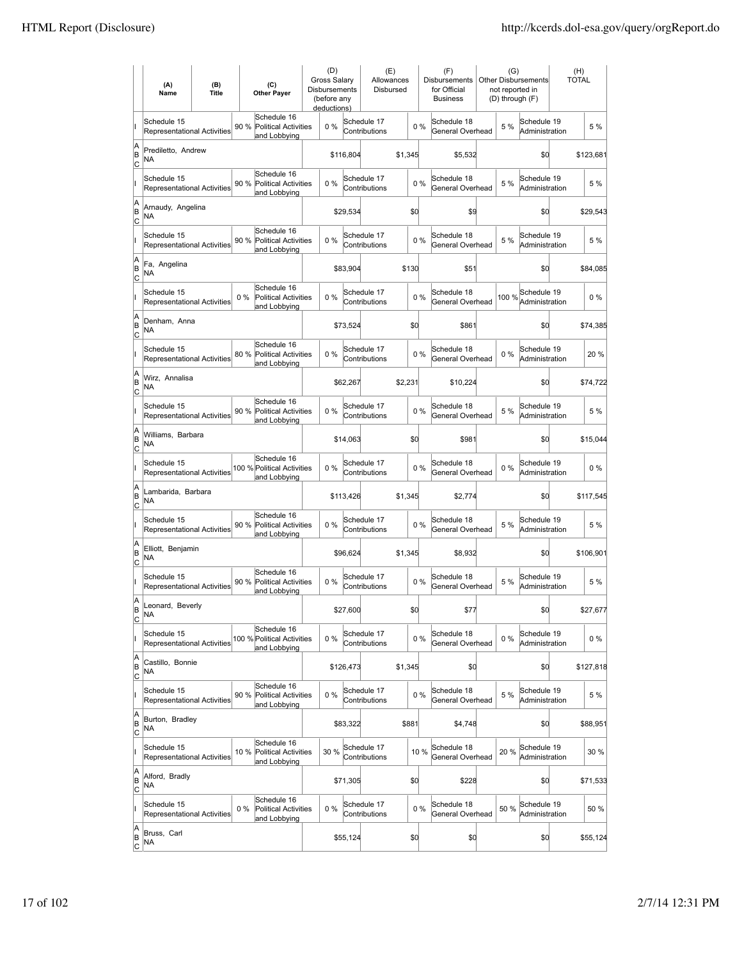|                          | (A)<br>Name                                       | (B)<br><b>Title</b> | (C)<br><b>Other Payer</b>                                           | (D)<br>Gross Salary<br>Disbursements<br>(before any<br>deductions) |           | (E)<br>Allowances<br>Disbursed |         |       | (F)<br>Disbursements<br>for Official<br><b>Business</b> | (G)<br><b>Other Disbursements</b><br>not reported in<br>(D) through (F) | (H)<br>TOTAL |
|--------------------------|---------------------------------------------------|---------------------|---------------------------------------------------------------------|--------------------------------------------------------------------|-----------|--------------------------------|---------|-------|---------------------------------------------------------|-------------------------------------------------------------------------|--------------|
|                          | Schedule 15<br><b>Representational Activities</b> |                     | Schedule 16<br>90 %<br><b>Political Activities</b><br>and Lobbying  | 0%                                                                 |           | Schedule 17<br>Contributions   |         | 0%    | Schedule 18<br>General Overhead                         | Schedule 19<br>5 %<br>Administration                                    | 5 %          |
| A<br>B<br>lc             | Prediletto, Andrew<br>ΝA                          |                     |                                                                     |                                                                    | \$116,804 |                                | \$1,345 |       | \$5,532                                                 | \$0                                                                     | \$123,681    |
|                          | Schedule 15<br><b>Representational Activities</b> |                     | Schedule 16<br>90 %<br><b>Political Activities</b><br>and Lobbying  | 0%                                                                 |           | Schedule 17<br>Contributions   |         | 0%    | Schedule 18<br>General Overhead                         | Schedule 19<br>5 %<br>Administration                                    | 5 %          |
| A<br>B<br>C              | Arnaudy, Angelina<br>NA                           |                     |                                                                     |                                                                    | \$29,534  |                                | \$d     |       | \$9                                                     | \$0                                                                     | \$29,543     |
|                          | Schedule 15<br>Representational Activities        |                     | Schedule 16<br>90 %<br><b>Political Activities</b><br>and Lobbying  | 0%                                                                 |           | Schedule 17<br>Contributions   |         | 0%    | Schedule 18<br>General Overhead                         | Schedule 19<br>5 %<br>Administration                                    | 5 %          |
| A<br>B<br>C              | Fa, Angelina<br>ΝA                                |                     |                                                                     |                                                                    | \$83,904  |                                | \$130   |       | \$51                                                    | \$0                                                                     | \$84,085     |
|                          | Schedule 15<br><b>Representational Activities</b> |                     | Schedule 16<br>$0\%$<br><b>Political Activities</b><br>and Lobbying | $0\%$                                                              |           | Schedule 17<br>Contributions   |         | 0%    | Schedule 18<br>General Overhead                         | Schedule 19<br>100 %<br>Administration                                  | $0\%$        |
| A<br>B<br> c             | Denham, Anna<br>ΝA                                |                     |                                                                     |                                                                    | \$73.524  |                                | \$0     |       | \$861                                                   | \$0                                                                     | \$74,385     |
|                          | Schedule 15<br>Representational Activities        |                     | Schedule 16<br>80 %<br><b>Political Activities</b><br>and Lobbying  | 0%                                                                 |           | Schedule 17<br>Contributions   |         | $0\%$ | Schedule 18<br>General Overhead                         | Schedule 19<br>$0\%$<br>Administration                                  | 20 %         |
| A<br>B<br>C              | Wirz. Annalisa<br>ΝA                              |                     |                                                                     |                                                                    | \$62,267  |                                | \$2,231 |       | \$10,224                                                | \$0                                                                     | \$74,722     |
|                          | Schedule 15<br>Representational Activities        |                     | Schedule 16<br>90 % Political Activities<br>and Lobbying            | 0%                                                                 |           | Schedule 17<br>Contributions   |         | 0%    | Schedule 18<br>General Overhead                         | Schedule 19<br>5 %<br>Administration                                    | 5 %          |
| A<br>B<br>C              | Williams, Barbara<br>NA                           |                     |                                                                     |                                                                    | \$14,063  |                                | \$d     |       | \$981                                                   | \$0                                                                     | \$15,044     |
|                          | Schedule 15<br><b>Representational Activities</b> |                     | Schedule 16<br>100 % Political Activities<br>and Lobbying           | $0\%$                                                              |           | Schedule 17<br>Contributions   |         | 0%    | Schedule 18<br>General Overhead                         | Schedule 19<br>$0\%$<br>Administration                                  | $0\%$        |
| A<br>B<br> c             | Lambarida, Barbara<br><b>NA</b>                   |                     |                                                                     |                                                                    | \$113,426 |                                | \$1,345 |       | \$2,774                                                 | \$0                                                                     | \$117,545    |
|                          | Schedule 15<br>Representational Activities        |                     | Schedule 16<br>90 %<br><b>Political Activities</b><br>and Lobbying  | 0%                                                                 |           | Schedule 17<br>Contributions   |         | $0\%$ | Schedule 18<br>General Overhead                         | Schedule 19<br>5 %<br>Administration                                    | 5 %          |
| A<br>B<br>C              | Elliott, Benjamin<br>ΝA                           |                     |                                                                     |                                                                    | \$96,624  |                                | \$1,345 |       | \$8,932                                                 | \$0                                                                     | \$106,901    |
|                          | Schedule 15<br>Representational Activities        |                     | Schedule 16<br>90 %<br><b>Political Activities</b><br>and Lobbying  | 0%                                                                 |           | Schedule 17<br>Contributions   |         | 0%    | Schedule 18<br>General Overhead                         | Schedule 19<br>5 %<br>Administration                                    | 5 %          |
| A<br>B<br>$\overline{c}$ | Leonard, Beverly<br>ΝA                            |                     |                                                                     |                                                                    | \$27,600  |                                | \$d     |       | \$77                                                    | \$0                                                                     | \$27,677     |
|                          | Schedule 15<br>Representational Activities        |                     | Schedule 16<br>100 % Political Activities<br>and Lobbying           | 0%                                                                 |           | Schedule 17<br>Contributions   |         | 0%    | Schedule 18<br>General Overhead                         | Schedule 19<br>$0\%$<br>Administration                                  | $0\%$        |
| A<br>B<br><u>lc</u>      | Castillo, Bonnie<br>NA                            |                     |                                                                     |                                                                    | \$126,473 |                                | \$1,345 |       | \$0                                                     | \$d                                                                     | \$127,818    |
|                          | Schedule 15<br>Representational Activities        |                     | Schedule 16<br>90 %<br><b>Political Activities</b><br>and Lobbying  | $0\%$                                                              |           | Schedule 17<br>Contributions   |         | $0\%$ | Schedule 18<br>General Overhead                         | Schedule 19<br>5 %<br>Administration                                    | 5 %          |
| A<br>B<br>$\mathsf{C}$   | Burton, Bradley<br>NA                             |                     |                                                                     |                                                                    | \$83,322  |                                | \$881   |       | \$4,748                                                 | \$0                                                                     | \$88,951     |
|                          | Schedule 15<br>Representational Activities        |                     | Schedule 16<br>10 % Political Activities<br>and Lobbying            | 30 %                                                               |           | Schedule 17<br>Contributions   |         | 10 %  | Schedule 18<br>General Overhead                         | Schedule 19<br>20%<br>Administration                                    | 30 %         |
| A<br>B<br> c             | Alford, Bradly<br>NA                              |                     |                                                                     |                                                                    | \$71,305  |                                | \$0     |       | \$228                                                   | \$0                                                                     | \$71,533     |
|                          | Schedule 15<br>Representational Activities        |                     | Schedule 16<br>Political Activities<br>$0\%$<br>and Lobbying        | 0%                                                                 |           | Schedule 17<br>Contributions   |         | $0\%$ | Schedule 18<br>General Overhead                         | Schedule 19<br>50 %<br>Administration                                   | 50 %         |
| A<br>B<br>$\overline{c}$ | Bruss, Carl<br>NA                                 |                     |                                                                     |                                                                    | \$55,124  |                                | \$0     |       | \$0                                                     | \$d                                                                     | \$55,124     |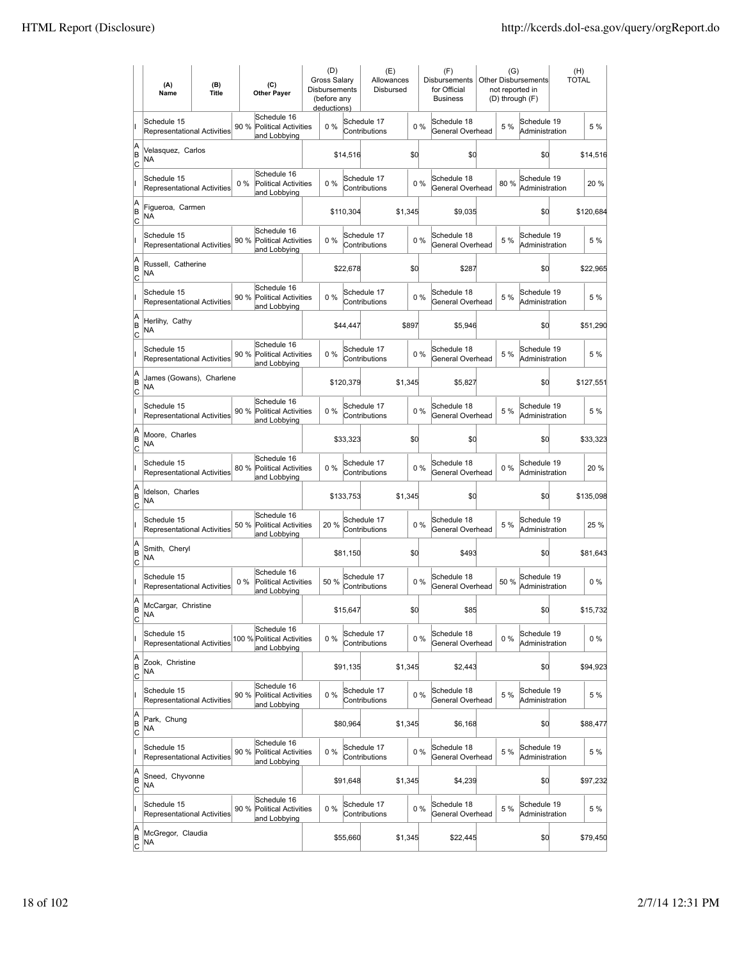|                          | (A)<br>Name                                       | (B)<br><b>Title</b> | (C)<br><b>Other Payer</b>                                           | (D)<br>Gross Salary<br>Disbursements<br>(before any<br>deductions) |           | (E)<br>Allowances<br>Disbursed |         |       | (F)<br>Disbursements<br>for Official<br><b>Business</b> | (G)<br>not reported in | <b>Other Disbursements</b><br>(D) through (F) | (H)<br>TOTAL |
|--------------------------|---------------------------------------------------|---------------------|---------------------------------------------------------------------|--------------------------------------------------------------------|-----------|--------------------------------|---------|-------|---------------------------------------------------------|------------------------|-----------------------------------------------|--------------|
|                          | Schedule 15<br><b>Representational Activities</b> |                     | Schedule 16<br>90 %<br><b>Political Activities</b><br>and Lobbying  | 0%                                                                 |           | Schedule 17<br>Contributions   |         | 0%    | Schedule 18<br>General Overhead                         | 5 %                    | Schedule 19<br>Administration                 | 5 %          |
| A<br>B<br>lc             | Velasquez, Carlos<br>NA                           |                     |                                                                     |                                                                    | \$14,516  |                                | \$d     |       | \$0                                                     |                        | \$0                                           | \$14,516     |
|                          | Schedule 15<br><b>Representational Activities</b> |                     | Schedule 16<br>$0\%$<br><b>Political Activities</b><br>and Lobbying | 0%                                                                 |           | Schedule 17<br>Contributions   |         | 0%    | Schedule 18<br>General Overhead                         | 80%                    | Schedule 19<br>Administration                 | 20%          |
| A<br>B<br>C              | Figueroa, Carmen<br>NA                            |                     |                                                                     |                                                                    | \$110,304 |                                | \$1,345 |       | \$9,035                                                 |                        | \$0                                           | \$120,684    |
|                          | Schedule 15<br>Representational Activities        |                     | Schedule 16<br>90 %<br><b>Political Activities</b><br>and Lobbying  | 0%                                                                 |           | Schedule 17<br>Contributions   |         | 0%    | Schedule 18<br>General Overhead                         | 5 %                    | Schedule 19<br>Administration                 | 5 %          |
| A<br>B<br>C              | Russell, Catherine<br>NA                          |                     |                                                                     |                                                                    | \$22,678  |                                | \$Q     |       | \$287                                                   |                        | \$0                                           | \$22,965     |
|                          | Schedule 15<br><b>Representational Activities</b> |                     | Schedule 16<br>90 %<br><b>Political Activities</b><br>and Lobbying  | $0\%$                                                              |           | Schedule 17<br>Contributions   |         | 0%    | Schedule 18<br>General Overhead                         | 5 %                    | Schedule 19<br>Administration                 | 5 %          |
| A<br>B<br>lc             | Herlihy, Cathy<br>NA                              |                     |                                                                     |                                                                    | \$44,447  |                                | \$897   |       | \$5,946                                                 |                        | \$0                                           | \$51,290     |
|                          | Schedule 15<br>Representational Activities        |                     | Schedule 16<br>90 % Political Activities<br>and Lobbying            | 0%                                                                 |           | Schedule 17<br>Contributions   |         | $0\%$ | Schedule 18<br>General Overhead                         | 5 %                    | Schedule 19<br>Administration                 | 5 %          |
| A<br>B<br>C              | James (Gowans), Charlene<br>ΝA                    |                     |                                                                     |                                                                    | \$120,379 |                                | \$1,345 |       | \$5,827                                                 |                        | \$0                                           | \$127,551    |
|                          | Schedule 15<br>Representational Activities        |                     | Schedule 16<br>90 % Political Activities<br>and Lobbying            | 0%                                                                 |           | Schedule 17<br>Contributions   |         | 0%    | Schedule 18<br>General Overhead                         | 5 %                    | Schedule 19<br>Administration                 | 5 %          |
| A<br>B<br>C              | Moore, Charles<br>NA                              |                     |                                                                     |                                                                    | \$33,323  |                                | \$d     |       | \$0                                                     |                        | \$0                                           | \$33,323     |
|                          | Schedule 15<br><b>Representational Activities</b> |                     | Schedule 16<br>80 %<br><b>Political Activities</b><br>and Lobbying  | $0\%$                                                              |           | Schedule 17<br>Contributions   |         | 0%    | Schedule 18<br>General Overhead                         | $0\%$                  | Schedule 19<br>Administration                 | 20 %         |
| A<br>B<br> c             | Idelson, Charles<br>NA                            |                     |                                                                     |                                                                    | \$133,753 |                                | \$1,345 |       | \$0                                                     |                        | \$d                                           | \$135,098    |
|                          | Schedule 15<br>Representational Activities        |                     | Schedule 16<br>50 %<br><b>Political Activities</b><br>and Lobbying  | 20%                                                                |           | Schedule 17<br>Contributions   |         | $0\%$ | Schedule 18<br>General Overhead                         | 5 %                    | Schedule 19<br>Administration                 | 25 %         |
| A<br>B<br>C              | Smith, Cheryl<br>NA                               |                     |                                                                     |                                                                    | \$81,150  |                                | \$0     |       | \$493                                                   |                        | \$0                                           | \$81,643     |
|                          | Schedule 15<br>Representational Activities        |                     | Schedule 16<br>Political Activities<br>$0\%$<br>and Lobbying        | 50 %                                                               |           | Schedule 17<br>Contributions   |         | 0%    | Schedule 18<br>General Overhead                         | 50 %                   | Schedule 19<br>Administration                 | $0\%$        |
| A<br>B<br>$\overline{c}$ | McCargar, Christine<br><b>NA</b>                  |                     |                                                                     |                                                                    | \$15,647  |                                | \$d     |       | \$85                                                    |                        | \$0                                           | \$15,732     |
|                          | Schedule 15<br>Representational Activities        |                     | Schedule 16<br>100 % Political Activities<br>and Lobbying           | 0%                                                                 |           | Schedule 17<br>Contributions   |         | $0\%$ | Schedule 18<br>General Overhead                         | $0\%$                  | Schedule 19<br>Administration                 | $0\%$        |
| A<br>B<br><u>lc</u>      | Zook, Christine<br>NA                             |                     |                                                                     |                                                                    | \$91,135  |                                | \$1,345 |       | \$2,443                                                 |                        | \$d                                           | \$94,923     |
|                          | Schedule 15<br>Representational Activities        |                     | Schedule 16<br>90 %<br><b>Political Activities</b><br>and Lobbying  | 0%                                                                 |           | Schedule 17<br>Contributions   |         | $0\%$ | Schedule 18<br>General Overhead                         | 5 %                    | Schedule 19<br>Administration                 | 5 %          |
| A<br>B<br>$\mathsf{C}$   | Park, Chung<br>NA                                 |                     |                                                                     |                                                                    | \$80,964  |                                | \$1,345 |       | \$6,168                                                 |                        | \$0                                           | \$88,477     |
|                          | Schedule 15<br>Representational Activities        |                     | Schedule 16<br>90 % Political Activities<br>and Lobbying            | 0%                                                                 |           | Schedule 17<br>Contributions   |         | $0\%$ | Schedule 18<br>General Overhead                         | 5 %                    | Schedule 19<br>Administration                 | 5 %          |
| A<br>B<br>C              | Sneed, Chyvonne<br>NA                             |                     |                                                                     |                                                                    | \$91,648  |                                | \$1,345 |       | \$4,239                                                 |                        | \$0                                           | \$97,232     |
|                          | Schedule 15<br>Representational Activities        |                     | Schedule 16<br>90 %<br>Political Activities<br>and Lobbying         | 0%                                                                 |           | Schedule 17<br>Contributions   |         | 0%    | Schedule 18<br>General Overhead                         | 5 %                    | Schedule 19<br>Administration                 | 5 %          |
| A<br>B<br>$\overline{c}$ | McGregor, Claudia<br>NA                           |                     |                                                                     |                                                                    | \$55,660  |                                | \$1,345 |       | \$22,445                                                |                        | \$0                                           | \$79,450     |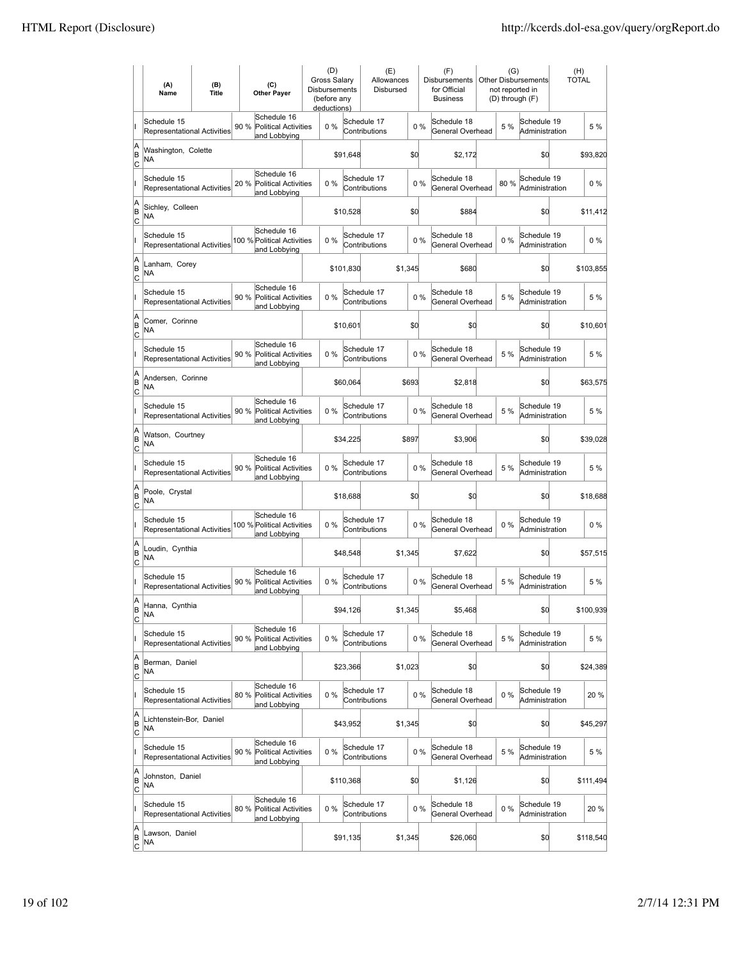|                           | (A)<br>Name                                       | (B)<br><b>Title</b> | (C)<br><b>Other Payer</b>                                          | (D)<br><b>Gross Salarv</b><br>Disbursements<br>(before any<br>deductions) |           | (E)<br>Allowances<br>Disbursed |         |       | (F)<br><b>Disbursements</b><br>for Official<br><b>Business</b> | (G)<br>not reported in<br>(D) through (F) | Other Disbursements           | (H)<br><b>TOTAL</b> |           |
|---------------------------|---------------------------------------------------|---------------------|--------------------------------------------------------------------|---------------------------------------------------------------------------|-----------|--------------------------------|---------|-------|----------------------------------------------------------------|-------------------------------------------|-------------------------------|---------------------|-----------|
|                           | Schedule 15<br><b>Representational Activities</b> |                     | Schedule 16<br>90%<br><b>Political Activities</b><br>and Lobbying  | 0%                                                                        |           | Schedule 17<br>Contributions   |         | 0%    | Schedule 18<br>General Overhead                                | 5 %                                       | Schedule 19<br>Administration |                     | 5 %       |
| A<br>B<br>lc              | Washington, Colette<br>NA                         |                     |                                                                    |                                                                           | \$91,648  |                                | \$d     |       | \$2,172                                                        |                                           | \$0                           |                     | \$93,820  |
|                           | Schedule 15<br><b>Representational Activities</b> |                     | Schedule 16<br>20 %<br>Political Activities<br>and Lobbying        | 0%                                                                        |           | Schedule 17<br>Contributions   |         | 0%    | Schedule 18<br>General Overhead                                | 80%                                       | Schedule 19<br>Administration |                     | 0%        |
| A<br>B<br>C               | Sichley, Colleen<br>NA                            |                     |                                                                    |                                                                           | \$10,528  |                                | \$d     |       | \$884                                                          |                                           | \$0                           |                     | \$11,412  |
|                           | Schedule 15<br>Representational Activities        |                     | Schedule 16<br>100 % Political Activities<br>and Lobbying          | 0%                                                                        |           | Schedule 17<br>Contributions   |         | 0%    | Schedule 18<br>General Overhead                                | 0%                                        | Schedule 19<br>Administration |                     | $0\%$     |
| A<br>B<br>Iс              | Lanham, Corey<br>NA                               |                     |                                                                    |                                                                           | \$101,830 |                                | \$1,345 |       | \$680                                                          |                                           | \$0                           |                     | \$103,855 |
|                           | Schedule 15<br><b>Representational Activities</b> |                     | Schedule 16<br>90 %<br><b>Political Activities</b><br>and Lobbying | $0\%$                                                                     |           | Schedule 17<br>Contributions   |         | 0%    | Schedule 18<br>General Overhead                                | 5 %                                       | Schedule 19<br>Administration |                     | 5 %       |
| A<br>B<br> c              | Comer, Corinne<br>NA                              |                     |                                                                    |                                                                           | \$10.601  |                                | \$d     |       | \$0                                                            |                                           | \$0                           |                     | \$10,601  |
|                           | Schedule 15<br><b>Representational Activities</b> |                     | Schedule 16<br>90 %<br><b>Political Activities</b><br>and Lobbying | 0%                                                                        |           | Schedule 17<br>Contributions   |         | 0%    | Schedule 18<br>General Overhead                                | 5 %                                       | Schedule 19<br>Administration |                     | 5 %       |
| A<br>B<br>C               | Andersen, Corinne<br>NA                           |                     |                                                                    |                                                                           | \$60,064  |                                | \$693   |       | \$2,818                                                        |                                           | \$0                           |                     | \$63,575  |
|                           | Schedule 15<br>Representational Activities        |                     | Schedule 16<br>90 %<br><b>Political Activities</b><br>and Lobbying | 0%                                                                        |           | Schedule 17<br>Contributions   |         | 0%    | Schedule 18<br>General Overhead                                | 5 %                                       | Schedule 19<br>Administration |                     | 5 %       |
| A<br>B<br>C               | Watson, Courtney<br>NA                            |                     |                                                                    |                                                                           | \$34,225  |                                | \$897   |       | \$3,906                                                        |                                           | \$0                           |                     | \$39,028  |
|                           | Schedule 15<br>Representational Activities        |                     | Schedule 16<br>90 %<br><b>Political Activities</b><br>and Lobbying | $0\%$                                                                     |           | Schedule 17<br>Contributions   |         | $0\%$ | Schedule 18<br>General Overhead                                | 5 %                                       | Schedule 19<br>Administration |                     | 5 %       |
| A<br>B<br> c              | Poole, Crystal<br><b>NA</b>                       |                     |                                                                    |                                                                           | \$18,688  |                                | \$d     |       | \$0                                                            |                                           | \$0                           |                     | \$18,688  |
|                           | Schedule 15<br>Representational Activities        |                     | Schedule 16<br>100 % Political Activities<br>and Lobbying          | 0%                                                                        |           | Schedule 17<br>Contributions   |         | 0%    | Schedule 18<br>General Overhead                                | 0%                                        | Schedule 19<br>Administration |                     | $0\%$     |
| A<br>B<br>C               | Loudin, Cynthia<br>NA                             |                     |                                                                    |                                                                           | \$48,548  |                                | \$1,345 |       | \$7,622                                                        |                                           | \$0                           |                     | \$57,515  |
|                           | Schedule 15<br>Representational Activities        |                     | Schedule 16<br>90 %<br><b>Political Activities</b><br>and Lobbying | 0%                                                                        |           | Schedule 17<br>Contributions   |         | 0%    | Schedule 18<br>General Overhead                                | 5 %                                       | Schedule 19<br>Administration |                     | 5 %       |
| A<br>B<br>$\overline{c}$  | Hanna, Cynthia<br><b>NA</b>                       |                     |                                                                    |                                                                           | \$94,126  |                                | \$1,345 |       | \$5,468                                                        |                                           | \$0                           |                     | \$100,939 |
|                           | Schedule 15<br>Representational Activities        |                     | Schedule 16<br>90 %<br>Political Activities<br>and Lobbying        | $0\%$                                                                     |           | Schedule 17<br>Contributions   |         | 0%    | Schedule 18<br>General Overhead                                | 5 %                                       | Schedule 19<br>Administration |                     | 5 %       |
| A<br>B<br><u>lc</u>       | Berman, Daniel<br>NA                              |                     |                                                                    |                                                                           | \$23,366  |                                | \$1,023 |       | \$0                                                            |                                           | \$0                           |                     | \$24,389  |
|                           | Schedule 15<br>Representational Activities        |                     | Schedule 16<br>80%<br><b>Political Activities</b><br>and Lobbying  | 0%                                                                        |           | Schedule 17<br>Contributions   |         | 0%    | Schedule 18<br>General Overhead                                | $0\%$                                     | Schedule 19<br>Administration |                     | 20 %      |
| A<br>B<br>$\mathsf{C}$    | Lichtenstein-Bor, Daniel<br>NA                    |                     |                                                                    |                                                                           | \$43,952  |                                | \$1,345 |       | \$0                                                            |                                           | \$0                           |                     | \$45,297  |
|                           | Schedule 15<br>Representational Activities        |                     | Schedule 16<br>90 %<br><b>Political Activities</b><br>and Lobbying | $0\%$                                                                     |           | Schedule 17<br>Contributions   |         | 0%    | Schedule 18<br>General Overhead                                | 5 %                                       | Schedule 19<br>Administration |                     | 5 %       |
| A<br>B<br> c              | Johnston, Daniel<br>NA                            |                     |                                                                    |                                                                           | \$110,368 |                                | \$d     |       | \$1,126                                                        |                                           | \$0                           |                     | \$111,494 |
|                           | Schedule 15<br>Representational Activities        |                     | Schedule 16<br>80 %<br>Political Activities<br>and Lobbying        | $0\%$                                                                     |           | Schedule 17<br>Contributions   |         | 0%    | Schedule 18<br>General Overhead                                | $0\%$                                     | Schedule 19<br>Administration |                     | 20 %      |
| A<br> B<br>$\overline{c}$ | Lawson, Daniel<br>NA                              |                     |                                                                    |                                                                           | \$91,135  |                                | \$1,345 |       | \$26,060                                                       |                                           | \$0                           |                     | \$118,540 |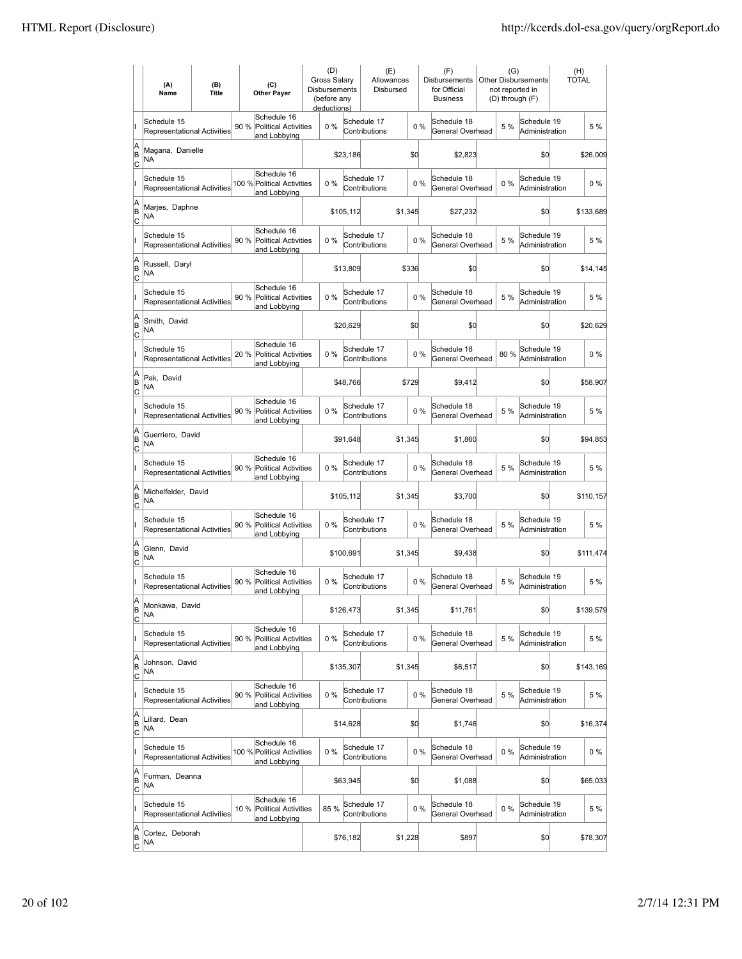|                          | (A)<br>Name                                       | (B)<br><b>Title</b> | (C)<br><b>Other Payer</b>                                          |       | (D)<br>Gross Salary<br>Disbursements<br>(before any<br>deductions) | (E)<br>Allowances<br>Disbursed |         |       | (F)<br>Disbursements<br>for Official<br><b>Business</b> | (G)<br>not reported in<br>(D) through (F) | <b>Other Disbursements</b>    | (H)<br><b>TOTAL</b> |           |
|--------------------------|---------------------------------------------------|---------------------|--------------------------------------------------------------------|-------|--------------------------------------------------------------------|--------------------------------|---------|-------|---------------------------------------------------------|-------------------------------------------|-------------------------------|---------------------|-----------|
|                          | Schedule 15<br><b>Representational Activities</b> |                     | Schedule 16<br>90 %<br><b>Political Activities</b><br>and Lobbying | 0%    |                                                                    | Schedule 17<br>Contributions   |         | 0%    | Schedule 18<br>General Overhead                         | 5 %                                       | Schedule 19<br>Administration |                     | 5 %       |
| A<br>B<br> c             | Magana, Danielle<br>NA                            |                     |                                                                    |       | \$23,186                                                           |                                | \$d     |       | \$2,823                                                 |                                           | \$0                           |                     | \$26,009  |
|                          | Schedule 15<br><b>Representational Activities</b> |                     | Schedule 16<br>100 % Political Activities<br>and Lobbying          | 0%    |                                                                    | Schedule 17<br>Contributions   |         | 0%    | Schedule 18<br>General Overhead                         | $0\%$                                     | Schedule 19<br>Administration |                     | $0\%$     |
| A<br>B<br>C              | Marjes, Daphne<br>NA                              |                     |                                                                    |       | \$105,112                                                          |                                | \$1,345 |       | \$27,232                                                |                                           | \$0                           |                     | \$133,689 |
|                          | Schedule 15<br>Representational Activities        |                     | Schedule 16<br>90 %<br><b>Political Activities</b><br>and Lobbying | 0%    |                                                                    | Schedule 17<br>Contributions   |         | 0%    | Schedule 18<br>General Overhead                         | 5 %                                       | Schedule 19<br>Administration |                     | 5 %       |
| A<br>B<br> c             | Russell, Daryl<br>NA                              |                     |                                                                    |       | \$13,809                                                           |                                | \$336   |       | \$0                                                     |                                           | \$0                           |                     | \$14,145  |
|                          | Schedule 15<br><b>Representational Activities</b> |                     | Schedule 16<br>90 %<br><b>Political Activities</b><br>and Lobbying | 0%    |                                                                    | Schedule 17<br>Contributions   |         | 0%    | Schedule 18<br>General Overhead                         | 5 %                                       | Schedule 19<br>Administration |                     | 5 %       |
| A<br>ΙB<br> c            | Smith, David<br>NA                                |                     |                                                                    |       | \$20.629                                                           |                                | \$d     |       | \$0                                                     |                                           | \$0                           |                     | \$20,629  |
|                          | Schedule 15<br><b>Representational Activities</b> |                     | Schedule 16<br>20 % Political Activities<br>and Lobbying           | $0\%$ |                                                                    | Schedule 17<br>Contributions   |         | 0%    | Schedule 18<br>General Overhead                         | 80%                                       | Schedule 19<br>Administration |                     | $0\%$     |
| A<br>B<br>c              | Pak. David<br>NA                                  |                     |                                                                    |       | \$48,766                                                           |                                | \$729   |       | \$9,412                                                 |                                           | \$0                           |                     | \$58,907  |
|                          | Schedule 15<br>Representational Activities        |                     | Schedule 16<br>90 %<br><b>Political Activities</b><br>and Lobbying | 0%    |                                                                    | Schedule 17<br>Contributions   |         | 0%    | Schedule 18<br>General Overhead                         | 5 %                                       | Schedule 19<br>Administration |                     | 5 %       |
| A<br>B<br>C              | Guerriero, David<br><b>NA</b>                     |                     |                                                                    |       | \$91,648                                                           |                                | \$1,345 |       | \$1,860                                                 |                                           | \$0                           |                     | \$94,853  |
|                          | Schedule 15<br>Representational Activities        |                     | Schedule 16<br>90 %<br><b>Political Activities</b><br>and Lobbying | 0%    |                                                                    | Schedule 17<br>Contributions   |         | 0%    | Schedule 18<br>General Overhead                         | 5 %                                       | Schedule 19<br>Administration |                     | 5 %       |
| A<br>B<br>Iс             | Michelfelder, David<br>NA                         |                     |                                                                    |       | \$105,112                                                          |                                | \$1,345 |       | \$3,700                                                 |                                           | \$d                           |                     | \$110,157 |
|                          | Schedule 15<br>Representational Activities        |                     | Schedule 16<br>90 %<br><b>Political Activities</b><br>and Lobbying | 0%    |                                                                    | Schedule 17<br>Contributions   |         | $0\%$ | Schedule 18<br>General Overhead                         | 5 %                                       | Schedule 19<br>Administration |                     | 5 %       |
| A<br>B<br>C              | Glenn, David<br>ΝA                                |                     |                                                                    |       | \$100,691                                                          |                                | \$1,345 |       | \$9,438                                                 |                                           | \$0                           |                     | \$111,474 |
|                          | Schedule 15<br>Representational Activities        |                     | Schedule 16<br>90 %<br><b>Political Activities</b><br>and Lobbying | 0%    |                                                                    | Schedule 17<br>Contributions   |         | 0%    | Schedule 18<br>General Overhead                         | 5 %                                       | Schedule 19<br>Administration |                     | 5 %       |
| A<br>B<br>$\overline{c}$ | Monkawa, David<br><b>NA</b>                       |                     |                                                                    |       | \$126,473                                                          |                                | \$1,345 |       | \$11,761                                                |                                           | \$0                           |                     | \$139,579 |
|                          | Schedule 15<br>Representational Activities        |                     | Schedule 16<br>90 %<br><b>Political Activities</b><br>and Lobbying | 0%    |                                                                    | Schedule 17<br>Contributions   |         | $0\%$ | Schedule 18<br>General Overhead                         | 5 %                                       | Schedule 19<br>Administration |                     | 5 %       |
| A<br>B<br>$\overline{c}$ | Johnson, David<br>NA                              |                     |                                                                    |       | \$135,307                                                          |                                | \$1,345 |       | \$6,517                                                 |                                           | \$0                           |                     | \$143,169 |
|                          | Schedule 15<br>Representational Activities        |                     | Schedule 16<br>90 % Political Activities<br>and Lobbying           | $0\%$ |                                                                    | Schedule 17<br>Contributions   |         | $0\%$ | Schedule 18<br>General Overhead                         | 5 %                                       | Schedule 19<br>Administration |                     | 5 %       |
| A<br>B<br>$\mathsf{C}$   | Lillard, Dean<br>ΝA                               |                     |                                                                    |       | \$14,628                                                           |                                | \$0     |       | \$1,746                                                 |                                           | \$0                           |                     | \$16,374  |
|                          | Schedule 15<br>Representational Activities        |                     | Schedule 16<br>100 % Political Activities<br>and Lobbying          | 0%    |                                                                    | Schedule 17<br>Contributions   |         | $0\%$ | Schedule 18<br>General Overhead                         | $0\%$                                     | Schedule 19<br>Administration |                     | $0\%$     |
| A<br>B<br>C              | Furman, Deanna<br>NA                              |                     |                                                                    |       | \$63,945                                                           |                                | \$d     |       | \$1,088                                                 |                                           | \$0                           |                     | \$65,033  |
|                          | Schedule 15<br>Representational Activities        |                     | Schedule 16<br>10 %<br><b>Political Activities</b><br>and Lobbying | 85%   |                                                                    | Schedule 17<br>Contributions   |         | 0%    | Schedule 18<br>General Overhead                         | $0\%$                                     | Schedule 19<br>Administration |                     | 5 %       |
| A<br>B<br>$\overline{c}$ | Cortez, Deborah<br>NA                             |                     |                                                                    |       | \$76,182                                                           |                                | \$1,228 |       | \$897                                                   |                                           | \$0                           |                     | \$78,307  |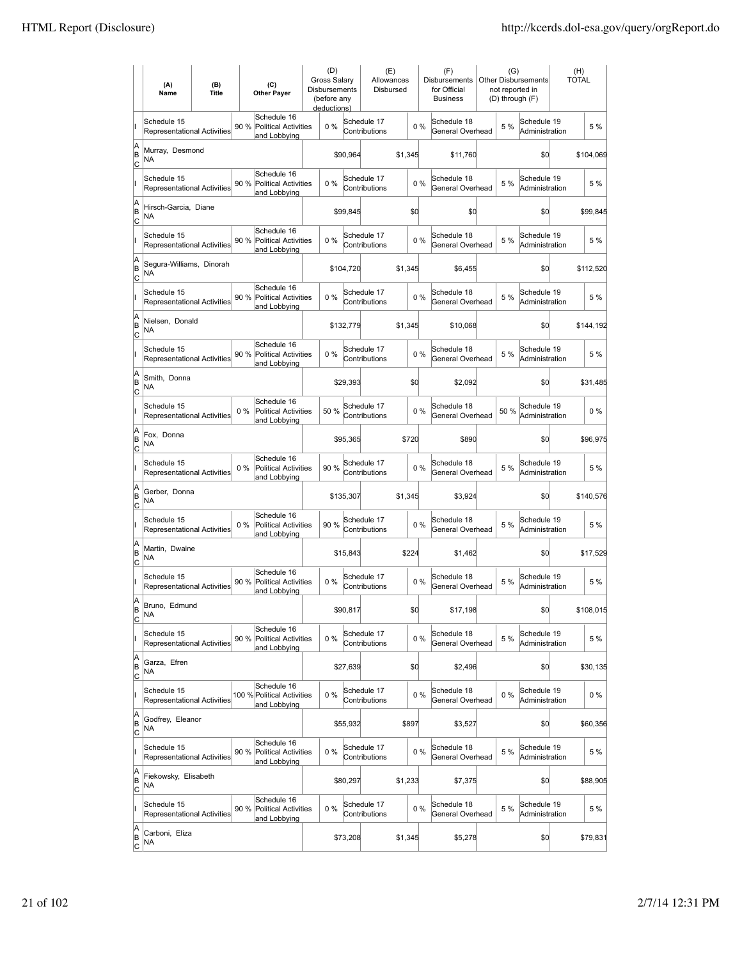|                          | (A)<br>Name                                       | (B)<br><b>Title</b> | (C)<br><b>Other Payer</b>                                           | (D)<br>Gross Salary<br>Disbursements<br>(before any<br>deductions) |           | (E)<br>Allowances<br>Disbursed |         |       | (F)<br>Disbursements<br>for Official<br><b>Business</b> | (G)   | <b>Other Disbursements</b><br>not reported in<br>(D) through (F) | <b>TOTAL</b> | (H)       |
|--------------------------|---------------------------------------------------|---------------------|---------------------------------------------------------------------|--------------------------------------------------------------------|-----------|--------------------------------|---------|-------|---------------------------------------------------------|-------|------------------------------------------------------------------|--------------|-----------|
|                          | Schedule 15<br><b>Representational Activities</b> |                     | Schedule 16<br>90 %<br><b>Political Activities</b><br>and Lobbying  | 0%                                                                 |           | Schedule 17<br>Contributions   |         | 0%    | Schedule 18<br>General Overhead                         | 5 %   | Schedule 19<br>Administration                                    |              | 5 %       |
| A<br>B<br> c             | Murray, Desmond<br>NA                             |                     |                                                                     |                                                                    | \$90,964  |                                | \$1,345 |       | \$11,760                                                |       | \$0                                                              |              | \$104,069 |
|                          | Schedule 15<br><b>Representational Activities</b> |                     | Schedule 16<br>90 %<br><b>Political Activities</b><br>and Lobbying  | 0%                                                                 |           | Schedule 17<br>Contributions   |         | 0%    | Schedule 18<br>General Overhead                         | 5 %   | Schedule 19<br>Administration                                    |              | 5 %       |
| A<br>B<br>C              | Hirsch-Garcia, Diane<br>NA                        |                     |                                                                     |                                                                    | \$99,845  |                                | \$d     |       | \$0                                                     |       | \$0                                                              |              | \$99,845  |
|                          | Schedule 15<br>Representational Activities        |                     | Schedule 16<br>90 %<br><b>Political Activities</b><br>and Lobbying  | 0%                                                                 |           | Schedule 17<br>Contributions   |         | 0%    | Schedule 18<br>General Overhead                         | 5 %   | Schedule 19<br>Administration                                    |              | 5 %       |
| A<br>B<br> c             | Segura-Williams, Dinorah<br>NA                    |                     |                                                                     |                                                                    | \$104,720 |                                | \$1,345 |       | \$6,455                                                 |       | \$0                                                              |              | \$112,520 |
|                          | Schedule 15<br><b>Representational Activities</b> |                     | Schedule 16<br>90 %<br>Political Activities<br>and Lobbying         | $0\%$                                                              |           | Schedule 17<br>Contributions   |         | 0%    | Schedule 18<br>General Overhead                         | 5 %   | Schedule 19<br>Administration                                    |              | 5 %       |
| A<br>B<br>lc             | Nielsen, Donald<br>NA                             |                     |                                                                     |                                                                    | \$132,779 |                                | \$1,345 |       | \$10,068                                                |       | \$0                                                              |              | \$144,192 |
|                          | Schedule 15<br>Representational Activities        |                     | Schedule 16<br>90 %<br><b>Political Activities</b><br>and Lobbying  | 0%                                                                 |           | Schedule 17<br>Contributions   |         | 0%    | Schedule 18<br>General Overhead                         | 5 %   | Schedule 19<br>Administration                                    |              | 5 %       |
| A<br>B<br>C              | Smith, Donna<br>NA                                |                     |                                                                     |                                                                    | \$29,393  |                                | \$d     |       | \$2,092                                                 |       | \$0                                                              |              | \$31,485  |
|                          | Schedule 15<br>Representational Activities        |                     | Schedule 16<br>$0\%$<br>Political Activities<br>and Lobbying        | 50 %                                                               |           | Schedule 17<br>Contributions   |         | 0%    | Schedule 18<br>General Overhead                         | 50 %  | Schedule 19<br>Administration                                    |              | $0\%$     |
| A<br>B<br>C              | Fox, Donna<br><b>NA</b>                           |                     |                                                                     |                                                                    | \$95,365  |                                | \$720   |       | \$890                                                   |       | \$0                                                              |              | \$96,975  |
|                          | Schedule 15<br>Representational Activities        |                     | Schedule 16<br>$0\%$<br><b>Political Activities</b><br>and Lobbying | 90 %                                                               |           | Schedule 17<br>Contributions   |         | 0%    | Schedule 18<br>General Overhead                         | 5 %   | Schedule 19<br>Administration                                    |              | 5 %       |
| A<br>B<br> c             | Gerber, Donna<br><b>NA</b>                        |                     |                                                                     |                                                                    | \$135,307 |                                | \$1,345 |       | \$3,924                                                 |       | \$d                                                              |              | \$140,576 |
|                          | Schedule 15<br>Representational Activities        |                     | Schedule 16<br>$0\%$<br><b>Political Activities</b><br>and Lobbying | 90 %                                                               |           | Schedule 17<br>Contributions   |         | $0\%$ | Schedule 18<br>General Overhead                         | 5 %   | Schedule 19<br>Administration                                    |              | 5 %       |
| A<br>B<br>C              | Martin, Dwaine<br>NA                              |                     |                                                                     |                                                                    | \$15,843  |                                | \$224   |       | \$1,462                                                 |       | \$0                                                              |              | \$17,529  |
|                          | Schedule 15<br>Representational Activities        |                     | Schedule 16<br>90 %<br><b>Political Activities</b><br>and Lobbying  | 0%                                                                 |           | Schedule 17<br>Contributions   |         | 0%    | Schedule 18<br>General Overhead                         | 5 %   | Schedule 19<br>Administration                                    |              | 5 %       |
| A<br>B<br>$\overline{c}$ | Bruno, Edmund<br><b>NA</b>                        |                     |                                                                     |                                                                    | \$90,817  |                                | \$d     |       | \$17,198                                                |       | \$0                                                              |              | \$108,015 |
|                          | Schedule 15<br>Representational Activities        |                     | Schedule 16<br>90 %<br>Political Activities<br>and Lobbying         | 0%                                                                 |           | Schedule 17<br>Contributions   |         | $0\%$ | Schedule 18<br>General Overhead                         | 5 %   | Schedule 19<br>Administration                                    |              | 5 %       |
| A<br>B<br><u>lc</u>      | Garza, Efren<br>NA                                |                     |                                                                     |                                                                    | \$27,639  |                                | \$0     |       | \$2,496                                                 |       | \$d                                                              |              | \$30,135  |
|                          | Schedule 15<br>Representational Activities        |                     | Schedule 16<br>100 % Political Activities<br>and Lobbying           | $0\%$                                                              |           | Schedule 17<br>Contributions   |         | $0\%$ | Schedule 18<br>General Overhead                         | $0\%$ | Schedule 19<br>Administration                                    |              | $0\%$     |
| A<br>B<br>$\mathsf{C}$   | Godfrey, Eleanor<br>NA                            |                     |                                                                     |                                                                    | \$55,932  |                                | \$897   |       | \$3,527                                                 |       | \$0                                                              |              | \$60,356  |
|                          | Schedule 15<br>Representational Activities        |                     | Schedule 16<br>90 % Political Activities<br>and Lobbying            | 0%                                                                 |           | Schedule 17<br>Contributions   |         | $0\%$ | Schedule 18<br>General Overhead                         | 5 %   | Schedule 19<br>Administration                                    |              | 5 %       |
| A<br>B<br> c             | Fiekowsky, Elisabeth<br>NA                        |                     |                                                                     |                                                                    | \$80,297  |                                | \$1,233 |       | \$7,375                                                 |       | \$0                                                              |              | \$88,905  |
|                          | Schedule 15<br>Representational Activities        |                     | Schedule 16<br>90 %<br>Political Activities<br>and Lobbying         | 0%                                                                 |           | Schedule 17<br>Contributions   |         | 0%    | Schedule 18<br>General Overhead                         | 5 %   | Schedule 19<br>Administration                                    |              | 5 %       |
| A<br>B<br>$\overline{c}$ | Carboni, Eliza<br>NA                              |                     |                                                                     |                                                                    | \$73,208  |                                | \$1,345 |       | \$5,278                                                 |       | \$d                                                              |              | \$79,831  |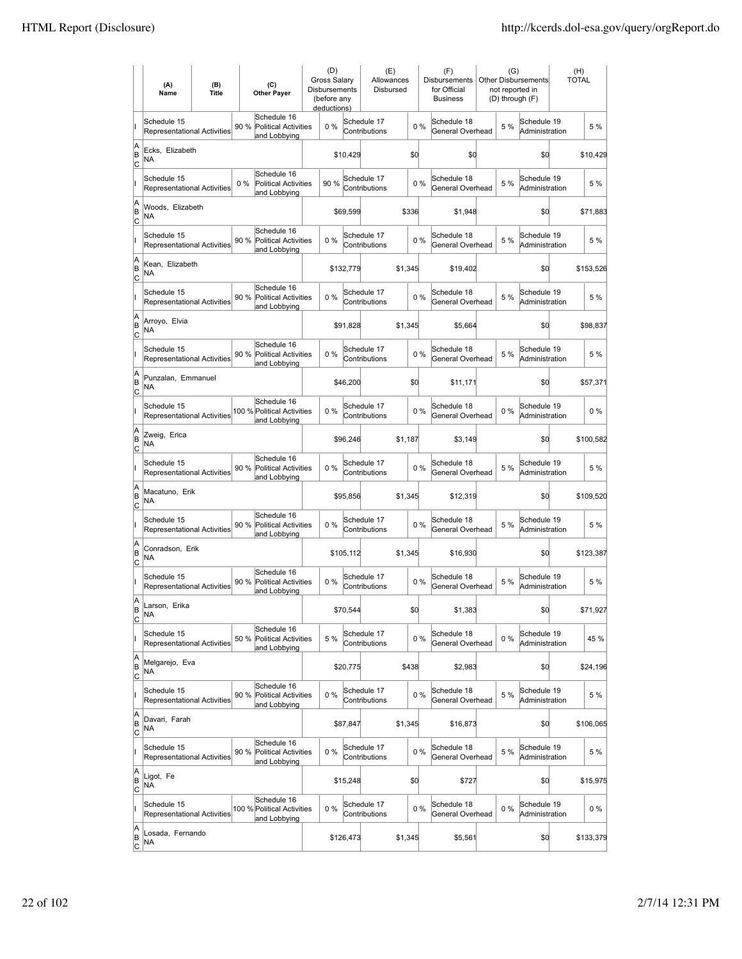|                          | (A)<br>Name                                       | (B)<br><b>Title</b> | (C)<br><b>Other Payer</b>                                          | Disbursements | (D)<br><b>Gross Salarv</b><br>(before any<br>deductions) |           | (E)<br>Allowances<br>Disbursed |         |       | (F)<br>Disbursements<br>for Official<br><b>Business</b> | (G)   | <b>Other Disbursements</b><br>not reported in<br>(D) through (F) | (H)<br><b>TOTAL</b> |           |
|--------------------------|---------------------------------------------------|---------------------|--------------------------------------------------------------------|---------------|----------------------------------------------------------|-----------|--------------------------------|---------|-------|---------------------------------------------------------|-------|------------------------------------------------------------------|---------------------|-----------|
|                          | Schedule 15<br>Representational Activities        |                     | Schedule 16<br>90 %<br><b>Political Activities</b><br>and Lobbying |               | $0\%$                                                    |           | Schedule 17<br>Contributions   |         | 0%    | Schedule 18<br>General Overhead                         | 5 %   | Schedule 19<br>Administration                                    |                     | 5 %       |
| A<br>B<br> c             | Ecks, Elizabeth<br>NA                             |                     |                                                                    |               |                                                          | \$10,429  |                                | \$d     |       | \$0                                                     |       | \$d                                                              |                     | \$10,429  |
|                          | Schedule 15<br><b>Representational Activities</b> |                     | Schedule 16<br>0%<br><b>Political Activities</b><br>and Lobbying   |               | 90%                                                      |           | Schedule 17<br>Contributions   |         | 0%    | Schedule 18<br>General Overhead                         | 5 %   | Schedule 19<br>Administration                                    |                     | 5 %       |
| A<br>B<br>C              | Woods, Elizabeth<br>NA                            |                     |                                                                    |               |                                                          | \$69,599  |                                | \$336   |       | \$1,948                                                 |       | \$d                                                              |                     | \$71,883  |
|                          | Schedule 15<br>Representational Activities        |                     | Schedule 16<br>90 %<br><b>Political Activities</b><br>and Lobbying |               | 0%                                                       |           | Schedule 17<br>Contributions   |         | 0%    | Schedule 18<br>General Overhead                         | 5 %   | Schedule 19<br>Administration                                    |                     | 5 %       |
| A<br>B<br>C              | Kean, Elizabeth<br>NA                             |                     |                                                                    |               |                                                          | \$132,779 |                                | \$1,345 |       | \$19,402                                                |       | \$0                                                              |                     | \$153,526 |
|                          | Schedule 15<br><b>Representational Activities</b> |                     | Schedule 16<br>90 %<br><b>Political Activities</b><br>and Lobbying |               | $0\%$                                                    |           | Schedule 17<br>Contributions   |         | 0%    | Schedule 18<br>General Overhead                         | 5 %   | Schedule 19<br>Administration                                    |                     | 5 %       |
| A<br>B<br> c             | Arroyo, Elvia<br>NA                               |                     |                                                                    |               |                                                          | \$91,828  |                                | \$1,345 |       | \$5,664                                                 |       | \$0                                                              |                     | \$98,837  |
|                          | Schedule 15<br>Representational Activities        |                     | Schedule 16<br>90 % Political Activities<br>and Lobbying           |               | 0%                                                       |           | Schedule 17<br>Contributions   |         | 0%    | Schedule 18<br>General Overhead                         | 5 %   | Schedule 19<br>Administration                                    |                     | 5 %       |
| A<br>B<br>C              | Punzalan, Emmanuel<br><b>NA</b>                   |                     |                                                                    |               |                                                          | \$46,200  |                                | \$0     |       | \$11,171                                                |       | \$0                                                              |                     | \$57,371  |
|                          | Schedule 15<br>Representational Activities        |                     | Schedule 16<br>100 % Political Activities<br>and Lobbying          |               | 0%                                                       |           | Schedule 17<br>Contributions   |         | 0%    | Schedule 18<br>General Overhead                         | $0\%$ | Schedule 19<br>Administration                                    |                     | $0\%$     |
| A<br>B<br>C              | Zweig, Erica<br>NA                                |                     |                                                                    |               |                                                          | \$96,246  |                                | \$1,187 |       | \$3,149                                                 |       | \$d                                                              |                     | \$100,582 |
|                          | Schedule 15<br>Representational Activities        |                     | Schedule 16<br>90 %<br><b>Political Activities</b><br>and Lobbying |               | $0\%$                                                    |           | Schedule 17<br>Contributions   |         | 0%    | Schedule 18<br>General Overhead                         | 5 %   | Schedule 19<br>Administration                                    |                     | 5 %       |
| A<br>B<br> c             | Macatuno, Erik<br><b>NA</b>                       |                     |                                                                    |               |                                                          | \$95,856  |                                | \$1,345 |       | \$12,319                                                |       | \$d                                                              |                     | \$109,520 |
|                          | Schedule 15<br>Representational Activities        |                     | Schedule 16<br>90 %<br><b>Political Activities</b><br>and Lobbying |               | 0%                                                       |           | Schedule 17<br>Contributions   |         | 0%    | Schedule 18<br>General Overhead                         | 5 %   | Schedule 19<br>Administration                                    |                     | 5 %       |
| A<br>B<br>C              | Conradson, Erik<br>NA                             |                     |                                                                    |               |                                                          | \$105,112 |                                | \$1,345 |       | \$16,930                                                |       | \$0                                                              |                     | \$123,387 |
|                          | Schedule 15<br>Representational Activities        |                     | Schedule 16<br>90 %<br>Political Activities<br>and Lobbying        |               | 0%                                                       |           | Schedule 17<br>Contributions   |         | 0%    | Schedule 18<br>General Overhead                         | 5 %   | Schedule 19<br>Administration                                    |                     | 5 %       |
| A<br>B<br>C              | Larson, Erika<br><b>NA</b>                        |                     |                                                                    |               |                                                          | \$70,544  |                                | \$0     |       | \$1,383                                                 |       | \$d                                                              |                     | \$71,927  |
|                          | Schedule 15<br>Representational Activities        |                     | Schedule 16<br>50 %<br><b>Political Activities</b><br>and Lobbying |               | 5 %                                                      |           | Schedule 17<br>Contributions   |         | $0\%$ | Schedule 18<br>General Overhead                         | 0%    | Schedule 19<br>Administration                                    |                     | 45 %      |
| A<br>B<br><u>lc</u>      | Melgarejo, Eva<br>NA                              |                     |                                                                    |               |                                                          | \$20,775  |                                | \$438   |       | \$2,983                                                 |       | \$d                                                              |                     | \$24,196  |
|                          | Schedule 15<br>Representational Activities        |                     | Schedule 16<br>90 %<br><b>Political Activities</b><br>and Lobbying |               | 0%                                                       |           | Schedule 17<br>Contributions   |         | 0%    | Schedule 18<br>General Overhead                         | 5 %   | Schedule 19<br>Administration                                    |                     | 5 %       |
| A<br>B<br>$\mathsf{C}$   | Davari, Farah<br>NA                               |                     |                                                                    |               |                                                          | \$87,847  |                                | \$1,345 |       | \$16,873                                                |       | \$0                                                              |                     | \$106,065 |
|                          | Schedule 15<br>Representational Activities        |                     | Schedule 16<br>90 % Political Activities<br>and Lobbying           |               | 0%                                                       |           | Schedule 17<br>Contributions   |         | 0%    | Schedule 18<br>General Overhead                         | 5 %   | Schedule 19<br>Administration                                    |                     | 5 %       |
| A<br>B<br> c             | Ligot, Fe<br>NA                                   |                     |                                                                    |               |                                                          | \$15,248  |                                | \$0     |       | \$727                                                   |       | \$d                                                              |                     | \$15,975  |
|                          | Schedule 15<br>Representational Activities        |                     | Schedule 16<br>100 % Political Activities<br>and Lobbying          |               | 0%                                                       |           | Schedule 17<br>Contributions   |         | 0%    | Schedule 18<br>General Overhead                         | 0%    | Schedule 19<br>Administration                                    |                     | 0%        |
| A<br>B<br>$\overline{c}$ | Losada, Fernando<br>NA                            |                     |                                                                    |               |                                                          | \$126,473 |                                | \$1,345 |       | \$5,561                                                 |       | \$d                                                              |                     | \$133,379 |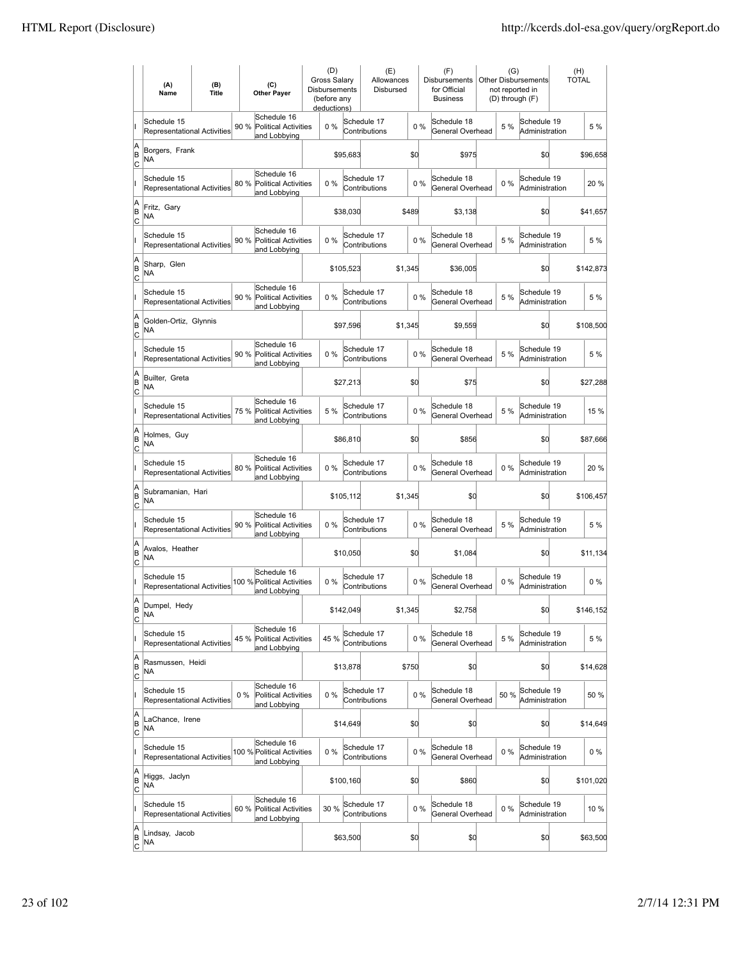|                           | (A)<br>Name                                       | (B)<br><b>Title</b> |      | (C)<br><b>Other Payer</b>                                  | (D)<br>Gross Salary<br><b>Disbursements</b><br>(before any<br>deductions) |           | (E)<br>Allowances<br>Disbursed |         |       | (F)<br>Disbursements<br>for Official<br><b>Business</b> | (G)<br>not reported in<br>(D) through (F) | <b>Other Disbursements</b>    | (H)<br><b>TOTAL</b> |           |
|---------------------------|---------------------------------------------------|---------------------|------|------------------------------------------------------------|---------------------------------------------------------------------------|-----------|--------------------------------|---------|-------|---------------------------------------------------------|-------------------------------------------|-------------------------------|---------------------|-----------|
|                           | Schedule 15<br>Representational Activities        |                     | 90 % | Schedule 16<br><b>Political Activities</b><br>and Lobbying | 0%                                                                        |           | Schedule 17<br>Contributions   |         | 0%    | Schedule 18<br>General Overhead                         | 5 %                                       | Schedule 19<br>Administration |                     | 5 %       |
| A<br>B<br>C               | Borgers, Frank<br>ΝA                              |                     |      |                                                            |                                                                           | \$95,683  |                                | \$0     |       | \$975                                                   |                                           | \$0                           |                     | \$96,658  |
|                           | Schedule 15<br>Representational Activities        |                     | 80 % | Schedule 16<br><b>Political Activities</b><br>and Lobbying | $0\%$                                                                     |           | Schedule 17<br>Contributions   |         | $0\%$ | Schedule 18<br>General Overhead                         | 0%                                        | Schedule 19<br>Administration |                     | 20 %      |
| A<br>ΙB<br> c             | Fritz, Gary<br>ΝA                                 |                     |      |                                                            |                                                                           | \$38,030  |                                | \$489   |       | \$3,138                                                 |                                           | \$0                           |                     | \$41,657  |
|                           | Schedule 15<br><b>Representational Activities</b> |                     | 90 % | Schedule 16<br><b>Political Activities</b><br>and Lobbying | 0%                                                                        |           | Schedule 17<br>Contributions   |         | 0%    | Schedule 18<br>General Overhead                         | 5 %                                       | Schedule 19<br>Administration |                     | 5 %       |
| A<br>B<br>C               | Sharp, Glen<br>NA                                 |                     |      |                                                            |                                                                           | \$105,523 |                                | \$1,345 |       | \$36,005                                                |                                           | \$0                           |                     | \$142,873 |
|                           | Schedule 15<br>Representational Activities        |                     | 90 % | Schedule 16<br><b>Political Activities</b><br>and Lobbying | 0%                                                                        |           | Schedule 17<br>Contributions   |         | 0%    | Schedule 18<br>General Overhead                         | 5 %                                       | Schedule 19<br>Administration |                     | 5 %       |
| A<br>B<br>Ιc              | Golden-Ortiz, Glynnis<br>NA                       |                     |      |                                                            |                                                                           | \$97,596  |                                | \$1,345 |       | \$9,559                                                 |                                           | \$0                           |                     | \$108,500 |
|                           | Schedule 15<br><b>Representational Activities</b> |                     | 90 % | Schedule 16<br>Political Activities<br>and Lobbying        | 0%                                                                        |           | Schedule 17<br>Contributions   |         | 0%    | Schedule 18<br>General Overhead                         | 5 %                                       | Schedule 19<br>Administration |                     | 5 %       |
| A<br>ΙB<br> c             | Builter, Greta<br>ΝA                              |                     |      |                                                            |                                                                           | \$27,213  |                                | \$0     |       | \$75                                                    |                                           | \$0                           |                     | \$27,288  |
|                           | Schedule 15<br><b>Representational Activities</b> |                     |      | Schedule 16<br>75 % Political Activities<br>and Lobbying   | 5 %                                                                       |           | Schedule 17<br>Contributions   |         | 0%    | Schedule 18<br>General Overhead                         | 5 %                                       | Schedule 19<br>Administration |                     | 15 %      |
| A<br>B<br>C               | Holmes, Guy<br>ΝA                                 |                     |      |                                                            |                                                                           | \$86,810  |                                | \$0     |       | \$856                                                   |                                           | \$0                           |                     | \$87,666  |
|                           | Schedule 15<br>Representational Activities        |                     |      | Schedule 16<br>80 % Political Activities<br>and Lobbying   | $0\%$                                                                     |           | Schedule 17<br>Contributions   |         | 0%    | Schedule 18<br>General Overhead                         | $0\%$                                     | Schedule 19<br>Administration |                     | 20 %      |
| A<br>B<br>C               | Subramanian, Hari<br>NA                           |                     |      |                                                            |                                                                           | \$105,112 |                                | \$1,345 |       | \$0                                                     |                                           | \$0                           |                     | \$106,457 |
|                           | Schedule 15<br>Representational Activities        |                     | 90 % | Schedule 16<br><b>Political Activities</b><br>and Lobbying | $0\%$                                                                     |           | Schedule 17<br>Contributions   |         | 0%    | Schedule 18<br>General Overhead                         | 5 %                                       | Schedule 19<br>Administration |                     | 5 %       |
| A<br>B<br> c              | Avalos, Heather<br>ΝA                             |                     |      |                                                            |                                                                           | \$10,050  |                                | \$0     |       | \$1,084                                                 |                                           | \$0                           |                     | \$11,134  |
|                           | Schedule 15<br><b>Representational Activities</b> |                     |      | Schedule 16<br>100 % Political Activities<br>and Lobbying  | 0%                                                                        |           | Schedule 17<br>Contributions   |         | 0%    | Schedule 18<br>General Overhead                         | 0%                                        | Schedule 19<br>Administration |                     | $0\%$     |
| lA<br>B<br><u>lc</u>      | Dumpel, Hedy<br>ΝA                                |                     |      |                                                            |                                                                           | \$142,049 |                                | \$1,345 |       | \$2,758                                                 |                                           | \$0                           |                     | \$146,152 |
|                           | Schedule 15<br>Representational Activities        |                     | 45 % | Schedule 16<br>Political Activities<br>and Lobbying        | 45 %                                                                      |           | Schedule 17<br>Contributions   |         | 0%    | Schedule 18<br>General Overhead                         | 5 %                                       | Schedule 19<br>Administration |                     | 5 %       |
| A<br>B<br>$\overline{c}$  | Rasmussen, Heidi<br>NA                            |                     |      |                                                            |                                                                           | \$13,878  |                                | \$750   |       | \$0                                                     |                                           | \$0                           |                     | \$14,628  |
|                           | Schedule 15<br><b>Representational Activities</b> |                     | 0%   | Schedule 16<br><b>Political Activities</b><br>and Lobbying | $0\%$                                                                     |           | Schedule 17<br>Contributions   |         | 0%    | Schedule 18<br>General Overhead                         | 50 %                                      | Schedule 19<br>Administration |                     | 50 %      |
| A<br>B<br><u>lc</u>       | LaChance, Irene<br>NA                             |                     |      |                                                            |                                                                           | \$14,649  |                                | \$0     |       | \$O                                                     |                                           | \$0                           |                     | \$14,649  |
|                           | Schedule 15<br><b>Representational Activities</b> |                     |      | Schedule 16<br>100 % Political Activities<br>and Lobbying  | $0\%$                                                                     |           | Schedule 17<br>Contributions   |         | 0%    | Schedule 18<br>General Overhead                         | $0\%$                                     | Schedule 19<br>Administration |                     | $0\%$     |
| A<br>B<br>$\circ$         | Higgs, Jaclyn<br>NA                               |                     |      |                                                            |                                                                           | \$100,160 |                                | \$d     |       | \$860                                                   |                                           | \$0                           |                     | \$101,020 |
|                           | Schedule 15<br>Representational Activities        |                     |      | Schedule 16<br>60 % Political Activities<br>and Lobbying   | 30 %                                                                      |           | Schedule 17<br>Contributions   |         | 0%    | Schedule 18<br>General Overhead                         | $0\%$                                     | Schedule 19<br>Administration |                     | 10 %      |
| A<br> B<br>$\overline{c}$ | Lindsay, Jacob<br>NA                              |                     |      |                                                            |                                                                           | \$63,500  |                                | \$0     |       | \$0                                                     |                                           | \$0                           |                     | \$63,500  |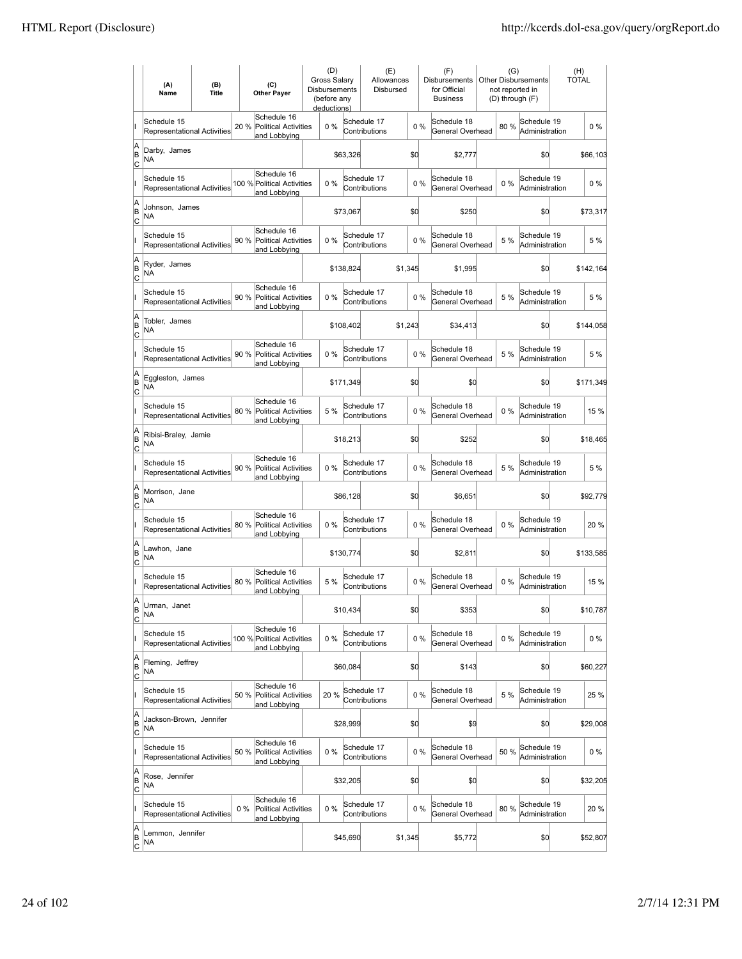|                          | (A)<br>Name                                       | (B)<br><b>Title</b> | (C)<br><b>Other Paver</b>                                          | (D)<br><b>Gross Salarv</b><br><b>Disbursements</b><br>(before any<br>deductions) |           | (E)<br>Allowances<br>Disbursed |         |       | (F)<br><b>Disbursements</b><br>for Official<br><b>Business</b> | (G)<br>not reported in<br>(D) through (F) | <b>Other Disbursements</b>    | (H)<br><b>TOTAL</b> |
|--------------------------|---------------------------------------------------|---------------------|--------------------------------------------------------------------|----------------------------------------------------------------------------------|-----------|--------------------------------|---------|-------|----------------------------------------------------------------|-------------------------------------------|-------------------------------|---------------------|
|                          | Schedule 15<br><b>Representational Activities</b> |                     | Schedule 16<br>20 %<br><b>Political Activities</b><br>and Lobbying | $0\%$                                                                            |           | Schedule 17<br>Contributions   | 0%      |       | Schedule 18<br>General Overhead                                | 80%                                       | Schedule 19<br>Administration | $0\%$               |
| A<br>B<br> c             | Darby, James<br>ΝA                                |                     |                                                                    |                                                                                  | \$63,326  |                                | \$d     |       | \$2,777                                                        |                                           | \$0                           | \$66,103            |
|                          | Schedule 15<br><b>Representational Activities</b> |                     | Schedule 16<br>100 % Political Activities<br>and Lobbying          | 0%                                                                               |           | Schedule 17<br>Contributions   | 0%      |       | Schedule 18<br>General Overhead                                | 0%                                        | Schedule 19<br>Administration | $0\%$               |
| A<br>B<br>C              | Johnson, James<br>NA                              |                     |                                                                    |                                                                                  | \$73,067  |                                | \$0     |       | \$250                                                          |                                           | \$0                           | \$73,317            |
|                          | Schedule 15<br>Representational Activities        |                     | Schedule 16<br>90 %<br><b>Political Activities</b><br>and Lobbying | 0%                                                                               |           | Schedule 17<br>Contributions   | 0%      |       | Schedule 18<br>General Overhead                                | 5 %                                       | Schedule 19<br>Administration | 5 %                 |
| A<br>B<br> c             | Ryder, James<br>NA                                |                     |                                                                    |                                                                                  | \$138,824 |                                | \$1,345 |       | \$1,995                                                        |                                           | \$0                           | \$142,164           |
|                          | Schedule 15<br><b>Representational Activities</b> |                     | Schedule 16<br>90%<br>Political Activities<br>and Lobbying         | $0\%$                                                                            |           | Schedule 17<br>Contributions   | 0%      |       | Schedule 18<br>General Overhead                                | 5 %                                       | Schedule 19<br>Administration | 5 %                 |
| A<br>B<br>lc             | Tobler, James<br>NA                               |                     |                                                                    |                                                                                  | \$108,402 |                                | \$1,243 |       | \$34,413                                                       |                                           | \$0                           | \$144,058           |
|                          | Schedule 15<br><b>Representational Activities</b> |                     | Schedule 16<br>90 %<br><b>Political Activities</b><br>and Lobbying | 0%                                                                               |           | Schedule 17<br>Contributions   | 0%      |       | Schedule 18<br>General Overhead                                | 5 %                                       | Schedule 19<br>Administration | 5 %                 |
| A<br>B<br>C              | Eggleston, James<br>NA                            |                     |                                                                    |                                                                                  | \$171,349 |                                | \$0     |       | \$0                                                            |                                           | \$0                           | \$171,349           |
|                          | Schedule 15<br>Representational Activities        |                     | Schedule 16<br>80 % Political Activities<br>and Lobbying           | 5 %                                                                              |           | Schedule 17<br>Contributions   | 0%      |       | Schedule 18<br>General Overhead                                | $0\%$                                     | Schedule 19<br>Administration | 15 %                |
| A<br>B<br>C              | Ribisi-Braley, Jamie<br>NA                        |                     |                                                                    |                                                                                  | \$18,213  |                                | \$0     |       | \$252                                                          |                                           | \$0                           | \$18,465            |
|                          | Schedule 15<br><b>Representational Activities</b> |                     | Schedule 16<br>90 %<br><b>Political Activities</b><br>and Lobbying | $0\%$                                                                            |           | Schedule 17<br>Contributions   | $0\%$   |       | Schedule 18<br>General Overhead                                | 5 %                                       | Schedule 19<br>Administration | 5 %                 |
| A<br>B<br> c             | Morrison, Jane<br><b>NA</b>                       |                     |                                                                    |                                                                                  | \$86,128  |                                | \$0     |       | \$6,651                                                        |                                           | \$d                           | \$92,779            |
|                          | Schedule 15<br>Representational Activities        |                     | Schedule 16<br>80 %<br><b>Political Activities</b><br>and Lobbying | 0%                                                                               |           | Schedule 17<br>Contributions   | 0%      |       | Schedule 18<br>General Overhead                                | 0%                                        | Schedule 19<br>Administration | 20%                 |
| A<br>B<br> c             | Lawhon, Jane<br>NA                                |                     |                                                                    |                                                                                  | \$130,774 |                                | \$0     |       | \$2,811                                                        |                                           | \$0                           | \$133,585           |
|                          | Schedule 15<br><b>Representational Activities</b> |                     | Schedule 16<br>80%<br>Political Activities<br>and Lobbying         | 5 %                                                                              |           | Schedule 17<br>Contributions   | 0%      |       | Schedule 18<br>General Overhead                                | 0%                                        | Schedule 19<br>Administration | 15 %                |
| A<br>B<br>$\overline{c}$ | Urman, Janet<br>ΝA                                |                     |                                                                    |                                                                                  | \$10,434  |                                | \$d     |       | \$353                                                          |                                           | \$0                           | \$10,787            |
|                          | Schedule 15<br>Representational Activities        |                     | Schedule 16<br>100 % Political Activities<br>and Lobbying          | 0%                                                                               |           | Schedule 17<br>Contributions   | 0%      |       | Schedule 18<br>General Overhead                                | $0\%$                                     | Schedule 19<br>Administration | $0\%$               |
| A<br>B<br><u>lc</u>      | Fleming, Jeffrey<br>NA                            |                     |                                                                    |                                                                                  | \$60.084  |                                | \$d     |       | \$143                                                          |                                           | \$d                           | \$60,227            |
|                          | Schedule 15<br>Representational Activities        |                     | Schedule 16<br><b>Political Activities</b><br>50 %<br>and Lobbying | 20 %                                                                             |           | Schedule 17<br>Contributions   | 0%      |       | Schedule 18<br>General Overhead                                | 5 %                                       | Schedule 19<br>Administration | 25 %                |
| A<br>B<br>$\mathsf{C}$   | Jackson-Brown, Jennifer<br>NA                     |                     |                                                                    |                                                                                  | \$28,999  |                                | \$0     |       | \$9                                                            |                                           | \$0                           | \$29,008            |
|                          | Schedule 15<br>Representational Activities        |                     | Schedule 16<br>50 % Political Activities<br>and Lobbying           | 0%                                                                               |           | Schedule 17<br>Contributions   | 0%      |       | Schedule 18<br>General Overhead                                | 50 %                                      | Schedule 19<br>Administration | $0\%$               |
| A<br>B<br> c             | Rose, Jennifer<br>NA                              |                     |                                                                    |                                                                                  | \$32,205  |                                | \$0     |       | \$0                                                            |                                           | \$0                           | \$32,205            |
|                          | Schedule 15<br>Representational Activities        |                     | Schedule 16<br>Political Activities<br>$0\%$<br>and Lobbying       | 0%                                                                               |           | Schedule 17<br>Contributions   |         | $0\%$ | Schedule 18<br>General Overhead                                | 80%                                       | Schedule 19<br>Administration | 20 %                |
| A<br>B<br>$\overline{c}$ | Lemmon, Jennifer<br>NA                            |                     |                                                                    |                                                                                  | \$45,690  |                                | \$1,345 |       | \$5,772                                                        |                                           | \$0                           | \$52,807            |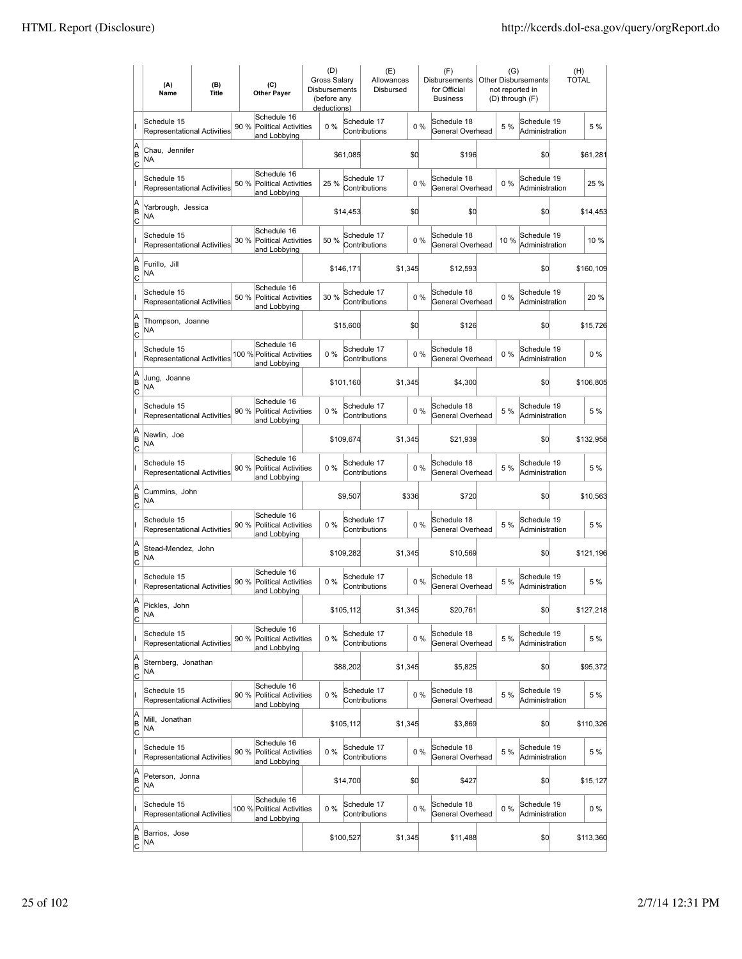|                           | (A)<br>Name                                       | (B)<br><b>Title</b> |      | (C)<br><b>Other Payer</b>                                  | <b>Gross Salarv</b><br>Disbursements<br>deductions) | (D)<br>(before any |          | (E)<br>Allowances<br>Disbursed |         |       | (F)<br><b>Disbursements</b><br>for Official<br><b>Business</b> | (G)   | <b>Other Disbursements</b><br>not reported in<br>(D) through (F) | (H)<br><b>TOTAL</b> |           |
|---------------------------|---------------------------------------------------|---------------------|------|------------------------------------------------------------|-----------------------------------------------------|--------------------|----------|--------------------------------|---------|-------|----------------------------------------------------------------|-------|------------------------------------------------------------------|---------------------|-----------|
|                           | Schedule 15<br><b>Representational Activities</b> |                     | 90 % | Schedule 16<br><b>Political Activities</b><br>and Lobbying |                                                     | $0\%$              |          | Schedule 17<br>Contributions   |         | $0\%$ | Schedule 18<br>General Overhead                                | 5 %   | Schedule 19<br>Administration                                    |                     | 5 %       |
| A<br>B<br> c              | Chau, Jennifer<br>ΝA                              |                     |      |                                                            |                                                     |                    | \$61,085 |                                | \$0     |       | \$196                                                          |       | \$0                                                              |                     | \$61,281  |
|                           | Schedule 15<br><b>Representational Activities</b> |                     | 50 % | Schedule 16<br><b>Political Activities</b><br>and Lobbying |                                                     | 25 %               |          | Schedule 17<br>Contributions   |         | 0%    | Schedule 18<br>General Overhead                                | $0\%$ | Schedule 19<br>Administration                                    |                     | 25 %      |
| A<br>B<br>C               | Yarbrough, Jessica<br>NA                          |                     |      |                                                            |                                                     |                    | \$14,453 |                                | \$0     |       | \$0                                                            |       | \$d                                                              |                     | \$14,453  |
|                           | Schedule 15<br>Representational Activities        |                     | 30 % | Schedule 16<br><b>Political Activities</b><br>and Lobbying |                                                     | 50 %               |          | Schedule 17<br>Contributions   |         | 0%    | Schedule 18<br>General Overhead                                | 10%   | Schedule 19<br>Administration                                    |                     | 10 %      |
| A<br>B<br>C               | Furillo, Jill<br>NA                               |                     |      |                                                            |                                                     | \$146,171          |          |                                | \$1,345 |       | \$12,593                                                       |       | \$0                                                              |                     | \$160,109 |
|                           | Schedule 15<br><b>Representational Activities</b> |                     | 50 % | Schedule 16<br><b>Political Activities</b><br>and Lobbying |                                                     | 30 %               |          | Schedule 17<br>Contributions   |         | 0%    | Schedule 18<br>General Overhead                                | 0%    | Schedule 19<br>Administration                                    |                     | 20%       |
| A<br>B<br> c              | Thompson, Joanne<br>NA                            |                     |      |                                                            |                                                     |                    | \$15,600 |                                | \$d     |       | \$126                                                          |       | \$0                                                              |                     | \$15,726  |
|                           | Schedule 15<br>Representational Activities        |                     |      | Schedule 16<br>100 % Political Activities<br>and Lobbying  |                                                     | 0%                 |          | Schedule 17<br>Contributions   |         | 0%    | Schedule 18<br>General Overhead                                | $0\%$ | Schedule 19<br>Administration                                    |                     | $0\%$     |
| A<br>B<br>C               | Jung, Joanne<br>NA                                |                     |      |                                                            |                                                     | \$101,160          |          |                                | \$1,345 |       | \$4,300                                                        |       | \$0                                                              |                     | \$106,805 |
|                           | Schedule 15<br>Representational Activities        |                     |      | Schedule 16<br>90 % Political Activities<br>and Lobbying   |                                                     | $0\%$              |          | Schedule 17<br>Contributions   |         | 0%    | Schedule 18<br>General Overhead                                | 5 %   | Schedule 19<br>Administration                                    |                     | 5 %       |
| A<br>B<br>C               | Newlin, Joe<br>NA                                 |                     |      |                                                            |                                                     | \$109,674          |          |                                | \$1,345 |       | \$21,939                                                       |       | \$d                                                              |                     | \$132,958 |
|                           | Schedule 15<br><b>Representational Activities</b> |                     | 90 % | Schedule 16<br><b>Political Activities</b><br>and Lobbying |                                                     | 0%                 |          | Schedule 17<br>Contributions   |         | 0%    | Schedule 18<br>General Overhead                                | 5 %   | Schedule 19<br>Administration                                    |                     | 5 %       |
| A<br>B<br> c              | Cummins, John<br><b>NA</b>                        |                     |      |                                                            |                                                     |                    | \$9,507  |                                | \$336   |       | \$720                                                          |       | \$d                                                              |                     | \$10,563  |
|                           | Schedule 15<br>Representational Activities        |                     | 90 % | Schedule 16<br><b>Political Activities</b><br>and Lobbying |                                                     | 0%                 |          | Schedule 17<br>Contributions   |         | 0%    | Schedule 18<br>General Overhead                                | 5 %   | Schedule 19<br>Administration                                    |                     | 5 %       |
| A<br>B<br> c              | Stead-Mendez, John<br><b>NA</b>                   |                     |      |                                                            |                                                     | \$109,282          |          |                                | \$1,345 |       | \$10,569                                                       |       | \$0                                                              |                     | \$121,196 |
|                           | Schedule 15<br>Representational Activities        |                     | 90 % | Schedule 16<br>Political Activities<br>and Lobbying        |                                                     | 0%                 |          | Schedule 17<br>Contributions   |         | 0%    | Schedule 18<br>General Overhead                                | 5 %   | Schedule 19<br>Administration                                    |                     | 5 %       |
| A<br>B<br>$\overline{c}$  | Pickles, John<br>NA                               |                     |      |                                                            |                                                     | \$105,112          |          |                                | \$1,345 |       | \$20,761                                                       |       | \$d                                                              |                     | \$127,218 |
|                           | Schedule 15<br>Representational Activities        |                     | 90 % | Schedule 16<br><b>Political Activities</b><br>and Lobbying |                                                     | 0%                 |          | Schedule 17<br>Contributions   |         | 0%    | Schedule 18<br>General Overhead                                | 5 %   | Schedule 19<br>Administration                                    |                     | 5 %       |
| A<br>B<br><u>lc</u>       | Sternberg, Jonathan<br>NA                         |                     |      |                                                            |                                                     |                    | \$88,202 |                                | \$1,345 |       | \$5,825                                                        |       | \$d                                                              |                     | \$95,372  |
|                           | Schedule 15<br>Representational Activities        |                     |      | Schedule 16<br>90 % Political Activities<br>and Lobbying   |                                                     | 0%                 |          | Schedule 17<br>Contributions   |         | 0%    | Schedule 18<br>General Overhead                                | 5 %   | Schedule 19<br>Administration                                    |                     | 5 %       |
| A<br>B<br>$\overline{c}$  | Mill, Jonathan<br><b>NA</b>                       |                     |      |                                                            |                                                     | \$105,112          |          |                                | \$1,345 |       | \$3,869                                                        |       | \$0                                                              |                     | \$110,326 |
|                           | Schedule 15<br>Representational Activities        |                     |      | Schedule 16<br>90 % Political Activities<br>and Lobbying   |                                                     | 0%                 |          | Schedule 17<br>Contributions   |         | 0%    | Schedule 18<br>General Overhead                                | 5 %   | Schedule 19<br>Administration                                    |                     | 5 %       |
| A<br>B<br> c              | Peterson, Jonna<br>NA                             |                     |      |                                                            |                                                     |                    | \$14,700 |                                | \$0     |       | \$427                                                          |       | \$d                                                              |                     | \$15,127  |
|                           | Schedule 15<br>Representational Activities        |                     |      | Schedule 16<br>100 % Political Activities<br>and Lobbying  |                                                     | 0%                 |          | Schedule 17<br>Contributions   |         | 0%    | Schedule 18<br>General Overhead                                | 0%    | Schedule 19<br>Administration                                    |                     | 0%        |
| A<br> B<br>$\overline{c}$ | Barrios, Jose<br>NA                               |                     |      |                                                            |                                                     | \$100,527          |          |                                | \$1,345 |       | \$11,488                                                       |       | \$d                                                              |                     | \$113,360 |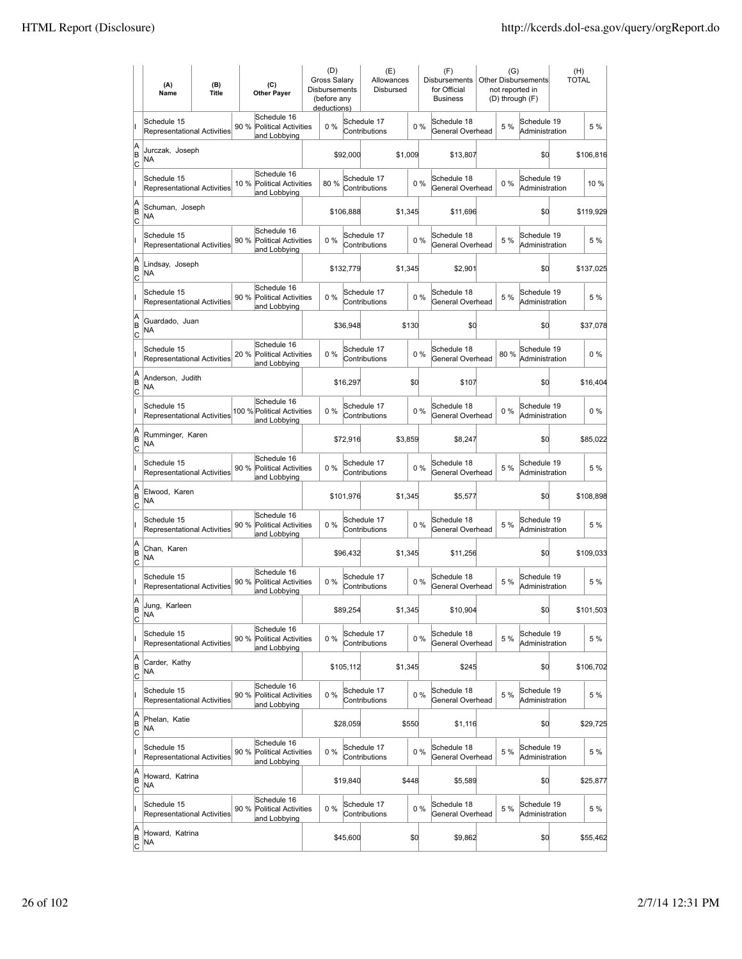|                           | (A)<br>Name                                       | (B)<br><b>Title</b> | (C)<br><b>Other Payer</b>                                          | <b>Gross Salarv</b><br><b>Disbursements</b> | (D)<br>(before any<br>deductions) |                              | (E)<br>Allowances<br>Disbursed |       | (F)<br><b>Disbursements</b><br>for Official<br><b>Business</b> | (G)<br>not reported in<br>(D) through (F) | <b>Other Disbursements</b>    | (H)<br><b>TOTAL</b> |           |
|---------------------------|---------------------------------------------------|---------------------|--------------------------------------------------------------------|---------------------------------------------|-----------------------------------|------------------------------|--------------------------------|-------|----------------------------------------------------------------|-------------------------------------------|-------------------------------|---------------------|-----------|
|                           | Schedule 15<br>Representational Activities        |                     | Schedule 16<br>90 %<br><b>Political Activities</b><br>and Lobbying |                                             | 0%                                | Schedule 17<br>Contributions |                                | 0%    | Schedule 18<br>General Overhead                                | 5 %                                       | Schedule 19<br>Administration |                     | 5 %       |
| A<br>B<br>c               | Jurczak, Joseph<br>NA                             |                     |                                                                    |                                             | \$92,000                          |                              | \$1,009                        |       | \$13,807                                                       |                                           | \$0                           |                     | \$106,816 |
|                           | Schedule 15<br>Representational Activities        |                     | Schedule 16<br>Political Activities<br>10 %<br>and Lobbying        |                                             | 80%                               | Schedule 17<br>Contributions |                                | 0%    | Schedule 18<br>General Overhead                                | 0%                                        | Schedule 19<br>Administration |                     | 10 %      |
| A<br>B<br>Iс              | Schuman, Joseph<br>NA                             |                     |                                                                    |                                             | \$106,888                         |                              | \$1,345                        |       | \$11,696                                                       |                                           | \$0                           |                     | \$119,929 |
|                           | Schedule 15<br><b>Representational Activities</b> |                     | Schedule 16<br>90 %<br><b>Political Activities</b><br>and Lobbying |                                             | 0%                                | Schedule 17<br>Contributions |                                | 0%    | Schedule 18<br>General Overhead                                | 5 %                                       | Schedule 19<br>Administration |                     | 5 %       |
| A<br>B<br> c              | Lindsay, Joseph<br>NA                             |                     |                                                                    |                                             | \$132,779                         |                              | \$1,345                        |       | \$2,901                                                        |                                           | \$O                           |                     | \$137,025 |
|                           | Schedule 15<br><b>Representational Activities</b> |                     | Schedule 16<br>90%<br>Political Activities<br>and Lobbying         |                                             | 0%                                | Schedule 17<br>Contributions |                                | 0%    | Schedule 18<br>General Overhead                                | 5 %                                       | Schedule 19<br>Administration |                     | 5 %       |
| A<br>B<br> c              | Guardado, Juan<br>NA                              |                     |                                                                    |                                             | \$36,948                          |                              |                                | \$130 | \$0                                                            |                                           | \$0                           |                     | \$37,078  |
|                           | Schedule 15<br><b>Representational Activities</b> |                     | Schedule 16<br>20%<br><b>Political Activities</b><br>and Lobbying  |                                             | 0%                                | Schedule 17<br>Contributions |                                | 0%    | Schedule 18<br>General Overhead                                | 80%                                       | Schedule 19<br>Administration |                     | $0\%$     |
| A<br>B<br>C               | Anderson, Judith<br>ΝA                            |                     |                                                                    |                                             | \$16,297                          |                              |                                | \$0   | \$107                                                          |                                           | \$0                           |                     | \$16,404  |
|                           | Schedule 15<br>Representational Activities        |                     | Schedule 16<br>100 % Political Activities<br>and Lobbying          |                                             | 0%                                | Schedule 17<br>Contributions |                                | 0%    | Schedule 18<br>General Overhead                                | $0\%$                                     | Schedule 19<br>Administration |                     | $0\%$     |
| A<br>B<br>C               | Rumminger, Karen<br><b>NA</b>                     |                     |                                                                    |                                             | \$72,916                          |                              | \$3,859                        |       | \$8,247                                                        |                                           | \$0                           |                     | \$85,022  |
|                           | Schedule 15<br>Representational Activities        |                     | Schedule 16<br>90 %<br><b>Political Activities</b><br>and Lobbying |                                             | 0%                                | Schedule 17<br>Contributions |                                | 0%    | Schedule 18<br>General Overhead                                | 5 %                                       | Schedule 19<br>Administration |                     | 5 %       |
| A<br>B<br>lc              | Elwood, Karen<br>NA                               |                     |                                                                    |                                             | \$101,976                         |                              | \$1,345                        |       | \$5,577                                                        |                                           | \$0                           |                     | \$108,898 |
|                           | Schedule 15<br><b>Representational Activities</b> |                     | Schedule 16<br>Political Activities<br>90 %<br>and Lobbying        |                                             | 0%                                | Schedule 17<br>Contributions |                                | 0%    | Schedule 18<br>General Overhead                                | 5 %                                       | Schedule 19<br>Administration |                     | 5 %       |
| A<br>B<br>Iс              | Chan, Karen<br>NA                                 |                     |                                                                    |                                             |                                   | \$96,432                     | \$1,345                        |       | \$11,256                                                       |                                           | \$0                           |                     | \$109,033 |
|                           | Schedule 15<br>Representational Activities        |                     | Schedule 16<br>90%<br><b>Political Activities</b><br>and Lobbying  |                                             | 0%                                | Schedule 17<br>Contributions |                                | 0%    | Schedule 18<br>General Overhead                                | 5 %                                       | Schedule 19<br>Administration |                     | 5 %       |
| ΙA<br>B<br>$\overline{c}$ | uung, Karleen<br>ΝA                               |                     |                                                                    |                                             |                                   | \$89,254                     | \$1,345                        |       | \$10,904                                                       |                                           | \$0                           |                     | \$101,503 |
|                           | Schedule 15<br>Representational Activities        |                     | Schedule 16<br>90%<br>Political Activities<br>and Lobbying         |                                             | 0%                                | Schedule 17<br>Contributions |                                | 0%    | Schedule 18<br>General Overhead                                | 5 %                                       | Schedule 19<br>Administration |                     | 5 %       |
| A<br>B<br> c              | Carder, Kathy<br>NA                               |                     |                                                                    |                                             | \$105,112                         |                              | \$1,345                        |       | \$245                                                          |                                           | \$0                           |                     | \$106,702 |
|                           | Schedule 15<br>Representational Activities        |                     | Schedule 16<br>90%<br><b>Political Activities</b><br>and Lobbying  |                                             | 0%                                | Schedule 17<br>Contributions |                                | 0%    | Schedule 18<br>General Overhead                                | 5 %                                       | Schedule 19<br>Administration |                     | 5 %       |
| A<br>B<br><u>lc</u>       | Phelan, Katie<br>NA                               |                     |                                                                    |                                             | \$28,059                          |                              |                                | \$550 | \$1,116                                                        |                                           | \$0                           |                     | \$29,725  |
|                           | Schedule 15<br>Representational Activities        |                     | Schedule 16<br>90 % Political Activities<br>and Lobbying           |                                             | 0%                                | Schedule 17<br>Contributions |                                | 0%    | Schedule 18<br>General Overhead                                | 5 %                                       | Schedule 19<br>Administration |                     | 5 %       |
| A<br>B<br>$\circ$         | Howard, Katrina<br>NA                             |                     |                                                                    |                                             | \$19,840                          |                              |                                | \$448 | \$5,589                                                        |                                           | \$0                           |                     | \$25,877  |
|                           | Schedule 15<br>Representational Activities        |                     | Schedule 16<br>90 %<br>Political Activities<br>and Lobbying        |                                             | 0%                                | Schedule 17<br>Contributions |                                | 0%    | Schedule 18<br>General Overhead                                | 5 %                                       | Schedule 19<br>Administration |                     | 5 %       |
| A<br>B<br>$\overline{c}$  | Howard, Katrina<br>NA                             |                     |                                                                    |                                             | \$45,600                          |                              |                                | \$0   | \$9,862                                                        |                                           | \$0                           |                     | \$55,462  |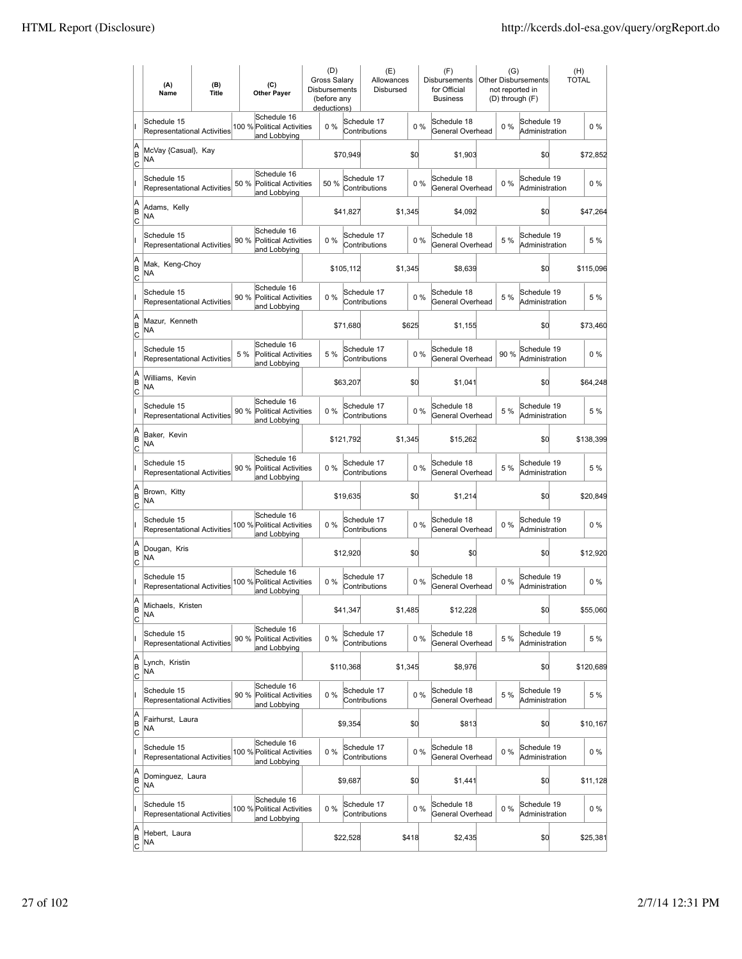|                           | (A)<br>Name                                       | (B)<br><b>Title</b> | (C)<br><b>Other Payer</b>                                          | (D)<br><b>Gross Salarv</b><br><b>Disbursements</b><br>(before any<br>deductions) |           | (E)<br>Allowances<br>Disbursed |         |    | (F)<br><b>Disbursements</b><br>for Official<br><b>Business</b> | (G)<br>not reported in | <b>Other Disbursements</b><br>(D) through (F) | (H)<br><b>TOTAL</b> |
|---------------------------|---------------------------------------------------|---------------------|--------------------------------------------------------------------|----------------------------------------------------------------------------------|-----------|--------------------------------|---------|----|----------------------------------------------------------------|------------------------|-----------------------------------------------|---------------------|
|                           | Schedule 15<br>Representational Activities        |                     | Schedule 16<br>100 % Political Activities<br>and Lobbying          | 0%                                                                               |           | Schedule 17<br>Contributions   |         | 0% | Schedule 18<br>General Overhead                                | $0\%$                  | Schedule 19<br>Administration                 | $0\%$               |
| A<br>B<br>C               | McVay {Casual}, Kay<br>NA                         |                     |                                                                    |                                                                                  | \$70,949  |                                | \$0     |    | \$1,903                                                        |                        | \$0                                           | \$72,852            |
|                           | Schedule 15<br>Representational Activities        |                     | Schedule 16<br>Political Activities<br>50 %<br>and Lobbying        | 50%                                                                              |           | Schedule 17<br>Contributions   |         | 0% | Schedule 18<br>General Overhead                                | 0%                     | Schedule 19<br>Administration                 | $0\%$               |
| A<br>B<br>Iс              | Adams, Kelly<br>NA                                |                     |                                                                    |                                                                                  | \$41,827  |                                | \$1,345 |    | \$4,092                                                        |                        | \$0                                           | \$47,264            |
|                           | Schedule 15<br><b>Representational Activities</b> |                     | Schedule 16<br>90 %<br><b>Political Activities</b><br>and Lobbying | 0%                                                                               |           | Schedule 17<br>Contributions   |         | 0% | Schedule 18<br>General Overhead                                | 5 %                    | Schedule 19<br>Administration                 | 5 %                 |
| A<br>B<br> c              | Mak, Keng-Choy<br>NA                              |                     |                                                                    |                                                                                  | \$105,112 |                                | \$1,345 |    | \$8,639                                                        |                        | \$O                                           | \$115,096           |
|                           | Schedule 15<br>Representational Activities        |                     | Schedule 16<br>90%<br>Political Activities<br>and Lobbying         | 0%                                                                               |           | Schedule 17<br>Contributions   |         | 0% | Schedule 18<br>General Overhead                                | 5 %                    | Schedule 19<br>Administration                 | 5 %                 |
| A<br>B<br> c              | Mazur, Kenneth<br>NA                              |                     |                                                                    |                                                                                  | \$71,680  |                                | \$625   |    | \$1,155                                                        |                        | \$0                                           | \$73,460            |
|                           | Schedule 15<br>Representational Activities        |                     | Schedule 16<br>5 %<br><b>Political Activities</b><br>and Lobbying  | 5 %                                                                              |           | Schedule 17<br>Contributions   |         | 0% | Schedule 18<br>General Overhead                                | 90%                    | Schedule 19<br>Administration                 | $0\%$               |
| A<br>B<br>Iс              | Williams, Kevin<br>ΝA                             |                     |                                                                    |                                                                                  | \$63,207  |                                | \$0     |    | \$1,041                                                        |                        | \$0                                           | \$64,248            |
|                           | Schedule 15<br><b>Representational Activities</b> |                     | Schedule 16<br>90 % Political Activities<br>and Lobbying           | 0%                                                                               |           | Schedule 17<br>Contributions   |         | 0% | Schedule 18<br>General Overhead                                | 5 %                    | Schedule 19<br>Administration                 | 5 %                 |
| A<br>B<br>C               | Baker, Kevin<br>NA                                |                     |                                                                    |                                                                                  | \$121,792 |                                | \$1,345 |    | \$15,262                                                       |                        | \$0                                           | \$138,399           |
|                           | Schedule 15<br>Representational Activities        |                     | Schedule 16<br>90 %<br><b>Political Activities</b><br>and Lobbying | 0%                                                                               |           | Schedule 17<br>Contributions   |         | 0% | Schedule 18<br>General Overhead                                | 5 %                    | Schedule 19<br>Administration                 | 5 %                 |
| A<br>B<br>lc              | Brown, Kitty<br><b>NA</b>                         |                     |                                                                    |                                                                                  | \$19,635  |                                | \$0     |    | \$1,214                                                        |                        | \$0                                           | \$20,849            |
|                           | Schedule 15<br>Representational Activities        |                     | Schedule 16<br>100 % Political Activities<br>and Lobbying          | 0%                                                                               |           | Schedule 17<br>Contributions   |         | 0% | Schedule 18<br>General Overhead                                | 0%                     | Schedule 19<br>Administration                 | $0\%$               |
| A<br>B<br>Iс              | Dougan, Kris<br><b>NA</b>                         |                     |                                                                    |                                                                                  | \$12,920  |                                | \$0     |    | \$0                                                            |                        | \$0                                           | \$12,920            |
|                           | Schedule 15<br><b>Representational Activities</b> |                     | Schedule 16<br>100 % Political Activities<br>and Lobbying          | 0%                                                                               |           | Schedule 17<br>Contributions   |         | 0% | Schedule 18<br>General Overhead                                | 0%                     | Schedule 19<br>Administration                 | $0\%$               |
| ΙA<br>B<br>$\overline{c}$ | Michaels, Kristen<br>NA                           |                     |                                                                    |                                                                                  | \$41,347  |                                | \$1,485 |    | \$12,228                                                       |                        | \$0                                           | \$55,060            |
|                           | Schedule 15<br>Representational Activities        |                     | Schedule 16<br>90%<br>Political Activities<br>and Lobbying         | 0%                                                                               |           | Schedule 17<br>Contributions   |         | 0% | Schedule 18<br>General Overhead                                | 5 %                    | Schedule 19<br>Administration                 | 5 %                 |
| A<br>B<br> c              | Lynch, Kristin<br>NA                              |                     |                                                                    |                                                                                  | \$110,368 |                                | \$1,345 |    | \$8,976                                                        |                        | \$d                                           | \$120,689           |
|                           | Schedule 15<br><b>Representational Activities</b> |                     | Schedule 16<br>90 %<br><b>Political Activities</b><br>and Lobbying | 0%                                                                               |           | Schedule 17<br>Contributions   |         | 0% | Schedule 18<br>General Overhead                                | 5 %                    | Schedule 19<br>Administration                 | 5 %                 |
| A<br>B<br><u>lc</u>       | Fairhurst, Laura<br>NA                            |                     |                                                                    |                                                                                  | \$9,354   |                                | \$d     |    | \$813                                                          |                        | \$0                                           | \$10,167            |
|                           | Schedule 15<br>Representational Activities        |                     | Schedule 16<br>100 % Political Activities<br>and Lobbying          | $0\%$                                                                            |           | Schedule 17<br>Contributions   |         | 0% | Schedule 18<br>General Overhead                                | $0\%$                  | Schedule 19<br>Administration                 | $0\%$               |
| A<br>B<br>$\circ$         | Dominguez, Laura<br>NA                            |                     |                                                                    |                                                                                  | \$9,687   |                                | \$d     |    | \$1,441                                                        |                        | \$0                                           | \$11,128            |
|                           | Schedule 15<br>Representational Activities        |                     | Schedule 16<br>100 % Political Activities<br>and Lobbying          | 0%                                                                               |           | Schedule 17<br>Contributions   |         | 0% | Schedule 18<br>General Overhead                                | $0\%$                  | Schedule 19<br>Administration                 | $0\%$               |
| A<br>B<br>$\overline{c}$  | Hebert, Laura<br>NA                               |                     |                                                                    |                                                                                  | \$22,528  |                                | \$418   |    | \$2,435                                                        |                        | \$0                                           | \$25,381            |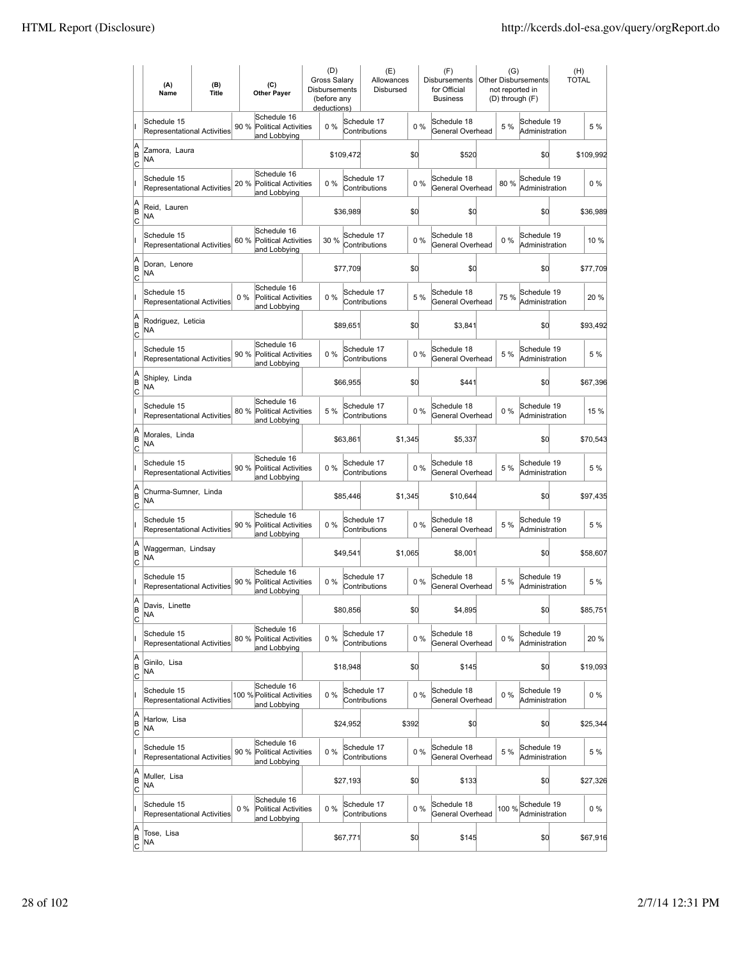|                          | (A)<br>Name                                       | (B)<br><b>Title</b> | (C)<br><b>Other Payer</b>                                           | (D)<br>Gross Salary<br>Disbursements<br>(before any<br>deductions) |           | (E)<br>Allowances<br>Disbursed |         |       | (F)<br>Disbursements<br>for Official<br><b>Business</b> | (G)<br>not reported in<br>(D) through (F) | <b>Other Disbursements</b>         | (H)<br><b>TOTAL</b> |           |
|--------------------------|---------------------------------------------------|---------------------|---------------------------------------------------------------------|--------------------------------------------------------------------|-----------|--------------------------------|---------|-------|---------------------------------------------------------|-------------------------------------------|------------------------------------|---------------------|-----------|
|                          | Schedule 15<br><b>Representational Activities</b> |                     | Schedule 16<br>90 %<br><b>Political Activities</b><br>and Lobbying  | 0%                                                                 |           | Schedule 17<br>Contributions   |         | 0%    | Schedule 18<br>General Overhead                         | 5 %                                       | Schedule 19<br>Administration      |                     | 5 %       |
| A<br>B<br> c             | Zamora, Laura<br>NA                               |                     |                                                                     |                                                                    | \$109,472 |                                | \$d     |       | \$520                                                   |                                           | \$0                                |                     | \$109,992 |
|                          | Schedule 15<br><b>Representational Activities</b> |                     | Schedule 16<br>20 %<br><b>Political Activities</b><br>and Lobbying  | 0%                                                                 |           | Schedule 17<br>Contributions   |         | 0%    | Schedule 18<br>General Overhead                         | 80%                                       | Schedule 19<br>Administration      |                     | $0\%$     |
| A<br>B<br>C              | Reid, Lauren<br>ΝA                                |                     |                                                                     |                                                                    | \$36,989  |                                | \$d     |       | \$0                                                     |                                           | \$0                                |                     | \$36,989  |
|                          | Schedule 15<br>Representational Activities        |                     | Schedule 16<br>60 %<br><b>Political Activities</b><br>and Lobbying  | 30 %                                                               |           | Schedule 17<br>Contributions   |         | 0%    | Schedule 18<br>General Overhead                         | $0\%$                                     | Schedule 19<br>Administration      |                     | 10 %      |
| A<br>B<br> c             | Doran, Lenore<br>NA                               |                     |                                                                     |                                                                    | \$77,709  |                                | \$d     |       | \$0                                                     |                                           | \$0                                |                     | \$77,709  |
|                          | Schedule 15<br><b>Representational Activities</b> |                     | Schedule 16<br>$0\%$<br><b>Political Activities</b><br>and Lobbying | 0%                                                                 |           | Schedule 17<br>Contributions   |         | 5 %   | Schedule 18<br>General Overhead                         | 75%                                       | Schedule 19<br>Administration      |                     | 20 %      |
| A<br>B<br> c             | Rodriguez, Leticia<br>NA                          |                     |                                                                     |                                                                    | \$89,651  |                                | \$d     |       | \$3,841                                                 |                                           | \$0                                |                     | \$93,492  |
|                          | Schedule 15<br><b>Representational Activities</b> |                     | Schedule 16<br>90 % Political Activities<br>and Lobbying            | $0\%$                                                              |           | Schedule 17<br>Contributions   |         | 0%    | Schedule 18<br>General Overhead                         | 5 %                                       | Schedule 19<br>Administration      |                     | 5 %       |
| A<br>B<br>c              | Shipley, Linda<br>NA                              |                     |                                                                     |                                                                    | \$66,955  |                                | \$0     |       | \$441                                                   |                                           | \$0                                |                     | \$67,396  |
|                          | Schedule 15<br>Representational Activities        |                     | Schedule 16<br>80 %<br><b>Political Activities</b><br>and Lobbying  | 5 %                                                                |           | Schedule 17<br>Contributions   |         | 0%    | Schedule 18<br>General Overhead                         | $0\%$                                     | Schedule 19<br>Administration      |                     | 15 %      |
| A<br>B<br>C              | Morales, Linda<br>NA                              |                     |                                                                     |                                                                    | \$63,861  |                                | \$1,345 |       | \$5,337                                                 |                                           | \$0                                |                     | \$70,543  |
|                          | Schedule 15<br>Representational Activities        |                     | Schedule 16<br>90 %<br><b>Political Activities</b><br>and Lobbying  | 0%                                                                 |           | Schedule 17<br>Contributions   |         | 0%    | Schedule 18<br>General Overhead                         | 5 %                                       | Schedule 19<br>Administration      |                     | 5 %       |
| A<br>B<br>Iс             | Churma-Sumner, Linda<br>NA                        |                     |                                                                     |                                                                    | \$85,446  |                                | \$1,345 |       | \$10,644                                                |                                           | \$d                                |                     | \$97,435  |
|                          | Schedule 15<br><b>Representational Activities</b> |                     | Schedule 16<br>90 %<br><b>Political Activities</b><br>and Lobbying  | 0%                                                                 |           | Schedule 17<br>Contributions   |         | 0%    | Schedule 18<br>General Overhead                         | 5 %                                       | Schedule 19<br>Administration      |                     | 5 %       |
| A<br>B<br> c             | Waggerman, Lindsay<br>ΝA                          |                     |                                                                     |                                                                    | \$49,541  |                                | \$1,065 |       | \$8,001                                                 |                                           | \$0                                |                     | \$58,607  |
|                          | Schedule 15<br>Representational Activities        |                     | Schedule 16<br>90 %<br><b>Political Activities</b><br>and Lobbying  | 0%                                                                 |           | Schedule 17<br>Contributions   |         | 0%    | Schedule 18<br>General Overhead                         | 5 %                                       | Schedule 19<br>Administration      |                     | 5 %       |
| A<br>B<br>$\overline{c}$ | Davis, Linette<br>ΝA                              |                     |                                                                     |                                                                    | \$80,856  |                                | \$d     |       | \$4,895                                                 |                                           | \$0                                |                     | \$85,751  |
|                          | Schedule 15<br>Representational Activities        |                     | Schedule 16<br>80 %<br><b>Political Activities</b><br>and Lobbying  | 0%                                                                 |           | Schedule 17<br>Contributions   |         | 0%    | Schedule 18<br>General Overhead                         | $0\%$                                     | Schedule 19<br>Administration      |                     | 20 %      |
| A<br>B<br>$\overline{c}$ | Ginilo, Lisa<br>NA                                |                     |                                                                     |                                                                    | \$18,948  |                                | \$d     |       | \$145                                                   |                                           | \$0                                |                     | \$19,093  |
|                          | Schedule 15<br>Representational Activities        |                     | Schedule 16<br>100 % Political Activities<br>and Lobbying           | $0\%$                                                              |           | Schedule 17<br>Contributions   |         | $0\%$ | Schedule 18<br>General Overhead                         | $0\%$                                     | Schedule 19<br>Administration      |                     | $0\%$     |
| A<br>B<br>$\circ$        | Harlow, Lisa<br>NA                                |                     |                                                                     |                                                                    | \$24,952  |                                | \$392   |       | \$0                                                     |                                           | \$0                                |                     | \$25,344  |
|                          | Schedule 15<br>Representational Activities        |                     | Schedule 16<br>90 %<br><b>Political Activities</b><br>and Lobbying  | 0%                                                                 |           | Schedule 17<br>Contributions   |         | 0%    | Schedule 18<br>General Overhead                         | 5 %                                       | Schedule 19<br>Administration      |                     | 5 %       |
| A<br>B<br>C              | Muller, Lisa<br>NA                                |                     |                                                                     |                                                                    | \$27,193  |                                | \$d     |       | \$133                                                   |                                           | \$0                                |                     | \$27,326  |
|                          | Schedule 15<br>Representational Activities        |                     | Schedule 16<br>Political Activities<br>$0\%$<br>and Lobbying        | 0%                                                                 |           | Schedule 17<br>Contributions   |         | 0%    | Schedule 18<br>General Overhead                         |                                           | 100 %Schedule 19<br>Administration |                     | $0\%$     |
| A<br>B<br>$\overline{c}$ | Tose, Lisa<br>NA                                  |                     |                                                                     |                                                                    | \$67,771  |                                | \$0     |       | \$145                                                   |                                           | \$d                                |                     | \$67,916  |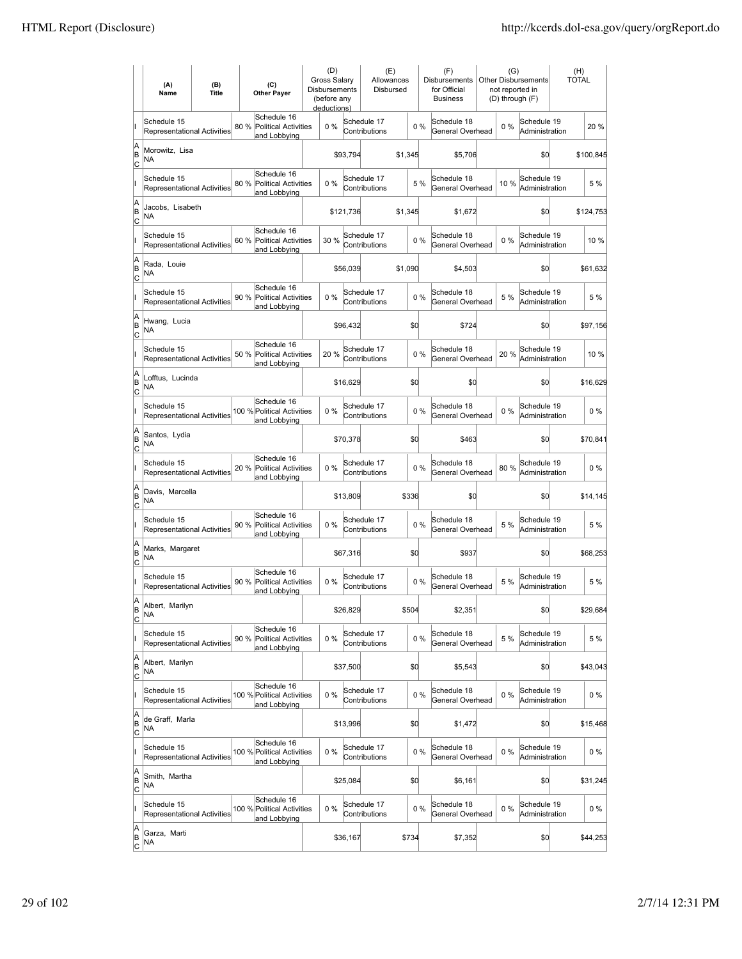|                          | (A)<br>Name                                       | (B)<br><b>Title</b> | (C)<br><b>Other Payer</b>                                          | (D)<br>Gross Salary<br>Disbursements<br>(before any<br>deductions) |           | (E)<br>Allowances<br>Disbursed |         |       | (F)<br>Disbursements<br>for Official<br><b>Business</b> | (G)<br>not reported in | <b>Other Disbursements</b><br>(D) through (F) | (H)<br>TOTAL |           |
|--------------------------|---------------------------------------------------|---------------------|--------------------------------------------------------------------|--------------------------------------------------------------------|-----------|--------------------------------|---------|-------|---------------------------------------------------------|------------------------|-----------------------------------------------|--------------|-----------|
|                          | Schedule 15<br>Representational Activities        |                     | Schedule 16<br>80 %<br><b>Political Activities</b><br>and Lobbying | 0%                                                                 |           | Schedule 17<br>Contributions   |         | 0%    | Schedule 18<br>General Overhead                         | $0\%$                  | Schedule 19<br>Administration                 |              | 20 %      |
| A<br>B<br>lc             | Morowitz, Lisa<br>NA                              |                     |                                                                    |                                                                    | \$93,794  |                                | \$1,345 |       | \$5,706                                                 |                        | \$0                                           |              | \$100,845 |
|                          | Schedule 15<br><b>Representational Activities</b> |                     | Schedule 16<br>80 %<br><b>Political Activities</b><br>and Lobbying | 0%                                                                 |           | Schedule 17<br>Contributions   |         | 5 %   | Schedule 18<br>General Overhead                         | 10%                    | Schedule 19<br>Administration                 |              | 5 %       |
| A<br>B<br>C              | Jacobs, Lisabeth<br>NA                            |                     |                                                                    |                                                                    | \$121,736 |                                | \$1,345 |       | \$1,672                                                 |                        | \$0                                           |              | \$124,753 |
|                          | Schedule 15<br>Representational Activities        |                     | Schedule 16<br>60 %<br><b>Political Activities</b><br>and Lobbying | 30 %                                                               |           | Schedule 17<br>Contributions   |         | 0%    | Schedule 18<br>General Overhead                         | $0\%$                  | Schedule 19<br>Administration                 |              | 10 %      |
| A<br>B<br>C              | Rada, Louie<br>NA                                 |                     |                                                                    |                                                                    | \$56,039  |                                | \$1,090 |       | \$4,503                                                 |                        | \$0                                           |              | \$61,632  |
|                          | Schedule 15<br><b>Representational Activities</b> |                     | Schedule 16<br>90 %<br>Political Activities<br>and Lobbying        | 0%                                                                 |           | Schedule 17<br>Contributions   |         | 0%    | Schedule 18<br>General Overhead                         | 5 %                    | Schedule 19<br>Administration                 |              | 5 %       |
| A<br>B<br>lc             | Hwang, Lucia<br>ΝA                                |                     |                                                                    |                                                                    | \$96,432  |                                | \$0     |       | \$724                                                   |                        | \$0                                           |              | \$97,156  |
|                          | Schedule 15<br>Representational Activities        |                     | Schedule 16<br>50 %<br><b>Political Activities</b><br>and Lobbying | 20 %                                                               |           | Schedule 17<br>Contributions   |         | $0\%$ | Schedule 18<br>General Overhead                         | 20 %                   | Schedule 19<br>Administration                 |              | 10 %      |
| A<br>B<br>C              | Lofftus, Lucinda<br>ΝA                            |                     |                                                                    |                                                                    | \$16,629  |                                | \$d     |       | \$0                                                     |                        | \$0                                           |              | \$16,629  |
|                          | Schedule 15<br>Representational Activities        |                     | Schedule 16<br>100 % Political Activities<br>and Lobbying          | 0%                                                                 |           | Schedule 17<br>Contributions   |         | 0%    | Schedule 18<br>General Overhead                         | $0\%$                  | Schedule 19<br>Administration                 |              | $0\%$     |
| A<br>B<br>C              | Santos, Lydia<br>NA                               |                     |                                                                    |                                                                    | \$70,378  |                                | \$d     |       | \$463                                                   |                        | \$0                                           |              | \$70,841  |
|                          | Schedule 15<br><b>Representational Activities</b> |                     | Schedule 16<br>20 %<br><b>Political Activities</b><br>and Lobbying | $0\%$                                                              |           | Schedule 17<br>Contributions   |         | 0%    | Schedule 18<br>General Overhead                         | 80%                    | Schedule 19<br>Administration                 |              | $0\%$     |
| A<br>B<br> c             | Davis, Marcella<br>NA                             |                     |                                                                    |                                                                    | \$13,809  |                                | \$336   |       | \$0                                                     |                        | \$d                                           |              | \$14,145  |
|                          | Schedule 15<br>Representational Activities        |                     | Schedule 16<br>90 %<br><b>Political Activities</b><br>and Lobbying | 0%                                                                 |           | Schedule 17<br>Contributions   |         | $0\%$ | Schedule 18<br>General Overhead                         | 5 %                    | Schedule 19<br>Administration                 |              | 5 %       |
| A<br>B<br>C              | Marks, Margaret<br>ΝA                             |                     |                                                                    |                                                                    | \$67,316  |                                | \$d     |       | \$937                                                   |                        | \$0                                           |              | \$68,253  |
|                          | Schedule 15<br>Representational Activities        |                     | Schedule 16<br>90%<br><b>Political Activities</b><br>and Lobbying  | 0%                                                                 |           | Schedule 17<br>Contributions   |         | 0%    | Schedule 18<br>General Overhead                         | 5 %                    | Schedule 19<br>Administration                 |              | 5 %       |
| A<br>B<br>C              | Albert, Marilyn<br>NA                             |                     |                                                                    |                                                                    | \$26,829  |                                | \$504   |       | \$2,351                                                 |                        | \$0                                           |              | \$29,684  |
|                          | Schedule 15<br>Representational Activities        |                     | Schedule 16<br>90 %<br>Political Activities<br>and Lobbying        | 0%                                                                 |           | Schedule 17<br>Contributions   |         | 0%    | Schedule 18<br>General Overhead                         | 5 %                    | Schedule 19<br>Administration                 |              | 5 %       |
| A<br>B<br><u>lc</u>      | Albert, Marilyn<br>NA                             |                     |                                                                    |                                                                    | \$37,500  |                                | \$d     |       | \$5,543                                                 |                        | \$0                                           |              | \$43,043  |
|                          | Schedule 15<br>Representational Activities        |                     | Schedule 16<br>100 % Political Activities<br>and Lobbying          | 0%                                                                 |           | Schedule 17<br>Contributions   |         | $0\%$ | Schedule 18<br>General Overhead                         | $0\%$                  | Schedule 19<br>Administration                 |              | $0\%$     |
| A<br>B<br>$\mathsf{C}$   | de Graff, Marla<br>NA                             |                     |                                                                    |                                                                    | \$13,996  |                                | \$d     |       | \$1,472                                                 |                        | \$0                                           |              | \$15,468  |
|                          | Schedule 15<br>Representational Activities        |                     | Schedule 16<br>100 % Political Activities<br>and Lobbying          | 0%                                                                 |           | Schedule 17<br>Contributions   |         | $0\%$ | Schedule 18<br>General Overhead                         | $0\%$                  | Schedule 19<br>Administration                 |              | 0 %       |
| A<br>B<br> c             | Smith, Martha<br>NA                               |                     |                                                                    |                                                                    | \$25,084  |                                | \$0     |       | \$6,161                                                 |                        | \$0                                           |              | \$31,245  |
|                          | Schedule 15<br>Representational Activities        |                     | Schedule 16<br>100 % Political Activities<br>and Lobbying          | 0%                                                                 |           | Schedule 17<br>Contributions   |         | $0\%$ | Schedule 18<br>General Overhead                         | $0\%$                  | Schedule 19<br>Administration                 |              | $0\%$     |
| A<br>B<br>$\overline{c}$ | Garza, Marti<br>NA                                |                     |                                                                    |                                                                    | \$36,167  |                                | \$734   |       | \$7,352                                                 |                        | \$d                                           |              | \$44,253  |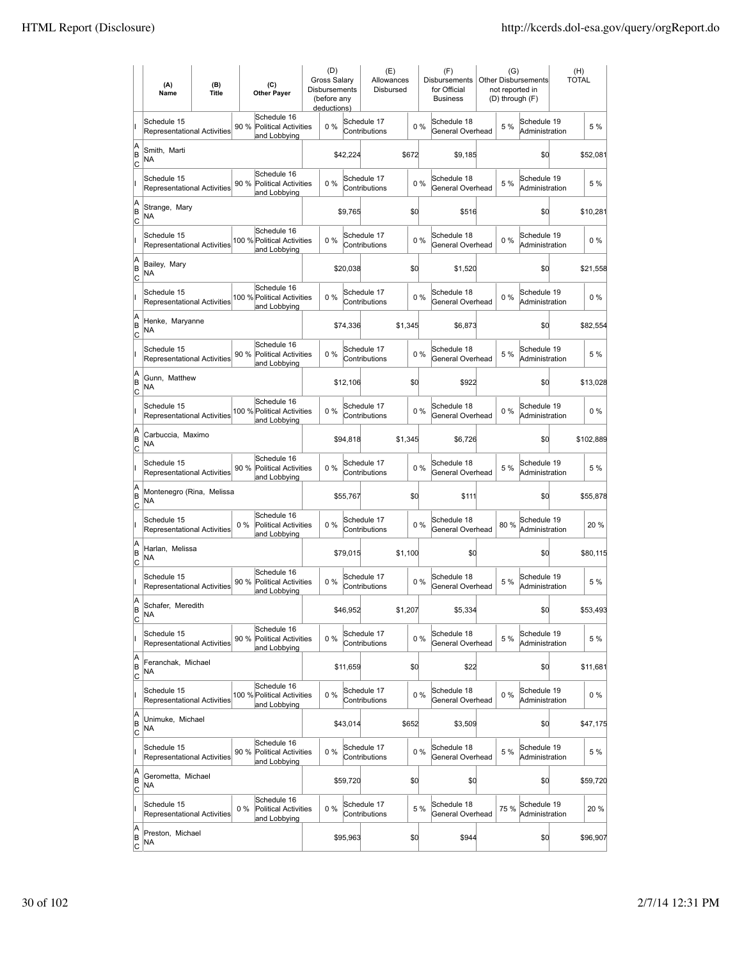|                          | (A)<br>Name                                       | (B)<br><b>Title</b> | (C)<br><b>Other Payer</b>                                           | (D)<br>Gross Salary<br>Disbursements<br>(before any<br>deductions) |          | (E)<br>Allowances<br>Disbursed |         |       | (F)<br>Disbursements<br>for Official<br><b>Business</b> | (G)   | <b>Other Disbursements</b><br>not reported in<br>(D) through (F) | (H)<br>TOTAL |           |
|--------------------------|---------------------------------------------------|---------------------|---------------------------------------------------------------------|--------------------------------------------------------------------|----------|--------------------------------|---------|-------|---------------------------------------------------------|-------|------------------------------------------------------------------|--------------|-----------|
|                          | Schedule 15<br>Representational Activities        |                     | Schedule 16<br>90 %<br><b>Political Activities</b><br>and Lobbying  | 0%                                                                 |          | Schedule 17<br>Contributions   |         | 0%    | Schedule 18<br>General Overhead                         | 5 %   | Schedule 19<br>Administration                                    |              | 5 %       |
| A<br>B<br>lc             | Smith, Marti<br>ΝA                                |                     |                                                                     |                                                                    | \$42,224 |                                | \$672   |       | \$9,185                                                 |       | \$0                                                              |              | \$52,081  |
|                          | Schedule 15<br><b>Representational Activities</b> |                     | Schedule 16<br>90 %<br><b>Political Activities</b><br>and Lobbying  | 0%                                                                 |          | Schedule 17<br>Contributions   |         | 0%    | Schedule 18<br>General Overhead                         | 5 %   | Schedule 19<br>Administration                                    |              | 5 %       |
| A<br>B<br>C              | Strange, Mary<br>NA                               |                     |                                                                     |                                                                    | \$9,765  |                                | \$d     |       | \$516                                                   |       | \$0                                                              |              | \$10,281  |
|                          | Schedule 15<br>Representational Activities        |                     | Schedule 16<br>100 % Political Activities<br>and Lobbying           | 0%                                                                 |          | Schedule 17<br>Contributions   |         | 0%    | Schedule 18<br>General Overhead                         | $0\%$ | Schedule 19<br>Administration                                    |              | $0\%$     |
| A<br>B<br>C              | Bailey, Mary<br>NA                                |                     |                                                                     |                                                                    | \$20,038 |                                | \$0     |       | \$1,520                                                 |       | \$0                                                              |              | \$21,558  |
|                          | Schedule 15<br><b>Representational Activities</b> |                     | Schedule 16<br>100 % Political Activities<br>and Lobbying           | $0\%$                                                              |          | Schedule 17<br>Contributions   |         | 0%    | Schedule 18<br>General Overhead                         | 0%    | Schedule 19<br>Administration                                    |              | $0\%$     |
| A<br>B<br>lc             | Henke, Maryanne<br>NA                             |                     |                                                                     |                                                                    | \$74,336 |                                | \$1,345 |       | \$6,873                                                 |       | \$0                                                              |              | \$82,554  |
|                          | Schedule 15<br><b>Representational Activities</b> |                     | Schedule 16<br>90 %<br><b>Political Activities</b><br>and Lobbying  | 0%                                                                 |          | Schedule 17<br>Contributions   |         | 0%    | Schedule 18<br>General Overhead                         | 5 %   | Schedule 19<br>Administration                                    |              | 5 %       |
| A<br>B<br>C              | Gunn, Matthew<br>NA                               |                     |                                                                     |                                                                    | \$12,106 |                                | \$d     |       | \$922                                                   |       | \$0                                                              |              | \$13,028  |
|                          | Schedule 15<br>Representational Activities        |                     | Schedule 16<br>100 % Political Activities<br>and Lobbying           | 0%                                                                 |          | Schedule 17<br>Contributions   |         | 0%    | Schedule 18<br>General Overhead                         | $0\%$ | Schedule 19<br>Administration                                    |              | $0\%$     |
| A<br>B<br>C              | Carbuccia, Maximo<br><b>NA</b>                    |                     |                                                                     |                                                                    | \$94,818 |                                | \$1,345 |       | \$6,726                                                 |       | \$0                                                              |              | \$102,889 |
|                          | Schedule 15<br>Representational Activities        |                     | Schedule 16<br>90 %<br><b>Political Activities</b><br>and Lobbying  | $0\%$                                                              |          | Schedule 17<br>Contributions   |         | $0\%$ | Schedule 18<br>General Overhead                         | 5 %   | Schedule 19<br>Administration                                    |              | 5 %       |
| A<br>B<br> c             | Montenegro (Rina, Melissa<br><b>NA</b>            |                     |                                                                     |                                                                    | \$55,767 |                                | \$d     |       | \$111                                                   |       | \$d                                                              |              | \$55,878  |
|                          | Schedule 15<br><b>Representational Activities</b> |                     | Schedule 16<br>$0\%$<br><b>Political Activities</b><br>and Lobbying | 0%                                                                 |          | Schedule 17<br>Contributions   |         | $0\%$ | Schedule 18<br>General Overhead                         | 80%   | Schedule 19<br>Administration                                    |              | 20%       |
| A<br>B<br>C              | Harlan, Melissa<br>NA                             |                     |                                                                     |                                                                    | \$79,015 |                                | \$1,100 |       | \$0                                                     |       | \$0                                                              |              | \$80,115  |
|                          | Schedule 15<br>Representational Activities        |                     | Schedule 16<br>90 %<br><b>Political Activities</b><br>and Lobbying  | 0%                                                                 |          | Schedule 17<br>Contributions   |         | $0\%$ | Schedule 18<br>General Overhead                         | 5 %   | Schedule 19<br>Administration                                    |              | 5 %       |
| A<br>B<br>$\overline{c}$ | Schafer, Meredith<br>ΝA                           |                     |                                                                     |                                                                    | \$46,952 |                                | \$1,207 |       | \$5,334                                                 |       | \$0                                                              |              | \$53,493  |
|                          | Schedule 15<br>Representational Activities        |                     | Schedule 16<br>90 %<br>Political Activities<br>and Lobbying         | 0%                                                                 |          | Schedule 17<br>Contributions   |         | 0%    | Schedule 18<br>General Overhead                         | 5 %   | Schedule 19<br>Administration                                    |              | 5 %       |
| A<br>B<br><u>lc</u>      | Feranchak, Michael<br>NA                          |                     |                                                                     |                                                                    | \$11,659 |                                | \$d     |       | \$22                                                    |       | \$0                                                              |              | \$11,681  |
|                          | Schedule 15<br>Representational Activities        |                     | Schedule 16<br>100 % Political Activities<br>and Lobbying           | 0%                                                                 |          | Schedule 17<br>Contributions   |         | $0\%$ | Schedule 18<br>General Overhead                         | $0\%$ | Schedule 19<br>Administration                                    |              | $0\%$     |
| A<br>B<br>$\mathsf{C}$   | Unimuke, Michael<br>NA                            |                     |                                                                     |                                                                    | \$43,014 |                                | \$652   |       | \$3,509                                                 |       | \$0                                                              |              | \$47,175  |
|                          | Schedule 15<br>Representational Activities        |                     | Schedule 16<br>90 % Political Activities<br>and Lobbying            | 0%                                                                 |          | Schedule 17<br>Contributions   |         | $0\%$ | Schedule 18<br>General Overhead                         | 5 %   | Schedule 19<br>Administration                                    |              | 5 %       |
| A<br>B<br>C              | Gerometta, Michael<br>NA                          |                     |                                                                     |                                                                    | \$59,720 |                                | \$d     |       | \$0                                                     |       | \$0                                                              |              | \$59,720  |
|                          | Schedule 15<br>Representational Activities        |                     | Schedule 16<br>Political Activities<br>$0\%$<br>and Lobbying        | 0%                                                                 |          | Schedule 17<br>Contributions   |         | 5 %   | Schedule 18<br>General Overhead                         | 75 %  | Schedule 19<br>Administration                                    |              | 20%       |
| A<br>B<br>$\overline{c}$ | Preston, Michael<br>NA                            |                     |                                                                     |                                                                    | \$95,963 |                                | \$0     |       | \$944                                                   |       | \$d                                                              |              | \$96,907  |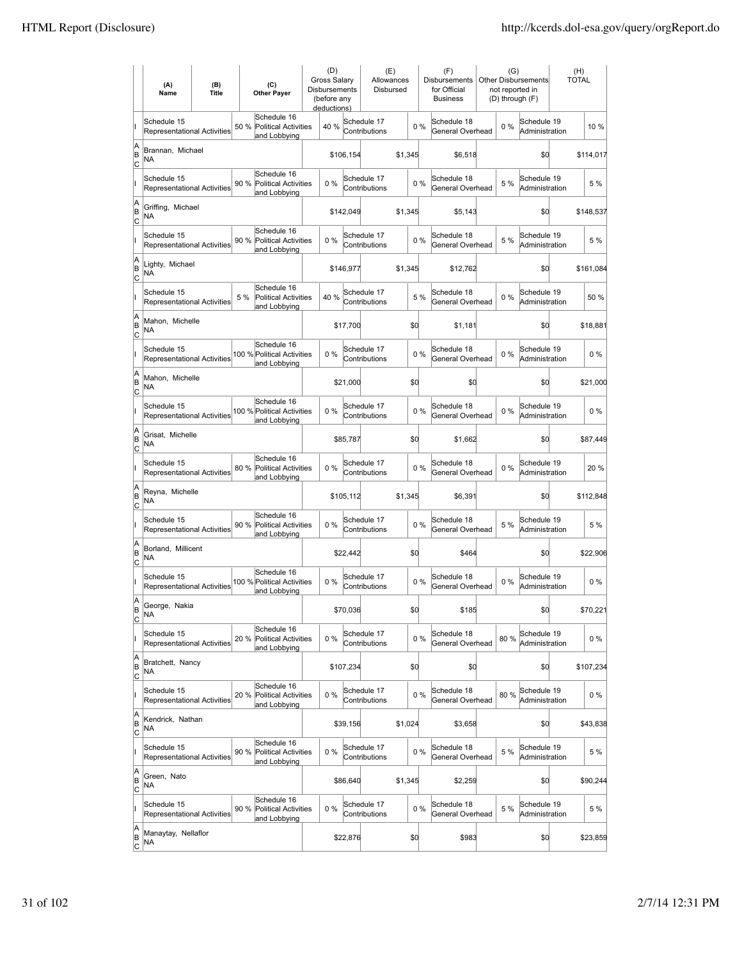|                          | (A)<br>Name                                       | (B)<br><b>Title</b> | (C)<br><b>Other Paver</b>                                          | (D)<br><b>Gross Salarv</b><br>Disbursements<br>(before any<br>deductions) |           | (E)<br>Allowances<br>Disbursed |         |       | (F)<br>Disbursements<br>for Official<br><b>Business</b> |       | (G)<br><b>Other Disbursements</b><br>not reported in<br>(D) through (F) | (H)<br><b>TOTAL</b> |
|--------------------------|---------------------------------------------------|---------------------|--------------------------------------------------------------------|---------------------------------------------------------------------------|-----------|--------------------------------|---------|-------|---------------------------------------------------------|-------|-------------------------------------------------------------------------|---------------------|
|                          | Schedule 15<br>Representational Activities        |                     | Schedule 16<br>50 %<br><b>Political Activities</b><br>and Lobbying | 40 %                                                                      |           | Schedule 17<br>Contributions   |         | $0\%$ | Schedule 18<br>General Overhead                         | $0\%$ | Schedule 19<br>Administration                                           | 10 %                |
| A<br>B<br>lc             | Brannan, Michael<br>NA                            |                     |                                                                    |                                                                           | \$106,154 |                                | \$1,345 |       | \$6,518                                                 |       | \$d                                                                     | \$114,017           |
|                          | Schedule 15<br><b>Representational Activities</b> |                     | Schedule 16<br>Political Activities<br>90 %<br>and Lobbying        | 0%                                                                        |           | Schedule 17<br>Contributions   |         | 0%    | Schedule 18<br>General Overhead                         | 5 %   | Schedule 19<br>Administration                                           | 5 %                 |
| A<br>B<br>C              | Griffing, Michael<br>NA                           |                     |                                                                    |                                                                           | \$142,049 |                                | \$1,345 |       | \$5,143                                                 |       | \$d                                                                     | \$148,537           |
|                          | Schedule 15<br>Representational Activities        |                     | Schedule 16<br>90 %<br><b>Political Activities</b><br>and Lobbying | 0%                                                                        |           | Schedule 17<br>Contributions   |         | 0%    | Schedule 18<br>General Overhead                         | 5 %   | Schedule 19<br>Administration                                           | 5 %                 |
| A<br>B<br>C              | Lighty, Michael<br>NA                             |                     |                                                                    |                                                                           | \$146,977 |                                | \$1,345 |       | \$12,762                                                |       | \$0                                                                     | \$161,084           |
|                          | Schedule 15<br>Representational Activities        |                     | Schedule 16<br>5 %<br>Political Activities<br>and Lobbying         | 40 %                                                                      |           | Schedule 17<br>Contributions   |         | 5 %   | Schedule 18<br>General Overhead                         | 0%    | Schedule 19<br>Administration                                           | 50 %                |
| A<br>B<br>lc             | Mahon, Michelle<br>NA                             |                     |                                                                    |                                                                           | \$17,700  |                                | \$d     |       | \$1,181                                                 |       | \$0                                                                     | \$18,881            |
|                          | Schedule 15<br>Representational Activities        |                     | Schedule 16<br>100 % Political Activities<br>and Lobbying          | 0%                                                                        |           | Schedule 17<br>Contributions   |         | 0%    | Schedule 18<br>General Overhead                         | $0\%$ | Schedule 19<br>Administration                                           | $0\%$               |
| A<br>B<br>C              | Mahon, Michelle<br>NA                             |                     |                                                                    |                                                                           | \$21,000  |                                | \$0     |       | \$0                                                     |       | \$0                                                                     | \$21,000            |
|                          | Schedule 15<br>Representational Activities        |                     | Schedule 16<br>100 % Political Activities<br>and Lobbying          | 0%                                                                        |           | Schedule 17<br>Contributions   |         | 0%    | Schedule 18<br>General Overhead                         | $0\%$ | Schedule 19<br>Administration                                           | $0\%$               |
| A<br>B<br>C              | Grisat, Michelle<br><b>NA</b>                     |                     |                                                                    |                                                                           | \$85,787  |                                | \$0     |       | \$1,662                                                 |       | \$d                                                                     | \$87,449            |
|                          | Schedule 15<br><b>Representational Activities</b> |                     | Schedule 16<br>80%<br><b>Political Activities</b><br>and Lobbying  | $0\%$                                                                     |           | Schedule 17<br>Contributions   |         | $0\%$ | Schedule 18<br>General Overhead                         | $0\%$ | Schedule 19<br>Administration                                           | 20 %                |
| A<br>B<br> c             | Reyna, Michelle<br><b>NA</b>                      |                     |                                                                    |                                                                           | \$105,112 |                                | \$1,345 |       | \$6,391                                                 |       | \$d                                                                     | \$112,848           |
|                          | Schedule 15<br><b>Representational Activities</b> |                     | Schedule 16<br>90 %<br><b>Political Activities</b><br>and Lobbying | 0%                                                                        |           | Schedule 17<br>Contributions   |         | 0%    | Schedule 18<br>General Overhead                         | 5 %   | Schedule 19<br>Administration                                           | 5 %                 |
| A<br>B<br>C              | Borland, Millicent<br>NA                          |                     |                                                                    |                                                                           | \$22,442  |                                | \$0     |       | \$464                                                   |       | \$0                                                                     | \$22,906            |
|                          | Schedule 15<br>Representational Activities        |                     | Schedule 16<br>100 % Political Activities<br>and Lobbying          | 0%                                                                        |           | Schedule 17<br>Contributions   |         | 0%    | Schedule 18<br>General Overhead                         | $0\%$ | Schedule 19<br>Administration                                           | $0\%$               |
| A<br>B<br>$\overline{c}$ | George, Nakia<br>NA                               |                     |                                                                    |                                                                           | \$70,036  |                                | \$0     |       | \$185                                                   |       | \$d                                                                     | \$70,221            |
|                          | Schedule 15<br>Representational Activities        |                     | Schedule 16<br>20%<br>Political Activities<br>and Lobbying         | 0%                                                                        |           | Schedule 17<br>Contributions   |         | $0\%$ | Schedule 18<br>General Overhead                         | 80%   | Schedule 19<br>Administration                                           | 0%                  |
| A<br>B<br><u>lc</u>      | Bratchett, Nancy<br>NA                            |                     |                                                                    |                                                                           | \$107,234 |                                | \$0     |       | \$0                                                     |       | \$0                                                                     | \$107,234           |
|                          | Schedule 15<br>Representational Activities        |                     | Schedule 16<br>20%<br><b>Political Activities</b><br>and Lobbying  | 0%                                                                        |           | Schedule 17<br>Contributions   |         | 0%    | Schedule 18<br>General Overhead                         | 80 %  | Schedule 19<br>Administration                                           | 0%                  |
| A<br>B<br>$\mathsf{C}$   | Kendrick, Nathan<br>NA                            |                     |                                                                    |                                                                           | \$39,156  |                                | \$1,024 |       | \$3,658                                                 |       | \$0                                                                     | \$43,838            |
|                          | Schedule 15<br>Representational Activities        |                     | Schedule 16<br>90 % Political Activities<br>and Lobbying           | 0%                                                                        |           | Schedule 17<br>Contributions   |         | $0\%$ | Schedule 18<br>General Overhead                         | 5 %   | Schedule 19<br>Administration                                           | 5 %                 |
| A<br>B<br>C              | Green, Nato<br>NA                                 |                     |                                                                    |                                                                           | \$86,640  |                                | \$1,345 |       | \$2,259                                                 |       | \$d                                                                     | \$90,244            |
|                          | Schedule 15<br>Representational Activities        |                     | Schedule 16<br>90 %<br><b>Political Activities</b><br>and Lobbying | 0%                                                                        |           | Schedule 17<br>Contributions   |         | 0%    | Schedule 18<br>General Overhead                         | 5 %   | Schedule 19<br>Administration                                           | 5 %                 |
| A<br>B<br>$\overline{c}$ | Manaytay, Nellaflor<br>NA                         |                     |                                                                    |                                                                           | \$22,876  |                                | \$0     |       | \$983                                                   |       | \$d                                                                     | \$23,859            |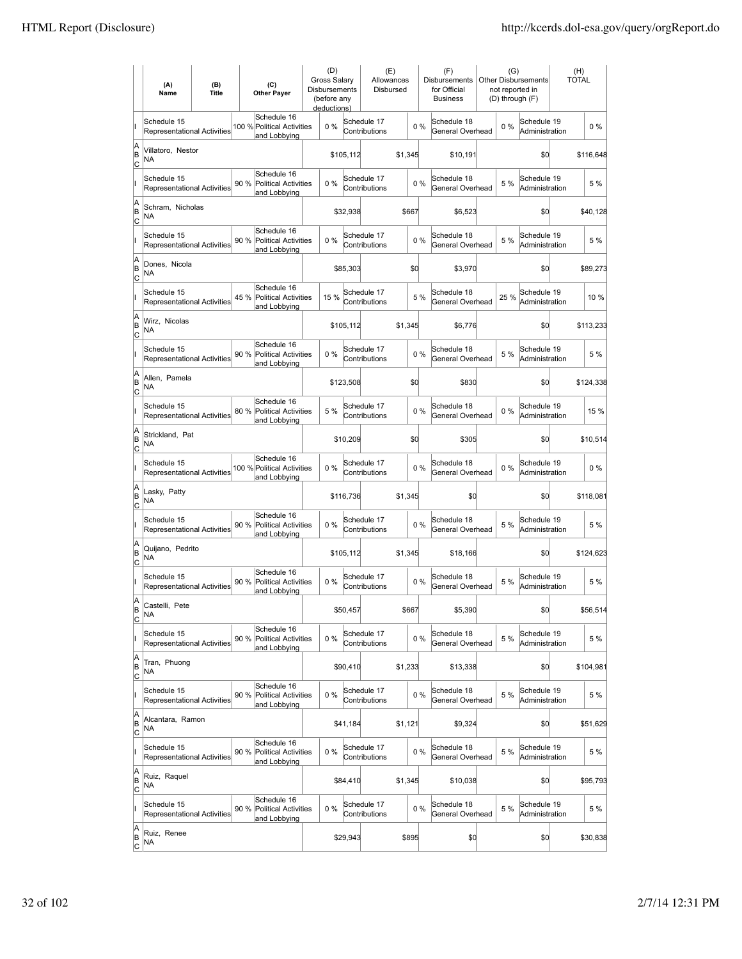|                          | (A)<br>Name                                       | (B)<br><b>Title</b> |      | (C)<br><b>Other Paver</b>                                  | (D)<br>Gross Salary<br>Disbursements<br>(before any<br>deductions) |           | (E)<br>Allowances<br>Disbursed |         |       | (F)<br><b>Disbursements</b><br>for Official<br><b>Business</b> | (G)   | Other Disbursements<br>not reported in<br>(D) through (F) | (H)<br><b>TOTAL</b> |           |
|--------------------------|---------------------------------------------------|---------------------|------|------------------------------------------------------------|--------------------------------------------------------------------|-----------|--------------------------------|---------|-------|----------------------------------------------------------------|-------|-----------------------------------------------------------|---------------------|-----------|
|                          | Schedule 15<br>Representational Activities        |                     |      | Schedule 16<br>100 % Political Activities<br>and Lobbying  | $0\%$                                                              |           | Schedule 17<br>Contributions   |         | $0\%$ | Schedule 18<br>General Overhead                                | $0\%$ | Schedule 19<br>Administration                             |                     | $0\%$     |
| A<br>B<br> c             | Villatoro, Nestor<br><b>NA</b>                    |                     |      |                                                            |                                                                    | \$105,112 |                                | \$1,345 |       | \$10,191                                                       |       | \$d                                                       |                     | \$116,648 |
|                          | Schedule 15<br>Representational Activities        |                     | 90 % | Schedule 16<br><b>Political Activities</b><br>and Lobbying | 0%                                                                 |           | Schedule 17<br>Contributions   |         | 0%    | Schedule 18<br>General Overhead                                | 5 %   | Schedule 19<br>Administration                             |                     | 5 %       |
| A<br>B<br>C              | Schram, Nicholas<br>NA                            |                     |      |                                                            |                                                                    | \$32,938  |                                | \$667   |       | \$6,523                                                        |       | \$0                                                       |                     | \$40,128  |
|                          | Schedule 15<br>Representational Activities        |                     | 90 % | Schedule 16<br><b>Political Activities</b><br>and Lobbying | 0%                                                                 |           | Schedule 17<br>Contributions   |         | 0%    | Schedule 18<br>General Overhead                                | 5 %   | Schedule 19<br>Administration                             |                     | 5 %       |
| A<br>B<br>C              | Dones, Nicola<br><b>NA</b>                        |                     |      |                                                            |                                                                    | \$85,303  |                                | \$0     |       | \$3,970                                                        |       | \$0                                                       |                     | \$89,273  |
|                          | Schedule 15<br>Representational Activities        |                     | 45 % | Schedule 16<br><b>Political Activities</b><br>and Lobbying | 15 %                                                               |           | Schedule 17<br>Contributions   |         | 5 %   | Schedule 18<br>General Overhead                                | 25 %  | Schedule 19<br>Administration                             |                     | 10%       |
| A<br>B<br> c             | Wirz, Nicolas<br>NA                               |                     |      |                                                            |                                                                    | \$105,112 |                                | \$1.345 |       | \$6,776                                                        |       | \$O                                                       |                     | \$113,233 |
|                          | Schedule 15<br>Representational Activities        |                     | 90 % | Schedule 16<br>Political Activities<br>and Lobbying        | 0%                                                                 |           | Schedule 17<br>Contributions   |         | 0%    | Schedule 18<br>General Overhead                                | 5 %   | Schedule 19<br>Administration                             |                     | 5 %       |
| Α<br>B<br>C              | Allen, Pamela<br>ΝA                               |                     |      |                                                            |                                                                    | \$123,508 |                                | \$0     |       | \$830                                                          |       | \$0                                                       |                     | \$124,338 |
|                          | Schedule 15<br>Representational Activities        |                     |      | Schedule 16<br>80 % Political Activities<br>and Lobbying   | 5 %                                                                |           | Schedule 17<br>Contributions   |         | 0%    | Schedule 18<br>General Overhead                                | $0\%$ | Schedule 19<br>Administration                             |                     | 15 %      |
| A<br>B<br>C              | Strickland, Pat<br>NA                             |                     |      |                                                            |                                                                    | \$10,209  |                                | \$0     |       | \$305                                                          |       | \$d                                                       |                     | \$10,514  |
|                          | Schedule 15<br><b>Representational Activities</b> |                     |      | Schedule 16<br>100 % Political Activities<br>and Lobbying  | $0\%$                                                              |           | Schedule 17<br>Contributions   |         | $0\%$ | Schedule 18<br>General Overhead                                | $0\%$ | Schedule 19<br>Administration                             |                     | $0\%$     |
| A<br>B<br> c             | Lasky, Patty<br><b>NA</b>                         |                     |      |                                                            |                                                                    | \$116,736 |                                | \$1,345 |       | \$0                                                            |       | \$d                                                       |                     | \$118,081 |
|                          | Schedule 15<br>Representational Activities        |                     | 90 % | Schedule 16<br><b>Political Activities</b><br>and Lobbying | 0%                                                                 |           | Schedule 17<br>Contributions   |         | 0%    | Schedule 18<br>General Overhead                                | 5 %   | Schedule 19<br>Administration                             |                     | 5 %       |
| A<br>B<br> c             | Quijano, Pedrito<br>NA                            |                     |      |                                                            |                                                                    | \$105,112 |                                | \$1,345 |       | \$18,166                                                       |       | \$d                                                       |                     | \$124,623 |
|                          | Schedule 15<br><b>Representational Activities</b> |                     | 90 % | Schedule 16<br>Political Activities<br>and Lobbying        | 0%                                                                 |           | Schedule 17<br>Contributions   |         | 0%    | Schedule 18<br>General Overhead                                | 5 %   | Schedule 19<br>Administration                             |                     | 5 %       |
| A<br>B<br>$\overline{c}$ | Castelli, Pete<br>NA                              |                     |      |                                                            |                                                                    | \$50,457  |                                | \$667   |       | \$5,390                                                        |       | \$Q                                                       |                     | \$56,514  |
|                          | Schedule 15<br>Representational Activities        |                     | 90 % | Schedule 16<br><b>Political Activities</b><br>and Lobbying | 0%                                                                 |           | Schedule 17<br>Contributions   |         | $0\%$ | Schedule 18<br>General Overhead                                | 5 %   | Schedule 19<br>Administration                             |                     | 5 %       |
| A<br>B<br><u>lc</u>      | Tran, Phuong<br>NA                                |                     |      |                                                            |                                                                    | \$90,410  |                                | \$1,233 |       | \$13,338                                                       |       | \$d                                                       |                     | \$104,981 |
|                          | Schedule 15<br><b>Representational Activities</b> |                     | 90 % | Schedule 16<br><b>Political Activities</b><br>and Lobbying | 0%                                                                 |           | Schedule 17<br>Contributions   |         | 0%    | Schedule 18<br>General Overhead                                | 5 %   | Schedule 19<br>Administration                             |                     | 5 %       |
| A<br>B<br>$\mathsf{C}$   | Alcantara, Ramon<br>NA                            |                     |      |                                                            |                                                                    | \$41,184  |                                | \$1,121 |       | \$9,324                                                        |       | \$0                                                       |                     | \$51,629  |
|                          | Schedule 15<br>Representational Activities        |                     |      | Schedule 16<br>90 % Political Activities<br>and Lobbying   | 0%                                                                 |           | Schedule 17<br>Contributions   |         | 0%    | Schedule 18<br>General Overhead                                | 5 %   | Schedule 19<br>Administration                             |                     | 5 %       |
| A<br>B<br>C              | Ruiz, Raquel<br>NA                                |                     |      |                                                            |                                                                    | \$84,410  |                                | \$1,345 |       | \$10,038                                                       |       | \$d                                                       |                     | \$95,793  |
|                          | Schedule 15<br>Representational Activities        |                     | 90 % | Schedule 16<br><b>Political Activities</b><br>and Lobbying | 0%                                                                 |           | Schedule 17<br>Contributions   |         | $0\%$ | Schedule 18<br>General Overhead                                | 5 %   | Schedule 19<br>Administration                             |                     | 5 %       |
| A<br>B<br>$\overline{c}$ | Ruiz, Renee<br>NA                                 |                     |      |                                                            |                                                                    | \$29,943  |                                | \$895   |       | \$0                                                            |       | \$0                                                       |                     | \$30,838  |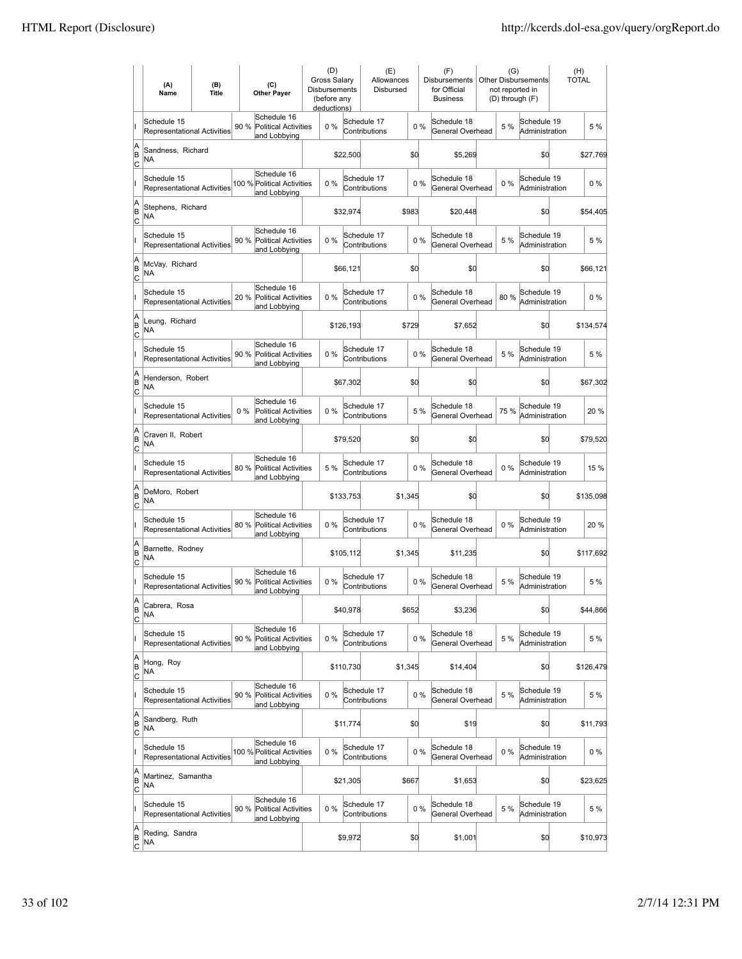|                           | (A)<br>Name                                       | (B)<br>(C)<br><b>Title</b><br><b>Other Payer</b> |                                                                    | (D)<br>Gross Salary<br>Disbursements<br>(before any<br>deductions) |           | (E)<br>Allowances<br>Disbursed |         |       | (F)<br>Disbursements<br>for Official<br><b>Business</b> | (G)<br><b>Other Disbursements</b><br>not reported in<br>(D) through (F) |                                        | (H)<br>TOTAL |
|---------------------------|---------------------------------------------------|--------------------------------------------------|--------------------------------------------------------------------|--------------------------------------------------------------------|-----------|--------------------------------|---------|-------|---------------------------------------------------------|-------------------------------------------------------------------------|----------------------------------------|--------------|
|                           | Schedule 15<br>Representational Activities        |                                                  | Schedule 16<br>90 %<br><b>Political Activities</b><br>and Lobbying | 0%                                                                 |           | Schedule 17<br>Contributions   |         | 0%    | Schedule 18<br>General Overhead                         |                                                                         | Schedule 19<br>5 %<br>Administration   | 5 %          |
| A<br>B<br>lc              | Sandness, Richard<br>NA                           |                                                  |                                                                    |                                                                    | \$22,500  |                                | \$d     |       | \$5,269                                                 |                                                                         | \$0                                    | \$27,769     |
|                           | Schedule 15<br><b>Representational Activities</b> |                                                  | Schedule 16<br>100 % Political Activities<br>and Lobbying          | 0%                                                                 |           | Schedule 17<br>Contributions   |         | 0%    | Schedule 18<br>General Overhead                         |                                                                         | Schedule 19<br>$0\%$<br>Administration | $0\%$        |
| A<br>B<br>C               | Stephens, Richard<br>NA                           |                                                  |                                                                    |                                                                    | \$32,974  |                                | \$983   |       | \$20,448                                                |                                                                         | \$0                                    | \$54,405     |
|                           | Schedule 15<br>Representational Activities        |                                                  | Schedule 16<br>90 %<br><b>Political Activities</b><br>and Lobbying | 0%                                                                 |           | Schedule 17<br>Contributions   |         | 0%    | Schedule 18<br>General Overhead                         |                                                                         | Schedule 19<br>5 %<br>Administration   | 5 %          |
| A<br>B<br> c              | McVay, Richard<br>NA                              |                                                  |                                                                    |                                                                    | \$66,121  |                                | \$d     |       | \$0                                                     |                                                                         | \$0                                    | \$66,121     |
|                           | Schedule 15<br><b>Representational Activities</b> |                                                  | Schedule 16<br>20 %<br>Political Activities<br>and Lobbying        | $0\%$                                                              |           | Schedule 17<br>Contributions   |         | 0%    | Schedule 18<br>General Overhead                         |                                                                         | Schedule 19<br>80%<br>Administration   | $0\%$        |
| A<br>B<br>lc              | Leung, Richard<br>NA                              |                                                  |                                                                    |                                                                    | \$126,193 | \$729                          |         |       | \$7,652                                                 |                                                                         | \$0                                    | \$134,574    |
|                           | Schedule 15<br>Representational Activities        |                                                  | Schedule 16<br>90 % Political Activities<br>and Lobbying           | 0%                                                                 |           | Schedule 17<br>Contributions   |         | 0%    | Schedule 18<br>General Overhead                         |                                                                         | Schedule 19<br>5 %<br>Administration   | 5 %          |
| A<br>B<br>C               | Henderson, Robert<br>NA                           |                                                  |                                                                    |                                                                    | \$67,302  |                                | \$d     |       | \$0                                                     |                                                                         | \$0                                    | \$67,302     |
|                           | Schedule 15<br>Representational Activities        |                                                  | Schedule 16<br>$0\%$<br>Political Activities<br>and Lobbying       | 0%                                                                 |           | Schedule 17<br>Contributions   |         | 5 %   | Schedule 18<br>General Overhead                         |                                                                         | Schedule 19<br>75 %<br>Administration  | 20%          |
| A<br>B<br>C               | Craven II, Robert<br>NA                           |                                                  |                                                                    | \$79,520                                                           |           | \$d                            |         | \$0   | \$0                                                     |                                                                         | \$79,520                               |              |
|                           | Schedule 15<br><b>Representational Activities</b> |                                                  | Schedule 16<br>80 %<br><b>Political Activities</b><br>and Lobbying | 5 %                                                                |           | Schedule 17<br>Contributions   |         | $0\%$ | Schedule 18<br>General Overhead                         |                                                                         | Schedule 19<br>$0\%$<br>Administration | 15 %         |
| A<br>B<br> c              | DeMoro, Robert<br><b>NA</b>                       |                                                  |                                                                    |                                                                    | \$133,753 |                                | \$1,345 |       | \$0                                                     |                                                                         | \$d                                    | \$135,098    |
|                           | Schedule 15<br>Representational Activities        |                                                  | Schedule 16<br>80 %<br><b>Political Activities</b><br>and Lobbying | 0%                                                                 |           | Schedule 17<br>Contributions   |         | $0\%$ | Schedule 18<br>General Overhead                         |                                                                         | Schedule 19<br>$0\%$<br>Administration | 20%          |
| A<br>B<br>C               | Barnette, Rodney<br><b>NA</b>                     |                                                  |                                                                    |                                                                    | \$105,112 |                                | \$1,345 |       | \$11,235                                                |                                                                         | \$0                                    | \$117,692    |
|                           | Schedule 15<br>Representational Activities        |                                                  | Schedule 16<br>90 %<br><b>Political Activities</b><br>and Lobbying | 0%                                                                 |           | Schedule 17<br>Contributions   |         | 0%    | Schedule 18<br>General Overhead                         |                                                                         | Schedule 19<br>5 %<br>Administration   | 5 %          |
| A<br>B<br>$\overline{c}$  | Cabrera, Rosa<br>NA                               |                                                  |                                                                    |                                                                    | \$40,978  |                                | \$652   |       | \$3,236                                                 |                                                                         | \$0                                    | \$44,866     |
|                           | Schedule 15<br>Representational Activities        |                                                  | Schedule 16<br>90 %<br>Political Activities<br>and Lobbying        | 0%                                                                 |           | Schedule 17<br>Contributions   |         | 0%    | Schedule 18<br>General Overhead                         |                                                                         | Schedule 19<br>5 %<br>Administration   | 5 %          |
| A<br>B<br><u>lc</u>       | Hong, Roy<br>NA                                   |                                                  |                                                                    |                                                                    | \$110,730 |                                | \$1,345 |       | \$14,404                                                |                                                                         | \$d                                    | \$126,479    |
|                           | Schedule 15<br>Representational Activities        |                                                  | Schedule 16<br>90 %<br><b>Political Activities</b><br>and Lobbying | 0%                                                                 |           | Schedule 17<br>Contributions   |         | $0\%$ | Schedule 18<br>General Overhead                         |                                                                         | Schedule 19<br>5 %<br>Administration   | 5 %          |
| A<br>B<br>$\mathsf{C}$    | Sandberg, Ruth<br>NA                              |                                                  |                                                                    |                                                                    | \$11,774  |                                | \$0     |       | \$19                                                    |                                                                         | \$0                                    | \$11,793     |
|                           | Schedule 15<br>Representational Activities        |                                                  | Schedule 16<br>100 % Political Activities<br>and Lobbying          | 0%                                                                 |           | Schedule 17<br>Contributions   |         | $0\%$ | Schedule 18<br>General Overhead                         |                                                                         | Schedule 19<br>$0\%$<br>Administration | 0 %          |
| A<br>B<br> c              | Martinez, Samantha<br>NA                          |                                                  |                                                                    |                                                                    | \$21,305  |                                | \$667   |       | \$1,653                                                 |                                                                         | \$0                                    | \$23,625     |
|                           | Schedule 15<br>Representational Activities        |                                                  | Schedule 16<br>90 %<br>Political Activities<br>and Lobbying        | 0%                                                                 |           | Schedule 17<br>Contributions   |         | 0%    | Schedule 18<br>General Overhead                         |                                                                         | Schedule 19<br>5 %<br>Administration   | 5 %          |
| A<br> B<br>$\overline{c}$ | Reding, Sandra<br>NA                              |                                                  |                                                                    |                                                                    | \$9,972   |                                | \$0     |       | \$1,001                                                 |                                                                         | \$d                                    | \$10,973     |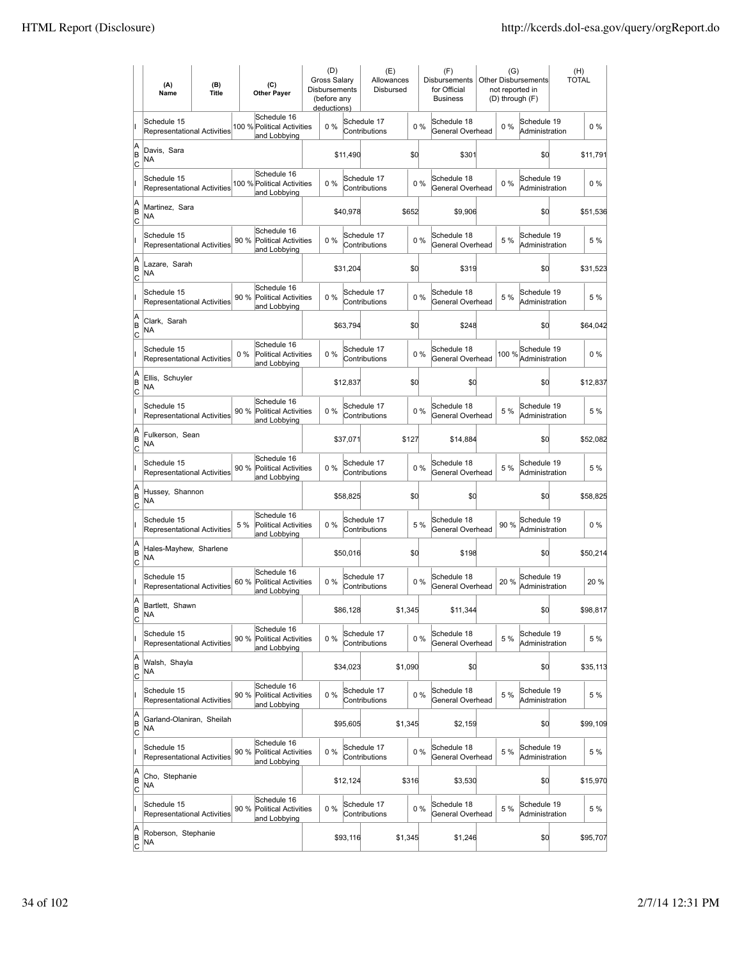|                           | (A)<br>Name                                       | (B)<br>(C)<br><b>Title</b><br><b>Other Payer</b> |                                                                     | (D)      | <b>Gross Salarv</b><br><b>Disbursements</b><br>(before any<br>deductions) |                              | (E)<br>Allowances<br>Disbursed |     | (F)<br><b>Disbursements</b><br>for Official<br><b>Business</b> | (G)<br><b>Other Disbursements</b><br>not reported in<br>(D) through (F) |       |                               | (H)<br><b>TOTAL</b> |          |
|---------------------------|---------------------------------------------------|--------------------------------------------------|---------------------------------------------------------------------|----------|---------------------------------------------------------------------------|------------------------------|--------------------------------|-----|----------------------------------------------------------------|-------------------------------------------------------------------------|-------|-------------------------------|---------------------|----------|
|                           | Schedule 15<br><b>Representational Activities</b> |                                                  | Schedule 16<br>100 % Political Activities<br>and Lobbying           | 0%       |                                                                           | Schedule 17<br>Contributions |                                | 0%  | Schedule 18<br>General Overhead                                |                                                                         | 0%    | Schedule 19<br>Administration |                     | $0\%$    |
| A<br>B<br> c              | Davis, Sara<br><b>NA</b>                          |                                                  |                                                                     |          | \$11,490                                                                  |                              | \$0                            |     | \$301                                                          |                                                                         |       | \$0                           |                     | \$11,791 |
|                           | Schedule 15<br><b>Representational Activities</b> |                                                  | Schedule 16<br>100 % Political Activities<br>and Lobbying           | 0%       |                                                                           | Schedule 17<br>Contributions |                                | 0%  | Schedule 18<br>General Overhead                                |                                                                         | 0%    | Schedule 19<br>Administration |                     | $0\%$    |
| A<br>B<br>C               | Martinez, Sara<br>NA                              |                                                  |                                                                     |          | \$40,978                                                                  |                              | \$652                          |     | \$9,906                                                        |                                                                         |       | \$0                           |                     | \$51,536 |
|                           | Schedule 15<br>Representational Activities        |                                                  | Schedule 16<br>90 %<br><b>Political Activities</b><br>and Lobbying  | 0%       |                                                                           | Schedule 17<br>Contributions |                                | 0%  | Schedule 18<br>General Overhead                                |                                                                         | 5 %   | Schedule 19<br>Administration |                     | 5 %      |
| A<br>B<br> c              | Lazare, Sarah<br>NA                               |                                                  |                                                                     |          | \$31,204                                                                  |                              | \$0                            |     | \$319                                                          |                                                                         |       | \$0                           |                     | \$31,523 |
|                           | Schedule 15<br><b>Representational Activities</b> |                                                  | Schedule 16<br>90%<br>Political Activities<br>and Lobbying          | $0\%$    |                                                                           | Schedule 17<br>Contributions |                                | 0%  | Schedule 18<br>General Overhead                                |                                                                         | 5 %   | Schedule 19<br>Administration |                     | 5 %      |
| A<br>B<br> c              | Clark, Sarah<br>NA                                |                                                  |                                                                     |          | \$63,794                                                                  |                              | \$0                            |     | \$248                                                          |                                                                         |       | \$0                           |                     | \$64,042 |
|                           | Schedule 15<br><b>Representational Activities</b> |                                                  | Schedule 16<br>$0\%$<br><b>Political Activities</b><br>and Lobbying | 0%       |                                                                           | Schedule 17<br>Contributions |                                | 0%  | Schedule 18<br>General Overhead                                |                                                                         | 100 % | Schedule 19<br>Administration |                     | $0\%$    |
| A<br>B<br>C               | Ellis, Schuyler<br>NA                             |                                                  |                                                                     |          | \$12,837                                                                  |                              | \$0                            |     | \$0                                                            |                                                                         |       | \$0                           |                     | \$12,837 |
|                           | Schedule 15<br>Representational Activities        |                                                  | Schedule 16<br>90 % Political Activities<br>and Lobbying            | 0%       |                                                                           | Schedule 17<br>Contributions |                                | 0%  | Schedule 18<br>General Overhead                                |                                                                         | 5 %   | Schedule 19<br>Administration |                     | 5 %      |
| A<br>B<br>C               | NA                                                | Fulkerson, Sean                                  |                                                                     | \$37,071 |                                                                           | \$127                        |                                |     | \$14,884                                                       |                                                                         | \$0   |                               |                     | \$52,082 |
|                           | Schedule 15<br><b>Representational Activities</b> |                                                  | Schedule 16<br>90 %<br><b>Political Activities</b><br>and Lobbying  | $0\%$    |                                                                           | Schedule 17<br>Contributions |                                | 0%  | Schedule 18<br>General Overhead                                |                                                                         | 5 %   | Schedule 19<br>Administration |                     | 5 %      |
| A<br>B<br> c              | Hussey, Shannon<br><b>NA</b>                      |                                                  |                                                                     |          | \$58,825                                                                  |                              | \$0                            |     | \$0                                                            |                                                                         |       | \$0                           |                     | \$58,825 |
|                           | Schedule 15<br>Representational Activities        |                                                  | Schedule 16<br>5 %<br><b>Political Activities</b><br>and Lobbying   | 0%       |                                                                           | Schedule 17<br>Contributions |                                | 5 % | Schedule 18<br>General Overhead                                |                                                                         | 90%   | Schedule 19<br>Administration |                     | $0\%$    |
| A<br>B<br> c              | Hales-Mayhew, Sharlene<br>NA                      |                                                  |                                                                     |          | \$50,016                                                                  |                              | \$0                            |     | \$198                                                          |                                                                         |       | \$0                           |                     | \$50,214 |
|                           | Schedule 15<br><b>Representational Activities</b> |                                                  | Schedule 16<br>60%<br>Political Activities<br>and Lobbying          | 0%       |                                                                           | Schedule 17<br>Contributions |                                | 0%  | Schedule 18<br>General Overhead                                |                                                                         | 20%   | Schedule 19<br>Administration |                     | 20%      |
| A<br>B<br>$\overline{c}$  | Bartlett, Shawn<br><b>NA</b>                      |                                                  |                                                                     |          | \$86,128                                                                  |                              | \$1,345                        |     | \$11,344                                                       |                                                                         |       | \$0                           |                     | \$98,817 |
|                           | Schedule 15<br>Representational Activities        |                                                  | Schedule 16<br>90%<br>Political Activities<br>and Lobbying          | 0%       |                                                                           | Schedule 17<br>Contributions |                                | 0%  | Schedule 18<br>General Overhead                                |                                                                         | 5 %   | Schedule 19<br>Administration |                     | 5 %      |
| A<br>B<br><u>lc</u>       | Walsh, Shayla<br>NA                               |                                                  |                                                                     |          | \$34,023                                                                  |                              | \$1,090                        |     | \$0                                                            |                                                                         |       | \$d                           |                     | \$35,113 |
|                           | Schedule 15<br>Representational Activities        |                                                  | Schedule 16<br>90 %<br><b>Political Activities</b><br>and Lobbying  | 0%       |                                                                           | Schedule 17<br>Contributions |                                | 0%  | Schedule 18<br>General Overhead                                |                                                                         | 5 %   | Schedule 19<br>Administration |                     | 5 %      |
| A<br>B<br>$\mathsf{C}$    | Garland-Olaniran, Sheilah<br>NA                   |                                                  |                                                                     |          | \$95,605                                                                  |                              | \$1,345                        |     | \$2,159                                                        |                                                                         |       | \$0                           |                     | \$99,109 |
|                           | Schedule 15<br>Representational Activities        |                                                  | Schedule 16<br>90%<br><b>Political Activities</b><br>and Lobbying   | 0%       |                                                                           | Schedule 17<br>Contributions |                                | 0%  | Schedule 18<br>General Overhead                                |                                                                         | 5 %   | Schedule 19<br>Administration |                     | 5 %      |
| A<br>B<br> c              | Cho, Stephanie<br>NA                              |                                                  |                                                                     |          | \$12,124                                                                  |                              | \$316                          |     | \$3,530                                                        |                                                                         |       | \$0                           |                     | \$15,970 |
|                           | Schedule 15<br>Representational Activities        |                                                  | Schedule 16<br>90%<br>Political Activities<br>and Lobbying          | 0%       |                                                                           | Schedule 17<br>Contributions |                                | 0%  | Schedule 18<br>General Overhead                                |                                                                         | 5 %   | Schedule 19<br>Administration |                     | 5 %      |
| A<br> B<br>$\overline{c}$ | Roberson, Stephanie<br>NA                         |                                                  |                                                                     |          | \$93,116                                                                  |                              | \$1,345                        |     | \$1,246                                                        |                                                                         |       | \$0                           |                     | \$95,707 |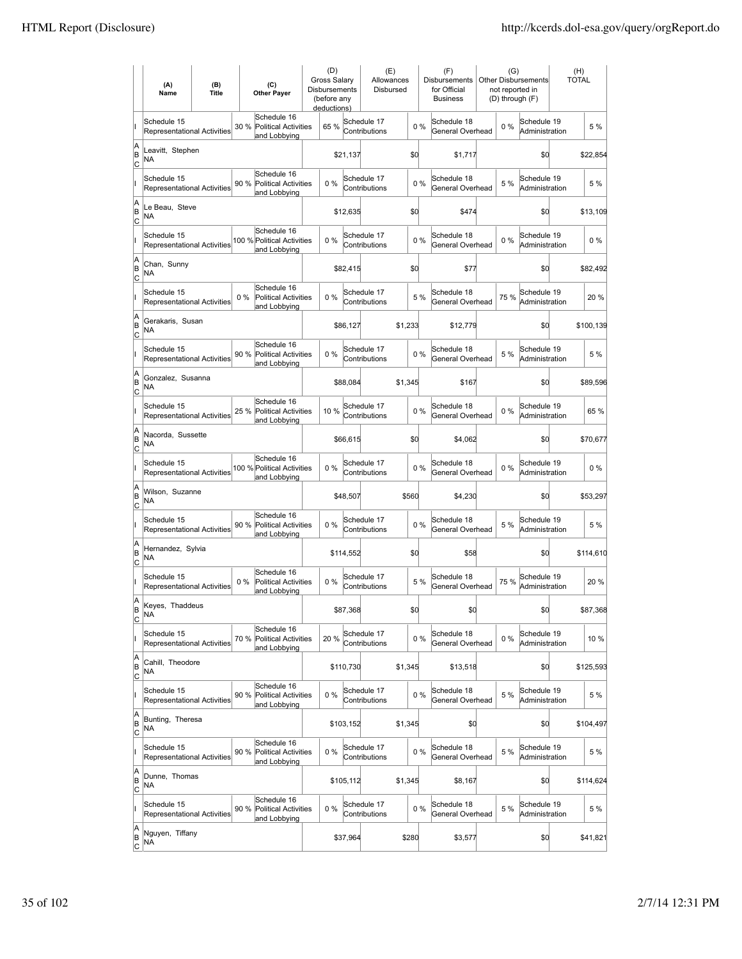|                           | (A)<br>Name                                       | (B)<br>(C)<br><b>Title</b><br><b>Other Payer</b> |                                                                    | (D)<br><b>Gross Salarv</b><br><b>Disbursements</b><br>(before any<br>deductions) |           | (E)<br>Allowances<br>Disbursed |         |         | (F)<br><b>Disbursements</b><br>for Official<br><b>Business</b> | (G)<br><b>Other Disbursements</b><br>not reported in<br>(D) through (F) |       |                               | (H)<br><b>TOTAL</b> |
|---------------------------|---------------------------------------------------|--------------------------------------------------|--------------------------------------------------------------------|----------------------------------------------------------------------------------|-----------|--------------------------------|---------|---------|----------------------------------------------------------------|-------------------------------------------------------------------------|-------|-------------------------------|---------------------|
|                           | Schedule 15<br><b>Representational Activities</b> |                                                  | Schedule 16<br>30 %<br><b>Political Activities</b><br>and Lobbying | 65 %                                                                             |           | Schedule 17<br>Contributions   |         | 0%      | Schedule 18<br>General Overhead                                |                                                                         | $0\%$ | Schedule 19<br>Administration | 5 %                 |
| A<br>B<br>lc              | Leavitt, Stephen<br>NA                            |                                                  |                                                                    |                                                                                  | \$21,137  | \$d                            |         |         | \$1,717                                                        |                                                                         |       | \$0                           | \$22,854            |
|                           | Schedule 15<br><b>Representational Activities</b> |                                                  | Schedule 16<br>90 %<br><b>Political Activities</b><br>and Lobbying | 0%                                                                               |           | Schedule 17<br>Contributions   |         | 0%      | Schedule 18<br>General Overhead                                |                                                                         | 5 %   | Schedule 19<br>Administration | 5 %                 |
| A<br>B<br>C               | Le Beau, Steve<br>ΝA                              |                                                  |                                                                    |                                                                                  | \$12,635  |                                | \$0     |         | \$474                                                          |                                                                         |       | \$0                           | \$13,109            |
|                           | Schedule 15<br>Representational Activities        |                                                  | Schedule 16<br>100 % Political Activities<br>and Lobbying          | 0%                                                                               |           | Schedule 17<br>Contributions   |         | 0%      | Schedule 18<br>General Overhead                                |                                                                         | 0%    | Schedule 19<br>Administration | $0\%$               |
| A<br>B<br>Ιc              | Chan, Sunny<br>NA                                 |                                                  |                                                                    |                                                                                  | \$82,415  | \$0                            |         |         | \$77                                                           |                                                                         |       | \$0                           | \$82,492            |
|                           | Schedule 15<br><b>Representational Activities</b> |                                                  | Schedule 16<br>$0\%$<br>Political Activities<br>and Lobbying       | $0\%$                                                                            |           | Schedule 17<br>Contributions   |         | 5 %     | Schedule 18<br>General Overhead                                |                                                                         | 75 %  | Schedule 19<br>Administration | 20%                 |
| A<br>B<br>lc              | Gerakaris, Susan<br>NA                            |                                                  |                                                                    |                                                                                  | \$86,127  | \$1,233                        |         |         | \$12,779                                                       |                                                                         |       | \$0                           | \$100,139           |
|                           | Schedule 15<br><b>Representational Activities</b> |                                                  | Schedule 16<br>90 %<br><b>Political Activities</b><br>and Lobbying | 0%                                                                               |           | Schedule 17<br>Contributions   |         | 0%      | Schedule 18<br>General Overhead                                |                                                                         | 5 %   | Schedule 19<br>Administration | 5 %                 |
| A<br>B<br>C               | Gonzalez, Susanna<br>NA                           |                                                  |                                                                    |                                                                                  | \$88,084  |                                | \$1,345 |         | \$167                                                          |                                                                         |       | \$0                           | \$89,596            |
|                           | Schedule 15<br>Representational Activities        |                                                  | Schedule 16<br>25 % Political Activities<br>and Lobbying           | 10 %                                                                             |           | Schedule 17<br>Contributions   |         | 0%      | Schedule 18<br>General Overhead                                |                                                                         | 0%    | Schedule 19<br>Administration | 65 %                |
| A<br>B<br>C               | Nacorda, Sussette<br>NA                           |                                                  |                                                                    | \$66,615                                                                         |           | \$0                            |         | \$4,062 |                                                                |                                                                         | \$0   | \$70,677                      |                     |
|                           | Schedule 15<br><b>Representational Activities</b> |                                                  | Schedule 16<br>100 % Political Activities<br>and Lobbying          | $0\%$                                                                            |           | Schedule 17<br>Contributions   |         | $0\%$   | Schedule 18<br>General Overhead                                |                                                                         | 0%    | Schedule 19<br>Administration | $0\%$               |
| A<br>B<br> c              | <b>NA</b>                                         | Wilson, Suzanne                                  |                                                                    |                                                                                  | \$48,507  |                                | \$560   |         | \$4,230                                                        |                                                                         |       | \$d                           | \$53,297            |
|                           | Schedule 15<br>Representational Activities        |                                                  | Schedule 16<br>90 %<br><b>Political Activities</b><br>and Lobbying | 0%                                                                               |           | Schedule 17<br>Contributions   |         | 0%      | Schedule 18<br>General Overhead                                |                                                                         | 5 %   | Schedule 19<br>Administration | 5 %                 |
| A<br>B<br>C               | Hernandez, Sylvia<br>NA                           |                                                  |                                                                    |                                                                                  | \$114,552 |                                | \$0     |         | \$58                                                           |                                                                         |       | \$0                           | \$114,610           |
|                           | Schedule 15<br><b>Representational Activities</b> |                                                  | Schedule 16<br>$0\%$<br>Political Activities<br>and Lobbying       | 0%                                                                               |           | Schedule 17<br>Contributions   |         | 5 %     | Schedule 18<br>General Overhead                                |                                                                         | 75 %  | Schedule 19<br>Administration | 20%                 |
| A<br> B<br>$\overline{c}$ | Keyes, Thaddeus<br>NA                             |                                                  |                                                                    |                                                                                  | \$87,368  |                                | \$d     |         | \$0                                                            |                                                                         |       | \$0                           | \$87,368            |
|                           | Schedule 15<br>Representational Activities        |                                                  | Schedule 16<br>70%<br>Political Activities<br>and Lobbying         | 20 %                                                                             |           | Schedule 17<br>Contributions   |         | 0%      | Schedule 18<br>General Overhead                                |                                                                         | $0\%$ | Schedule 19<br>Administration | 10 %                |
| A<br>B<br><u>lc</u>       | Cahill, Theodore<br>NA                            |                                                  |                                                                    |                                                                                  | \$110,730 |                                | \$1,345 |         | \$13,518                                                       |                                                                         |       | \$d                           | \$125,593           |
|                           | Schedule 15<br>Representational Activities        |                                                  | Schedule 16<br>90 %<br>Political Activities<br>and Lobbying        | 0%                                                                               |           | Schedule 17<br>Contributions   |         | 0%      | Schedule 18<br>General Overhead                                |                                                                         | 5 %   | Schedule 19<br>Administration | 5 %                 |
| A<br>B<br>$\mathsf{C}$    | Bunting, Theresa<br>NA                            |                                                  |                                                                    |                                                                                  | \$103,152 |                                | \$1,345 |         | \$0                                                            |                                                                         |       | \$0                           | \$104,497           |
|                           | Schedule 15<br>Representational Activities        |                                                  | Schedule 16<br>90 % Political Activities<br>and Lobbying           | 0%                                                                               |           | Schedule 17<br>Contributions   |         | 0%      | Schedule 18<br>General Overhead                                |                                                                         | 5 %   | Schedule 19<br>Administration | 5 %                 |
| A<br>B<br> c              | Dunne, Thomas<br>NA                               |                                                  |                                                                    |                                                                                  | \$105,112 |                                | \$1,345 |         | \$8,167                                                        |                                                                         |       | \$0                           | \$114,624           |
|                           | Schedule 15<br><b>Representational Activities</b> |                                                  | Schedule 16<br>90%<br>Political Activities<br>and Lobbying         | 0%                                                                               |           | Schedule 17<br>Contributions   |         | 0%      | Schedule 18<br>General Overhead                                |                                                                         | 5 %   | Schedule 19<br>Administration | 5 %                 |
| A<br> B<br>$\overline{c}$ | Nguyen, Tiffany<br>NA                             |                                                  |                                                                    |                                                                                  | \$37,964  |                                | \$280   |         | \$3,577                                                        |                                                                         |       | \$0                           | \$41,821            |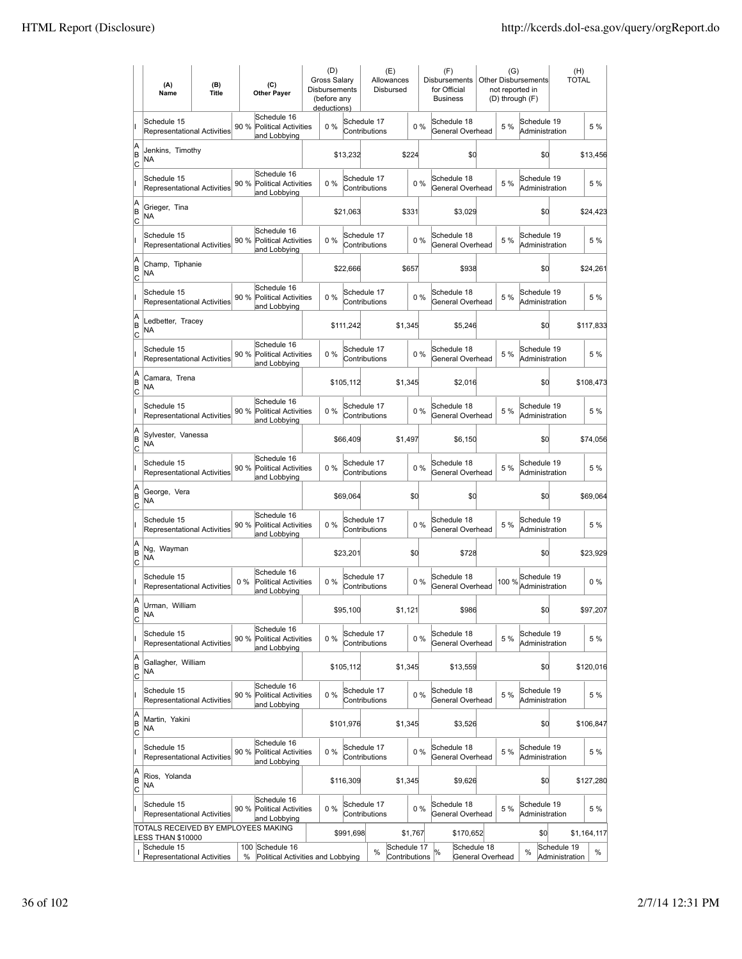|                           | (A)<br>Name                                                     | (B)<br>(C)<br><b>Title</b><br><b>Other Payer</b>          |       | (D)<br>Gross Salary<br><b>Disbursements</b><br>(before any<br>deductions) |          |       | (E)<br>Allowances<br>Disbursed |               | (F)<br><b>Disbursements</b><br>for Official<br><b>Business</b> | (G)<br>Other Disbursements<br>not reported in<br>(D) through (F) |                                      |  | (H)<br><b>TOTAL</b> |                               |                               |          |             |
|---------------------------|-----------------------------------------------------------------|-----------------------------------------------------------|-------|---------------------------------------------------------------------------|----------|-------|--------------------------------|---------------|----------------------------------------------------------------|------------------------------------------------------------------|--------------------------------------|--|---------------------|-------------------------------|-------------------------------|----------|-------------|
| lı.                       | Schedule 15<br><b>Representational Activities</b>               |                                                           | 90 %  | Schedule 16<br><b>Political Activities</b><br>and Lobbying                |          | $0\%$ | Schedule 17                    | Contributions |                                                                | 0%                                                               | Schedule 18<br>General Overhead      |  | 5 %                 | Schedule 19<br>Administration |                               |          | 5 %         |
| A<br>B<br>C               | Jenkins, Timothy<br>NA                                          |                                                           |       |                                                                           |          |       | \$13,232                       |               | \$224                                                          |                                                                  | \$0                                  |  |                     | \$0                           |                               |          | \$13,456    |
| lı.                       | Schedule 15<br><b>Representational Activities</b>               |                                                           | 90%   | Schedule 16<br><b>Political Activities</b><br>and Lobbying                |          | $0\%$ | Schedule 17                    | Contributions |                                                                | 0%                                                               | Schedule 18<br>General Overhead      |  | 5 %                 | Schedule 19<br>Administration |                               |          | 5 %         |
| A<br>B<br>C               | Grieger, Tina<br>NΑ                                             |                                                           |       |                                                                           |          |       | \$21,063                       |               | \$331                                                          |                                                                  | \$3.029                              |  |                     | \$d                           |                               |          | \$24,423    |
| lı.                       | Schedule 15<br><b>Representational Activities</b>               |                                                           | 90 %  | Schedule 16<br><b>Political Activities</b><br>and Lobbying                |          | 0%    | Schedule 17                    | Contributions |                                                                | 0%                                                               | Schedule 18<br>General Overhead      |  | 5 %                 | Schedule 19<br>Administration |                               |          | 5 %         |
| A<br>B<br>C               | Champ, Tiphanie<br>NA                                           |                                                           |       |                                                                           | \$22,666 |       |                                | \$657         |                                                                |                                                                  | \$938                                |  | \$d                 |                               |                               |          | \$24,261    |
|                           | Schedule 15<br><b>Representational Activities</b>               |                                                           | 90%   | Schedule 16<br><b>Political Activities</b><br>and Lobbying                |          | 0%    | Schedule 17                    | Contributions |                                                                | 0%                                                               | Schedule 18<br>General Overhead      |  | 5 %                 | Schedule 19<br>Administration |                               |          | 5 %         |
| A<br>B<br>C               | Ledbetter, Tracey<br>NA                                         |                                                           |       |                                                                           |          |       | \$111,242                      |               | \$1,345                                                        |                                                                  | \$5,246                              |  |                     | \$d                           |                               |          | \$117,833   |
|                           | Schedule 15<br><b>Representational Activities</b>               |                                                           | 90 %  | Schedule 16<br><b>Political Activities</b><br>and Lobbying                |          | $0\%$ | Schedule 17                    | Contributions |                                                                | 0%                                                               | Schedule 18<br>General Overhead      |  | 5 %                 | Schedule 19<br>Administration |                               |          | 5 %         |
| A<br>İΒ<br> c             | Camara, Trena<br>NΑ                                             |                                                           |       |                                                                           |          |       | \$105.112                      |               | \$1,345                                                        |                                                                  | \$2,016                              |  |                     | \$0                           |                               |          | \$108,473   |
| II                        | Schedule 15<br><b>Representational Activities</b>               |                                                           | 90 %  | Schedule 16<br><b>Political Activities</b><br>and Lobbying                |          | $0\%$ | Schedule 17                    | Contributions |                                                                | $0\%$                                                            | Schedule 18<br>General Overhead      |  | 5 %                 | Schedule 19<br>Administration |                               |          | 5 %         |
| A<br>B<br>C               | NA                                                              | Sylvester, Vanessa                                        |       |                                                                           | \$66,409 |       |                                | \$1,497       |                                                                |                                                                  | \$6,150                              |  | \$0                 |                               |                               |          | \$74,056    |
| ı                         | Schedule 15<br>Representational Activities                      |                                                           | 90 %  | Schedule 16<br><b>Political Activities</b><br>and Lobbying                |          | 0%    | Schedule 17                    | Contributions |                                                                | 0%                                                               | Schedule 18<br>General Overhead      |  | 5 %                 | Schedule 19<br>Administration |                               |          | 5 %         |
| A<br> B<br> c             | George, Vera<br>ΝA                                              |                                                           |       | \$69,064                                                                  |          |       | \$0                            |               |                                                                | \$0                                                              |                                      |  | \$d                 |                               |                               | \$69,064 |             |
| lı.                       | Schedule 15                                                     | Schedule 16<br>90 %<br><b>Representational Activities</b> |       | <b>Political Activities</b><br>and Lobbying                               |          | $0\%$ | Schedule 17                    | Contributions |                                                                | 0%                                                               | Schedule 18<br>General Overhead      |  | 5 %                 | Schedule 19<br>Administration |                               |          | 5 %         |
| A<br>B<br> c              | Ng, Wayman<br>NA                                                |                                                           |       |                                                                           |          |       | \$23.201                       |               |                                                                | \$0                                                              | \$728                                |  |                     | \$d                           |                               |          | \$23.929    |
|                           | Schedule 15<br><b>Representational Activities</b>               |                                                           | $0\%$ | Schedule 16<br><b>Political Activities</b><br>and Lobbying                |          | 0%    | Schedule 17                    | Contributions |                                                                | 0%                                                               | Schedule 18<br>General Overhead      |  | 100 %               | Schedule 19<br>Administration |                               |          | $0\%$       |
| lA<br>B<br><u>lc</u>      | Urman, William<br>NA                                            |                                                           |       |                                                                           |          |       | \$95,100                       |               | \$1,121                                                        |                                                                  | \$986                                |  |                     | \$d                           |                               |          | \$97,207    |
| II                        | Schedule 15<br>Representational Activities                      |                                                           | 90 %  | Schedule 16<br><b>Political Activities</b><br>and Lobbying                |          | 0%    | Schedule 17                    | Contributions |                                                                | 0%                                                               | Schedule 18<br>General Overhead      |  | 5 %                 | Schedule 19<br>Administration |                               |          | 5 %         |
| A<br> B<br>$\overline{c}$ | Gallagher, William<br>NA                                        |                                                           |       |                                                                           |          |       | \$105,112                      |               | \$1,345                                                        |                                                                  | \$13,559                             |  |                     | \$d                           |                               |          | \$120,016   |
| II                        | Schedule 15<br><b>Representational Activities</b>               |                                                           | 90 %  | Schedule 16<br>Political Activities                                       |          | 0%    | Schedule 17                    | Contributions |                                                                | 0%                                                               | Schedule 18<br>General Overhead      |  | 5 %                 | Schedule 19<br>Administration |                               |          | 5 %         |
| A<br>B<br> c              | Martin, Yakini<br>NA                                            |                                                           |       | and Lobbying                                                              |          |       | \$101,976                      |               | \$1,345                                                        |                                                                  | \$3,526                              |  |                     | \$d                           |                               |          | \$106,847   |
| II                        | Schedule 15<br><b>Representational Activities</b>               |                                                           | 90 %  | Schedule 16<br><b>Political Activities</b>                                |          | $0\%$ | Schedule 17                    | Contributions |                                                                | $0\%$                                                            | Schedule 18<br>General Overhead      |  | 5 %                 | Schedule 19<br>Administration |                               |          | 5 %         |
| A<br> B<br>C              | Rios, Yolanda<br>NA                                             |                                                           |       | and Lobbying                                                              |          |       | \$116,309                      |               | \$1,345                                                        |                                                                  | \$9,626                              |  |                     | \$d                           |                               |          | \$127,280   |
| I                         | Schedule 15<br>Representational Activities                      |                                                           | 90 %  | Schedule 16<br>Political Activities<br>and Lobbying                       |          | 0%    | Schedule 17                    | Contributions |                                                                | 0%                                                               | Schedule 18<br>General Overhead      |  | 5 %                 | Schedule 19<br>Administration |                               |          | 5 %         |
|                           | TOTALS RECEIVED BY EMPLOYEES MAKING<br><b>LESS THAN \$10000</b> |                                                           |       |                                                                           |          |       | \$991,698                      |               | \$1,767                                                        |                                                                  | \$170,652                            |  |                     | \$0                           |                               |          | \$1,164,117 |
| ı                         | Schedule 15<br>Representational Activities                      |                                                           | %     | 100 Schedule 16<br>Political Activities and Lobbying                      |          |       |                                | %             | Schedule 17<br>Contributions                                   |                                                                  | Schedule 18<br>℅<br>General Overhead |  |                     | %                             | Schedule 19<br>Administration |          | %           |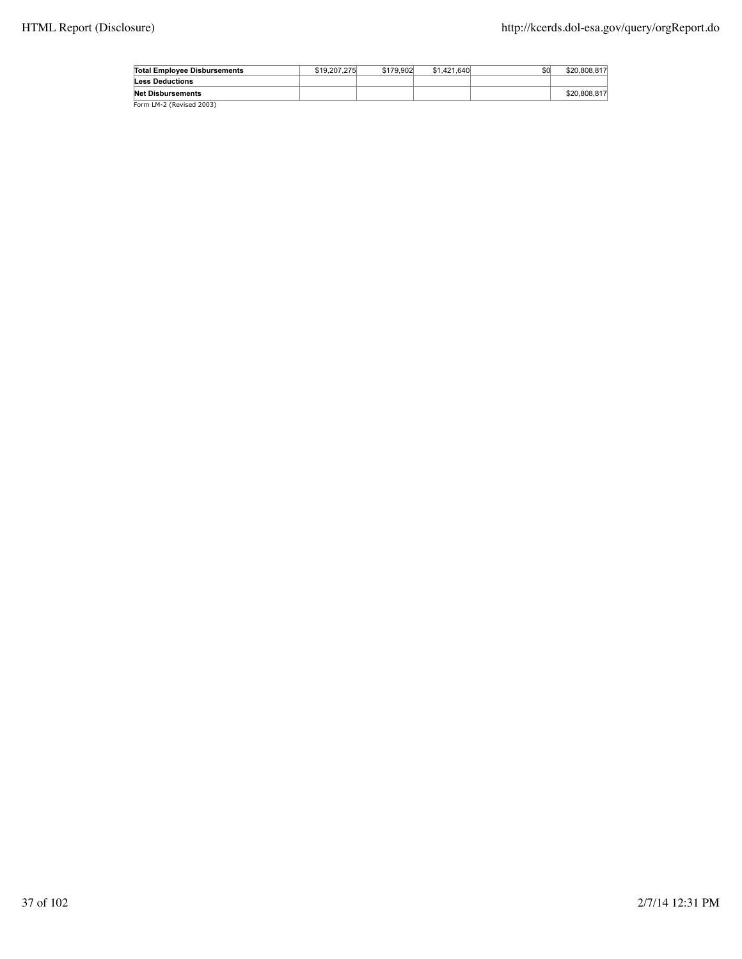| Total Employee Disbursements | \$19,207,275 | \$179.902 | \$1,421,640 | \$0 | \$20,808,817 |
|------------------------------|--------------|-----------|-------------|-----|--------------|
| <b>Less Deductions</b>       |              |           |             |     |              |
| <b>Net Disbursements</b>     |              |           |             |     | \$20,808,817 |
| Form LM-2 (Revised 2003)     |              |           |             |     |              |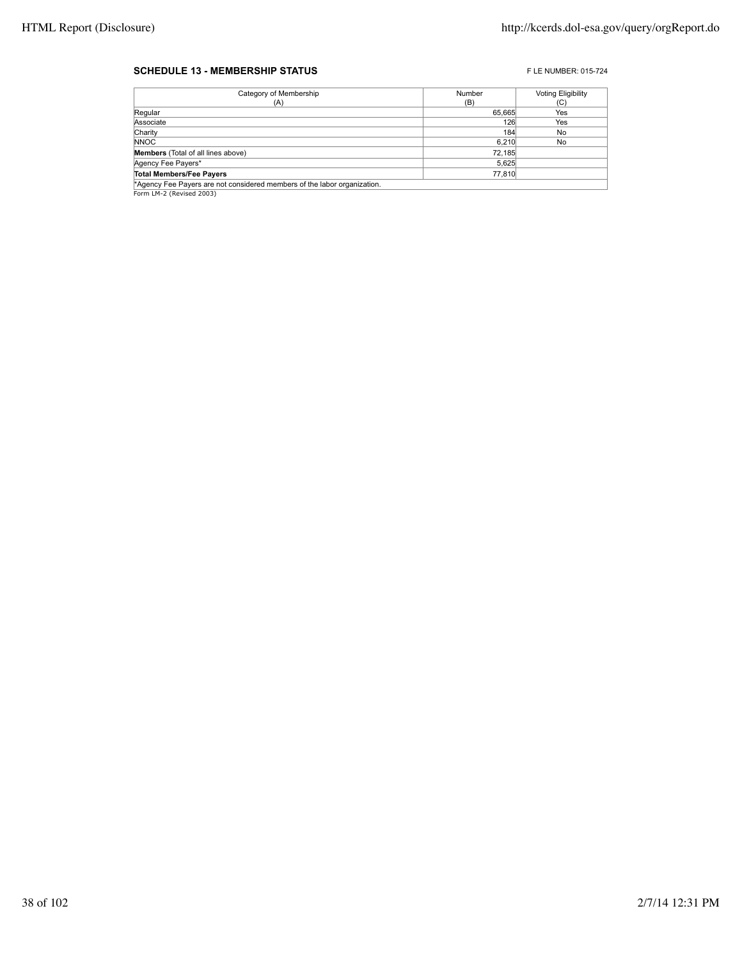#### **SCHEDULE 13 - MEMBERSHIP STATUS EXECUTE 2015-724** FLE NUMBER: 015-724

| Category of Membership                                                   | Number | <b>Voting Eligibility</b> |
|--------------------------------------------------------------------------|--------|---------------------------|
| (A)                                                                      | (B)    | (C)                       |
| Regular                                                                  | 65,665 | Yes                       |
| Associate                                                                | 126    | Yes                       |
| Charity                                                                  | 184    | No                        |
| <b>NNOC</b>                                                              | 6.210  | No                        |
| Members (Total of all lines above)                                       | 72,185 |                           |
| Agency Fee Payers*                                                       | 5,625  |                           |
| <b>Total Members/Fee Payers</b>                                          | 77,810 |                           |
| *Agency Fee Payers are not considered members of the labor organization. |        |                           |

**Agency Fee Payers are n\***<br>Form LM-2 (Revised 2003)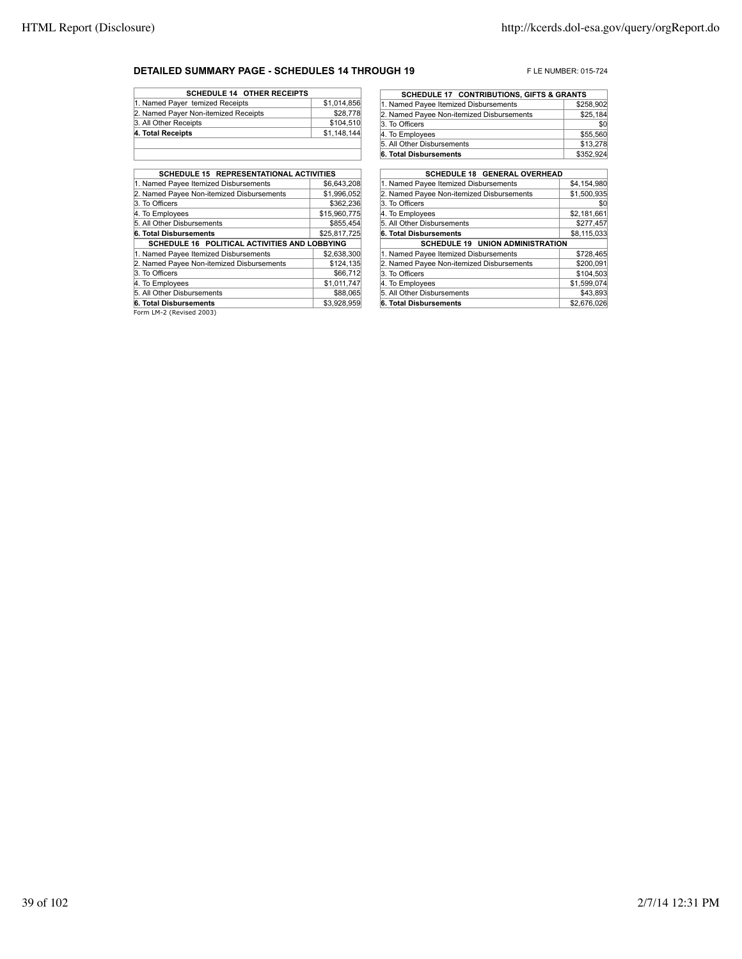### **DETAILED SUMMARY PAGE - SCHEDULES 14 THROUGH 19** FLE NUMBER: 015-724

| <b>SCHEDULE 14 OTHER RECEIPTS</b>    |             |
|--------------------------------------|-------------|
| 1. Named Payer temized Receipts      | \$1,014,856 |
| 2. Named Payer Non-itemized Receipts | \$28,778    |
| 3. All Other Receipts                | \$104,510   |
| 4. Total Receipts                    | \$1,148,144 |
|                                      |             |

| <b>SCHEDULE 15 REPRESENTATIONAL ACTIVITIES</b> |              |
|------------------------------------------------|--------------|
| 1. Named Payee Itemized Disbursements          | \$6,643,208  |
| 2. Named Payee Non-itemized Disbursements      | \$1,996,052  |
| 3. To Officers                                 | \$362.236    |
| 4. To Employees                                | \$15,960,775 |
| 5. All Other Disbursements                     | \$855.454    |
| 6. Total Disbursements                         | \$25,817,725 |
| SCHEDULE 16 POLITICAL ACTIVITIES AND LOBBYING  |              |
| 1. Named Payee Itemized Disbursements          | \$2,638,300  |
| 2. Named Payee Non-itemized Disbursements      | \$124,135    |
| 3. To Officers                                 | \$66,712     |
| 4. To Employees                                | \$1,011,747  |
| 5. All Other Disbursements                     | \$88,065     |
| 6. Total Disbursements                         | \$3.928.959  |
| Form IM 2 (David 2002)                         |              |

Form LM-2 (Revised 2003)

| <b>SCHEDULE 17 CONTRIBUTIONS, GIFTS &amp; GRANTS</b> |           |
|------------------------------------------------------|-----------|
| 1. Named Payee Itemized Disbursements                | \$258,902 |
| 2. Named Payee Non-itemized Disbursements            | \$25,184  |
| 3. To Officers                                       | \$0       |
| 4. To Employees                                      | \$55,560  |
| 5. All Other Disbursements                           | \$13,278  |
| 6. Total Disbursements                               | \$352,924 |

| <b>SCHEDULE 18 GENERAL OVERHEAD</b>       |             |
|-------------------------------------------|-------------|
| 1. Named Payee Itemized Disbursements     | \$4,154,980 |
| 2. Named Payee Non-itemized Disbursements | \$1,500,935 |
| 3. To Officers                            | \$0         |
| 4. To Employees                           | \$2,181,661 |
| 5. All Other Disbursements                | \$277.457   |
| 6. Total Disbursements                    | \$8,115,033 |
| <b>SCHEDULE 19 UNION ADMINISTRATION</b>   |             |
| 1. Named Payee Itemized Disbursements     | \$728,465   |
| 2. Named Payee Non-itemized Disbursements | \$200,091   |
| 3. To Officers                            | \$104.503   |
| 4. To Employees                           | \$1,599,074 |
| 5. All Other Disbursements                | \$43,893    |
| 6. Total Disbursements                    | \$2,676,026 |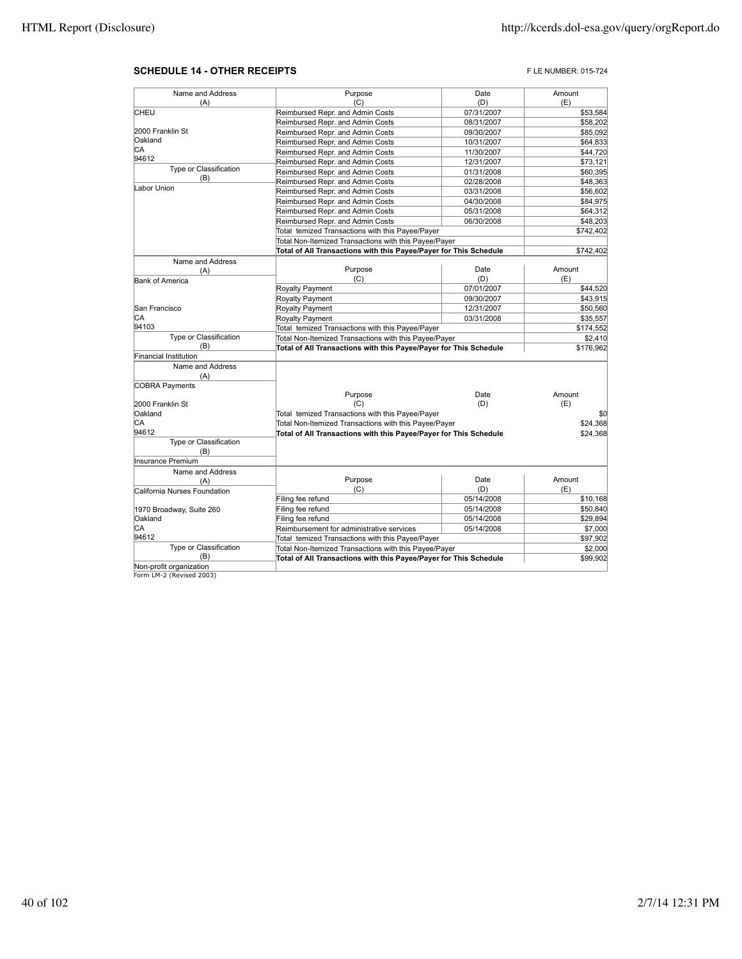#### **SCHEDULE 14 - OTHER RECEIPTS FLE NUMBER: 015-724**

| Name and Address             | Purpose                                                           | Date       | Amount    |
|------------------------------|-------------------------------------------------------------------|------------|-----------|
| (A)                          | (C)                                                               | (D)        | (E)       |
| CHEU                         | Reimbursed Repr. and Admin Costs                                  | 07/31/2007 | \$53,584  |
|                              | Reimbursed Repr. and Admin Costs                                  | 08/31/2007 | \$58,202  |
| 2000 Franklin St             | Reimbursed Repr. and Admin Costs                                  | 09/30/2007 | \$85,092  |
| Oakland                      | Reimbursed Repr. and Admin Costs                                  | 10/31/2007 | \$64,833  |
| СA                           | Reimbursed Repr. and Admin Costs                                  |            | \$44,720  |
| 94612                        |                                                                   | 11/30/2007 |           |
| Type or Classification       | Reimbursed Repr. and Admin Costs                                  | 12/31/2007 | \$73,121  |
| (B)                          | Reimbursed Repr. and Admin Costs                                  | 01/31/2008 | \$60,395  |
| Labor Union                  | Reimbursed Repr. and Admin Costs                                  | 02/28/2008 | \$48,363  |
|                              | Reimbursed Repr. and Admin Costs                                  | 03/31/2008 | \$56,602  |
|                              | Reimbursed Repr. and Admin Costs                                  | 04/30/2008 | \$84,975  |
|                              | Reimbursed Repr. and Admin Costs                                  | 05/31/2008 | \$64,312  |
|                              | Reimbursed Repr. and Admin Costs                                  | 06/30/2008 | \$48,203  |
|                              | Total temized Transactions with this Payee/Payer                  |            | \$742,402 |
|                              | Total Non-Itemized Transactions with this Payee/Payer             |            |           |
|                              | Total of All Transactions with this Payee/Payer for This Schedule |            | \$742,402 |
| Name and Address             |                                                                   |            |           |
| (A)                          | Purpose                                                           | Date       | Amount    |
| <b>Bank of America</b>       | (C)                                                               | (D)        | (E)       |
|                              | Royalty Payment                                                   | 07/01/2007 | \$44,520  |
|                              | Royalty Payment                                                   | 09/30/2007 | \$43,915  |
| San Francisco                | Royalty Payment                                                   | 12/31/2007 | \$50,560  |
| IСA                          | Royalty Payment                                                   | 03/31/2008 | \$35,557  |
| 94103                        | Total temized Transactions with this Payee/Payer                  |            | \$174,552 |
| Type or Classification       | Total Non-Itemized Transactions with this Payee/Payer             |            | \$2,410   |
| (B)                          | Total of All Transactions with this Payee/Payer for This Schedule |            | \$176,962 |
| Financial Institution        |                                                                   |            |           |
| Name and Address             |                                                                   |            |           |
| (A)                          |                                                                   |            |           |
| <b>COBRA Payments</b>        |                                                                   |            |           |
|                              | Purpose                                                           | Date       | Amount    |
| 2000 Franklin St             | (C)                                                               | (D)        | (E)       |
| Oakland                      | Total temized Transactions with this Payee/Payer                  |            | \$0       |
| СA                           | Total Non-Itemized Transactions with this Payee/Payer             |            | \$24,368  |
| 94612                        | Total of All Transactions with this Payee/Payer for This Schedule |            | \$24,368  |
| Type or Classification       |                                                                   |            |           |
| (B)                          |                                                                   |            |           |
| Insurance Premium            |                                                                   |            |           |
| Name and Address             |                                                                   |            |           |
| (A)                          | Purpose                                                           | Date       | Amount    |
| California Nurses Foundation | (C)                                                               | (D)        | (E)       |
|                              | Filing fee refund                                                 | 05/14/2008 | \$10,168  |
| 1970 Broadway, Suite 260     | Filing fee refund                                                 | 05/14/2008 | \$50,840  |
| Oakland                      | Filing fee refund                                                 | 05/14/2008 | \$29,894  |
| СA                           | Reimbursement for administrative services                         | 05/14/2008 | \$7,000   |
| 94612                        | Total temized Transactions with this Payee/Payer                  |            | \$97,902  |
| Type or Classification       | Total Non-Itemized Transactions with this Payee/Payer             |            | \$2,000   |
| (B)                          | Total of All Transactions with this Payee/Payer for This Schedule |            | \$99,902  |
| Non-profit organization      |                                                                   |            |           |
| Form LM-2 (Revised 2003)     |                                                                   |            |           |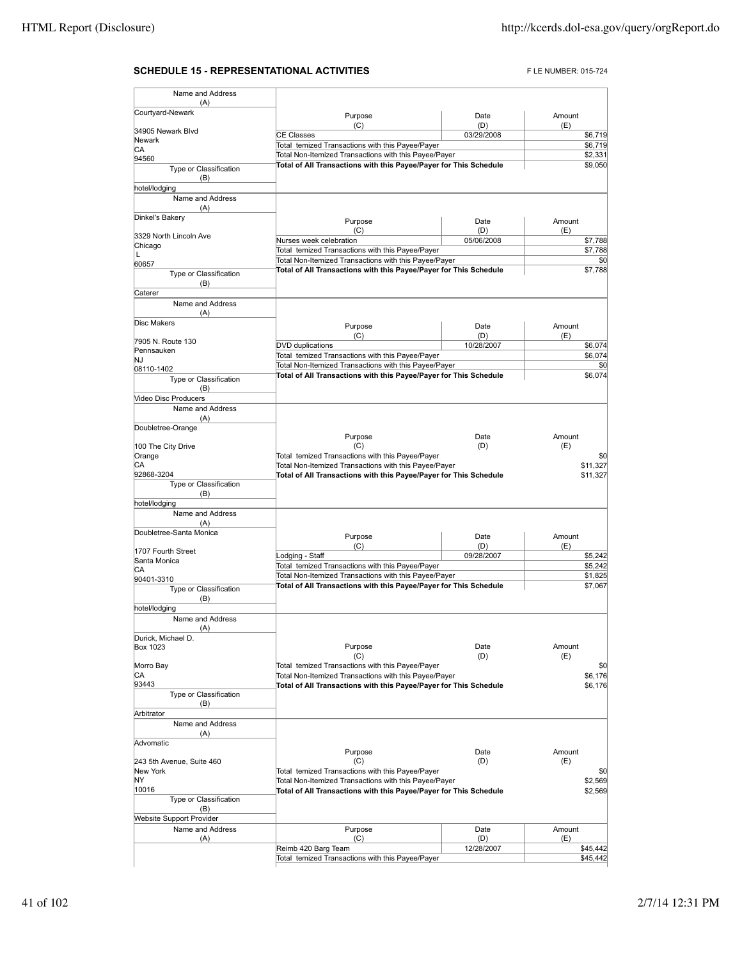## **SCHEDULE 15 - REPRESENTATIONAL ACTIVITIES** FLE NUMBER: 015-724

| Name and Address                            |                                                                   |                   |               |         |
|---------------------------------------------|-------------------------------------------------------------------|-------------------|---------------|---------|
| (A)<br>Courtyard-Newark                     |                                                                   |                   |               |         |
|                                             | Purpose<br>(C)                                                    | Date<br>(D)       | Amount<br>(E) |         |
| 34905 Newark Blvd                           | <b>CE Classes</b>                                                 | 03/29/2008        |               | \$6,719 |
| <b>Newark</b><br>СA                         | Total temized Transactions with this Payee/Payer                  |                   |               | \$6,719 |
| 94560                                       | Total Non-Itemized Transactions with this Payee/Payer             |                   |               | \$2,331 |
| Type or Classification                      | Total of All Transactions with this Payee/Payer for This Schedule |                   |               | \$9,050 |
| (B)                                         |                                                                   |                   |               |         |
| hotel/lodging                               |                                                                   |                   |               |         |
| Name and Address<br>(A)                     |                                                                   |                   |               |         |
| Dinkel's Bakery                             |                                                                   |                   |               |         |
|                                             | Purpose<br>(C)                                                    | Date<br>(D)       | Amount<br>(E) |         |
| 3329 North Lincoln Ave                      | Nurses week celebration                                           | 05/06/2008        |               | \$7,788 |
| Chicago<br>L                                | Total temized Transactions with this Payee/Payer                  |                   |               | \$7,788 |
| 60657                                       | Total Non-Itemized Transactions with this Payee/Payer             |                   |               | \$0     |
| Type or Classification                      | Total of All Transactions with this Payee/Payer for This Schedule |                   |               | \$7,788 |
| (B)                                         |                                                                   |                   |               |         |
| Caterer                                     |                                                                   |                   |               |         |
| Name and Address                            |                                                                   |                   |               |         |
| (A)<br>Disc Makers                          |                                                                   |                   |               |         |
|                                             | Purpose                                                           | Date              | Amount        |         |
| 7905 N. Route 130                           | (C)<br>DVD duplications                                           | (D)<br>10/28/2007 | (E)           | \$6,074 |
| Pennsauken                                  | Total temized Transactions with this Payee/Payer                  |                   |               | \$6,074 |
| NJ                                          | Total Non-Itemized Transactions with this Payee/Payer             |                   |               | \$0     |
| 08110-1402<br><b>Type or Classification</b> | Total of All Transactions with this Payee/Payer for This Schedule |                   |               | \$6,074 |
| (B)                                         |                                                                   |                   |               |         |
| <b>Video Disc Producers</b>                 |                                                                   |                   |               |         |
| Name and Address                            |                                                                   |                   |               |         |
| (A)                                         |                                                                   |                   |               |         |
| Doubletree-Orange                           |                                                                   |                   | Amount        |         |
| 100 The City Drive                          | Purpose<br>(C)                                                    | Date<br>(D)       | (E)           |         |
| Orange                                      | Total temized Transactions with this Payee/Payer                  |                   |               | \$0     |
| СA                                          | Total Non-Itemized Transactions with this Payee/Payer             |                   | \$11,327      |         |
| 92868-3204                                  | Total of All Transactions with this Payee/Payer for This Schedule |                   | \$11,327      |         |
| Type or Classification                      |                                                                   |                   |               |         |
| (B)<br>hotel/lodging                        |                                                                   |                   |               |         |
| Name and Address                            |                                                                   |                   |               |         |
| (A)                                         |                                                                   |                   |               |         |
| Doubletree-Santa Monica                     | Purpose                                                           | Date              | Amount        |         |
|                                             | (C)                                                               | (D)               | (E)           |         |
| 1707 Fourth Street                          | Lodging - Staff                                                   | 09/28/2007        |               | \$5,242 |
| Santa Monica<br>IСA                         | Total temized Transactions with this Payee/Payer                  |                   |               | \$5,242 |
| 90401-3310                                  | Total Non-Itemized Transactions with this Payee/Payer             |                   |               | \$1,825 |
| Type or Classification                      | Total of All Transactions with this Payee/Payer for This Schedule |                   |               | \$7,067 |
| (B)                                         |                                                                   |                   |               |         |
| hotel/lodging                               |                                                                   |                   |               |         |
| Name and Address                            |                                                                   |                   |               |         |
| (A)<br>Durick, Michael D.                   |                                                                   |                   |               |         |
| <b>Box 1023</b>                             | Purpose                                                           | Date              | Amount        |         |
|                                             | (C)                                                               | (D)               | (E)           |         |
| Morro Bay                                   | Total temized Transactions with this Payee/Payer                  |                   |               | \$0     |
| CА                                          | Total Non-Itemized Transactions with this Payee/Payer             |                   |               | \$6,176 |
| 93443<br>Type or Classification             | Total of All Transactions with this Payee/Payer for This Schedule |                   |               | \$6,176 |
| (B)                                         |                                                                   |                   |               |         |
| Arbitrator                                  |                                                                   |                   |               |         |
| Name and Address                            |                                                                   |                   |               |         |
| (A)                                         |                                                                   |                   |               |         |
| Advomatic                                   |                                                                   |                   |               |         |
| 243 5th Avenue, Suite 460                   | Purpose<br>(C)                                                    | Date<br>(D)       | Amount<br>(E) |         |
| New York                                    | Total temized Transactions with this Payee/Payer                  |                   |               | \$0     |
| NY.                                         | Total Non-Itemized Transactions with this Payee/Payer             |                   |               | \$2,569 |
| 10016                                       | Total of All Transactions with this Payee/Payer for This Schedule |                   |               | \$2,569 |
| Type or Classification                      |                                                                   |                   |               |         |
| (B)                                         |                                                                   |                   |               |         |
| Website Support Provider                    |                                                                   |                   |               |         |
| Name and Address<br>(A)                     | Purpose<br>(C)                                                    | Date<br>(D)       | Amount<br>(E) |         |
|                                             | Reimb 420 Barg Team                                               | 12/28/2007        | \$45,442      |         |
|                                             | Total temized Transactions with this Payee/Payer                  |                   | \$45,442      |         |
|                                             |                                                                   |                   |               |         |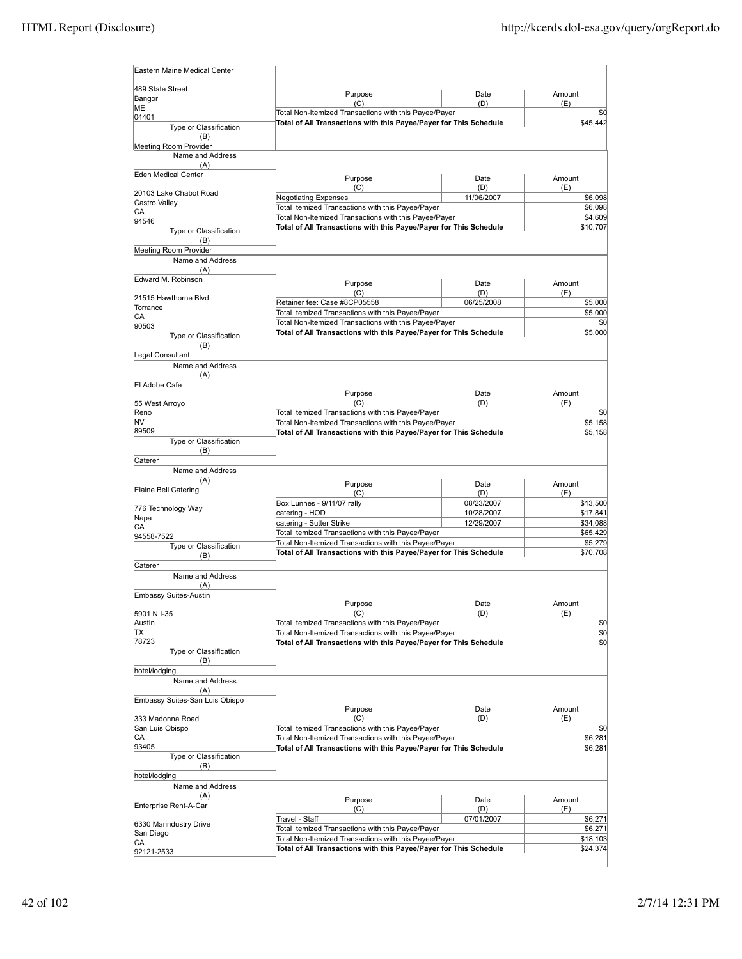| Eastern Maine Medical Center              |                                                                                                                            |             |                      |         |
|-------------------------------------------|----------------------------------------------------------------------------------------------------------------------------|-------------|----------------------|---------|
| 489 State Street<br>Bangor                | Purpose                                                                                                                    | Date        | Amount               |         |
| ΙMΕ                                       | (C)<br>Total Non-Itemized Transactions with this Payee/Payer                                                               | (D)         | (E)                  | \$0     |
| 04401                                     | Total of All Transactions with this Payee/Payer for This Schedule                                                          |             | \$45,442             |         |
| Type or Classification<br>(B)             |                                                                                                                            |             |                      |         |
| Meeting Room Provider                     |                                                                                                                            |             |                      |         |
| Name and Address                          |                                                                                                                            |             |                      |         |
| (A)                                       |                                                                                                                            |             |                      |         |
| Eden Medical Center                       | Purpose                                                                                                                    | Date        | Amount               |         |
| 20103 Lake Chabot Road                    | (C)                                                                                                                        | (D)         | (E)                  |         |
| Castro Valley                             | <b>Negotiating Expenses</b>                                                                                                | 11/06/2007  |                      | \$6,098 |
| СA                                        | Total temized Transactions with this Payee/Payer                                                                           |             |                      | \$6,098 |
| 94546                                     | Total Non-Itemized Transactions with this Payee/Payer                                                                      |             |                      | \$4,609 |
| Type or Classification                    | Total of All Transactions with this Payee/Payer for This Schedule                                                          |             | \$10,707             |         |
| (B)                                       |                                                                                                                            |             |                      |         |
| Meeting Room Provider<br>Name and Address |                                                                                                                            |             |                      |         |
| (A)                                       |                                                                                                                            |             |                      |         |
| Edward M. Robinson                        |                                                                                                                            |             |                      |         |
|                                           | Purpose<br>(C)                                                                                                             | Date<br>(D) | Amount<br>(E)        |         |
| 21515 Hawthorne Blvd                      | Retainer fee: Case #8CP05558                                                                                               | 06/25/2008  | \$5,000              |         |
| Torrance                                  | Total temized Transactions with this Payee/Payer                                                                           |             |                      | \$5,000 |
| СA<br>90503                               | Total Non-Itemized Transactions with this Payee/Payer                                                                      |             |                      | \$0     |
| Type or Classification                    | Total of All Transactions with this Payee/Payer for This Schedule                                                          |             |                      | \$5,000 |
| (B)                                       |                                                                                                                            |             |                      |         |
| Legal Consultant                          |                                                                                                                            |             |                      |         |
| Name and Address                          |                                                                                                                            |             |                      |         |
| (A)                                       |                                                                                                                            |             |                      |         |
| El Adobe Cafe                             | Purpose                                                                                                                    | Date        | Amount               |         |
| 55 West Arroyo                            | (C)                                                                                                                        | (D)         | (E)                  |         |
| Reno                                      | Total temized Transactions with this Payee/Payer                                                                           |             |                      | \$0     |
| NV                                        | Total Non-Itemized Transactions with this Payee/Payer                                                                      |             |                      | \$5,158 |
| 89509                                     | Total of All Transactions with this Payee/Payer for This Schedule                                                          |             |                      | \$5,158 |
| Type or Classification                    |                                                                                                                            |             |                      |         |
| (B)<br>Caterer                            |                                                                                                                            |             |                      |         |
| Name and Address                          |                                                                                                                            |             |                      |         |
| (A)                                       |                                                                                                                            |             |                      |         |
| Elaine Bell Catering                      | Purpose<br>(C)                                                                                                             | Date<br>(D) | Amount<br>(E)        |         |
|                                           | Box Lunhes - 9/11/07 rally                                                                                                 | 08/23/2007  | \$13,500             |         |
| 776 Technology Way                        | catering - HOD                                                                                                             | 10/28/2007  | \$17,841             |         |
| Napa<br>СA                                | catering - Sutter Strike                                                                                                   | 12/29/2007  | \$34,088             |         |
| 94558-7522                                | Total temized Transactions with this Payee/Payer                                                                           |             | \$65,429             |         |
| Type or Classification                    | Total Non-Itemized Transactions with this Payee/Payer                                                                      |             |                      | \$5,279 |
| (B)                                       | Total of All Transactions with this Payee/Payer for This Schedule                                                          |             | \$70,708             |         |
| Caterer                                   |                                                                                                                            |             |                      |         |
| Name and Address                          |                                                                                                                            |             |                      |         |
| (A)<br>Embassy Suites-Austin              |                                                                                                                            |             |                      |         |
|                                           |                                                                                                                            |             |                      |         |
|                                           |                                                                                                                            |             |                      |         |
|                                           | Purpose<br>(C)                                                                                                             | Date        | Amount               |         |
| 5901 N I-35<br>Austin                     | Total temized Transactions with this Payee/Payer                                                                           | (D)         | (E)                  | \$0     |
| ΠX                                        | Total Non-Itemized Transactions with this Payee/Payer                                                                      |             |                      | \$0     |
| 78723                                     | Total of All Transactions with this Payee/Payer for This Schedule                                                          |             |                      | \$O     |
| Type or Classification                    |                                                                                                                            |             |                      |         |
| (B)                                       |                                                                                                                            |             |                      |         |
| hotel/lodging<br>Name and Address         |                                                                                                                            |             |                      |         |
| (A)                                       |                                                                                                                            |             |                      |         |
| Embassy Suites-San Luis Obispo            |                                                                                                                            |             |                      |         |
|                                           | Purpose                                                                                                                    | Date        | Amount               |         |
| 333 Madonna Road                          | (C)                                                                                                                        | (D)         | (E)                  |         |
| San Luis Obispo                           | Total temized Transactions with this Payee/Payer                                                                           |             |                      | \$0     |
| CА<br>93405                               | Total Non-Itemized Transactions with this Payee/Payer                                                                      |             |                      | \$6,281 |
| Type or Classification                    | Total of All Transactions with this Payee/Payer for This Schedule                                                          |             |                      | \$6,281 |
| (B)                                       |                                                                                                                            |             |                      |         |
| hotel/lodging                             |                                                                                                                            |             |                      |         |
| Name and Address                          |                                                                                                                            |             |                      |         |
| (A)                                       | Purpose                                                                                                                    | Date        | Amount               |         |
| Enterprise Rent-A-Car                     | (C)                                                                                                                        | (D)         | (E)                  |         |
| 6330 Marindustry Drive                    | Travel - Staff                                                                                                             | 07/01/2007  | \$6,271              |         |
| San Diego                                 | Total temized Transactions with this Payee/Payer                                                                           |             | \$6,271              |         |
| СA<br>92121-2533                          | Total Non-Itemized Transactions with this Payee/Payer<br>Total of All Transactions with this Payee/Payer for This Schedule |             | \$18,103<br>\$24,374 |         |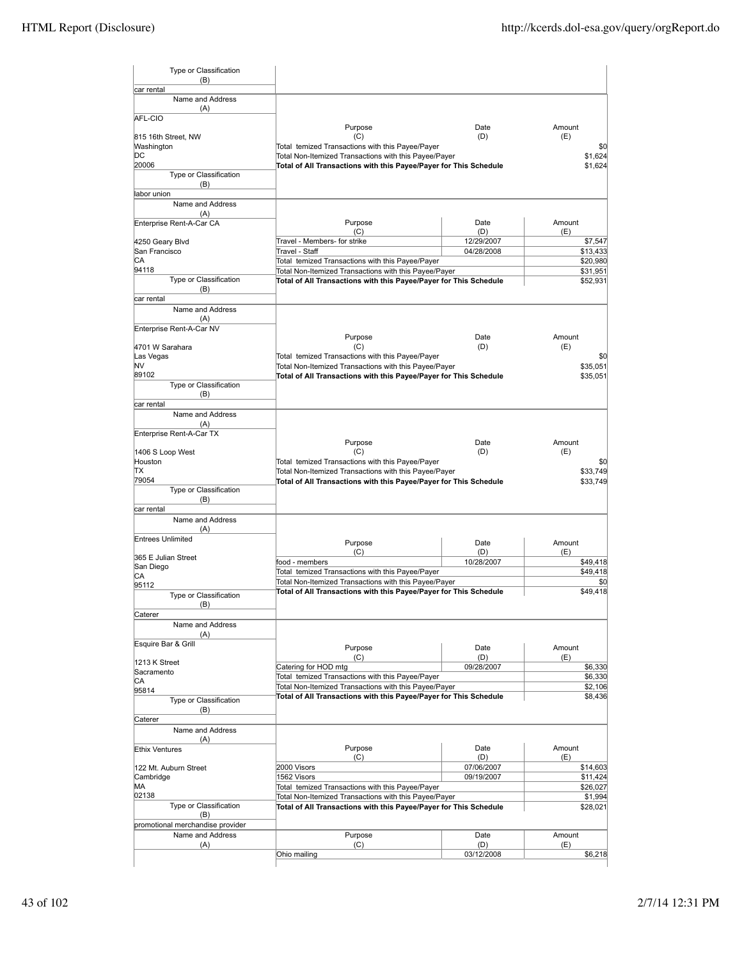| Type or Classification<br>(B)     |                                                                   |                   |                |
|-----------------------------------|-------------------------------------------------------------------|-------------------|----------------|
| car rental<br>Name and Address    |                                                                   |                   |                |
| (A)                               |                                                                   |                   |                |
| AFL-CIO                           |                                                                   |                   |                |
|                                   | Purpose                                                           | Date<br>(D)       | Amount         |
| 815 16th Street. NW<br>Washington | (C)<br>Total temized Transactions with this Payee/Payer           |                   | (E)<br>\$0     |
| DС                                | Total Non-Itemized Transactions with this Payee/Payer             |                   | \$1,624        |
| 20006                             | Total of All Transactions with this Payee/Payer for This Schedule |                   | \$1,624        |
| Type or Classification            |                                                                   |                   |                |
| (B)                               |                                                                   |                   |                |
| labor union                       |                                                                   |                   |                |
| Name and Address                  |                                                                   |                   |                |
| (A)<br>Enterprise Rent-A-Car CA   | Purpose                                                           | Date              | Amount         |
|                                   | (C)                                                               | (D)               | (E)            |
| 4250 Geary Blvd                   | Travel - Members- for strike                                      | 12/29/2007        | \$7,547        |
| San Francisco                     | Travel - Staff                                                    | 04/28/2008        | \$13,433       |
| СA                                | Total temized Transactions with this Payee/Payer                  |                   | \$20,980       |
| 94118                             | Total Non-Itemized Transactions with this Payee/Payer             |                   | \$31,951       |
| Type or Classification            | Total of All Transactions with this Payee/Payer for This Schedule |                   | \$52,931       |
| (B)<br>car rental                 |                                                                   |                   |                |
| Name and Address                  |                                                                   |                   |                |
| (A)                               |                                                                   |                   |                |
| Enterprise Rent-A-Car NV          |                                                                   |                   |                |
|                                   | Purpose                                                           | Date              | Amount         |
| 4701 W Sarahara                   | (C)                                                               | (D)               | (E)            |
| Las Vegas                         | Total temized Transactions with this Payee/Payer                  |                   | \$0            |
| NV                                | Total Non-Itemized Transactions with this Payee/Payer             |                   | \$35,051       |
| 89102<br>Type or Classification   | Total of All Transactions with this Payee/Payer for This Schedule |                   | \$35,051       |
| (B)                               |                                                                   |                   |                |
| car rental                        |                                                                   |                   |                |
| Name and Address                  |                                                                   |                   |                |
| (A)                               |                                                                   |                   |                |
| Enterprise Rent-A-Car TX          |                                                                   |                   |                |
|                                   | Purpose                                                           | Date              | Amount         |
| 1406 S Loop West                  | (C)                                                               | (D)               | (E)            |
| Houston                           | Total temized Transactions with this Payee/Payer                  |                   | \$0            |
| ΠX<br>79054                       | Total Non-Itemized Transactions with this Payee/Payer             |                   | \$33,749       |
| Type or Classification            | Total of All Transactions with this Payee/Payer for This Schedule |                   | \$33,749       |
| (B)                               |                                                                   |                   |                |
| car rental                        |                                                                   |                   |                |
| Name and Address                  |                                                                   |                   |                |
| (A)                               |                                                                   |                   |                |
| <b>Entrees Unlimited</b>          | Purpose                                                           | Date              | Amount         |
|                                   | (C)                                                               | (D)               | (E)            |
| 365 E Julian Street<br>San Diego  | food - members                                                    | 10/28/2007        | \$49,418       |
| CА                                | Total temized Transactions with this Payee/Payer                  |                   | \$49,418       |
| 95112                             | Total Non-Itemized Transactions with this Payee/Payer             |                   | \$0            |
| Type or Classification            | Total of All Transactions with this Payee/Payer for This Schedule |                   | \$49,418       |
| (B)                               |                                                                   |                   |                |
| Caterer                           |                                                                   |                   |                |
| Name and Address                  |                                                                   |                   |                |
| (A)                               |                                                                   |                   |                |
| Esquire Bar & Grill               | Purpose                                                           | Date              | Amount         |
| 1213 K Street                     | (C)                                                               | (D)               | (E)            |
| Sacramento                        | Catering for HOD mtg                                              | 09/28/2007        | \$6,330        |
| СA                                | Total temized Transactions with this Payee/Payer                  |                   | \$6,330        |
| 95814                             | Total Non-Itemized Transactions with this Payee/Payer             |                   | \$2,106        |
| Type or Classification            | Total of All Transactions with this Payee/Payer for This Schedule |                   | \$8,436        |
| (B)                               |                                                                   |                   |                |
| Caterer                           |                                                                   |                   |                |
| Name and Address                  |                                                                   |                   |                |
| (A)<br><b>Ethix Ventures</b>      | Purpose                                                           | Date              | Amount         |
|                                   | (C)                                                               | (D)               | (E)            |
| 122 Mt. Auburn Street             | 2000 Visors                                                       | 07/06/2007        | \$14,603       |
| Cambridge                         | 1562 Visors                                                       | 09/19/2007        | \$11,424       |
| MA                                | Total temized Transactions with this Payee/Payer                  |                   | \$26,027       |
| 02138                             | Total Non-Itemized Transactions with this Payee/Payer             |                   | \$1,994        |
| Type or Classification            | Total of All Transactions with this Payee/Payer for This Schedule |                   | \$28,021       |
| (B)                               |                                                                   |                   |                |
| promotional merchandise provider  |                                                                   |                   |                |
| Name and Address                  | Purpose<br>(C)                                                    | Date              | Amount         |
| (A)                               | Ohio mailing                                                      | (D)<br>03/12/2008 | (E)<br>\$6,218 |
|                                   |                                                                   |                   |                |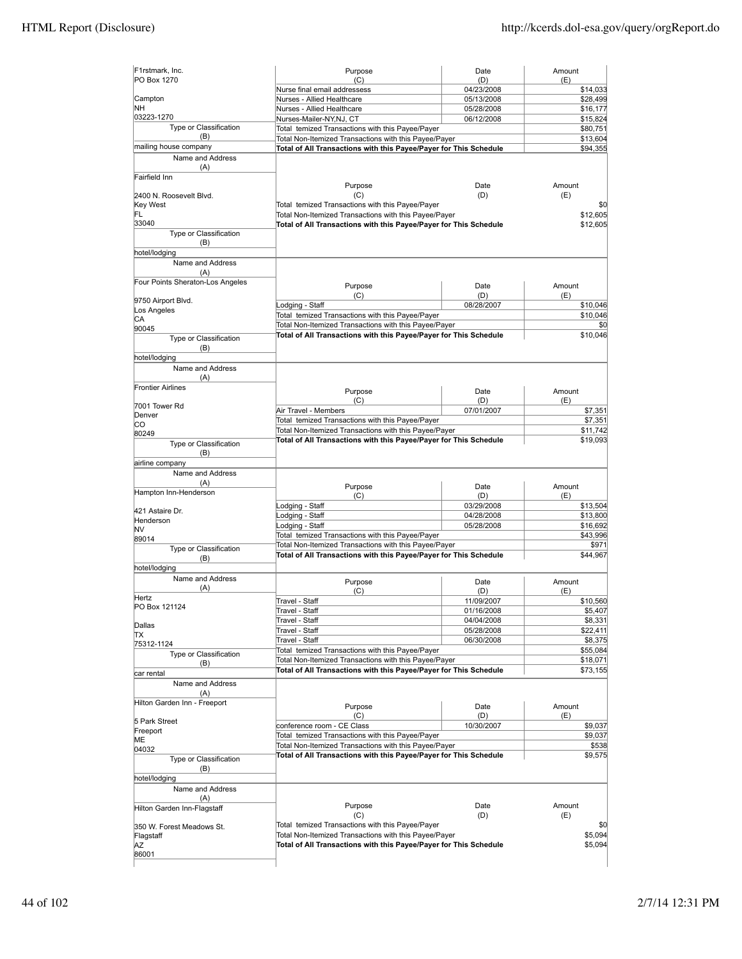| F1rstmark, Inc.<br>PO Box 1270   | Purpose<br>(C)                                                                                                             | Date<br>(D) | Amount<br>(E) |
|----------------------------------|----------------------------------------------------------------------------------------------------------------------------|-------------|---------------|
|                                  | Nurse final email addressess                                                                                               | 04/23/2008  | \$14,033      |
| Campton                          | Nurses - Allied Healthcare                                                                                                 | 05/13/2008  | \$28,499      |
| NΗ                               | Nurses - Allied Healthcare                                                                                                 | 05/28/2008  | \$16,177      |
| 03223-1270                       | Nurses-Mailer-NY,NJ, CT                                                                                                    | 06/12/2008  | \$15,824      |
| Type or Classification           | Total temized Transactions with this Payee/Payer                                                                           |             | \$80,751      |
| (B)                              | Total Non-Itemized Transactions with this Payee/Payer                                                                      |             | \$13,604      |
| mailing house company            | Total of All Transactions with this Payee/Payer for This Schedule                                                          |             | \$94,355      |
| Name and Address                 |                                                                                                                            |             |               |
| (A)                              |                                                                                                                            |             |               |
| Fairfield Inn                    |                                                                                                                            |             |               |
|                                  | Purpose                                                                                                                    | Date        | Amount        |
| 2400 N. Roosevelt Blvd.          | (C)                                                                                                                        | (D)         | (E)           |
| Key West                         | Total temized Transactions with this Payee/Payer                                                                           |             | \$0           |
| FL                               | Total Non-Itemized Transactions with this Payee/Payer                                                                      |             | \$12,605      |
| 33040                            | Total of All Transactions with this Payee/Payer for This Schedule                                                          |             | \$12,605      |
| Type or Classification           |                                                                                                                            |             |               |
| (B)                              |                                                                                                                            |             |               |
| hotel/lodging                    |                                                                                                                            |             |               |
| Name and Address                 |                                                                                                                            |             |               |
| (A)                              |                                                                                                                            |             |               |
| Four Points Sheraton-Los Angeles |                                                                                                                            |             |               |
|                                  | Purpose                                                                                                                    | Date        | Amount        |
| 9750 Airport Blvd.               | (C)                                                                                                                        | (D)         | (E)           |
| Los Angeles                      | Lodging - Staff                                                                                                            | 08/28/2007  | \$10,046      |
| CA                               | Total temized Transactions with this Payee/Payer                                                                           |             | \$10,046      |
| 90045                            | Total Non-Itemized Transactions with this Payee/Payer                                                                      |             | \$0           |
| Type or Classification           | Total of All Transactions with this Payee/Payer for This Schedule                                                          |             | \$10,046      |
| (B)                              |                                                                                                                            |             |               |
|                                  |                                                                                                                            |             |               |
| hotel/lodging                    |                                                                                                                            |             |               |
| Name and Address                 |                                                                                                                            |             |               |
| (A)                              |                                                                                                                            |             |               |
| <b>Frontier Airlines</b>         | Purpose                                                                                                                    | Date        | Amount        |
|                                  | (C)                                                                                                                        | (D)         | (E)           |
| 7001 Tower Rd                    | Air Travel - Members                                                                                                       | 07/01/2007  | \$7,351       |
| Denver                           | Total temized Transactions with this Payee/Payer                                                                           |             | \$7,351       |
| IСO                              | Total Non-Itemized Transactions with this Payee/Payer                                                                      |             | \$11,742      |
| 80249                            | Total of All Transactions with this Payee/Payer for This Schedule                                                          |             | \$19,093      |
| Type or Classification           |                                                                                                                            |             |               |
| (B)                              |                                                                                                                            |             |               |
| airline company                  |                                                                                                                            |             |               |
| Name and Address                 |                                                                                                                            |             |               |
| (A)                              | Purpose                                                                                                                    | Date        | Amount        |
| Hampton Inn-Henderson            | (C)                                                                                                                        | (D)         | (E)           |
|                                  | odging - Staff                                                                                                             | 03/29/2008  | \$13,504      |
| 421 Astaire Dr.                  | Lodging - Staff                                                                                                            | 04/28/2008  | \$13,800      |
| Henderson                        | Lodging - Staff                                                                                                            | 05/28/2008  | \$16,692      |
| NV                               | Total temized Transactions with this Payee/Payer                                                                           |             | \$43,996      |
| 89014                            |                                                                                                                            |             |               |
| Type or Classification           | Total Non-Itemized Transactions with this Payee/Payer<br>Total of All Transactions with this Payee/Payer for This Schedule |             | \$971         |
| (B)                              |                                                                                                                            |             | \$44,967      |
| hotel/lodging                    |                                                                                                                            |             |               |
| Name and Address                 | Purpose                                                                                                                    | Date        | Amount        |
| (A)                              | (C)                                                                                                                        | (D)         | (E)           |
| Hertz                            | Travel - Staff                                                                                                             | 11/09/2007  | \$10,560      |
| PO Box 121124                    |                                                                                                                            |             | \$5,407       |
|                                  | Travel - Staff                                                                                                             | 01/16/2008  |               |
| Dallas                           | Travel - Staff                                                                                                             | 04/04/2008  | \$8,331       |
| IΤX                              | Travel - Staff                                                                                                             | 05/28/2008  | \$22,411      |
| 75312-1124                       | Travel - Staff                                                                                                             | 06/30/2008  | \$8,375       |
| Type or Classification           | Total temized Transactions with this Payee/Payer                                                                           |             | \$55,084      |
| (B)                              | Total Non-Itemized Transactions with this Payee/Payer                                                                      |             | \$18,071      |
| car rental                       | Total of All Transactions with this Payee/Payer for This Schedule                                                          |             | \$73,155      |
| Name and Address                 |                                                                                                                            |             |               |
| (A)                              |                                                                                                                            |             |               |
| Hilton Garden Inn - Freeport     |                                                                                                                            |             |               |
|                                  | Purpose                                                                                                                    | Date        | Amount        |
| 5 Park Street                    | (C)                                                                                                                        | (D)         | (E)           |
| Freeport                         | conference room - CE Class                                                                                                 | 10/30/2007  | \$9,037       |
| ME                               | Total temized Transactions with this Payee/Payer                                                                           |             | \$9,037       |
| 04032                            | Total Non-Itemized Transactions with this Payee/Payer                                                                      |             | \$538         |
| Type or Classification           | Total of All Transactions with this Payee/Payer for This Schedule                                                          |             | \$9,575       |
| (B)                              |                                                                                                                            |             |               |
|                                  |                                                                                                                            |             |               |
| hotel/lodging                    |                                                                                                                            |             |               |
| Name and Address                 |                                                                                                                            |             |               |
| (A)                              | Purpose                                                                                                                    | Date        | Amount        |
| Hilton Garden Inn-Flagstaff      |                                                                                                                            |             | (E)           |
|                                  | (C)                                                                                                                        | (D)         |               |
| 350 W. Forest Meadows St.        | Total temized Transactions with this Payee/Payer                                                                           |             | \$0           |
| Flagstaff                        | Total Non-Itemized Transactions with this Payee/Payer                                                                      |             | \$5,094       |
| ΑZ                               | Total of All Transactions with this Payee/Payer for This Schedule                                                          |             | \$5,094       |
| 86001                            |                                                                                                                            |             |               |
|                                  |                                                                                                                            |             |               |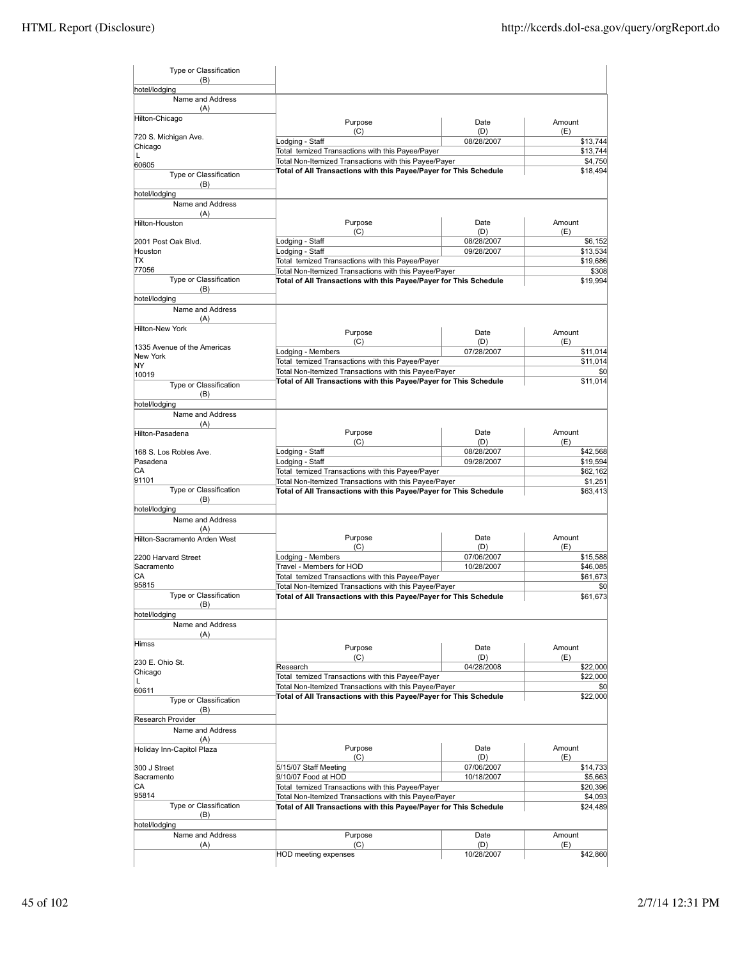| Type or Classification<br>(B)                |                                                                                                           |                          |                                                        |
|----------------------------------------------|-----------------------------------------------------------------------------------------------------------|--------------------------|--------------------------------------------------------|
| hotel/lodging                                |                                                                                                           |                          |                                                        |
| Name and Address<br>(A)                      |                                                                                                           |                          |                                                        |
| Hilton-Chicago                               | Purpose<br>(C)                                                                                            | Date<br>(D)              | Amount<br>(E)                                          |
| 720 S. Michigan Ave.                         | Lodging - Staff                                                                                           | 08/28/2007               | \$13,744                                               |
| Chicago<br>L                                 | Total temized Transactions with this Payee/Payer                                                          |                          | \$13,744                                               |
| 60605                                        | Total Non-Itemized Transactions with this Payee/Payer                                                     |                          | \$4,750                                                |
| Type or Classification<br>(B)                | Total of All Transactions with this Payee/Payer for This Schedule                                         |                          | \$18,494                                               |
| hotel/lodging<br>Name and Address            |                                                                                                           |                          |                                                        |
| (A)                                          |                                                                                                           |                          |                                                        |
| Hilton-Houston                               | Purpose<br>(C)                                                                                            | Date<br>(D)              | Amount<br>(E)                                          |
| 2001 Post Oak Blvd.                          | Lodging - Staff                                                                                           | 08/28/2007               | \$6,152                                                |
| Houston                                      | Lodging - Staff                                                                                           | 09/28/2007               | \$13,534                                               |
| ТX<br>77056                                  | Total temized Transactions with this Payee/Payer<br>Total Non-Itemized Transactions with this Payee/Payer |                          | \$19,686<br>\$308                                      |
| Type or Classification                       | Total of All Transactions with this Payee/Payer for This Schedule                                         |                          | \$19,994                                               |
| (B)                                          |                                                                                                           |                          |                                                        |
| hotel/lodging                                |                                                                                                           |                          |                                                        |
| Name and Address<br>(A)                      |                                                                                                           |                          |                                                        |
| <b>Hilton-New York</b>                       | Purpose                                                                                                   | Date                     | Amount                                                 |
| 1335 Avenue of the Americas                  | (C)                                                                                                       | (D)                      | (E)                                                    |
| New York                                     | Lodging - Members<br>Total temized Transactions with this Payee/Payer                                     | 07/28/2007               | \$11,014                                               |
| NY                                           | Total Non-Itemized Transactions with this Payee/Payer                                                     |                          | \$11,014<br>\$0                                        |
| 10019                                        | Total of All Transactions with this Payee/Payer for This Schedule                                         |                          | \$11,014                                               |
| Type or Classification<br>(B)                |                                                                                                           |                          |                                                        |
| hotel/lodging                                |                                                                                                           |                          |                                                        |
| Name and Address<br>(A)                      |                                                                                                           |                          |                                                        |
| Hilton-Pasadena                              | Purpose                                                                                                   | Date                     | Amount                                                 |
|                                              | (C)                                                                                                       | (D)                      | (E)                                                    |
| 168 S. Los Robles Ave.<br>Pasadena           | Lodging - Staff<br>Lodging - Staff                                                                        | 08/28/2007<br>09/28/2007 | \$42,568<br>\$19,594                                   |
| СA                                           | Total temized Transactions with this Payee/Payer                                                          |                          | \$62,162                                               |
| 91101                                        | Total Non-Itemized Transactions with this Payee/Payer                                                     |                          | \$1,251                                                |
| Type or Classification<br>(B)                | Total of All Transactions with this Payee/Payer for This Schedule                                         |                          | \$63,413                                               |
| hotel/lodging<br>Name and Address            |                                                                                                           |                          |                                                        |
| (A)<br>Hilton-Sacramento Arden West          | Purpose                                                                                                   | Date                     | Amount                                                 |
|                                              | (C)                                                                                                       | (D)                      | (E)                                                    |
| 2200 Harvard Street                          | Lodging - Members                                                                                         | 07/06/2007               | \$15,588                                               |
| Sacramento                                   | Travel - Members for HOD                                                                                  | 10/28/2007               | \$46,085                                               |
| СA                                           | Total temized Transactions with this Payee/Payer                                                          |                          | \$61,673                                               |
| 95815<br>Type or Classification              | Total Non-Itemized Transactions with this Payee/Payer                                                     |                          | \$0                                                    |
| (B)                                          | Total of All Transactions with this Payee/Payer for This Schedule                                         |                          | \$61,673                                               |
| hotel/lodging<br>Name and Address            |                                                                                                           |                          |                                                        |
| (A)<br>Himss                                 |                                                                                                           |                          |                                                        |
|                                              | Purpose                                                                                                   | Date<br>(D)              | Amount                                                 |
|                                              |                                                                                                           |                          | (E)                                                    |
| 230 E. Ohio St.                              | (C)                                                                                                       |                          |                                                        |
| Chicago                                      | Research                                                                                                  | 04/28/2008               |                                                        |
| Г                                            | Total temized Transactions with this Payee/Payer<br>Total Non-Itemized Transactions with this Payee/Payer |                          |                                                        |
| 60611<br>Type or Classification              | Total of All Transactions with this Payee/Payer for This Schedule                                         |                          |                                                        |
| (B)                                          |                                                                                                           |                          |                                                        |
| <b>Research Provider</b><br>Name and Address |                                                                                                           |                          |                                                        |
| (A)                                          |                                                                                                           |                          |                                                        |
| Holiday Inn-Capitol Plaza                    | Purpose                                                                                                   | Date                     | Amount                                                 |
|                                              | (C)                                                                                                       | (D)                      | \$22,000<br>\$22,000<br>\$0<br>\$22,000<br>(E)         |
| 300 J Street                                 | 5/15/07 Staff Meeting                                                                                     | 07/06/2007               |                                                        |
| Sacramento<br>СA                             | 9/10/07 Food at HOD                                                                                       | 10/18/2007               |                                                        |
| 95814                                        | Total temized Transactions with this Payee/Payer<br>Total Non-Itemized Transactions with this Payee/Payer |                          |                                                        |
| Type or Classification<br>(B)                | Total of All Transactions with this Payee/Payer for This Schedule                                         |                          |                                                        |
| hotel/lodging                                |                                                                                                           |                          | \$14,733<br>\$5,663<br>\$20,396<br>\$4,093<br>\$24,489 |
| Name and Address<br>(A)                      | Purpose<br>(C)                                                                                            | Date<br>(D)              | Amount<br>(E)                                          |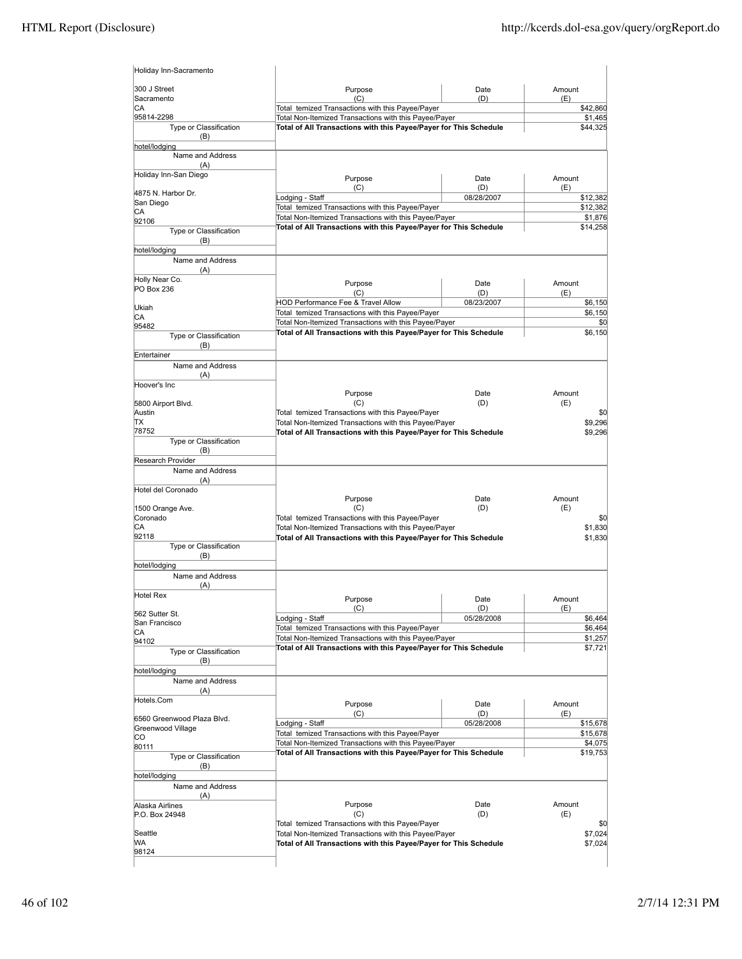| Holiday Inn-Sacramento            |                                                                                                                            |                   |               |                     |
|-----------------------------------|----------------------------------------------------------------------------------------------------------------------------|-------------------|---------------|---------------------|
| 300 J Street<br>Sacramento        | Purpose<br>(C)                                                                                                             | Date<br>(D)       | Amount<br>(E) |                     |
| СA                                | Total temized Transactions with this Payee/Payer                                                                           |                   |               | \$42,860            |
| 95814-2298                        | Total Non-Itemized Transactions with this Payee/Payer                                                                      |                   |               | \$1,465             |
| Type or Classification<br>(B)     | Total of All Transactions with this Payee/Payer for This Schedule                                                          |                   |               | \$44,325            |
| hotel/lodging<br>Name and Address |                                                                                                                            |                   |               |                     |
| (A)<br>Holiday Inn-San Diego      |                                                                                                                            |                   |               |                     |
|                                   | Purpose<br>(C)                                                                                                             | Date<br>(D)       | Amount<br>(E) |                     |
| 4875 N. Harbor Dr.                | Lodging - Staff                                                                                                            | 08/28/2007        |               | \$12,382            |
| San Diego<br>СA                   | Total temized Transactions with this Payee/Payer                                                                           |                   |               | \$12,382            |
| 92106                             | Total Non-Itemized Transactions with this Payee/Payer<br>Total of All Transactions with this Payee/Payer for This Schedule |                   |               | \$1,876<br>\$14,258 |
| Type or Classification<br>(B)     |                                                                                                                            |                   |               |                     |
| hotel/lodging                     |                                                                                                                            |                   |               |                     |
| Name and Address<br>(A)           |                                                                                                                            |                   |               |                     |
| Holly Near Co.                    | Purpose                                                                                                                    | Date              | Amount        |                     |
| PO Box 236                        | (C)                                                                                                                        | (D)               | (E)           |                     |
| Ukiah                             | HOD Performance Fee & Travel Allow                                                                                         | 08/23/2007        |               | \$6,150             |
| СA                                | Total temized Transactions with this Payee/Payer<br>Total Non-Itemized Transactions with this Payee/Payer                  |                   |               | \$6,150<br>\$0      |
| 95482                             | Total of All Transactions with this Payee/Payer for This Schedule                                                          |                   |               | \$6,150             |
| Type or Classification<br>(B)     |                                                                                                                            |                   |               |                     |
| Entertainer                       |                                                                                                                            |                   |               |                     |
| Name and Address                  |                                                                                                                            |                   |               |                     |
| (A)<br>Hoover's Inc               |                                                                                                                            |                   |               |                     |
|                                   | Purpose                                                                                                                    | Date              | Amount        |                     |
| 5800 Airport Blvd.                | (C)                                                                                                                        | (D)               | (E)           |                     |
| Austin<br>ТX                      | Total temized Transactions with this Payee/Payer<br>Total Non-Itemized Transactions with this Payee/Payer                  |                   |               | \$0<br>\$9,296      |
| 78752                             | Total of All Transactions with this Payee/Payer for This Schedule                                                          |                   |               | \$9,296             |
| Type or Classification<br>(B)     |                                                                                                                            |                   |               |                     |
| Research Provider                 |                                                                                                                            |                   |               |                     |
| Name and Address                  |                                                                                                                            |                   |               |                     |
| (A)                               |                                                                                                                            |                   |               |                     |
| Hotel del Coronado                | Purpose                                                                                                                    | Date              | Amount        |                     |
| 1500 Orange Ave.                  | (C)                                                                                                                        | (D)               | (E)           |                     |
| Coronado<br>СA                    | Total temized Transactions with this Payee/Payer<br>Total Non-Itemized Transactions with this Payee/Payer                  |                   |               | \$0<br>\$1,830      |
| 92118                             | Total of All Transactions with this Payee/Payer for This Schedule                                                          |                   |               | \$1,830             |
| Type or Classification            |                                                                                                                            |                   |               |                     |
| (B)<br>hotel/lodging              |                                                                                                                            |                   |               |                     |
| Name and Address                  |                                                                                                                            |                   |               |                     |
| (A)                               |                                                                                                                            |                   |               |                     |
| Hotel Rex                         | Purpose                                                                                                                    | Date              | Amount        |                     |
| 562 Sutter St.                    | (C)<br>Lodging - Staff                                                                                                     | (D)<br>05/28/2008 | (E)           | \$6,464             |
| San Francisco                     | Total temized Transactions with this Payee/Payer                                                                           |                   |               | \$6,464             |
| СA<br>94102                       | Total Non-Itemized Transactions with this Payee/Payer                                                                      |                   |               | \$1,257             |
| Type or Classification            | Total of All Transactions with this Payee/Payer for This Schedule                                                          |                   |               | \$7,721             |
| (B)                               |                                                                                                                            |                   |               |                     |
| hotel/lodging<br>Name and Address |                                                                                                                            |                   |               |                     |
| (A)                               |                                                                                                                            |                   |               |                     |
| Hotels.Com                        | Purpose                                                                                                                    | Date              | Amount        |                     |
| 6560 Greenwood Plaza Blvd.        | (C)                                                                                                                        | (D)               | (E)           |                     |
| Greenwood Village                 | Lodging - Staff                                                                                                            | 05/28/2008        |               | \$15,678            |
| CO                                | Total temized Transactions with this Payee/Payer<br>Total Non-Itemized Transactions with this Payee/Payer                  |                   |               | \$15,678<br>\$4,075 |
| 80111<br>Type or Classification   | Total of All Transactions with this Payee/Payer for This Schedule                                                          |                   |               | \$19,753            |
| (B)                               |                                                                                                                            |                   |               |                     |
| hotel/lodging                     |                                                                                                                            |                   |               |                     |
| Name and Address<br>(A)           |                                                                                                                            |                   |               |                     |
| Alaska Airlines                   | Purpose                                                                                                                    | Date              | Amount        |                     |
| P.O. Box 24948                    | (C)                                                                                                                        | (D)               | (E)           |                     |
| Seattle                           | Total temized Transactions with this Payee/Payer                                                                           |                   |               | \$0                 |
| WA                                | Total Non-Itemized Transactions with this Payee/Payer<br>Total of All Transactions with this Payee/Payer for This Schedule |                   |               | \$7,024<br>\$7,024  |
| 98124                             |                                                                                                                            |                   |               |                     |
|                                   |                                                                                                                            |                   |               |                     |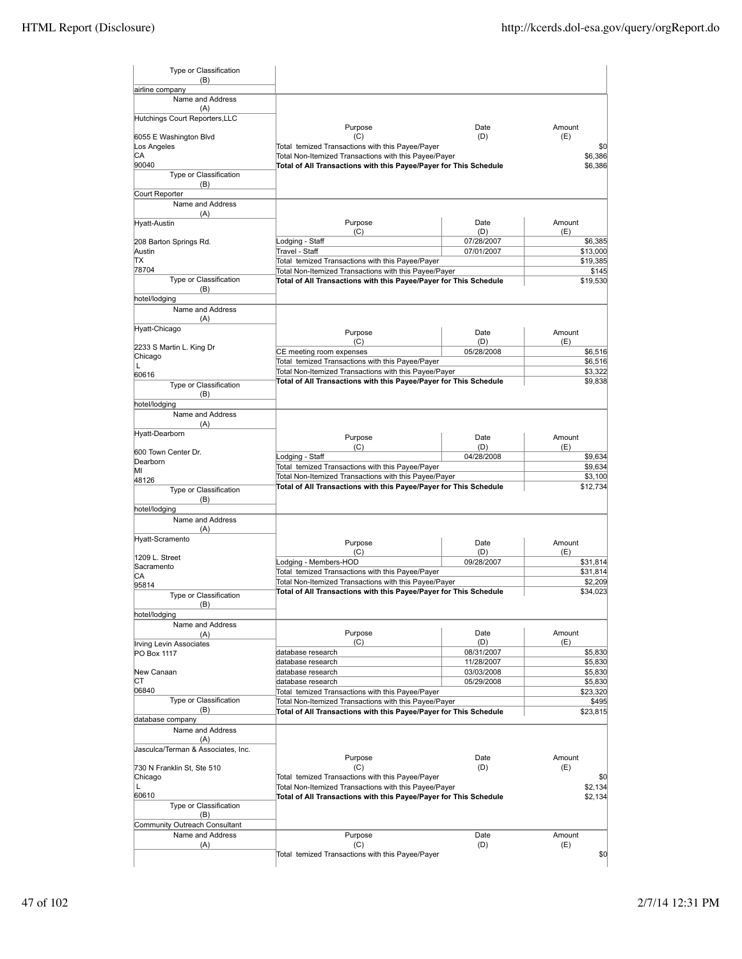| Type or Classification                    |                                                                                                           |                          |                     |
|-------------------------------------------|-----------------------------------------------------------------------------------------------------------|--------------------------|---------------------|
| (B)                                       |                                                                                                           |                          |                     |
| airline company<br>Name and Address       |                                                                                                           |                          |                     |
| (A)                                       |                                                                                                           |                          |                     |
| Hutchings Court Reporters, LLC            | Purpose                                                                                                   | Date                     | Amount              |
| 6055 E Washington Blvd                    | (C)                                                                                                       | (D)                      | (E)                 |
| Los Angeles<br>СA                         | Total temized Transactions with this Payee/Payer<br>Total Non-Itemized Transactions with this Payee/Payer |                          | \$0<br>\$6,386      |
| 90040                                     | Total of All Transactions with this Payee/Payer for This Schedule                                         |                          | \$6,386             |
| Type or Classification                    |                                                                                                           |                          |                     |
| (B)<br>Court Reporter                     |                                                                                                           |                          |                     |
| Name and Address                          |                                                                                                           |                          |                     |
| (A)                                       |                                                                                                           |                          |                     |
| Hyatt-Austin                              | Purpose<br>(C)                                                                                            | Date<br>(D)              | Amount<br>(E)       |
| 208 Barton Springs Rd.                    | Lodging - Staff                                                                                           | 07/28/2007               | \$6,385             |
| Austin<br>ТX                              | Travel - Staff                                                                                            | 07/01/2007               | \$13,000            |
| 78704                                     | Total temized Transactions with this Payee/Payer<br>Total Non-Itemized Transactions with this Payee/Payer |                          | \$19,385<br>\$145   |
| Type or Classification                    | Total of All Transactions with this Payee/Payer for This Schedule                                         |                          | \$19,530            |
| (B)<br>hotel/lodging                      |                                                                                                           |                          |                     |
| Name and Address                          |                                                                                                           |                          |                     |
| (A)                                       |                                                                                                           |                          |                     |
| Hyatt-Chicago                             | Purpose                                                                                                   | Date                     | Amount              |
| 2233 S Martin L. King Dr                  | (C)                                                                                                       | (D)                      | (E)                 |
| Chicago                                   | CE meeting room expenses<br>Total temized Transactions with this Payee/Payer                              | 05/28/2008               | \$6,516<br>\$6,516  |
| L<br>60616                                | Total Non-Itemized Transactions with this Payee/Payer                                                     |                          | \$3,322             |
| Type or Classification                    | Total of All Transactions with this Payee/Payer for This Schedule                                         |                          | \$9,838             |
| (B)                                       |                                                                                                           |                          |                     |
| hotel/lodging                             |                                                                                                           |                          |                     |
| Name and Address<br>(A)                   |                                                                                                           |                          |                     |
| Hyatt-Dearborn                            | Purpose                                                                                                   | Date                     | Amount              |
| 600 Town Center Dr.                       | (C)                                                                                                       | (D)                      | (E)                 |
| Dearborn                                  | Lodging - Staff                                                                                           | 04/28/2008               | \$9,634             |
| MI                                        | Total temized Transactions with this Payee/Payer<br>Total Non-Itemized Transactions with this Payee/Payer |                          | \$9,634<br>\$3,100  |
| 48126<br>Type or Classification           | Total of All Transactions with this Payee/Payer for This Schedule                                         |                          | \$12,734            |
| (B)                                       |                                                                                                           |                          |                     |
| hotel/lodging                             |                                                                                                           |                          |                     |
| Name and Address<br>(A)                   |                                                                                                           |                          |                     |
| Hyatt-Scramento                           | Purpose                                                                                                   | Date                     | Amount              |
| 1209 L. Street                            | (C)                                                                                                       | (D)                      | (E)                 |
| Sacramento                                | Lodging - Members-HOD                                                                                     | 09/28/2007               | \$31,814            |
| СA                                        | Total temized Transactions with this Payee/Payer<br>Total Non-Itemized Transactions with this Payee/Payer |                          | \$31,814<br>\$2,209 |
| 95814<br><b>Type or Classification</b>    | Total of All Transactions with this Payee/Payer for This Schedule                                         |                          | \$34,023            |
| (B)                                       |                                                                                                           |                          |                     |
| hotel/lodging                             |                                                                                                           |                          |                     |
| Name and Address<br>(A)                   | Purpose                                                                                                   | Date                     | Amount              |
| Irving Levin Associates                   | (C)                                                                                                       | (D)                      | (E)                 |
| PO Box 1117                               | database research                                                                                         | 08/31/2007               | \$5,830             |
| New Canaan                                | database research<br>database research                                                                    | 11/28/2007<br>03/03/2008 | \$5,830<br>\$5,830  |
| СT                                        | database research                                                                                         | 05/29/2008               | \$5,830             |
| 06840                                     | Total temized Transactions with this Payee/Payer                                                          |                          | \$23,320            |
| Type or Classification<br>(B)             | Total Non-Itemized Transactions with this Payee/Payer                                                     |                          | \$495               |
| database company                          | Total of All Transactions with this Payee/Payer for This Schedule                                         |                          | \$23,815            |
| Name and Address                          |                                                                                                           |                          |                     |
| (A)<br>Jasculca/Terman & Associates, Inc. |                                                                                                           |                          |                     |
|                                           | Purpose                                                                                                   | Date                     | Amount              |
| 730 N Franklin St, Ste 510                | (C)                                                                                                       | (D)                      | (E)                 |
| Chicago<br>Г                              | Total temized Transactions with this Payee/Payer<br>Total Non-Itemized Transactions with this Payee/Payer |                          | \$0                 |
| 60610                                     | Total of All Transactions with this Payee/Payer for This Schedule                                         |                          | \$2,134<br>\$2,134  |
| Type or Classification                    |                                                                                                           |                          |                     |
| (B)<br>Community Outreach Consultant      |                                                                                                           |                          |                     |
| Name and Address                          | Purpose                                                                                                   | Date                     | Amount              |
| (A)                                       | (C)                                                                                                       | (D)                      | (E)                 |
|                                           | Total temized Transactions with this Payee/Payer                                                          |                          | \$0                 |
|                                           |                                                                                                           |                          |                     |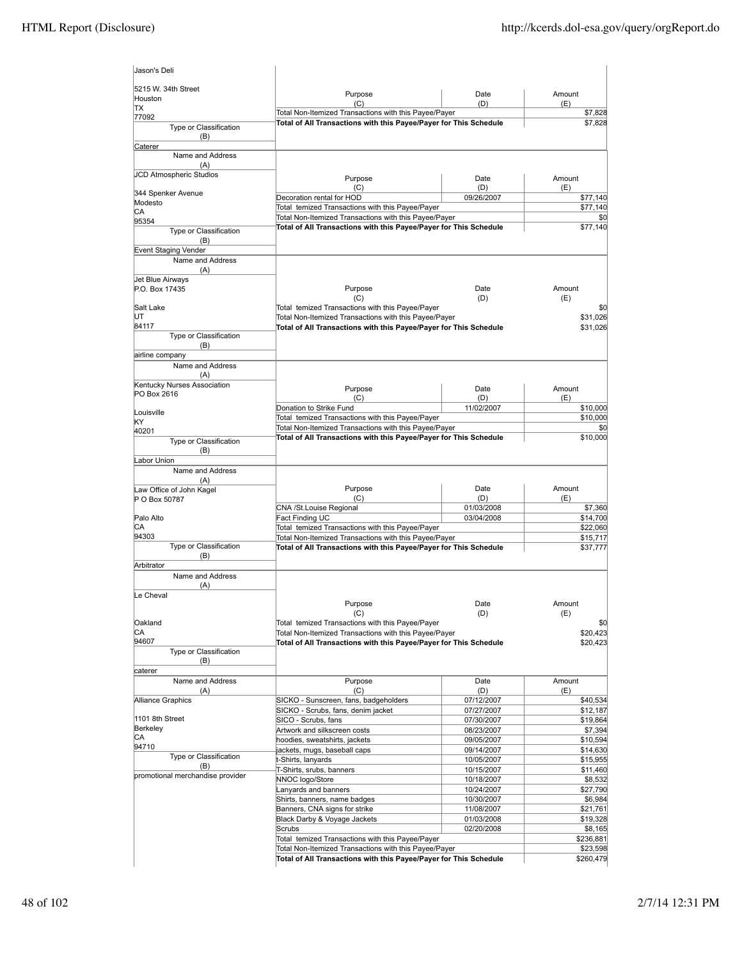| Jason's Deli                           |                                                                                                                            |                          |                      |
|----------------------------------------|----------------------------------------------------------------------------------------------------------------------------|--------------------------|----------------------|
| 5215 W. 34th Street<br>Houston         | Purpose<br>(C)                                                                                                             | Date<br>(D)              | Amount<br>(E)        |
| ТX                                     | Total Non-Itemized Transactions with this Payee/Payer                                                                      |                          | \$7,828              |
| 77092<br>Type or Classification<br>(B) | Total of All Transactions with this Payee/Payer for This Schedule                                                          |                          | \$7,828              |
| Caterer                                |                                                                                                                            |                          |                      |
| Name and Address<br>(A)                |                                                                                                                            |                          |                      |
| JCD Atmospheric Studios                |                                                                                                                            |                          |                      |
|                                        | Purpose<br>(C)                                                                                                             | Date<br>(D)              | Amount<br>(E)        |
| 344 Spenker Avenue                     | Decoration rental for HOD                                                                                                  | 09/26/2007               | \$77,140             |
| Modesto<br>СA                          | Total temized Transactions with this Payee/Payer                                                                           |                          | \$77,140             |
| 95354                                  | Total Non-Itemized Transactions with this Payee/Payer                                                                      |                          | \$0                  |
| Type or Classification<br>(B)          | Total of All Transactions with this Payee/Payer for This Schedule                                                          |                          | \$77,140             |
| Event Staging Vender                   |                                                                                                                            |                          |                      |
| Name and Address<br>(A)                |                                                                                                                            |                          |                      |
| Jet Blue Airways<br>P.O. Box 17435     | Purpose                                                                                                                    | Date                     | Amount               |
|                                        | (C)                                                                                                                        | (D)                      | (E)                  |
| Salt Lake                              | Total temized Transactions with this Payee/Payer                                                                           |                          | \$0                  |
| UT                                     | Total Non-Itemized Transactions with this Payee/Payer                                                                      |                          | \$31,026             |
| 84117                                  | Total of All Transactions with this Payee/Payer for This Schedule                                                          |                          | \$31,026             |
| Type or Classification<br>(B)          |                                                                                                                            |                          |                      |
| airline company                        |                                                                                                                            |                          |                      |
| Name and Address<br>(A)                |                                                                                                                            |                          |                      |
| Kentucky Nurses Association            | Purpose                                                                                                                    | Date                     | Amount               |
| PO Box 2616                            | (C)                                                                                                                        | (D)                      | (E)                  |
| Louisville                             | Donation to Strike Fund                                                                                                    | 11/02/2007               | \$10,000             |
| KY                                     | Total temized Transactions with this Payee/Payer                                                                           |                          | \$10,000             |
| 40201                                  | Total Non-Itemized Transactions with this Payee/Payer<br>Total of All Transactions with this Payee/Payer for This Schedule |                          | \$0<br>\$10,000      |
| Type or Classification<br>(B)          |                                                                                                                            |                          |                      |
| Labor Union                            |                                                                                                                            |                          |                      |
| Name and Address<br>(A)                |                                                                                                                            |                          |                      |
| Law Office of John Kagel               | Purpose                                                                                                                    | Date                     | Amount               |
| P O Box 50787                          | (C)                                                                                                                        | (D)                      | (E)                  |
| Palo Alto                              | CNA /St.Louise Regional                                                                                                    | 01/03/2008               | \$7,360              |
| CА                                     | Fact Finding UC<br>Total temized Transactions with this Payee/Payer                                                        | 03/04/2008               | \$14,700<br>\$22,060 |
| 94303                                  | Total Non-Itemized Transactions with this Payee/Payer                                                                      |                          | \$15,717             |
| Type or Classification<br>(B)          | Total of All Transactions with this Payee/Payer for This Schedule                                                          |                          | \$37,777             |
| Arbitrator                             |                                                                                                                            |                          |                      |
| Name and Address<br>(A)                |                                                                                                                            |                          |                      |
| Le Cheval                              | Purpose<br>(C)                                                                                                             | Date<br>(D)              | Amount<br>(E)        |
| Oakland                                | Total temized Transactions with this Payee/Payer                                                                           |                          | \$0                  |
| СA                                     | Total Non-Itemized Transactions with this Payee/Payer                                                                      |                          | \$20,423             |
| 94607                                  | Total of All Transactions with this Payee/Payer for This Schedule                                                          |                          | \$20,423             |
| Type or Classification                 |                                                                                                                            |                          |                      |
| (B)<br>caterer                         |                                                                                                                            |                          |                      |
| Name and Address                       | Purpose                                                                                                                    | Date                     | Amount               |
| (A)                                    | (C)                                                                                                                        | (D)                      | (E)                  |
| Alliance Graphics                      | SICKO - Sunscreen, fans, badgeholders                                                                                      | 07/12/2007               | \$40,534             |
| 1101 8th Street                        | SICKO - Scrubs, fans, denim jacket<br>SICO - Scrubs, fans                                                                  | 07/27/2007<br>07/30/2007 | \$12,187<br>\$19,864 |
| Berkeley                               | Artwork and silkscreen costs                                                                                               | 08/23/2007               | \$7,394              |
| CA                                     | hoodies, sweatshirts, jackets                                                                                              | 09/05/2007               | \$10,594             |
| 94710                                  | ackets, mugs, baseball caps                                                                                                | 09/14/2007               | \$14,630             |
| Type or Classification<br>(B)          | t-Shirts, lanyards                                                                                                         | 10/05/2007               | \$15,955             |
| promotional merchandise provider       | T-Shirts, srubs, banners                                                                                                   | 10/15/2007               | \$11,460             |
|                                        | NNOC logo/Store                                                                                                            | 10/18/2007               | \$8,532              |
|                                        | Lanyards and banners<br>Shirts, banners, name badges                                                                       | 10/24/2007<br>10/30/2007 | \$27,790<br>\$6,984  |
|                                        | Banners, CNA signs for strike                                                                                              | 11/08/2007               | \$21,761             |
|                                        | Black Darby & Voyage Jackets                                                                                               | 01/03/2008               | \$19,328             |
|                                        | Scrubs                                                                                                                     | 02/20/2008               | \$8,165              |
|                                        | Total temized Transactions with this Payee/Payer                                                                           |                          | \$236,881            |
|                                        | Total Non-Itemized Transactions with this Payee/Payer                                                                      |                          | \$23,598             |
|                                        | Total of All Transactions with this Payee/Payer for This Schedule                                                          |                          | \$260,479            |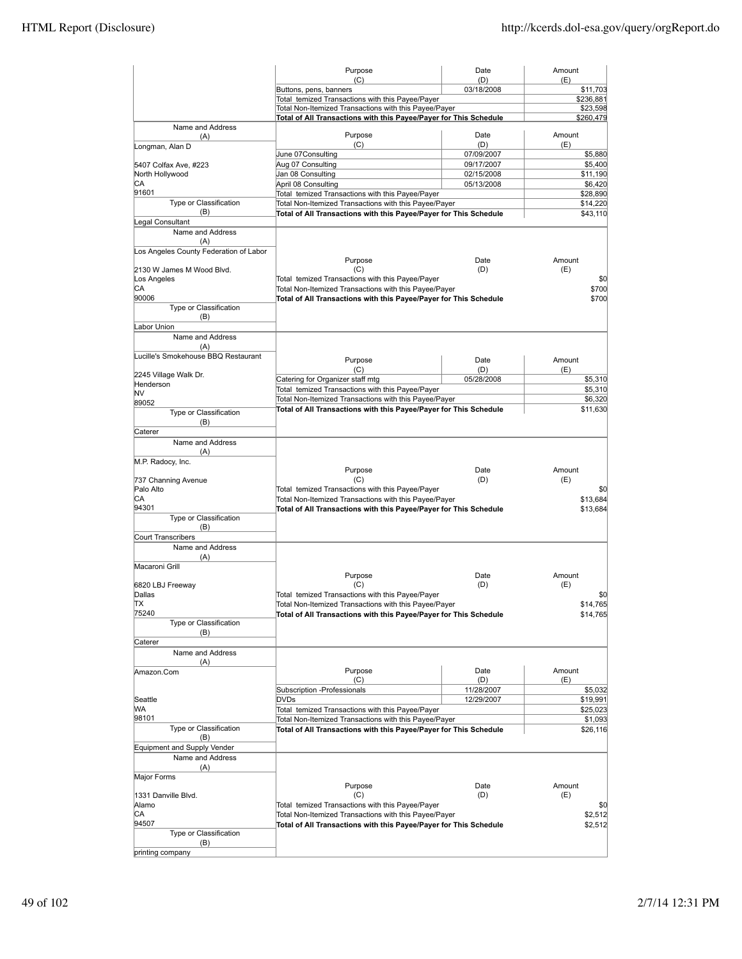|                                                                     | Purpose                                                                                                   | Date                     | Amount              |
|---------------------------------------------------------------------|-----------------------------------------------------------------------------------------------------------|--------------------------|---------------------|
|                                                                     | (C)<br>Buttons, pens, banners                                                                             | (D)<br>03/18/2008        | (E)<br>\$11,703     |
|                                                                     | Total temized Transactions with this Payee/Payer                                                          |                          | \$236,881           |
|                                                                     | Total Non-Itemized Transactions with this Payee/Payer                                                     |                          | \$23,598            |
| Name and Address                                                    | Total of All Transactions with this Payee/Payer for This Schedule                                         |                          | \$260,479           |
| (A)<br>Longman, Alan D                                              | Purpose<br>(C)                                                                                            | Date<br>(D)              | Amount<br>(E)       |
|                                                                     | June 07Consulting                                                                                         | 07/09/2007               | \$5,880             |
| 5407 Colfax Ave, #223                                               | Aug 07 Consulting                                                                                         | 09/17/2007               | \$5,400             |
| North Hollywood<br>CA                                               | Jan 08 Consulting<br>April 08 Consulting                                                                  | 02/15/2008<br>05/13/2008 | \$11,190<br>\$6,420 |
| 91601                                                               | Total temized Transactions with this Payee/Payer                                                          |                          | \$28,890            |
| Type or Classification                                              | Total Non-Itemized Transactions with this Payee/Payer                                                     |                          | \$14,220            |
| (B)                                                                 | Total of All Transactions with this Payee/Payer for This Schedule                                         |                          | \$43,110            |
| Legal Consultant<br>Name and Address                                |                                                                                                           |                          |                     |
| (A)                                                                 |                                                                                                           |                          |                     |
| Los Angeles County Federation of Labor<br>2130 W James M Wood Blvd. | Purpose<br>(C)                                                                                            | Date<br>(D)              | Amount<br>(E)       |
| Los Angeles                                                         | Total temized Transactions with this Payee/Payer                                                          |                          | \$0                 |
| СA                                                                  | Total Non-Itemized Transactions with this Payee/Payer                                                     |                          | \$700               |
| 90006                                                               | Total of All Transactions with this Payee/Payer for This Schedule                                         |                          | \$700               |
| Type or Classification<br>(B)                                       |                                                                                                           |                          |                     |
| Labor Union<br>Name and Address                                     |                                                                                                           |                          |                     |
| (A)                                                                 |                                                                                                           |                          |                     |
| Lucille's Smokehouse BBQ Restaurant                                 | Purpose                                                                                                   | Date                     | Amount              |
|                                                                     | (C)                                                                                                       | (D)                      | (E)                 |
| 2245 Village Walk Dr.<br>Henderson                                  | Catering for Organizer staff mtg                                                                          | 05/28/2008               | \$5,310             |
| NV                                                                  | Total temized Transactions with this Payee/Payer                                                          |                          | \$5,310             |
| 89052                                                               | Total Non-Itemized Transactions with this Payee/Payer                                                     |                          | \$6,320             |
| Type or Classification                                              | Total of All Transactions with this Payee/Payer for This Schedule                                         |                          | \$11,630            |
| (B)                                                                 |                                                                                                           |                          |                     |
| Caterer<br>Name and Address                                         |                                                                                                           |                          |                     |
| (A)                                                                 |                                                                                                           |                          |                     |
| M.P. Radocy, Inc.                                                   |                                                                                                           |                          |                     |
|                                                                     | Purpose                                                                                                   | Date                     | Amount              |
| 737 Channing Avenue<br>Palo Alto                                    | (C)<br>Total temized Transactions with this Payee/Payer                                                   | (D)                      | (E)                 |
| СA                                                                  | Total Non-Itemized Transactions with this Payee/Payer                                                     |                          | \$0<br>\$13,684     |
| 94301                                                               | Total of All Transactions with this Payee/Payer for This Schedule                                         |                          | \$13,684            |
| Type or Classification                                              |                                                                                                           |                          |                     |
| (B)<br>Court Transcribers                                           |                                                                                                           |                          |                     |
| Name and Address                                                    |                                                                                                           |                          |                     |
| (A)                                                                 |                                                                                                           |                          |                     |
| Macaroni Grill                                                      |                                                                                                           |                          |                     |
|                                                                     | Purpose                                                                                                   | Date                     | Amount              |
| 6820 LBJ Freeway                                                    | (C)                                                                                                       | (D)                      | (E)                 |
| Dallas<br>lΤX                                                       | Total temized Transactions with this Payee/Payer<br>Total Non-Itemized Transactions with this Payee/Payer |                          | \$0<br>\$14,765     |
| 75240                                                               | Total of All Transactions with this Payee/Payer for This Schedule                                         |                          | \$14,765            |
| Type or Classification                                              |                                                                                                           |                          |                     |
| (B)                                                                 |                                                                                                           |                          |                     |
| Caterer<br>Name and Address                                         |                                                                                                           |                          |                     |
| (A)                                                                 |                                                                                                           |                          |                     |
| Amazon.Com                                                          | Purpose                                                                                                   | Date                     | Amount              |
|                                                                     | (C)<br>Subscription -Professionals                                                                        | (D)<br>11/28/2007        | (E)<br>\$5,032      |
| Seattle                                                             | <b>DVDs</b>                                                                                               | 12/29/2007               | \$19,991            |
| WА                                                                  | Total temized Transactions with this Payee/Payer                                                          |                          | \$25,023            |
| 98101                                                               | Total Non-Itemized Transactions with this Payee/Payer                                                     |                          | \$1,093             |
| Type or Classification                                              | Total of All Transactions with this Payee/Payer for This Schedule                                         |                          | \$26,116            |
| (B)<br>Equipment and Supply Vender                                  |                                                                                                           |                          |                     |
| Name and Address                                                    |                                                                                                           |                          |                     |
| (A)                                                                 |                                                                                                           |                          |                     |
| Major Forms                                                         |                                                                                                           |                          |                     |
|                                                                     | Purpose                                                                                                   | Date                     | Amount              |
| 1331 Danville Blvd.<br>Alamo                                        | (C)<br>Total temized Transactions with this Payee/Payer                                                   | (D)                      | (E)<br>\$0          |
| СA                                                                  | Total Non-Itemized Transactions with this Payee/Payer                                                     |                          | \$2,512             |
| 94507                                                               | Total of All Transactions with this Payee/Payer for This Schedule                                         |                          | \$2,512             |
| Type or Classification                                              |                                                                                                           |                          |                     |
| (B)<br>printing company                                             |                                                                                                           |                          |                     |
|                                                                     |                                                                                                           |                          |                     |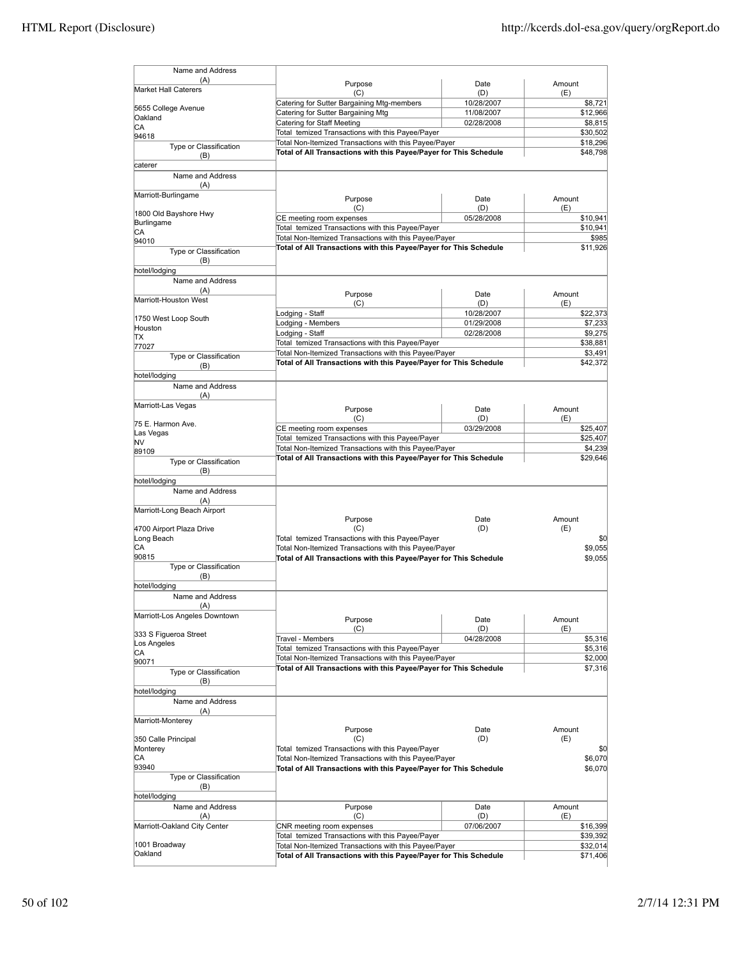| Name and Address              |                                                                                                                            |            |                      |
|-------------------------------|----------------------------------------------------------------------------------------------------------------------------|------------|----------------------|
| (A)                           | Purpose                                                                                                                    | Date       | Amount               |
| <b>Market Hall Caterers</b>   | (C)                                                                                                                        | (D)        | (E)                  |
| 5655 College Avenue           | Catering for Sutter Bargaining Mtg-members                                                                                 | 10/28/2007 | \$8,721              |
| Oakland                       | Catering for Sutter Bargaining Mtg                                                                                         | 11/08/2007 | \$12,966             |
| СA                            | Catering for Staff Meeting                                                                                                 | 02/28/2008 | \$8,815              |
| 94618                         | Total temized Transactions with this Payee/Payer                                                                           |            | \$30,502             |
| Type or Classification        | Total Non-Itemized Transactions with this Payee/Payer                                                                      |            | \$18,296             |
| (B)                           | Total of All Transactions with this Payee/Payer for This Schedule                                                          |            | \$48.798             |
| caterer                       |                                                                                                                            |            |                      |
| Name and Address              |                                                                                                                            |            |                      |
| (A)                           |                                                                                                                            |            |                      |
| Marriott-Burlingame           | Purpose                                                                                                                    | Date       | Amount               |
| 1800 Old Bayshore Hwy         | (C)                                                                                                                        | (D)        | (E)                  |
| Burlingame                    | CE meeting room expenses                                                                                                   | 05/28/2008 | \$10,941             |
| СA                            | Total temized Transactions with this Payee/Payer                                                                           |            | \$10,941             |
| 94010                         | Total Non-Itemized Transactions with this Payee/Payer                                                                      |            | \$985                |
| Type or Classification        | Total of All Transactions with this Payee/Payer for This Schedule                                                          |            | \$11,926             |
| (B)                           |                                                                                                                            |            |                      |
| hotel/lodging                 |                                                                                                                            |            |                      |
| Name and Address              |                                                                                                                            |            |                      |
| (A)                           | Purpose                                                                                                                    | Date       | Amount               |
| Marriott-Houston West         | (C)                                                                                                                        | (D)        | (E)                  |
| 1750 West Loop South          | Lodging - Staff                                                                                                            | 10/28/2007 | \$22,373             |
| Houston                       | Lodging - Members                                                                                                          | 01/29/2008 | \$7,233              |
| TХ                            | Lodging - Staff                                                                                                            | 02/28/2008 | \$9,275              |
| 77027                         | Total temized Transactions with this Payee/Payer                                                                           |            | \$38,881             |
| Type or Classification        | Total Non-Itemized Transactions with this Payee/Payer                                                                      |            | \$3,491              |
| (B)                           | Total of All Transactions with this Payee/Payer for This Schedule                                                          |            | \$42,372             |
| hotel/lodging                 |                                                                                                                            |            |                      |
| Name and Address              |                                                                                                                            |            |                      |
| (A)                           |                                                                                                                            |            |                      |
| Marriott-Las Vegas            | Purpose                                                                                                                    | Date       | Amount               |
| 75 E. Harmon Ave.             | (C)                                                                                                                        | (D)        | (E)                  |
| Las Vegas                     | CE meeting room expenses                                                                                                   | 03/29/2008 | \$25,407             |
| NV                            | Total temized Transactions with this Payee/Payer                                                                           |            | \$25,407             |
| 89109                         | Total Non-Itemized Transactions with this Payee/Payer                                                                      |            | \$4,239              |
| Type or Classification        | Total of All Transactions with this Payee/Payer for This Schedule                                                          |            | \$29,646             |
| (B)                           |                                                                                                                            |            |                      |
| hotel/lodging                 |                                                                                                                            |            |                      |
| Name and Address              |                                                                                                                            |            |                      |
| (A)                           |                                                                                                                            |            |                      |
| Marriott-Long Beach Airport   | Purpose                                                                                                                    | Date       | Amount               |
| 4700 Airport Plaza Drive      | (C)                                                                                                                        | (D)        | (E)                  |
| Long Beach                    | Total temized Transactions with this Payee/Payer                                                                           |            | \$0                  |
| CА                            | Total Non-Itemized Transactions with this Payee/Payer                                                                      |            | \$9,055              |
| 90815                         | Total of All Transactions with this Payee/Payer for This Schedule                                                          |            | \$9,055              |
| Type or Classification        |                                                                                                                            |            |                      |
| (B)                           |                                                                                                                            |            |                      |
| hotel/lodging                 |                                                                                                                            |            |                      |
| Name and Address              |                                                                                                                            |            |                      |
| (A)                           |                                                                                                                            |            |                      |
| Marriott-Los Angeles Downtown | Purpose                                                                                                                    | Date       | Amount               |
| 333 S Figueroa Street         | (C)                                                                                                                        | (D)        | (E)                  |
| Los Angeles                   | Travel - Members                                                                                                           | 04/28/2008 | \$5,316              |
| CА                            | Total temized Transactions with this Payee/Payer                                                                           |            | \$5,316              |
| 90071                         | Total Non-Itemized Transactions with this Payee/Payer                                                                      |            | \$2,000              |
| Type or Classification        | Total of All Transactions with this Payee/Payer for This Schedule                                                          |            | \$7,316              |
| (B)                           |                                                                                                                            |            |                      |
| hotel/lodging                 |                                                                                                                            |            |                      |
| Name and Address              |                                                                                                                            |            |                      |
| (A)                           |                                                                                                                            |            |                      |
| Marriott-Monterey             |                                                                                                                            | Date       | Amount               |
| 350 Calle Principal           | Purpose<br>(C)                                                                                                             | (D)        | (E)                  |
| Monterey                      | Total temized Transactions with this Payee/Payer                                                                           |            | \$0                  |
| CA                            | Total Non-Itemized Transactions with this Payee/Payer                                                                      |            | \$6,070              |
| 93940                         | Total of All Transactions with this Payee/Payer for This Schedule                                                          |            | \$6,070              |
| Type or Classification        |                                                                                                                            |            |                      |
| (B)                           |                                                                                                                            |            |                      |
| hotel/lodging                 |                                                                                                                            |            |                      |
| Name and Address              | Purpose                                                                                                                    | Date       | Amount               |
| (A)                           | (C)                                                                                                                        | (D)        | (E)                  |
| Marriott-Oakland City Center  | CNR meeting room expenses                                                                                                  | 07/06/2007 | \$16,399             |
|                               |                                                                                                                            |            |                      |
|                               | Total temized Transactions with this Payee/Payer                                                                           |            | \$39,392             |
| 1001 Broadway<br>Oakland      | Total Non-Itemized Transactions with this Payee/Payer<br>Total of All Transactions with this Payee/Payer for This Schedule |            | \$32,014<br>\$71,406 |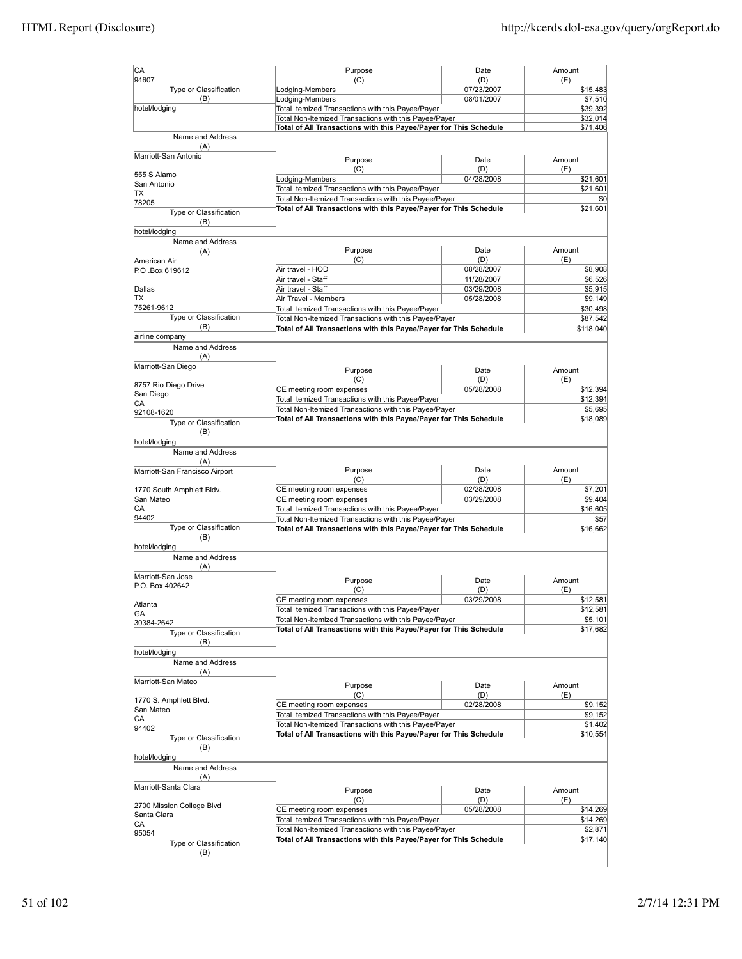| CA                                   | Purpose                                                                                                                    | Date              | Amount              |
|--------------------------------------|----------------------------------------------------------------------------------------------------------------------------|-------------------|---------------------|
| 94607<br>Type or Classification      | (C)<br>Lodging-Members                                                                                                     | (D)<br>07/23/2007 | (E)<br>\$15,483     |
| (B)                                  | Lodging-Members                                                                                                            | 08/01/2007        | \$7,510             |
| hotel/lodging                        | Total temized Transactions with this Payee/Payer                                                                           |                   |                     |
|                                      | Total Non-Itemized Transactions with this Payee/Payer                                                                      |                   | \$32,014            |
| Name and Address                     | Total of All Transactions with this Payee/Payer for This Schedule                                                          |                   | \$71,406            |
| (A)                                  |                                                                                                                            |                   |                     |
| Marriott-San Antonio                 | Purpose                                                                                                                    | Date              | Amount              |
| 555 S Alamo                          | (C)                                                                                                                        | (D)               | (E)                 |
| San Antonio                          | Lodging-Members                                                                                                            | 04/28/2008        | \$21,601            |
| TХ                                   | Total temized Transactions with this Payee/Payer                                                                           |                   | \$21,601            |
| 78205                                | Total Non-Itemized Transactions with this Payee/Payer                                                                      |                   | \$0                 |
| Type or Classification               | Total of All Transactions with this Payee/Payer for This Schedule                                                          |                   | \$21,601            |
| (B)                                  |                                                                                                                            |                   |                     |
| hotel/lodging                        |                                                                                                                            |                   |                     |
| Name and Address                     |                                                                                                                            |                   |                     |
| (A)                                  | Purpose<br>(C)                                                                                                             | Date<br>(D)       | Amount<br>(E)       |
| American Air<br>P.O.Box 619612       | Air travel - HOD                                                                                                           | 08/28/2007        | \$8,908             |
|                                      | Air travel - Staff                                                                                                         | 11/28/2007        | \$6,526             |
| Dallas                               | Air travel - Staff                                                                                                         | 03/29/2008        | \$5,915             |
| lΤX                                  | Air Travel - Members                                                                                                       | 05/28/2008        | \$9,149             |
| 75261-9612                           | Total temized Transactions with this Payee/Payer                                                                           |                   | \$30,498            |
| Type or Classification               | Total Non-Itemized Transactions with this Payee/Payer                                                                      |                   | \$87,542            |
| (B)                                  | Total of All Transactions with this Payee/Payer for This Schedule                                                          |                   | \$118,040           |
| airline company                      |                                                                                                                            |                   |                     |
| Name and Address                     |                                                                                                                            |                   |                     |
| (A)                                  |                                                                                                                            |                   |                     |
| Marriott-San Diego                   | Purpose                                                                                                                    | Date              | Amount              |
| 8757 Rio Diego Drive                 | (C)                                                                                                                        | (D)               | (E)                 |
| San Diego                            | CE meeting room expenses                                                                                                   | 05/28/2008        | \$12,394            |
| СA                                   | Total temized Transactions with this Payee/Payer                                                                           |                   | \$12,394            |
| 92108-1620                           | Total Non-Itemized Transactions with this Payee/Payer                                                                      |                   | \$5,695             |
| Type or Classification               | Total of All Transactions with this Payee/Payer for This Schedule                                                          |                   | \$18,089            |
| (B)                                  |                                                                                                                            |                   |                     |
| hotel/lodging                        |                                                                                                                            |                   |                     |
| Name and Address                     |                                                                                                                            |                   |                     |
| (A)                                  |                                                                                                                            | Date              | Amount              |
| Marriott-San Francisco Airport       | Purpose<br>(C)                                                                                                             | (D)               | (E)                 |
| 1770 South Amphlett Bldv.            | CE meeting room expenses                                                                                                   | 02/28/2008        | \$7,201             |
| San Mateo                            | CE meeting room expenses                                                                                                   | 03/29/2008        | \$9,404             |
| СA                                   | Total temized Transactions with this Payee/Payer                                                                           |                   | \$16,605            |
| 94402                                | Total Non-Itemized Transactions with this Payee/Payer                                                                      |                   | \$57                |
| Type or Classification               | Total of All Transactions with this Payee/Payer for This Schedule                                                          |                   | \$16,662            |
| (B)                                  |                                                                                                                            |                   |                     |
| hotel/lodging                        |                                                                                                                            |                   |                     |
| Name and Address                     |                                                                                                                            |                   |                     |
| (A)                                  |                                                                                                                            |                   |                     |
| Marriott-San Jose<br>P.O. Box 402642 | Purpose                                                                                                                    | Date              | Amount              |
|                                      | (C)                                                                                                                        | (D)               | (E)                 |
| Atlanta                              | CE meeting room expenses                                                                                                   | 03/29/2008        | \$12,581            |
| GA                                   | Total temized Transactions with this Payee/Payer                                                                           |                   | \$12,581            |
| 30384-2642                           | Total Non-Itemized Transactions with this Payee/Payer                                                                      |                   | \$5,101             |
| Type or Classification               | Total of All Transactions with this Payee/Payer for This Schedule                                                          |                   | \$17,682            |
| (B)                                  |                                                                                                                            |                   |                     |
| hotel/lodging                        |                                                                                                                            |                   |                     |
| Name and Address                     |                                                                                                                            |                   |                     |
| (A)<br>Marriott-San Mateo            |                                                                                                                            |                   |                     |
|                                      | Purpose                                                                                                                    | Date              | Amount              |
| 1770 S. Amphlett Blvd.               | (C)                                                                                                                        | (D)               | (E)                 |
| San Mateo                            | CE meeting room expenses                                                                                                   | 02/28/2008        | \$9,152             |
| CA                                   | Total temized Transactions with this Payee/Payer                                                                           |                   | \$9,152             |
| 94402                                | Total Non-Itemized Transactions with this Payee/Payer<br>Total of All Transactions with this Payee/Payer for This Schedule |                   | \$1,402<br>\$10,554 |
| Type or Classification               |                                                                                                                            |                   |                     |
| (B)                                  |                                                                                                                            |                   |                     |
| hotel/lodging                        |                                                                                                                            |                   |                     |
| Name and Address                     |                                                                                                                            |                   |                     |
| (A)<br>Marriott-Santa Clara          |                                                                                                                            |                   |                     |
|                                      | Purpose                                                                                                                    | Date              | Amount              |
| 2700 Mission College Blvd            | (C)                                                                                                                        | (D)               | (E)                 |
| Santa Clara                          | CE meeting room expenses                                                                                                   | 05/28/2008        | \$14,269            |
| СA                                   | Total temized Transactions with this Payee/Payer                                                                           |                   | \$14,269            |
| 95054                                | Total Non-Itemized Transactions with this Payee/Payer                                                                      |                   | \$2,871             |
| Type or Classification               | Total of All Transactions with this Payee/Payer for This Schedule                                                          |                   | \$17,140            |
| (B)                                  |                                                                                                                            |                   |                     |
|                                      |                                                                                                                            |                   |                     |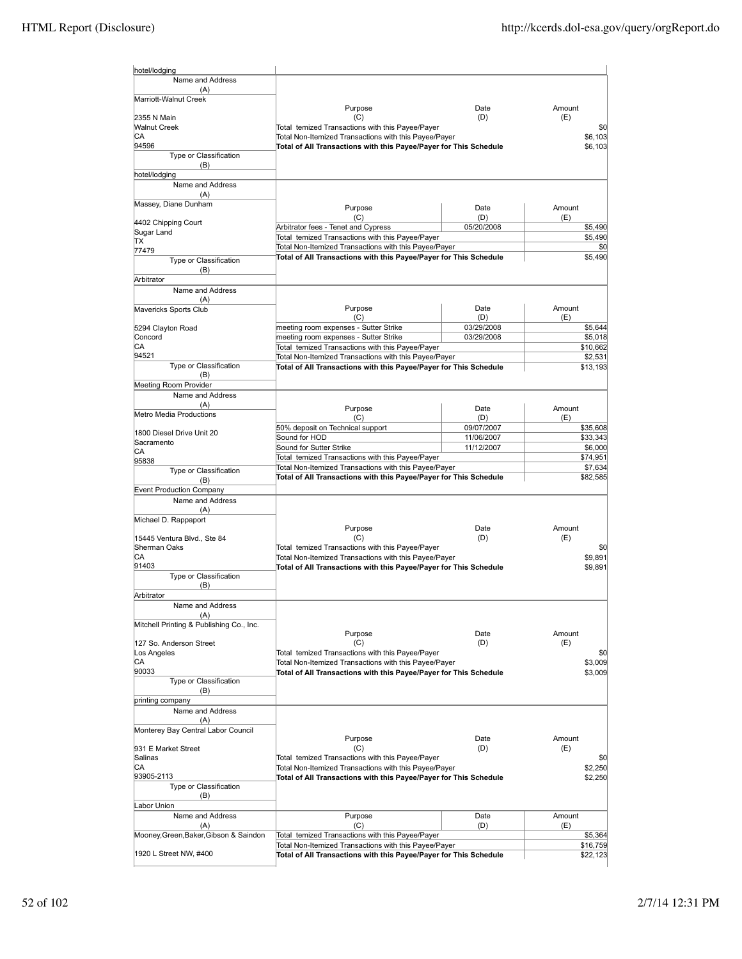| hotel/lodging                               |                                                                                                                            |                   |                      |
|---------------------------------------------|----------------------------------------------------------------------------------------------------------------------------|-------------------|----------------------|
| Name and Address<br>(A)                     |                                                                                                                            |                   |                      |
| Marriott-Walnut Creek                       |                                                                                                                            |                   |                      |
|                                             | Purpose                                                                                                                    | Date              | Amount               |
| 2355 N Main<br><b>Walnut Creek</b>          | (C)<br>Total temized Transactions with this Payee/Payer                                                                    | (D)               | (E)<br>\$0           |
| CА                                          | Total Non-Itemized Transactions with this Payee/Payer                                                                      |                   | \$6,103              |
| 94596<br>Type or Classification             | Total of All Transactions with this Payee/Payer for This Schedule                                                          |                   | \$6,103              |
| (B)                                         |                                                                                                                            |                   |                      |
| hotel/lodging                               |                                                                                                                            |                   |                      |
| Name and Address<br>(A)                     |                                                                                                                            |                   |                      |
| Massey, Diane Dunham                        | Purpose                                                                                                                    | Date              | Amount               |
| 4402 Chipping Court                         | (C)                                                                                                                        | (D)               | (E)                  |
| Sugar Land                                  | Arbitrator fees - Tenet and Cypress                                                                                        | 05/20/2008        | \$5,490              |
| ΠX                                          | Total temized Transactions with this Payee/Payer<br>Total Non-Itemized Transactions with this Payee/Payer                  |                   | \$5,490<br>\$0       |
| 77479<br>Type or Classification             | Total of All Transactions with this Payee/Payer for This Schedule                                                          |                   | \$5,490              |
| (B)                                         |                                                                                                                            |                   |                      |
| Arbitrator                                  |                                                                                                                            |                   |                      |
| Name and Address<br>(A)                     |                                                                                                                            |                   |                      |
| Mavericks Sports Club                       | Purpose                                                                                                                    | Date              | Amount               |
|                                             | (C)<br>meeting room expenses - Sutter Strike                                                                               | (D)<br>03/29/2008 | (E)<br>\$5,644       |
| 5294 Clayton Road<br>Concord                | meeting room expenses - Sutter Strike                                                                                      | 03/29/2008        | \$5,018              |
| СA                                          | Total temized Transactions with this Payee/Payer                                                                           |                   | \$10,662             |
| 94521<br>Type or Classification             | Total Non-Itemized Transactions with this Payee/Payer<br>Total of All Transactions with this Payee/Payer for This Schedule |                   | \$2,531              |
| (B)                                         |                                                                                                                            |                   | \$13,193             |
| Meeting Room Provider                       |                                                                                                                            |                   |                      |
| Name and Address<br>(A)                     |                                                                                                                            |                   |                      |
| Metro Media Productions                     | Purpose<br>(C)                                                                                                             | Date<br>(D)       | Amount<br>(E)        |
|                                             | 50% deposit on Technical support                                                                                           | 09/07/2007        | \$35,608             |
| 1800 Diesel Drive Unit 20<br>Sacramento     | Sound for HOD                                                                                                              | 11/06/2007        | \$33,343             |
| СA                                          | Sound for Sutter Strike<br>Total temized Transactions with this Payee/Payer                                                | 11/12/2007        | \$6,000<br>\$74,951  |
| 95838<br>Type or Classification             | Total Non-Itemized Transactions with this Payee/Payer                                                                      |                   | \$7,634              |
| (B)                                         | Total of All Transactions with this Payee/Payer for This Schedule                                                          |                   | \$82,585             |
| <b>Event Production Company</b>             |                                                                                                                            |                   |                      |
| Name and Address<br>(A)                     |                                                                                                                            |                   |                      |
| Michael D. Rappaport                        |                                                                                                                            |                   |                      |
|                                             | Purpose<br>(C)                                                                                                             | Date<br>(D)       | Amount<br>(E)        |
| 15445 Ventura Blvd., Ste 84<br>Sherman Oaks | Total temized Transactions with this Payee/Payer                                                                           |                   | \$0                  |
| CА                                          | Total Non-Itemized Transactions with this Payee/Payer                                                                      |                   | \$9,891              |
| 91403<br>Type or Classification             | Total of All Transactions with this Payee/Payer for This Schedule                                                          |                   | \$9,891              |
| (B)                                         |                                                                                                                            |                   |                      |
| Arbitrator                                  |                                                                                                                            |                   |                      |
| Name and Address<br>(A)                     |                                                                                                                            |                   |                      |
| Mitchell Printing & Publishing Co., Inc.    |                                                                                                                            |                   |                      |
| 127 So. Anderson Street                     | Purpose<br>(C)                                                                                                             | Date<br>(D)       | Amount<br>(E)        |
| Los Angeles                                 | Total temized Transactions with this Payee/Payer                                                                           |                   | \$0                  |
| СA<br>90033                                 | Total Non-Itemized Transactions with this Payee/Payer                                                                      |                   | \$3,009              |
| Type or Classification                      | Total of All Transactions with this Payee/Payer for This Schedule                                                          |                   | \$3,009              |
| (B)                                         |                                                                                                                            |                   |                      |
| printing company                            |                                                                                                                            |                   |                      |
| Name and Address<br>(A)                     |                                                                                                                            |                   |                      |
| Monterey Bay Central Labor Council          |                                                                                                                            |                   |                      |
| 931 E Market Street                         | Purpose<br>(C)                                                                                                             | Date<br>(D)       | Amount<br>(E)        |
| Salinas                                     | Total temized Transactions with this Payee/Payer                                                                           |                   | \$0                  |
| CА                                          | Total Non-Itemized Transactions with this Payee/Payer                                                                      |                   | \$2,250              |
| 93905-2113<br>Type or Classification        | Total of All Transactions with this Payee/Payer for This Schedule                                                          |                   | \$2,250              |
| (B)                                         |                                                                                                                            |                   |                      |
| Labor Union<br>Name and Address             |                                                                                                                            |                   | Amount               |
| (A)                                         | Purpose<br>(C)                                                                                                             | Date<br>(D)       | (E)                  |
| Mooney, Green, Baker, Gibson & Saindon      | Total temized Transactions with this Payee/Payer                                                                           |                   | \$5,364              |
| 1920 L Street NW, #400                      | Total Non-Itemized Transactions with this Payee/Payer<br>Total of All Transactions with this Payee/Payer for This Schedule |                   | \$16,759<br>\$22,123 |
|                                             |                                                                                                                            |                   |                      |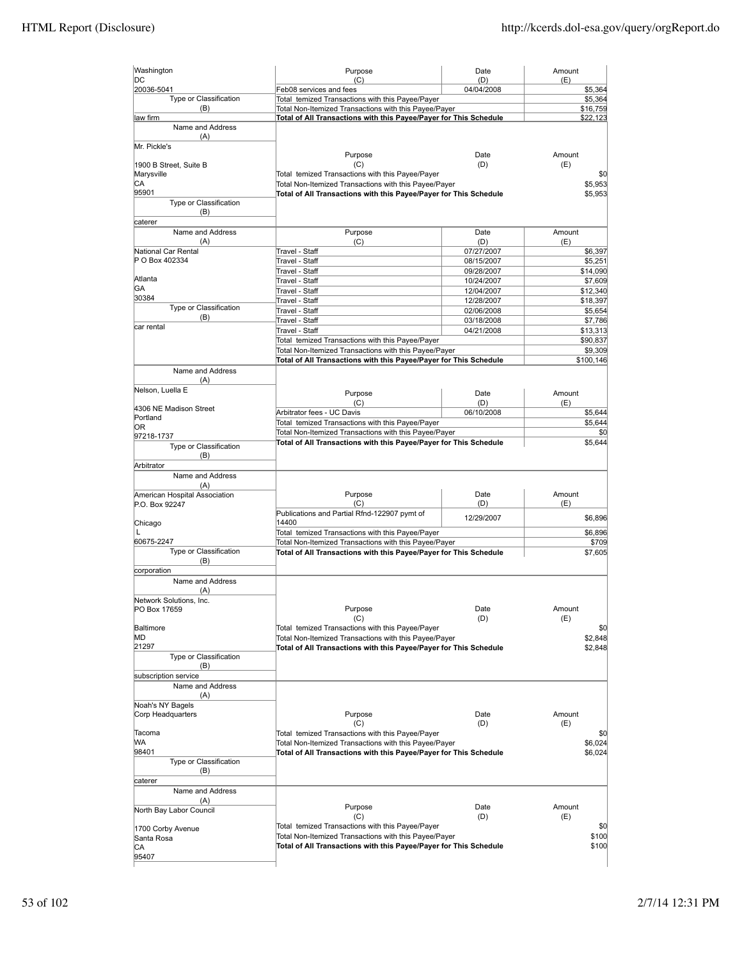| Washington                      | Purpose                                                                                                   | Date                     | Amount        |                     |
|---------------------------------|-----------------------------------------------------------------------------------------------------------|--------------------------|---------------|---------------------|
| DC<br>20036-5041                | (C)<br>Feb08 services and fees                                                                            | (D)<br>04/04/2008        | (E)           | \$5,364             |
| Type or Classification          | Total temized Transactions with this Payee/Payer                                                          |                          |               | \$5,364             |
| (B)                             | Total Non-Itemized Transactions with this Payee/Payer                                                     |                          |               | \$16,759            |
| law firm                        | Total of All Transactions with this Payee/Payer for This Schedule                                         |                          |               | \$22,123            |
| Name and Address                |                                                                                                           |                          |               |                     |
| (A)                             |                                                                                                           |                          |               |                     |
| Mr. Pickle's                    |                                                                                                           |                          |               |                     |
|                                 | Purpose                                                                                                   | Date                     | Amount        |                     |
| 1900 B Street, Suite B          | (C)                                                                                                       | (D)                      | (E)           |                     |
| Marysville<br>СA                | Total temized Transactions with this Payee/Payer<br>Total Non-Itemized Transactions with this Payee/Payer |                          |               | \$0<br>\$5,953      |
| 95901                           | Total of All Transactions with this Payee/Payer for This Schedule                                         |                          |               | \$5,953             |
| Type or Classification          |                                                                                                           |                          |               |                     |
| (B)                             |                                                                                                           |                          |               |                     |
| caterer                         |                                                                                                           |                          |               |                     |
| Name and Address                | Purpose                                                                                                   | Date                     | Amount        |                     |
| (A)                             | (C)                                                                                                       | (D)                      | (E)           |                     |
| National Car Rental             | Travel - Staff                                                                                            | 07/27/2007               |               | \$6,397             |
| P O Box 402334                  | Travel - Staff                                                                                            | 08/15/2007               |               | \$5,251             |
| Atlanta                         | Travel - Staff                                                                                            | 09/28/2007               |               | \$14,090            |
| GА                              | Travel - Staff                                                                                            | 10/24/2007               |               | \$7,609             |
| 30384                           | Travel - Staff<br>Travel - Staff                                                                          | 12/04/2007<br>12/28/2007 |               | \$12,340            |
| Type or Classification          | Travel - Staff                                                                                            | 02/06/2008               |               | \$18,397<br>\$5,654 |
| (B)                             | Travel - Staff                                                                                            | 03/18/2008               |               | \$7,786             |
| car rental                      | Travel - Staff                                                                                            | 04/21/2008               |               | \$13,313            |
|                                 | Total temized Transactions with this Payee/Payer                                                          |                          |               | \$90,837            |
|                                 | Total Non-Itemized Transactions with this Payee/Payer                                                     |                          |               | \$9,309             |
|                                 | Total of All Transactions with this Payee/Payer for This Schedule                                         |                          |               | \$100,146           |
| Name and Address                |                                                                                                           |                          |               |                     |
| (A)                             |                                                                                                           |                          |               |                     |
| Nelson, Luella E                | Purpose                                                                                                   | Date                     | Amount        |                     |
|                                 | (C)                                                                                                       | (D)                      | (E)           |                     |
| 4306 NE Madison Street          | Arbitrator fees - UC Davis                                                                                | 06/10/2008               |               | \$5,644             |
| Portland<br>0R                  | Total temized Transactions with this Payee/Payer                                                          |                          |               | \$5,644             |
| 97218-1737                      | Total Non-Itemized Transactions with this Payee/Payer                                                     |                          |               | \$0                 |
| Type or Classification          | Total of All Transactions with this Payee/Payer for This Schedule                                         |                          |               | \$5,644             |
| (B)                             |                                                                                                           |                          |               |                     |
| Arbitrator                      |                                                                                                           |                          |               |                     |
| Name and Address                |                                                                                                           |                          |               |                     |
| (A)                             |                                                                                                           |                          |               |                     |
| American Hospital Association   | Purpose                                                                                                   | Date                     | Amount        |                     |
| P.O. Box 92247                  | (C)                                                                                                       | (D)                      | (E)           |                     |
|                                 | Publications and Partial Rfnd-122907 pymt of<br>14400                                                     | 12/29/2007               |               | \$6,896             |
| Chicago<br>L                    | Total temized Transactions with this Payee/Payer                                                          |                          |               | \$6,896             |
| 60675-2247                      | Total Non-Itemized Transactions with this Payee/Payer                                                     |                          |               | \$709               |
| Type or Classification          | Total of All Transactions with this Payee/Payer for This Schedule                                         |                          |               | \$7,605             |
| (B)                             |                                                                                                           |                          |               |                     |
| corporation                     |                                                                                                           |                          |               |                     |
| Name and Address                |                                                                                                           |                          |               |                     |
| (A)                             |                                                                                                           |                          |               |                     |
| Network Solutions, Inc.         |                                                                                                           |                          |               |                     |
| PO Box 17659                    | Purpose                                                                                                   | Date                     | Amount        |                     |
| Baltimore                       | (C)<br>Total temized Transactions with this Payee/Payer                                                   | (D)                      | (E)           | \$0                 |
| MD                              | Total Non-Itemized Transactions with this Payee/Payer                                                     |                          |               | \$2,848             |
| 21297                           | Total of All Transactions with this Payee/Payer for This Schedule                                         |                          |               | \$2,848             |
| Type or Classification          |                                                                                                           |                          |               |                     |
| (B)                             |                                                                                                           |                          |               |                     |
| subscription service            |                                                                                                           |                          |               |                     |
| Name and Address                |                                                                                                           |                          |               |                     |
| (A)                             |                                                                                                           |                          |               |                     |
| Noah's NY Bagels                |                                                                                                           |                          |               |                     |
| Corp Headquarters               | Purpose                                                                                                   | Date                     | Amount        |                     |
| Tacoma                          | (C)<br>Total temized Transactions with this Payee/Payer                                                   | (D)                      | (E)           |                     |
| WА                              | Total Non-Itemized Transactions with this Payee/Payer                                                     |                          |               | \$0<br>\$6,024      |
| 98401                           | Total of All Transactions with this Payee/Payer for This Schedule                                         |                          |               | \$6,024             |
| Type or Classification          |                                                                                                           |                          |               |                     |
| (B)                             |                                                                                                           |                          |               |                     |
| caterer                         |                                                                                                           |                          |               |                     |
| Name and Address                |                                                                                                           |                          |               |                     |
| (A)                             |                                                                                                           |                          |               |                     |
| North Bay Labor Council         | Purpose<br>(C)                                                                                            | Date<br>(D)              | Amount<br>(E) |                     |
|                                 | Total temized Transactions with this Payee/Payer                                                          |                          |               | \$0                 |
| 1700 Corby Avenue<br>Santa Rosa | Total Non-Itemized Transactions with this Payee/Payer                                                     |                          |               | \$100               |
| CА                              | Total of All Transactions with this Payee/Payer for This Schedule                                         |                          |               | \$100               |
| 95407                           |                                                                                                           |                          |               |                     |
|                                 |                                                                                                           |                          |               |                     |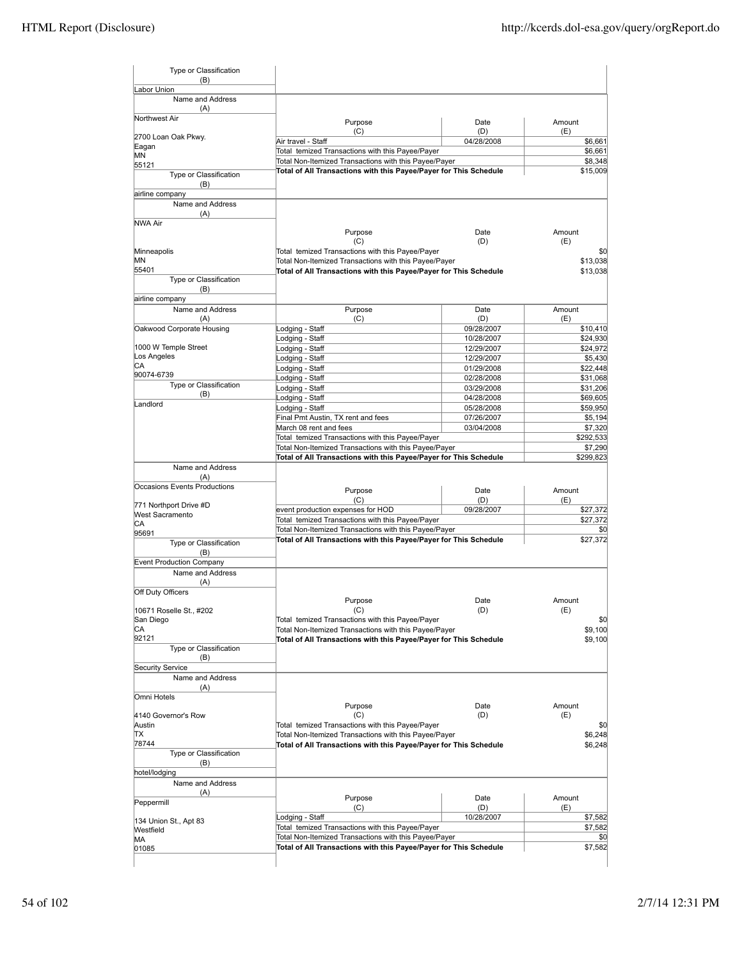| Type or Classification<br>(B)                    |                                                                                                                            |                          |                     |
|--------------------------------------------------|----------------------------------------------------------------------------------------------------------------------------|--------------------------|---------------------|
| Labor Union                                      |                                                                                                                            |                          |                     |
| Name and Address<br>(A)                          |                                                                                                                            |                          |                     |
| Northwest Air                                    | Purpose                                                                                                                    | Date                     | Amount              |
|                                                  | (C)                                                                                                                        | (D)                      | (E)                 |
| 2700 Loan Oak Pkwy.<br>Eagan                     | Air travel - Staff                                                                                                         | 04/28/2008               | \$6,661             |
| MN                                               | Total temized Transactions with this Payee/Payer                                                                           |                          | \$6,661             |
| 55121                                            | Total Non-Itemized Transactions with this Payee/Payer<br>Total of All Transactions with this Payee/Payer for This Schedule |                          | \$8,348<br>\$15,009 |
| Type or Classification<br>(B)<br>airline company |                                                                                                                            |                          |                     |
| Name and Address                                 |                                                                                                                            |                          |                     |
| (A)                                              |                                                                                                                            |                          |                     |
| NWA Air                                          |                                                                                                                            |                          |                     |
|                                                  | Purpose<br>(C)                                                                                                             | Date<br>(D)              | Amount<br>(E)       |
| Minneapolis                                      | Total temized Transactions with this Payee/Payer                                                                           |                          | \$0                 |
| MN                                               | Total Non-Itemized Transactions with this Payee/Payer                                                                      |                          | \$13,038            |
| 55401                                            | Total of All Transactions with this Payee/Payer for This Schedule                                                          |                          | \$13,038            |
| Type or Classification<br>(B)                    |                                                                                                                            |                          |                     |
| airline company                                  |                                                                                                                            |                          |                     |
| Name and Address                                 | Purpose                                                                                                                    | Date                     | Amount              |
| (A)                                              | (C)                                                                                                                        | (D)                      | (E)                 |
| Oakwood Corporate Housing                        | Lodging - Staff                                                                                                            | 09/28/2007               | \$10,410            |
| 1000 W Temple Street                             | Lodging - Staff                                                                                                            | 10/28/2007               | \$24,930            |
| Los Angeles                                      | Lodging - Staff                                                                                                            | 12/29/2007<br>12/29/2007 | \$24,972<br>\$5,430 |
| СA                                               | Lodging - Staff<br>Lodging - Staff                                                                                         | 01/29/2008               | \$22,448            |
| 90074-6739                                       | Lodging - Staff                                                                                                            | 02/28/2008               | \$31,068            |
| Type or Classification                           | Lodging - Staff                                                                                                            | 03/29/2008               | \$31,206            |
| (B)                                              | Lodging - Staff                                                                                                            | 04/28/2008               | \$69,605            |
| Landlord                                         | Lodging - Staff                                                                                                            | 05/28/2008               | \$59,950            |
|                                                  | Final Pmt Austin, TX rent and fees                                                                                         | 07/26/2007               | \$5,194             |
|                                                  | March 08 rent and fees                                                                                                     | 03/04/2008               | \$7,320             |
|                                                  | Total temized Transactions with this Payee/Payer                                                                           |                          | \$292,533           |
|                                                  | Total Non-Itemized Transactions with this Payee/Payer                                                                      |                          | \$7,290             |
|                                                  | Total of All Transactions with this Payee/Payer for This Schedule                                                          |                          | \$299,823           |
| Name and Address<br>(A)                          |                                                                                                                            |                          |                     |
| Occasions Events Productions                     |                                                                                                                            |                          |                     |
|                                                  | Purpose<br>(C)                                                                                                             | Date<br>(D)              | Amount<br>(E)       |
| 771 Northport Drive #D                           | event production expenses for HOD                                                                                          | 09/28/2007               | \$27,372            |
| <b>West Sacramento</b>                           | Total temized Transactions with this Payee/Payer                                                                           |                          | \$27,372            |
| СA<br>95691                                      | Total Non-Itemized Transactions with this Payee/Payer                                                                      |                          | \$0                 |
| Type or Classification                           | Total of All Transactions with this Payee/Payer for This Schedule                                                          |                          | \$27,372            |
| (B)                                              |                                                                                                                            |                          |                     |
| Event Production Company                         |                                                                                                                            |                          |                     |
| Name and Address                                 |                                                                                                                            |                          |                     |
| (A)                                              |                                                                                                                            |                          |                     |
| Off Duty Officers                                |                                                                                                                            |                          | Amount              |
| 10671 Roselle St., #202                          | Purpose<br>(C)                                                                                                             | Date<br>(D)              | (E)                 |
| San Diego                                        | Total temized Transactions with this Payee/Payer                                                                           |                          | \$0                 |
| СA                                               | Total Non-Itemized Transactions with this Payee/Payer                                                                      |                          | \$9,100             |
| 92121                                            | Total of All Transactions with this Payee/Payer for This Schedule                                                          |                          | \$9,100             |
| Type or Classification                           |                                                                                                                            |                          |                     |
| (B)                                              |                                                                                                                            |                          |                     |
| <b>Security Service</b><br>Name and Address      |                                                                                                                            |                          |                     |
| (A)                                              |                                                                                                                            |                          |                     |
| Omni Hotels                                      |                                                                                                                            |                          |                     |
|                                                  | Purpose                                                                                                                    | Date                     | Amount              |
| 4140 Governor's Row                              | (C)                                                                                                                        | (D)                      | (E)                 |
| Austin                                           | Total temized Transactions with this Payee/Payer                                                                           |                          | \$0                 |
| ΠX                                               | Total Non-Itemized Transactions with this Payee/Payer                                                                      |                          | \$6,248             |
| 78744<br>Type or Classification                  | Total of All Transactions with this Payee/Payer for This Schedule                                                          |                          | \$6,248             |
| (B)                                              |                                                                                                                            |                          |                     |
| hotel/lodging                                    |                                                                                                                            |                          |                     |
| Name and Address                                 |                                                                                                                            |                          |                     |
| (A)                                              |                                                                                                                            |                          |                     |
| Peppermill                                       | Purpose<br>(C)                                                                                                             | Date<br>(D)              | Amount<br>(E)       |
|                                                  | Lodging - Staff                                                                                                            | 10/28/2007               | \$7,582             |
| 134 Union St., Apt 83<br>Westfield               | Total temized Transactions with this Payee/Payer                                                                           |                          | \$7,582             |
| MА                                               | Total Non-Itemized Transactions with this Payee/Payer                                                                      |                          | \$0                 |
| 01085                                            | Total of All Transactions with this Payee/Payer for This Schedule                                                          |                          | \$7,582             |
|                                                  |                                                                                                                            |                          |                     |
|                                                  |                                                                                                                            |                          |                     |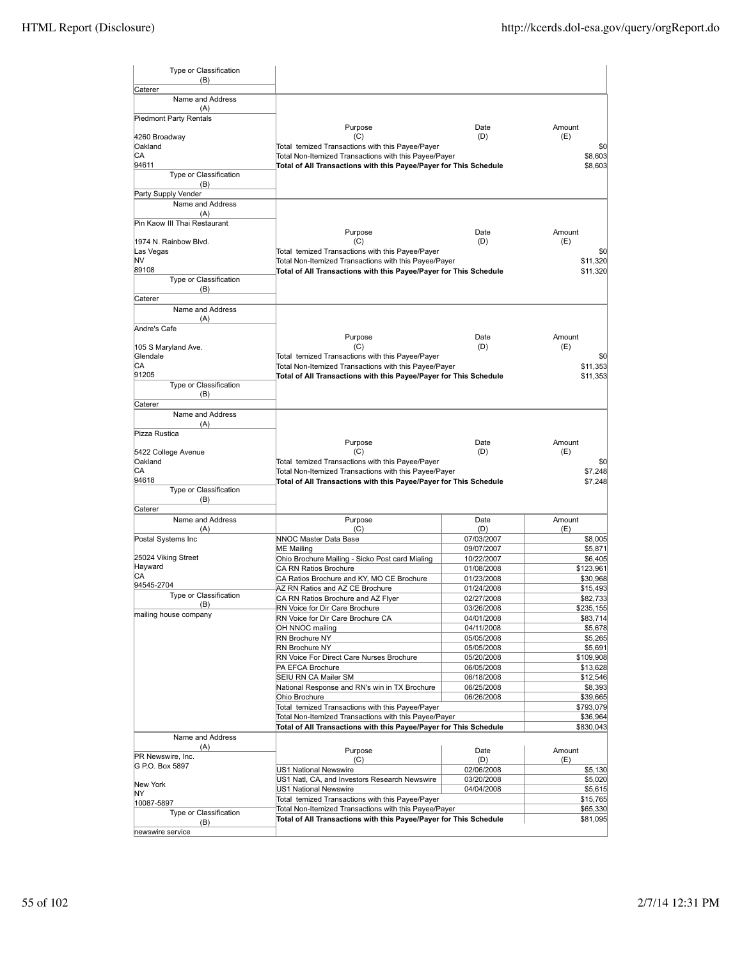| Type or Classification<br>(B)       |                                                                                                                            |                          |                       |
|-------------------------------------|----------------------------------------------------------------------------------------------------------------------------|--------------------------|-----------------------|
| Caterer                             |                                                                                                                            |                          |                       |
| Name and Address<br>(A)             |                                                                                                                            |                          |                       |
| Piedmont Party Rentals              |                                                                                                                            |                          |                       |
|                                     | Purpose                                                                                                                    | Date                     | Amount                |
| 4260 Broadway                       | (C)                                                                                                                        | (D)                      | (E)                   |
| Oakland<br>СA                       | Total temized Transactions with this Payee/Payer<br>Total Non-Itemized Transactions with this Payee/Payer                  |                          | \$0<br>\$8,603        |
| 94611                               | Total of All Transactions with this Payee/Payer for This Schedule                                                          |                          | \$8,603               |
| Type or Classification              |                                                                                                                            |                          |                       |
| (B)                                 |                                                                                                                            |                          |                       |
| Party Supply Vender                 |                                                                                                                            |                          |                       |
| Name and Address                    |                                                                                                                            |                          |                       |
| (A)<br>Pin Kaow III Thai Restaurant |                                                                                                                            |                          |                       |
|                                     | Purpose                                                                                                                    | Date                     | Amount                |
| 1974 N. Rainbow Blvd.               | (C)                                                                                                                        | (D)                      | (E)                   |
| Las Vegas                           | Total temized Transactions with this Payee/Payer                                                                           |                          | \$0                   |
| N٧                                  | Total Non-Itemized Transactions with this Payee/Payer                                                                      |                          | \$11,320              |
| 89108                               | Total of All Transactions with this Payee/Payer for This Schedule                                                          |                          | \$11,320              |
| Type or Classification<br>(B)       |                                                                                                                            |                          |                       |
| Caterer                             |                                                                                                                            |                          |                       |
| Name and Address                    |                                                                                                                            |                          |                       |
| (A)                                 |                                                                                                                            |                          |                       |
| Andre's Cafe                        |                                                                                                                            |                          |                       |
|                                     | Purpose                                                                                                                    | Date                     | Amount                |
| 105 S Maryland Ave.                 | (C)                                                                                                                        | (D)                      | (E)                   |
| Glendale<br>СA                      | Total temized Transactions with this Payee/Payer                                                                           |                          | \$0                   |
| 91205                               | Total Non-Itemized Transactions with this Payee/Payer<br>Total of All Transactions with this Payee/Payer for This Schedule |                          | \$11,353<br>\$11,353  |
| Type or Classification              |                                                                                                                            |                          |                       |
| (B)                                 |                                                                                                                            |                          |                       |
| Caterer                             |                                                                                                                            |                          |                       |
| Name and Address                    |                                                                                                                            |                          |                       |
| (A)                                 |                                                                                                                            |                          |                       |
| Pizza Rustica                       | Purpose                                                                                                                    | Date                     | Amount                |
| 5422 College Avenue                 | (C)                                                                                                                        | (D)                      | (E)                   |
| Oakland                             | Total temized Transactions with this Payee/Payer                                                                           |                          | \$0                   |
| СA                                  | Total Non-Itemized Transactions with this Payee/Payer                                                                      |                          | \$7,248               |
| 94618                               | Total of All Transactions with this Payee/Payer for This Schedule                                                          |                          | \$7,248               |
| Type or Classification              |                                                                                                                            |                          |                       |
| (B)                                 |                                                                                                                            |                          |                       |
| Caterer<br>Name and Address         | Purpose                                                                                                                    | Date                     | Amount                |
| (A)                                 | (C)                                                                                                                        | (D)                      | (E)                   |
| Postal Systems Inc                  | NNOC Master Data Base                                                                                                      | 07/03/2007               | \$8,005               |
|                                     | <b>ME Mailing</b>                                                                                                          | 09/07/2007               | \$5,871               |
| 25024 Viking Street                 | Ohio Brochure Mailing - Sicko Post card Mialing                                                                            | 10/22/2007               | \$6,405               |
| Hayward                             | CA RN Ratios Brochure                                                                                                      | 01/08/2008               | \$123,961             |
| СA<br>94545-2704                    | CA Ratios Brochure and KY, MO CE Brochure                                                                                  | 01/23/2008               | \$30,968              |
| Type or Classification              | AZ RN Ratios and AZ CE Brochure                                                                                            | 01/24/2008               | \$15,493              |
| (B)                                 | CA RN Ratios Brochure and AZ Flyer<br>RN Voice for Dir Care Brochure                                                       | 02/27/2008               | \$82,733<br>\$235,155 |
| mailing house company               | RN Voice for Dir Care Brochure CA                                                                                          | 03/26/2008<br>04/01/2008 | \$83,714              |
|                                     | OH NNOC mailing                                                                                                            | 04/11/2008               | \$5,678               |
|                                     | RN Brochure NY                                                                                                             | 05/05/2008               | \$5,265               |
|                                     | RN Brochure NY                                                                                                             | 05/05/2008               | \$5,691               |
|                                     | RN Voice For Direct Care Nurses Brochure                                                                                   | 05/20/2008               | \$109,908             |
|                                     | PA EFCA Brochure                                                                                                           | 06/05/2008               | \$13,628              |
|                                     | SEIU RN CA Mailer SM                                                                                                       | 06/18/2008               | \$12,546              |
|                                     | National Response and RN's win in TX Brochure                                                                              | 06/25/2008               | \$8,393               |
|                                     | Ohio Brochure<br>Total temized Transactions with this Payee/Payer                                                          | 06/26/2008               | \$39,665<br>\$793,079 |
|                                     | Total Non-Itemized Transactions with this Payee/Payer                                                                      |                          | \$36,964              |
|                                     | Total of All Transactions with this Payee/Payer for This Schedule                                                          |                          | \$830,043             |
| Name and Address                    |                                                                                                                            |                          |                       |
| (A)                                 | Purpose                                                                                                                    | Date                     | Amount                |
| PR Newswire, Inc.                   | (C)                                                                                                                        | (D)                      | (E)                   |
| G P.O. Box 5897                     | US1 National Newswire                                                                                                      | 02/06/2008               | \$5,130               |
|                                     | US1 Natl, CA, and Investors Research Newswire                                                                              | 03/20/2008               | \$5,020               |
| New York<br>NΥ                      | US1 National Newswire                                                                                                      | 04/04/2008               | \$5,615               |
| 10087-5897                          | Total temized Transactions with this Payee/Payer                                                                           |                          | \$15,765              |
| Type or Classification              | Total Non-Itemized Transactions with this Payee/Payer                                                                      |                          | \$65,330              |
| (B)                                 | Total of All Transactions with this Payee/Payer for This Schedule                                                          |                          | \$81,095              |
| newswire service                    |                                                                                                                            |                          |                       |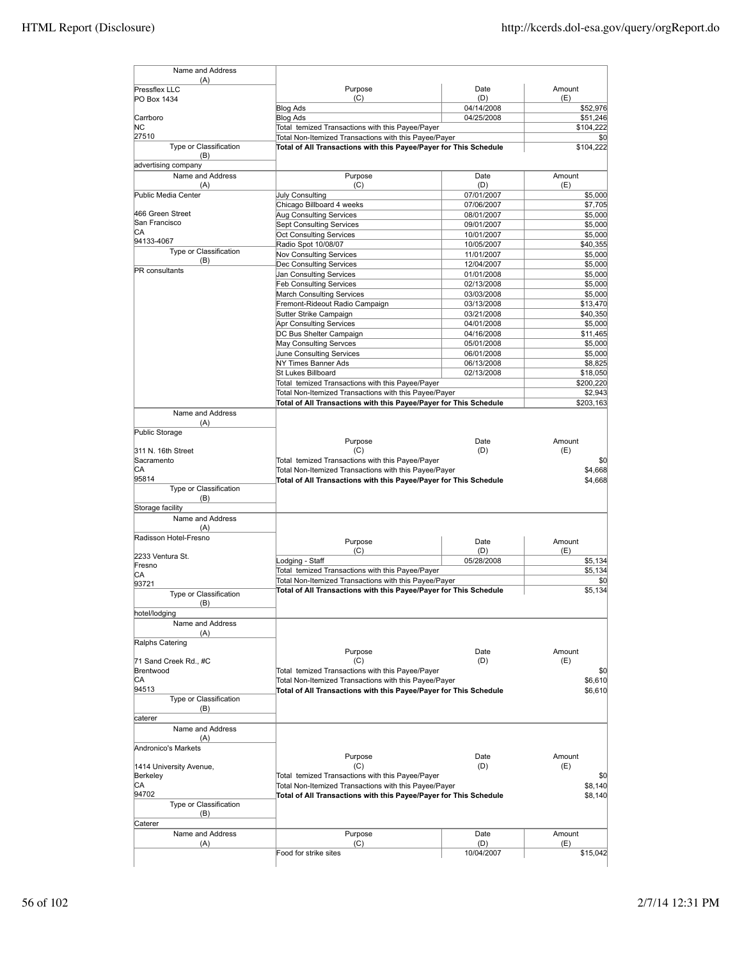| (A)<br>Pressflex LLC                | Purpose                                                                                                   | Date                     | Amount                                                                                                   |
|-------------------------------------|-----------------------------------------------------------------------------------------------------------|--------------------------|----------------------------------------------------------------------------------------------------------|
| PO Box 1434                         | (C)                                                                                                       | (D)                      | (E)                                                                                                      |
|                                     | <b>Blog Ads</b>                                                                                           | 04/14/2008               | \$52,976                                                                                                 |
| Carrboro                            | <b>Blog Ads</b>                                                                                           | 04/25/2008               | \$51,246                                                                                                 |
| ΝC<br>27510                         | Total temized Transactions with this Payee/Payer<br>Total Non-Itemized Transactions with this Payee/Payer |                          | \$104,222<br>\$0                                                                                         |
| Type or Classification              | Total of All Transactions with this Payee/Payer for This Schedule                                         |                          | \$104,222                                                                                                |
| (B)                                 |                                                                                                           |                          |                                                                                                          |
| advertising company                 |                                                                                                           |                          |                                                                                                          |
| Name and Address                    | Purpose                                                                                                   | Date                     | Amount                                                                                                   |
| (A)<br>Public Media Center          | (C)<br><b>July Consulting</b>                                                                             | (D)<br>07/01/2007        | (E)<br>\$5,000                                                                                           |
|                                     | Chicago Billboard 4 weeks                                                                                 | 07/06/2007               | \$7,705                                                                                                  |
| 466 Green Street                    | Aug Consulting Services                                                                                   | 08/01/2007               | \$5,000                                                                                                  |
| San Francisco                       | <b>Sept Consulting Services</b>                                                                           | 09/01/2007               | \$5,000                                                                                                  |
| IСA<br>94133-4067                   | <b>Oct Consulting Services</b>                                                                            | 10/01/2007               | \$5,000                                                                                                  |
| Type or Classification              | Radio Spot 10/08/07                                                                                       | 10/05/2007               | \$40,355                                                                                                 |
| (B)                                 | Nov Consulting Services<br>Dec Consulting Services                                                        | 11/01/2007<br>12/04/2007 | \$5,000<br>\$5,000                                                                                       |
| <b>PR</b> consultants               | Jan Consulting Services                                                                                   | 01/01/2008               | \$5,000                                                                                                  |
|                                     | <b>Feb Consulting Services</b>                                                                            | 02/13/2008               | \$5,000                                                                                                  |
|                                     | March Consulting Services                                                                                 | 03/03/2008               | \$5,000                                                                                                  |
|                                     | Fremont-Rideout Radio Campaign                                                                            | 03/13/2008               | \$13,470                                                                                                 |
|                                     | Sutter Strike Campaign                                                                                    | 03/21/2008               | \$40,350                                                                                                 |
|                                     | Apr Consulting Services<br>DC Bus Shelter Campaign                                                        | 04/01/2008               | \$5,000                                                                                                  |
|                                     | May Consulting Servces                                                                                    | 04/16/2008<br>05/01/2008 | \$11,465<br>\$5,000                                                                                      |
|                                     | June Consulting Services                                                                                  | 06/01/2008               | \$5,000                                                                                                  |
|                                     | NY Times Banner Ads                                                                                       | 06/13/2008               | \$8,825                                                                                                  |
|                                     | St Lukes Billboard                                                                                        | 02/13/2008               | \$18,050                                                                                                 |
|                                     | Total temized Transactions with this Payee/Payer                                                          |                          | \$200,220                                                                                                |
|                                     | Total Non-Itemized Transactions with this Payee/Payer                                                     |                          | \$2,943                                                                                                  |
| Name and Address                    | Total of All Transactions with this Payee/Payer for This Schedule                                         |                          | \$203,163                                                                                                |
| (A)                                 |                                                                                                           |                          |                                                                                                          |
| Public Storage                      |                                                                                                           |                          |                                                                                                          |
|                                     |                                                                                                           |                          |                                                                                                          |
|                                     | Purpose                                                                                                   | Date                     | Amount                                                                                                   |
| 311 N. 16th Street                  | (C)                                                                                                       | (D)                      | (E)                                                                                                      |
| Sacramento                          | Total temized Transactions with this Payee/Payer                                                          |                          |                                                                                                          |
| СA<br>95814                         | Total Non-Itemized Transactions with this Payee/Payer                                                     |                          |                                                                                                          |
| Type or Classification              | Total of All Transactions with this Payee/Payer for This Schedule                                         |                          | \$0<br>\$4,668<br>\$4,668                                                                                |
| (B)                                 |                                                                                                           |                          |                                                                                                          |
| Storage facility                    |                                                                                                           |                          |                                                                                                          |
| Name and Address                    |                                                                                                           |                          |                                                                                                          |
| (A)<br>Radisson Hotel-Fresno        |                                                                                                           |                          |                                                                                                          |
|                                     | Purpose                                                                                                   | Date                     | Amount                                                                                                   |
| 2233 Ventura St.                    | (C)                                                                                                       | (D)<br>05/28/2008        | (E)                                                                                                      |
| Fresno                              | Lodging - Staff<br>Total temized Transactions with this Payee/Payer                                       |                          |                                                                                                          |
| СA                                  | Total Non-Itemized Transactions with this Payee/Payer                                                     |                          |                                                                                                          |
| 93721<br>Type or Classification     | Total of All Transactions with this Payee/Payer for This Schedule                                         |                          |                                                                                                          |
| (B)                                 |                                                                                                           |                          |                                                                                                          |
| hotel/lodging                       |                                                                                                           |                          |                                                                                                          |
| Name and Address                    |                                                                                                           |                          |                                                                                                          |
| (A)                                 |                                                                                                           |                          |                                                                                                          |
| Ralphs Catering                     | Purpose                                                                                                   | Date                     | Amount                                                                                                   |
| 71 Sand Creek Rd., #C               | (C)                                                                                                       | (D)                      | (E)                                                                                                      |
| Brentwood                           | Total temized Transactions with this Payee/Payer                                                          |                          |                                                                                                          |
| CА                                  | Total Non-Itemized Transactions with this Payee/Payer                                                     |                          |                                                                                                          |
| 94513                               | Total of All Transactions with this Payee/Payer for This Schedule                                         |                          |                                                                                                          |
| Type or Classification<br>(B)       |                                                                                                           |                          |                                                                                                          |
| caterer                             |                                                                                                           |                          |                                                                                                          |
| Name and Address                    |                                                                                                           |                          |                                                                                                          |
| (A)                                 |                                                                                                           |                          |                                                                                                          |
| Andronico's Markets                 |                                                                                                           |                          |                                                                                                          |
|                                     | Purpose                                                                                                   | Date                     | Amount                                                                                                   |
| 1414 University Avenue,<br>Berkeley | (C)<br>Total temized Transactions with this Payee/Payer                                                   | (D)                      | (E)                                                                                                      |
| CA                                  | Total Non-Itemized Transactions with this Payee/Payer                                                     |                          |                                                                                                          |
| 94702                               | Total of All Transactions with this Payee/Payer for This Schedule                                         |                          |                                                                                                          |
| Type or Classification              |                                                                                                           |                          |                                                                                                          |
| (B)<br>Caterer                      |                                                                                                           |                          |                                                                                                          |
| Name and Address                    | Purpose                                                                                                   | Date                     | \$5,134<br>\$5,134<br>\$0<br>\$5,134<br>\$0<br>\$6,610<br>\$6,610<br>\$0<br>\$8,140<br>\$8,140<br>Amount |
| (A)                                 | (C)<br>Food for strike sites                                                                              | (D)<br>10/04/2007        | (E)<br>\$15,042                                                                                          |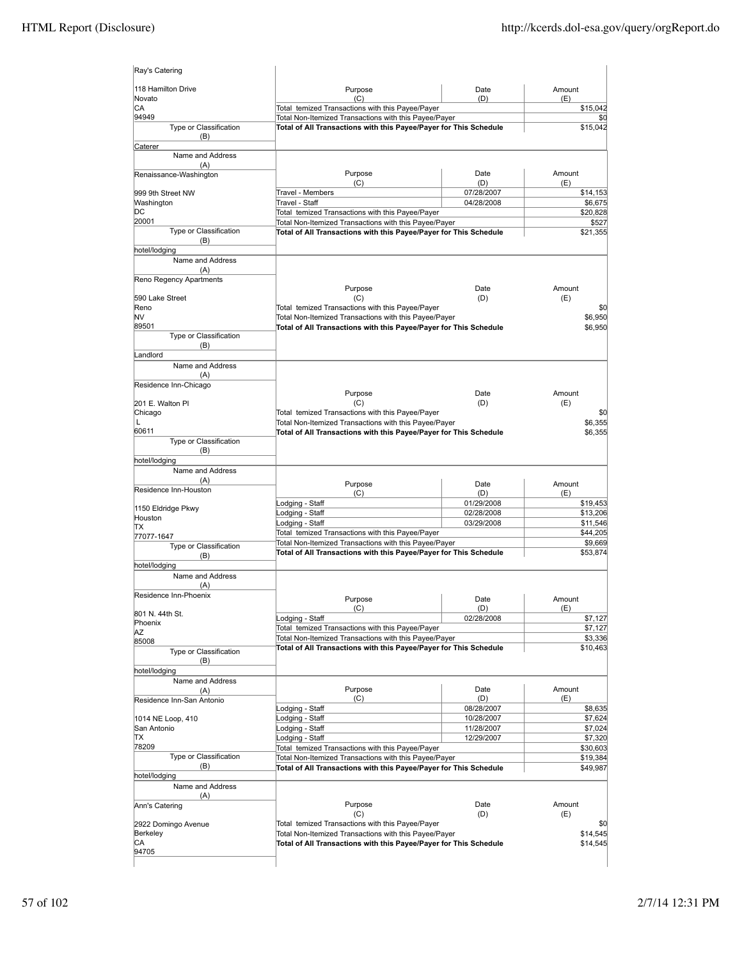| Ray's Catering                    |                                                                                                                            |                          |                      |
|-----------------------------------|----------------------------------------------------------------------------------------------------------------------------|--------------------------|----------------------|
| 118 Hamilton Drive<br>Novato      | Purpose<br>(C)                                                                                                             | Date<br>(D)              | Amount<br>(E)        |
| СA                                | Total temized Transactions with this Payee/Payer                                                                           |                          | \$15,042             |
| 94949                             | Total Non-Itemized Transactions with this Payee/Payer                                                                      |                          | \$0                  |
| Type or Classification<br>(B)     | Total of All Transactions with this Payee/Payer for This Schedule                                                          |                          | \$15,042             |
| Caterer<br>Name and Address       |                                                                                                                            |                          |                      |
| (A)<br>Renaissance-Washington     | Purpose                                                                                                                    | Date                     | Amount               |
|                                   | (C)                                                                                                                        | (D)                      | (E)                  |
| 999 9th Street NW<br>Washington   | Travel - Members<br>Travel - Staff                                                                                         | 07/28/2007<br>04/28/2008 | \$14,153<br>\$6,675  |
| DС                                | Total temized Transactions with this Payee/Payer                                                                           |                          | \$20,828             |
| 20001                             | Total Non-Itemized Transactions with this Payee/Payer                                                                      |                          | \$527                |
| Type or Classification<br>(B)     | Total of All Transactions with this Payee/Payer for This Schedule                                                          |                          | \$21,355             |
| hotel/lodging                     |                                                                                                                            |                          |                      |
| Name and Address<br>(A)           |                                                                                                                            |                          |                      |
| Reno Regency Apartments           |                                                                                                                            |                          |                      |
|                                   | Purpose                                                                                                                    | Date                     | Amount               |
| 590 Lake Street<br>Reno           | (C)<br>Total temized Transactions with this Payee/Payer                                                                    | (D)                      | (E)<br>\$0           |
| NV                                | Total Non-Itemized Transactions with this Payee/Payer                                                                      |                          | \$6,950              |
| 89501                             | Total of All Transactions with this Payee/Payer for This Schedule                                                          |                          | \$6,950              |
| Type or Classification<br>(B)     |                                                                                                                            |                          |                      |
| Landlord                          |                                                                                                                            |                          |                      |
| Name and Address                  |                                                                                                                            |                          |                      |
| (A)<br>Residence Inn-Chicago      |                                                                                                                            |                          |                      |
|                                   | Purpose                                                                                                                    | Date                     | Amount               |
| 201 E. Walton Pl                  | (C)                                                                                                                        | (D)                      | (E)                  |
| Chicago<br>L                      | Total temized Transactions with this Payee/Payer                                                                           |                          | \$0<br>\$6,355       |
| 60611                             | Total Non-Itemized Transactions with this Payee/Payer<br>Total of All Transactions with this Payee/Payer for This Schedule |                          | \$6,355              |
| Type or Classification            |                                                                                                                            |                          |                      |
| (B)<br>hotel/lodging              |                                                                                                                            |                          |                      |
| Name and Address                  |                                                                                                                            |                          |                      |
| (A)                               | Purpose                                                                                                                    | Date                     | Amount               |
| Residence Inn-Houston             | (C)                                                                                                                        | (D)                      | (E)                  |
| 1150 Eldridge Pkwy                | Lodging - Staff<br>Lodging - Staff                                                                                         | 01/29/2008<br>02/28/2008 | \$19,453<br>\$13,206 |
| Houston                           | Lodging - Staff                                                                                                            | 03/29/2008               | \$11,546             |
| ТX<br>77077-1647                  | Total temized Transactions with this Payee/Payer                                                                           |                          | \$44,205             |
| <b>Type or Classification</b>     | Total Non-Itemized Transactions with this Payee/Payer                                                                      |                          | \$9,669              |
| (B)                               | Total of All Transactions with this Payee/Payer for This Schedule                                                          |                          | \$53,874             |
| hotel/lodging<br>Name and Address |                                                                                                                            |                          |                      |
| (A)                               |                                                                                                                            |                          |                      |
| Residence Inn-Phoenix             | Purpose                                                                                                                    | Date                     | Amount               |
| 801 N. 44th St.                   | (C)                                                                                                                        | (D)                      | (E)                  |
| Phoenix                           | Lodging - Staff<br>Total temized Transactions with this Payee/Payer                                                        | 02/28/2008               | \$7,127<br>\$7,127   |
| AZ<br>85008                       | Total Non-Itemized Transactions with this Payee/Payer                                                                      |                          | \$3,336              |
| Type or Classification            | Total of All Transactions with this Payee/Payer for This Schedule                                                          |                          | \$10,463             |
| (B)                               |                                                                                                                            |                          |                      |
| hotel/lodging                     |                                                                                                                            |                          |                      |
| Name and Address<br>(A)           | Purpose                                                                                                                    | Date                     | Amount               |
| Residence Inn-San Antonio         | (C)                                                                                                                        | (D)                      | (E)                  |
|                                   | Lodging - Staff                                                                                                            | 08/28/2007<br>10/28/2007 | \$8,635              |
| 1014 NE Loop, 410<br>San Antonio  | Lodging - Staff<br>Lodging - Staff                                                                                         | 11/28/2007               | \$7,624<br>\$7,024   |
| ТX                                | Lodging - Staff                                                                                                            | 12/29/2007               | \$7,320              |
| 78209<br>Type or Classification   | Total temized Transactions with this Payee/Payer                                                                           |                          | \$30,603             |
| (B)                               | Total Non-Itemized Transactions with this Payee/Payer<br>Total of All Transactions with this Payee/Payer for This Schedule |                          | \$19,384<br>\$49,987 |
| hotel/lodging                     |                                                                                                                            |                          |                      |
| Name and Address                  |                                                                                                                            |                          |                      |
| (A)<br>Ann's Catering             | Purpose                                                                                                                    | Date                     | Amount               |
|                                   | (C)                                                                                                                        | (D)                      | (E)                  |
| 2922 Domingo Avenue               | Total temized Transactions with this Payee/Payer                                                                           |                          | \$0                  |
| Berkeley<br>СA                    | Total Non-Itemized Transactions with this Payee/Payer<br>Total of All Transactions with this Payee/Payer for This Schedule |                          | \$14,545<br>\$14,545 |
| 94705                             |                                                                                                                            |                          |                      |
|                                   |                                                                                                                            |                          |                      |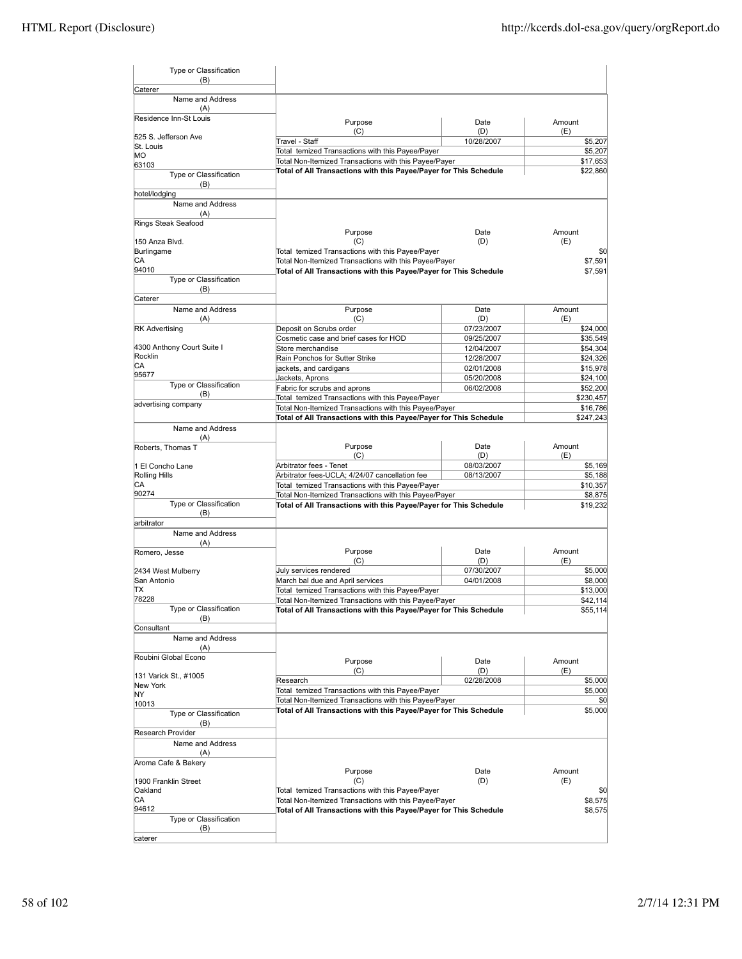| Type or Classification<br>(B)   |                                                                                                           |                   |                |
|---------------------------------|-----------------------------------------------------------------------------------------------------------|-------------------|----------------|
| Caterer<br>Name and Address     |                                                                                                           |                   |                |
| (A)                             |                                                                                                           |                   |                |
| Residence Inn-St Louis          | Purpose                                                                                                   | Date              | Amount         |
| 525 S. Jefferson Ave            | (C)<br>Travel - Staff                                                                                     | (D)<br>10/28/2007 | (E)<br>\$5,207 |
| St. Louis                       | Total temized Transactions with this Payee/Payer                                                          |                   | \$5,207        |
| MО                              | Total Non-Itemized Transactions with this Payee/Payer                                                     |                   | \$17,653       |
| 63103<br>Type or Classification | Total of All Transactions with this Payee/Payer for This Schedule                                         |                   | \$22,860       |
| (B)<br>hotel/lodging            |                                                                                                           |                   |                |
| Name and Address                |                                                                                                           |                   |                |
| (A)                             |                                                                                                           |                   |                |
| Rings Steak Seafood             | Purpose                                                                                                   | Date              | Amount         |
| 150 Anza Blvd.                  | (C)                                                                                                       | (D)               | (E)            |
| Burlingame                      | Total temized Transactions with this Payee/Payer                                                          |                   | \$0            |
| СA                              | Total Non-Itemized Transactions with this Payee/Payer                                                     |                   | \$7,591        |
| 94010                           | Total of All Transactions with this Payee/Payer for This Schedule                                         |                   | \$7,591        |
| Type or Classification          |                                                                                                           |                   |                |
| (B)                             |                                                                                                           |                   |                |
| Caterer<br>Name and Address     |                                                                                                           |                   |                |
| (A)                             | Purpose<br>(C)                                                                                            | Date<br>(D)       | Amount<br>(E)  |
| <b>RK Advertising</b>           | Deposit on Scrubs order                                                                                   | 07/23/2007        | \$24,000       |
|                                 | Cosmetic case and brief cases for HOD                                                                     | 09/25/2007        | \$35,549       |
| 4300 Anthony Court Suite I      | Store merchandise                                                                                         | 12/04/2007        | \$54,304       |
| Rocklin                         | Rain Ponchos for Sutter Strike                                                                            | 12/28/2007        | \$24,326       |
| СA                              | ackets, and cardigans                                                                                     | 02/01/2008        | \$15,978       |
| 95677                           | Jackets, Aprons                                                                                           | 05/20/2008        | \$24,100       |
| Type or Classification          | Fabric for scrubs and aprons                                                                              | 06/02/2008        | \$52,200       |
| (B)                             | Total temized Transactions with this Payee/Payer                                                          |                   | \$230,457      |
| advertising company             | Total Non-Itemized Transactions with this Payee/Payer                                                     |                   | \$16,786       |
|                                 | Total of All Transactions with this Payee/Payer for This Schedule                                         |                   | \$247,243      |
| Name and Address                |                                                                                                           |                   |                |
| (A)<br>Roberts, Thomas T        | Purpose                                                                                                   | Date              | Amount         |
|                                 | (C)                                                                                                       | (D)               | (E)            |
| 1 El Concho Lane                | Arbitrator fees - Tenet                                                                                   | 08/03/2007        | \$5,169        |
| Rolling Hills                   | Arbitrator fees-UCLA; 4/24/07 cancellation fee                                                            | 08/13/2007        | \$5,188        |
| СA                              | Total temized Transactions with this Payee/Payer                                                          |                   | \$10,357       |
| 90274                           | Total Non-Itemized Transactions with this Payee/Payer                                                     |                   | \$8,875        |
| Type or Classification          | Total of All Transactions with this Payee/Payer for This Schedule                                         |                   | \$19,232       |
| (B)                             |                                                                                                           |                   |                |
| larbitrator<br>Name and Address |                                                                                                           |                   |                |
| (A)                             |                                                                                                           |                   |                |
| Romero, Jesse                   | Purpose                                                                                                   | Date              | Amount         |
|                                 | (C)                                                                                                       | (D)               | (E)            |
| 2434 West Mulberry              | July services rendered                                                                                    | 07/30/2007        | \$5,000        |
| San Antonio                     | March bal due and April services                                                                          | 04/01/2008        | \$8,000        |
| ΠX                              | Total temized Transactions with this Payee/Payer                                                          |                   | \$13,000       |
| 78228                           | Total Non-Itemized Transactions with this Payee/Payer                                                     |                   | \$42,114       |
| Type or Classification<br>(B)   | Total of All Transactions with this Payee/Payer for This Schedule                                         |                   | \$55,114       |
| Consultant                      |                                                                                                           |                   |                |
| Name and Address                |                                                                                                           |                   |                |
| (A)                             |                                                                                                           |                   |                |
| Roubini Global Econo            | Purpose                                                                                                   | Date              | Amount         |
|                                 | (C)                                                                                                       | (D)               | (E)            |
| 131 Varick St., #1005           | Research                                                                                                  | 02/28/2008        | \$5,000        |
| New York<br>ΝY                  | Total temized Transactions with this Payee/Payer                                                          |                   | \$5,000        |
| 10013                           | Total Non-Itemized Transactions with this Payee/Payer                                                     |                   | \$0            |
| Type or Classification          | Total of All Transactions with this Payee/Payer for This Schedule                                         |                   | \$5,000        |
| (B)                             |                                                                                                           |                   |                |
| Research Provider               |                                                                                                           |                   |                |
| Name and Address                |                                                                                                           |                   |                |
| (A)                             |                                                                                                           |                   |                |
| Aroma Cafe & Bakery             |                                                                                                           |                   |                |
|                                 | Purpose                                                                                                   | Date              | Amount         |
| 1900 Franklin Street            | (C)                                                                                                       | (D)               | (E)            |
| Oakland<br>СA                   | Total temized Transactions with this Payee/Payer<br>Total Non-Itemized Transactions with this Payee/Payer |                   | \$0<br>\$8,575 |
| 94612                           | Total of All Transactions with this Payee/Payer for This Schedule                                         |                   | \$8,575        |
| Type or Classification          |                                                                                                           |                   |                |
| (B)                             |                                                                                                           |                   |                |
| caterer                         |                                                                                                           |                   |                |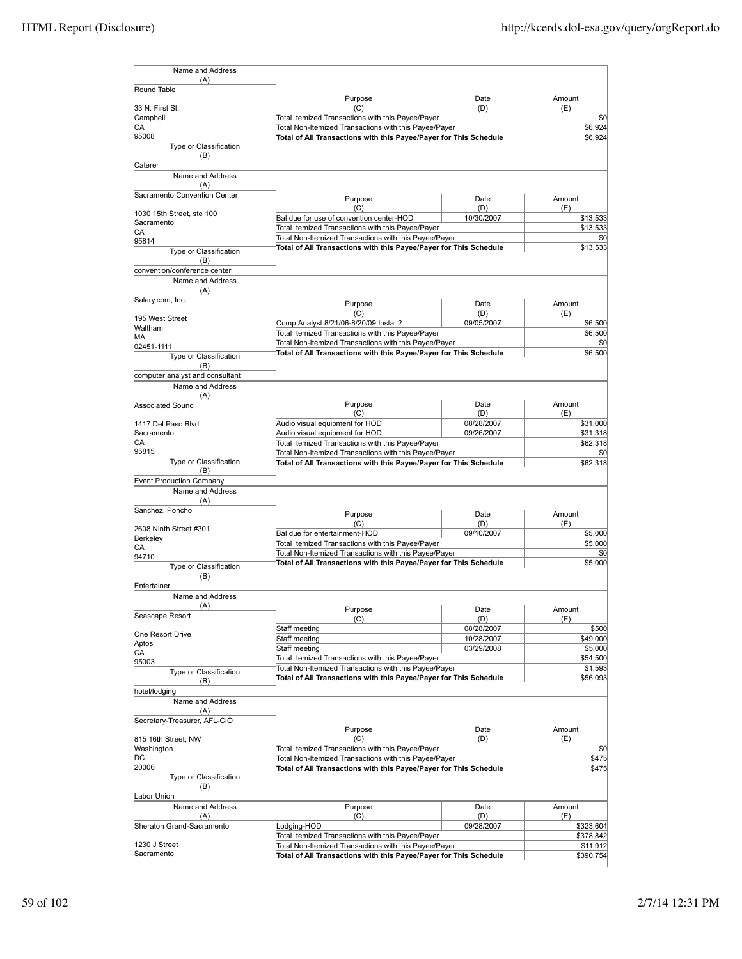| Name and Address<br>(A)                |                                                                                                                            |                          |                      |
|----------------------------------------|----------------------------------------------------------------------------------------------------------------------------|--------------------------|----------------------|
| Round Table                            |                                                                                                                            |                          |                      |
|                                        | Purpose                                                                                                                    | Date                     | Amount               |
| 33 N. First St.<br>Campbell            | (C)<br>Total temized Transactions with this Payee/Payer                                                                    | (D)                      | (E)<br>\$0           |
| CА                                     | Total Non-Itemized Transactions with this Payee/Payer                                                                      |                          | \$6,924              |
| 95008                                  | Total of All Transactions with this Payee/Payer for This Schedule                                                          |                          | \$6,924              |
| Type or Classification<br>(B)          |                                                                                                                            |                          |                      |
| Caterer                                |                                                                                                                            |                          |                      |
| Name and Address                       |                                                                                                                            |                          |                      |
| (A)                                    |                                                                                                                            |                          |                      |
| Sacramento Convention Center           | Purpose                                                                                                                    | Date                     | Amount               |
| 1030 15th Street, ste 100              | (C)                                                                                                                        | (D)                      | (E)                  |
| Sacramento                             | Bal due for use of convention center-HOD                                                                                   | 10/30/2007               | \$13,533             |
| СA                                     | Total temized Transactions with this Payee/Payer                                                                           |                          | \$13,533             |
| 95814                                  | Total Non-Itemized Transactions with this Payee/Payer<br>Total of All Transactions with this Payee/Payer for This Schedule |                          | \$0<br>\$13,533      |
| Type or Classification<br>(B)          |                                                                                                                            |                          |                      |
| convention/conference center           |                                                                                                                            |                          |                      |
| Name and Address                       |                                                                                                                            |                          |                      |
| (A)                                    |                                                                                                                            |                          |                      |
| Salary com, Inc.                       | Purpose                                                                                                                    | Date                     | Amount               |
| 195 West Street                        | (C)                                                                                                                        | (D)                      | (E)                  |
| Waltham                                | Comp Analyst 8/21/06-8/20/09 Instal 2                                                                                      | 09/05/2007               | \$6,500              |
| MА                                     | Total temized Transactions with this Payee/Payer                                                                           |                          | \$6,500              |
| 02451-1111                             | Total Non-Itemized Transactions with this Payee/Payer<br>Total of All Transactions with this Payee/Payer for This Schedule |                          | \$0<br>\$6,500       |
| Type or Classification                 |                                                                                                                            |                          |                      |
| (B)<br>computer analyst and consultant |                                                                                                                            |                          |                      |
| Name and Address                       |                                                                                                                            |                          |                      |
| (A)                                    |                                                                                                                            |                          |                      |
| Associated Sound                       | Purpose                                                                                                                    | Date                     | Amount               |
|                                        | (C)                                                                                                                        | (D)                      | (E)                  |
| 1417 Del Paso Blvd<br>Sacramento       | Audio visual equipment for HOD<br>Audio visual equipment for HOD                                                           | 08/28/2007<br>09/26/2007 | \$31,000<br>\$31,318 |
| СA                                     | Total temized Transactions with this Payee/Payer                                                                           |                          | \$62,318             |
| 95815                                  | Total Non-Itemized Transactions with this Payee/Payer                                                                      |                          | \$0                  |
| Type or Classification                 | Total of All Transactions with this Payee/Payer for This Schedule                                                          |                          | \$62,318             |
| (B)<br><b>Event Production Company</b> |                                                                                                                            |                          |                      |
| Name and Address                       |                                                                                                                            |                          |                      |
| (A)                                    |                                                                                                                            |                          |                      |
| Sanchez, Poncho                        | Purpose                                                                                                                    | Date                     | Amount               |
|                                        | (C)                                                                                                                        | (D)                      | (E)                  |
| 2608 Ninth Street #301<br>Berkeley     | Bal due for entertainment-HOD                                                                                              | 09/10/2007               | \$5,000              |
| СA                                     | Total temized Transactions with this Payee/Payer                                                                           |                          | \$5,000              |
| 94710                                  | Total Non-Itemized Transactions with this Payee/Payer<br>Total of All Transactions with this Payee/Payer for This Schedule |                          | \$0<br>\$5,000       |
| Type or Classification                 |                                                                                                                            |                          |                      |
| (B)<br>Entertainer                     |                                                                                                                            |                          |                      |
| Name and Address                       |                                                                                                                            |                          |                      |
| (A)                                    | Purpose                                                                                                                    | Date                     | Amount               |
| Seascape Resort                        | (C)                                                                                                                        | (D)                      | (E)                  |
|                                        | Staff meeting                                                                                                              | 08/28/2007               | \$500                |
| One Resort Drive<br>Aptos              | Staff meeting                                                                                                              | 10/28/2007               | \$49,000             |
| СA                                     | Staff meeting                                                                                                              | 03/29/2008               | \$5,000              |
| 95003                                  | Total temized Transactions with this Payee/Payer                                                                           |                          | \$54,500             |
| Type or Classification                 | Total Non-Itemized Transactions with this Payee/Payer<br>Total of All Transactions with this Payee/Payer for This Schedule |                          | \$1,593<br>\$56,093  |
| (B)                                    |                                                                                                                            |                          |                      |
| hotel/lodging<br>Name and Address      |                                                                                                                            |                          |                      |
| (A)                                    |                                                                                                                            |                          |                      |
| Secretary-Treasurer, AFL-CIO           |                                                                                                                            |                          |                      |
|                                        | Purpose                                                                                                                    | Date                     | Amount               |
| 815 16th Street, NW                    | (C)                                                                                                                        | (D)                      | (E)                  |
| Washington<br>DС                       | Total temized Transactions with this Payee/Payer<br>Total Non-Itemized Transactions with this Payee/Payer                  |                          | \$0<br>\$475         |
| 20006                                  | Total of All Transactions with this Payee/Payer for This Schedule                                                          |                          | \$475                |
| Type or Classification                 |                                                                                                                            |                          |                      |
| (B)                                    |                                                                                                                            |                          |                      |
| Labor Union                            |                                                                                                                            |                          |                      |
| Name and Address<br>(A)                | Purpose<br>(C)                                                                                                             | Date<br>(D)              | Amount<br>(E)        |
| Sheraton Grand-Sacramento              | Lodging-HOD                                                                                                                | 09/28/2007               | \$323,604            |
|                                        | Total temized Transactions with this Payee/Payer                                                                           |                          | \$378,842            |
| 1230 J Street                          | Total Non-Itemized Transactions with this Payee/Payer                                                                      |                          | \$11,912             |
| Sacramento                             | Total of All Transactions with this Payee/Payer for This Schedule                                                          |                          | \$390,754            |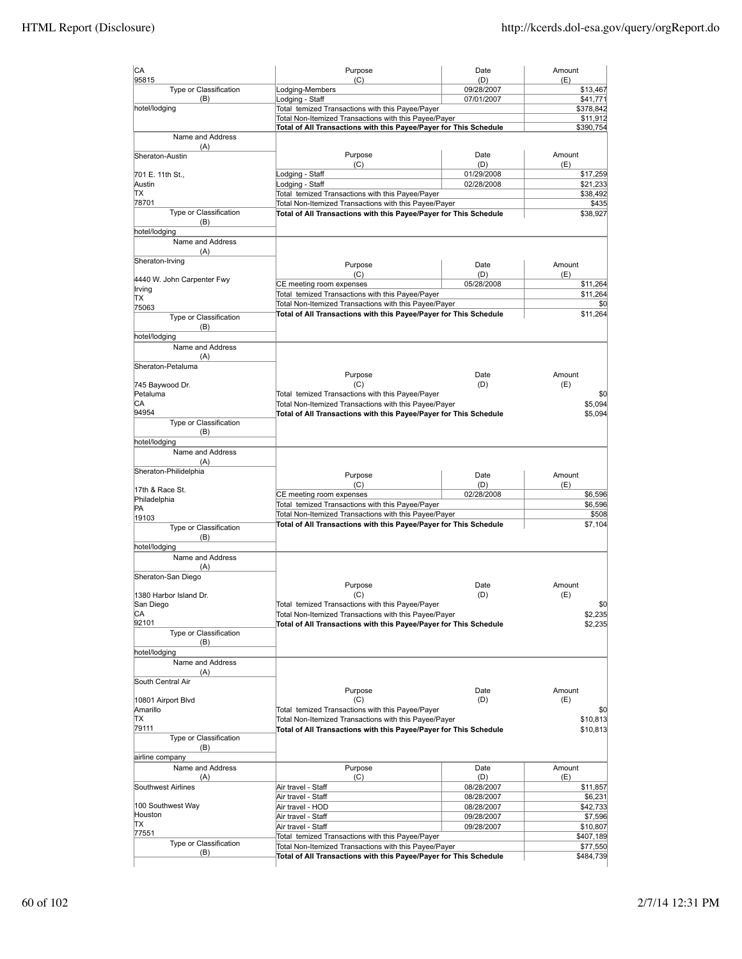| CA                                  | Purpose                                                                                                                    | Date              | Amount                                                  |
|-------------------------------------|----------------------------------------------------------------------------------------------------------------------------|-------------------|---------------------------------------------------------|
| 95815<br>Type or Classification     | (C)<br>Lodging-Members                                                                                                     | (D)<br>09/28/2007 | (E)<br>\$13,467                                         |
| (B)                                 | Lodging - Staff                                                                                                            | 07/01/2007        | \$41,771                                                |
| hotel/lodging                       | Total temized Transactions with this Payee/Payer                                                                           |                   | \$378,842                                               |
|                                     | Total Non-Itemized Transactions with this Payee/Payer                                                                      |                   | \$11,912                                                |
| Name and Address                    | Total of All Transactions with this Payee/Payer for This Schedule                                                          |                   | \$390,754                                               |
| (A)                                 |                                                                                                                            |                   |                                                         |
| Sheraton-Austin                     | Purpose                                                                                                                    | Date              | Amount                                                  |
| 701 E. 11th St.,                    | (C)<br>Lodging - Staff                                                                                                     | (D)<br>01/29/2008 | (E)<br>\$17,259                                         |
| Austin                              | Lodging - Staff                                                                                                            | 02/28/2008        | \$21,233                                                |
| ТX                                  | Total temized Transactions with this Payee/Payer                                                                           |                   | \$38,492                                                |
| 78701                               | Total Non-Itemized Transactions with this Payee/Payer                                                                      |                   | \$435                                                   |
| Type or Classification              | Total of All Transactions with this Payee/Payer for This Schedule                                                          |                   | \$38,927                                                |
| (B)<br>hotel/lodging                |                                                                                                                            |                   |                                                         |
| Name and Address                    |                                                                                                                            |                   |                                                         |
| (A)                                 |                                                                                                                            |                   |                                                         |
| Sheraton-Irving                     | Purpose                                                                                                                    | Date              | Amount                                                  |
| 4440 W. John Carpenter Fwy          | (C)                                                                                                                        | (D)               | (E)                                                     |
| Irving                              | CE meeting room expenses                                                                                                   | 05/28/2008        | \$11,264                                                |
| TX                                  | Total temized Transactions with this Payee/Payer                                                                           |                   | \$11,264                                                |
| 75063                               | Total Non-Itemized Transactions with this Payee/Payer                                                                      |                   | \$0                                                     |
| Type or Classification              | Total of All Transactions with this Payee/Payer for This Schedule                                                          |                   | \$11,264                                                |
| (B)                                 |                                                                                                                            |                   |                                                         |
| hotel/lodging<br>Name and Address   |                                                                                                                            |                   |                                                         |
| (A)                                 |                                                                                                                            |                   |                                                         |
| Sheraton-Petaluma                   |                                                                                                                            |                   |                                                         |
|                                     | Purpose                                                                                                                    | Date              | Amount                                                  |
| 745 Baywood Dr.                     | (C)                                                                                                                        | (D)               | (E)                                                     |
| Petaluma                            | Total temized Transactions with this Payee/Payer                                                                           |                   | \$0                                                     |
| СA<br>94954                         | Total Non-Itemized Transactions with this Payee/Payer<br>Total of All Transactions with this Payee/Payer for This Schedule |                   | \$5,094<br>\$5,094                                      |
| Type or Classification              |                                                                                                                            |                   |                                                         |
| (B)                                 |                                                                                                                            |                   |                                                         |
| hotel/lodging                       |                                                                                                                            |                   |                                                         |
| Name and Address                    |                                                                                                                            |                   |                                                         |
| (A)                                 |                                                                                                                            |                   |                                                         |
| Sheraton-Philidelphia               | Purpose                                                                                                                    | Date              | Amount                                                  |
| 17th & Race St.                     | (C)                                                                                                                        | (D)               | (E)                                                     |
| Philadelphia                        | CE meeting room expenses                                                                                                   | 02/28/2008        | \$6,596                                                 |
| PA                                  | Total temized Transactions with this Payee/Payer<br>Total Non-Itemized Transactions with this Payee/Payer                  |                   | \$6,596<br>\$508                                        |
| 19103                               | Total of All Transactions with this Payee/Payer for This Schedule                                                          |                   | \$7,104                                                 |
| Type or Classification<br>(B)       |                                                                                                                            |                   |                                                         |
| hotel/lodging                       |                                                                                                                            |                   |                                                         |
| Name and Address                    |                                                                                                                            |                   |                                                         |
| (A)                                 |                                                                                                                            |                   |                                                         |
| Sheraton-San Diego                  |                                                                                                                            |                   |                                                         |
|                                     | Purpose                                                                                                                    | Date              | Amount                                                  |
| 1380 Harbor Island Dr.<br>San Diego | (C)                                                                                                                        | (D)               | (E)<br>\$0                                              |
| СA                                  | Total temized Transactions with this Payee/Payer<br>Total Non-Itemized Transactions with this Payee/Payer                  |                   | \$2,235                                                 |
| 92101                               | Total of All Transactions with this Payee/Payer for This Schedule                                                          |                   | \$2,235                                                 |
| Type or Classification              |                                                                                                                            |                   |                                                         |
| (B)                                 |                                                                                                                            |                   |                                                         |
| hotel/lodging                       |                                                                                                                            |                   |                                                         |
| Name and Address<br>(A)             |                                                                                                                            |                   |                                                         |
| South Central Air                   |                                                                                                                            |                   |                                                         |
|                                     | Purpose                                                                                                                    | Date              | Amount                                                  |
| 10801 Airport Blvd                  | (C)                                                                                                                        | (D)               | (E)                                                     |
| Amarillo                            | Total temized Transactions with this Payee/Payer                                                                           |                   | \$0                                                     |
| ТX                                  | Total Non-Itemized Transactions with this Payee/Payer                                                                      |                   | \$10,813                                                |
| 79111<br>Type or Classification     | Total of All Transactions with this Payee/Payer for This Schedule                                                          |                   | \$10,813                                                |
| (B)                                 |                                                                                                                            |                   |                                                         |
| airline company                     |                                                                                                                            |                   |                                                         |
| Name and Address                    | Purpose                                                                                                                    | Date              | Amount                                                  |
| (A)                                 | (C)                                                                                                                        | (D)               | (E)                                                     |
|                                     |                                                                                                                            | 08/28/2007        | \$11,857                                                |
| Southwest Airlines                  | Air travel - Staff                                                                                                         |                   |                                                         |
|                                     | Air travel - Staff                                                                                                         | 08/28/2007        |                                                         |
| 100 Southwest Way<br>Houston        | Air travel - HOD                                                                                                           | 08/28/2007        |                                                         |
| ТX                                  | Air travel - Staff                                                                                                         | 09/28/2007        |                                                         |
| 77551                               | Air travel - Staff<br>Total temized Transactions with this Payee/Payer                                                     | 09/28/2007        | \$6,231<br>\$42,733<br>\$7,596<br>\$10,807<br>\$407,189 |
| Type or Classification<br>(B)       | Total Non-Itemized Transactions with this Payee/Payer                                                                      |                   | \$77,550                                                |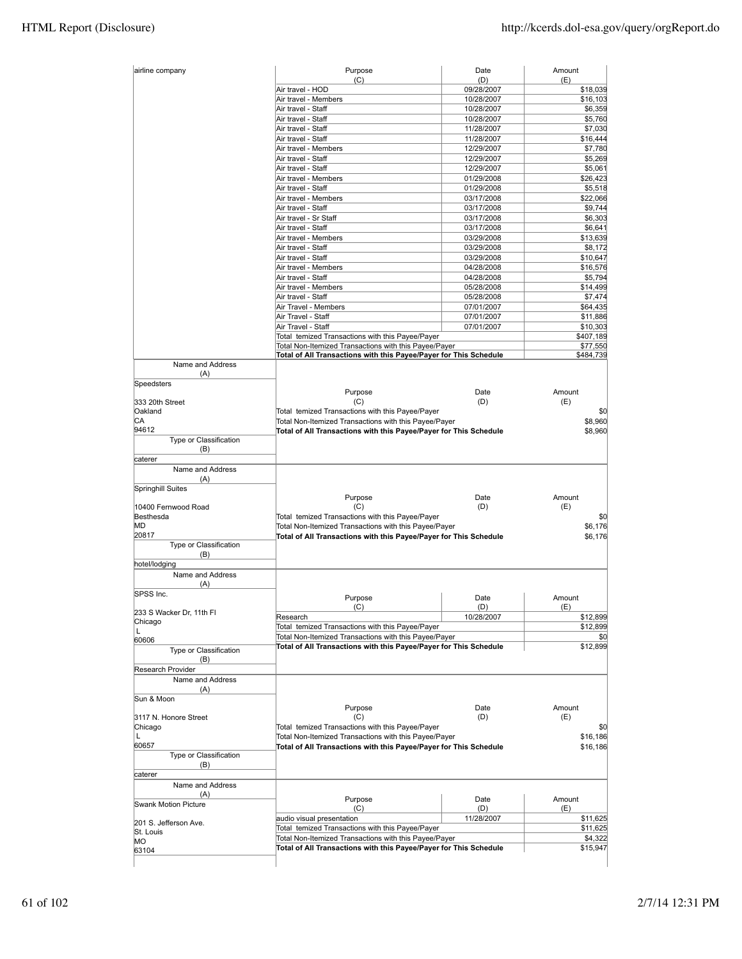| Air travel - HOD<br>09/28/2007<br>\$18,039<br>Air travel - Members<br>10/28/2007<br>\$16,103<br>Air travel - Staff<br>10/28/2007<br>Air travel - Staff<br>10/28/2007<br>Air travel - Staff<br>11/28/2007<br>Air travel - Staff<br>11/28/2007<br>Air travel - Members<br>12/29/2007<br>Air travel - Staff<br>12/29/2007<br>Air travel - Staff<br>12/29/2007<br>Air travel - Members<br>01/29/2008<br>Air travel - Staff<br>01/29/2008<br>Air travel - Members<br>03/17/2008<br>Air travel - Staff<br>03/17/2008<br>Air travel - Sr Staff<br>03/17/2008<br>Air travel - Staff<br>03/17/2008<br>Air travel - Members<br>03/29/2008<br>Air travel - Staff<br>03/29/2008<br>Air travel - Staff<br>03/29/2008<br>Air travel - Members<br>04/28/2008<br>Air travel - Staff<br>04/28/2008<br>Air travel - Members<br>05/28/2008<br>Air travel - Staff<br>05/28/2008<br>Air Travel - Members<br>07/01/2007<br>Air Travel - Staff<br>07/01/2007<br>Air Travel - Staff<br>07/01/2007<br>Total temized Transactions with this Payee/Payer<br>Total Non-Itemized Transactions with this Payee/Payer<br>Total of All Transactions with this Payee/Payer for This Schedule<br>Name and Address<br>(A)<br>Speedsters<br>Amount<br>Purpose<br>Date<br>(C)<br>(D)<br>(E)<br>333 20th Street<br>Oakland<br>Total temized Transactions with this Payee/Payer<br>СA<br>Total Non-Itemized Transactions with this Payee/Payer<br>94612<br>Total of All Transactions with this Payee/Payer for This Schedule<br>Type or Classification<br>(B)<br>caterer<br>Name and Address<br>(A)<br>Springhill Suites<br>Purpose<br>Date<br>Amount<br>10400 Fernwood Road<br>(C)<br>(D)<br>(E)<br>Besthesda<br>Total temized Transactions with this Payee/Payer<br>MD<br>Total Non-Itemized Transactions with this Payee/Payer<br>20817<br>Total of All Transactions with this Payee/Payer for This Schedule<br>Type or Classification<br>(B)<br>hotel/lodging<br>Name and Address<br>(A)<br>SPSS Inc.<br>Purpose<br>Date<br>Amount<br>(C)<br>(D)<br>(E)<br>233 S Wacker Dr, 11th Fl<br>Research<br>10/28/2007<br>Chicago<br>Total temized Transactions with this Payee/Payer<br>Г<br>Total Non-Itemized Transactions with this Payee/Payer<br>60606<br>Total of All Transactions with this Payee/Payer for This Schedule<br>Type or Classification<br>(B)<br>Research Provider<br>Name and Address<br>(A)<br>Sun & Moon<br>Amount<br>Purpose<br>Date<br>(C)<br>(D)<br>(E)<br>3117 N. Honore Street<br>Total temized Transactions with this Payee/Payer<br>Chicago<br>Total Non-Itemized Transactions with this Payee/Payer<br>L<br>60657<br>Total of All Transactions with this Payee/Payer for This Schedule<br>Type or Classification<br>(B)<br>caterer<br>Name and Address<br>(A)<br>Amount<br>Purpose<br>Date<br><b>Swank Motion Picture</b><br>(C)<br>(D)<br>(E)<br>audio visual presentation<br>11/28/2007<br>201 S. Jefferson Ave.<br>Total temized Transactions with this Payee/Payer<br>St. Louis<br>Total Non-Itemized Transactions with this Payee/Payer<br>МO<br>Total of All Transactions with this Payee/Payer for This Schedule<br>63104 | airline company | Purpose<br>(C) | Date<br>(D) | Amount<br>(E) |
|----------------------------------------------------------------------------------------------------------------------------------------------------------------------------------------------------------------------------------------------------------------------------------------------------------------------------------------------------------------------------------------------------------------------------------------------------------------------------------------------------------------------------------------------------------------------------------------------------------------------------------------------------------------------------------------------------------------------------------------------------------------------------------------------------------------------------------------------------------------------------------------------------------------------------------------------------------------------------------------------------------------------------------------------------------------------------------------------------------------------------------------------------------------------------------------------------------------------------------------------------------------------------------------------------------------------------------------------------------------------------------------------------------------------------------------------------------------------------------------------------------------------------------------------------------------------------------------------------------------------------------------------------------------------------------------------------------------------------------------------------------------------------------------------------------------------------------------------------------------------------------------------------------------------------------------------------------------------------------------------------------------------------------------------------------------------------------------------------------------------------------------------------------------------------------------------------------------------------------------------------------------------------------------------------------------------------------------------------------------------------------------------------------------------------------------------------------------------------------------------------------------------------------------------------------------------------------------------------------------------------------------------------------------------------------------------------------------------------------------------------------------------------------------------------------------------------------------------------------------------------------------------------------------------------------------------------------------------------------------------------------------------------------------------------------------------------------------------------------------------|-----------------|----------------|-------------|---------------|
|                                                                                                                                                                                                                                                                                                                                                                                                                                                                                                                                                                                                                                                                                                                                                                                                                                                                                                                                                                                                                                                                                                                                                                                                                                                                                                                                                                                                                                                                                                                                                                                                                                                                                                                                                                                                                                                                                                                                                                                                                                                                                                                                                                                                                                                                                                                                                                                                                                                                                                                                                                                                                                                                                                                                                                                                                                                                                                                                                                                                                                                                                                                      |                 |                |             |               |
|                                                                                                                                                                                                                                                                                                                                                                                                                                                                                                                                                                                                                                                                                                                                                                                                                                                                                                                                                                                                                                                                                                                                                                                                                                                                                                                                                                                                                                                                                                                                                                                                                                                                                                                                                                                                                                                                                                                                                                                                                                                                                                                                                                                                                                                                                                                                                                                                                                                                                                                                                                                                                                                                                                                                                                                                                                                                                                                                                                                                                                                                                                                      |                 |                |             |               |
|                                                                                                                                                                                                                                                                                                                                                                                                                                                                                                                                                                                                                                                                                                                                                                                                                                                                                                                                                                                                                                                                                                                                                                                                                                                                                                                                                                                                                                                                                                                                                                                                                                                                                                                                                                                                                                                                                                                                                                                                                                                                                                                                                                                                                                                                                                                                                                                                                                                                                                                                                                                                                                                                                                                                                                                                                                                                                                                                                                                                                                                                                                                      |                 |                |             | \$6,359       |
| \$7,030<br>\$16,444<br>\$7,780<br>\$5,061                                                                                                                                                                                                                                                                                                                                                                                                                                                                                                                                                                                                                                                                                                                                                                                                                                                                                                                                                                                                                                                                                                                                                                                                                                                                                                                                                                                                                                                                                                                                                                                                                                                                                                                                                                                                                                                                                                                                                                                                                                                                                                                                                                                                                                                                                                                                                                                                                                                                                                                                                                                                                                                                                                                                                                                                                                                                                                                                                                                                                                                                            |                 |                |             | \$5,760       |
|                                                                                                                                                                                                                                                                                                                                                                                                                                                                                                                                                                                                                                                                                                                                                                                                                                                                                                                                                                                                                                                                                                                                                                                                                                                                                                                                                                                                                                                                                                                                                                                                                                                                                                                                                                                                                                                                                                                                                                                                                                                                                                                                                                                                                                                                                                                                                                                                                                                                                                                                                                                                                                                                                                                                                                                                                                                                                                                                                                                                                                                                                                                      |                 |                |             |               |
|                                                                                                                                                                                                                                                                                                                                                                                                                                                                                                                                                                                                                                                                                                                                                                                                                                                                                                                                                                                                                                                                                                                                                                                                                                                                                                                                                                                                                                                                                                                                                                                                                                                                                                                                                                                                                                                                                                                                                                                                                                                                                                                                                                                                                                                                                                                                                                                                                                                                                                                                                                                                                                                                                                                                                                                                                                                                                                                                                                                                                                                                                                                      |                 |                |             |               |
|                                                                                                                                                                                                                                                                                                                                                                                                                                                                                                                                                                                                                                                                                                                                                                                                                                                                                                                                                                                                                                                                                                                                                                                                                                                                                                                                                                                                                                                                                                                                                                                                                                                                                                                                                                                                                                                                                                                                                                                                                                                                                                                                                                                                                                                                                                                                                                                                                                                                                                                                                                                                                                                                                                                                                                                                                                                                                                                                                                                                                                                                                                                      |                 |                |             |               |
| \$26,423<br>\$5,518<br>\$22,066<br>\$9,744<br>\$6,303<br>\$6,641<br>\$13,639<br>\$8,172<br>\$10,647<br>\$16,576<br>\$5,794<br>\$14,499<br>\$7,474<br>\$64,435<br>\$11,886<br>\$10,303<br>\$407,189<br>\$77,550<br>\$484,739<br>\$0<br>\$8,960<br>\$8,960<br>\$0<br>\$6,176<br>\$6,176<br>\$12,899<br>\$12,899<br>\$0<br>\$12,899<br>\$0<br>\$16,186<br>\$16,186<br>\$11,625<br>\$11,625<br>\$4,322<br>\$15,947                                                                                                                                                                                                                                                                                                                                                                                                                                                                                                                                                                                                                                                                                                                                                                                                                                                                                                                                                                                                                                                                                                                                                                                                                                                                                                                                                                                                                                                                                                                                                                                                                                                                                                                                                                                                                                                                                                                                                                                                                                                                                                                                                                                                                                                                                                                                                                                                                                                                                                                                                                                                                                                                                                       |                 |                |             | \$5,269       |
|                                                                                                                                                                                                                                                                                                                                                                                                                                                                                                                                                                                                                                                                                                                                                                                                                                                                                                                                                                                                                                                                                                                                                                                                                                                                                                                                                                                                                                                                                                                                                                                                                                                                                                                                                                                                                                                                                                                                                                                                                                                                                                                                                                                                                                                                                                                                                                                                                                                                                                                                                                                                                                                                                                                                                                                                                                                                                                                                                                                                                                                                                                                      |                 |                |             |               |
|                                                                                                                                                                                                                                                                                                                                                                                                                                                                                                                                                                                                                                                                                                                                                                                                                                                                                                                                                                                                                                                                                                                                                                                                                                                                                                                                                                                                                                                                                                                                                                                                                                                                                                                                                                                                                                                                                                                                                                                                                                                                                                                                                                                                                                                                                                                                                                                                                                                                                                                                                                                                                                                                                                                                                                                                                                                                                                                                                                                                                                                                                                                      |                 |                |             |               |
|                                                                                                                                                                                                                                                                                                                                                                                                                                                                                                                                                                                                                                                                                                                                                                                                                                                                                                                                                                                                                                                                                                                                                                                                                                                                                                                                                                                                                                                                                                                                                                                                                                                                                                                                                                                                                                                                                                                                                                                                                                                                                                                                                                                                                                                                                                                                                                                                                                                                                                                                                                                                                                                                                                                                                                                                                                                                                                                                                                                                                                                                                                                      |                 |                |             |               |
|                                                                                                                                                                                                                                                                                                                                                                                                                                                                                                                                                                                                                                                                                                                                                                                                                                                                                                                                                                                                                                                                                                                                                                                                                                                                                                                                                                                                                                                                                                                                                                                                                                                                                                                                                                                                                                                                                                                                                                                                                                                                                                                                                                                                                                                                                                                                                                                                                                                                                                                                                                                                                                                                                                                                                                                                                                                                                                                                                                                                                                                                                                                      |                 |                |             |               |
|                                                                                                                                                                                                                                                                                                                                                                                                                                                                                                                                                                                                                                                                                                                                                                                                                                                                                                                                                                                                                                                                                                                                                                                                                                                                                                                                                                                                                                                                                                                                                                                                                                                                                                                                                                                                                                                                                                                                                                                                                                                                                                                                                                                                                                                                                                                                                                                                                                                                                                                                                                                                                                                                                                                                                                                                                                                                                                                                                                                                                                                                                                                      |                 |                |             |               |
|                                                                                                                                                                                                                                                                                                                                                                                                                                                                                                                                                                                                                                                                                                                                                                                                                                                                                                                                                                                                                                                                                                                                                                                                                                                                                                                                                                                                                                                                                                                                                                                                                                                                                                                                                                                                                                                                                                                                                                                                                                                                                                                                                                                                                                                                                                                                                                                                                                                                                                                                                                                                                                                                                                                                                                                                                                                                                                                                                                                                                                                                                                                      |                 |                |             |               |
|                                                                                                                                                                                                                                                                                                                                                                                                                                                                                                                                                                                                                                                                                                                                                                                                                                                                                                                                                                                                                                                                                                                                                                                                                                                                                                                                                                                                                                                                                                                                                                                                                                                                                                                                                                                                                                                                                                                                                                                                                                                                                                                                                                                                                                                                                                                                                                                                                                                                                                                                                                                                                                                                                                                                                                                                                                                                                                                                                                                                                                                                                                                      |                 |                |             |               |
|                                                                                                                                                                                                                                                                                                                                                                                                                                                                                                                                                                                                                                                                                                                                                                                                                                                                                                                                                                                                                                                                                                                                                                                                                                                                                                                                                                                                                                                                                                                                                                                                                                                                                                                                                                                                                                                                                                                                                                                                                                                                                                                                                                                                                                                                                                                                                                                                                                                                                                                                                                                                                                                                                                                                                                                                                                                                                                                                                                                                                                                                                                                      |                 |                |             |               |
|                                                                                                                                                                                                                                                                                                                                                                                                                                                                                                                                                                                                                                                                                                                                                                                                                                                                                                                                                                                                                                                                                                                                                                                                                                                                                                                                                                                                                                                                                                                                                                                                                                                                                                                                                                                                                                                                                                                                                                                                                                                                                                                                                                                                                                                                                                                                                                                                                                                                                                                                                                                                                                                                                                                                                                                                                                                                                                                                                                                                                                                                                                                      |                 |                |             |               |
|                                                                                                                                                                                                                                                                                                                                                                                                                                                                                                                                                                                                                                                                                                                                                                                                                                                                                                                                                                                                                                                                                                                                                                                                                                                                                                                                                                                                                                                                                                                                                                                                                                                                                                                                                                                                                                                                                                                                                                                                                                                                                                                                                                                                                                                                                                                                                                                                                                                                                                                                                                                                                                                                                                                                                                                                                                                                                                                                                                                                                                                                                                                      |                 |                |             |               |
|                                                                                                                                                                                                                                                                                                                                                                                                                                                                                                                                                                                                                                                                                                                                                                                                                                                                                                                                                                                                                                                                                                                                                                                                                                                                                                                                                                                                                                                                                                                                                                                                                                                                                                                                                                                                                                                                                                                                                                                                                                                                                                                                                                                                                                                                                                                                                                                                                                                                                                                                                                                                                                                                                                                                                                                                                                                                                                                                                                                                                                                                                                                      |                 |                |             |               |
|                                                                                                                                                                                                                                                                                                                                                                                                                                                                                                                                                                                                                                                                                                                                                                                                                                                                                                                                                                                                                                                                                                                                                                                                                                                                                                                                                                                                                                                                                                                                                                                                                                                                                                                                                                                                                                                                                                                                                                                                                                                                                                                                                                                                                                                                                                                                                                                                                                                                                                                                                                                                                                                                                                                                                                                                                                                                                                                                                                                                                                                                                                                      |                 |                |             |               |
|                                                                                                                                                                                                                                                                                                                                                                                                                                                                                                                                                                                                                                                                                                                                                                                                                                                                                                                                                                                                                                                                                                                                                                                                                                                                                                                                                                                                                                                                                                                                                                                                                                                                                                                                                                                                                                                                                                                                                                                                                                                                                                                                                                                                                                                                                                                                                                                                                                                                                                                                                                                                                                                                                                                                                                                                                                                                                                                                                                                                                                                                                                                      |                 |                |             |               |
|                                                                                                                                                                                                                                                                                                                                                                                                                                                                                                                                                                                                                                                                                                                                                                                                                                                                                                                                                                                                                                                                                                                                                                                                                                                                                                                                                                                                                                                                                                                                                                                                                                                                                                                                                                                                                                                                                                                                                                                                                                                                                                                                                                                                                                                                                                                                                                                                                                                                                                                                                                                                                                                                                                                                                                                                                                                                                                                                                                                                                                                                                                                      |                 |                |             |               |
|                                                                                                                                                                                                                                                                                                                                                                                                                                                                                                                                                                                                                                                                                                                                                                                                                                                                                                                                                                                                                                                                                                                                                                                                                                                                                                                                                                                                                                                                                                                                                                                                                                                                                                                                                                                                                                                                                                                                                                                                                                                                                                                                                                                                                                                                                                                                                                                                                                                                                                                                                                                                                                                                                                                                                                                                                                                                                                                                                                                                                                                                                                                      |                 |                |             |               |
|                                                                                                                                                                                                                                                                                                                                                                                                                                                                                                                                                                                                                                                                                                                                                                                                                                                                                                                                                                                                                                                                                                                                                                                                                                                                                                                                                                                                                                                                                                                                                                                                                                                                                                                                                                                                                                                                                                                                                                                                                                                                                                                                                                                                                                                                                                                                                                                                                                                                                                                                                                                                                                                                                                                                                                                                                                                                                                                                                                                                                                                                                                                      |                 |                |             |               |
|                                                                                                                                                                                                                                                                                                                                                                                                                                                                                                                                                                                                                                                                                                                                                                                                                                                                                                                                                                                                                                                                                                                                                                                                                                                                                                                                                                                                                                                                                                                                                                                                                                                                                                                                                                                                                                                                                                                                                                                                                                                                                                                                                                                                                                                                                                                                                                                                                                                                                                                                                                                                                                                                                                                                                                                                                                                                                                                                                                                                                                                                                                                      |                 |                |             |               |
|                                                                                                                                                                                                                                                                                                                                                                                                                                                                                                                                                                                                                                                                                                                                                                                                                                                                                                                                                                                                                                                                                                                                                                                                                                                                                                                                                                                                                                                                                                                                                                                                                                                                                                                                                                                                                                                                                                                                                                                                                                                                                                                                                                                                                                                                                                                                                                                                                                                                                                                                                                                                                                                                                                                                                                                                                                                                                                                                                                                                                                                                                                                      |                 |                |             |               |
|                                                                                                                                                                                                                                                                                                                                                                                                                                                                                                                                                                                                                                                                                                                                                                                                                                                                                                                                                                                                                                                                                                                                                                                                                                                                                                                                                                                                                                                                                                                                                                                                                                                                                                                                                                                                                                                                                                                                                                                                                                                                                                                                                                                                                                                                                                                                                                                                                                                                                                                                                                                                                                                                                                                                                                                                                                                                                                                                                                                                                                                                                                                      |                 |                |             |               |
|                                                                                                                                                                                                                                                                                                                                                                                                                                                                                                                                                                                                                                                                                                                                                                                                                                                                                                                                                                                                                                                                                                                                                                                                                                                                                                                                                                                                                                                                                                                                                                                                                                                                                                                                                                                                                                                                                                                                                                                                                                                                                                                                                                                                                                                                                                                                                                                                                                                                                                                                                                                                                                                                                                                                                                                                                                                                                                                                                                                                                                                                                                                      |                 |                |             |               |
|                                                                                                                                                                                                                                                                                                                                                                                                                                                                                                                                                                                                                                                                                                                                                                                                                                                                                                                                                                                                                                                                                                                                                                                                                                                                                                                                                                                                                                                                                                                                                                                                                                                                                                                                                                                                                                                                                                                                                                                                                                                                                                                                                                                                                                                                                                                                                                                                                                                                                                                                                                                                                                                                                                                                                                                                                                                                                                                                                                                                                                                                                                                      |                 |                |             |               |
|                                                                                                                                                                                                                                                                                                                                                                                                                                                                                                                                                                                                                                                                                                                                                                                                                                                                                                                                                                                                                                                                                                                                                                                                                                                                                                                                                                                                                                                                                                                                                                                                                                                                                                                                                                                                                                                                                                                                                                                                                                                                                                                                                                                                                                                                                                                                                                                                                                                                                                                                                                                                                                                                                                                                                                                                                                                                                                                                                                                                                                                                                                                      |                 |                |             |               |
|                                                                                                                                                                                                                                                                                                                                                                                                                                                                                                                                                                                                                                                                                                                                                                                                                                                                                                                                                                                                                                                                                                                                                                                                                                                                                                                                                                                                                                                                                                                                                                                                                                                                                                                                                                                                                                                                                                                                                                                                                                                                                                                                                                                                                                                                                                                                                                                                                                                                                                                                                                                                                                                                                                                                                                                                                                                                                                                                                                                                                                                                                                                      |                 |                |             |               |
|                                                                                                                                                                                                                                                                                                                                                                                                                                                                                                                                                                                                                                                                                                                                                                                                                                                                                                                                                                                                                                                                                                                                                                                                                                                                                                                                                                                                                                                                                                                                                                                                                                                                                                                                                                                                                                                                                                                                                                                                                                                                                                                                                                                                                                                                                                                                                                                                                                                                                                                                                                                                                                                                                                                                                                                                                                                                                                                                                                                                                                                                                                                      |                 |                |             |               |
|                                                                                                                                                                                                                                                                                                                                                                                                                                                                                                                                                                                                                                                                                                                                                                                                                                                                                                                                                                                                                                                                                                                                                                                                                                                                                                                                                                                                                                                                                                                                                                                                                                                                                                                                                                                                                                                                                                                                                                                                                                                                                                                                                                                                                                                                                                                                                                                                                                                                                                                                                                                                                                                                                                                                                                                                                                                                                                                                                                                                                                                                                                                      |                 |                |             |               |
|                                                                                                                                                                                                                                                                                                                                                                                                                                                                                                                                                                                                                                                                                                                                                                                                                                                                                                                                                                                                                                                                                                                                                                                                                                                                                                                                                                                                                                                                                                                                                                                                                                                                                                                                                                                                                                                                                                                                                                                                                                                                                                                                                                                                                                                                                                                                                                                                                                                                                                                                                                                                                                                                                                                                                                                                                                                                                                                                                                                                                                                                                                                      |                 |                |             |               |
|                                                                                                                                                                                                                                                                                                                                                                                                                                                                                                                                                                                                                                                                                                                                                                                                                                                                                                                                                                                                                                                                                                                                                                                                                                                                                                                                                                                                                                                                                                                                                                                                                                                                                                                                                                                                                                                                                                                                                                                                                                                                                                                                                                                                                                                                                                                                                                                                                                                                                                                                                                                                                                                                                                                                                                                                                                                                                                                                                                                                                                                                                                                      |                 |                |             |               |
|                                                                                                                                                                                                                                                                                                                                                                                                                                                                                                                                                                                                                                                                                                                                                                                                                                                                                                                                                                                                                                                                                                                                                                                                                                                                                                                                                                                                                                                                                                                                                                                                                                                                                                                                                                                                                                                                                                                                                                                                                                                                                                                                                                                                                                                                                                                                                                                                                                                                                                                                                                                                                                                                                                                                                                                                                                                                                                                                                                                                                                                                                                                      |                 |                |             |               |
|                                                                                                                                                                                                                                                                                                                                                                                                                                                                                                                                                                                                                                                                                                                                                                                                                                                                                                                                                                                                                                                                                                                                                                                                                                                                                                                                                                                                                                                                                                                                                                                                                                                                                                                                                                                                                                                                                                                                                                                                                                                                                                                                                                                                                                                                                                                                                                                                                                                                                                                                                                                                                                                                                                                                                                                                                                                                                                                                                                                                                                                                                                                      |                 |                |             |               |
|                                                                                                                                                                                                                                                                                                                                                                                                                                                                                                                                                                                                                                                                                                                                                                                                                                                                                                                                                                                                                                                                                                                                                                                                                                                                                                                                                                                                                                                                                                                                                                                                                                                                                                                                                                                                                                                                                                                                                                                                                                                                                                                                                                                                                                                                                                                                                                                                                                                                                                                                                                                                                                                                                                                                                                                                                                                                                                                                                                                                                                                                                                                      |                 |                |             |               |
|                                                                                                                                                                                                                                                                                                                                                                                                                                                                                                                                                                                                                                                                                                                                                                                                                                                                                                                                                                                                                                                                                                                                                                                                                                                                                                                                                                                                                                                                                                                                                                                                                                                                                                                                                                                                                                                                                                                                                                                                                                                                                                                                                                                                                                                                                                                                                                                                                                                                                                                                                                                                                                                                                                                                                                                                                                                                                                                                                                                                                                                                                                                      |                 |                |             |               |
|                                                                                                                                                                                                                                                                                                                                                                                                                                                                                                                                                                                                                                                                                                                                                                                                                                                                                                                                                                                                                                                                                                                                                                                                                                                                                                                                                                                                                                                                                                                                                                                                                                                                                                                                                                                                                                                                                                                                                                                                                                                                                                                                                                                                                                                                                                                                                                                                                                                                                                                                                                                                                                                                                                                                                                                                                                                                                                                                                                                                                                                                                                                      |                 |                |             |               |
|                                                                                                                                                                                                                                                                                                                                                                                                                                                                                                                                                                                                                                                                                                                                                                                                                                                                                                                                                                                                                                                                                                                                                                                                                                                                                                                                                                                                                                                                                                                                                                                                                                                                                                                                                                                                                                                                                                                                                                                                                                                                                                                                                                                                                                                                                                                                                                                                                                                                                                                                                                                                                                                                                                                                                                                                                                                                                                                                                                                                                                                                                                                      |                 |                |             |               |
|                                                                                                                                                                                                                                                                                                                                                                                                                                                                                                                                                                                                                                                                                                                                                                                                                                                                                                                                                                                                                                                                                                                                                                                                                                                                                                                                                                                                                                                                                                                                                                                                                                                                                                                                                                                                                                                                                                                                                                                                                                                                                                                                                                                                                                                                                                                                                                                                                                                                                                                                                                                                                                                                                                                                                                                                                                                                                                                                                                                                                                                                                                                      |                 |                |             |               |
|                                                                                                                                                                                                                                                                                                                                                                                                                                                                                                                                                                                                                                                                                                                                                                                                                                                                                                                                                                                                                                                                                                                                                                                                                                                                                                                                                                                                                                                                                                                                                                                                                                                                                                                                                                                                                                                                                                                                                                                                                                                                                                                                                                                                                                                                                                                                                                                                                                                                                                                                                                                                                                                                                                                                                                                                                                                                                                                                                                                                                                                                                                                      |                 |                |             |               |
|                                                                                                                                                                                                                                                                                                                                                                                                                                                                                                                                                                                                                                                                                                                                                                                                                                                                                                                                                                                                                                                                                                                                                                                                                                                                                                                                                                                                                                                                                                                                                                                                                                                                                                                                                                                                                                                                                                                                                                                                                                                                                                                                                                                                                                                                                                                                                                                                                                                                                                                                                                                                                                                                                                                                                                                                                                                                                                                                                                                                                                                                                                                      |                 |                |             |               |
|                                                                                                                                                                                                                                                                                                                                                                                                                                                                                                                                                                                                                                                                                                                                                                                                                                                                                                                                                                                                                                                                                                                                                                                                                                                                                                                                                                                                                                                                                                                                                                                                                                                                                                                                                                                                                                                                                                                                                                                                                                                                                                                                                                                                                                                                                                                                                                                                                                                                                                                                                                                                                                                                                                                                                                                                                                                                                                                                                                                                                                                                                                                      |                 |                |             |               |
|                                                                                                                                                                                                                                                                                                                                                                                                                                                                                                                                                                                                                                                                                                                                                                                                                                                                                                                                                                                                                                                                                                                                                                                                                                                                                                                                                                                                                                                                                                                                                                                                                                                                                                                                                                                                                                                                                                                                                                                                                                                                                                                                                                                                                                                                                                                                                                                                                                                                                                                                                                                                                                                                                                                                                                                                                                                                                                                                                                                                                                                                                                                      |                 |                |             |               |
|                                                                                                                                                                                                                                                                                                                                                                                                                                                                                                                                                                                                                                                                                                                                                                                                                                                                                                                                                                                                                                                                                                                                                                                                                                                                                                                                                                                                                                                                                                                                                                                                                                                                                                                                                                                                                                                                                                                                                                                                                                                                                                                                                                                                                                                                                                                                                                                                                                                                                                                                                                                                                                                                                                                                                                                                                                                                                                                                                                                                                                                                                                                      |                 |                |             |               |
|                                                                                                                                                                                                                                                                                                                                                                                                                                                                                                                                                                                                                                                                                                                                                                                                                                                                                                                                                                                                                                                                                                                                                                                                                                                                                                                                                                                                                                                                                                                                                                                                                                                                                                                                                                                                                                                                                                                                                                                                                                                                                                                                                                                                                                                                                                                                                                                                                                                                                                                                                                                                                                                                                                                                                                                                                                                                                                                                                                                                                                                                                                                      |                 |                |             |               |
|                                                                                                                                                                                                                                                                                                                                                                                                                                                                                                                                                                                                                                                                                                                                                                                                                                                                                                                                                                                                                                                                                                                                                                                                                                                                                                                                                                                                                                                                                                                                                                                                                                                                                                                                                                                                                                                                                                                                                                                                                                                                                                                                                                                                                                                                                                                                                                                                                                                                                                                                                                                                                                                                                                                                                                                                                                                                                                                                                                                                                                                                                                                      |                 |                |             |               |
|                                                                                                                                                                                                                                                                                                                                                                                                                                                                                                                                                                                                                                                                                                                                                                                                                                                                                                                                                                                                                                                                                                                                                                                                                                                                                                                                                                                                                                                                                                                                                                                                                                                                                                                                                                                                                                                                                                                                                                                                                                                                                                                                                                                                                                                                                                                                                                                                                                                                                                                                                                                                                                                                                                                                                                                                                                                                                                                                                                                                                                                                                                                      |                 |                |             |               |
|                                                                                                                                                                                                                                                                                                                                                                                                                                                                                                                                                                                                                                                                                                                                                                                                                                                                                                                                                                                                                                                                                                                                                                                                                                                                                                                                                                                                                                                                                                                                                                                                                                                                                                                                                                                                                                                                                                                                                                                                                                                                                                                                                                                                                                                                                                                                                                                                                                                                                                                                                                                                                                                                                                                                                                                                                                                                                                                                                                                                                                                                                                                      |                 |                |             |               |
|                                                                                                                                                                                                                                                                                                                                                                                                                                                                                                                                                                                                                                                                                                                                                                                                                                                                                                                                                                                                                                                                                                                                                                                                                                                                                                                                                                                                                                                                                                                                                                                                                                                                                                                                                                                                                                                                                                                                                                                                                                                                                                                                                                                                                                                                                                                                                                                                                                                                                                                                                                                                                                                                                                                                                                                                                                                                                                                                                                                                                                                                                                                      |                 |                |             |               |
|                                                                                                                                                                                                                                                                                                                                                                                                                                                                                                                                                                                                                                                                                                                                                                                                                                                                                                                                                                                                                                                                                                                                                                                                                                                                                                                                                                                                                                                                                                                                                                                                                                                                                                                                                                                                                                                                                                                                                                                                                                                                                                                                                                                                                                                                                                                                                                                                                                                                                                                                                                                                                                                                                                                                                                                                                                                                                                                                                                                                                                                                                                                      |                 |                |             |               |
|                                                                                                                                                                                                                                                                                                                                                                                                                                                                                                                                                                                                                                                                                                                                                                                                                                                                                                                                                                                                                                                                                                                                                                                                                                                                                                                                                                                                                                                                                                                                                                                                                                                                                                                                                                                                                                                                                                                                                                                                                                                                                                                                                                                                                                                                                                                                                                                                                                                                                                                                                                                                                                                                                                                                                                                                                                                                                                                                                                                                                                                                                                                      |                 |                |             |               |
|                                                                                                                                                                                                                                                                                                                                                                                                                                                                                                                                                                                                                                                                                                                                                                                                                                                                                                                                                                                                                                                                                                                                                                                                                                                                                                                                                                                                                                                                                                                                                                                                                                                                                                                                                                                                                                                                                                                                                                                                                                                                                                                                                                                                                                                                                                                                                                                                                                                                                                                                                                                                                                                                                                                                                                                                                                                                                                                                                                                                                                                                                                                      |                 |                |             |               |
|                                                                                                                                                                                                                                                                                                                                                                                                                                                                                                                                                                                                                                                                                                                                                                                                                                                                                                                                                                                                                                                                                                                                                                                                                                                                                                                                                                                                                                                                                                                                                                                                                                                                                                                                                                                                                                                                                                                                                                                                                                                                                                                                                                                                                                                                                                                                                                                                                                                                                                                                                                                                                                                                                                                                                                                                                                                                                                                                                                                                                                                                                                                      |                 |                |             |               |
|                                                                                                                                                                                                                                                                                                                                                                                                                                                                                                                                                                                                                                                                                                                                                                                                                                                                                                                                                                                                                                                                                                                                                                                                                                                                                                                                                                                                                                                                                                                                                                                                                                                                                                                                                                                                                                                                                                                                                                                                                                                                                                                                                                                                                                                                                                                                                                                                                                                                                                                                                                                                                                                                                                                                                                                                                                                                                                                                                                                                                                                                                                                      |                 |                |             |               |
|                                                                                                                                                                                                                                                                                                                                                                                                                                                                                                                                                                                                                                                                                                                                                                                                                                                                                                                                                                                                                                                                                                                                                                                                                                                                                                                                                                                                                                                                                                                                                                                                                                                                                                                                                                                                                                                                                                                                                                                                                                                                                                                                                                                                                                                                                                                                                                                                                                                                                                                                                                                                                                                                                                                                                                                                                                                                                                                                                                                                                                                                                                                      |                 |                |             |               |
|                                                                                                                                                                                                                                                                                                                                                                                                                                                                                                                                                                                                                                                                                                                                                                                                                                                                                                                                                                                                                                                                                                                                                                                                                                                                                                                                                                                                                                                                                                                                                                                                                                                                                                                                                                                                                                                                                                                                                                                                                                                                                                                                                                                                                                                                                                                                                                                                                                                                                                                                                                                                                                                                                                                                                                                                                                                                                                                                                                                                                                                                                                                      |                 |                |             |               |
|                                                                                                                                                                                                                                                                                                                                                                                                                                                                                                                                                                                                                                                                                                                                                                                                                                                                                                                                                                                                                                                                                                                                                                                                                                                                                                                                                                                                                                                                                                                                                                                                                                                                                                                                                                                                                                                                                                                                                                                                                                                                                                                                                                                                                                                                                                                                                                                                                                                                                                                                                                                                                                                                                                                                                                                                                                                                                                                                                                                                                                                                                                                      |                 |                |             |               |
|                                                                                                                                                                                                                                                                                                                                                                                                                                                                                                                                                                                                                                                                                                                                                                                                                                                                                                                                                                                                                                                                                                                                                                                                                                                                                                                                                                                                                                                                                                                                                                                                                                                                                                                                                                                                                                                                                                                                                                                                                                                                                                                                                                                                                                                                                                                                                                                                                                                                                                                                                                                                                                                                                                                                                                                                                                                                                                                                                                                                                                                                                                                      |                 |                |             |               |
|                                                                                                                                                                                                                                                                                                                                                                                                                                                                                                                                                                                                                                                                                                                                                                                                                                                                                                                                                                                                                                                                                                                                                                                                                                                                                                                                                                                                                                                                                                                                                                                                                                                                                                                                                                                                                                                                                                                                                                                                                                                                                                                                                                                                                                                                                                                                                                                                                                                                                                                                                                                                                                                                                                                                                                                                                                                                                                                                                                                                                                                                                                                      |                 |                |             |               |
|                                                                                                                                                                                                                                                                                                                                                                                                                                                                                                                                                                                                                                                                                                                                                                                                                                                                                                                                                                                                                                                                                                                                                                                                                                                                                                                                                                                                                                                                                                                                                                                                                                                                                                                                                                                                                                                                                                                                                                                                                                                                                                                                                                                                                                                                                                                                                                                                                                                                                                                                                                                                                                                                                                                                                                                                                                                                                                                                                                                                                                                                                                                      |                 |                |             |               |
|                                                                                                                                                                                                                                                                                                                                                                                                                                                                                                                                                                                                                                                                                                                                                                                                                                                                                                                                                                                                                                                                                                                                                                                                                                                                                                                                                                                                                                                                                                                                                                                                                                                                                                                                                                                                                                                                                                                                                                                                                                                                                                                                                                                                                                                                                                                                                                                                                                                                                                                                                                                                                                                                                                                                                                                                                                                                                                                                                                                                                                                                                                                      |                 |                |             |               |
|                                                                                                                                                                                                                                                                                                                                                                                                                                                                                                                                                                                                                                                                                                                                                                                                                                                                                                                                                                                                                                                                                                                                                                                                                                                                                                                                                                                                                                                                                                                                                                                                                                                                                                                                                                                                                                                                                                                                                                                                                                                                                                                                                                                                                                                                                                                                                                                                                                                                                                                                                                                                                                                                                                                                                                                                                                                                                                                                                                                                                                                                                                                      |                 |                |             |               |
|                                                                                                                                                                                                                                                                                                                                                                                                                                                                                                                                                                                                                                                                                                                                                                                                                                                                                                                                                                                                                                                                                                                                                                                                                                                                                                                                                                                                                                                                                                                                                                                                                                                                                                                                                                                                                                                                                                                                                                                                                                                                                                                                                                                                                                                                                                                                                                                                                                                                                                                                                                                                                                                                                                                                                                                                                                                                                                                                                                                                                                                                                                                      |                 |                |             |               |
|                                                                                                                                                                                                                                                                                                                                                                                                                                                                                                                                                                                                                                                                                                                                                                                                                                                                                                                                                                                                                                                                                                                                                                                                                                                                                                                                                                                                                                                                                                                                                                                                                                                                                                                                                                                                                                                                                                                                                                                                                                                                                                                                                                                                                                                                                                                                                                                                                                                                                                                                                                                                                                                                                                                                                                                                                                                                                                                                                                                                                                                                                                                      |                 |                |             |               |
|                                                                                                                                                                                                                                                                                                                                                                                                                                                                                                                                                                                                                                                                                                                                                                                                                                                                                                                                                                                                                                                                                                                                                                                                                                                                                                                                                                                                                                                                                                                                                                                                                                                                                                                                                                                                                                                                                                                                                                                                                                                                                                                                                                                                                                                                                                                                                                                                                                                                                                                                                                                                                                                                                                                                                                                                                                                                                                                                                                                                                                                                                                                      |                 |                |             |               |
|                                                                                                                                                                                                                                                                                                                                                                                                                                                                                                                                                                                                                                                                                                                                                                                                                                                                                                                                                                                                                                                                                                                                                                                                                                                                                                                                                                                                                                                                                                                                                                                                                                                                                                                                                                                                                                                                                                                                                                                                                                                                                                                                                                                                                                                                                                                                                                                                                                                                                                                                                                                                                                                                                                                                                                                                                                                                                                                                                                                                                                                                                                                      |                 |                |             |               |
|                                                                                                                                                                                                                                                                                                                                                                                                                                                                                                                                                                                                                                                                                                                                                                                                                                                                                                                                                                                                                                                                                                                                                                                                                                                                                                                                                                                                                                                                                                                                                                                                                                                                                                                                                                                                                                                                                                                                                                                                                                                                                                                                                                                                                                                                                                                                                                                                                                                                                                                                                                                                                                                                                                                                                                                                                                                                                                                                                                                                                                                                                                                      |                 |                |             |               |
|                                                                                                                                                                                                                                                                                                                                                                                                                                                                                                                                                                                                                                                                                                                                                                                                                                                                                                                                                                                                                                                                                                                                                                                                                                                                                                                                                                                                                                                                                                                                                                                                                                                                                                                                                                                                                                                                                                                                                                                                                                                                                                                                                                                                                                                                                                                                                                                                                                                                                                                                                                                                                                                                                                                                                                                                                                                                                                                                                                                                                                                                                                                      |                 |                |             |               |
|                                                                                                                                                                                                                                                                                                                                                                                                                                                                                                                                                                                                                                                                                                                                                                                                                                                                                                                                                                                                                                                                                                                                                                                                                                                                                                                                                                                                                                                                                                                                                                                                                                                                                                                                                                                                                                                                                                                                                                                                                                                                                                                                                                                                                                                                                                                                                                                                                                                                                                                                                                                                                                                                                                                                                                                                                                                                                                                                                                                                                                                                                                                      |                 |                |             |               |
|                                                                                                                                                                                                                                                                                                                                                                                                                                                                                                                                                                                                                                                                                                                                                                                                                                                                                                                                                                                                                                                                                                                                                                                                                                                                                                                                                                                                                                                                                                                                                                                                                                                                                                                                                                                                                                                                                                                                                                                                                                                                                                                                                                                                                                                                                                                                                                                                                                                                                                                                                                                                                                                                                                                                                                                                                                                                                                                                                                                                                                                                                                                      |                 |                |             |               |
|                                                                                                                                                                                                                                                                                                                                                                                                                                                                                                                                                                                                                                                                                                                                                                                                                                                                                                                                                                                                                                                                                                                                                                                                                                                                                                                                                                                                                                                                                                                                                                                                                                                                                                                                                                                                                                                                                                                                                                                                                                                                                                                                                                                                                                                                                                                                                                                                                                                                                                                                                                                                                                                                                                                                                                                                                                                                                                                                                                                                                                                                                                                      |                 |                |             |               |
|                                                                                                                                                                                                                                                                                                                                                                                                                                                                                                                                                                                                                                                                                                                                                                                                                                                                                                                                                                                                                                                                                                                                                                                                                                                                                                                                                                                                                                                                                                                                                                                                                                                                                                                                                                                                                                                                                                                                                                                                                                                                                                                                                                                                                                                                                                                                                                                                                                                                                                                                                                                                                                                                                                                                                                                                                                                                                                                                                                                                                                                                                                                      |                 |                |             |               |
|                                                                                                                                                                                                                                                                                                                                                                                                                                                                                                                                                                                                                                                                                                                                                                                                                                                                                                                                                                                                                                                                                                                                                                                                                                                                                                                                                                                                                                                                                                                                                                                                                                                                                                                                                                                                                                                                                                                                                                                                                                                                                                                                                                                                                                                                                                                                                                                                                                                                                                                                                                                                                                                                                                                                                                                                                                                                                                                                                                                                                                                                                                                      |                 |                |             |               |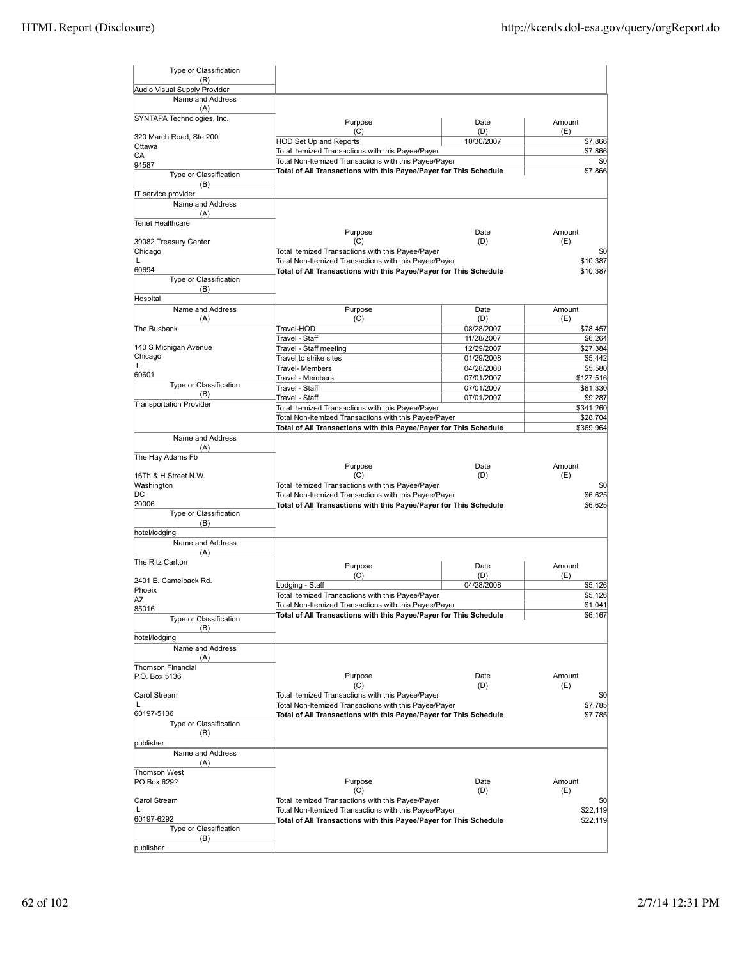| Type or Classification<br>(B)                        |                                                                   |             |               |
|------------------------------------------------------|-------------------------------------------------------------------|-------------|---------------|
| Audio Visual Supply Provider                         |                                                                   |             |               |
| Name and Address                                     |                                                                   |             |               |
| (A)                                                  |                                                                   |             |               |
| SYNTAPA Technologies, Inc.                           | Purpose<br>(C)                                                    | Date<br>(D) | Amount<br>(E) |
| 320 March Road, Ste 200                              | <b>HOD Set Up and Reports</b>                                     | 10/30/2007  | \$7,866       |
| Ottawa                                               | Total temized Transactions with this Payee/Payer                  |             | \$7,866       |
| СA                                                   | Total Non-Itemized Transactions with this Payee/Payer             |             | \$0           |
| 94587                                                | Total of All Transactions with this Payee/Payer for This Schedule |             | \$7,866       |
| Type or Classification<br>(B)<br>IT service provider |                                                                   |             |               |
| Name and Address                                     |                                                                   |             |               |
| (A)<br><b>Tenet Healthcare</b>                       |                                                                   |             |               |
|                                                      | Purpose                                                           | Date        | Amount        |
| 39082 Treasury Center                                | (C)                                                               | (D)         | (E)           |
| Chicago                                              | Total temized Transactions with this Payee/Payer                  |             | \$0           |
| L                                                    | Total Non-Itemized Transactions with this Payee/Payer             |             | \$10,387      |
| 60694                                                | Total of All Transactions with this Payee/Payer for This Schedule |             | \$10,387      |
| Type or Classification                               |                                                                   |             |               |
| (B)                                                  |                                                                   |             |               |
| Hospital                                             |                                                                   |             |               |
| Name and Address                                     | Purpose                                                           | Date        | Amount        |
| (A)                                                  | (C)                                                               | (D)         | (E)           |
| The Busbank                                          | Travel-HOD                                                        | 08/28/2007  | \$78,457      |
|                                                      | Travel - Staff                                                    | 11/28/2007  | \$6,264       |
| 140 S Michigan Avenue                                | Travel - Staff meeting                                            | 12/29/2007  | \$27,384      |
| Chicago<br>L                                         | Travel to strike sites                                            | 01/29/2008  | \$5,442       |
| 60601                                                | Travel- Members                                                   | 04/28/2008  | \$5,580       |
| Type or Classification                               | Travel - Members                                                  | 07/01/2007  | \$127,516     |
| (B)                                                  | Travel - Staff                                                    | 07/01/2007  | \$81,330      |
| <b>Transportation Provider</b>                       | Travel - Staff                                                    | 07/01/2007  | \$9,287       |
|                                                      | Total temized Transactions with this Payee/Payer                  |             | \$341,260     |
|                                                      | Total Non-Itemized Transactions with this Payee/Payer             |             | \$28,704      |
|                                                      | Total of All Transactions with this Payee/Payer for This Schedule |             | \$369,964     |
| Name and Address                                     |                                                                   |             |               |
| (A)                                                  |                                                                   |             |               |
| The Hay Adams Fb                                     | Purpose                                                           | Date        | Amount        |
| 16Th & H Street N.W.                                 | (C)                                                               | (D)         | (E)           |
| Washington                                           | Total temized Transactions with this Payee/Payer                  |             | \$0           |
|                                                      |                                                                   |             |               |
|                                                      |                                                                   |             |               |
| DC                                                   | Total Non-Itemized Transactions with this Payee/Payer             |             | \$6,625       |
| 20006                                                | Total of All Transactions with this Payee/Payer for This Schedule |             | \$6,625       |
| Type or Classification<br>(B)                        |                                                                   |             |               |
| hotel/lodging                                        |                                                                   |             |               |
| Name and Address                                     |                                                                   |             |               |
| (A)                                                  |                                                                   |             |               |
| The Ritz Carlton                                     |                                                                   |             |               |
|                                                      | Purpose                                                           | Date        | Amount        |
| 2401 E. Camelback Rd.                                | (C)                                                               | (D)         | (E)           |
| Phoeix                                               | Lodging - Staff                                                   | 04/28/2008  | \$5,126       |
| ΙAΖ                                                  | Total temized Transactions with this Payee/Payer                  |             | \$5,126       |
| 85016                                                | Total Non-Itemized Transactions with this Payee/Payer             |             | \$1,041       |
| Type or Classification                               | Total of All Transactions with this Payee/Payer for This Schedule |             | \$6,167       |
| (B)                                                  |                                                                   |             |               |
| hotel/lodging                                        |                                                                   |             |               |
| Name and Address                                     |                                                                   |             |               |
| (A)                                                  |                                                                   |             |               |
| Thomson Financial                                    |                                                                   |             |               |
| P.O. Box 5136                                        | Purpose                                                           | Date        | Amount        |
|                                                      | (C)                                                               | (D)         | (E)           |
| Carol Stream                                         | Total temized Transactions with this Payee/Payer                  |             | \$0           |
| L                                                    | Total Non-Itemized Transactions with this Payee/Payer             |             | \$7,785       |
| 60197-5136                                           | Total of All Transactions with this Payee/Payer for This Schedule |             | \$7,785       |
| Type or Classification                               |                                                                   |             |               |
| (B)                                                  |                                                                   |             |               |
| publisher                                            |                                                                   |             |               |
| Name and Address                                     |                                                                   |             |               |
| (A)                                                  |                                                                   |             |               |
| <b>Thomson West</b><br>PO Box 6292                   | Purpose                                                           | Date        | Amount        |
|                                                      | (C)                                                               | (D)         | (E)           |
| Carol Stream                                         | Total temized Transactions with this Payee/Payer                  |             | \$0           |
| L                                                    | Total Non-Itemized Transactions with this Payee/Payer             |             | \$22,119      |
| 60197-6292                                           | Total of All Transactions with this Payee/Payer for This Schedule |             | \$22,119      |
| Type or Classification                               |                                                                   |             |               |
| (B)<br>publisher                                     |                                                                   |             |               |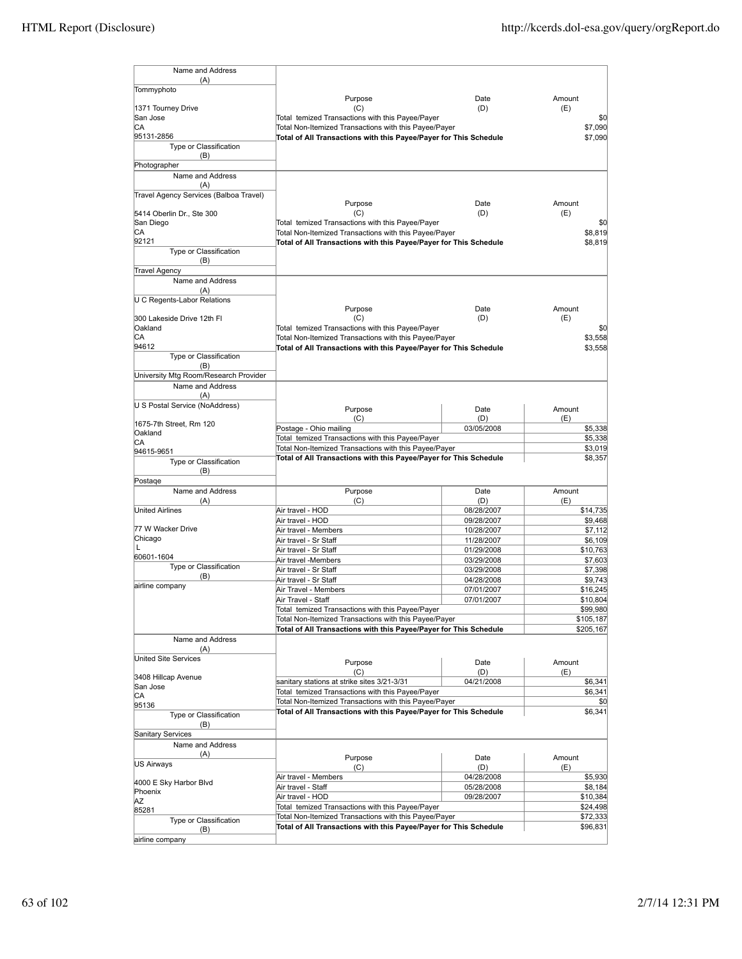| Name and Address                              |                                                                                                           |                          |               |                      |
|-----------------------------------------------|-----------------------------------------------------------------------------------------------------------|--------------------------|---------------|----------------------|
| (A)                                           |                                                                                                           |                          |               |                      |
| Tommyphoto                                    |                                                                                                           |                          |               |                      |
|                                               | Purpose                                                                                                   | Date                     | Amount        |                      |
| 1371 Tourney Drive                            | (C)                                                                                                       | (D)                      | (E)           |                      |
| San Jose<br>СA                                | Total temized Transactions with this Payee/Payer<br>Total Non-Itemized Transactions with this Payee/Payer |                          |               | \$0<br>\$7,090       |
| 95131-2856                                    | Total of All Transactions with this Payee/Payer for This Schedule                                         |                          |               | \$7,090              |
| Type or Classification                        |                                                                                                           |                          |               |                      |
| (B)                                           |                                                                                                           |                          |               |                      |
| Photographer                                  |                                                                                                           |                          |               |                      |
| Name and Address                              |                                                                                                           |                          |               |                      |
| (A)<br>Travel Agency Services (Balboa Travel) |                                                                                                           |                          |               |                      |
|                                               | Purpose                                                                                                   | Date                     | Amount        |                      |
| 5414 Oberlin Dr., Ste 300                     | (C)                                                                                                       | (D)                      | (E)           |                      |
| San Diego                                     | Total temized Transactions with this Payee/Payer                                                          |                          |               | \$0                  |
| CА                                            | Total Non-Itemized Transactions with this Payee/Payer                                                     |                          |               | \$8,819              |
| 92121<br>Type or Classification               | Total of All Transactions with this Payee/Payer for This Schedule                                         |                          |               | \$8,819              |
| (B)                                           |                                                                                                           |                          |               |                      |
| <b>Travel Agency</b>                          |                                                                                                           |                          |               |                      |
| Name and Address                              |                                                                                                           |                          |               |                      |
| (A)                                           |                                                                                                           |                          |               |                      |
| U C Regents-Labor Relations                   |                                                                                                           |                          |               |                      |
| 300 Lakeside Drive 12th Fl                    | Purpose<br>(C)                                                                                            | Date<br>(D)              | Amount<br>(E) |                      |
| Oakland                                       | Total temized Transactions with this Payee/Payer                                                          |                          |               | \$0                  |
| СA                                            | Total Non-Itemized Transactions with this Payee/Payer                                                     |                          |               | \$3,558              |
| 94612                                         | Total of All Transactions with this Payee/Payer for This Schedule                                         |                          |               | \$3,558              |
| Type or Classification                        |                                                                                                           |                          |               |                      |
| (B)                                           |                                                                                                           |                          |               |                      |
| University Mtg Room/Research Provider         |                                                                                                           |                          |               |                      |
| Name and Address<br>(A)                       |                                                                                                           |                          |               |                      |
| U S Postal Service (NoAddress)                |                                                                                                           |                          |               |                      |
|                                               | Purpose<br>(C)                                                                                            | Date<br>(D)              | Amount<br>(E) |                      |
| 1675-7th Street, Rm 120                       | Postage - Ohio mailing                                                                                    | 03/05/2008               |               | \$5,338              |
| Oakland                                       | Total temized Transactions with this Payee/Payer                                                          |                          |               | \$5,338              |
| СA<br>94615-9651                              | Total Non-Itemized Transactions with this Payee/Payer                                                     |                          |               | \$3,019              |
| Type or Classification                        | Total of All Transactions with this Payee/Payer for This Schedule                                         |                          |               | \$8,357              |
| (B)                                           |                                                                                                           |                          |               |                      |
| Postage                                       |                                                                                                           |                          |               |                      |
| Name and Address                              | Purpose                                                                                                   | Date                     | Amount        |                      |
| (A)<br><b>United Airlines</b>                 | (C)<br>Air travel - HOD                                                                                   | (D)<br>08/28/2007        | (E)           | \$14,735             |
|                                               | Air travel - HOD                                                                                          | 09/28/2007               |               | \$9,468              |
| 77 W Wacker Drive                             | Air travel - Members                                                                                      | 10/28/2007               |               | \$7,112              |
| Chicago                                       | Air travel - Sr Staff                                                                                     | 11/28/2007               |               | \$6,109              |
| L                                             | Air travel - Sr Staff                                                                                     | 01/29/2008               |               | \$10,763             |
| 60601-1604<br>Type or Classification          | Air travel -Members                                                                                       | 03/29/2008               |               | \$7,603              |
| (B)                                           | Air travel - Sr Staff                                                                                     | 03/29/2008               |               | \$7,398              |
| airline company                               | Air travel - Sr Staff<br>Air Travel - Members                                                             | 04/28/2008               |               | \$9,743              |
|                                               | Air Travel - Staff                                                                                        | 07/01/2007<br>07/01/2007 |               | \$16,245<br>\$10,804 |
|                                               | Total temized Transactions with this Payee/Payer                                                          |                          |               | \$99,980             |
|                                               | Total Non-Itemized Transactions with this Payee/Payer                                                     |                          |               | \$105,187            |
|                                               | Total of All Transactions with this Payee/Payer for This Schedule                                         |                          |               | \$205,167            |
| Name and Address                              |                                                                                                           |                          |               |                      |
| (A)                                           |                                                                                                           |                          |               |                      |
| United Site Services                          | Purpose                                                                                                   | Date                     | Amount        |                      |
| 3408 Hillcap Avenue                           | (C)                                                                                                       | (D)                      | (E)           |                      |
| San Jose                                      | sanitary stations at strike sites 3/21-3/31                                                               | 04/21/2008               |               | \$6,341              |
| СA                                            | Total temized Transactions with this Payee/Payer<br>Total Non-Itemized Transactions with this Payee/Payer |                          |               | \$6,341<br>\$0       |
| 95136                                         | Total of All Transactions with this Payee/Payer for This Schedule                                         |                          |               | \$6,341              |
| Type or Classification                        |                                                                                                           |                          |               |                      |
| (B)<br>Sanitary Services                      |                                                                                                           |                          |               |                      |
| Name and Address                              |                                                                                                           |                          |               |                      |
| (A)                                           |                                                                                                           |                          | Amount        |                      |
| US Airways                                    | Purpose<br>(C)                                                                                            | Date<br>(D)              | (E)           |                      |
|                                               | Air travel - Members                                                                                      | 04/28/2008               |               | \$5,930              |
| 4000 E Sky Harbor Blvd                        | Air travel - Staff                                                                                        | 05/28/2008               |               | \$8,184              |
| Phoenix<br>ΑZ                                 | Air travel - HOD                                                                                          | 09/28/2007               |               | \$10,384             |
| 85281                                         | Total temized Transactions with this Payee/Payer                                                          |                          |               | \$24,498             |
| Type or Classification                        | Total Non-Itemized Transactions with this Payee/Payer                                                     |                          |               | \$72,333             |
| (B)                                           | Total of All Transactions with this Payee/Payer for This Schedule                                         |                          |               | \$96,831             |
| airline company                               |                                                                                                           |                          |               |                      |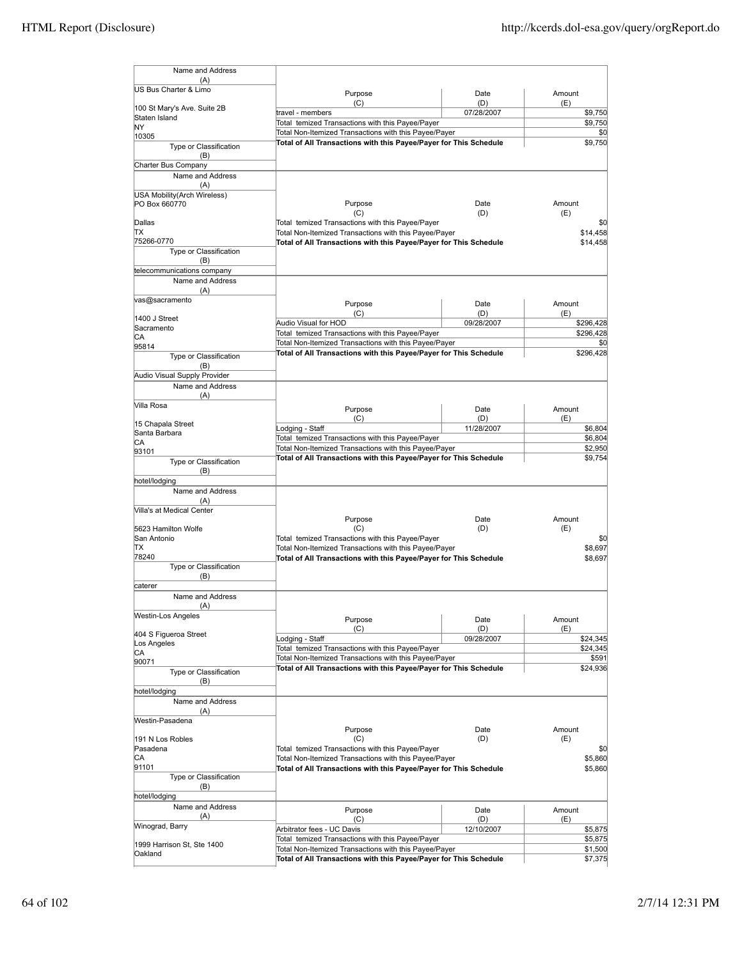| Name and Address                             |                                                                                                                            |             |                      |
|----------------------------------------------|----------------------------------------------------------------------------------------------------------------------------|-------------|----------------------|
| (A)                                          |                                                                                                                            |             |                      |
| US Bus Charter & Limo                        | Purpose<br>(C)                                                                                                             | Date<br>(D) | Amount<br>(E)        |
| 100 St Mary's Ave. Suite 2B                  | travel - members                                                                                                           | 07/28/2007  | \$9,750              |
| Staten Island<br>ΝY                          | Total temized Transactions with this Payee/Payer                                                                           |             | \$9,750              |
| 10305                                        | Total Non-Itemized Transactions with this Payee/Payer                                                                      |             | \$0                  |
| Type or Classification<br>(B)                | Total of All Transactions with this Payee/Payer for This Schedule                                                          |             | \$9,750              |
| Charter Bus Company                          |                                                                                                                            |             |                      |
| Name and Address                             |                                                                                                                            |             |                      |
| (A)                                          |                                                                                                                            |             |                      |
| USA Mobility(Arch Wireless)<br>PO Box 660770 | Purpose                                                                                                                    | Date        | Amount               |
|                                              | (C)                                                                                                                        | (D)         | (E)                  |
| Dallas<br>ΠX                                 | Total temized Transactions with this Payee/Payer                                                                           |             | \$0                  |
| 75266-0770                                   | Total Non-Itemized Transactions with this Payee/Payer<br>Total of All Transactions with this Payee/Payer for This Schedule |             | \$14,458<br>\$14,458 |
| Type or Classification                       |                                                                                                                            |             |                      |
| (B)                                          |                                                                                                                            |             |                      |
| telecommunications company                   |                                                                                                                            |             |                      |
| Name and Address<br>(A)                      |                                                                                                                            |             |                      |
| vas@sacramento                               |                                                                                                                            |             |                      |
|                                              | Purpose<br>(C)                                                                                                             | Date<br>(D) | Amount<br>(E)        |
| 1400 J Street                                | Audio Visual for HOD                                                                                                       | 09/28/2007  | \$296,428            |
| Sacramento                                   | Total temized Transactions with this Payee/Payer                                                                           |             | \$296,428            |
| CА<br>95814                                  | Total Non-Itemized Transactions with this Payee/Payer                                                                      |             | \$0                  |
| <b>Type or Classification</b>                | Total of All Transactions with this Payee/Payer for This Schedule                                                          |             | \$296,428            |
| (B)                                          |                                                                                                                            |             |                      |
| Audio Visual Supply Provider                 |                                                                                                                            |             |                      |
| Name and Address                             |                                                                                                                            |             |                      |
| (A)<br>Villa Rosa                            |                                                                                                                            |             |                      |
|                                              | Purpose<br>(C)                                                                                                             | Date<br>(D) | Amount<br>(E)        |
| 15 Chapala Street                            | Lodging - Staff                                                                                                            | 11/28/2007  | \$6,804              |
| Santa Barbara                                | Total temized Transactions with this Payee/Payer                                                                           |             | \$6,804              |
| IСA<br>93101                                 | Total Non-Itemized Transactions with this Payee/Payer                                                                      |             | \$2,950              |
| <b>Type or Classification</b>                | Total of All Transactions with this Payee/Payer for This Schedule                                                          |             | \$9,754              |
| (B)                                          |                                                                                                                            |             |                      |
| hotel/lodging                                |                                                                                                                            |             |                      |
| Name and Address                             |                                                                                                                            |             |                      |
| (A)                                          |                                                                                                                            |             |                      |
| Villa's at Medical Center                    | Purpose                                                                                                                    | Date        | Amount               |
| 5623 Hamilton Wolfe                          | (C)                                                                                                                        | (D)         | (E)                  |
| San Antonio                                  | Total temized Transactions with this Payee/Payer                                                                           |             | \$0                  |
| lΤX<br>78240                                 | Total Non-Itemized Transactions with this Payee/Payer                                                                      |             | \$8,697              |
| Type or Classification                       | Total of All Transactions with this Payee/Payer for This Schedule                                                          |             | \$8,697              |
| (B)                                          |                                                                                                                            |             |                      |
| lcaterer                                     |                                                                                                                            |             |                      |
| Name and Address                             |                                                                                                                            |             |                      |
| (A)                                          |                                                                                                                            |             |                      |
| <b>Westin-Los Angeles</b>                    | Purpose                                                                                                                    | Date        | Amount               |
| 404 S Figueroa Street                        | (C)                                                                                                                        | (D)         | (E)                  |
| Los Angeles                                  | Lodging - Staff<br>Total temized Transactions with this Payee/Payer                                                        | 09/28/2007  | \$24,345             |
| CA                                           | Total Non-Itemized Transactions with this Payee/Payer                                                                      |             | \$24,345<br>\$591    |
| 90071                                        | Total of All Transactions with this Payee/Payer for This Schedule                                                          |             | \$24,936             |
| Type or Classification<br>(B)                |                                                                                                                            |             |                      |
| hotel/lodging                                |                                                                                                                            |             |                      |
| Name and Address                             |                                                                                                                            |             |                      |
| (A)                                          |                                                                                                                            |             |                      |
| Westin-Pasadena                              |                                                                                                                            |             |                      |
| 191 N Los Robles                             | Purpose<br>(C)                                                                                                             | Date<br>(D) | Amount<br>(E)        |
| Pasadena                                     | Total temized Transactions with this Payee/Payer                                                                           |             | \$0                  |
| IСA                                          | Total Non-Itemized Transactions with this Payee/Payer                                                                      |             | \$5,860              |
| 91101                                        | Total of All Transactions with this Payee/Payer for This Schedule                                                          |             | \$5,860              |
| Type or Classification                       |                                                                                                                            |             |                      |
| (B)<br>hotel/lodging                         |                                                                                                                            |             |                      |
| Name and Address                             |                                                                                                                            |             | Amount               |
| (A)                                          | Purpose<br>(C)                                                                                                             | Date<br>(D) | (E)                  |
| Winograd, Barry                              | Arbitrator fees - UC Davis                                                                                                 | 12/10/2007  | \$5,875              |
|                                              | Total temized Transactions with this Payee/Payer                                                                           |             | \$5,875              |
| 1999 Harrison St, Ste 1400<br>Oakland        | Total Non-Itemized Transactions with this Payee/Payer                                                                      |             | \$1,500              |
|                                              | Total of All Transactions with this Payee/Payer for This Schedule                                                          |             | \$7,375              |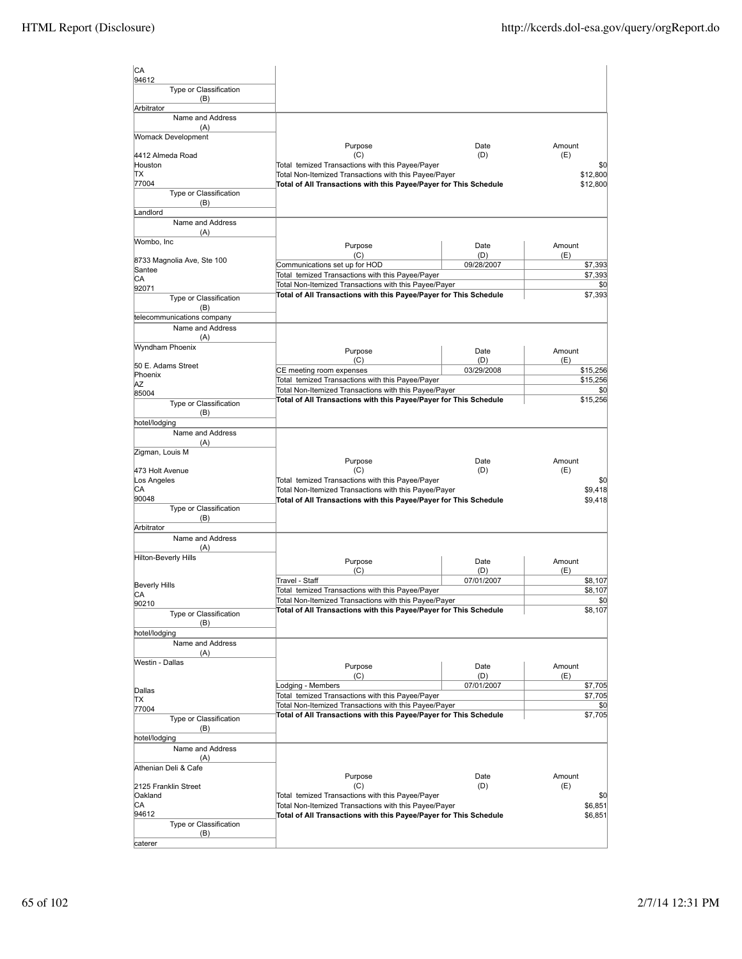| CA<br>94612                       |                                                                                                                            |                   |                 |                |
|-----------------------------------|----------------------------------------------------------------------------------------------------------------------------|-------------------|-----------------|----------------|
| Type or Classification            |                                                                                                                            |                   |                 |                |
| (B)<br>Arbitrator                 |                                                                                                                            |                   |                 |                |
| Name and Address                  |                                                                                                                            |                   |                 |                |
| (A)<br><b>Womack Development</b>  |                                                                                                                            |                   |                 |                |
|                                   | Purpose                                                                                                                    | Date              | Amount          |                |
| 4412 Almeda Road<br>Houston       | (C)<br>Total temized Transactions with this Payee/Payer                                                                    | (D)               | (E)             | \$0            |
| lΤX                               | Total Non-Itemized Transactions with this Payee/Payer                                                                      |                   | \$12,800        |                |
| 77004                             | Total of All Transactions with this Payee/Payer for This Schedule                                                          |                   | \$12,800        |                |
| Type or Classification<br>(B)     |                                                                                                                            |                   |                 |                |
| Landlord                          |                                                                                                                            |                   |                 |                |
| Name and Address                  |                                                                                                                            |                   |                 |                |
| (A)<br>Wombo, Inc                 |                                                                                                                            |                   |                 |                |
|                                   | Purpose<br>(C)                                                                                                             | Date<br>(D)       | Amount<br>(E)   |                |
| 8733 Magnolia Ave, Ste 100        | Communications set up for HOD                                                                                              | 09/28/2007        |                 | \$7,393        |
| Santee<br>CА                      | Total temized Transactions with this Payee/Payer                                                                           |                   |                 | \$7,393        |
| 92071                             | Total Non-Itemized Transactions with this Payee/Payer<br>Total of All Transactions with this Payee/Payer for This Schedule |                   |                 | \$0<br>\$7,393 |
| Type or Classification            |                                                                                                                            |                   |                 |                |
| (B)<br>telecommunications company |                                                                                                                            |                   |                 |                |
| Name and Address                  |                                                                                                                            |                   |                 |                |
| (A)                               |                                                                                                                            |                   |                 |                |
| Wyndham Phoenix                   | Purpose                                                                                                                    | Date              | Amount          |                |
| 50 E. Adams Street                | (C)<br>CE meeting room expenses                                                                                            | (D)<br>03/29/2008 | (E)<br>\$15,256 |                |
| Phoenix<br>ΑZ                     | Total temized Transactions with this Payee/Payer                                                                           |                   | \$15,256        |                |
| 85004                             | Total Non-Itemized Transactions with this Payee/Payer                                                                      |                   |                 | \$0            |
| Type or Classification            | Total of All Transactions with this Payee/Payer for This Schedule                                                          |                   | \$15,256        |                |
| (B)                               |                                                                                                                            |                   |                 |                |
| hotel/lodging<br>Name and Address |                                                                                                                            |                   |                 |                |
| (A)                               |                                                                                                                            |                   |                 |                |
| Zigman, Louis M                   |                                                                                                                            |                   | Amount          |                |
| 473 Holt Avenue                   | Purpose<br>(C)                                                                                                             | Date<br>(D)       | (E)             |                |
| Los Angeles                       | Total temized Transactions with this Payee/Payer                                                                           |                   |                 | \$0            |
| CА<br>90048                       | Total Non-Itemized Transactions with this Payee/Payer                                                                      |                   |                 | \$9,418        |
| Type or Classification            | Total of All Transactions with this Payee/Payer for This Schedule                                                          |                   |                 | \$9,418        |
| (B)                               |                                                                                                                            |                   |                 |                |
| Arbitrator                        |                                                                                                                            |                   |                 |                |
| Name and Address<br>(A)           |                                                                                                                            |                   |                 |                |
| Hilton-Beverly Hills              | Purpose                                                                                                                    | Date              | Amount          |                |
|                                   | (C)                                                                                                                        | (D)               | (E)             |                |
| <b>Beverly Hills</b>              | Travel - Staff                                                                                                             | 07/01/2007        |                 | \$8,107        |
| CА                                | Total temized Transactions with this Payee/Payer<br>Total Non-Itemized Transactions with this Payee/Payer                  |                   |                 | \$8,107<br>\$0 |
| 90210                             | Total of All Transactions with this Payee/Payer for This Schedule                                                          |                   |                 | \$8,107        |
| Type or Classification<br>(B)     |                                                                                                                            |                   |                 |                |
| hotel/lodging                     |                                                                                                                            |                   |                 |                |
| Name and Address                  |                                                                                                                            |                   |                 |                |
| (A)<br>Westin - Dallas            |                                                                                                                            |                   |                 |                |
|                                   | Purpose<br>(C)                                                                                                             | Date<br>(D)       | Amount<br>(E)   |                |
|                                   | Lodging - Members                                                                                                          | 07/01/2007        |                 | \$7,705        |
| Dallas<br>ΠX                      | Total temized Transactions with this Payee/Payer                                                                           |                   |                 | \$7,705        |
| 77004                             | Total Non-Itemized Transactions with this Payee/Payer<br>Total of All Transactions with this Payee/Payer for This Schedule |                   |                 | \$0<br>\$7,705 |
| Type or Classification            |                                                                                                                            |                   |                 |                |
| (B)<br>hotel/lodging              |                                                                                                                            |                   |                 |                |
| Name and Address                  |                                                                                                                            |                   |                 |                |
| (A)                               |                                                                                                                            |                   |                 |                |
| Athenian Deli & Cafe              | Purpose                                                                                                                    | Date              | Amount          |                |
| 2125 Franklin Street              | (C)                                                                                                                        | (D)               | (E)             |                |
| Oakland                           | Total temized Transactions with this Payee/Payer                                                                           |                   |                 | \$0            |
| CA<br>94612                       | Total Non-Itemized Transactions with this Payee/Payer                                                                      |                   |                 | \$6,851        |
| Type or Classification            | Total of All Transactions with this Payee/Payer for This Schedule                                                          |                   |                 | \$6,851        |
| (B)                               |                                                                                                                            |                   |                 |                |
| caterer                           |                                                                                                                            |                   |                 |                |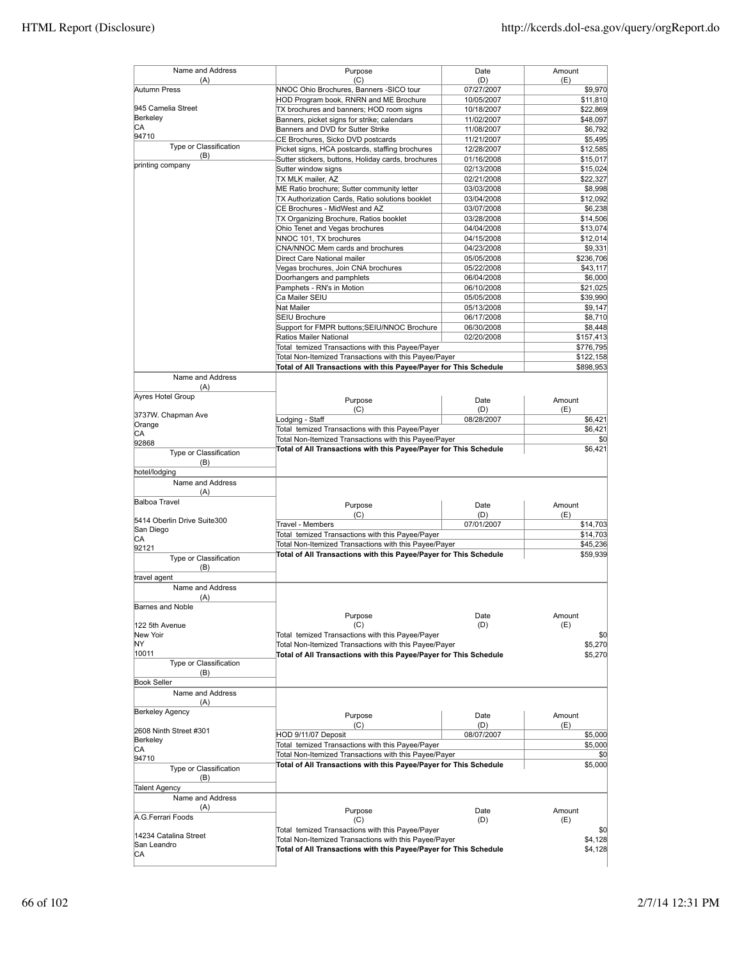| Name and Address<br>(A)       | Purpose<br>(C)                                                                                            | Date<br>(D)              | Amount<br>(E)        |
|-------------------------------|-----------------------------------------------------------------------------------------------------------|--------------------------|----------------------|
| Autumn Press                  | NNOC Ohio Brochures, Banners -SICO tour                                                                   | 07/27/2007               | \$9,970              |
|                               | HOD Program book, RNRN and ME Brochure                                                                    | 10/05/2007               | \$11,810             |
| 945 Camelia Street            | TX brochures and banners; HOD room signs                                                                  | 10/18/2007               | \$22,869             |
| Berkeley                      | Banners, picket signs for strike; calendars                                                               | 11/02/2007               | \$48,097             |
| CА                            | Banners and DVD for Sutter Strike                                                                         | 11/08/2007               | \$6,792              |
| 94710                         | CE Brochures, Sicko DVD postcards                                                                         | 11/21/2007               | \$5,495              |
| Type or Classification        | Picket signs, HCA postcards, staffing brochures                                                           | 12/28/2007               | \$12,585             |
| (B)                           | Sutter stickers, buttons, Holiday cards, brochures                                                        | 01/16/2008               | \$15,017             |
| printing company              | Sutter window signs                                                                                       | 02/13/2008               | \$15,024             |
|                               | TX MLK mailer, AZ                                                                                         | 02/21/2008               | \$22,327             |
|                               | ME Ratio brochure; Sutter community letter                                                                | 03/03/2008               | \$8,998              |
|                               | TX Authorization Cards, Ratio solutions booklet                                                           | 03/04/2008               | \$12,092             |
|                               | CE Brochures - MidWest and AZ                                                                             | 03/07/2008               | \$6,238              |
|                               | TX Organizing Brochure, Ratios booklet                                                                    | 03/28/2008               | \$14,506             |
|                               | Ohio Tenet and Vegas brochures                                                                            | 04/04/2008               | \$13,074             |
|                               | NNOC 101, TX brochures<br>CNA/NNOC Mem cards and brochures                                                | 04/15/2008<br>04/23/2008 | \$12,014<br>\$9,331  |
|                               | Direct Care National mailer                                                                               | 05/05/2008               | \$236,706            |
|                               | Vegas brochures, Join CNA brochures                                                                       | 05/22/2008               | \$43,117             |
|                               | Doorhangers and pamphlets                                                                                 | 06/04/2008               | \$6,000              |
|                               | Pamphets - RN's in Motion                                                                                 | 06/10/2008               | \$21,025             |
|                               | Ca Mailer SEIU                                                                                            | 05/05/2008               | \$39,990             |
|                               | Nat Mailer                                                                                                | 05/13/2008               | \$9,147              |
|                               | <b>SEIU Brochure</b>                                                                                      | 06/17/2008               | \$8,710              |
|                               | Support for FMPR buttons;SEIU/NNOC Brochure                                                               | 06/30/2008               | \$8,448              |
|                               | Ratios Mailer National                                                                                    | 02/20/2008               | \$157,413            |
|                               | Total temized Transactions with this Payee/Payer                                                          |                          | \$776,795            |
|                               | Total Non-Itemized Transactions with this Payee/Payer                                                     |                          | \$122,158            |
|                               | Total of All Transactions with this Payee/Payer for This Schedule                                         |                          | \$898,953            |
| Name and Address<br>(A)       |                                                                                                           |                          |                      |
| Ayres Hotel Group             | Purpose                                                                                                   | Date                     | Amount               |
|                               | (C)                                                                                                       | (D)                      | (E)                  |
| 3737W. Chapman Ave            | Lodging - Staff                                                                                           | 08/28/2007               | \$6,421              |
| Orange                        | Total temized Transactions with this Payee/Payer                                                          |                          | \$6,421              |
| СA                            | Total Non-Itemized Transactions with this Payee/Payer                                                     |                          | \$0                  |
| 92868                         | Total of All Transactions with this Payee/Payer for This Schedule                                         |                          | \$6,421              |
| Type or Classification<br>(B) |                                                                                                           |                          |                      |
| hotel/lodging                 |                                                                                                           |                          |                      |
| Name and Address              |                                                                                                           |                          |                      |
| (A)                           |                                                                                                           |                          |                      |
| <b>Balboa Travel</b>          |                                                                                                           |                          |                      |
|                               | Purpose                                                                                                   | Date                     | Amount               |
| 5414 Oberlin Drive Suite300   | (C)                                                                                                       | (D)                      | (E)                  |
| San Diego                     | Travel - Members                                                                                          | 07/01/2007               | \$14,703             |
| CА                            | Total temized Transactions with this Payee/Payer<br>Total Non-Itemized Transactions with this Payee/Payer |                          | \$14,703<br>\$45,236 |
| 92121                         | Total of All Transactions with this Payee/Payer for This Schedule                                         |                          | \$59,939             |
| Type or Classification        |                                                                                                           |                          |                      |
| (B)                           |                                                                                                           |                          |                      |
| travel agent                  |                                                                                                           |                          |                      |
| Name and Address              |                                                                                                           |                          |                      |
| (A)                           |                                                                                                           |                          |                      |
| Barnes and Noble              | Purpose                                                                                                   | Date                     | Amount               |
| 122 5th Avenue                | (C)                                                                                                       | (D)                      | (E)                  |
| New Yoir                      | Total temized Transactions with this Payee/Payer                                                          |                          | \$0                  |
| ΝY                            | Total Non-Itemized Transactions with this Payee/Payer                                                     |                          | \$5,270              |
| 10011                         | Total of All Transactions with this Payee/Payer for This Schedule                                         |                          | \$5,270              |
| Type or Classification        |                                                                                                           |                          |                      |
| (B)                           |                                                                                                           |                          |                      |
| Book Seller                   |                                                                                                           |                          |                      |
| Name and Address              |                                                                                                           |                          |                      |
| (A)                           |                                                                                                           |                          |                      |
| <b>Berkeley Agency</b>        | Purpose                                                                                                   | Date                     | Amount               |
|                               | (C)                                                                                                       | (D)                      | (E)                  |
| 2608 Ninth Street #301        | HOD 9/11/07 Deposit                                                                                       | 08/07/2007               | \$5,000              |
| Berkeley<br>CА                | Total temized Transactions with this Payee/Payer                                                          |                          | \$5,000              |
| 94710                         | Total Non-Itemized Transactions with this Payee/Payer                                                     |                          | \$0                  |
| Type or Classification        | Total of All Transactions with this Payee/Payer for This Schedule                                         |                          | \$5,000              |
| (B)                           |                                                                                                           |                          |                      |
| Talent Agency                 |                                                                                                           |                          |                      |
| Name and Address              |                                                                                                           |                          |                      |
| (A)                           |                                                                                                           |                          |                      |
| A.G.Ferrari Foods             | Purpose<br>(C)                                                                                            | Date<br>(D)              | Amount<br>(E)        |
|                               | Total temized Transactions with this Payee/Payer                                                          |                          | \$0                  |
| 14234 Catalina Street         | Total Non-Itemized Transactions with this Payee/Payer                                                     |                          | \$4,128              |
| San Leandro                   | Total of All Transactions with this Payee/Payer for This Schedule                                         |                          | \$4,128              |
| СA                            |                                                                                                           |                          |                      |
|                               |                                                                                                           |                          |                      |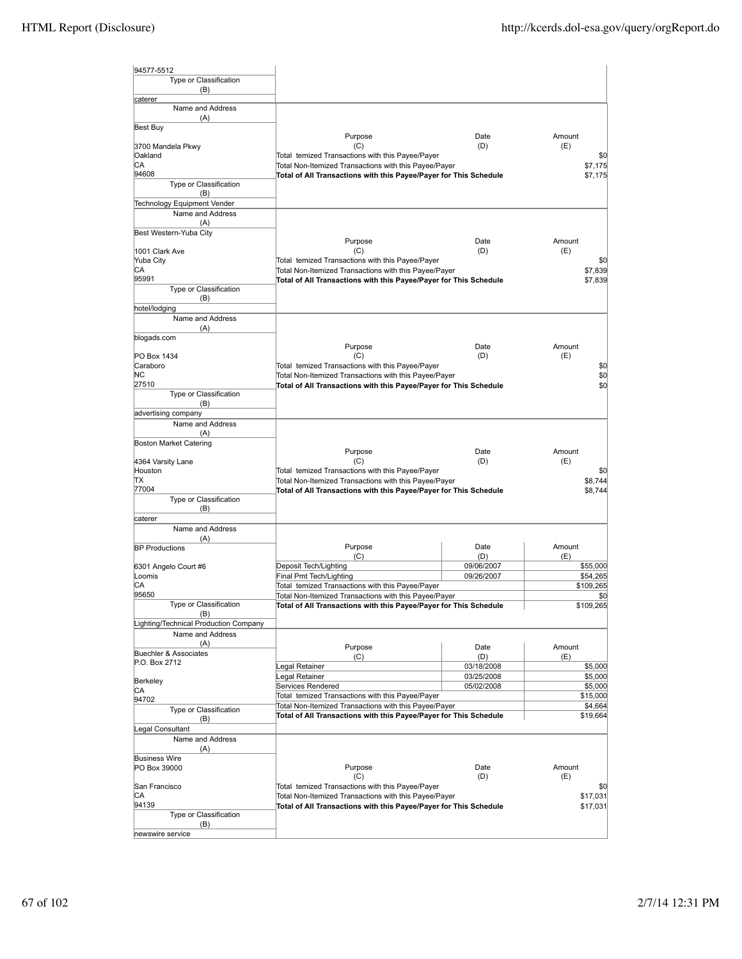| 94577-5512                              |                                                                                                                            |                   |                  |
|-----------------------------------------|----------------------------------------------------------------------------------------------------------------------------|-------------------|------------------|
| Type or Classification                  |                                                                                                                            |                   |                  |
| (B)                                     |                                                                                                                            |                   |                  |
| caterer<br>Name and Address             |                                                                                                                            |                   |                  |
| (A)                                     |                                                                                                                            |                   |                  |
| Best Buy                                |                                                                                                                            |                   |                  |
| 3700 Mandela Pkwy                       | Purpose<br>(C)                                                                                                             | Date<br>(D)       | Amount<br>(E)    |
| Oakland                                 | Total temized Transactions with this Payee/Payer                                                                           |                   | \$0              |
| СA                                      | Total Non-Itemized Transactions with this Payee/Payer                                                                      |                   | \$7,175          |
| 94608<br>Type or Classification         | Total of All Transactions with this Payee/Payer for This Schedule                                                          |                   | \$7,175          |
| (B)                                     |                                                                                                                            |                   |                  |
| Technology Equipment Vender             |                                                                                                                            |                   |                  |
| Name and Address                        |                                                                                                                            |                   |                  |
| (A)                                     |                                                                                                                            |                   |                  |
| Best Western-Yuba City                  | Purpose                                                                                                                    | Date              | Amount           |
| 1001 Clark Ave                          | (C)                                                                                                                        | (D)               | (E)              |
| Yuba City                               | Total temized Transactions with this Payee/Payer                                                                           |                   | \$0              |
| СA<br>95991                             | Total Non-Itemized Transactions with this Payee/Payer                                                                      |                   | \$7,839          |
| Type or Classification                  | Total of All Transactions with this Payee/Payer for This Schedule                                                          |                   | \$7,839          |
| (B)                                     |                                                                                                                            |                   |                  |
| hotel/lodging                           |                                                                                                                            |                   |                  |
| Name and Address                        |                                                                                                                            |                   |                  |
| (A)<br>blogads.com                      |                                                                                                                            |                   |                  |
|                                         | Purpose                                                                                                                    | Date              | Amount           |
| PO Box 1434                             | (C)                                                                                                                        | (D)               | (E)              |
| Caraboro<br>ΝC                          | Total temized Transactions with this Payee/Payer<br>Total Non-Itemized Transactions with this Payee/Payer                  |                   | \$0<br>\$0       |
| 27510                                   | Total of All Transactions with this Payee/Payer for This Schedule                                                          |                   | \$0              |
| Type or Classification                  |                                                                                                                            |                   |                  |
| (B)                                     |                                                                                                                            |                   |                  |
| advertising company<br>Name and Address |                                                                                                                            |                   |                  |
| (A)                                     |                                                                                                                            |                   |                  |
| <b>Boston Market Catering</b>           |                                                                                                                            |                   |                  |
|                                         | Purpose                                                                                                                    | Date              | Amount           |
| 4364 Varsity Lane<br>Houston            | (C)<br>Total temized Transactions with this Payee/Payer                                                                    | (D)               | (E)<br>\$0       |
| ΠX                                      | Total Non-Itemized Transactions with this Payee/Payer                                                                      |                   | \$8,744          |
| 77004                                   | Total of All Transactions with this Payee/Payer for This Schedule                                                          |                   | \$8,744          |
| Type or Classification<br>(B)           |                                                                                                                            |                   |                  |
| caterer                                 |                                                                                                                            |                   |                  |
| Name and Address                        |                                                                                                                            |                   |                  |
| (A)                                     |                                                                                                                            |                   |                  |
| <b>BP Productions</b>                   | Purpose<br>(C)                                                                                                             | Date<br>(D)       | Amount<br>(E)    |
| 6301 Angelo Court #6                    | Deposit Tech/Lighting                                                                                                      | 09/06/2007        | \$55,000         |
| Loomis                                  | Final Pmt Tech/Lighting                                                                                                    | 09/26/2007        | \$54,265         |
| СA                                      | Total temized Transactions with this Payee/Payer                                                                           |                   | \$109,265        |
| 95650<br>Type or Classification         | Total Non-Itemized Transactions with this Payee/Payer<br>Total of All Transactions with this Payee/Payer for This Schedule |                   | \$0<br>\$109,265 |
| (B)                                     |                                                                                                                            |                   |                  |
| Lighting/Technical Production Company   |                                                                                                                            |                   |                  |
| Name and Address                        |                                                                                                                            |                   |                  |
| (A)<br><b>Buechler &amp; Associates</b> | Purpose                                                                                                                    | Date              | Amount           |
| P.O. Box 2712                           | (C)<br>Legal Retainer                                                                                                      | (D)<br>03/18/2008 | (E)<br>\$5,000   |
|                                         | egal Retainer                                                                                                              | 03/25/2008        | \$5,000          |
| Berkeley<br>CА                          | Services Rendered                                                                                                          | 05/02/2008        | \$5,000          |
| 94702                                   | Total temized Transactions with this Payee/Payer                                                                           |                   | \$15,000         |
| Type or Classification                  | Total Non-Itemized Transactions with this Payee/Payer                                                                      |                   | \$4,664          |
| (B)                                     | Total of All Transactions with this Payee/Payer for This Schedule                                                          |                   | \$19,664         |
| Legal Consultant<br>Name and Address    |                                                                                                                            |                   |                  |
| (A)                                     |                                                                                                                            |                   |                  |
| <b>Business Wire</b>                    |                                                                                                                            |                   |                  |
| PO Box 39000                            | Purpose                                                                                                                    | Date              | Amount           |
| San Francisco                           | (C)<br>Total temized Transactions with this Payee/Payer                                                                    | (D)               | (E)<br>\$0       |
| СA                                      | Total Non-Itemized Transactions with this Payee/Payer                                                                      |                   | \$17,031         |
| 94139                                   | Total of All Transactions with this Payee/Payer for This Schedule                                                          |                   | \$17,031         |
| Type or Classification                  |                                                                                                                            |                   |                  |
| (B)<br>newswire service                 |                                                                                                                            |                   |                  |
|                                         |                                                                                                                            |                   |                  |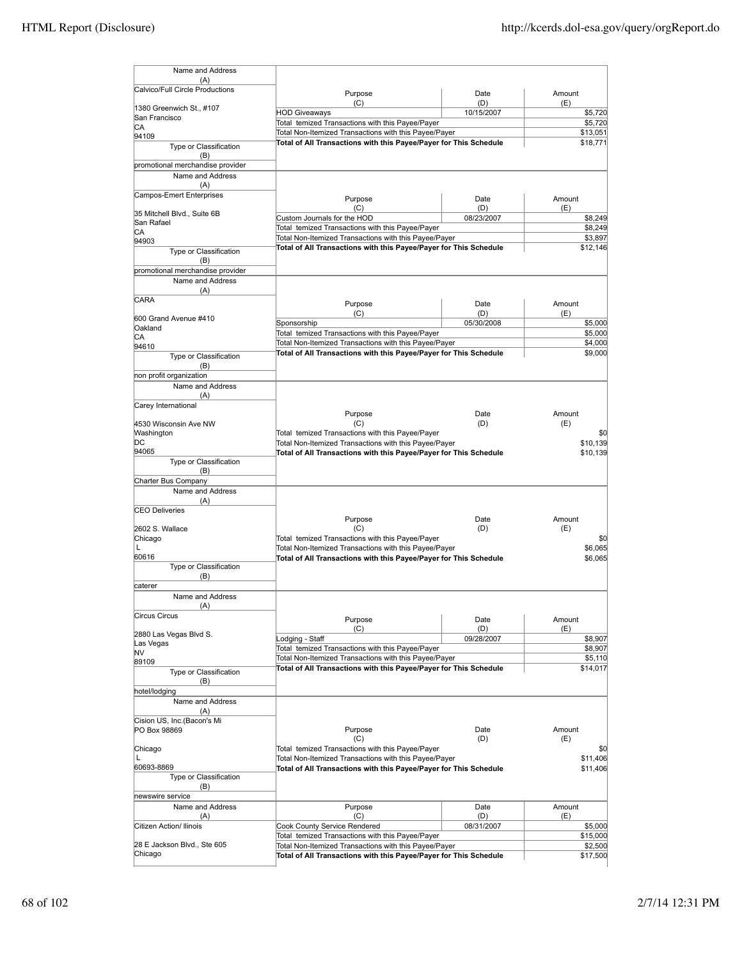| Name and Address                       |                                                                                                                            |                   |                      |
|----------------------------------------|----------------------------------------------------------------------------------------------------------------------------|-------------------|----------------------|
| (A)                                    |                                                                                                                            |                   |                      |
| Calvico/Full Circle Productions        | Purpose                                                                                                                    | Date              | Amount               |
| 1380 Greenwich St., #107               | (C)                                                                                                                        | (D)               | (E)                  |
| San Francisco                          | <b>HOD Giveaways</b><br>Total temized Transactions with this Payee/Payer                                                   | 10/15/2007        | \$5,720<br>\$5,720   |
| СA<br>94109                            | Total Non-Itemized Transactions with this Payee/Payer                                                                      |                   | \$13,051             |
| Type or Classification                 | Total of All Transactions with this Payee/Payer for This Schedule                                                          |                   | \$18,771             |
| (B)                                    |                                                                                                                            |                   |                      |
| promotional merchandise provider       |                                                                                                                            |                   |                      |
| Name and Address                       |                                                                                                                            |                   |                      |
| (A)<br><b>Campos-Emert Enterprises</b> |                                                                                                                            |                   |                      |
|                                        | Purpose                                                                                                                    | Date              | Amount               |
| 35 Mitchell Blvd., Suite 6B            | (C)<br>Custom Journals for the HOD                                                                                         | (D)<br>08/23/2007 | (E)<br>\$8,249       |
| San Rafael                             | Total temized Transactions with this Payee/Payer                                                                           |                   | \$8,249              |
| СA                                     | Total Non-Itemized Transactions with this Payee/Payer                                                                      |                   | \$3,897              |
| 94903<br>Type or Classification        | Total of All Transactions with this Payee/Payer for This Schedule                                                          |                   | \$12,146             |
| (B)                                    |                                                                                                                            |                   |                      |
| promotional merchandise provider       |                                                                                                                            |                   |                      |
| Name and Address                       |                                                                                                                            |                   |                      |
| (A)                                    |                                                                                                                            |                   |                      |
| CARA                                   | Purpose                                                                                                                    | Date              | Amount               |
| 600 Grand Avenue #410                  | (C)                                                                                                                        | (D)               | (E)                  |
| Oakland                                | Sponsorship<br>Total temized Transactions with this Payee/Payer                                                            | 05/30/2008        | \$5,000<br>\$5,000   |
| СA                                     | Total Non-Itemized Transactions with this Payee/Payer                                                                      |                   | \$4,000              |
| 94610                                  | Total of All Transactions with this Payee/Payer for This Schedule                                                          |                   | \$9,000              |
| Type or Classification<br>(B)          |                                                                                                                            |                   |                      |
| non profit organization                |                                                                                                                            |                   |                      |
| Name and Address                       |                                                                                                                            |                   |                      |
| (A)                                    |                                                                                                                            |                   |                      |
| Carey International                    |                                                                                                                            |                   | Amount               |
| 4530 Wisconsin Ave NW                  | Purpose<br>(C)                                                                                                             | Date<br>(D)       | (E)                  |
| Washington                             | Total temized Transactions with this Payee/Payer                                                                           |                   | \$0                  |
| DС                                     | Total Non-Itemized Transactions with this Payee/Payer                                                                      |                   | \$10,139             |
| 94065                                  | Total of All Transactions with this Payee/Payer for This Schedule                                                          |                   | \$10,139             |
| Type or Classification                 |                                                                                                                            |                   |                      |
| (B)<br>Charter Bus Company             |                                                                                                                            |                   |                      |
| Name and Address                       |                                                                                                                            |                   |                      |
| (A)                                    |                                                                                                                            |                   |                      |
| <b>CEO Deliveries</b>                  |                                                                                                                            |                   |                      |
|                                        | Purpose                                                                                                                    | Date              | Amount               |
| 2602 S. Wallace<br>Chicago             | (C)<br>Total temized Transactions with this Payee/Payer                                                                    | (D)               | (E)<br>\$0           |
| L                                      | Total Non-Itemized Transactions with this Payee/Payer                                                                      |                   | \$6,065              |
| 60616                                  | Total of All Transactions with this Payee/Payer for This Schedule                                                          |                   | \$6,065              |
| Type or Classification                 |                                                                                                                            |                   |                      |
| (B)<br>caterer                         |                                                                                                                            |                   |                      |
| Name and Address                       |                                                                                                                            |                   |                      |
| (A)                                    |                                                                                                                            |                   |                      |
| <b>Circus Circus</b>                   | Purpose                                                                                                                    | Date              | Amount               |
|                                        | (C)                                                                                                                        | (D)               | (E)                  |
| 2880 Las Vegas Blvd S.                 | Lodging - Staff                                                                                                            | 09/28/2007        | \$8,907              |
| Las Vegas<br>NV                        | Total temized Transactions with this Payee/Payer                                                                           |                   | \$8,907              |
| 89109                                  | Total Non-Itemized Transactions with this Payee/Payer                                                                      |                   | \$5,110              |
| Type or Classification                 | Total of All Transactions with this Payee/Payer for This Schedule                                                          |                   | \$14,017             |
| (B)                                    |                                                                                                                            |                   |                      |
| hotel/lodging                          |                                                                                                                            |                   |                      |
| Name and Address<br>(A)                |                                                                                                                            |                   |                      |
| Cision US, Inc.(Bacon's Mi             |                                                                                                                            |                   |                      |
| PO Box 98869                           | Purpose                                                                                                                    | Date              | Amount               |
|                                        | (C)                                                                                                                        | (D)               | (E)                  |
| Chicago                                | Total temized Transactions with this Payee/Payer                                                                           |                   | \$0                  |
| L<br>60693-8869                        | Total Non-Itemized Transactions with this Payee/Payer<br>Total of All Transactions with this Payee/Payer for This Schedule |                   | \$11,406<br>\$11,406 |
| Type or Classification                 |                                                                                                                            |                   |                      |
| (B)                                    |                                                                                                                            |                   |                      |
| newswire service                       |                                                                                                                            |                   |                      |
| Name and Address                       | Purpose                                                                                                                    | Date              | Amount               |
| (A)<br>Citizen Action/ Ilinois         | (C)                                                                                                                        | (D)               | (E)                  |
|                                        | <b>Cook County Service Rendered</b><br>Total temized Transactions with this Payee/Payer                                    | 08/31/2007        | \$5,000<br>\$15,000  |
| 28 E Jackson Blvd., Ste 605            | Total Non-Itemized Transactions with this Payee/Payer                                                                      |                   | \$2,500              |
| Chicago                                | Total of All Transactions with this Payee/Payer for This Schedule                                                          |                   | \$17,500             |
|                                        |                                                                                                                            |                   |                      |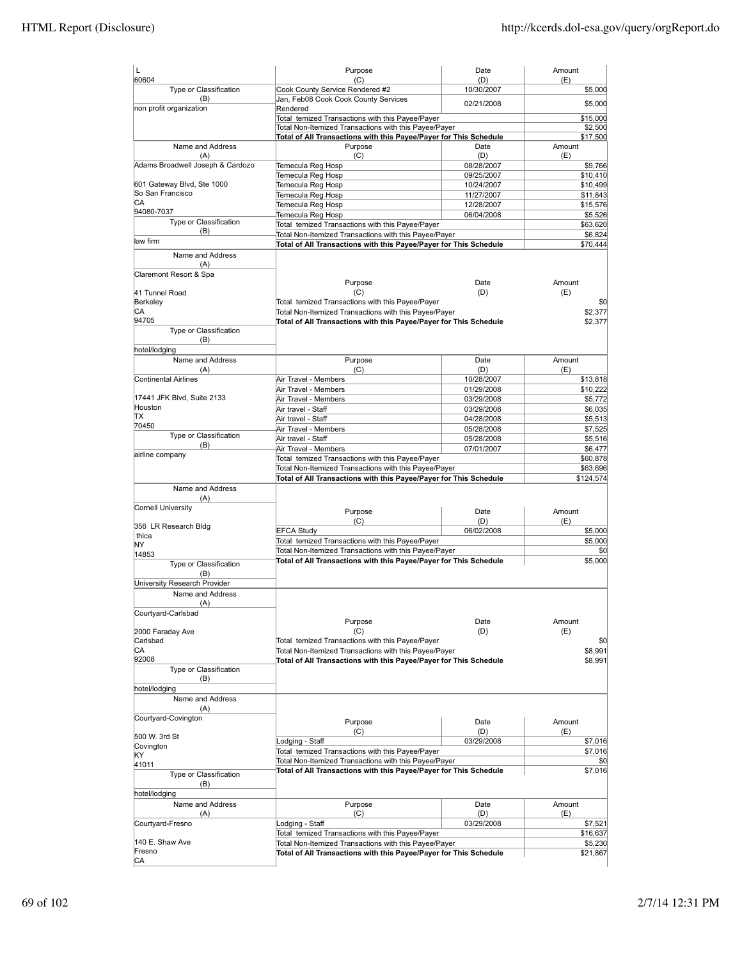| L                                                                                        | Purpose                                                           | Date              | Amount    |
|------------------------------------------------------------------------------------------|-------------------------------------------------------------------|-------------------|-----------|
| 60604<br>Type or Classification                                                          | (C)<br>Cook County Service Rendered #2                            | (D)<br>10/30/2007 | (E)       |
| (B)                                                                                      | Jan, Feb08 Cook Cook County Services                              |                   | \$5,000   |
| non profit organization                                                                  | Rendered                                                          | 02/21/2008        | \$5,000   |
|                                                                                          | Total temized Transactions with this Payee/Payer                  |                   | \$15,000  |
|                                                                                          | Total Non-Itemized Transactions with this Payee/Payer             |                   | \$2,500   |
|                                                                                          | Total of All Transactions with this Payee/Payer for This Schedule |                   | \$17,500  |
| Name and Address                                                                         | Purpose                                                           | Date              | Amount    |
| (A)                                                                                      | (C)                                                               | (D)               | (E)       |
| Adams Broadwell Joseph & Cardozo                                                         | Temecula Reg Hosp                                                 | 08/28/2007        | \$9,766   |
|                                                                                          | Temecula Reg Hosp                                                 | 09/25/2007        | \$10,410  |
| 601 Gateway Blvd, Ste 1000                                                               | Temecula Reg Hosp                                                 | 10/24/2007        | \$10,499  |
| So San Francisco                                                                         | Temecula Reg Hosp                                                 | 11/27/2007        | \$11,843  |
| СA                                                                                       | Temecula Reg Hosp                                                 | 12/28/2007        | \$15,576  |
| 94080-7037                                                                               | Temecula Reg Hosp                                                 | 06/04/2008        | \$5,526   |
| Type or Classification                                                                   | Total temized Transactions with this Payee/Payer                  |                   | \$63,620  |
| (B)<br>law firm                                                                          | Total Non-Itemized Transactions with this Payee/Payer             |                   | \$6,824   |
|                                                                                          | Total of All Transactions with this Payee/Payer for This Schedule |                   | \$70,444  |
| Name and Address                                                                         |                                                                   |                   |           |
| (A)                                                                                      |                                                                   |                   |           |
| Claremont Resort & Spa                                                                   |                                                                   |                   |           |
|                                                                                          | Purpose                                                           | Date              | Amount    |
| 41 Tunnel Road                                                                           | (C)                                                               | (D)               | (E)       |
| Berkeley                                                                                 | Total temized Transactions with this Payee/Payer                  |                   | \$0       |
| CА                                                                                       | Total Non-Itemized Transactions with this Payee/Payer             |                   | \$2.377   |
| 94705                                                                                    | Total of All Transactions with this Payee/Payer for This Schedule |                   | \$2,377   |
| Type or Classification                                                                   |                                                                   |                   |           |
| (B)                                                                                      |                                                                   |                   |           |
| hotel/lodging                                                                            |                                                                   |                   |           |
| Name and Address                                                                         | Purpose                                                           | Date              | Amount    |
| (A)                                                                                      | (C)                                                               | (D)               | (E)       |
| Continental Airlines                                                                     | Air Travel - Members                                              | 10/28/2007        | \$13,818  |
|                                                                                          | Air Travel - Members                                              | 01/29/2008        | \$10,222  |
| 17441 JFK Blvd, Suite 2133                                                               | Air Travel - Members                                              | 03/29/2008        | \$5,772   |
| Houston                                                                                  | Air travel - Staff                                                | 03/29/2008        | \$6,035   |
| TХ                                                                                       | Air travel - Staff                                                | 04/28/2008        | \$5,513   |
| 70450                                                                                    | Air Travel - Members                                              | 05/28/2008        | \$7,525   |
| Type or Classification                                                                   | Air travel - Staff                                                | 05/28/2008        | \$5,516   |
| (B)                                                                                      | Air Travel - Members                                              | 07/01/2007        | \$6,477   |
| airline company                                                                          | Total temized Transactions with this Payee/Payer                  |                   | \$60,878  |
|                                                                                          | Total Non-Itemized Transactions with this Payee/Payer             |                   | \$63,696  |
|                                                                                          | Total of All Transactions with this Payee/Payer for This Schedule |                   | \$124,574 |
| Name and Address                                                                         |                                                                   |                   |           |
| (A)                                                                                      |                                                                   |                   |           |
| Cornell University                                                                       |                                                                   |                   |           |
|                                                                                          | Purpose                                                           | Date              | Amount    |
| 356 LR Research Bldg                                                                     | (C)                                                               | (D)               | (E)       |
| thica                                                                                    | <b>EFCA Study</b>                                                 | 06/02/2008        | \$5,000   |
| NY                                                                                       | Total temized Transactions with this Payee/Payer                  |                   | \$5,000   |
| 14853                                                                                    | Total Non-Itemized Transactions with this Payee/Payer             |                   | \$0       |
| Type or Classification                                                                   | Total of All Transactions with this Payee/Payer for This Schedule |                   | \$5,000   |
| (B)                                                                                      |                                                                   |                   |           |
| University Research Provider                                                             |                                                                   |                   |           |
| Name and Address                                                                         |                                                                   |                   |           |
| (A)                                                                                      |                                                                   |                   |           |
| Courtyard-Carlsbad                                                                       |                                                                   |                   |           |
|                                                                                          | Purpose                                                           | Date              | Amount    |
| 2000 Faraday Ave                                                                         | (C)                                                               | (D)               | (E)       |
| Carlsbad                                                                                 | Total temized Transactions with this Payee/Payer                  |                   | \$0       |
| СA                                                                                       | Total Non-Itemized Transactions with this Payee/Payer             |                   | \$8,991   |
| 92008                                                                                    | Total of All Transactions with this Payee/Payer for This Schedule |                   | \$8,991   |
| Type or Classification                                                                   |                                                                   |                   |           |
| (B)                                                                                      |                                                                   |                   |           |
| hotel/lodging                                                                            |                                                                   |                   |           |
| Name and Address                                                                         |                                                                   |                   |           |
| (A)                                                                                      |                                                                   |                   |           |
| Courtyard-Covington                                                                      | Purpose                                                           | Date              | Amount    |
|                                                                                          | (C)                                                               | (D)               | (E)       |
|                                                                                          |                                                                   | 03/29/2008        | \$7,016   |
|                                                                                          |                                                                   |                   | \$7,016   |
|                                                                                          | Lodging - Staff                                                   |                   |           |
|                                                                                          | Total temized Transactions with this Payee/Payer                  |                   |           |
|                                                                                          | Total Non-Itemized Transactions with this Payee/Payer             |                   | \$0       |
| Type or Classification                                                                   | Total of All Transactions with this Payee/Payer for This Schedule |                   | \$7,016   |
| (B)                                                                                      |                                                                   |                   |           |
|                                                                                          |                                                                   |                   |           |
| Name and Address                                                                         | Purpose                                                           | Date              | Amount    |
| (A)                                                                                      | (C)                                                               | (D)               | (E)       |
|                                                                                          | Lodging - Staff                                                   | 03/29/2008        | \$7,521   |
|                                                                                          | Total temized Transactions with this Payee/Payer                  |                   | \$16,637  |
| 140 E. Shaw Ave                                                                          | Total Non-Itemized Transactions with this Payee/Payer             |                   | \$5,230   |
| 500 W. 3rd St<br>Covington<br>KY<br>41011<br>hotel/lodging<br>Courtyard-Fresno<br>Fresno | Total of All Transactions with this Payee/Payer for This Schedule |                   | \$21,867  |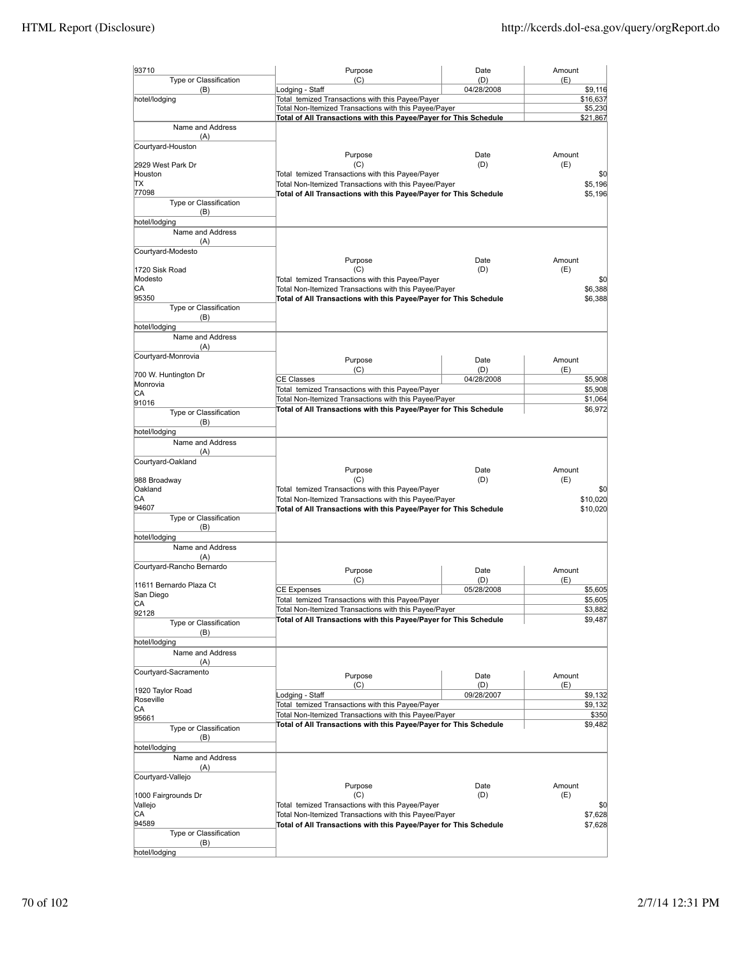| 93710                                | Purpose                                                                                                                    | Date       | Amount              |                    |
|--------------------------------------|----------------------------------------------------------------------------------------------------------------------------|------------|---------------------|--------------------|
| Type or Classification               | (C)<br>Lodging - Staff                                                                                                     | (D)        | (E)                 |                    |
| (B)<br>hotel/lodging                 | 04/28/2008                                                                                                                 |            | \$9,116<br>\$16,637 |                    |
|                                      | Total temized Transactions with this Payee/Payer<br>Total Non-Itemized Transactions with this Payee/Payer                  |            |                     | \$5,230            |
|                                      | Total of All Transactions with this Payee/Payer for This Schedule                                                          |            |                     | \$21,867           |
| Name and Address                     |                                                                                                                            |            |                     |                    |
| (A)<br>Courtyard-Houston             |                                                                                                                            |            |                     |                    |
|                                      | Purpose                                                                                                                    | Date       | Amount              |                    |
| 2929 West Park Dr                    | (C)                                                                                                                        | (D)        | (E)                 |                    |
| Houston<br>ΠX                        | Total temized Transactions with this Payee/Payer                                                                           |            |                     | \$0<br>\$5.196     |
| 77098                                | Total Non-Itemized Transactions with this Payee/Payer<br>Total of All Transactions with this Payee/Payer for This Schedule |            |                     | \$5,196            |
| Type or Classification               |                                                                                                                            |            |                     |                    |
| (B)                                  |                                                                                                                            |            |                     |                    |
| hotel/lodging                        |                                                                                                                            |            |                     |                    |
| Name and Address<br>(A)              |                                                                                                                            |            |                     |                    |
| Courtyard-Modesto                    |                                                                                                                            |            |                     |                    |
|                                      | Purpose                                                                                                                    | Date       | Amount              |                    |
| 1720 Sisk Road                       | (C)                                                                                                                        | (D)        | (E)                 |                    |
| Modesto<br>СA                        | Total temized Transactions with this Payee/Payer<br>Total Non-Itemized Transactions with this Payee/Payer                  |            |                     | \$0<br>\$6,388     |
| 95350                                | Total of All Transactions with this Payee/Payer for This Schedule                                                          |            |                     | \$6,388            |
| Type or Classification               |                                                                                                                            |            |                     |                    |
| (B)                                  |                                                                                                                            |            |                     |                    |
| hotel/lodging<br>Name and Address    |                                                                                                                            |            |                     |                    |
| (A)                                  |                                                                                                                            |            |                     |                    |
| Courtyard-Monrovia                   | Purpose                                                                                                                    | Date       | Amount              |                    |
|                                      | (C)                                                                                                                        | (D)        | (E)                 |                    |
| 700 W. Huntington Dr<br>Monrovia     | <b>CE Classes</b>                                                                                                          | 04/28/2008 |                     | \$5,908            |
| СA                                   | Total temized Transactions with this Payee/Payer                                                                           |            |                     | \$5,908            |
| 91016                                | Total Non-Itemized Transactions with this Payee/Payer                                                                      |            |                     | \$1,064            |
| Type or Classification               | Total of All Transactions with this Payee/Payer for This Schedule                                                          |            |                     | \$6,972            |
| (B)                                  |                                                                                                                            |            |                     |                    |
| hotel/lodging<br>Name and Address    |                                                                                                                            |            |                     |                    |
| (A)                                  |                                                                                                                            |            |                     |                    |
| Courtyard-Oakland                    |                                                                                                                            |            |                     |                    |
|                                      | Purpose                                                                                                                    | Date       | Amount              |                    |
| 988 Broadway<br>Oakland              | (C)                                                                                                                        | (D)        | (E)                 |                    |
| СA                                   | Total temized Transactions with this Payee/Payer<br>Total Non-Itemized Transactions with this Payee/Payer                  |            |                     | \$0<br>\$10,020    |
| 94607                                | Total of All Transactions with this Payee/Payer for This Schedule                                                          |            |                     | \$10,020           |
| Type or Classification               |                                                                                                                            |            |                     |                    |
| (B)<br>hotel/lodging                 |                                                                                                                            |            |                     |                    |
| Name and Address                     |                                                                                                                            |            |                     |                    |
| (A)                                  |                                                                                                                            |            |                     |                    |
| Courtyard-Rancho Bernardo            | Purpose                                                                                                                    | Date       | Amount              |                    |
|                                      | (C)                                                                                                                        | (D)        | (E)                 |                    |
| 11611 Bernardo Plaza Ct<br>San Diego | <b>CE Expenses</b>                                                                                                         | 05/28/2008 |                     | \$5,605            |
| CА                                   | Total temized Transactions with this Payee/Payer                                                                           |            |                     | \$5,605            |
| 92128                                | Total Non-Itemized Transactions with this Payee/Payer<br>Total of All Transactions with this Payee/Payer for This Schedule |            |                     | \$3,882<br>\$9,487 |
| Type or Classification               |                                                                                                                            |            |                     |                    |
| (B)<br>hotel/lodging                 |                                                                                                                            |            |                     |                    |
| Name and Address                     |                                                                                                                            |            |                     |                    |
| (A)                                  |                                                                                                                            |            |                     |                    |
| Courtyard-Sacramento                 | Purpose                                                                                                                    | Date       | Amount              |                    |
| 1920 Taylor Road                     | (C)                                                                                                                        | (D)        | (E)                 |                    |
| Roseville                            | Lodging - Staff                                                                                                            | 09/28/2007 |                     | \$9,132            |
| СA                                   | Total temized Transactions with this Payee/Payer                                                                           |            |                     | \$9,132            |
| 95661                                | Total Non-Itemized Transactions with this Payee/Payer<br>Total of All Transactions with this Payee/Payer for This Schedule |            |                     | \$350<br>\$9,482   |
| Type or Classification<br>(B)        |                                                                                                                            |            |                     |                    |
| hotel/lodging                        |                                                                                                                            |            |                     |                    |
| Name and Address                     |                                                                                                                            |            |                     |                    |
| (A)                                  |                                                                                                                            |            |                     |                    |
| Courtyard-Vallejo                    |                                                                                                                            |            |                     |                    |
|                                      | Purpose                                                                                                                    | Date       | Amount              |                    |
| 1000 Fairgrounds Dr<br>Vallejo       | (C)<br>Total temized Transactions with this Payee/Payer                                                                    | (D)        | (E)                 | \$0                |
| СA                                   | Total Non-Itemized Transactions with this Payee/Payer                                                                      |            |                     | \$7,628            |
| 94589                                | Total of All Transactions with this Payee/Payer for This Schedule                                                          |            |                     | \$7,628            |
| Type or Classification               |                                                                                                                            |            |                     |                    |
| (B)<br>hotel/lodging                 |                                                                                                                            |            |                     |                    |
|                                      |                                                                                                                            |            |                     |                    |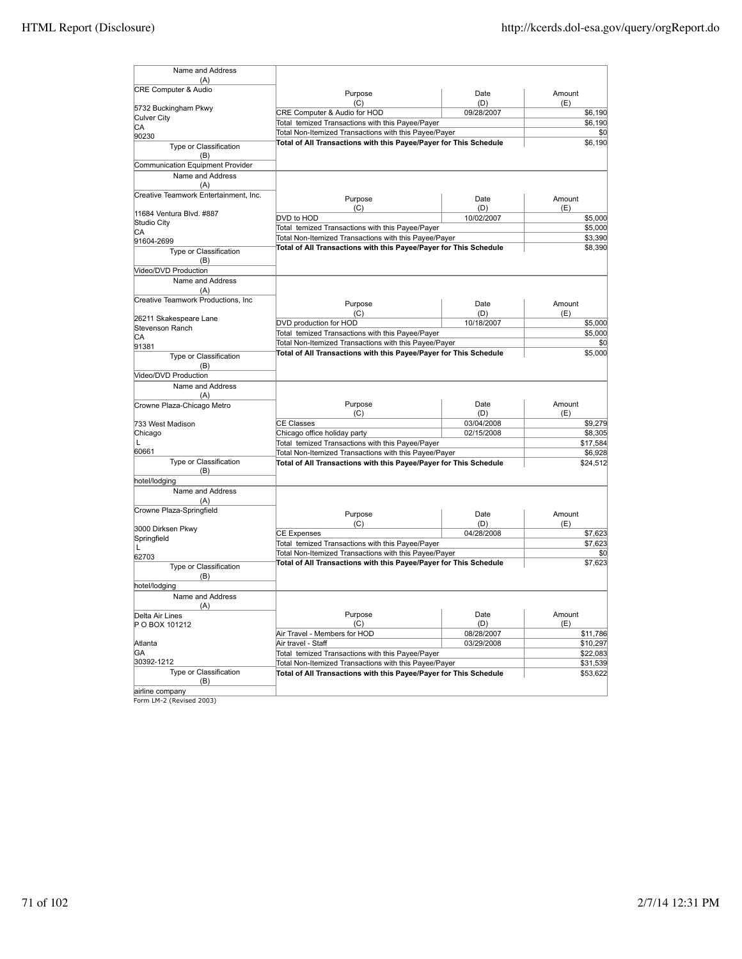| Name and Address                             |                                                                                                                            |            |          |
|----------------------------------------------|----------------------------------------------------------------------------------------------------------------------------|------------|----------|
| (A)                                          |                                                                                                                            |            |          |
| <b>CRE Computer &amp; Audio</b>              | Purpose                                                                                                                    | Date       | Amount   |
| 5732 Buckingham Pkwy                         | (C)                                                                                                                        | (D)        | (E)      |
| Culver City                                  | CRE Computer & Audio for HOD                                                                                               | 09/28/2007 | \$6,190  |
| СA                                           | Total temized Transactions with this Payee/Payer                                                                           | \$6,190    |          |
| 90230                                        | Total Non-Itemized Transactions with this Payee/Payer                                                                      | \$0        |          |
| Type or Classification<br>(B)                | Total of All Transactions with this Payee/Payer for This Schedule                                                          |            | \$6,190  |
| Communication Equipment Provider             |                                                                                                                            |            |          |
| Name and Address                             |                                                                                                                            |            |          |
| (A)<br>Creative Teamwork Entertainment, Inc. |                                                                                                                            |            |          |
|                                              | Purpose                                                                                                                    | Date       | Amount   |
| 11684 Ventura Blvd. #887                     | (C)                                                                                                                        | (D)        | (E)      |
| Studio City                                  | DVD to HOD                                                                                                                 | 10/02/2007 | \$5,000  |
| CА                                           | Total temized Transactions with this Payee/Payer                                                                           |            | \$5,000  |
| 91604-2699                                   | Total Non-Itemized Transactions with this Payee/Payer                                                                      |            | \$3,390  |
| Type or Classification                       | Total of All Transactions with this Payee/Payer for This Schedule                                                          | \$8,390    |          |
| (B)                                          |                                                                                                                            |            |          |
| Video/DVD Production                         |                                                                                                                            |            |          |
| Name and Address<br>(A)                      |                                                                                                                            |            |          |
| Creative Teamwork Productions, Inc           | Purpose                                                                                                                    | Date       | Amount   |
|                                              | (C)                                                                                                                        | (D)        | (E)      |
| 26211 Skakespeare Lane                       | DVD production for HOD                                                                                                     | 10/18/2007 | \$5,000  |
| Stevenson Ranch                              | Total temized Transactions with this Payee/Payer                                                                           |            | \$5,000  |
| СA                                           | Total Non-Itemized Transactions with this Payee/Payer                                                                      |            |          |
| 91381                                        |                                                                                                                            |            | \$0      |
| Type or Classification<br>(B)                | Total of All Transactions with this Payee/Payer for This Schedule                                                          |            | \$5,000  |
| Video/DVD Production                         |                                                                                                                            |            |          |
| Name and Address<br>(A)                      |                                                                                                                            |            |          |
| Crowne Plaza-Chicago Metro                   | Purpose                                                                                                                    | Date       | Amount   |
|                                              | (C)                                                                                                                        | (D)        | (E)      |
| 733 West Madison                             | <b>CE Classes</b>                                                                                                          | 03/04/2008 | \$9,279  |
| Chicago                                      | Chicago office holiday party                                                                                               | 02/15/2008 | \$8,305  |
|                                              | Total temized Transactions with this Payee/Payer                                                                           |            | \$17,584 |
| 60661                                        | Total Non-Itemized Transactions with this Payee/Payer                                                                      |            | \$6,928  |
| Type or Classification<br>(B)                | Total of All Transactions with this Payee/Payer for This Schedule                                                          |            | \$24,512 |
| hotel/lodging                                |                                                                                                                            |            |          |
| Name and Address                             |                                                                                                                            |            |          |
| (A)                                          |                                                                                                                            |            |          |
| Crowne Plaza-Springfield                     | Purpose                                                                                                                    | Date       | Amount   |
|                                              | (C)                                                                                                                        | (D)        | (E)      |
| 3000 Dirksen Pkwy                            | <b>CE Expenses</b>                                                                                                         | 04/28/2008 | \$7,623  |
| Springfield                                  | Total temized Transactions with this Payee/Payer                                                                           |            | \$7,623  |
| L                                            | Total Non-Itemized Transactions with this Payee/Payer                                                                      |            | \$0      |
| 62703<br>Type or Classification              | Total of All Transactions with this Payee/Payer for This Schedule                                                          |            | \$7,623  |
| (B)                                          |                                                                                                                            |            |          |
| hotel/lodging                                |                                                                                                                            |            |          |
| Name and Address<br>(A)                      |                                                                                                                            |            |          |
| Delta Air Lines                              | Purpose                                                                                                                    | Date       | Amount   |
| P O BOX 101212                               | (C)                                                                                                                        | (D)        | (E)      |
|                                              | Air Travel - Members for HOD                                                                                               | 08/28/2007 | \$11,786 |
| Atlanta                                      | Air travel - Staff                                                                                                         | 03/29/2008 | \$10,297 |
| GA                                           | Total temized Transactions with this Payee/Payer                                                                           |            | \$22,083 |
| 30392-1212                                   |                                                                                                                            |            | \$31,539 |
| Type or Classification                       | Total Non-Itemized Transactions with this Payee/Payer<br>Total of All Transactions with this Payee/Payer for This Schedule |            | \$53,622 |
| (B)<br>airline company                       |                                                                                                                            |            |          |
|                                              |                                                                                                                            |            |          |

airline company Form LM-2 (Revised 2003)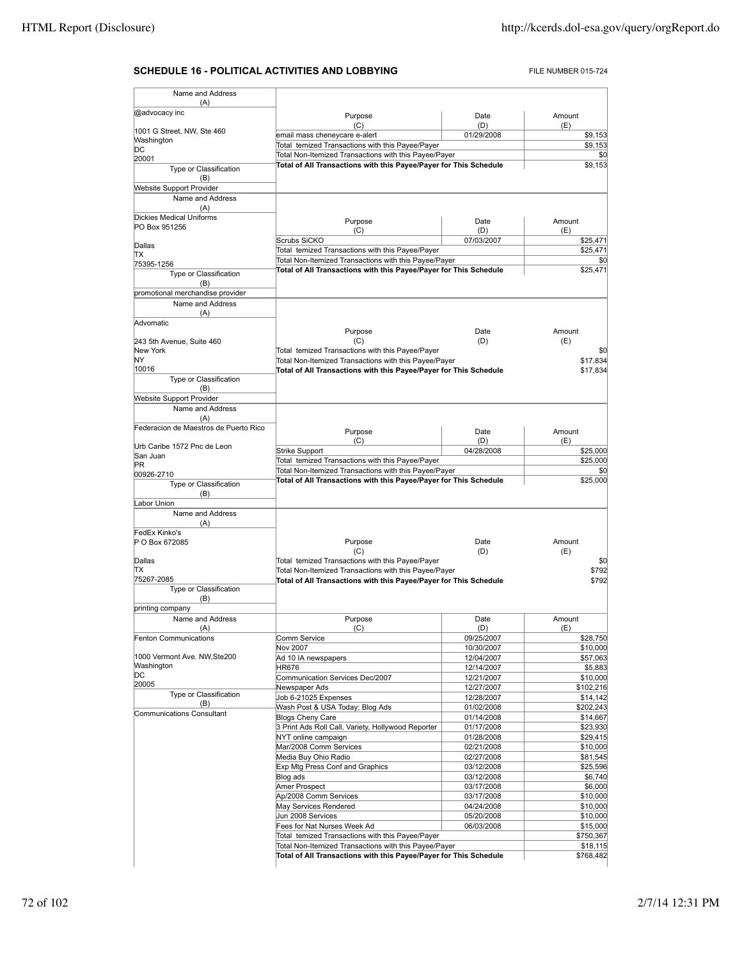# **SCHEDULE 16 - POLITICAL ACTIVITIES AND LOBBYING** FILE NUMBER 015-724

| Name and Address                             |                                                                                                                            |                          |                                                                                                                                                                                                                                  |  |
|----------------------------------------------|----------------------------------------------------------------------------------------------------------------------------|--------------------------|----------------------------------------------------------------------------------------------------------------------------------------------------------------------------------------------------------------------------------|--|
| (A)<br>@advocacy inc                         |                                                                                                                            |                          | Amount                                                                                                                                                                                                                           |  |
|                                              | Purpose<br>(C)                                                                                                             | Date<br>(D)              | (E)                                                                                                                                                                                                                              |  |
| 1001 G Street, NW, Ste 460<br>Washington     | email mass cheneycare e-alert                                                                                              | 01/29/2008               | \$9,153                                                                                                                                                                                                                          |  |
| DС                                           | Total temized Transactions with this Payee/Payer                                                                           | \$9,153                  |                                                                                                                                                                                                                                  |  |
| 20001                                        | Total Non-Itemized Transactions with this Payee/Payer                                                                      | \$0<br>\$9,153           |                                                                                                                                                                                                                                  |  |
| Type or Classification                       | Total of All Transactions with this Payee/Payer for This Schedule                                                          |                          |                                                                                                                                                                                                                                  |  |
| (B)                                          |                                                                                                                            |                          |                                                                                                                                                                                                                                  |  |
| Website Support Provider<br>Name and Address |                                                                                                                            |                          |                                                                                                                                                                                                                                  |  |
| (A)                                          |                                                                                                                            |                          |                                                                                                                                                                                                                                  |  |
| <b>Dickies Medical Uniforms</b>              | Purpose                                                                                                                    | Date                     | Amount                                                                                                                                                                                                                           |  |
| PO Box 951256                                | (C)                                                                                                                        | (D)                      | (E)                                                                                                                                                                                                                              |  |
| Dallas                                       | Scrubs SiCKO                                                                                                               | 07/03/2007               | \$25,471                                                                                                                                                                                                                         |  |
| ΙTΧ                                          | Total temized Transactions with this Payee/Payer                                                                           |                          | \$25.471<br>\$0                                                                                                                                                                                                                  |  |
| 75395-1256                                   | Total Non-Itemized Transactions with this Payee/Payer<br>Total of All Transactions with this Payee/Payer for This Schedule |                          |                                                                                                                                                                                                                                  |  |
| Type or Classification                       |                                                                                                                            |                          | \$25,471                                                                                                                                                                                                                         |  |
| (B)<br>promotional merchandise provider      |                                                                                                                            |                          |                                                                                                                                                                                                                                  |  |
| Name and Address                             |                                                                                                                            |                          |                                                                                                                                                                                                                                  |  |
| (A)                                          |                                                                                                                            |                          |                                                                                                                                                                                                                                  |  |
| Advomatic                                    |                                                                                                                            |                          |                                                                                                                                                                                                                                  |  |
| 243 5th Avenue, Suite 460                    | Purpose<br>(C)                                                                                                             | Date<br>(D)              | Amount<br>(E)                                                                                                                                                                                                                    |  |
| New York                                     | Total temized Transactions with this Payee/Payer                                                                           |                          | \$0                                                                                                                                                                                                                              |  |
| ΝY                                           | Total Non-Itemized Transactions with this Payee/Payer<br>\$17,834                                                          |                          |                                                                                                                                                                                                                                  |  |
| 10016                                        | Total of All Transactions with this Payee/Payer for This Schedule                                                          |                          | \$17,834                                                                                                                                                                                                                         |  |
| Type or Classification                       |                                                                                                                            |                          |                                                                                                                                                                                                                                  |  |
| (B)<br><b>Website Support Provider</b>       |                                                                                                                            |                          |                                                                                                                                                                                                                                  |  |
| Name and Address                             |                                                                                                                            |                          |                                                                                                                                                                                                                                  |  |
| (A)                                          |                                                                                                                            |                          |                                                                                                                                                                                                                                  |  |
| Federacion de Maestros de Puerto Rico        | Purpose                                                                                                                    | Date                     | Amount                                                                                                                                                                                                                           |  |
| Urb Caribe 1572 Pnc de Leon                  | (C)                                                                                                                        | (D)                      | (E)                                                                                                                                                                                                                              |  |
| San Juan                                     | Strike Support                                                                                                             | 04/28/2008               | \$25,000                                                                                                                                                                                                                         |  |
| PR.                                          | Total temized Transactions with this Payee/Payer<br>Total Non-Itemized Transactions with this Payee/Payer                  |                          | \$25,000<br>\$0                                                                                                                                                                                                                  |  |
| 00926-2710                                   | Total of All Transactions with this Payee/Payer for This Schedule                                                          |                          | \$25,000                                                                                                                                                                                                                         |  |
| Type or Classification<br>(B)                |                                                                                                                            |                          |                                                                                                                                                                                                                                  |  |
| Labor Union                                  |                                                                                                                            |                          |                                                                                                                                                                                                                                  |  |
| Name and Address                             |                                                                                                                            |                          |                                                                                                                                                                                                                                  |  |
| (A)                                          |                                                                                                                            |                          |                                                                                                                                                                                                                                  |  |
| FedEx Kinko's<br>P O Box 672085              | Purpose                                                                                                                    | Date                     | Amount                                                                                                                                                                                                                           |  |
|                                              | (C)                                                                                                                        | (D)                      | (E)                                                                                                                                                                                                                              |  |
| Dallas                                       | Total temized Transactions with this Payee/Payer                                                                           |                          |                                                                                                                                                                                                                                  |  |
| ТX<br>75267-2085                             | Total Non-Itemized Transactions with this Payee/Payer                                                                      |                          | \$792                                                                                                                                                                                                                            |  |
| Type or Classification                       | Total of All Transactions with this Payee/Payer for This Schedule                                                          |                          | \$792                                                                                                                                                                                                                            |  |
| (B)                                          |                                                                                                                            |                          |                                                                                                                                                                                                                                  |  |
| printing company                             |                                                                                                                            |                          |                                                                                                                                                                                                                                  |  |
| Name and Address                             | Purpose                                                                                                                    | Date                     | Amount                                                                                                                                                                                                                           |  |
| (A)<br>Fenton Communications                 | (C)                                                                                                                        | (D)<br>09/25/2007        | (E)<br>\$28,750                                                                                                                                                                                                                  |  |
|                                              |                                                                                                                            |                          |                                                                                                                                                                                                                                  |  |
|                                              | Comm Service                                                                                                               |                          |                                                                                                                                                                                                                                  |  |
| 1000 Vermont Ave. NW, Ste200                 | Nov 2007<br>Ad 10 IA newspapers                                                                                            | 10/30/2007<br>12/04/2007 | \$10,000<br>\$57,063                                                                                                                                                                                                             |  |
| Washington                                   | <b>HR676</b>                                                                                                               | 12/14/2007               |                                                                                                                                                                                                                                  |  |
| DC                                           | Communication Services Dec/2007                                                                                            | 12/21/2007               |                                                                                                                                                                                                                                  |  |
| 20005                                        | Newspaper Ads                                                                                                              | 12/27/2007               |                                                                                                                                                                                                                                  |  |
| Type or Classification<br>(B)                | Job 6-21025 Expenses                                                                                                       | 12/28/2007               |                                                                                                                                                                                                                                  |  |
| <b>Communications Consultant</b>             | Wash Post & USA Today; Blog Ads                                                                                            | 01/02/2008               |                                                                                                                                                                                                                                  |  |
|                                              | <b>Blogs Cheny Care</b><br>3 Print Ads Roll Call, Variety, Hollywood Reporter                                              | 01/14/2008<br>01/17/2008 |                                                                                                                                                                                                                                  |  |
|                                              | NYT online campaign                                                                                                        | 01/28/2008               |                                                                                                                                                                                                                                  |  |
|                                              | Mar/2008 Comm Services                                                                                                     | 02/21/2008               |                                                                                                                                                                                                                                  |  |
|                                              | Media Buy Ohio Radio                                                                                                       | 02/27/2008               |                                                                                                                                                                                                                                  |  |
|                                              | Exp Mtg Press Conf and Graphics                                                                                            | 03/12/2008               |                                                                                                                                                                                                                                  |  |
|                                              | Blog ads<br>Amer Prospect                                                                                                  | 03/12/2008<br>03/17/2008 |                                                                                                                                                                                                                                  |  |
|                                              | Ap/2008 Comm Services                                                                                                      | 03/17/2008               |                                                                                                                                                                                                                                  |  |
|                                              | May Services Rendered                                                                                                      | 04/24/2008               |                                                                                                                                                                                                                                  |  |
|                                              | Jun 2008 Services                                                                                                          | 05/20/2008               |                                                                                                                                                                                                                                  |  |
|                                              | Fees for Nat Nurses Week Ad                                                                                                | 06/03/2008               |                                                                                                                                                                                                                                  |  |
|                                              | Total temized Transactions with this Payee/Payer<br>Total Non-Itemized Transactions with this Payee/Payer                  |                          | \$5,883<br>\$10,000<br>\$102,216<br>\$14,142<br>\$202,243<br>\$14,667<br>\$23,930<br>\$29,415<br>\$10,000<br>\$81,545<br>\$25,596<br>\$6,740<br>\$6,000<br>\$10,000<br>\$10,000<br>\$10,000<br>\$15,000<br>\$750,367<br>\$18,115 |  |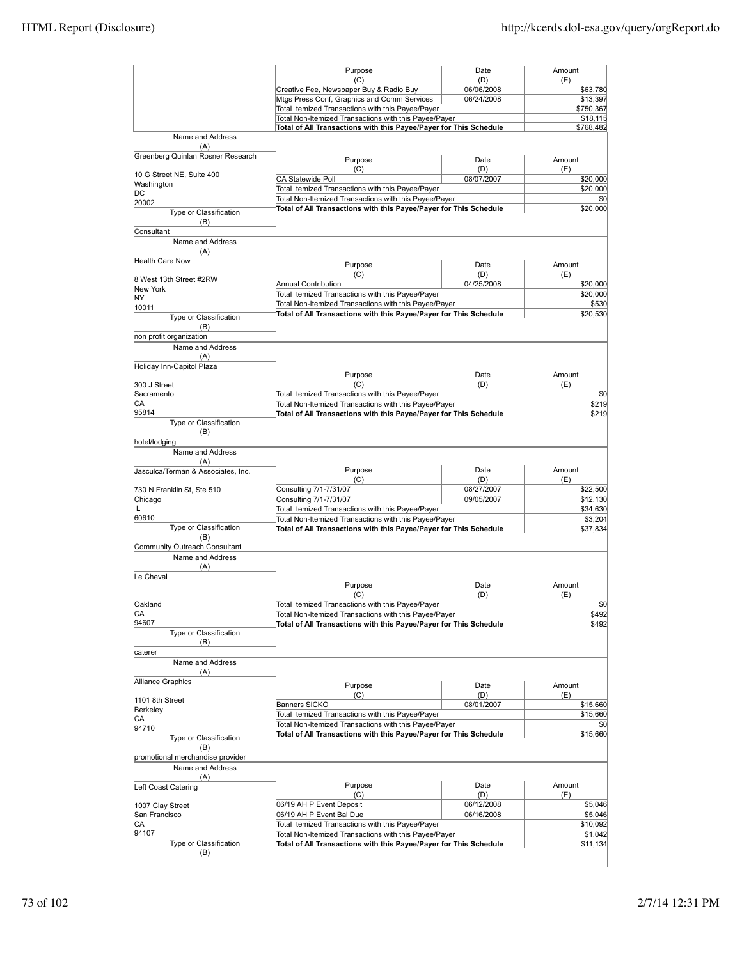|                                             | Purpose                                                                                                                    | Date                     | Amount               |
|---------------------------------------------|----------------------------------------------------------------------------------------------------------------------------|--------------------------|----------------------|
|                                             | (C)                                                                                                                        | (D)                      | (E)                  |
|                                             | Creative Fee, Newspaper Buy & Radio Buy<br>Mtgs Press Conf, Graphics and Comm Services                                     | 06/06/2008<br>06/24/2008 | \$63,780<br>\$13,397 |
|                                             | Total temized Transactions with this Payee/Payer                                                                           |                          | \$750,367            |
|                                             | Total Non-Itemized Transactions with this Payee/Payer                                                                      |                          | \$18,115             |
|                                             | Total of All Transactions with this Payee/Payer for This Schedule                                                          |                          | \$768,482            |
| Name and Address<br>(A)                     |                                                                                                                            |                          |                      |
| Greenberg Quinlan Rosner Research           | Purpose                                                                                                                    | Date                     | Amount               |
| 10 G Street NE, Suite 400                   | (C)                                                                                                                        | (D)                      | (E)                  |
| Washington                                  | <b>CA Statewide Poll</b>                                                                                                   | 08/07/2007               | \$20,000             |
| DС                                          | Total temized Transactions with this Payee/Payer                                                                           |                          | \$20,000             |
| 20002                                       | Total Non-Itemized Transactions with this Payee/Payer<br>Total of All Transactions with this Payee/Payer for This Schedule |                          | \$0<br>\$20,000      |
| Type or Classification<br>(B)<br>Consultant |                                                                                                                            |                          |                      |
| Name and Address                            |                                                                                                                            |                          |                      |
| (A)                                         |                                                                                                                            |                          |                      |
| <b>Health Care Now</b>                      | Purpose                                                                                                                    | Date                     | Amount               |
| 8 West 13th Street #2RW                     | (C)                                                                                                                        | (D)                      | (E)                  |
| New York                                    | Annual Contribution                                                                                                        | 04/25/2008               | \$20,000             |
| NY                                          | Total temized Transactions with this Payee/Payer                                                                           |                          | \$20,000             |
| 10011                                       | Total Non-Itemized Transactions with this Payee/Payer                                                                      |                          | \$530                |
| Type or Classification                      | Total of All Transactions with this Payee/Payer for This Schedule                                                          |                          | \$20,530             |
| (B)                                         |                                                                                                                            |                          |                      |
| non profit organization                     |                                                                                                                            |                          |                      |
| Name and Address                            |                                                                                                                            |                          |                      |
| (A)<br>Holiday Inn-Capitol Plaza            |                                                                                                                            |                          |                      |
|                                             | Purpose                                                                                                                    | Date                     | Amount               |
| 300 J Street                                | (C)                                                                                                                        | (D)                      | (E)                  |
| Sacramento                                  | Total temized Transactions with this Payee/Payer                                                                           |                          | \$0                  |
| СA<br>95814                                 | Total Non-Itemized Transactions with this Payee/Payer                                                                      |                          | \$219                |
| Type or Classification                      | Total of All Transactions with this Payee/Payer for This Schedule                                                          |                          | \$219                |
| (B)                                         |                                                                                                                            |                          |                      |
| hotel/lodging                               |                                                                                                                            |                          |                      |
| Name and Address                            |                                                                                                                            |                          |                      |
| (A)                                         |                                                                                                                            |                          |                      |
| Jasculca/Terman & Associates, Inc.          | Purpose                                                                                                                    | Date                     | Amount               |
|                                             | (C)                                                                                                                        | (D)                      | (E)                  |
| 730 N Franklin St, Ste 510                  | Consulting 7/1-7/31/07                                                                                                     | 08/27/2007               | \$22,500             |
| Chicago<br>L                                | Consulting 7/1-7/31/07                                                                                                     | 09/05/2007               | \$12,130             |
| 60610                                       | Total temized Transactions with this Payee/Payer<br>Total Non-Itemized Transactions with this Payee/Payer                  |                          | \$34,630<br>\$3,204  |
| Type or Classification                      | Total of All Transactions with this Payee/Payer for This Schedule                                                          |                          | \$37,834             |
| (B)                                         |                                                                                                                            |                          |                      |
| Community Outreach Consultant               |                                                                                                                            |                          |                      |
| Name and Address                            |                                                                                                                            |                          |                      |
| (A)                                         |                                                                                                                            |                          |                      |
| Le Cheval                                   |                                                                                                                            |                          |                      |
|                                             | Purpose                                                                                                                    | Date                     | Amount               |
|                                             | (C)                                                                                                                        | (D)                      | (E)                  |
| <b>Oakland</b>                              | Total temized Transactions with this Payee/Payer                                                                           |                          | SO <sub>0</sub>      |
| CA<br>94607                                 | Total Non-Itemized Transactions with this Payee/Payer                                                                      |                          | \$492                |
| Type or Classification                      | Total of All Transactions with this Payee/Payer for This Schedule                                                          |                          | \$492                |
| (B)                                         |                                                                                                                            |                          |                      |
| caterer                                     |                                                                                                                            |                          |                      |
| Name and Address                            |                                                                                                                            |                          |                      |
| (A)                                         |                                                                                                                            |                          |                      |
| Alliance Graphics                           | Purpose                                                                                                                    | Date                     | Amount               |
|                                             | (C)                                                                                                                        | (D)                      | (E)                  |
| 1101 8th Street                             | <b>Banners SiCKO</b>                                                                                                       | 08/01/2007               | \$15,660             |
| Berkeley<br>CА                              | Total temized Transactions with this Payee/Payer                                                                           |                          | \$15,660             |
| 94710                                       | Total Non-Itemized Transactions with this Payee/Payer                                                                      |                          | \$0                  |
| Type or Classification                      | Total of All Transactions with this Payee/Payer for This Schedule                                                          |                          | \$15,660             |
| (B)                                         |                                                                                                                            |                          |                      |
| promotional merchandise provider            |                                                                                                                            |                          |                      |
| Name and Address                            |                                                                                                                            |                          |                      |
| (A)                                         |                                                                                                                            |                          |                      |
| Left Coast Catering                         | Purpose                                                                                                                    | Date                     | Amount               |
|                                             | (C)<br>06/19 AH P Event Deposit                                                                                            | (D)                      | (E)<br>\$5,046       |
| 1007 Clay Street                            |                                                                                                                            | 06/12/2008               |                      |
| San Francisco<br>СA                         | 06/19 AH P Event Bal Due                                                                                                   | 06/16/2008               | \$5,046<br>\$10,092  |
| 94107                                       |                                                                                                                            |                          |                      |
|                                             | Total temized Transactions with this Payee/Payer                                                                           |                          |                      |
| Type or Classification                      | Total Non-Itemized Transactions with this Payee/Payer<br>Total of All Transactions with this Payee/Payer for This Schedule |                          | \$1,042<br>\$11,134  |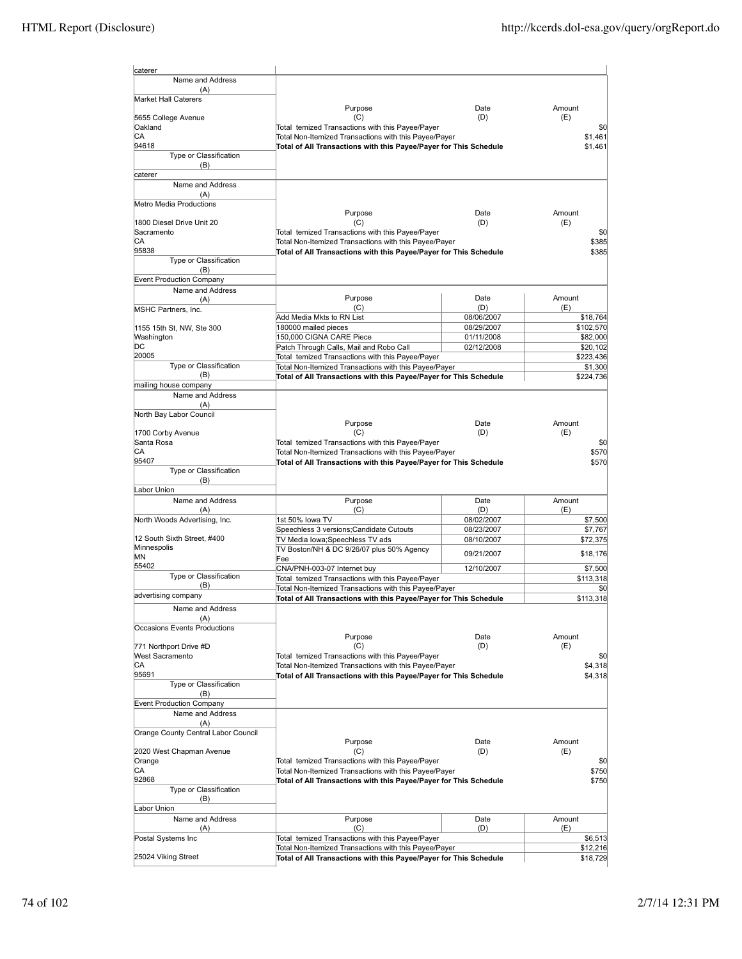| caterer                                 |                                                                                                                            |                          |                       |
|-----------------------------------------|----------------------------------------------------------------------------------------------------------------------------|--------------------------|-----------------------|
| Name and Address                        |                                                                                                                            |                          |                       |
| (A)<br>Market Hall Caterers             |                                                                                                                            |                          |                       |
|                                         | Purpose                                                                                                                    | Date                     | Amount                |
| 5655 College Avenue                     | (C)                                                                                                                        | (D)                      | (E)                   |
| Oakland                                 | Total temized Transactions with this Payee/Payer                                                                           |                          | \$0                   |
| СA<br>94618                             | Total Non-Itemized Transactions with this Payee/Payer<br>Total of All Transactions with this Payee/Payer for This Schedule |                          | \$1.461<br>\$1,461    |
| Type or Classification                  |                                                                                                                            |                          |                       |
| (B)                                     |                                                                                                                            |                          |                       |
| caterer                                 |                                                                                                                            |                          |                       |
| Name and Address<br>(A)                 |                                                                                                                            |                          |                       |
| Metro Media Productions                 |                                                                                                                            |                          |                       |
|                                         | Purpose                                                                                                                    | Date                     | Amount                |
| 1800 Diesel Drive Unit 20<br>Sacramento | (C)<br>Total temized Transactions with this Payee/Payer                                                                    | (D)                      | (E)<br>\$0            |
| СA                                      | Total Non-Itemized Transactions with this Payee/Payer                                                                      |                          | \$385                 |
| 95838                                   | Total of All Transactions with this Payee/Payer for This Schedule                                                          |                          | \$385                 |
| Type or Classification                  |                                                                                                                            |                          |                       |
| (B)<br><b>Event Production Company</b>  |                                                                                                                            |                          |                       |
| Name and Address                        |                                                                                                                            |                          |                       |
| (A)                                     | Purpose                                                                                                                    | Date                     | Amount                |
| MSHC Partners, Inc.                     | (C)                                                                                                                        | (D)                      | (E)                   |
| 1155 15th St, NW, Ste 300               | Add Media Mkts to RN List<br>180000 mailed pieces                                                                          | 08/06/2007<br>08/29/2007 | \$18,764<br>\$102,570 |
| Washington                              | 150,000 CIGNA CARE Piece                                                                                                   | 01/11/2008               | \$82,000              |
| DС                                      | Patch Through Calls, Mail and Robo Call                                                                                    | 02/12/2008               | \$20,102              |
| 20005                                   | Total temized Transactions with this Payee/Payer                                                                           |                          | \$223,436             |
| Type or Classification<br>(B)           | Total Non-Itemized Transactions with this Payee/Payer                                                                      |                          | \$1,300               |
| mailing house company                   | Total of All Transactions with this Payee/Payer for This Schedule                                                          |                          | \$224,736             |
| Name and Address                        |                                                                                                                            |                          |                       |
| (A)                                     |                                                                                                                            |                          |                       |
| North Bay Labor Council                 |                                                                                                                            |                          |                       |
| 1700 Corby Avenue                       | Purpose<br>(C)                                                                                                             | Date<br>(D)              | Amount<br>(E)         |
| Santa Rosa                              | Total temized Transactions with this Payee/Payer                                                                           |                          | \$0                   |
| СA                                      | Total Non-Itemized Transactions with this Payee/Payer                                                                      |                          | \$570                 |
| 95407                                   | Total of All Transactions with this Payee/Payer for This Schedule                                                          |                          | \$570                 |
| Type or Classification<br>(B)           |                                                                                                                            |                          |                       |
| Labor Union                             |                                                                                                                            |                          |                       |
| Name and Address                        | Purpose                                                                                                                    | Date                     | Amount                |
| (A)                                     | (C)                                                                                                                        | (D)                      | (E)                   |
| North Woods Advertising, Inc.           | 1st 50% lowa TV<br>Speechless 3 versions; Candidate Cutouts                                                                | 08/02/2007               | \$7,500               |
| 12 South Sixth Street, #400             | TV Media Iowa;Speechless TV ads                                                                                            | 08/23/2007<br>08/10/2007 | \$7,767<br>\$72,375   |
| Minnespolis                             | TV Boston/NH & DC 9/26/07 plus 50% Agency                                                                                  |                          |                       |
| ΜN                                      | Fee                                                                                                                        | 09/21/2007               | \$18,176              |
| 55402<br>Type or Classification         | CNA/PNH-003-07 Internet buy                                                                                                | 12/10/2007               | \$7,500               |
| (B)                                     | Total temized Transactions with this Payee/Payer<br>Total Non-Itemized Transactions with this Payee/Payer                  |                          | \$113,318<br>\$0      |
| advertising company                     | Total of All Transactions with this Payee/Payer for This Schedule                                                          |                          | \$113,318             |
| Name and Address                        |                                                                                                                            |                          |                       |
| (A)                                     |                                                                                                                            |                          |                       |
| Occasions Events Productions            |                                                                                                                            |                          |                       |
| 771 Northport Drive #D                  | Purpose<br>(C)                                                                                                             | Date<br>(D)              | Amount<br>(E)         |
| West Sacramento                         | Total temized Transactions with this Payee/Payer                                                                           |                          | \$0                   |
| CА                                      | Total Non-Itemized Transactions with this Payee/Payer                                                                      |                          | \$4,318               |
| 95691                                   | Total of All Transactions with this Payee/Payer for This Schedule                                                          |                          | \$4,318               |
| Type or Classification<br>(B)           |                                                                                                                            |                          |                       |
| <b>Event Production Company</b>         |                                                                                                                            |                          |                       |
| Name and Address                        |                                                                                                                            |                          |                       |
| (A)                                     |                                                                                                                            |                          |                       |
| Orange County Central Labor Council     | Purpose                                                                                                                    | Date                     | Amount                |
| 2020 West Chapman Avenue                | (C)                                                                                                                        | (D)                      | (E)                   |
| Orange                                  | Total temized Transactions with this Payee/Payer                                                                           |                          | \$0                   |
| CA                                      | Total Non-Itemized Transactions with this Payee/Payer                                                                      |                          | \$750                 |
| 92868                                   | Total of All Transactions with this Payee/Payer for This Schedule                                                          |                          | \$750                 |
| Type or Classification<br>(B)           |                                                                                                                            |                          |                       |
| Labor Union                             |                                                                                                                            |                          |                       |
| Name and Address                        | Purpose                                                                                                                    | Date                     | Amount                |
| (A)                                     | (C)                                                                                                                        | (D)                      | (E)                   |
| Postal Systems Inc                      | Total temized Transactions with this Payee/Payer<br>Total Non-Itemized Transactions with this Payee/Payer                  |                          | \$6,513<br>\$12,216   |
| 25024 Viking Street                     | Total of All Transactions with this Payee/Payer for This Schedule                                                          |                          | \$18,729              |
|                                         |                                                                                                                            |                          |                       |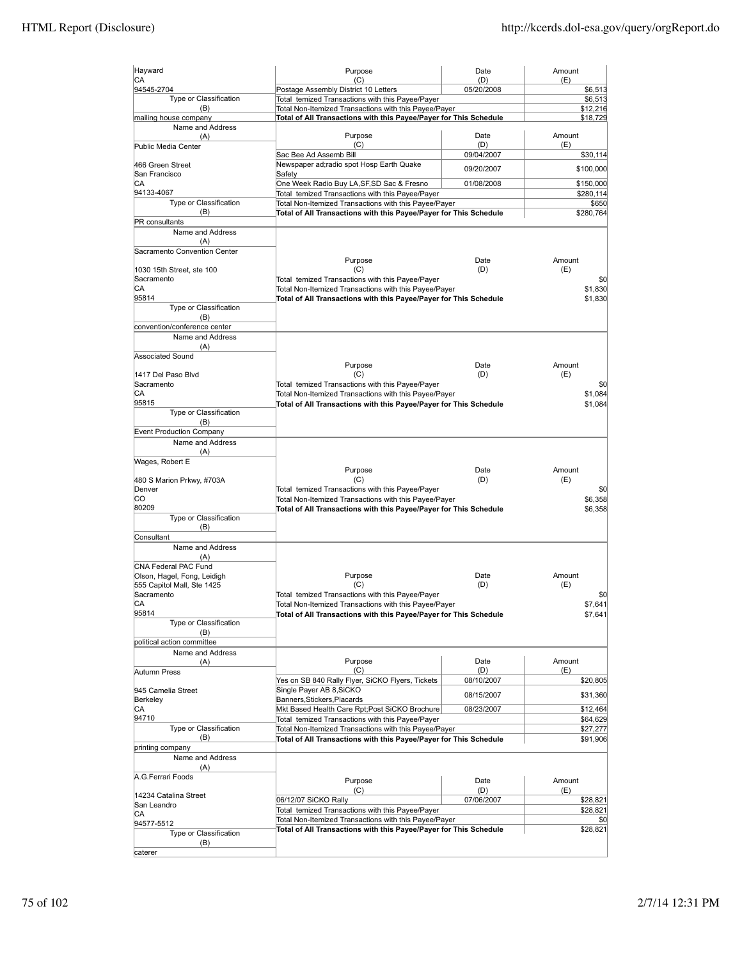| Hayward                                  | Purpose                                                                                                   | Date              | Amount          |
|------------------------------------------|-----------------------------------------------------------------------------------------------------------|-------------------|-----------------|
| CA<br>94545-2704                         | (C)<br>Postage Assembly District 10 Letters                                                               | (D)<br>05/20/2008 | (E)<br>\$6,513  |
| Type or Classification                   | Total temized Transactions with this Payee/Payer                                                          |                   | \$6,513         |
| (B)                                      | Total Non-Itemized Transactions with this Payee/Payer                                                     |                   | \$12,216        |
| mailing house company                    | Total of All Transactions with this Payee/Payer for This Schedule                                         |                   | \$18,729        |
| Name and Address<br>(A)                  | Purpose                                                                                                   | Date              | Amount          |
| Public Media Center                      | (C)                                                                                                       | (D)               | (E)             |
|                                          | Sac Bee Ad Assemb Bill                                                                                    | 09/04/2007        | \$30,114        |
| 466 Green Street                         | Newspaper ad;radio spot Hosp Earth Quake                                                                  | 09/20/2007        | \$100,000       |
| San Francisco<br>CА                      | Safety<br>One Week Radio Buy LA, SF, SD Sac & Fresno                                                      | 01/08/2008        | \$150,000       |
| 94133-4067                               | Total temized Transactions with this Payee/Payer                                                          |                   | \$280,114       |
| Type or Classification                   | Total Non-Itemized Transactions with this Payee/Payer                                                     |                   | \$650           |
| (B)                                      | Total of All Transactions with this Payee/Payer for This Schedule                                         |                   | \$280,764       |
| PR consultants                           |                                                                                                           |                   |                 |
| Name and Address<br>(A)                  |                                                                                                           |                   |                 |
| Sacramento Convention Center             |                                                                                                           |                   |                 |
|                                          | Purpose                                                                                                   | Date              | Amount          |
| 1030 15th Street, ste 100                | (C)                                                                                                       | (D)               | (E)             |
| Sacramento<br>IСA                        | Total temized Transactions with this Payee/Payer<br>Total Non-Itemized Transactions with this Payee/Payer |                   | \$0<br>\$1,830  |
| 95814                                    | Total of All Transactions with this Payee/Payer for This Schedule                                         |                   | \$1,830         |
| Type or Classification                   |                                                                                                           |                   |                 |
| (B)                                      |                                                                                                           |                   |                 |
| convention/conference center             |                                                                                                           |                   |                 |
| Name and Address                         |                                                                                                           |                   |                 |
| (A)<br>Associated Sound                  |                                                                                                           |                   |                 |
|                                          | Purpose                                                                                                   | Date              | Amount          |
| 1417 Del Paso Blvd                       | (C)                                                                                                       | (D)               | (E)             |
| Sacramento                               | Total temized Transactions with this Payee/Payer                                                          |                   | \$0             |
| IСA<br>95815                             | Total Non-Itemized Transactions with this Payee/Payer                                                     |                   | \$1,084         |
| Type or Classification                   | Total of All Transactions with this Payee/Payer for This Schedule                                         |                   | \$1.084         |
| (B)                                      |                                                                                                           |                   |                 |
| Event Production Company                 |                                                                                                           |                   |                 |
| Name and Address                         |                                                                                                           |                   |                 |
| (A)                                      |                                                                                                           |                   |                 |
| Wages, Robert E                          | Purpose                                                                                                   | Date              | Amount          |
| 480 S Marion Prkwy, #703A                | (C)                                                                                                       | (D)               | (E)             |
| Denver                                   | Total temized Transactions with this Payee/Payer                                                          |                   | \$0             |
| lco                                      | Total Non-Itemized Transactions with this Payee/Payer                                                     |                   | \$6,358         |
| 80209                                    | Total of All Transactions with this Payee/Payer for This Schedule                                         |                   | \$6,358         |
| Type or Classification<br>(B)            |                                                                                                           |                   |                 |
| Consultant                               |                                                                                                           |                   |                 |
| Name and Address                         |                                                                                                           |                   |                 |
| (A)                                      |                                                                                                           |                   |                 |
| CNA Federal PAC Fund                     |                                                                                                           |                   |                 |
| Olson, Hagel, Fong, Leidigh              | Purpose                                                                                                   | Date              | Amount          |
| 555 Capitol Mall, Ste 1425<br>Sacramento | (C)<br>Total temized Transactions with this Payee/Payer                                                   | (D)               | (E)<br>\$0      |
| IСA                                      | Total Non-Itemized Transactions with this Payee/Payer                                                     |                   | \$7,641         |
| 95814                                    | Total of All Transactions with this Payee/Payer for This Schedule                                         |                   | \$7,641         |
| Type or Classification                   |                                                                                                           |                   |                 |
| (B)<br>political action committee        |                                                                                                           |                   |                 |
| Name and Address                         |                                                                                                           |                   |                 |
| (A)                                      | Purpose                                                                                                   | Date              | Amount          |
| Autumn Press                             | (C)                                                                                                       | (D)               | (E)             |
|                                          | Yes on SB 840 Rally Flyer, SiCKO Flyers, Tickets                                                          | 08/10/2007        | \$20,805        |
| 945 Camelia Street                       | Single Paver AB 8.SiCKO                                                                                   | 08/15/2007        | \$31,360        |
| Berkeley<br>CА                           | Banners, Stickers, Placards<br>Mkt Based Health Care Rpt;Post SiCKO Brochure                              | 08/23/2007        | \$12,464        |
| 94710                                    | Total temized Transactions with this Payee/Payer                                                          |                   | \$64,629        |
| Type or Classification                   | Total Non-Itemized Transactions with this Payee/Payer                                                     |                   | \$27,277        |
| (B)                                      | Total of All Transactions with this Payee/Payer for This Schedule                                         |                   | \$91,906        |
| printing company                         |                                                                                                           |                   |                 |
| Name and Address                         |                                                                                                           |                   |                 |
| (A)<br>A.G.Ferrari Foods                 |                                                                                                           |                   |                 |
|                                          | Purpose                                                                                                   | Date              | Amount          |
| 14234 Catalina Street                    | (C)<br>06/12/07 SiCKO Rally                                                                               | (D)<br>07/06/2007 | (E)<br>\$28,821 |
| San Leandro                              | Total temized Transactions with this Payee/Payer                                                          |                   | \$28,821        |
| CA<br>94577-5512                         | Total Non-Itemized Transactions with this Payee/Payer                                                     |                   | \$0             |
| Type or Classification                   | Total of All Transactions with this Payee/Payer for This Schedule                                         |                   | \$28,821        |
|                                          |                                                                                                           |                   |                 |
| (B)                                      |                                                                                                           |                   |                 |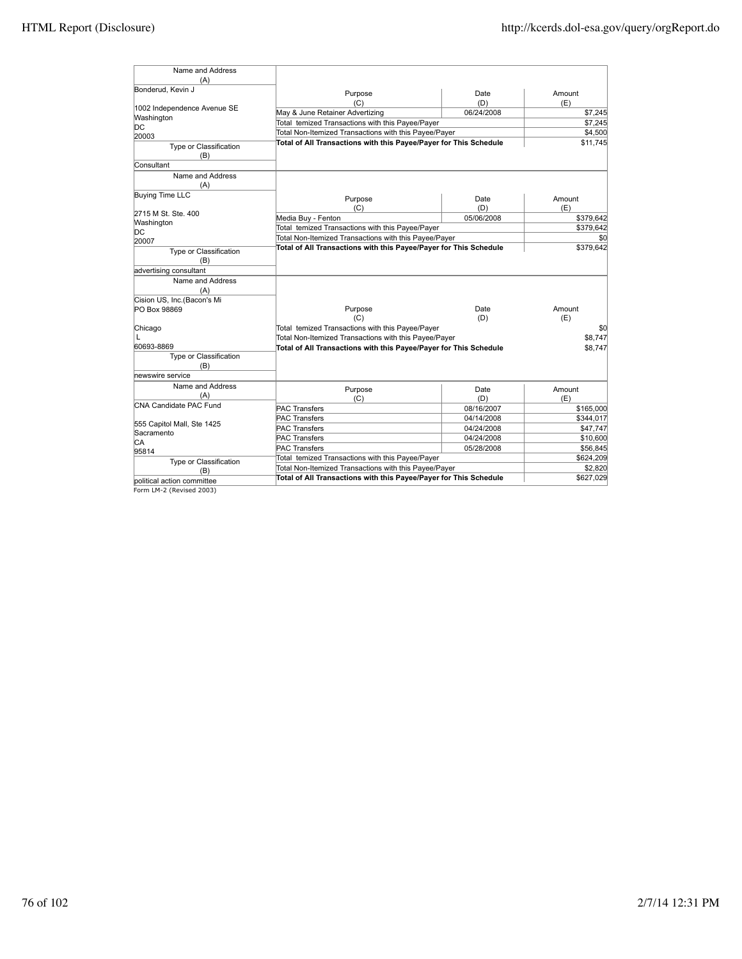| Name and Address              |                                                                   |            |           |
|-------------------------------|-------------------------------------------------------------------|------------|-----------|
| (A)                           |                                                                   |            |           |
| Bonderud, Kevin J             | Purpose                                                           | Date       | Amount    |
|                               | (C)                                                               | (D)        | (E)       |
| 1002 Independence Avenue SE   | May & June Retainer Advertizing                                   | 06/24/2008 | \$7,245   |
| Washington                    | Total temized Transactions with this Payee/Payer                  |            | \$7,245   |
| DС                            | Total Non-Itemized Transactions with this Payee/Payer             |            | \$4,500   |
| 20003                         | Total of All Transactions with this Payee/Payer for This Schedule |            | \$11,745  |
| Type or Classification        |                                                                   |            |           |
| (B)                           |                                                                   |            |           |
| Consultant                    |                                                                   |            |           |
| Name and Address              |                                                                   |            |           |
| (A)                           |                                                                   |            |           |
| <b>Buying Time LLC</b>        | Purpose                                                           | Date       | Amount    |
|                               | (C)                                                               | (D)        | (E)       |
| 2715 M St. Ste. 400           | Media Buy - Fenton                                                | 05/06/2008 | \$379,642 |
| Washington                    | Total temized Transactions with this Payee/Payer                  |            | \$379,642 |
| DС                            | Total Non-Itemized Transactions with this Payee/Payer             |            | \$0       |
| 20007                         | Total of All Transactions with this Payee/Payer for This Schedule |            | \$379,642 |
| Type or Classification<br>(B) |                                                                   |            |           |
| advertising consultant        |                                                                   |            |           |
| Name and Address              |                                                                   |            |           |
| (A)                           |                                                                   |            |           |
| Cision US, Inc.(Bacon's Mi    |                                                                   |            |           |
| PO Box 98869                  | Purpose                                                           | Date       | Amount    |
|                               | (C)                                                               | (D)        | (E)       |
| Chicago                       | Total temized Transactions with this Payee/Payer                  |            | \$0       |
|                               | Total Non-Itemized Transactions with this Payee/Payer             |            | \$8,747   |
| 60693-8869                    | Total of All Transactions with this Payee/Payer for This Schedule |            | \$8,747   |
| <b>Type or Classification</b> |                                                                   |            |           |
| (B)                           |                                                                   |            |           |
| newswire service              |                                                                   |            |           |
| Name and Address              | Purpose                                                           | Date       | Amount    |
| (A)                           | (C)                                                               | (D)        | (E)       |
| CNA Candidate PAC Fund        | <b>PAC Transfers</b>                                              | 08/16/2007 | \$165,000 |
|                               | <b>PAC Transfers</b>                                              | 04/14/2008 | \$344,017 |
| 555 Capitol Mall, Ste 1425    | <b>PAC Transfers</b>                                              | 04/24/2008 | \$47,747  |
| Sacramento                    | <b>PAC Transfers</b>                                              | 04/24/2008 | \$10,600  |
| СA                            | <b>PAC Transfers</b>                                              | 05/28/2008 | \$56,845  |
| 95814                         | Total temized Transactions with this Payee/Payer                  |            | \$624,209 |
| Type or Classification        | Total Non-Itemized Transactions with this Payee/Payer             |            | \$2,820   |
| (B)                           | Total of All Transactions with this Payee/Payer for This Schedule |            | \$627,029 |
| political action committee    |                                                                   |            |           |
| Form LM-2 (Revised 2003)      |                                                                   |            |           |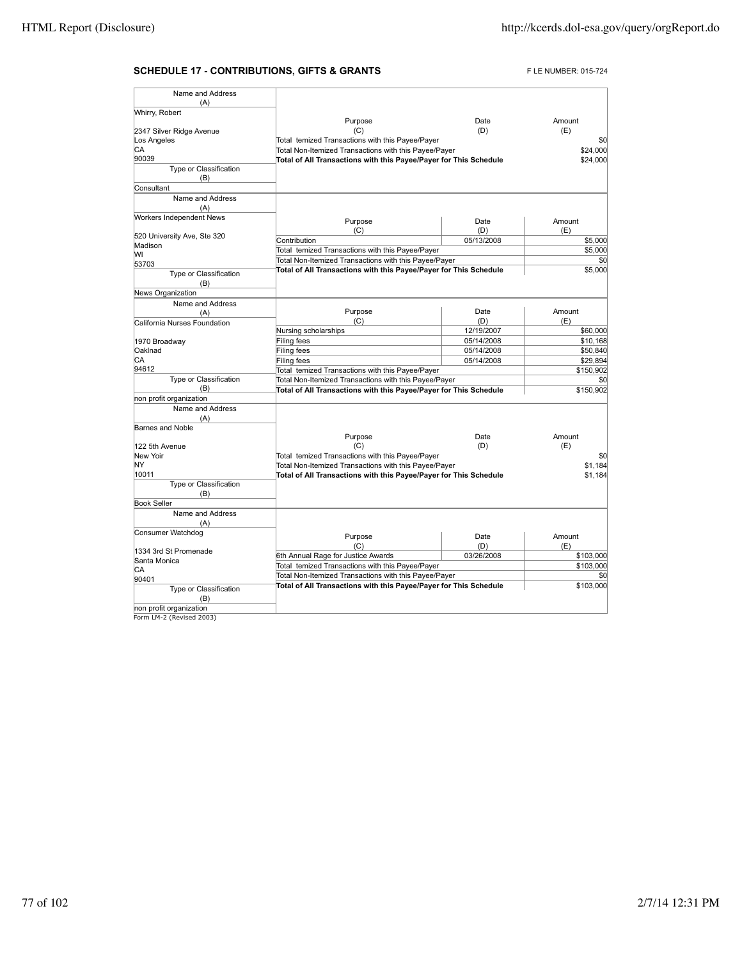# **SCHEDULE 17 - CONTRIBUTIONS, GIFTS & GRANTS** FLE NUMBER: 015-724

| Name and Address              |                                                                   |            |           |
|-------------------------------|-------------------------------------------------------------------|------------|-----------|
| (A)<br>Whirry, Robert         |                                                                   |            |           |
|                               | Purpose                                                           | Date       | Amount    |
| 2347 Silver Ridge Avenue      | (C)                                                               | (D)        | (E)       |
| Los Angeles                   | Total temized Transactions with this Payee/Payer                  |            | \$0       |
| СA                            | Total Non-Itemized Transactions with this Payee/Payer             |            | \$24,000  |
| 90039                         | Total of All Transactions with this Payee/Payer for This Schedule |            | \$24,000  |
| Type or Classification        |                                                                   |            |           |
| (B)                           |                                                                   |            |           |
| Consultant                    |                                                                   |            |           |
| Name and Address              |                                                                   |            |           |
| (A)                           |                                                                   |            |           |
| Workers Independent News      | Purpose                                                           | Date       | Amount    |
|                               | (C)                                                               | (D)        | (E)       |
| 520 University Ave, Ste 320   | Contribution                                                      | 05/13/2008 | \$5,000   |
| Madison                       | Total temized Transactions with this Payee/Payer                  |            | \$5,000   |
| lw١                           | Total Non-Itemized Transactions with this Payee/Payer             |            | \$0       |
| 53703                         | Total of All Transactions with this Payee/Payer for This Schedule |            | \$5,000   |
| Type or Classification        |                                                                   |            |           |
| (B)                           |                                                                   |            |           |
| News Organization             |                                                                   |            |           |
| Name and Address              |                                                                   |            |           |
| (A)                           | Purpose                                                           | Date       | Amount    |
| California Nurses Foundation  | (C)                                                               | (D)        | (E)       |
|                               | Nursing scholarships                                              | 12/19/2007 | \$60,000  |
| 1970 Broadway                 | Filing fees                                                       | 05/14/2008 | \$10,168  |
| Oaklnad                       | Filing fees                                                       | 05/14/2008 | \$50,840  |
| CA                            | Filing fees                                                       | 05/14/2008 | \$29,894  |
| 94612                         | Total temized Transactions with this Payee/Payer                  |            | \$150,902 |
| Type or Classification        | Total Non-Itemized Transactions with this Payee/Payer             |            | \$0       |
| (B)                           | Total of All Transactions with this Payee/Payer for This Schedule |            | \$150,902 |
| non profit organization       |                                                                   |            |           |
| Name and Address              |                                                                   |            |           |
| (A)                           |                                                                   |            |           |
| Barnes and Noble              |                                                                   |            |           |
|                               | Purpose                                                           | Date       | Amount    |
| 122 5th Avenue                | (C)                                                               | (D)        | (E)       |
| New Yoir                      | Total temized Transactions with this Payee/Payer                  |            | \$0       |
| NY                            | Total Non-Itemized Transactions with this Payee/Payer             |            | \$1.184   |
| 10011                         | Total of All Transactions with this Payee/Payer for This Schedule |            | \$1,184   |
| Type or Classification        |                                                                   |            |           |
| (B)                           |                                                                   |            |           |
| <b>Book Seller</b>            |                                                                   |            |           |
| Name and Address              |                                                                   |            |           |
| (A)                           |                                                                   |            |           |
| Consumer Watchdog             | Purpose                                                           | Date       | Amount    |
|                               | (C)                                                               | (D)        | (E)       |
| 1334 3rd St Promenade         | 6th Annual Rage for Justice Awards                                | 03/26/2008 | \$103,000 |
| Santa Monica                  | Total temized Transactions with this Payee/Payer                  |            |           |
| CA                            |                                                                   |            | \$103,000 |
| 90401                         | Total Non-Itemized Transactions with this Payee/Payer             |            | \$0       |
| Type or Classification<br>(B) | Total of All Transactions with this Payee/Payer for This Schedule |            | \$103,000 |
| non profit organization       |                                                                   |            |           |
| Form LM-2 (Revised 2003)      |                                                                   |            |           |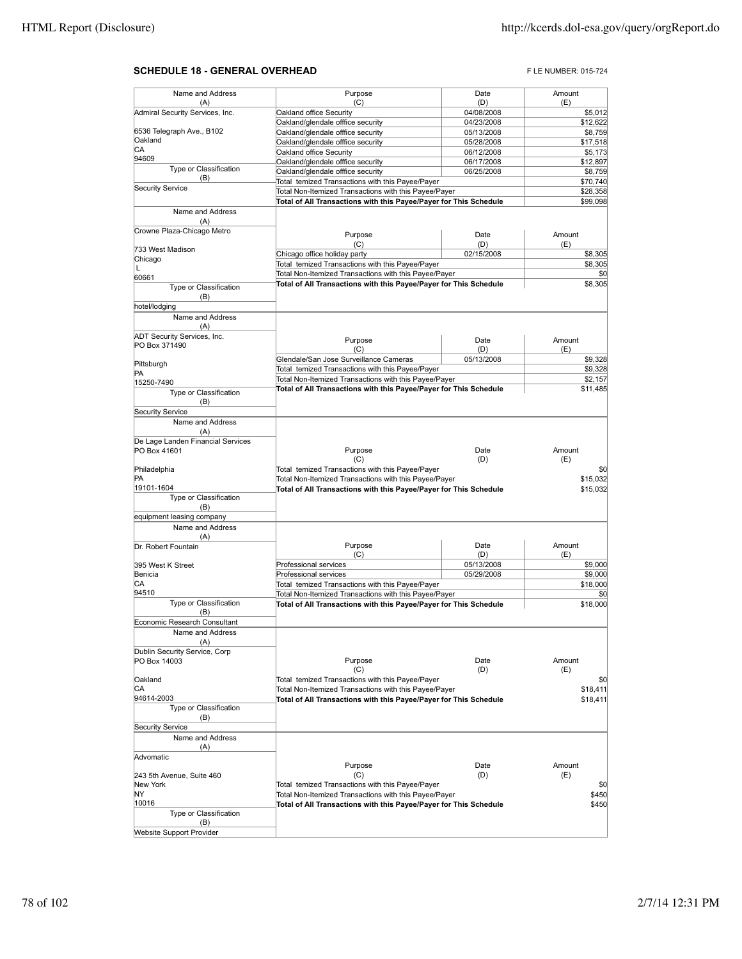## **SCHEDULE 18 - GENERAL OVERHEAD FLE NUMBER: 015-724**

| Name and Address                   | Purpose                                                                                                                    | Date                     | Amount              |
|------------------------------------|----------------------------------------------------------------------------------------------------------------------------|--------------------------|---------------------|
| (A)                                | (C)                                                                                                                        | (D)                      | (E)                 |
| Admiral Security Services, Inc.    | Oakland office Security<br>Oakland/glendale offfice security                                                               | 04/08/2008<br>04/23/2008 | \$5,012<br>\$12,622 |
| 6536 Telegraph Ave., B102          | Oakland/glendale offfice security                                                                                          | 05/13/2008               | \$8,759             |
| Oakland                            | Oakland/glendale offfice security                                                                                          | 05/28/2008               | \$17,518            |
| СA                                 | Oakland office Security                                                                                                    | 06/12/2008               | \$5,173             |
| 94609                              | Oakland/glendale offfice security                                                                                          | 06/17/2008               | \$12,897            |
| Type or Classification             | Oakland/glendale offfice security                                                                                          | 06/25/2008               | \$8,759             |
| (B)                                | Total temized Transactions with this Payee/Payer                                                                           |                          | \$70,740            |
| <b>Security Service</b>            | Total Non-Itemized Transactions with this Payee/Payer                                                                      |                          | \$28,358            |
|                                    | Total of All Transactions with this Payee/Payer for This Schedule                                                          |                          | \$99,098            |
| Name and Address<br>(A)            |                                                                                                                            |                          |                     |
| Crowne Plaza-Chicago Metro         |                                                                                                                            |                          |                     |
|                                    | Purpose                                                                                                                    | Date                     | Amount              |
| 733 West Madison                   | (C)                                                                                                                        | (D)                      | (E)                 |
| Chicago                            | Chicago office holiday party<br>Total temized Transactions with this Payee/Payer                                           | 02/15/2008               | \$8,305<br>\$8,305  |
| Г                                  | Total Non-Itemized Transactions with this Payee/Payer                                                                      |                          | \$0                 |
| 60661                              | Total of All Transactions with this Payee/Payer for This Schedule                                                          |                          | \$8,305             |
| Type or Classification<br>(B)      |                                                                                                                            |                          |                     |
| hotel/lodging                      |                                                                                                                            |                          |                     |
| Name and Address                   |                                                                                                                            |                          |                     |
| (A)                                |                                                                                                                            |                          |                     |
| <b>ADT Security Services, Inc.</b> |                                                                                                                            |                          |                     |
| PO Box 371490                      | Purpose<br>(C)                                                                                                             | Date<br>(D)              | Amount<br>(E)       |
|                                    | Glendale/San Jose Surveillance Cameras                                                                                     | 05/13/2008               | \$9,328             |
| Pittsburgh                         | Total temized Transactions with this Payee/Payer                                                                           |                          | \$9,328             |
| PA                                 | Total Non-Itemized Transactions with this Payee/Payer                                                                      |                          | \$2,157             |
| 15250-7490                         | Total of All Transactions with this Payee/Payer for This Schedule                                                          |                          | \$11,485            |
| Type or Classification<br>(B)      |                                                                                                                            |                          |                     |
| <b>Security Service</b>            |                                                                                                                            |                          |                     |
| Name and Address                   |                                                                                                                            |                          |                     |
| (A)                                |                                                                                                                            |                          |                     |
| De Lage Landen Financial Services  |                                                                                                                            |                          |                     |
| PO Box 41601                       | Purpose                                                                                                                    | Date                     | Amount              |
|                                    | (C)                                                                                                                        | (D)                      | (E)                 |
| Philadelphia                       | Total temized Transactions with this Payee/Payer                                                                           |                          | \$0                 |
| PA<br>19101-1604                   | Total Non-Itemized Transactions with this Payee/Payer                                                                      |                          | \$15,032            |
| Type or Classification             | Total of All Transactions with this Payee/Payer for This Schedule                                                          |                          | \$15,032            |
| (B)                                |                                                                                                                            |                          |                     |
| equipment leasing company          |                                                                                                                            |                          |                     |
| Name and Address                   |                                                                                                                            |                          |                     |
| (A)                                |                                                                                                                            |                          |                     |
| Dr. Robert Fountain                | Purpose                                                                                                                    | Date                     | Amount              |
|                                    | (C)                                                                                                                        | (D)                      | (E)                 |
| 395 West K Street                  | Professional services                                                                                                      | 05/13/2008               | \$9,000             |
| Benicia                            | Professional services                                                                                                      | 05/29/2008               | \$9,000             |
| СA<br>94510                        | Total temized Transactions with this Payee/Payer                                                                           |                          | \$18,000            |
| Type or Classification             | Total Non-Itemized Transactions with this Payee/Payer<br>Total of All Transactions with this Payee/Payer for This Schedule |                          | \$0<br>\$18,000     |
| (B)                                |                                                                                                                            |                          |                     |
| Economic Research Consultant       |                                                                                                                            |                          |                     |
| Name and Address                   |                                                                                                                            |                          |                     |
| (A)                                |                                                                                                                            |                          |                     |
| Dublin Security Service, Corp      |                                                                                                                            |                          |                     |
| PO Box 14003                       | Purpose                                                                                                                    | Date                     | Amount              |
|                                    | (C)                                                                                                                        | (D)                      | (E)                 |
| Oakland<br>СA                      | Total temized Transactions with this Payee/Payer                                                                           |                          | \$0                 |
| 94614-2003                         | Total Non-Itemized Transactions with this Payee/Payer<br>Total of All Transactions with this Payee/Payer for This Schedule |                          | \$18,411            |
| Type or Classification             |                                                                                                                            |                          | \$18,411            |
| (B)                                |                                                                                                                            |                          |                     |
| <b>Security Service</b>            |                                                                                                                            |                          |                     |
| Name and Address                   |                                                                                                                            |                          |                     |
| (A)                                |                                                                                                                            |                          |                     |
| Advomatic                          |                                                                                                                            |                          |                     |
|                                    | Purpose                                                                                                                    | Date                     | Amount              |
| 243 5th Avenue, Suite 460          | (C)                                                                                                                        | (D)                      | (E)                 |
| New York                           | Total temized Transactions with this Payee/Payer                                                                           |                          | \$0                 |
| NΥ                                 | Total Non-Itemized Transactions with this Payee/Payer                                                                      |                          | \$450               |
| 10016                              |                                                                                                                            |                          |                     |
|                                    | Total of All Transactions with this Payee/Payer for This Schedule                                                          |                          | \$450               |
| Type or Classification<br>(B)      |                                                                                                                            |                          |                     |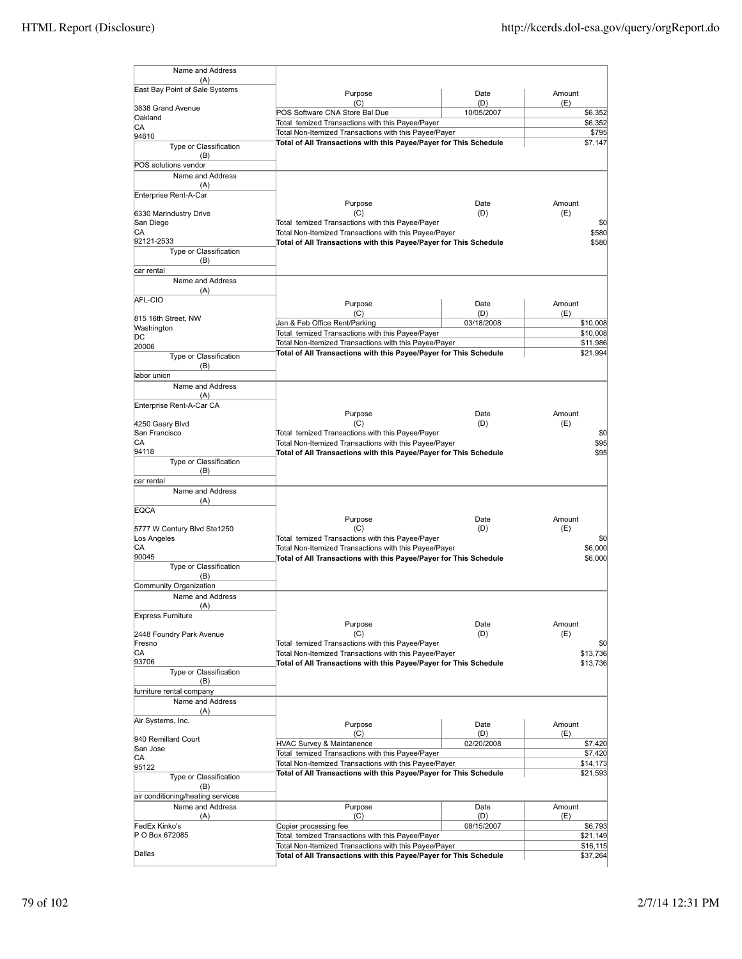| Name and Address                           |                                                                                                           |                   |                    |
|--------------------------------------------|-----------------------------------------------------------------------------------------------------------|-------------------|--------------------|
| (A)<br>East Bay Point of Sale Systems      |                                                                                                           |                   |                    |
|                                            | Purpose<br>(C)                                                                                            | Date<br>(D)       | Amount<br>(E)      |
| 3838 Grand Avenue                          | POS Software CNA Store Bal Due                                                                            | 10/05/2007        | \$6,352            |
| Oakland<br>СA                              | Total temized Transactions with this Payee/Payer                                                          |                   | \$6,352            |
| 94610                                      | Total Non-Itemized Transactions with this Payee/Payer                                                     |                   | \$795              |
| Type or Classification                     | Total of All Transactions with this Payee/Payer for This Schedule                                         |                   | \$7,147            |
| (B)<br>POS solutions vendor                |                                                                                                           |                   |                    |
| Name and Address                           |                                                                                                           |                   |                    |
| (A)                                        |                                                                                                           |                   |                    |
| Enterprise Rent-A-Car                      |                                                                                                           | Date              | Amount             |
| 6330 Marindustry Drive                     | Purpose<br>(C)                                                                                            | (D)               | (E)                |
| San Diego                                  | Total temized Transactions with this Payee/Payer                                                          |                   | \$0                |
| СA                                         | Total Non-Itemized Transactions with this Payee/Payer                                                     |                   | \$580              |
| 92121-2533<br>Type or Classification       | Total of All Transactions with this Payee/Payer for This Schedule                                         |                   | \$580              |
| (B)                                        |                                                                                                           |                   |                    |
| car rental                                 |                                                                                                           |                   |                    |
| Name and Address                           |                                                                                                           |                   |                    |
| (A)<br>AFL-CIO                             |                                                                                                           |                   |                    |
|                                            | Purpose<br>(C)                                                                                            | Date<br>(D)       | Amount<br>(E)      |
| 815 16th Street, NW                        | Jan & Feb Office Rent/Parking                                                                             | 03/18/2008        | \$10,008           |
| Washington<br>DC                           | Total temized Transactions with this Payee/Payer                                                          |                   | \$10,008           |
| 20006                                      | Total Non-Itemized Transactions with this Payee/Payer                                                     |                   | \$11,986           |
| Type or Classification                     | Total of All Transactions with this Payee/Payer for This Schedule                                         |                   | \$21,994           |
| (B)<br>labor union                         |                                                                                                           |                   |                    |
| Name and Address                           |                                                                                                           |                   |                    |
| (A)                                        |                                                                                                           |                   |                    |
| Enterprise Rent-A-Car CA                   |                                                                                                           |                   |                    |
| 4250 Geary Blvd                            | Purpose<br>(C)                                                                                            | Date<br>(D)       | Amount<br>(E)      |
| San Francisco                              | Total temized Transactions with this Payee/Payer                                                          |                   | \$0                |
| СA                                         | Total Non-Itemized Transactions with this Payee/Payer                                                     |                   | \$95               |
| 94118                                      | Total of All Transactions with this Payee/Payer for This Schedule                                         |                   | \$95               |
| Type or Classification<br>(B)              |                                                                                                           |                   |                    |
| car rental                                 |                                                                                                           |                   |                    |
| Name and Address                           |                                                                                                           |                   |                    |
| (A)<br><b>EQCA</b>                         |                                                                                                           |                   |                    |
|                                            | Purpose                                                                                                   | Date              | Amount             |
| 5777 W Century Blvd Ste1250                | (C)                                                                                                       | (D)               | (E)                |
| Los Angeles<br>СA                          | Total temized Transactions with this Payee/Payer<br>Total Non-Itemized Transactions with this Payee/Payer |                   | \$0<br>\$6,000     |
| 90045                                      | Total of All Transactions with this Payee/Payer for This Schedule                                         |                   | \$6,000            |
| Type or Classification                     |                                                                                                           |                   |                    |
| (B)                                        |                                                                                                           |                   |                    |
| Community Organization<br>Name and Address |                                                                                                           |                   |                    |
| (A)                                        |                                                                                                           |                   |                    |
| <b>Express Furniture</b>                   |                                                                                                           |                   |                    |
|                                            | Purpose<br>(C)                                                                                            | Date<br>(D)       | Amount<br>(E)      |
| 2448 Foundry Park Avenue<br>Fresno         | Total temized Transactions with this Payee/Payer                                                          |                   | \$0                |
| CA                                         | Total Non-Itemized Transactions with this Payee/Payer                                                     |                   | \$13,736           |
| 93706                                      | Total of All Transactions with this Payee/Payer for This Schedule                                         |                   | \$13,736           |
| Type or Classification<br>(B)              |                                                                                                           |                   |                    |
| furniture rental company                   |                                                                                                           |                   |                    |
| Name and Address                           |                                                                                                           |                   |                    |
| (A)                                        |                                                                                                           |                   |                    |
| Air Systems, Inc.                          | Purpose                                                                                                   | Date              | Amount             |
| 940 Remillard Court                        | (C)<br><b>HVAC Survey &amp; Maintanence</b>                                                               | (D)<br>02/20/2008 | (E)                |
| San Jose                                   | Total temized Transactions with this Payee/Payer                                                          |                   | \$7,420<br>\$7,420 |
| CА<br>95122                                | Total Non-Itemized Transactions with this Payee/Payer                                                     |                   | \$14,173           |
| Type or Classification                     | Total of All Transactions with this Payee/Payer for This Schedule                                         |                   | \$21,593           |
| (B)                                        |                                                                                                           |                   |                    |
| air conditioning/heating services          |                                                                                                           |                   |                    |
| Name and Address<br>(A)                    | Purpose<br>(C)                                                                                            | Date<br>(D)       | Amount<br>(E)      |
| FedEx Kinko's                              | Copier processing fee                                                                                     | 08/15/2007        | \$6,793            |
| P O Box 672085                             | Total temized Transactions with this Payee/Payer                                                          |                   | \$21,149           |
| Dallas                                     | Total Non-Itemized Transactions with this Payee/Payer                                                     |                   | \$16,115           |
|                                            | Total of All Transactions with this Payee/Payer for This Schedule                                         |                   | \$37,264           |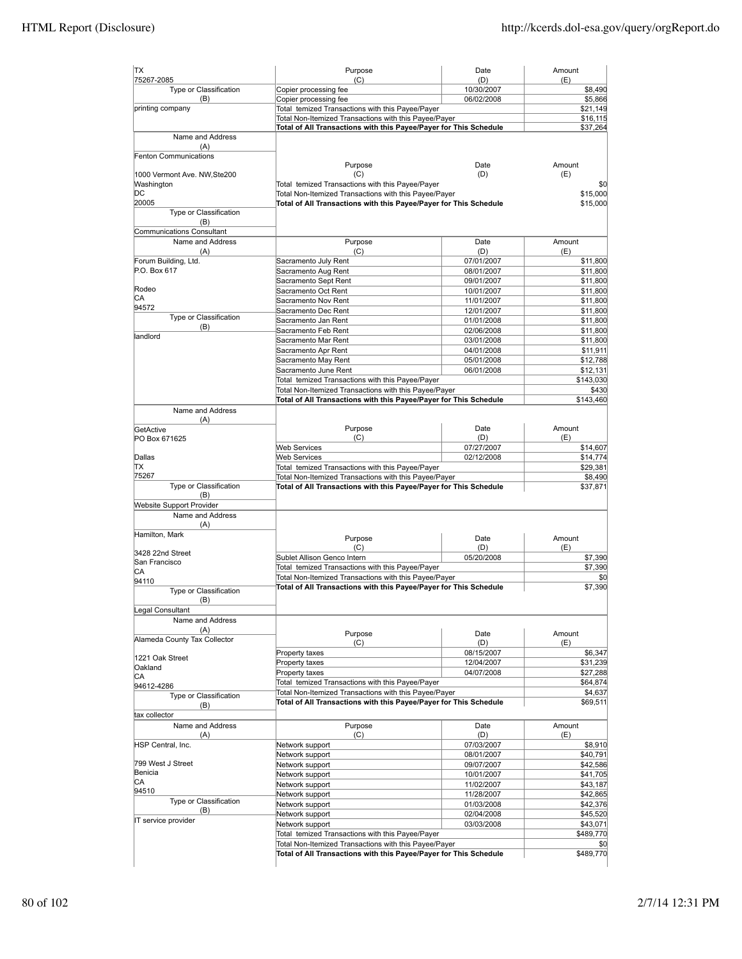| <b>TX</b>                                  | Purpose                                                                 | Date                     | Amount                |
|--------------------------------------------|-------------------------------------------------------------------------|--------------------------|-----------------------|
| 75267-2085                                 | (C)                                                                     | (D)<br>10/30/2007        | (E)                   |
| Type or Classification<br>(B)              | Copier processing fee<br>Copier processing fee                          | 06/02/2008               | \$8,490<br>\$5,866    |
| printing company                           | Total temized Transactions with this Payee/Payer                        |                          | \$21,149              |
|                                            | Total Non-Itemized Transactions with this Payee/Payer                   |                          | \$16,115              |
|                                            | Total of All Transactions with this Payee/Payer for This Schedule       |                          | \$37,264              |
| Name and Address                           |                                                                         |                          |                       |
| (A)                                        |                                                                         |                          |                       |
| Fenton Communications                      |                                                                         |                          |                       |
|                                            | Purpose                                                                 | Date                     | Amount                |
| 1000 Vermont Ave. NW, Ste200<br>Washington | (C)<br>Total temized Transactions with this Payee/Payer                 | (D)                      | (E)                   |
| DС                                         | Total Non-Itemized Transactions with this Payee/Payer                   |                          | \$0<br>\$15,000       |
| 20005                                      | Total of All Transactions with this Payee/Payer for This Schedule       |                          | \$15,000              |
| Type or Classification                     |                                                                         |                          |                       |
| (B)                                        |                                                                         |                          |                       |
| Communications Consultant                  |                                                                         |                          |                       |
| Name and Address                           | Purpose                                                                 | Date                     | Amount                |
| (A)                                        | (C)                                                                     | (D)                      | (E)                   |
| Forum Building, Ltd.                       | Sacramento July Rent                                                    | 07/01/2007               | \$11,800              |
| P.O. Box 617                               | Sacramento Aug Rent                                                     | 08/01/2007               | \$11,800              |
|                                            | Sacramento Sept Rent                                                    | 09/01/2007               | \$11,800              |
| Rodeo<br>СA                                | Sacramento Oct Rent                                                     | 10/01/2007               | \$11,800              |
| 94572                                      | Sacramento Nov Rent                                                     | 11/01/2007               | \$11,800              |
| Type or Classification                     | Sacramento Dec Rent<br>Sacramento Jan Rent                              | 12/01/2007<br>01/01/2008 | \$11,800<br>\$11,800  |
| (B)                                        | Sacramento Feb Rent                                                     | 02/06/2008               | \$11,800              |
| landlord                                   | Sacramento Mar Rent                                                     | 03/01/2008               | \$11,800              |
|                                            | Sacramento Apr Rent                                                     | 04/01/2008               | \$11,911              |
|                                            | Sacramento May Rent                                                     | 05/01/2008               | \$12,788              |
|                                            | Sacramento June Rent                                                    | 06/01/2008               | \$12,131              |
|                                            | Total temized Transactions with this Payee/Payer                        |                          | \$143,030             |
|                                            | Total Non-Itemized Transactions with this Payee/Payer                   |                          | \$430                 |
|                                            | Total of All Transactions with this Payee/Payer for This Schedule       |                          | \$143,460             |
| Name and Address                           |                                                                         |                          |                       |
| (A)                                        |                                                                         |                          |                       |
| GetActive                                  | Purpose                                                                 | Date                     | Amount                |
| PO Box 671625                              | (C)                                                                     | (D)                      | (E)                   |
|                                            | <b>Web Services</b>                                                     | 07/27/2007<br>02/12/2008 | \$14,607              |
| Dallas<br>IΤX                              | <b>Web Services</b><br>Total temized Transactions with this Payee/Payer |                          | \$14,774<br>\$29,381  |
| 75267                                      | Total Non-Itemized Transactions with this Payee/Payer                   |                          | \$8,490               |
| Type or Classification                     | Total of All Transactions with this Payee/Payer for This Schedule       |                          | \$37,871              |
| (B)                                        |                                                                         |                          |                       |
| <b>Website Support Provider</b>            |                                                                         |                          |                       |
| Name and Address                           |                                                                         |                          |                       |
| (A)                                        |                                                                         |                          |                       |
| Hamilton, Mark                             | Purpose                                                                 | Date                     | Amount                |
|                                            | (C)                                                                     | (D)                      | (E)                   |
| 3428 22nd Street<br>San Francisco          | Sublet Allison Genco Intern                                             | 05/20/2008               | \$7,390               |
| CА                                         | Total temized Transactions with this Payee/Payer                        |                          | \$7,390               |
| 94110                                      | Total Non-Itemized Transactions with this Payee/Payer                   |                          | \$0                   |
| Type or Classification                     | Total of All Transactions with this Payee/Payer for This Schedule       |                          | \$7,390               |
| (B)                                        |                                                                         |                          |                       |
| Legal Consultant                           |                                                                         |                          |                       |
| Name and Address                           |                                                                         |                          |                       |
| (A)                                        | Purpose                                                                 | Date                     | Amount                |
| Alameda County Tax Collector               | (C)                                                                     | (D)                      | (E)                   |
|                                            | Property taxes                                                          | 08/15/2007               | \$6,347               |
| 1221 Oak Street<br>Oakland                 | Property taxes                                                          | 12/04/2007               | \$31,239              |
| CА                                         | Property taxes                                                          | 04/07/2008               | \$27,288              |
| 94612-4286                                 | Total temized Transactions with this Payee/Payer                        |                          | \$64,874              |
| Type or Classification                     | Total Non-Itemized Transactions with this Payee/Payer                   |                          | \$4,637               |
| (B)                                        | Total of All Transactions with this Payee/Payer for This Schedule       |                          | \$69,511              |
| tax collector                              |                                                                         |                          |                       |
| Name and Address                           | Purpose                                                                 | Date                     | Amount                |
| (A)                                        | (C)                                                                     | (D)                      | (E)                   |
| HSP Central, Inc.                          | Network support                                                         | 07/03/2007               | \$8,910               |
|                                            | Network support                                                         | 08/01/2007               | \$40,791              |
| 799 West J Street                          | Network support                                                         | 09/07/2007               | \$42,586              |
| Benicia<br>CA                              | Network support                                                         | 10/01/2007               | \$41,705              |
| 94510                                      | Network support                                                         | 11/02/2007               | \$43,187              |
| Type or Classification                     | Network support                                                         | 11/28/2007               | \$42,865              |
| (B)                                        | Network support                                                         | 01/03/2008               | \$42,376              |
| IT service provider                        | Network support                                                         | 02/04/2008               | \$45,520              |
|                                            | Network support<br>Total temized Transactions with this Payee/Payer     | 03/03/2008               | \$43,071<br>\$489,770 |
|                                            | Total Non-Itemized Transactions with this Payee/Payer                   |                          | \$0                   |
|                                            | Total of All Transactions with this Payee/Payer for This Schedule       |                          | \$489,770             |
|                                            |                                                                         |                          |                       |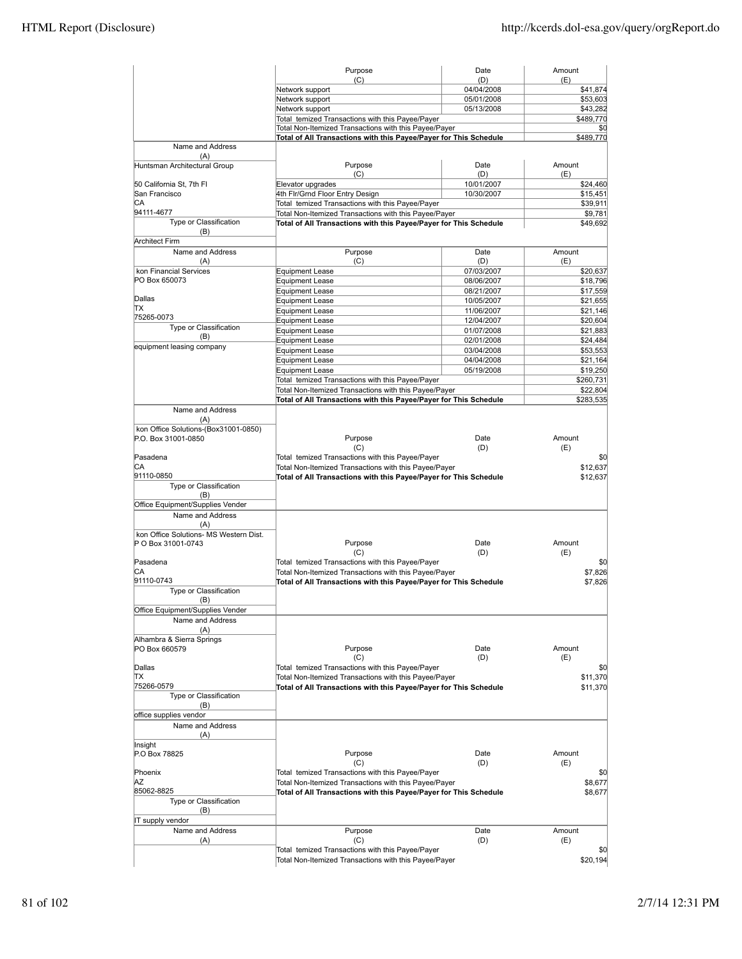|                                                              | Purpose                                                           | Date                     | Amount                                       |
|--------------------------------------------------------------|-------------------------------------------------------------------|--------------------------|----------------------------------------------|
|                                                              | (C)<br>Network support                                            | (D)<br>04/04/2008        | (E)<br>\$41,874                              |
|                                                              | Network support                                                   | 05/01/2008               | \$53,603                                     |
|                                                              | Network support                                                   | 05/13/2008               | \$43,282                                     |
|                                                              | Total temized Transactions with this Payee/Payer                  |                          | \$489,770                                    |
|                                                              | Total Non-Itemized Transactions with this Payee/Payer             |                          | \$0                                          |
| Name and Address                                             | Total of All Transactions with this Payee/Payer for This Schedule |                          | \$489,770                                    |
| (A)<br>Huntsman Architectural Group                          | Purpose                                                           | Date                     | Amount                                       |
|                                                              | (C)                                                               | (D)                      | (E)                                          |
| 50 California St, 7th Fl                                     | Elevator upgrades                                                 | 10/01/2007               | \$24,460                                     |
| San Francisco                                                | 4th Fir/Grnd Floor Entry Design                                   | 10/30/2007               | \$15,451                                     |
| СA                                                           | Total temized Transactions with this Payee/Payer                  |                          | \$39,911                                     |
| 94111-4677                                                   | Total Non-Itemized Transactions with this Payee/Payer             |                          | \$9,781                                      |
| Type or Classification<br>(B)                                | Total of All Transactions with this Payee/Payer for This Schedule |                          | \$49,692                                     |
| <b>Architect Firm</b>                                        |                                                                   |                          |                                              |
| Name and Address                                             | Purpose                                                           | Date                     | Amount                                       |
| (A)                                                          | (C)                                                               | (D)                      | (E)                                          |
| kon Financial Services                                       | <b>Equipment Lease</b>                                            | 07/03/2007               | \$20,637                                     |
| PO Box 650073                                                | Equipment Lease                                                   | 08/06/2007               | \$18,796                                     |
| Dallas                                                       | <b>Equipment Lease</b>                                            | 08/21/2007               | \$17,559                                     |
| lΤX                                                          | <b>Equipment Lease</b><br><b>Equipment Lease</b>                  | 10/05/2007<br>11/06/2007 | \$21,655<br>\$21,146                         |
| 75265-0073                                                   | <b>Equipment Lease</b>                                            | 12/04/2007               | \$20,604                                     |
| Type or Classification                                       | <b>Equipment Lease</b>                                            | 01/07/2008               | \$21,883                                     |
| (B)                                                          | <b>Equipment Lease</b>                                            | 02/01/2008               | \$24,484                                     |
| equipment leasing company                                    | <b>Equipment Lease</b>                                            | 03/04/2008               | \$53,553                                     |
|                                                              | <b>Equipment Lease</b>                                            | 04/04/2008               | \$21,164                                     |
|                                                              | <b>Equipment Lease</b>                                            | 05/19/2008               | \$19,250                                     |
|                                                              | Total temized Transactions with this Payee/Payer                  |                          | \$260,731                                    |
|                                                              | Total Non-Itemized Transactions with this Payee/Payer             |                          | \$22,804                                     |
|                                                              | Total of All Transactions with this Payee/Payer for This Schedule |                          | \$283,535                                    |
| Name and Address<br>(A)                                      |                                                                   |                          |                                              |
| kon Office Solutions-(Box31001-0850)                         |                                                                   |                          |                                              |
| P.O. Box 31001-0850                                          | Purpose                                                           | Date                     | Amount                                       |
|                                                              | (C)                                                               | (D)                      | (E)                                          |
| Pasadena                                                     | Total temized Transactions with this Payee/Payer                  |                          | \$0                                          |
| СA<br>91110-0850                                             | Total Non-Itemized Transactions with this Payee/Payer             |                          | \$12,637                                     |
| Type or Classification                                       | Total of All Transactions with this Payee/Payer for This Schedule |                          | \$12,637                                     |
| (B)                                                          |                                                                   |                          |                                              |
| Office Equipment/Supplies Vender<br>Name and Address         |                                                                   |                          |                                              |
| (A)                                                          |                                                                   |                          |                                              |
| kon Office Solutions- MS Western Dist.<br>P O Box 31001-0743 | Purpose                                                           | Date                     | Amount                                       |
|                                                              | (C)                                                               | (D)                      | (E)                                          |
| Pasadena                                                     | Total temized Transactions with this Payee/Payer                  |                          | \$0                                          |
| CA                                                           | Total Non-Itemized Transactions with this Payee/Payer             |                          | \$7,826                                      |
| 91110-0743                                                   | Total of All Transactions with this Payee/Payer for This Schedule |                          | \$7,826                                      |
| Type or Classification                                       |                                                                   |                          |                                              |
| (B)                                                          |                                                                   |                          |                                              |
| Office Equipment/Supplies Vender                             |                                                                   |                          |                                              |
| Name and Address                                             |                                                                   |                          |                                              |
| (A)                                                          |                                                                   |                          |                                              |
| Alhambra & Sierra Springs                                    |                                                                   |                          |                                              |
| PO Box 660579                                                | Purpose<br>(C)                                                    | Date<br>(D)              | Amount<br>(E)                                |
| Dallas                                                       | Total temized Transactions with this Payee/Payer                  |                          | \$0                                          |
| ΠX                                                           | Total Non-Itemized Transactions with this Payee/Payer             |                          | \$11,370                                     |
| 75266-0579                                                   | Total of All Transactions with this Payee/Payer for This Schedule |                          | \$11,370                                     |
| Type or Classification<br>(B)                                |                                                                   |                          |                                              |
| office supplies vendor                                       |                                                                   |                          |                                              |
| Name and Address                                             |                                                                   |                          |                                              |
| (A)                                                          |                                                                   |                          |                                              |
| Insight                                                      |                                                                   |                          |                                              |
| P.O Box 78825                                                |                                                                   |                          |                                              |
|                                                              | Purpose                                                           | Date                     | Amount                                       |
|                                                              | (C)                                                               | (D)                      | (E)                                          |
|                                                              | Total temized Transactions with this Payee/Payer                  |                          |                                              |
|                                                              | Total Non-Itemized Transactions with this Payee/Payer             |                          |                                              |
|                                                              | Total of All Transactions with this Payee/Payer for This Schedule |                          |                                              |
| Type or Classification                                       |                                                                   |                          |                                              |
| (B)                                                          |                                                                   |                          |                                              |
| IT supply vendor                                             |                                                                   |                          |                                              |
| ΑZ<br>Name and Address                                       | Purpose                                                           | Date                     | Amount                                       |
| Phoenix<br>85062-8825<br>(A)                                 | (C)<br>Total temized Transactions with this Payee/Payer           | (D)                      | (E)                                          |
|                                                              | Total Non-Itemized Transactions with this Payee/Payer             |                          | \$0<br>\$8,677<br>\$8,677<br>\$0<br>\$20,194 |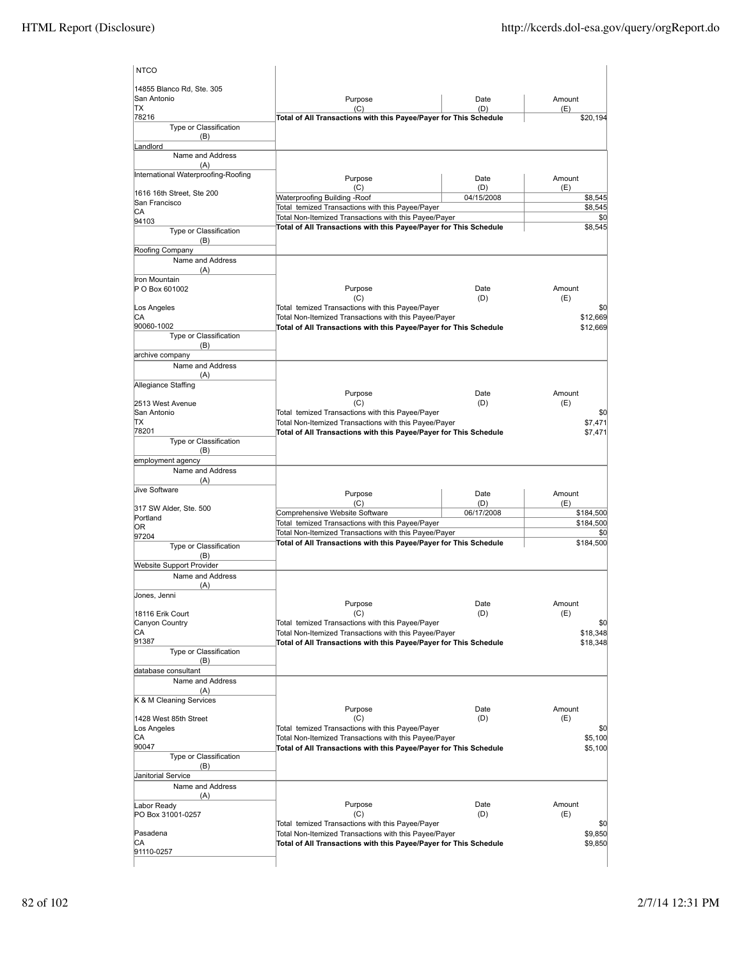| <b>NTCO</b>                            |                                                                                                                            |                   |                    |
|----------------------------------------|----------------------------------------------------------------------------------------------------------------------------|-------------------|--------------------|
| 14855 Blanco Rd, Ste. 305              |                                                                                                                            |                   |                    |
| San Antonio                            | Purpose                                                                                                                    | Date              | Amount             |
| TX<br>78216                            | (C)<br>Total of All Transactions with this Payee/Payer for This Schedule                                                   | (D)               | (E)<br>\$20,194    |
| Type or Classification<br>(B)          |                                                                                                                            |                   |                    |
| Landlord                               |                                                                                                                            |                   |                    |
| Name and Address<br>(A)                |                                                                                                                            |                   |                    |
| International Waterproofing-Roofing    | Purpose                                                                                                                    | Date              | Amount             |
| 1616 16th Street. Ste 200              | (C)<br>Waterproofing Building -Roof                                                                                        | (D)<br>04/15/2008 | (E)<br>\$8,545     |
| San Francisco                          | Total temized Transactions with this Payee/Payer                                                                           |                   | \$8,545            |
| CА<br>94103                            | Total Non-Itemized Transactions with this Payee/Payer                                                                      |                   | \$0                |
| Type or Classification<br>(B)          | Total of All Transactions with this Payee/Payer for This Schedule                                                          |                   | \$8,545            |
| Roofing Company                        |                                                                                                                            |                   |                    |
| Name and Address                       |                                                                                                                            |                   |                    |
| (A)                                    |                                                                                                                            |                   |                    |
| Iron Mountain<br>P O Box 601002        | Purpose<br>(C)                                                                                                             | Date<br>(D)       | Amount<br>(E)      |
| Los Angeles                            | Total temized Transactions with this Payee/Payer                                                                           |                   | \$0                |
| СA                                     | Total Non-Itemized Transactions with this Payee/Payer                                                                      |                   | \$12,669           |
| 90060-1002                             | Total of All Transactions with this Payee/Payer for This Schedule                                                          |                   | \$12,669           |
| Type or Classification<br>(B)          |                                                                                                                            |                   |                    |
| archive company                        |                                                                                                                            |                   |                    |
| Name and Address                       |                                                                                                                            |                   |                    |
| (A)<br>Allegiance Staffing             |                                                                                                                            |                   |                    |
|                                        | Purpose                                                                                                                    | Date              | Amount             |
| 2513 West Avenue                       | (C)                                                                                                                        | (D)               | (E)                |
| San Antonio                            | Total temized Transactions with this Payee/Payer                                                                           |                   | \$0                |
| ΠX<br>78201                            | Total Non-Itemized Transactions with this Payee/Payer<br>Total of All Transactions with this Payee/Payer for This Schedule |                   | \$7,471<br>\$7,471 |
| Type or Classification                 |                                                                                                                            |                   |                    |
| (B)                                    |                                                                                                                            |                   |                    |
| employment agency                      |                                                                                                                            |                   |                    |
| Name and Address<br>(A)                |                                                                                                                            |                   |                    |
| <b>Jive Software</b>                   |                                                                                                                            |                   |                    |
|                                        | Purpose<br>(C)                                                                                                             | Date<br>(D)       | Amount<br>(E)      |
| 317 SW Alder, Ste. 500<br>Portland     | Comprehensive Website Software                                                                                             | 06/17/2008        | \$184,500          |
| lOR.                                   | Total temized Transactions with this Payee/Payer                                                                           |                   | \$184,500          |
| 97204                                  | Total Non-Itemized Transactions with this Payee/Payer<br>Total of All Transactions with this Payee/Payer for This Schedule |                   | \$0<br>\$184,500   |
| Type or Classification                 |                                                                                                                            |                   |                    |
| (B)<br><b>Website Support Provider</b> |                                                                                                                            |                   |                    |
| Name and Address                       |                                                                                                                            |                   |                    |
| (A)                                    |                                                                                                                            |                   |                    |
| Jones, Jenni                           | Purpose                                                                                                                    | Date              | Amount             |
| 18116 Erik Court                       | (C)                                                                                                                        | (D)               | (E)                |
| Canyon Country                         | Total temized Transactions with this Payee/Payer                                                                           |                   | \$0                |
| СA<br>91387                            | Total Non-Itemized Transactions with this Payee/Payer                                                                      |                   | \$18,348           |
| Type or Classification<br>(B)          | Total of All Transactions with this Payee/Payer for This Schedule                                                          |                   | \$18,348           |
| database consultant                    |                                                                                                                            |                   |                    |
| Name and Address                       |                                                                                                                            |                   |                    |
| (A)                                    |                                                                                                                            |                   |                    |
| K & M Cleaning Services                | Purpose                                                                                                                    | Date              | Amount             |
| 1428 West 85th Street                  | (C)                                                                                                                        | (D)               | (E)                |
| Los Angeles                            | Total temized Transactions with this Payee/Payer                                                                           |                   | \$0                |
| СA                                     | Total Non-Itemized Transactions with this Payee/Payer                                                                      |                   | \$5,100            |
| 90047<br>Type or Classification        | Total of All Transactions with this Payee/Payer for This Schedule                                                          |                   | \$5,100            |
| (B)                                    |                                                                                                                            |                   |                    |
| Janitorial Service                     |                                                                                                                            |                   |                    |
| Name and Address<br>(A)                |                                                                                                                            |                   |                    |
| Labor Ready                            | Purpose                                                                                                                    | Date              | Amount             |
| PO Box 31001-0257                      | (C)                                                                                                                        | (D)               | (E)                |
|                                        | Total temized Transactions with this Payee/Payer                                                                           |                   | \$0                |
| Pasadena<br>СA                         | Total Non-Itemized Transactions with this Payee/Payer<br>Total of All Transactions with this Payee/Payer for This Schedule |                   | \$9,850<br>\$9,850 |
| 91110-0257                             |                                                                                                                            |                   |                    |
|                                        |                                                                                                                            |                   |                    |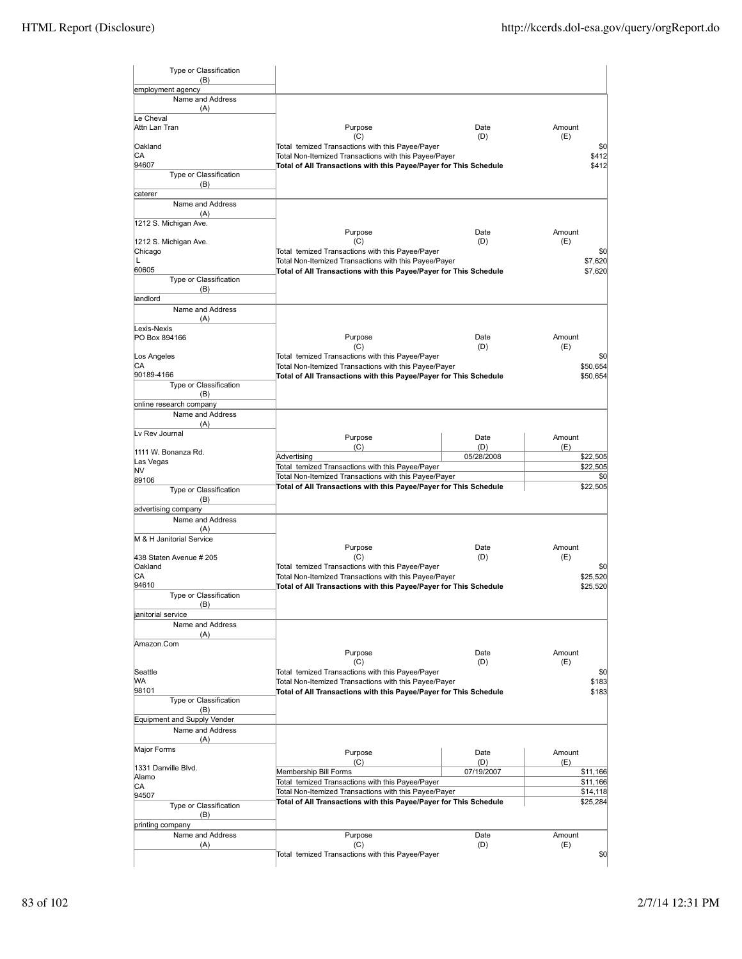| (B)<br>employment agency<br>Name and Address<br>(A)<br>Le Cheval<br>Purpose<br>Date<br>Amount<br>Attn Lan Tran<br>(C)<br>(D)<br>(E)<br>Oakland<br>Total temized Transactions with this Payee/Payer<br>СA<br>Total Non-Itemized Transactions with this Payee/Payer<br>94607<br>Total of All Transactions with this Payee/Payer for This Schedule<br>Type or Classification<br>(B)<br>caterer<br>Name and Address<br>(A)<br>1212 S. Michigan Ave.<br>Purpose<br>Date<br>Amount<br>(C)<br>(D)<br>(E)<br>1212 S. Michigan Ave.<br>Total temized Transactions with this Payee/Payer<br>Chicago<br>Total Non-Itemized Transactions with this Payee/Payer<br>L<br>60605<br>Total of All Transactions with this Payee/Payer for This Schedule<br>\$7,620<br>Type or Classification<br>(B)<br>landlord<br>Name and Address<br>(A)<br>Lexis-Nexis<br>PO Box 894166<br>Purpose<br>Date<br>Amount<br>(C)<br>(D)<br>(E)<br>Total temized Transactions with this Payee/Payer<br>Los Angeles<br>СA<br>Total Non-Itemized Transactions with this Payee/Payer<br>90189-4166<br>Total of All Transactions with this Payee/Payer for This Schedule<br>\$50,654<br>Type or Classification<br>(B)<br>online research company<br>Name and Address<br>(A)<br>Lv Rev Journal<br>Purpose<br>Date<br>Amount<br>(C)<br>(D)<br>(E)<br>1111 W. Bonanza Rd.<br>05/28/2008<br>Advertising<br>\$22,505<br>Las Vegas<br>Total temized Transactions with this Payee/Payer<br>NV<br>Total Non-Itemized Transactions with this Payee/Payer<br>89106<br>Total of All Transactions with this Payee/Payer for This Schedule<br>Type or Classification<br>(B)<br>advertising company<br>Name and Address<br>(A)<br>M & H Janitorial Service<br>Purpose<br>Date<br>Amount<br>(C)<br>(D)<br>(E)<br>438 Staten Avenue # 205<br>Oakland<br>Total temized Transactions with this Payee/Payer<br>СA<br>Total Non-Itemized Transactions with this Payee/Payer<br>94610<br>Total of All Transactions with this Payee/Payer for This Schedule<br>\$25,520<br>Type or Classification<br>(B)<br>anitorial service<br>Name and Address<br>(A)<br>Amazon.Com<br>Purpose<br>Amount<br>Date<br>(C)<br>(D)<br>(E)<br>Seattle<br>Total temized Transactions with this Payee/Payer<br>WA<br>Total Non-Itemized Transactions with this Payee/Payer<br>\$183<br>98101<br>Total of All Transactions with this Payee/Payer for This Schedule<br>\$183<br>Type or Classification<br>(B)<br>Equipment and Supply Vender<br>Name and Address<br>(A)<br>Major Forms<br>Amount<br>Purpose<br>Date<br>(C)<br>(D)<br>(E)<br>1331 Danville Blvd.<br>Membership Bill Forms<br>07/19/2007<br>Alamo<br>Total temized Transactions with this Payee/Payer<br>СA<br>Total Non-Itemized Transactions with this Payee/Payer<br>\$14,118<br>94507<br>Total of All Transactions with this Payee/Payer for This Schedule<br>\$25,284<br>Type or Classification<br>(B)<br>printing company<br>Name and Address<br>Purpose<br>Amount<br>Date<br>(D)<br>(E)<br>(A)<br>(C)<br>Total temized Transactions with this Payee/Payer | Type or Classification |  |          |
|-------------------------------------------------------------------------------------------------------------------------------------------------------------------------------------------------------------------------------------------------------------------------------------------------------------------------------------------------------------------------------------------------------------------------------------------------------------------------------------------------------------------------------------------------------------------------------------------------------------------------------------------------------------------------------------------------------------------------------------------------------------------------------------------------------------------------------------------------------------------------------------------------------------------------------------------------------------------------------------------------------------------------------------------------------------------------------------------------------------------------------------------------------------------------------------------------------------------------------------------------------------------------------------------------------------------------------------------------------------------------------------------------------------------------------------------------------------------------------------------------------------------------------------------------------------------------------------------------------------------------------------------------------------------------------------------------------------------------------------------------------------------------------------------------------------------------------------------------------------------------------------------------------------------------------------------------------------------------------------------------------------------------------------------------------------------------------------------------------------------------------------------------------------------------------------------------------------------------------------------------------------------------------------------------------------------------------------------------------------------------------------------------------------------------------------------------------------------------------------------------------------------------------------------------------------------------------------------------------------------------------------------------------------------------------------------------------------------------------------------------------------------------------------------------------------------------------------------------------------------------------------------------------------------------------------------------------------------------------------------------------------------------------------------|------------------------|--|----------|
|                                                                                                                                                                                                                                                                                                                                                                                                                                                                                                                                                                                                                                                                                                                                                                                                                                                                                                                                                                                                                                                                                                                                                                                                                                                                                                                                                                                                                                                                                                                                                                                                                                                                                                                                                                                                                                                                                                                                                                                                                                                                                                                                                                                                                                                                                                                                                                                                                                                                                                                                                                                                                                                                                                                                                                                                                                                                                                                                                                                                                                           |                        |  |          |
|                                                                                                                                                                                                                                                                                                                                                                                                                                                                                                                                                                                                                                                                                                                                                                                                                                                                                                                                                                                                                                                                                                                                                                                                                                                                                                                                                                                                                                                                                                                                                                                                                                                                                                                                                                                                                                                                                                                                                                                                                                                                                                                                                                                                                                                                                                                                                                                                                                                                                                                                                                                                                                                                                                                                                                                                                                                                                                                                                                                                                                           |                        |  |          |
|                                                                                                                                                                                                                                                                                                                                                                                                                                                                                                                                                                                                                                                                                                                                                                                                                                                                                                                                                                                                                                                                                                                                                                                                                                                                                                                                                                                                                                                                                                                                                                                                                                                                                                                                                                                                                                                                                                                                                                                                                                                                                                                                                                                                                                                                                                                                                                                                                                                                                                                                                                                                                                                                                                                                                                                                                                                                                                                                                                                                                                           |                        |  |          |
|                                                                                                                                                                                                                                                                                                                                                                                                                                                                                                                                                                                                                                                                                                                                                                                                                                                                                                                                                                                                                                                                                                                                                                                                                                                                                                                                                                                                                                                                                                                                                                                                                                                                                                                                                                                                                                                                                                                                                                                                                                                                                                                                                                                                                                                                                                                                                                                                                                                                                                                                                                                                                                                                                                                                                                                                                                                                                                                                                                                                                                           |                        |  |          |
|                                                                                                                                                                                                                                                                                                                                                                                                                                                                                                                                                                                                                                                                                                                                                                                                                                                                                                                                                                                                                                                                                                                                                                                                                                                                                                                                                                                                                                                                                                                                                                                                                                                                                                                                                                                                                                                                                                                                                                                                                                                                                                                                                                                                                                                                                                                                                                                                                                                                                                                                                                                                                                                                                                                                                                                                                                                                                                                                                                                                                                           |                        |  | \$0      |
|                                                                                                                                                                                                                                                                                                                                                                                                                                                                                                                                                                                                                                                                                                                                                                                                                                                                                                                                                                                                                                                                                                                                                                                                                                                                                                                                                                                                                                                                                                                                                                                                                                                                                                                                                                                                                                                                                                                                                                                                                                                                                                                                                                                                                                                                                                                                                                                                                                                                                                                                                                                                                                                                                                                                                                                                                                                                                                                                                                                                                                           |                        |  | \$412    |
|                                                                                                                                                                                                                                                                                                                                                                                                                                                                                                                                                                                                                                                                                                                                                                                                                                                                                                                                                                                                                                                                                                                                                                                                                                                                                                                                                                                                                                                                                                                                                                                                                                                                                                                                                                                                                                                                                                                                                                                                                                                                                                                                                                                                                                                                                                                                                                                                                                                                                                                                                                                                                                                                                                                                                                                                                                                                                                                                                                                                                                           |                        |  | \$412    |
|                                                                                                                                                                                                                                                                                                                                                                                                                                                                                                                                                                                                                                                                                                                                                                                                                                                                                                                                                                                                                                                                                                                                                                                                                                                                                                                                                                                                                                                                                                                                                                                                                                                                                                                                                                                                                                                                                                                                                                                                                                                                                                                                                                                                                                                                                                                                                                                                                                                                                                                                                                                                                                                                                                                                                                                                                                                                                                                                                                                                                                           |                        |  |          |
|                                                                                                                                                                                                                                                                                                                                                                                                                                                                                                                                                                                                                                                                                                                                                                                                                                                                                                                                                                                                                                                                                                                                                                                                                                                                                                                                                                                                                                                                                                                                                                                                                                                                                                                                                                                                                                                                                                                                                                                                                                                                                                                                                                                                                                                                                                                                                                                                                                                                                                                                                                                                                                                                                                                                                                                                                                                                                                                                                                                                                                           |                        |  |          |
|                                                                                                                                                                                                                                                                                                                                                                                                                                                                                                                                                                                                                                                                                                                                                                                                                                                                                                                                                                                                                                                                                                                                                                                                                                                                                                                                                                                                                                                                                                                                                                                                                                                                                                                                                                                                                                                                                                                                                                                                                                                                                                                                                                                                                                                                                                                                                                                                                                                                                                                                                                                                                                                                                                                                                                                                                                                                                                                                                                                                                                           |                        |  |          |
|                                                                                                                                                                                                                                                                                                                                                                                                                                                                                                                                                                                                                                                                                                                                                                                                                                                                                                                                                                                                                                                                                                                                                                                                                                                                                                                                                                                                                                                                                                                                                                                                                                                                                                                                                                                                                                                                                                                                                                                                                                                                                                                                                                                                                                                                                                                                                                                                                                                                                                                                                                                                                                                                                                                                                                                                                                                                                                                                                                                                                                           |                        |  |          |
|                                                                                                                                                                                                                                                                                                                                                                                                                                                                                                                                                                                                                                                                                                                                                                                                                                                                                                                                                                                                                                                                                                                                                                                                                                                                                                                                                                                                                                                                                                                                                                                                                                                                                                                                                                                                                                                                                                                                                                                                                                                                                                                                                                                                                                                                                                                                                                                                                                                                                                                                                                                                                                                                                                                                                                                                                                                                                                                                                                                                                                           |                        |  |          |
|                                                                                                                                                                                                                                                                                                                                                                                                                                                                                                                                                                                                                                                                                                                                                                                                                                                                                                                                                                                                                                                                                                                                                                                                                                                                                                                                                                                                                                                                                                                                                                                                                                                                                                                                                                                                                                                                                                                                                                                                                                                                                                                                                                                                                                                                                                                                                                                                                                                                                                                                                                                                                                                                                                                                                                                                                                                                                                                                                                                                                                           |                        |  | \$0      |
|                                                                                                                                                                                                                                                                                                                                                                                                                                                                                                                                                                                                                                                                                                                                                                                                                                                                                                                                                                                                                                                                                                                                                                                                                                                                                                                                                                                                                                                                                                                                                                                                                                                                                                                                                                                                                                                                                                                                                                                                                                                                                                                                                                                                                                                                                                                                                                                                                                                                                                                                                                                                                                                                                                                                                                                                                                                                                                                                                                                                                                           |                        |  | \$7,620  |
|                                                                                                                                                                                                                                                                                                                                                                                                                                                                                                                                                                                                                                                                                                                                                                                                                                                                                                                                                                                                                                                                                                                                                                                                                                                                                                                                                                                                                                                                                                                                                                                                                                                                                                                                                                                                                                                                                                                                                                                                                                                                                                                                                                                                                                                                                                                                                                                                                                                                                                                                                                                                                                                                                                                                                                                                                                                                                                                                                                                                                                           |                        |  |          |
|                                                                                                                                                                                                                                                                                                                                                                                                                                                                                                                                                                                                                                                                                                                                                                                                                                                                                                                                                                                                                                                                                                                                                                                                                                                                                                                                                                                                                                                                                                                                                                                                                                                                                                                                                                                                                                                                                                                                                                                                                                                                                                                                                                                                                                                                                                                                                                                                                                                                                                                                                                                                                                                                                                                                                                                                                                                                                                                                                                                                                                           |                        |  |          |
|                                                                                                                                                                                                                                                                                                                                                                                                                                                                                                                                                                                                                                                                                                                                                                                                                                                                                                                                                                                                                                                                                                                                                                                                                                                                                                                                                                                                                                                                                                                                                                                                                                                                                                                                                                                                                                                                                                                                                                                                                                                                                                                                                                                                                                                                                                                                                                                                                                                                                                                                                                                                                                                                                                                                                                                                                                                                                                                                                                                                                                           |                        |  |          |
|                                                                                                                                                                                                                                                                                                                                                                                                                                                                                                                                                                                                                                                                                                                                                                                                                                                                                                                                                                                                                                                                                                                                                                                                                                                                                                                                                                                                                                                                                                                                                                                                                                                                                                                                                                                                                                                                                                                                                                                                                                                                                                                                                                                                                                                                                                                                                                                                                                                                                                                                                                                                                                                                                                                                                                                                                                                                                                                                                                                                                                           |                        |  |          |
|                                                                                                                                                                                                                                                                                                                                                                                                                                                                                                                                                                                                                                                                                                                                                                                                                                                                                                                                                                                                                                                                                                                                                                                                                                                                                                                                                                                                                                                                                                                                                                                                                                                                                                                                                                                                                                                                                                                                                                                                                                                                                                                                                                                                                                                                                                                                                                                                                                                                                                                                                                                                                                                                                                                                                                                                                                                                                                                                                                                                                                           |                        |  |          |
|                                                                                                                                                                                                                                                                                                                                                                                                                                                                                                                                                                                                                                                                                                                                                                                                                                                                                                                                                                                                                                                                                                                                                                                                                                                                                                                                                                                                                                                                                                                                                                                                                                                                                                                                                                                                                                                                                                                                                                                                                                                                                                                                                                                                                                                                                                                                                                                                                                                                                                                                                                                                                                                                                                                                                                                                                                                                                                                                                                                                                                           |                        |  |          |
|                                                                                                                                                                                                                                                                                                                                                                                                                                                                                                                                                                                                                                                                                                                                                                                                                                                                                                                                                                                                                                                                                                                                                                                                                                                                                                                                                                                                                                                                                                                                                                                                                                                                                                                                                                                                                                                                                                                                                                                                                                                                                                                                                                                                                                                                                                                                                                                                                                                                                                                                                                                                                                                                                                                                                                                                                                                                                                                                                                                                                                           |                        |  | \$0      |
|                                                                                                                                                                                                                                                                                                                                                                                                                                                                                                                                                                                                                                                                                                                                                                                                                                                                                                                                                                                                                                                                                                                                                                                                                                                                                                                                                                                                                                                                                                                                                                                                                                                                                                                                                                                                                                                                                                                                                                                                                                                                                                                                                                                                                                                                                                                                                                                                                                                                                                                                                                                                                                                                                                                                                                                                                                                                                                                                                                                                                                           |                        |  | \$50,654 |
|                                                                                                                                                                                                                                                                                                                                                                                                                                                                                                                                                                                                                                                                                                                                                                                                                                                                                                                                                                                                                                                                                                                                                                                                                                                                                                                                                                                                                                                                                                                                                                                                                                                                                                                                                                                                                                                                                                                                                                                                                                                                                                                                                                                                                                                                                                                                                                                                                                                                                                                                                                                                                                                                                                                                                                                                                                                                                                                                                                                                                                           |                        |  |          |
|                                                                                                                                                                                                                                                                                                                                                                                                                                                                                                                                                                                                                                                                                                                                                                                                                                                                                                                                                                                                                                                                                                                                                                                                                                                                                                                                                                                                                                                                                                                                                                                                                                                                                                                                                                                                                                                                                                                                                                                                                                                                                                                                                                                                                                                                                                                                                                                                                                                                                                                                                                                                                                                                                                                                                                                                                                                                                                                                                                                                                                           |                        |  |          |
|                                                                                                                                                                                                                                                                                                                                                                                                                                                                                                                                                                                                                                                                                                                                                                                                                                                                                                                                                                                                                                                                                                                                                                                                                                                                                                                                                                                                                                                                                                                                                                                                                                                                                                                                                                                                                                                                                                                                                                                                                                                                                                                                                                                                                                                                                                                                                                                                                                                                                                                                                                                                                                                                                                                                                                                                                                                                                                                                                                                                                                           |                        |  |          |
|                                                                                                                                                                                                                                                                                                                                                                                                                                                                                                                                                                                                                                                                                                                                                                                                                                                                                                                                                                                                                                                                                                                                                                                                                                                                                                                                                                                                                                                                                                                                                                                                                                                                                                                                                                                                                                                                                                                                                                                                                                                                                                                                                                                                                                                                                                                                                                                                                                                                                                                                                                                                                                                                                                                                                                                                                                                                                                                                                                                                                                           |                        |  |          |
|                                                                                                                                                                                                                                                                                                                                                                                                                                                                                                                                                                                                                                                                                                                                                                                                                                                                                                                                                                                                                                                                                                                                                                                                                                                                                                                                                                                                                                                                                                                                                                                                                                                                                                                                                                                                                                                                                                                                                                                                                                                                                                                                                                                                                                                                                                                                                                                                                                                                                                                                                                                                                                                                                                                                                                                                                                                                                                                                                                                                                                           |                        |  |          |
|                                                                                                                                                                                                                                                                                                                                                                                                                                                                                                                                                                                                                                                                                                                                                                                                                                                                                                                                                                                                                                                                                                                                                                                                                                                                                                                                                                                                                                                                                                                                                                                                                                                                                                                                                                                                                                                                                                                                                                                                                                                                                                                                                                                                                                                                                                                                                                                                                                                                                                                                                                                                                                                                                                                                                                                                                                                                                                                                                                                                                                           |                        |  |          |
|                                                                                                                                                                                                                                                                                                                                                                                                                                                                                                                                                                                                                                                                                                                                                                                                                                                                                                                                                                                                                                                                                                                                                                                                                                                                                                                                                                                                                                                                                                                                                                                                                                                                                                                                                                                                                                                                                                                                                                                                                                                                                                                                                                                                                                                                                                                                                                                                                                                                                                                                                                                                                                                                                                                                                                                                                                                                                                                                                                                                                                           |                        |  |          |
|                                                                                                                                                                                                                                                                                                                                                                                                                                                                                                                                                                                                                                                                                                                                                                                                                                                                                                                                                                                                                                                                                                                                                                                                                                                                                                                                                                                                                                                                                                                                                                                                                                                                                                                                                                                                                                                                                                                                                                                                                                                                                                                                                                                                                                                                                                                                                                                                                                                                                                                                                                                                                                                                                                                                                                                                                                                                                                                                                                                                                                           |                        |  | \$22,505 |
|                                                                                                                                                                                                                                                                                                                                                                                                                                                                                                                                                                                                                                                                                                                                                                                                                                                                                                                                                                                                                                                                                                                                                                                                                                                                                                                                                                                                                                                                                                                                                                                                                                                                                                                                                                                                                                                                                                                                                                                                                                                                                                                                                                                                                                                                                                                                                                                                                                                                                                                                                                                                                                                                                                                                                                                                                                                                                                                                                                                                                                           |                        |  | \$0      |
|                                                                                                                                                                                                                                                                                                                                                                                                                                                                                                                                                                                                                                                                                                                                                                                                                                                                                                                                                                                                                                                                                                                                                                                                                                                                                                                                                                                                                                                                                                                                                                                                                                                                                                                                                                                                                                                                                                                                                                                                                                                                                                                                                                                                                                                                                                                                                                                                                                                                                                                                                                                                                                                                                                                                                                                                                                                                                                                                                                                                                                           |                        |  | \$22,505 |
|                                                                                                                                                                                                                                                                                                                                                                                                                                                                                                                                                                                                                                                                                                                                                                                                                                                                                                                                                                                                                                                                                                                                                                                                                                                                                                                                                                                                                                                                                                                                                                                                                                                                                                                                                                                                                                                                                                                                                                                                                                                                                                                                                                                                                                                                                                                                                                                                                                                                                                                                                                                                                                                                                                                                                                                                                                                                                                                                                                                                                                           |                        |  |          |
|                                                                                                                                                                                                                                                                                                                                                                                                                                                                                                                                                                                                                                                                                                                                                                                                                                                                                                                                                                                                                                                                                                                                                                                                                                                                                                                                                                                                                                                                                                                                                                                                                                                                                                                                                                                                                                                                                                                                                                                                                                                                                                                                                                                                                                                                                                                                                                                                                                                                                                                                                                                                                                                                                                                                                                                                                                                                                                                                                                                                                                           |                        |  |          |
|                                                                                                                                                                                                                                                                                                                                                                                                                                                                                                                                                                                                                                                                                                                                                                                                                                                                                                                                                                                                                                                                                                                                                                                                                                                                                                                                                                                                                                                                                                                                                                                                                                                                                                                                                                                                                                                                                                                                                                                                                                                                                                                                                                                                                                                                                                                                                                                                                                                                                                                                                                                                                                                                                                                                                                                                                                                                                                                                                                                                                                           |                        |  |          |
|                                                                                                                                                                                                                                                                                                                                                                                                                                                                                                                                                                                                                                                                                                                                                                                                                                                                                                                                                                                                                                                                                                                                                                                                                                                                                                                                                                                                                                                                                                                                                                                                                                                                                                                                                                                                                                                                                                                                                                                                                                                                                                                                                                                                                                                                                                                                                                                                                                                                                                                                                                                                                                                                                                                                                                                                                                                                                                                                                                                                                                           |                        |  |          |
|                                                                                                                                                                                                                                                                                                                                                                                                                                                                                                                                                                                                                                                                                                                                                                                                                                                                                                                                                                                                                                                                                                                                                                                                                                                                                                                                                                                                                                                                                                                                                                                                                                                                                                                                                                                                                                                                                                                                                                                                                                                                                                                                                                                                                                                                                                                                                                                                                                                                                                                                                                                                                                                                                                                                                                                                                                                                                                                                                                                                                                           |                        |  | \$0      |
|                                                                                                                                                                                                                                                                                                                                                                                                                                                                                                                                                                                                                                                                                                                                                                                                                                                                                                                                                                                                                                                                                                                                                                                                                                                                                                                                                                                                                                                                                                                                                                                                                                                                                                                                                                                                                                                                                                                                                                                                                                                                                                                                                                                                                                                                                                                                                                                                                                                                                                                                                                                                                                                                                                                                                                                                                                                                                                                                                                                                                                           |                        |  | \$25,520 |
|                                                                                                                                                                                                                                                                                                                                                                                                                                                                                                                                                                                                                                                                                                                                                                                                                                                                                                                                                                                                                                                                                                                                                                                                                                                                                                                                                                                                                                                                                                                                                                                                                                                                                                                                                                                                                                                                                                                                                                                                                                                                                                                                                                                                                                                                                                                                                                                                                                                                                                                                                                                                                                                                                                                                                                                                                                                                                                                                                                                                                                           |                        |  |          |
|                                                                                                                                                                                                                                                                                                                                                                                                                                                                                                                                                                                                                                                                                                                                                                                                                                                                                                                                                                                                                                                                                                                                                                                                                                                                                                                                                                                                                                                                                                                                                                                                                                                                                                                                                                                                                                                                                                                                                                                                                                                                                                                                                                                                                                                                                                                                                                                                                                                                                                                                                                                                                                                                                                                                                                                                                                                                                                                                                                                                                                           |                        |  |          |
|                                                                                                                                                                                                                                                                                                                                                                                                                                                                                                                                                                                                                                                                                                                                                                                                                                                                                                                                                                                                                                                                                                                                                                                                                                                                                                                                                                                                                                                                                                                                                                                                                                                                                                                                                                                                                                                                                                                                                                                                                                                                                                                                                                                                                                                                                                                                                                                                                                                                                                                                                                                                                                                                                                                                                                                                                                                                                                                                                                                                                                           |                        |  |          |
|                                                                                                                                                                                                                                                                                                                                                                                                                                                                                                                                                                                                                                                                                                                                                                                                                                                                                                                                                                                                                                                                                                                                                                                                                                                                                                                                                                                                                                                                                                                                                                                                                                                                                                                                                                                                                                                                                                                                                                                                                                                                                                                                                                                                                                                                                                                                                                                                                                                                                                                                                                                                                                                                                                                                                                                                                                                                                                                                                                                                                                           |                        |  |          |
|                                                                                                                                                                                                                                                                                                                                                                                                                                                                                                                                                                                                                                                                                                                                                                                                                                                                                                                                                                                                                                                                                                                                                                                                                                                                                                                                                                                                                                                                                                                                                                                                                                                                                                                                                                                                                                                                                                                                                                                                                                                                                                                                                                                                                                                                                                                                                                                                                                                                                                                                                                                                                                                                                                                                                                                                                                                                                                                                                                                                                                           |                        |  |          |
|                                                                                                                                                                                                                                                                                                                                                                                                                                                                                                                                                                                                                                                                                                                                                                                                                                                                                                                                                                                                                                                                                                                                                                                                                                                                                                                                                                                                                                                                                                                                                                                                                                                                                                                                                                                                                                                                                                                                                                                                                                                                                                                                                                                                                                                                                                                                                                                                                                                                                                                                                                                                                                                                                                                                                                                                                                                                                                                                                                                                                                           |                        |  |          |
|                                                                                                                                                                                                                                                                                                                                                                                                                                                                                                                                                                                                                                                                                                                                                                                                                                                                                                                                                                                                                                                                                                                                                                                                                                                                                                                                                                                                                                                                                                                                                                                                                                                                                                                                                                                                                                                                                                                                                                                                                                                                                                                                                                                                                                                                                                                                                                                                                                                                                                                                                                                                                                                                                                                                                                                                                                                                                                                                                                                                                                           |                        |  |          |
|                                                                                                                                                                                                                                                                                                                                                                                                                                                                                                                                                                                                                                                                                                                                                                                                                                                                                                                                                                                                                                                                                                                                                                                                                                                                                                                                                                                                                                                                                                                                                                                                                                                                                                                                                                                                                                                                                                                                                                                                                                                                                                                                                                                                                                                                                                                                                                                                                                                                                                                                                                                                                                                                                                                                                                                                                                                                                                                                                                                                                                           |                        |  | \$0      |
|                                                                                                                                                                                                                                                                                                                                                                                                                                                                                                                                                                                                                                                                                                                                                                                                                                                                                                                                                                                                                                                                                                                                                                                                                                                                                                                                                                                                                                                                                                                                                                                                                                                                                                                                                                                                                                                                                                                                                                                                                                                                                                                                                                                                                                                                                                                                                                                                                                                                                                                                                                                                                                                                                                                                                                                                                                                                                                                                                                                                                                           |                        |  |          |
|                                                                                                                                                                                                                                                                                                                                                                                                                                                                                                                                                                                                                                                                                                                                                                                                                                                                                                                                                                                                                                                                                                                                                                                                                                                                                                                                                                                                                                                                                                                                                                                                                                                                                                                                                                                                                                                                                                                                                                                                                                                                                                                                                                                                                                                                                                                                                                                                                                                                                                                                                                                                                                                                                                                                                                                                                                                                                                                                                                                                                                           |                        |  |          |
|                                                                                                                                                                                                                                                                                                                                                                                                                                                                                                                                                                                                                                                                                                                                                                                                                                                                                                                                                                                                                                                                                                                                                                                                                                                                                                                                                                                                                                                                                                                                                                                                                                                                                                                                                                                                                                                                                                                                                                                                                                                                                                                                                                                                                                                                                                                                                                                                                                                                                                                                                                                                                                                                                                                                                                                                                                                                                                                                                                                                                                           |                        |  |          |
|                                                                                                                                                                                                                                                                                                                                                                                                                                                                                                                                                                                                                                                                                                                                                                                                                                                                                                                                                                                                                                                                                                                                                                                                                                                                                                                                                                                                                                                                                                                                                                                                                                                                                                                                                                                                                                                                                                                                                                                                                                                                                                                                                                                                                                                                                                                                                                                                                                                                                                                                                                                                                                                                                                                                                                                                                                                                                                                                                                                                                                           |                        |  |          |
|                                                                                                                                                                                                                                                                                                                                                                                                                                                                                                                                                                                                                                                                                                                                                                                                                                                                                                                                                                                                                                                                                                                                                                                                                                                                                                                                                                                                                                                                                                                                                                                                                                                                                                                                                                                                                                                                                                                                                                                                                                                                                                                                                                                                                                                                                                                                                                                                                                                                                                                                                                                                                                                                                                                                                                                                                                                                                                                                                                                                                                           |                        |  |          |
|                                                                                                                                                                                                                                                                                                                                                                                                                                                                                                                                                                                                                                                                                                                                                                                                                                                                                                                                                                                                                                                                                                                                                                                                                                                                                                                                                                                                                                                                                                                                                                                                                                                                                                                                                                                                                                                                                                                                                                                                                                                                                                                                                                                                                                                                                                                                                                                                                                                                                                                                                                                                                                                                                                                                                                                                                                                                                                                                                                                                                                           |                        |  |          |
|                                                                                                                                                                                                                                                                                                                                                                                                                                                                                                                                                                                                                                                                                                                                                                                                                                                                                                                                                                                                                                                                                                                                                                                                                                                                                                                                                                                                                                                                                                                                                                                                                                                                                                                                                                                                                                                                                                                                                                                                                                                                                                                                                                                                                                                                                                                                                                                                                                                                                                                                                                                                                                                                                                                                                                                                                                                                                                                                                                                                                                           |                        |  |          |
|                                                                                                                                                                                                                                                                                                                                                                                                                                                                                                                                                                                                                                                                                                                                                                                                                                                                                                                                                                                                                                                                                                                                                                                                                                                                                                                                                                                                                                                                                                                                                                                                                                                                                                                                                                                                                                                                                                                                                                                                                                                                                                                                                                                                                                                                                                                                                                                                                                                                                                                                                                                                                                                                                                                                                                                                                                                                                                                                                                                                                                           |                        |  | \$11,166 |
|                                                                                                                                                                                                                                                                                                                                                                                                                                                                                                                                                                                                                                                                                                                                                                                                                                                                                                                                                                                                                                                                                                                                                                                                                                                                                                                                                                                                                                                                                                                                                                                                                                                                                                                                                                                                                                                                                                                                                                                                                                                                                                                                                                                                                                                                                                                                                                                                                                                                                                                                                                                                                                                                                                                                                                                                                                                                                                                                                                                                                                           |                        |  | \$11,166 |
|                                                                                                                                                                                                                                                                                                                                                                                                                                                                                                                                                                                                                                                                                                                                                                                                                                                                                                                                                                                                                                                                                                                                                                                                                                                                                                                                                                                                                                                                                                                                                                                                                                                                                                                                                                                                                                                                                                                                                                                                                                                                                                                                                                                                                                                                                                                                                                                                                                                                                                                                                                                                                                                                                                                                                                                                                                                                                                                                                                                                                                           |                        |  |          |
|                                                                                                                                                                                                                                                                                                                                                                                                                                                                                                                                                                                                                                                                                                                                                                                                                                                                                                                                                                                                                                                                                                                                                                                                                                                                                                                                                                                                                                                                                                                                                                                                                                                                                                                                                                                                                                                                                                                                                                                                                                                                                                                                                                                                                                                                                                                                                                                                                                                                                                                                                                                                                                                                                                                                                                                                                                                                                                                                                                                                                                           |                        |  |          |
|                                                                                                                                                                                                                                                                                                                                                                                                                                                                                                                                                                                                                                                                                                                                                                                                                                                                                                                                                                                                                                                                                                                                                                                                                                                                                                                                                                                                                                                                                                                                                                                                                                                                                                                                                                                                                                                                                                                                                                                                                                                                                                                                                                                                                                                                                                                                                                                                                                                                                                                                                                                                                                                                                                                                                                                                                                                                                                                                                                                                                                           |                        |  |          |
|                                                                                                                                                                                                                                                                                                                                                                                                                                                                                                                                                                                                                                                                                                                                                                                                                                                                                                                                                                                                                                                                                                                                                                                                                                                                                                                                                                                                                                                                                                                                                                                                                                                                                                                                                                                                                                                                                                                                                                                                                                                                                                                                                                                                                                                                                                                                                                                                                                                                                                                                                                                                                                                                                                                                                                                                                                                                                                                                                                                                                                           |                        |  |          |
|                                                                                                                                                                                                                                                                                                                                                                                                                                                                                                                                                                                                                                                                                                                                                                                                                                                                                                                                                                                                                                                                                                                                                                                                                                                                                                                                                                                                                                                                                                                                                                                                                                                                                                                                                                                                                                                                                                                                                                                                                                                                                                                                                                                                                                                                                                                                                                                                                                                                                                                                                                                                                                                                                                                                                                                                                                                                                                                                                                                                                                           |                        |  | \$0      |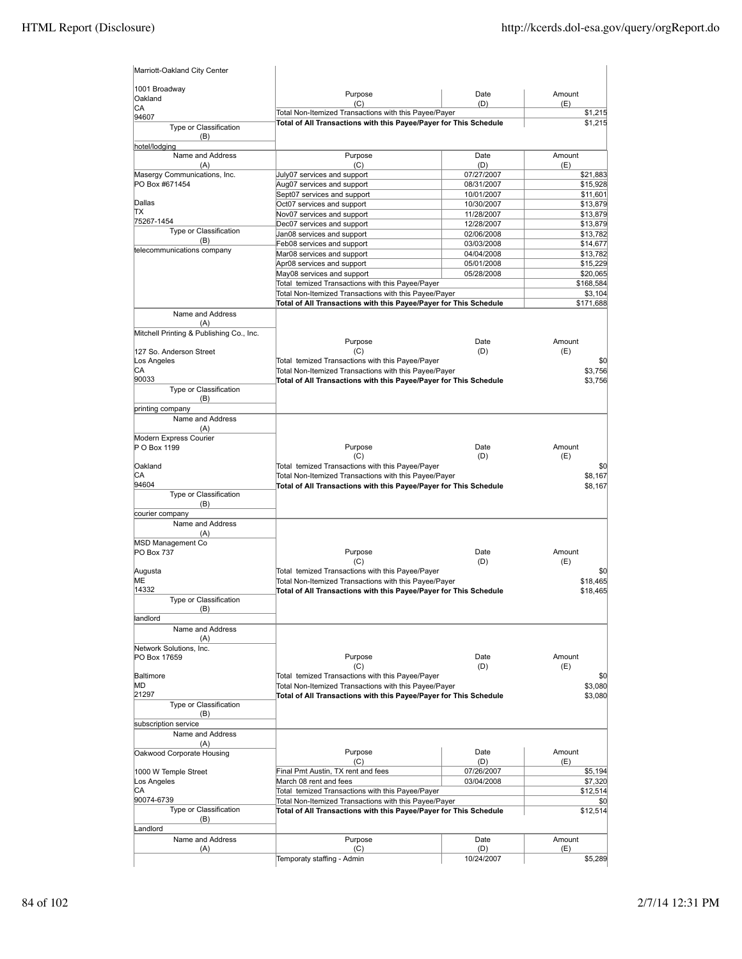| Marriott-Oakland City Center             |                                                                                                           |                          |                      |
|------------------------------------------|-----------------------------------------------------------------------------------------------------------|--------------------------|----------------------|
| 1001 Broadway<br>Oakland                 | Purpose<br>(C)                                                                                            | Date<br>(D)              | Amount<br>(E)        |
| CA<br>94607                              | Total Non-Itemized Transactions with this Payee/Payer                                                     |                          | \$1,215              |
| Type or Classification<br>(B)            | Total of All Transactions with this Payee/Payer for This Schedule                                         |                          | \$1,215              |
| hotel/lodaina<br>Name and Address<br>(A) | Purpose<br>(C)                                                                                            | Date<br>(D)              | Amount<br>(E)        |
| Masergy Communications, Inc.             | July07 services and support                                                                               | 07/27/2007               | \$21,883             |
| PO Box #671454                           | Aug07 services and support                                                                                | 08/31/2007               | \$15,928             |
|                                          | Sept07 services and support                                                                               | 10/01/2007               | \$11,601             |
| Dallas                                   | Oct07 services and support                                                                                | 10/30/2007               | \$13,879             |
| TХ<br>75267-1454                         | Nov07 services and support                                                                                | 11/28/2007               | \$13,879             |
| Type or Classification                   | Dec07 services and support                                                                                | 12/28/2007               | \$13,879             |
| (B)                                      | Jan08 services and support                                                                                | 02/06/2008<br>03/03/2008 | \$13,782<br>\$14,677 |
| telecommunications company               | Feb08 services and support<br>Mar08 services and support                                                  | 04/04/2008               | \$13,782             |
|                                          | Apr08 services and support                                                                                | 05/01/2008               | \$15,229             |
|                                          | May08 services and support                                                                                | 05/28/2008               | \$20,065             |
|                                          | Total temized Transactions with this Payee/Payer                                                          |                          | \$168,584            |
|                                          | Total Non-Itemized Transactions with this Payee/Payer                                                     |                          | \$3,104              |
|                                          | Total of All Transactions with this Payee/Payer for This Schedule                                         |                          | \$171,688            |
| Name and Address<br>(A)                  |                                                                                                           |                          |                      |
| Mitchell Printing & Publishing Co., Inc. |                                                                                                           |                          |                      |
|                                          | Purpose                                                                                                   | Date                     | Amount               |
| 127 So. Anderson Street                  | (C)                                                                                                       | (D)                      | (E)                  |
| Los Angeles<br>СA                        | Total temized Transactions with this Payee/Payer<br>Total Non-Itemized Transactions with this Payee/Payer |                          | \$0<br>\$3,756       |
| 90033                                    | Total of All Transactions with this Payee/Payer for This Schedule                                         |                          | \$3,756              |
| Type or Classification                   |                                                                                                           |                          |                      |
| (B)<br>printing company                  |                                                                                                           |                          |                      |
| Name and Address                         |                                                                                                           |                          |                      |
| (A)<br>Modern Express Courier            |                                                                                                           |                          |                      |
| P O Box 1199                             | Purpose<br>(C)                                                                                            | Date<br>(D)              | Amount<br>(E)        |
| Oakland                                  | Total temized Transactions with this Payee/Payer                                                          |                          | \$0                  |
| СA                                       | Total Non-Itemized Transactions with this Payee/Payer                                                     |                          | \$8,167              |
| 94604                                    | Total of All Transactions with this Payee/Payer for This Schedule                                         |                          | \$8,167              |
| Type or Classification<br>(B)            |                                                                                                           |                          |                      |
| courier company                          |                                                                                                           |                          |                      |
| Name and Address                         |                                                                                                           |                          |                      |
| (A)                                      |                                                                                                           |                          |                      |
| MSD Management Co                        |                                                                                                           |                          | Amount               |
| PO Box 737                               | Purpose<br>(C)                                                                                            | Date<br>(D)              | (E)                  |
| Augusta                                  | Total temized Transactions with this Payee/Payer                                                          |                          | \$0                  |
| МE                                       | Total Non-Itemized Transactions with this Payee/Payer                                                     |                          | \$18,465             |
| 14332                                    | Total of All Transactions with this Payee/Payer for This Schedule                                         |                          | \$18,465             |
| Type or Classification                   |                                                                                                           |                          |                      |
| (B)<br>landlord                          |                                                                                                           |                          |                      |
| Name and Address<br>(A)                  |                                                                                                           |                          |                      |
| Network Solutions, Inc.                  |                                                                                                           |                          |                      |
| PO Box 17659                             | Purpose                                                                                                   | Date                     | Amount               |
|                                          | (C)                                                                                                       | (D)                      | (E)                  |
| Baltimore                                | Total temized Transactions with this Payee/Payer                                                          |                          | \$0                  |
| MD                                       | Total Non-Itemized Transactions with this Payee/Payer                                                     |                          | \$3,080              |
| 21297<br>Type or Classification          | Total of All Transactions with this Payee/Payer for This Schedule                                         |                          | \$3,080              |
| (B)                                      |                                                                                                           |                          |                      |
| subscription service                     |                                                                                                           |                          |                      |
| Name and Address                         |                                                                                                           |                          |                      |
| (A)                                      |                                                                                                           |                          |                      |
| Oakwood Corporate Housing                | Purpose<br>(C)                                                                                            | Date<br>(D)              | Amount<br>(E)        |
| 1000 W Temple Street                     | Final Pmt Austin, TX rent and fees                                                                        | 07/26/2007               | \$5,194              |
| Los Angeles                              | March 08 rent and fees                                                                                    | 03/04/2008               | \$7,320              |
| СA                                       | Total temized Transactions with this Payee/Payer                                                          |                          | \$12,514             |
| 90074-6739                               | Total Non-Itemized Transactions with this Payee/Payer                                                     |                          | \$0                  |
| Type or Classification                   | Total of All Transactions with this Payee/Payer for This Schedule                                         |                          | \$12,514             |
| (B)                                      |                                                                                                           |                          |                      |
| Landlord<br>Name and Address             | Purpose                                                                                                   | Date                     | Amount               |
| (A)                                      | (C)                                                                                                       | (D)                      | (E)                  |
|                                          | Temporaty staffing - Admin                                                                                | 10/24/2007               | \$5,289              |
|                                          |                                                                                                           |                          |                      |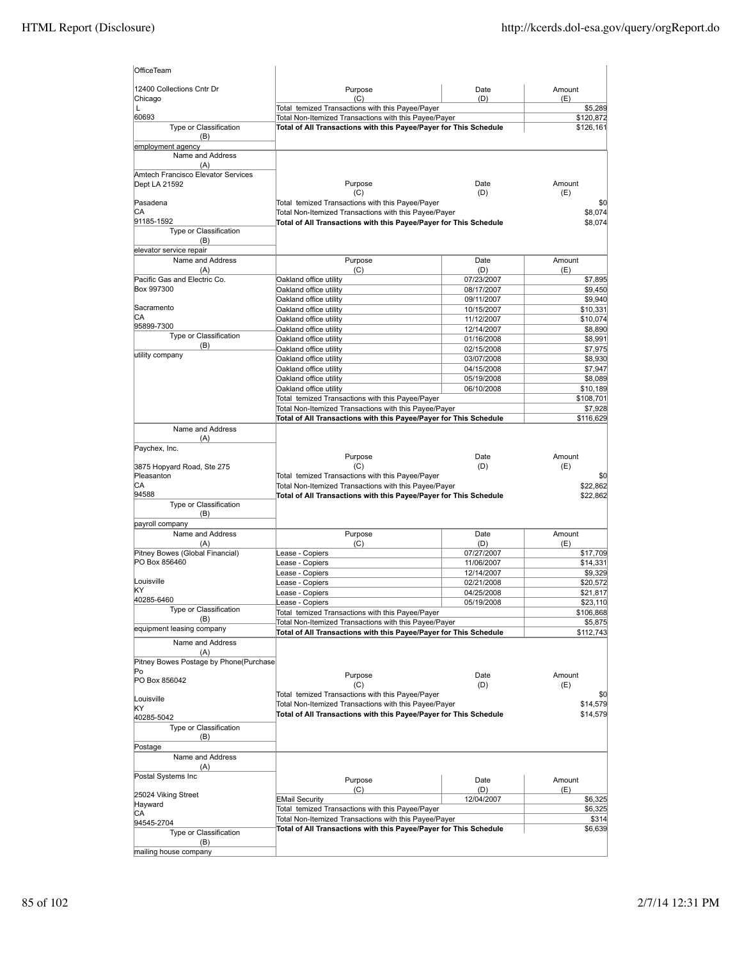| OfficeTeam                                |                                                                                                           |                          |                      |
|-------------------------------------------|-----------------------------------------------------------------------------------------------------------|--------------------------|----------------------|
| 12400 Collections Cntr Dr                 | Purpose                                                                                                   | Date                     | Amount               |
| Chicago                                   | (C)                                                                                                       | (D)                      | (E)                  |
| L<br>60693                                | Total temized Transactions with this Payee/Payer<br>Total Non-Itemized Transactions with this Payee/Payer |                          | \$5,289<br>\$120,872 |
| Type or Classification<br>(B)             | Total of All Transactions with this Payee/Payer for This Schedule                                         |                          | \$126,161            |
| employment agency                         |                                                                                                           |                          |                      |
| Name and Address                          |                                                                                                           |                          |                      |
| (A)<br>Amtech Francisco Elevator Services |                                                                                                           |                          |                      |
| Dept LA 21592                             | Purpose<br>(C)                                                                                            | Date<br>(D)              | Amount<br>(E)        |
| Pasadena                                  | Total temized Transactions with this Payee/Payer                                                          |                          | \$0                  |
| CА                                        | Total Non-Itemized Transactions with this Payee/Payer                                                     |                          | \$8,074              |
| 91185-1592<br>Type or Classification      | Total of All Transactions with this Payee/Payer for This Schedule                                         |                          | \$8,074              |
| (B)                                       |                                                                                                           |                          |                      |
| elevator service repair                   |                                                                                                           |                          |                      |
| Name and Address                          | Purpose                                                                                                   | Date                     | Amount               |
| (A)<br>Pacific Gas and Electric Co.       | (C)<br>Oakland office utility                                                                             | (D)<br>07/23/2007        | (E)<br>\$7,895       |
| Box 997300                                | Oakland office utility                                                                                    | 08/17/2007               | \$9,450              |
|                                           | Oakland office utility                                                                                    | 09/11/2007               | \$9,940              |
| Sacramento                                | Oakland office utility                                                                                    | 10/15/2007               | \$10,331             |
| СA                                        | Oakland office utility                                                                                    | 11/12/2007               | \$10,074             |
| 95899-7300<br>Type or Classification      | Oakland office utility                                                                                    | 12/14/2007               | \$8,890              |
| (B)                                       | Oakland office utility                                                                                    | 01/16/2008               | \$8,991              |
| utility company                           | Oakland office utility                                                                                    | 02/15/2008               | \$7,975              |
|                                           | Oakland office utility<br>Oakland office utility                                                          | 03/07/2008<br>04/15/2008 | \$8,930<br>\$7,947   |
|                                           | Oakland office utility                                                                                    | 05/19/2008               | \$8,089              |
|                                           | Oakland office utility                                                                                    | 06/10/2008               | \$10,189             |
|                                           | Total temized Transactions with this Payee/Payer                                                          |                          | \$108,701            |
|                                           | Total Non-Itemized Transactions with this Payee/Payer                                                     |                          | \$7,928              |
|                                           | Total of All Transactions with this Payee/Payer for This Schedule                                         |                          | \$116,629            |
| Name and Address<br>(A)                   |                                                                                                           |                          |                      |
| Paychex, Inc.                             |                                                                                                           |                          |                      |
|                                           | Purpose                                                                                                   | Date                     | Amount               |
| 3875 Hopyard Road, Ste 275                | (C)                                                                                                       | (D)                      | (E)                  |
| Pleasanton                                | Total temized Transactions with this Payee/Payer                                                          |                          | \$0                  |
| СA<br>94588                               | Total Non-Itemized Transactions with this Payee/Payer                                                     |                          | \$22,862             |
| Type or Classification                    | Total of All Transactions with this Payee/Payer for This Schedule                                         |                          | \$22,862             |
| (B)                                       |                                                                                                           |                          |                      |
| payroll company                           |                                                                                                           |                          |                      |
| Name and Address                          | Purpose                                                                                                   | Date                     | Amount               |
| (A)                                       | (C)                                                                                                       | (D)                      | (E)                  |
| Pitney Bowes (Global Financial)           | Lease - Copiers                                                                                           | 07/27/2007               | \$17,709             |
| PO Box 856460                             | ease - Copiers                                                                                            | 11/06/2007               | \$14,331             |
| Louisville                                | ease - Copiers<br>ease - Copiers                                                                          | 12/14/2007<br>02/21/2008 | \$9,329<br>\$20,572  |
| KY                                        | ease - Copiers                                                                                            | 04/25/2008               | \$21,817             |
| 40285-6460                                | ease - Copiers                                                                                            | 05/19/2008               | \$23,110             |
| Type or Classification                    | Total temized Transactions with this Payee/Payer                                                          |                          | \$106,868            |
| (B)                                       | Total Non-Itemized Transactions with this Payee/Payer                                                     |                          | \$5,875              |
| equipment leasing company                 | Total of All Transactions with this Payee/Payer for This Schedule                                         |                          | \$112,743            |
| Name and Address<br>(A)                   |                                                                                                           |                          |                      |
| Pitney Bowes Postage by Phone(Purchase    |                                                                                                           |                          |                      |
| Po<br>PO Box 856042                       | Purpose                                                                                                   | Date                     | Amount               |
| Louisville                                | (C)<br>Total temized Transactions with this Payee/Payer                                                   | (D)                      | (E)<br>\$0           |
| KY                                        | Total Non-Itemized Transactions with this Payee/Payer                                                     |                          | \$14,579             |
| 40285-5042                                | Total of All Transactions with this Payee/Payer for This Schedule                                         |                          | \$14,579             |
| Type or Classification                    |                                                                                                           |                          |                      |
| (B)                                       |                                                                                                           |                          |                      |
| Postage<br>Name and Address               |                                                                                                           |                          |                      |
| (A)                                       |                                                                                                           |                          |                      |
| Postal Systems Inc                        |                                                                                                           |                          |                      |
|                                           | Purpose<br>(C)                                                                                            | Date<br>(D)              | Amount<br>(E)        |
| 25024 Viking Street                       | <b>EMail Security</b>                                                                                     | 12/04/2007               | \$6,325              |
| Hayward                                   | Total temized Transactions with this Payee/Payer                                                          |                          | \$6,325              |
| CА<br>94545-2704                          | Total Non-Itemized Transactions with this Payee/Payer                                                     |                          | \$314                |
| Type or Classification                    | Total of All Transactions with this Payee/Payer for This Schedule                                         |                          | \$6,639              |
| (B)                                       |                                                                                                           |                          |                      |
| mailing house company                     |                                                                                                           |                          |                      |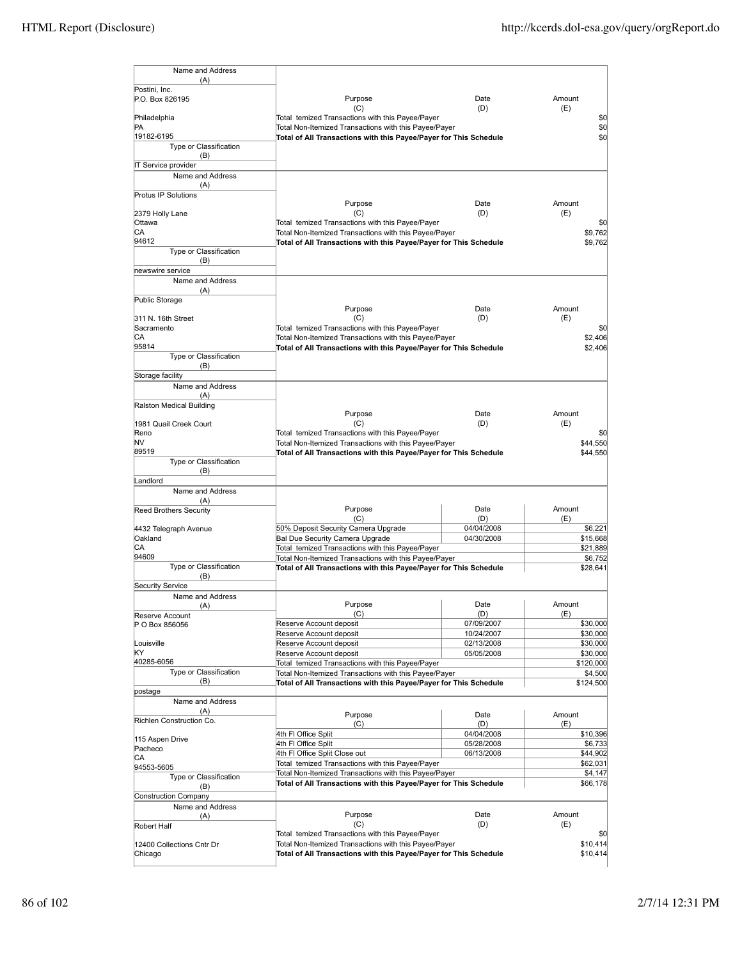| Name and Address<br>(A)<br>Postini, Inc.<br>P.O. Box 826195 |                                                                                                                            |                          |                      |
|-------------------------------------------------------------|----------------------------------------------------------------------------------------------------------------------------|--------------------------|----------------------|
|                                                             |                                                                                                                            |                          |                      |
|                                                             |                                                                                                                            |                          |                      |
|                                                             | Purpose                                                                                                                    | Date                     | Amount               |
|                                                             | (C)                                                                                                                        | (D)                      | (E)                  |
| Philadelphia                                                | Total temized Transactions with this Payee/Payer                                                                           |                          | \$0                  |
| PA                                                          | Total Non-Itemized Transactions with this Payee/Payer                                                                      |                          | \$0                  |
| 19182-6195                                                  | Total of All Transactions with this Payee/Payer for This Schedule                                                          |                          | \$0                  |
| Type or Classification                                      |                                                                                                                            |                          |                      |
| (B)<br>IT Service provider                                  |                                                                                                                            |                          |                      |
| Name and Address                                            |                                                                                                                            |                          |                      |
| (A)                                                         |                                                                                                                            |                          |                      |
| Protus IP Solutions                                         |                                                                                                                            |                          |                      |
|                                                             | Purpose                                                                                                                    | Date                     | Amount               |
| 2379 Holly Lane                                             | (C)                                                                                                                        | (D)                      | (E)                  |
| Ottawa                                                      | Total temized Transactions with this Payee/Payer                                                                           |                          | \$0                  |
| СA<br>94612                                                 | Total Non-Itemized Transactions with this Payee/Payer                                                                      |                          | \$9,762              |
| Type or Classification                                      | Total of All Transactions with this Payee/Payer for This Schedule                                                          |                          | \$9,762              |
| (B)                                                         |                                                                                                                            |                          |                      |
| newswire service                                            |                                                                                                                            |                          |                      |
| Name and Address                                            |                                                                                                                            |                          |                      |
| (A)                                                         |                                                                                                                            |                          |                      |
| Public Storage                                              |                                                                                                                            |                          |                      |
|                                                             | Purpose                                                                                                                    | Date                     | Amount               |
| 311 N. 16th Street<br>Sacramento                            | (C)                                                                                                                        | (D)                      | (E)                  |
| СA                                                          | Total temized Transactions with this Payee/Payer                                                                           |                          | \$0<br>\$2,406       |
| 95814                                                       | Total Non-Itemized Transactions with this Payee/Payer<br>Total of All Transactions with this Payee/Payer for This Schedule |                          | \$2,406              |
| <b>Type or Classification</b>                               |                                                                                                                            |                          |                      |
| (B)                                                         |                                                                                                                            |                          |                      |
| Storage facility                                            |                                                                                                                            |                          |                      |
| Name and Address                                            |                                                                                                                            |                          |                      |
| (A)                                                         |                                                                                                                            |                          |                      |
| Ralston Medical Building                                    |                                                                                                                            |                          |                      |
|                                                             | Purpose                                                                                                                    | Date                     | Amount               |
| 1981 Quail Creek Court<br>Reno                              | (C)<br>Total temized Transactions with this Payee/Payer                                                                    | (D)                      | (E)<br>\$0           |
| NV                                                          | Total Non-Itemized Transactions with this Payee/Payer                                                                      |                          | \$44,550             |
| 89519                                                       | Total of All Transactions with this Payee/Payer for This Schedule                                                          |                          | \$44,550             |
| Type or Classification                                      |                                                                                                                            |                          |                      |
| (B)                                                         |                                                                                                                            |                          |                      |
| Landlord                                                    |                                                                                                                            |                          |                      |
| Name and Address                                            |                                                                                                                            |                          |                      |
| (A)                                                         | Purpose                                                                                                                    | Date                     | Amount               |
| <b>Reed Brothers Security</b>                               | (C)                                                                                                                        | (D)                      | (E)                  |
| 4432 Telegraph Avenue                                       | 50% Deposit Security Camera Upgrade                                                                                        | 04/04/2008               | \$6,221              |
| Oakland                                                     | Bal Due Security Camera Upgrade                                                                                            | 04/30/2008               | \$15,668             |
| CA                                                          | Total temized Transactions with this Payee/Payer                                                                           |                          | \$21,889             |
| 94609                                                       | Total Non-Itemized Transactions with this Payee/Payer                                                                      |                          | \$6,752              |
| Type or Classification                                      | Total of All Transactions with this Payee/Payer for This Schedule                                                          |                          | \$28,641             |
| (B)<br><b>Security Service</b>                              |                                                                                                                            |                          |                      |
| Name and Address                                            |                                                                                                                            |                          |                      |
| (A)                                                         | Purpose                                                                                                                    | Date                     | Amount               |
|                                                             | (C)                                                                                                                        | (D)                      |                      |
|                                                             |                                                                                                                            |                          | (E)                  |
| Reserve Account<br>P O Box 856056                           | Reserve Account deposit                                                                                                    | 07/09/2007               | \$30,000             |
|                                                             | Reserve Account deposit                                                                                                    | 10/24/2007               | \$30,000             |
| Louisville                                                  | Reserve Account deposit                                                                                                    | 02/13/2008               | \$30,000             |
| KY                                                          | Reserve Account deposit                                                                                                    | 05/05/2008               | \$30,000             |
| 40285-6056                                                  | Total temized Transactions with this Payee/Payer                                                                           |                          | \$120,000            |
| Type or Classification                                      | Total Non-Itemized Transactions with this Payee/Payer                                                                      |                          | \$4,500              |
| (B)                                                         | Total of All Transactions with this Payee/Payer for This Schedule                                                          |                          | \$124,500            |
| postage<br>Name and Address                                 |                                                                                                                            |                          |                      |
| (A)                                                         |                                                                                                                            |                          |                      |
| Richlen Construction Co.                                    | Purpose                                                                                                                    | Date                     | Amount               |
|                                                             | (C)                                                                                                                        | (D)                      | (E)<br>\$10,396      |
| 115 Aspen Drive                                             | 4th FI Office Split                                                                                                        | 04/04/2008<br>05/28/2008 |                      |
| Pacheco                                                     | 4th FI Office Split<br>4th FI Office Split Close out                                                                       | 06/13/2008               | \$6,733<br>\$44,902  |
| CА                                                          | Total temized Transactions with this Payee/Payer                                                                           |                          | \$62,031             |
| 94553-5605                                                  | Total Non-Itemized Transactions with this Payee/Payer                                                                      |                          | \$4,147              |
| Type or Classification<br>(B)                               | Total of All Transactions with this Payee/Payer for This Schedule                                                          |                          | \$66,178             |
| <b>Construction Company</b>                                 |                                                                                                                            |                          |                      |
| Name and Address                                            |                                                                                                                            |                          |                      |
| (A)                                                         | Purpose                                                                                                                    | Date                     | Amount               |
| Robert Half                                                 | (C)                                                                                                                        | (D)                      | (E)                  |
|                                                             | Total temized Transactions with this Payee/Payer                                                                           |                          | \$0                  |
| 12400 Collections Cntr Dr<br>Chicago                        | Total Non-Itemized Transactions with this Payee/Payer<br>Total of All Transactions with this Payee/Payer for This Schedule |                          | \$10,414<br>\$10,414 |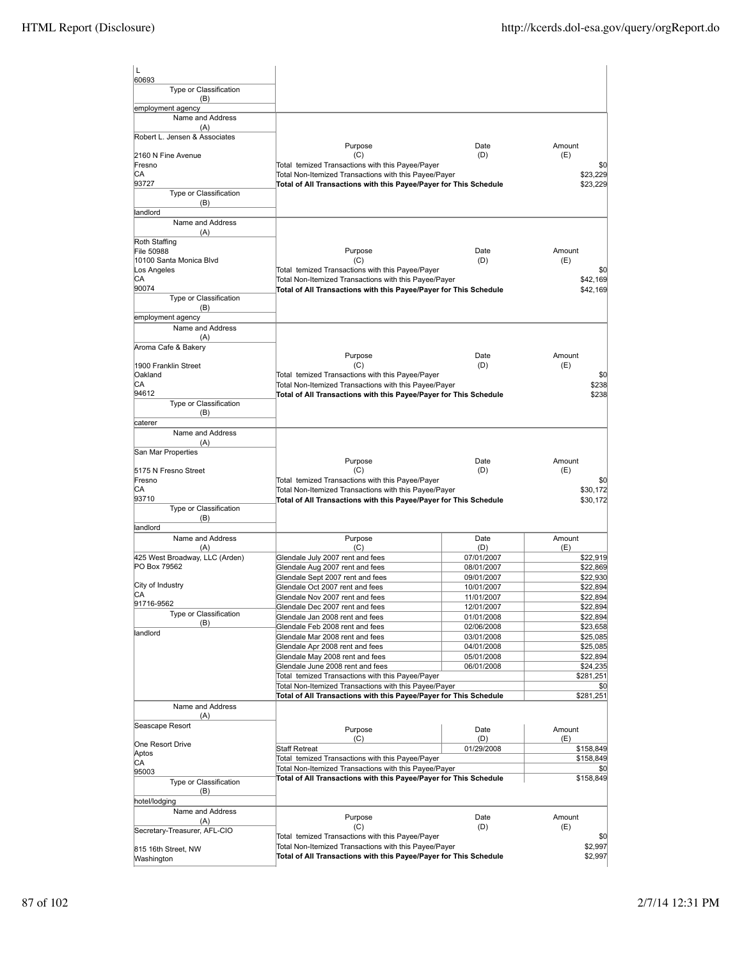| L<br>60693                            |                                                                                                                            |                          |                        |
|---------------------------------------|----------------------------------------------------------------------------------------------------------------------------|--------------------------|------------------------|
| Type or Classification<br>(B)         |                                                                                                                            |                          |                        |
| employment agency<br>Name and Address |                                                                                                                            |                          |                        |
| (A)                                   |                                                                                                                            |                          |                        |
| Robert L. Jensen & Associates         | Purpose                                                                                                                    | Date                     | Amount                 |
| 2160 N Fine Avenue                    | (C)                                                                                                                        | (D)                      | (E)                    |
| Fresno<br>СA                          | Total temized Transactions with this Payee/Payer<br>Total Non-Itemized Transactions with this Payee/Payer                  |                          | \$0<br>\$23,229        |
| 93727                                 | Total of All Transactions with this Payee/Payer for This Schedule                                                          |                          | \$23,229               |
| Type or Classification                |                                                                                                                            |                          |                        |
| (B)<br>landlord                       |                                                                                                                            |                          |                        |
| Name and Address                      |                                                                                                                            |                          |                        |
| (A)                                   |                                                                                                                            |                          |                        |
| Roth Staffing<br>File 50988           | Purpose                                                                                                                    | Date                     | Amount                 |
| 10100 Santa Monica Blvd               | (C)                                                                                                                        | (D)                      | (E)                    |
| Los Angeles                           | Total temized Transactions with this Payee/Payer                                                                           |                          | \$0                    |
| CА<br>90074                           | Total Non-Itemized Transactions with this Payee/Payer<br>Total of All Transactions with this Payee/Payer for This Schedule |                          | \$42,169<br>\$42,169   |
| Type or Classification                |                                                                                                                            |                          |                        |
| (B)                                   |                                                                                                                            |                          |                        |
| employment agency<br>Name and Address |                                                                                                                            |                          |                        |
| (A)                                   |                                                                                                                            |                          |                        |
| Aroma Cafe & Bakery                   |                                                                                                                            |                          |                        |
| 1900 Franklin Street                  | Purpose<br>(C)                                                                                                             | Date<br>(D)              | Amount<br>(E)          |
| Oakland                               | Total temized Transactions with this Payee/Payer                                                                           |                          | \$0                    |
| СA                                    | Total Non-Itemized Transactions with this Payee/Payer                                                                      |                          | \$238                  |
| 94612<br>Type or Classification       | Total of All Transactions with this Payee/Payer for This Schedule                                                          |                          | \$238                  |
| (B)                                   |                                                                                                                            |                          |                        |
| caterer                               |                                                                                                                            |                          |                        |
| Name and Address<br>(A)               |                                                                                                                            |                          |                        |
| San Mar Properties                    |                                                                                                                            |                          |                        |
|                                       | Purpose                                                                                                                    | Date                     | Amount                 |
| 5175 N Fresno Street<br>Fresno        | (C)<br>Total temized Transactions with this Payee/Payer                                                                    | (D)                      | (E)<br>\$0             |
| CА                                    | Total Non-Itemized Transactions with this Payee/Payer                                                                      |                          | \$30,172               |
| 93710                                 | Total of All Transactions with this Payee/Payer for This Schedule                                                          |                          | \$30,172               |
| Type or Classification<br>(B)         |                                                                                                                            |                          |                        |
| landlord                              |                                                                                                                            |                          |                        |
| Name and Address                      | Purpose                                                                                                                    | Date                     | Amount                 |
| (A)<br>425 West Broadway, LLC (Arden) | (C)<br>Glendale July 2007 rent and fees                                                                                    | (D)<br>07/01/2007        | (E)<br>\$22,919        |
| PO Box 79562                          | Glendale Aug 2007 rent and fees                                                                                            | 08/01/2007               | \$22,869               |
|                                       | Glendale Sept 2007 rent and fees                                                                                           | 09/01/2007               | \$22,930               |
| City of Industry<br>CА                | Glendale Oct 2007 rent and fees                                                                                            | 10/01/2007               | \$22,894               |
| 91716-9562                            | Glendale Nov 2007 rent and fees<br>Glendale Dec 2007 rent and fees                                                         | 11/01/2007<br>12/01/2007 | \$22,894<br>\$22,894   |
| Type or Classification                | Glendale Jan 2008 rent and fees                                                                                            | 01/01/2008               | \$22,894               |
| (B)<br>landlord                       | Glendale Feb 2008 rent and fees                                                                                            | 02/06/2008               | \$23,658               |
|                                       | Glendale Mar 2008 rent and fees                                                                                            | 03/01/2008               | \$25,085               |
|                                       | Glendale Apr 2008 rent and fees<br>Glendale May 2008 rent and fees                                                         | 04/01/2008<br>05/01/2008 | \$25,085<br>\$22,894   |
|                                       | Glendale June 2008 rent and fees                                                                                           | 06/01/2008               | \$24,235               |
|                                       | Total temized Transactions with this Payee/Payer                                                                           |                          | \$281,251              |
|                                       | Total Non-Itemized Transactions with this Payee/Payer<br>Total of All Transactions with this Payee/Payer for This Schedule |                          | \$0<br>\$281,251       |
| Name and Address                      |                                                                                                                            |                          |                        |
| (A)                                   |                                                                                                                            |                          |                        |
| Seascape Resort                       | Purpose                                                                                                                    | Date                     | Amount                 |
| One Resort Drive                      | (C)                                                                                                                        | (D)<br>01/29/2008        | (E)                    |
| Aptos                                 | Staff Retreat<br>Total temized Transactions with this Payee/Payer                                                          |                          | \$158,849<br>\$158,849 |
| СA<br>95003                           | Total Non-Itemized Transactions with this Payee/Payer                                                                      |                          | \$0                    |
| Type or Classification                | Total of All Transactions with this Payee/Payer for This Schedule                                                          |                          | \$158,849              |
| (B)                                   |                                                                                                                            |                          |                        |
| hotel/lodging<br>Name and Address     |                                                                                                                            |                          |                        |
| (A)                                   | Purpose                                                                                                                    | Date                     | Amount                 |
| Secretary-Treasurer, AFL-CIO          | (C)<br>Total temized Transactions with this Payee/Payer                                                                    | (D)                      | (E)<br>\$0             |
| 815 16th Street, NW                   | Total Non-Itemized Transactions with this Payee/Payer                                                                      |                          | \$2,997                |
| Washington                            | Total of All Transactions with this Payee/Payer for This Schedule                                                          |                          | \$2,997                |
|                                       |                                                                                                                            |                          |                        |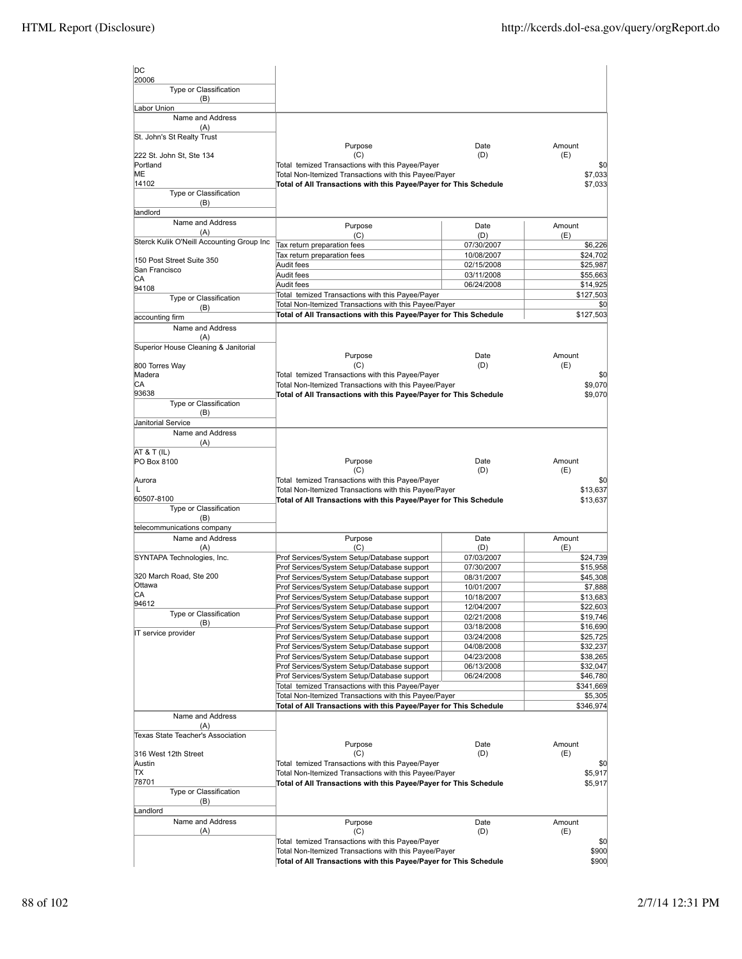| DC                                        |                                                                                                                            |                          |                       |
|-------------------------------------------|----------------------------------------------------------------------------------------------------------------------------|--------------------------|-----------------------|
| 20006<br>Type or Classification           |                                                                                                                            |                          |                       |
| (B)<br>Labor Union                        |                                                                                                                            |                          |                       |
| Name and Address                          |                                                                                                                            |                          |                       |
| (A)<br>St. John's St Realty Trust         |                                                                                                                            |                          |                       |
|                                           | Purpose                                                                                                                    | Date                     | Amount                |
| 222 St. John St, Ste 134<br>Portland      | (C)<br>Total temized Transactions with this Payee/Payer                                                                    | (D)                      | (E)<br>\$0            |
| ME                                        | Total Non-Itemized Transactions with this Payee/Payer                                                                      |                          | \$7,033               |
| 14102<br>Type or Classification           | Total of All Transactions with this Payee/Payer for This Schedule                                                          |                          | \$7,033               |
| (B)                                       |                                                                                                                            |                          |                       |
| landlord<br>Name and Address              |                                                                                                                            |                          |                       |
| (A)                                       | Purpose<br>(C)                                                                                                             | Date<br>(D)              | Amount<br>(E)         |
| Sterck Kulik O'Neill Accounting Group Inc | Tax return preparation fees                                                                                                | 07/30/2007               | \$6,226               |
| 150 Post Street Suite 350                 | Tax return preparation fees                                                                                                | 10/08/2007               | \$24,702              |
| San Francisco                             | Audit fees<br>Audit fees                                                                                                   | 02/15/2008               | \$25,987              |
| СA                                        | Audit fees                                                                                                                 | 03/11/2008<br>06/24/2008 | \$55,663<br>\$14,925  |
| 94108<br>Type or Classification           | Total temized Transactions with this Payee/Payer                                                                           |                          | \$127,503             |
| (B)                                       | Total Non-Itemized Transactions with this Payee/Payer                                                                      |                          | \$0                   |
| accounting firm                           | Total of All Transactions with this Payee/Payer for This Schedule                                                          |                          | \$127,503             |
| Name and Address<br>(A)                   |                                                                                                                            |                          |                       |
| Superior House Cleaning & Janitorial      |                                                                                                                            |                          |                       |
|                                           | Purpose                                                                                                                    | Date                     | Amount                |
| 800 Torres Way<br>Madera                  | (C)                                                                                                                        | (D)                      | (E)                   |
| СA                                        | Total temized Transactions with this Payee/Payer<br>Total Non-Itemized Transactions with this Payee/Payer                  |                          | \$0<br>\$9,070        |
| 93638                                     | Total of All Transactions with this Payee/Payer for This Schedule                                                          |                          | \$9,070               |
| Type or Classification<br>(B)             |                                                                                                                            |                          |                       |
| Janitorial Service                        |                                                                                                                            |                          |                       |
| Name and Address                          |                                                                                                                            |                          |                       |
| (A)                                       |                                                                                                                            |                          |                       |
| AT & T (IL)<br>PO Box 8100                | Purpose                                                                                                                    | Date                     | Amount                |
|                                           | (C)                                                                                                                        | (D)                      | (E)                   |
| Aurora<br>L                               | Total temized Transactions with this Payee/Payer                                                                           |                          | \$0                   |
| 60507-8100                                | Total Non-Itemized Transactions with this Payee/Payer<br>Total of All Transactions with this Payee/Payer for This Schedule |                          | \$13,637<br>\$13,637  |
| Type or Classification                    |                                                                                                                            |                          |                       |
| (B)<br>telecommunications company         |                                                                                                                            |                          |                       |
| Name and Address                          | Purpose                                                                                                                    | Date                     | Amount                |
| (A)                                       | (C)                                                                                                                        | (D)                      | (E)                   |
| SYNTAPA Technologies, Inc.                | Prof Services/System Setup/Database support                                                                                | 07/03/2007               | \$24,739              |
| 320 March Road, Ste 200                   | Prof Services/System Setup/Database support<br>Prof Services/System Setup/Database support                                 | 07/30/2007<br>08/31/2007 | \$15,958<br>\$45,308  |
| Ottawa                                    | Prof Services/System Setup/Database support                                                                                | 10/01/2007               | \$7,888               |
| СA                                        | Prof Services/System Setup/Database support                                                                                | 10/18/2007               | \$13,683              |
| 94612<br>Type or Classification           | Prof Services/System Setup/Database support                                                                                | 12/04/2007               | \$22,603              |
| (B)                                       | Prof Services/System Setup/Database support<br>Prof Services/System Setup/Database support                                 | 02/21/2008<br>03/18/2008 | \$19,746<br>\$16,690  |
| IT service provider                       | Prof Services/System Setup/Database support                                                                                | 03/24/2008               | \$25,725              |
|                                           | Prof Services/System Setup/Database support                                                                                | 04/08/2008               | \$32,237              |
|                                           | Prof Services/System Setup/Database support                                                                                | 04/23/2008               | \$38,265              |
|                                           | Prof Services/System Setup/Database support                                                                                | 06/13/2008<br>06/24/2008 | \$32,047              |
|                                           | Prof Services/System Setup/Database support<br>Total temized Transactions with this Payee/Payer                            |                          | \$46,780<br>\$341,669 |
|                                           | Total Non-Itemized Transactions with this Payee/Payer                                                                      |                          | \$5,305               |
|                                           | Total of All Transactions with this Payee/Payer for This Schedule                                                          |                          | \$346,974             |
| Name and Address<br>(A)                   |                                                                                                                            |                          |                       |
| Texas State Teacher's Association         |                                                                                                                            |                          |                       |
|                                           | Purpose                                                                                                                    | Date                     | Amount                |
| 316 West 12th Street<br>Austin            | (C)<br>Total temized Transactions with this Payee/Payer                                                                    | (D)                      | (E)<br>\$0            |
| TХ                                        | Total Non-Itemized Transactions with this Payee/Payer                                                                      |                          | \$5,917               |
| 78701                                     | Total of All Transactions with this Payee/Payer for This Schedule                                                          |                          | \$5,917               |
| Type or Classification<br>(B)             |                                                                                                                            |                          |                       |
| _andlord                                  |                                                                                                                            |                          |                       |
| Name and Address                          | Purpose                                                                                                                    | Date                     | Amount                |
| (A)                                       | (C)                                                                                                                        | (D)                      | (E)                   |
|                                           | Total temized Transactions with this Payee/Payer<br>Total Non-Itemized Transactions with this Payee/Payer                  |                          | \$0<br>\$900          |
|                                           | Total of All Transactions with this Payee/Payer for This Schedule                                                          |                          | \$900                 |
|                                           |                                                                                                                            |                          |                       |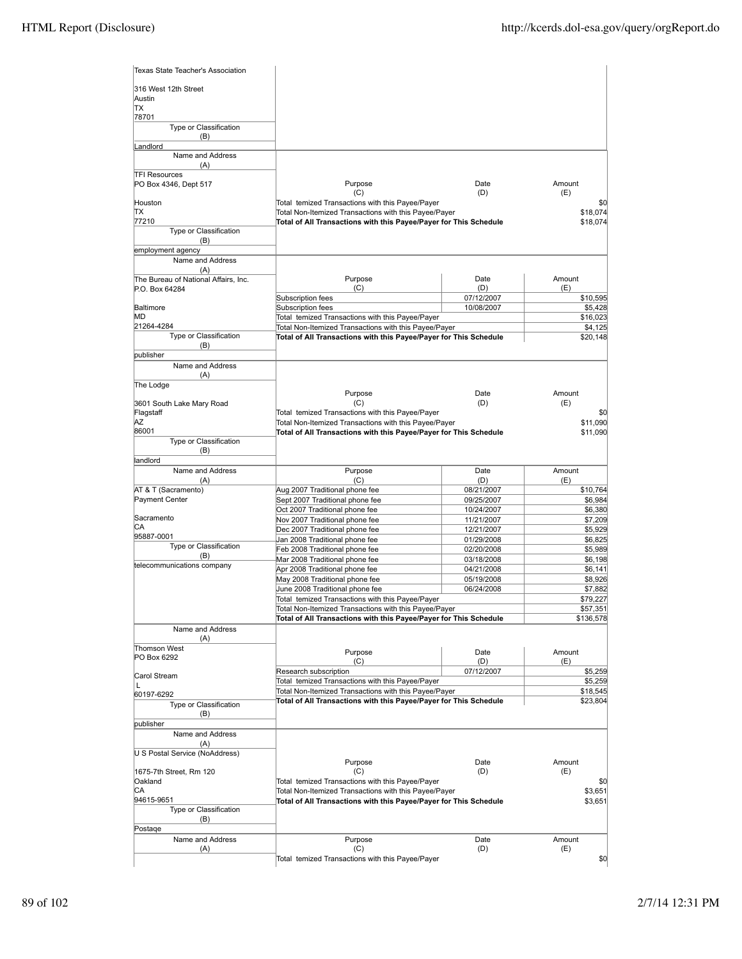| Texas State Teacher's Association     |                                                                                                                            |                          |                      |
|---------------------------------------|----------------------------------------------------------------------------------------------------------------------------|--------------------------|----------------------|
| 316 West 12th Street<br>Austin        |                                                                                                                            |                          |                      |
| <b>TX</b>                             |                                                                                                                            |                          |                      |
| 78701<br>Type or Classification       |                                                                                                                            |                          |                      |
| (B)<br>Landlord                       |                                                                                                                            |                          |                      |
| Name and Address<br>(A)               |                                                                                                                            |                          |                      |
| <b>TFI Resources</b>                  |                                                                                                                            |                          |                      |
| PO Box 4346, Dept 517                 | Purpose<br>(C)                                                                                                             | Date<br>(D)              | Amount<br>(E)        |
| Houston                               | Total temized Transactions with this Payee/Payer                                                                           |                          | \$0                  |
| ΠX<br>77210                           | Total Non-Itemized Transactions with this Payee/Payer<br>Total of All Transactions with this Payee/Payer for This Schedule |                          | \$18,074             |
| Type or Classification                |                                                                                                                            |                          | \$18,074             |
| (B)<br>employment agency              |                                                                                                                            |                          |                      |
| Name and Address                      |                                                                                                                            |                          |                      |
| (A)                                   |                                                                                                                            |                          |                      |
| The Bureau of National Affairs, Inc.  | Purpose                                                                                                                    | Date                     | Amount<br>(E)        |
| P.O. Box 64284                        | (C)<br>Subscription fees                                                                                                   | (D)<br>07/12/2007        | \$10,595             |
| Baltimore                             | Subscription fees                                                                                                          | 10/08/2007               | \$5,428              |
| MD                                    | Total temized Transactions with this Payee/Payer                                                                           |                          | \$16,023             |
| 21264-4284                            | Total Non-Itemized Transactions with this Payee/Payer                                                                      |                          | \$4,125              |
| Type or Classification                | Total of All Transactions with this Payee/Payer for This Schedule                                                          |                          | \$20,148             |
| (B)<br>publisher                      |                                                                                                                            |                          |                      |
| Name and Address                      |                                                                                                                            |                          |                      |
| (A)<br>The Lodge                      |                                                                                                                            |                          |                      |
|                                       | Purpose                                                                                                                    | Date                     | Amount               |
| 3601 South Lake Mary Road             | (C)                                                                                                                        | (D)                      | (E)                  |
| Flagstaff                             | Total temized Transactions with this Payee/Payer                                                                           |                          | \$0                  |
| AZ<br>86001                           | Total Non-Itemized Transactions with this Payee/Payer                                                                      |                          | \$11,090             |
| Type or Classification                | Total of All Transactions with this Payee/Payer for This Schedule                                                          |                          | \$11,090             |
| (B)<br>landlord                       |                                                                                                                            |                          |                      |
| Name and Address                      | Purpose                                                                                                                    | Date                     | Amount               |
| (A)                                   | (C)                                                                                                                        | (D)                      | (E)                  |
| AT & T (Sacramento)<br>Payment Center | Aug 2007 Traditional phone fee<br>Sept 2007 Traditional phone fee                                                          | 08/21/2007<br>09/25/2007 | \$10,764<br>\$6,984  |
|                                       | Oct 2007 Traditional phone fee                                                                                             | 10/24/2007               | \$6,380              |
| Sacramento                            | Nov 2007 Traditional phone fee                                                                                             | 11/21/2007               | \$7,209              |
| СA                                    | Dec 2007 Traditional phone fee                                                                                             | 12/21/2007               | \$5,929              |
| 95887-0001                            | Jan 2008 Traditional phone fee                                                                                             | 01/29/2008               | \$6,825              |
| Type or Classification                | Feb 2008 Traditional phone fee                                                                                             | 02/20/2008               | \$5,989              |
| (B)                                   | Mar 2008 Traditional phone fee                                                                                             | 03/18/2008               | \$6,198              |
| telecommunications company            | Apr 2008 Traditional phone fee                                                                                             | 04/21/2008               | \$6,141              |
|                                       | May 2008 Traditional phone fee                                                                                             | 05/19/2008               | \$8,926              |
|                                       | June 2008 Traditional phone fee                                                                                            | 06/24/2008               | \$7,882              |
|                                       | Total temized Transactions with this Payee/Payer<br>Total Non-Itemized Transactions with this Payee/Payer                  |                          | \$79,227<br>\$57,351 |
|                                       | Total of All Transactions with this Payee/Payer for This Schedule                                                          |                          | \$136,578            |
| Name and Address                      |                                                                                                                            |                          |                      |
| (A)<br><b>Thomson West</b>            |                                                                                                                            |                          |                      |
| PO Box 6292                           | Purpose                                                                                                                    | Date                     | Amount               |
|                                       | (C)<br>Research subscription                                                                                               | (D)<br>07/12/2007        | (E)<br>\$5,259       |
| Carol Stream                          | Total temized Transactions with this Payee/Payer                                                                           |                          | \$5,259              |
| L                                     | Total Non-Itemized Transactions with this Payee/Payer                                                                      |                          | \$18,545             |
| 60197-6292<br>Type or Classification  | Total of All Transactions with this Payee/Payer for This Schedule                                                          |                          | \$23,804             |
| (B)                                   |                                                                                                                            |                          |                      |
| publisher                             |                                                                                                                            |                          |                      |
| Name and Address                      |                                                                                                                            |                          |                      |
| (A)                                   |                                                                                                                            |                          |                      |
| U S Postal Service (NoAddress)        |                                                                                                                            |                          |                      |
| 1675-7th Street, Rm 120               | Purpose<br>(C)                                                                                                             | Date<br>(D)              | Amount<br>(E)        |
| Oakland                               | Total temized Transactions with this Payee/Payer                                                                           |                          | \$0                  |
| СA                                    | Total Non-Itemized Transactions with this Payee/Payer                                                                      |                          | \$3,651              |
| 94615-9651                            | Total of All Transactions with this Payee/Payer for This Schedule                                                          |                          | \$3,651              |
| Type or Classification                |                                                                                                                            |                          |                      |
| (B)                                   |                                                                                                                            |                          |                      |
| Postage                               |                                                                                                                            |                          |                      |
| Name and Address                      | Purpose<br>(C)                                                                                                             | Date<br>(D)              | Amount<br>(E)        |
| (A)                                   | Total temized Transactions with this Payee/Payer                                                                           |                          | \$0                  |
|                                       |                                                                                                                            |                          |                      |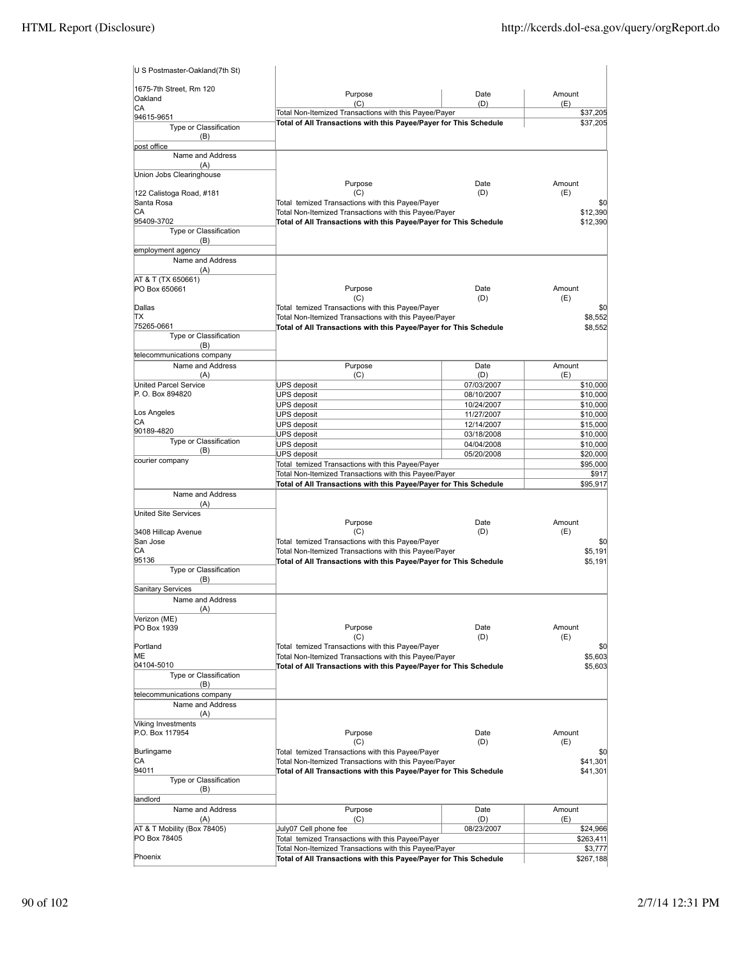| U S Postmaster-Oakland(7th St)       |                                                                                                           |             |                 |
|--------------------------------------|-----------------------------------------------------------------------------------------------------------|-------------|-----------------|
| 1675-7th Street, Rm 120              | Purpose                                                                                                   | Date        | Amount          |
| Oakland                              | (C)                                                                                                       | (D)         | (E)             |
| CA                                   | Total Non-Itemized Transactions with this Payee/Payer                                                     |             | \$37,205        |
| 94615-9651<br>Type or Classification | Total of All Transactions with this Payee/Payer for This Schedule                                         |             | \$37,205        |
| (B)                                  |                                                                                                           |             |                 |
| post office                          |                                                                                                           |             |                 |
| Name and Address                     |                                                                                                           |             |                 |
| (A)                                  |                                                                                                           |             |                 |
| Union Jobs Clearinghouse             |                                                                                                           |             |                 |
| 122 Calistoga Road, #181             | Purpose<br>(C)                                                                                            | Date<br>(D) | Amount<br>(E)   |
| Santa Rosa                           | Total temized Transactions with this Payee/Payer                                                          |             | \$0             |
| CА                                   | Total Non-Itemized Transactions with this Payee/Payer                                                     |             | \$12,390        |
| 95409-3702                           | Total of All Transactions with this Payee/Payer for This Schedule                                         |             | \$12,390        |
| Type or Classification               |                                                                                                           |             |                 |
| (B)                                  |                                                                                                           |             |                 |
| employment agency                    |                                                                                                           |             |                 |
| Name and Address                     |                                                                                                           |             |                 |
| (A)                                  |                                                                                                           |             |                 |
| AT & T (TX 650661)<br>PO Box 650661  | Purpose                                                                                                   | Date        | Amount          |
|                                      | (C)                                                                                                       | (D)         | (E)             |
| Dallas                               | Total temized Transactions with this Payee/Payer                                                          |             | \$0             |
| ΠX                                   | Total Non-Itemized Transactions with this Payee/Payer                                                     |             | \$8,552         |
| 75265-0661                           | Total of All Transactions with this Payee/Payer for This Schedule                                         |             | \$8,552         |
| Type or Classification               |                                                                                                           |             |                 |
| (B)                                  |                                                                                                           |             |                 |
| telecommunications company           |                                                                                                           |             |                 |
| Name and Address<br>(A)              | Purpose<br>(C)                                                                                            | Date<br>(D) | Amount<br>(E)   |
| United Parcel Service                | <b>UPS deposit</b>                                                                                        | 07/03/2007  | \$10,000        |
| P. O. Box 894820                     | <b>UPS</b> deposit                                                                                        | 08/10/2007  | \$10,000        |
|                                      | UPS deposit                                                                                               | 10/24/2007  | \$10,000        |
| Los Angeles                          | <b>UPS deposit</b>                                                                                        | 11/27/2007  | \$10,000        |
| СA                                   | <b>UPS deposit</b>                                                                                        | 12/14/2007  | \$15,000        |
| 90189-4820                           | UPS deposit                                                                                               | 03/18/2008  | \$10,000        |
| Type or Classification               | <b>UPS deposit</b>                                                                                        | 04/04/2008  | \$10,000        |
| (B)<br>courier company               | UPS deposit                                                                                               | 05/20/2008  | \$20,000        |
|                                      | Total temized Transactions with this Payee/Payer                                                          |             | \$95,000        |
|                                      | Total Non-Itemized Transactions with this Payee/Payer                                                     |             | \$917           |
|                                      | Total of All Transactions with this Payee/Payer for This Schedule                                         |             | \$95,917        |
| Name and Address<br>(A)              |                                                                                                           |             |                 |
| United Site Services                 |                                                                                                           |             |                 |
|                                      | Purpose                                                                                                   | Date        | Amount          |
| 3408 Hillcap Avenue                  | (C)                                                                                                       | (D)         | (E)             |
| San Jose                             | Total temized Transactions with this Payee/Payer                                                          |             | \$0             |
| СA                                   | Total Non-Itemized Transactions with this Payee/Payer                                                     |             | \$5,191         |
| 95136                                | Total of All Transactions with this Payee/Payer for This Schedule                                         |             | \$5,191         |
| Type or Classification               |                                                                                                           |             |                 |
| (B)<br>Sanitary Services             |                                                                                                           |             |                 |
| Name and Address                     |                                                                                                           |             |                 |
| (A)                                  |                                                                                                           |             |                 |
| Verizon (ME)                         |                                                                                                           |             |                 |
| PO Box 1939                          | Purpose                                                                                                   | Date        | Amount          |
|                                      | (C)                                                                                                       | (D)         | (E)             |
| Portland                             | Total temized Transactions with this Payee/Payer                                                          |             | \$0             |
| MЕ                                   | Total Non-Itemized Transactions with this Payee/Payer                                                     |             | \$5,603         |
| 04104-5010<br>Type or Classification | Total of All Transactions with this Payee/Payer for This Schedule                                         |             | \$5,603         |
| (B)                                  |                                                                                                           |             |                 |
| telecommunications company           |                                                                                                           |             |                 |
| Name and Address                     |                                                                                                           |             |                 |
| (A)                                  |                                                                                                           |             |                 |
| Viking Investments                   |                                                                                                           |             |                 |
| P.O. Box 117954                      | Purpose                                                                                                   | Date        | Amount          |
|                                      | (C)                                                                                                       | (D)         | (E)             |
| Burlingame<br>СA                     | Total temized Transactions with this Payee/Payer<br>Total Non-Itemized Transactions with this Payee/Payer |             | \$0<br>\$41,301 |
| 94011                                |                                                                                                           |             |                 |
| Type or Classification               | Total of All Transactions with this Payee/Payer for This Schedule                                         |             | \$41,301        |
| (B)                                  |                                                                                                           |             |                 |
| landlord                             |                                                                                                           |             |                 |
| Name and Address                     | Purpose                                                                                                   | Date        | Amount          |
| (A)                                  | (C)                                                                                                       | (D)         | (E)             |
| AT & T Mobility (Box 78405)          | July07 Cell phone fee                                                                                     | 08/23/2007  | \$24,966        |
| PO Box 78405                         | Total temized Transactions with this Payee/Payer                                                          |             | \$263,411       |
| Phoenix                              | Total Non-Itemized Transactions with this Payee/Payer                                                     |             | \$3,777         |
|                                      | Total of All Transactions with this Payee/Payer for This Schedule                                         |             | \$267,188       |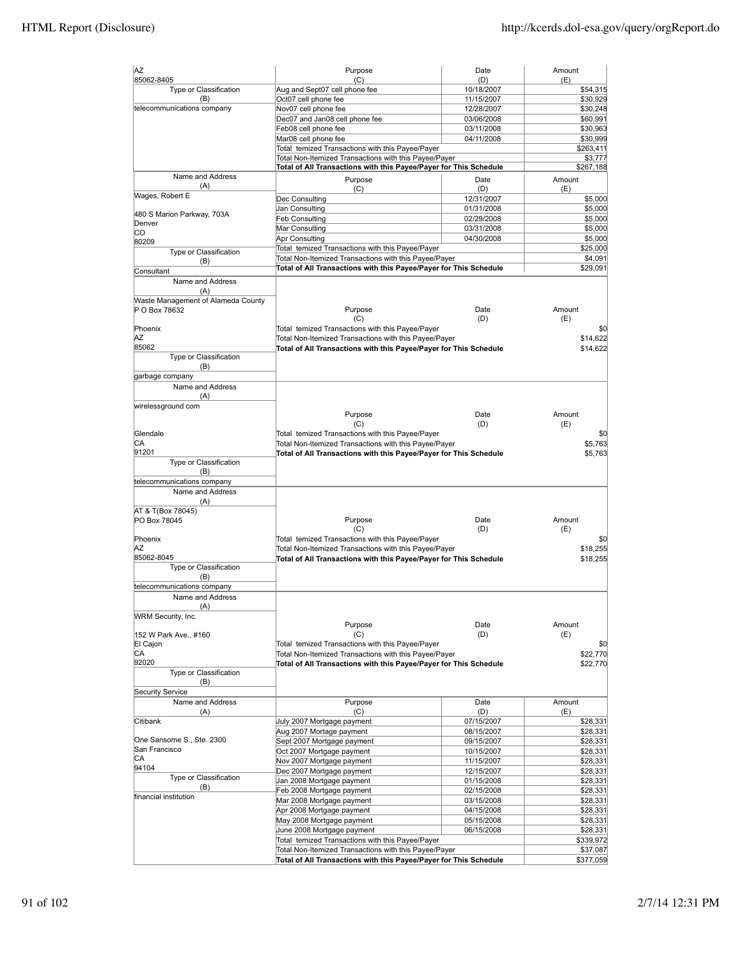| AZ                                 | Purpose                                                           | Date       | Amount    |
|------------------------------------|-------------------------------------------------------------------|------------|-----------|
| 85062-8405                         | (C)                                                               | (D)        | (E)       |
| Type or Classification             | Aug and Sept07 cell phone fee                                     | 10/18/2007 | \$54,315  |
| (B)                                | Oct07 cell phone fee                                              | 11/15/2007 | \$30,929  |
| telecommunications company         | Nov07 cell phone fee                                              | 12/28/2007 | \$30,248  |
|                                    | Dec07 and Jan08 cell phone fee                                    | 03/06/2008 | \$60,991  |
|                                    | Feb08 cell phone fee                                              | 03/11/2008 | \$30,963  |
|                                    | Mar08 cell phone fee                                              | 04/11/2008 | \$30,999  |
|                                    | Total temized Transactions with this Payee/Payer                  |            | \$263,411 |
|                                    | Total Non-Itemized Transactions with this Payee/Payer             |            | \$3,777   |
|                                    | Total of All Transactions with this Payee/Payer for This Schedule |            | \$267,188 |
| Name and Address                   | Purpose                                                           | Date       | Amount    |
| (A)                                | (C)                                                               | (D)        | (E)       |
| Wages, Robert E                    | Dec Consulting                                                    | 12/31/2007 | \$5,000   |
|                                    | Jan Consulting                                                    | 01/31/2008 | \$5,000   |
| 480 S Marion Parkway, 703A         | Feb Consulting                                                    | 02/29/2008 | \$5,000   |
| Denver                             | Mar Consulting                                                    | 03/31/2008 | \$5,000   |
| lсо                                | Apr Consulting                                                    | 04/30/2008 | \$5,000   |
| 80209                              | Total temized Transactions with this Payee/Payer                  |            | \$25,000  |
| Type or Classification             | Total Non-Itemized Transactions with this Payee/Payer             |            | \$4,091   |
| (B)                                | Total of All Transactions with this Payee/Payer for This Schedule |            | \$29,091  |
| Consultant                         |                                                                   |            |           |
| Name and Address                   |                                                                   |            |           |
| (A)                                |                                                                   |            |           |
| Waste Management of Alameda County |                                                                   |            |           |
| P O Box 78632                      | Purpose                                                           | Date       | Amount    |
|                                    | (C)                                                               | (D)        | (E)       |
| Phoenix                            | Total temized Transactions with this Payee/Payer                  |            | \$0       |
| ΑZ                                 | Total Non-Itemized Transactions with this Payee/Payer             |            | \$14,622  |
| 85062                              | Total of All Transactions with this Payee/Payer for This Schedule |            | \$14,622  |
| Type or Classification             |                                                                   |            |           |
| (B)                                |                                                                   |            |           |
| garbage company                    |                                                                   |            |           |
| Name and Address                   |                                                                   |            |           |
| (A)                                |                                                                   |            |           |
| wirelessground com                 |                                                                   |            |           |
|                                    | Purpose                                                           | Date       | Amount    |
|                                    | (C)                                                               | (D)        | (E)       |
| Glendale                           | Total temized Transactions with this Payee/Payer                  |            | \$0       |
| СA                                 | Total Non-Itemized Transactions with this Payee/Payer             |            | \$5,763   |
| 91201                              | Total of All Transactions with this Payee/Payer for This Schedule |            | \$5,763   |
| Type or Classification             |                                                                   |            |           |
| (B)                                |                                                                   |            |           |
| telecommunications company         |                                                                   |            |           |
| Name and Address                   |                                                                   |            |           |
| (A)                                |                                                                   |            |           |
| AT & T(Box 78045)                  |                                                                   |            |           |
| PO Box 78045                       | Purpose                                                           | Date       | Amount    |
|                                    | (C)                                                               | (D)        | (E)       |
| Phoenix                            | Total temized Transactions with this Payee/Payer                  |            | \$0       |
| ΑZ                                 | Total Non-Itemized Transactions with this Payee/Payer             |            | \$18,255  |
| 85062-8045                         | Total of All Transactions with this Payee/Payer for This Schedule |            | \$18,255  |
| Type or Classification             |                                                                   |            |           |
| (B)                                |                                                                   |            |           |
| telecommunications company         |                                                                   |            |           |
| Name and Address                   |                                                                   |            |           |
| (A)                                |                                                                   |            |           |
| WRM Security, Inc.                 |                                                                   |            |           |
|                                    | Purpose                                                           | Date       | Amount    |
| 152 W Park Ave., #160              | (C)                                                               | (D)        | (E)       |
| El Cajon                           | Total temized Transactions with this Payee/Payer                  |            | \$0       |
| CA                                 | Total Non-Itemized Transactions with this Payee/Payer             |            | \$22,770  |
| 92020                              | Total of All Transactions with this Payee/Payer for This Schedule |            | \$22,770  |
| Type or Classification             |                                                                   |            |           |
| (B)                                |                                                                   |            |           |
| <b>Security Service</b>            |                                                                   |            |           |
| Name and Address                   | Purpose                                                           | Date       | Amount    |
| (A)                                | (C)                                                               | (D)        | (E)       |
| Citibank                           | July 2007 Mortgage payment                                        | 07/15/2007 | \$28,331  |
|                                    | Aug 2007 Mortage payment                                          | 08/15/2007 | \$28,331  |
| One Sansome S., Ste. 2300          | Sept 2007 Mortgage payment                                        | 09/15/2007 | \$28,331  |
| San Francisco                      | Oct 2007 Mortgage payment                                         | 10/15/2007 | \$28,331  |
| СA                                 | Nov 2007 Mortgage payment                                         | 11/15/2007 | \$28,331  |
| 94104                              | Dec 2007 Mortgage payment                                         | 12/15/2007 | \$28,331  |
| Type or Classification             | Jan 2008 Mortgage payment                                         | 01/15/2008 | \$28,331  |
| (B)                                | Feb 2008 Mortgage payment                                         | 02/15/2008 | \$28,331  |
| financial institution              | Mar 2008 Mortgage payment                                         | 03/15/2008 | \$28,331  |
|                                    | Apr 2008 Mortgage payment                                         |            |           |
|                                    |                                                                   | 04/15/2008 | \$28,331  |
|                                    | May 2008 Mortgage payment                                         | 05/15/2008 | \$28,331  |
|                                    | June 2008 Mortgage payment                                        | 06/15/2008 | \$28,331  |
|                                    | Total temized Transactions with this Payee/Payer                  |            | \$339,972 |
|                                    | Total Non-Itemized Transactions with this Payee/Payer             |            | \$37,087  |
|                                    | Total of All Transactions with this Payee/Payer for This Schedule |            | \$377,059 |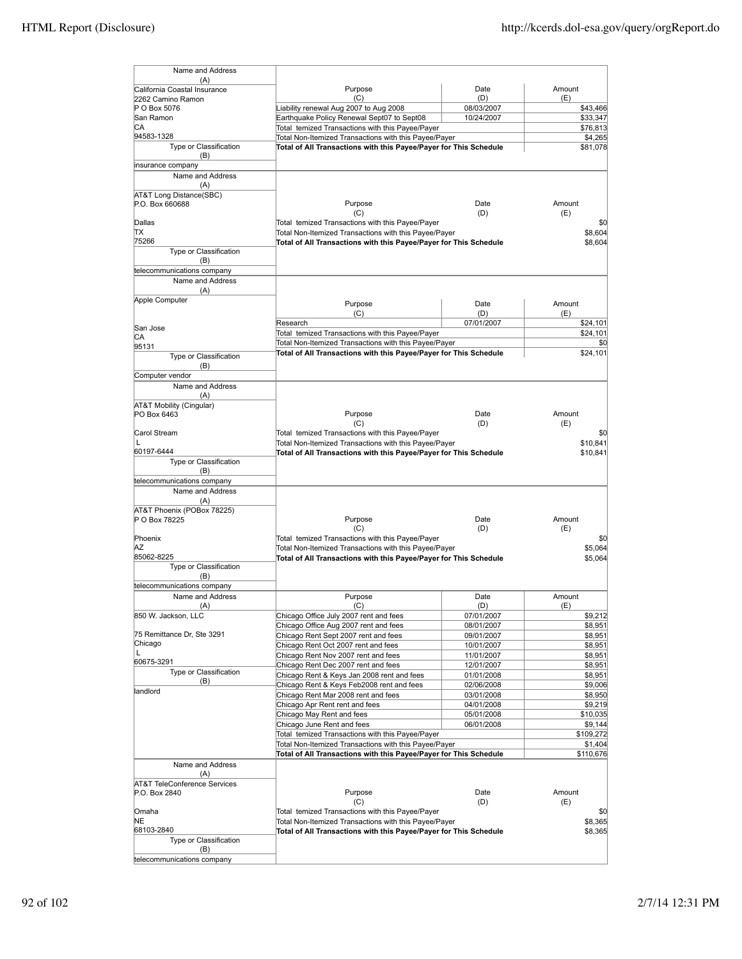| Name and Address                                  |                                                                               |                          |                    |
|---------------------------------------------------|-------------------------------------------------------------------------------|--------------------------|--------------------|
| (A)                                               | Purpose                                                                       | Date                     | Amount             |
| California Coastal Insurance<br>2262 Camino Ramon | (C)                                                                           | (D)                      | (E)                |
| P O Box 5076                                      | Liability renewal Aug 2007 to Aug 2008                                        | 08/03/2007               | \$43,466           |
| San Ramon                                         | Earthquake Policy Renewal Sept07 to Sept08                                    | 10/24/2007               | \$33,347           |
| СA                                                | Total temized Transactions with this Payee/Payer                              |                          | \$76,813           |
| 94583-1328<br>Type or Classification              | Total Non-Itemized Transactions with this Payee/Payer                         |                          | \$4,265            |
| (B)                                               | Total of All Transactions with this Payee/Payer for This Schedule             |                          | \$81,078           |
| insurance company                                 |                                                                               |                          |                    |
| Name and Address                                  |                                                                               |                          |                    |
| (A)                                               |                                                                               |                          |                    |
| AT&T Long Distance(SBC)                           |                                                                               |                          |                    |
| P.O. Box 660688                                   | Purpose<br>(C)                                                                | Date<br>(D)              | Amount<br>(E)      |
| Dallas                                            | Total temized Transactions with this Payee/Payer                              |                          | \$0                |
| lΤX                                               | Total Non-Itemized Transactions with this Payee/Payer                         |                          | \$8,604            |
| 75266                                             | Total of All Transactions with this Payee/Payer for This Schedule             |                          | \$8,604            |
| Type or Classification                            |                                                                               |                          |                    |
| (B)<br>telecommunications company                 |                                                                               |                          |                    |
| Name and Address                                  |                                                                               |                          |                    |
| (A)                                               |                                                                               |                          |                    |
| Apple Computer                                    | Purpose                                                                       | Date                     | Amount             |
|                                                   | (C)                                                                           | (D)                      | (E)                |
|                                                   | Research                                                                      | 07/01/2007               | \$24,101           |
| San Jose<br>CА                                    | Total temized Transactions with this Payee/Payer                              |                          | \$24,101           |
| 95131                                             | Total Non-Itemized Transactions with this Payee/Payer                         |                          | \$0                |
| Type or Classification                            | Total of All Transactions with this Payee/Payer for This Schedule             |                          | \$24,101           |
| (B)                                               |                                                                               |                          |                    |
| Computer vendor                                   |                                                                               |                          |                    |
| Name and Address<br>(A)                           |                                                                               |                          |                    |
| AT&T Mobility (Cingular)                          |                                                                               |                          |                    |
| PO Box 6463                                       | Purpose                                                                       | Date                     | Amount             |
|                                                   | (C)                                                                           | (D)                      | (E)                |
| Carol Stream                                      | Total temized Transactions with this Payee/Payer                              |                          | \$0                |
| L<br>60197-6444                                   | Total Non-Itemized Transactions with this Payee/Payer                         |                          | \$10,841           |
| Type or Classification                            | Total of All Transactions with this Payee/Payer for This Schedule             |                          | \$10,841           |
| (B)                                               |                                                                               |                          |                    |
| telecommunications company                        |                                                                               |                          |                    |
| Name and Address                                  |                                                                               |                          |                    |
| (A)<br>AT&T Phoenix (POBox 78225)                 |                                                                               |                          |                    |
| P O Box 78225                                     | Purpose                                                                       | Date                     | Amount             |
|                                                   | (C)                                                                           | (D)                      | (E)                |
| Phoenix                                           | Total temized Transactions with this Payee/Payer                              |                          | \$0                |
| ΑZ<br>85062-8225                                  | Total Non-Itemized Transactions with this Payee/Payer                         |                          | \$5,064            |
| Type or Classification                            | Total of All Transactions with this Payee/Payer for This Schedule             |                          | \$5,064            |
| (B)                                               |                                                                               |                          |                    |
| telecommunications company                        |                                                                               |                          |                    |
| Name and Address                                  | Purpose                                                                       | Date                     | Amount             |
| (A)                                               | (C)                                                                           | (D)                      | (E)                |
| 850 W. Jackson, LLC                               | Chicago Office July 2007 rent and fees                                        | 07/01/2007               | \$9,212            |
| 75 Remittance Dr, Ste 3291                        | Chicago Office Aug 2007 rent and fees<br>Chicago Rent Sept 2007 rent and fees | 08/01/2007<br>09/01/2007 | \$8,951<br>\$8,951 |
| Chicago                                           | Chicago Rent Oct 2007 rent and fees                                           | 10/01/2007               | \$8,951            |
| L                                                 | Chicago Rent Nov 2007 rent and fees                                           | 11/01/2007               | \$8,951            |
| 60675-3291                                        | Chicago Rent Dec 2007 rent and fees                                           | 12/01/2007               | \$8,951            |
| Type or Classification<br>(B)                     | Chicago Rent & Keys Jan 2008 rent and fees                                    | 01/01/2008               | \$8.951            |
| landlord                                          | Chicago Rent & Keys Feb2008 rent and fees                                     | 02/06/2008               | \$9,006            |
|                                                   | Chicago Rent Mar 2008 rent and fees<br>Chicago Apr Rent rent and fees         | 03/01/2008               | \$8,950<br>\$9,219 |
|                                                   | Chicago May Rent and fees                                                     | 04/01/2008<br>05/01/2008 | \$10,035           |
|                                                   | Chicago June Rent and fees                                                    | 06/01/2008               | \$9,144            |
|                                                   | Total temized Transactions with this Payee/Payer                              |                          | \$109,272          |
|                                                   | Total Non-Itemized Transactions with this Payee/Payer                         |                          | \$1,404            |
|                                                   | Total of All Transactions with this Payee/Payer for This Schedule             |                          | \$110,676          |
| Name and Address                                  |                                                                               |                          |                    |
| (A)<br><b>AT&amp;T TeleConference Services</b>    |                                                                               |                          |                    |
| P.O. Box 2840                                     | Purpose                                                                       | Date                     | Amount             |
|                                                   | (C)                                                                           | (D)                      | (E)                |
| Omaha                                             | Total temized Transactions with this Payee/Payer                              |                          | \$0                |
| NE<br>68103-2840                                  | Total Non-Itemized Transactions with this Payee/Payer                         |                          | \$8,365            |
| Type or Classification                            | Total of All Transactions with this Payee/Payer for This Schedule             |                          | \$8,365            |
| (B)                                               |                                                                               |                          |                    |
| telecommunications company                        |                                                                               |                          |                    |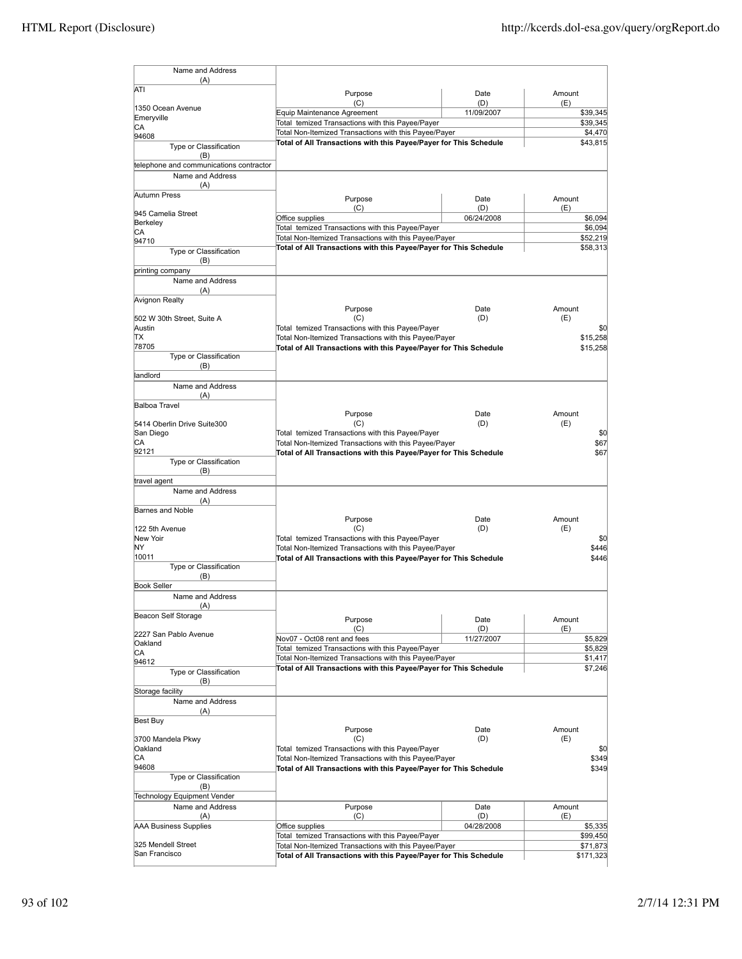| Name and Address                                |                                                                                                                            |             |                       |
|-------------------------------------------------|----------------------------------------------------------------------------------------------------------------------------|-------------|-----------------------|
| (A)                                             |                                                                                                                            |             |                       |
| ATI                                             | Purpose                                                                                                                    | Date        | Amount                |
| 1350 Ocean Avenue                               | (C)                                                                                                                        | (D)         | (E)                   |
| Emeryville                                      | Equip Maintenance Agreement<br>Total temized Transactions with this Payee/Payer                                            | 11/09/2007  | \$39,345<br>\$39,345  |
| CA<br>94608                                     | Total Non-Itemized Transactions with this Payee/Payer                                                                      |             | \$4,470               |
| Type or Classification                          | Total of All Transactions with this Payee/Payer for This Schedule                                                          |             | \$43,815              |
| (B)                                             |                                                                                                                            |             |                       |
| telephone and communications contractor         |                                                                                                                            |             |                       |
| Name and Address<br>(A)                         |                                                                                                                            |             |                       |
| Autumn Press                                    | Purpose                                                                                                                    | Date        | Amount                |
|                                                 | (C)                                                                                                                        | (D)         | (E)                   |
| 945 Camelia Street<br>Berkeley                  | Office supplies                                                                                                            | 06/24/2008  | \$6,094               |
| СA                                              | Total temized Transactions with this Payee/Payer                                                                           |             | \$6,094               |
| 94710                                           | Total Non-Itemized Transactions with this Payee/Payer<br>Total of All Transactions with this Payee/Payer for This Schedule |             | \$52,219<br>\$58,313  |
| Type or Classification<br>(B)                   |                                                                                                                            |             |                       |
| printing company                                |                                                                                                                            |             |                       |
| Name and Address                                |                                                                                                                            |             |                       |
| (A)                                             |                                                                                                                            |             |                       |
| Avignon Realty                                  | Purpose                                                                                                                    | Date        | Amount                |
| 502 W 30th Street, Suite A                      | (C)                                                                                                                        | (D)         | (E)                   |
| Austin                                          | Total temized Transactions with this Payee/Payer                                                                           |             | \$0                   |
| ΠX<br>78705                                     | Total Non-Itemized Transactions with this Payee/Payer                                                                      |             | \$15,258              |
| Type or Classification                          | Total of All Transactions with this Payee/Payer for This Schedule                                                          |             | \$15,258              |
| (B)                                             |                                                                                                                            |             |                       |
| landlord                                        |                                                                                                                            |             |                       |
| Name and Address<br>(A)                         |                                                                                                                            |             |                       |
| <b>Balboa Travel</b>                            |                                                                                                                            |             |                       |
|                                                 | Purpose                                                                                                                    | Date        | Amount                |
| 5414 Oberlin Drive Suite300<br>San Diego        | (C)<br>Total temized Transactions with this Payee/Payer                                                                    | (D)         | (E)<br>\$0            |
| СA                                              | Total Non-Itemized Transactions with this Payee/Payer                                                                      |             | \$67                  |
| 92121                                           | Total of All Transactions with this Payee/Payer for This Schedule                                                          |             | \$67                  |
| Type or Classification                          |                                                                                                                            |             |                       |
| (B)<br>travel agent                             |                                                                                                                            |             |                       |
| Name and Address                                |                                                                                                                            |             |                       |
| (A)                                             |                                                                                                                            |             |                       |
| Barnes and Noble                                | Purpose                                                                                                                    | Date        | Amount                |
| 122 5th Avenue                                  | (C)                                                                                                                        | (D)         | (E)                   |
| New Yoir                                        | Total temized Transactions with this Payee/Payer                                                                           |             | \$0                   |
| ΝY<br>10011                                     | Total Non-Itemized Transactions with this Payee/Payer                                                                      |             | \$446<br>\$446        |
| Type or Classification                          | Total of All Transactions with this Payee/Payer for This Schedule                                                          |             |                       |
| (B)                                             |                                                                                                                            |             |                       |
| <b>Book Seller</b>                              |                                                                                                                            |             |                       |
| Name and Address<br>$(\Delta)$                  |                                                                                                                            |             |                       |
| Beacon Self Storage                             | Purpose                                                                                                                    | Date        | Amount                |
|                                                 | (C)                                                                                                                        | (D)         | (E)                   |
| 2227 San Pablo Avenue<br>Oakland                | Nov07 - Oct08 rent and fees                                                                                                | 11/27/2007  | \$5,829               |
| CA                                              | Total temized Transactions with this Payee/Payer                                                                           |             | \$5,829               |
| 94612                                           | Total Non-Itemized Transactions with this Payee/Payer<br>Total of All Transactions with this Payee/Payer for This Schedule |             | \$1,417<br>\$7,246    |
| Type or Classification<br>(B)                   |                                                                                                                            |             |                       |
| Storage facility                                |                                                                                                                            |             |                       |
| Name and Address                                |                                                                                                                            |             |                       |
| (A)                                             |                                                                                                                            |             |                       |
| Best Buy                                        | Purpose                                                                                                                    | Date        | Amount                |
| 3700 Mandela Pkwy                               | (C)                                                                                                                        | (D)         | (E)                   |
| Oakland                                         | Total temized Transactions with this Payee/Payer                                                                           |             | \$0                   |
| CA<br>94608                                     | Total Non-Itemized Transactions with this Payee/Payer<br>Total of All Transactions with this Payee/Payer for This Schedule |             | \$349<br>\$349        |
| Type or Classification                          |                                                                                                                            |             |                       |
| (B)                                             |                                                                                                                            |             |                       |
| Technology Equipment Vender<br>Name and Address |                                                                                                                            |             |                       |
| (A)                                             | Purpose<br>(C)                                                                                                             | Date<br>(D) | Amount<br>(E)         |
| AAA Business Supplies                           | Office supplies                                                                                                            | 04/28/2008  | \$5,335               |
|                                                 | Total temized Transactions with this Payee/Payer                                                                           |             | \$99,450              |
| 325 Mendell Street<br>San Francisco             | Total Non-Itemized Transactions with this Payee/Payer<br>Total of All Transactions with this Payee/Payer for This Schedule |             | \$71,873<br>\$171,323 |
|                                                 |                                                                                                                            |             |                       |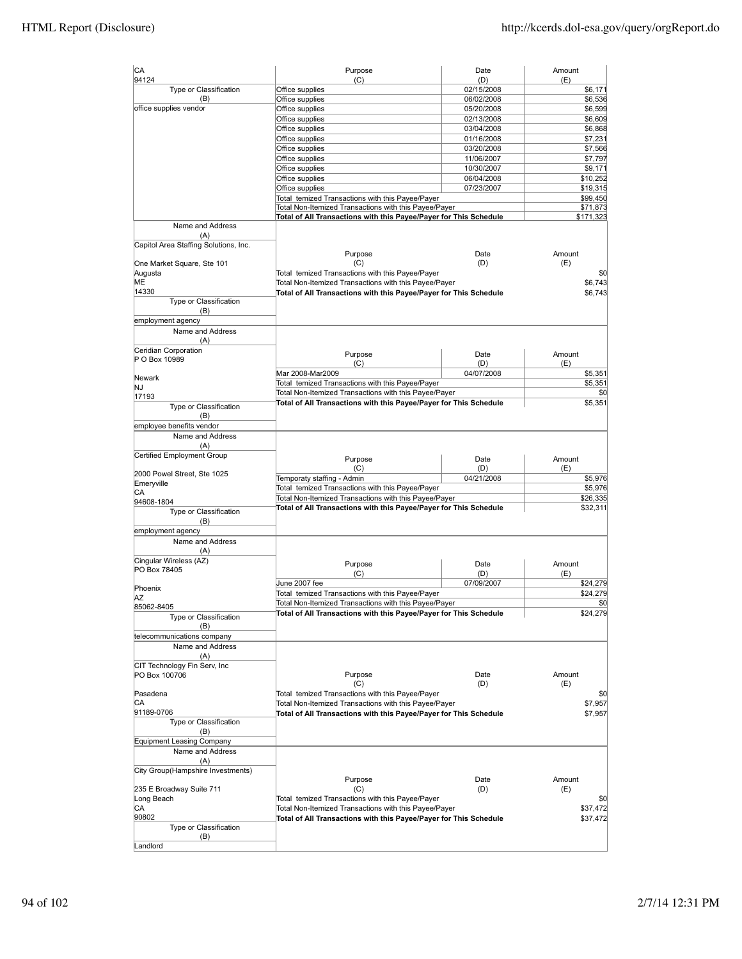| CA                                           | Purpose                                                           | Date              | Amount         |
|----------------------------------------------|-------------------------------------------------------------------|-------------------|----------------|
| 94124<br>Type or Classification              | (C)<br>Office supplies                                            | (D)<br>02/15/2008 | (E)<br>\$6,171 |
| (B)                                          | Office supplies                                                   | 06/02/2008        | \$6,536        |
| office supplies vendor                       | Office supplies                                                   | 05/20/2008        | \$6,599        |
|                                              | Office supplies                                                   | 02/13/2008        | \$6,609        |
|                                              | Office supplies                                                   | 03/04/2008        | \$6,868        |
|                                              | Office supplies                                                   | 01/16/2008        | \$7,231        |
|                                              | Office supplies                                                   | 03/20/2008        | \$7,566        |
|                                              | Office supplies                                                   | 11/06/2007        | \$7,797        |
|                                              | Office supplies                                                   | 10/30/2007        | \$9,171        |
|                                              | Office supplies                                                   | 06/04/2008        | \$10,252       |
|                                              | Office supplies                                                   | 07/23/2007        | \$19,315       |
|                                              | Total temized Transactions with this Payee/Payer                  |                   | \$99,450       |
|                                              | Total Non-Itemized Transactions with this Payee/Payer             |                   | \$71,873       |
|                                              | Total of All Transactions with this Payee/Payer for This Schedule |                   | \$171,323      |
| Name and Address                             |                                                                   |                   |                |
| (A)<br>Capitol Area Staffing Solutions, Inc. |                                                                   |                   |                |
|                                              | Purpose                                                           | Date              | Amount         |
| One Market Square, Ste 101                   | (C)                                                               | (D)               | (E)            |
| Augusta                                      | Total temized Transactions with this Payee/Payer                  |                   | \$0            |
| ME                                           | Total Non-Itemized Transactions with this Payee/Payer             |                   | \$6,743        |
| 14330                                        | Total of All Transactions with this Payee/Payer for This Schedule |                   | \$6,743        |
| Type or Classification                       |                                                                   |                   |                |
| (B)<br>employment agency                     |                                                                   |                   |                |
| Name and Address                             |                                                                   |                   |                |
| (A)                                          |                                                                   |                   |                |
| Ceridian Corporation                         |                                                                   |                   |                |
| P O Box 10989                                | Purpose                                                           | Date              | Amount         |
|                                              | (C)                                                               | (D)               | (E)            |
| Newark                                       | Mar 2008-Mar2009                                                  | 04/07/2008        | \$5,351        |
| NJ                                           | Total temized Transactions with this Payee/Payer                  |                   | \$5,351        |
| 17193                                        | Total Non-Itemized Transactions with this Payee/Payer             |                   | \$0            |
| Type or Classification                       | Total of All Transactions with this Payee/Payer for This Schedule |                   | \$5,351        |
| (B)                                          |                                                                   |                   |                |
| employee benefits vendor                     |                                                                   |                   |                |
| Name and Address                             |                                                                   |                   |                |
| (A)                                          |                                                                   |                   |                |
| Certified Employment Group                   | Purpose                                                           | Date              | Amount         |
|                                              | (C)                                                               | (D)               | (E)            |
| 2000 Powel Street, Ste 1025                  | Temporaty staffing - Admin                                        | 04/21/2008        | \$5,976        |
| Emeryville                                   | Total temized Transactions with this Payee/Payer                  |                   | \$5,976        |
| CА                                           | Total Non-Itemized Transactions with this Payee/Payer             |                   | \$26,335       |
| 94608-1804                                   | Total of All Transactions with this Payee/Payer for This Schedule |                   | \$32,311       |
| Type or Classification                       |                                                                   |                   |                |
| (B)                                          |                                                                   |                   |                |
| employment agency                            |                                                                   |                   |                |
| Name and Address                             |                                                                   |                   |                |
| (A)                                          |                                                                   |                   |                |
| Cingular Wireless (AZ)                       | Purpose                                                           | Date              | Amount         |
| PO Box 78405                                 | (C)                                                               | (D)               | (E)            |
|                                              | June 2007 fee                                                     | 07/09/2007        | \$24,279       |
| Phoenix                                      | Total temized Transactions with this Payee/Payer                  |                   | \$24,279       |
| ΙAΖ                                          | Total Non-Itemized Transactions with this Payee/Payer             |                   | \$0            |
| 85062-8405                                   | Total of All Transactions with this Payee/Payer for This Schedule |                   | \$24,279       |
| Type or Classification<br>(B)                |                                                                   |                   |                |
| telecommunications company                   |                                                                   |                   |                |
| Name and Address                             |                                                                   |                   |                |
| (A)                                          |                                                                   |                   |                |
| CIT Technology Fin Serv, Inc.                |                                                                   |                   |                |
| PO Box 100706                                | Purpose                                                           | Date              | Amount         |
|                                              | (C)                                                               | (D)               | (E)            |
| Pasadena                                     | Total temized Transactions with this Payee/Payer                  |                   | \$0            |
| CА                                           | Total Non-Itemized Transactions with this Payee/Payer             |                   | \$7,957        |
| 91189-0706                                   | Total of All Transactions with this Payee/Payer for This Schedule |                   | \$7,957        |
| Type or Classification                       |                                                                   |                   |                |
| (B)                                          |                                                                   |                   |                |
| <b>Equipment Leasing Company</b>             |                                                                   |                   |                |
| Name and Address                             |                                                                   |                   |                |
| (A)                                          |                                                                   |                   |                |
| City Group(Hampshire Investments)            |                                                                   |                   |                |
|                                              | Purpose                                                           | Date              | Amount         |
| 235 E Broadway Suite 711                     | (C)                                                               | (D)               | (E)            |
| Long Beach                                   | Total temized Transactions with this Payee/Payer                  |                   | \$0            |
| CA                                           |                                                                   |                   |                |
| 90802                                        | Total Non-Itemized Transactions with this Payee/Payer             |                   | \$37,472       |
|                                              | Total of All Transactions with this Payee/Payer for This Schedule |                   | \$37,472       |
| Type or Classification<br>(B)                |                                                                   |                   |                |
| Landlord                                     |                                                                   |                   |                |
|                                              |                                                                   |                   |                |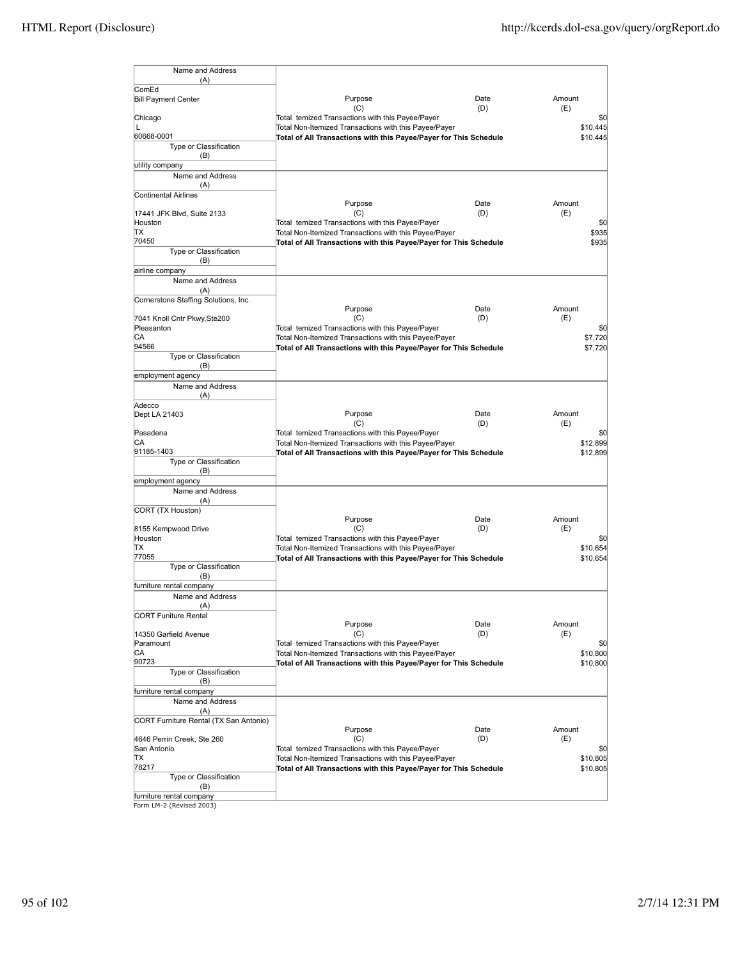| Name and Address                            |                                                                                                                            |             |                      |
|---------------------------------------------|----------------------------------------------------------------------------------------------------------------------------|-------------|----------------------|
| (A)<br>ComEd                                |                                                                                                                            |             |                      |
| <b>Bill Payment Center</b>                  | Purpose                                                                                                                    | Date        | Amount               |
| Chicago                                     | (C)<br>Total temized Transactions with this Payee/Payer                                                                    | (D)         | (E)<br>\$0           |
| L                                           | Total Non-Itemized Transactions with this Payee/Payer                                                                      |             | \$10,445             |
| 60668-0001<br><b>Type or Classification</b> | Total of All Transactions with this Payee/Payer for This Schedule                                                          |             | \$10,445             |
| (B)                                         |                                                                                                                            |             |                      |
| utility company                             |                                                                                                                            |             |                      |
| Name and Address<br>(A)                     |                                                                                                                            |             |                      |
| Continental Airlines                        |                                                                                                                            |             |                      |
|                                             | Purpose<br>(C)                                                                                                             | Date<br>(D) | Amount<br>(E)        |
| 17441 JFK Blvd, Suite 2133<br>Houston       | Total temized Transactions with this Payee/Payer                                                                           |             | \$0                  |
| ΠX                                          | Total Non-Itemized Transactions with this Payee/Payer                                                                      |             | \$935                |
| 70450<br>Type or Classification             | Total of All Transactions with this Payee/Payer for This Schedule                                                          |             | \$935                |
| (B)                                         |                                                                                                                            |             |                      |
| airline company                             |                                                                                                                            |             |                      |
| Name and Address<br>(A)                     |                                                                                                                            |             |                      |
| Cornerstone Staffing Solutions, Inc.        |                                                                                                                            |             |                      |
| 7041 Knoll Cntr Pkwy, Ste200                | Purpose<br>(C)                                                                                                             | Date<br>(D) | Amount<br>(E)        |
| Pleasanton                                  | Total temized Transactions with this Payee/Payer                                                                           |             | \$0                  |
| СA                                          | Total Non-Itemized Transactions with this Payee/Payer                                                                      |             | \$7,720              |
| 94566<br>Type or Classification             | Total of All Transactions with this Payee/Payer for This Schedule                                                          |             | \$7,720              |
| (B)                                         |                                                                                                                            |             |                      |
| employment agency<br>Name and Address       |                                                                                                                            |             |                      |
| (A)                                         |                                                                                                                            |             |                      |
| Adecco                                      |                                                                                                                            |             |                      |
| Dept LA 21403                               | Purpose<br>(C)                                                                                                             | Date<br>(D) | Amount<br>(E)        |
| Pasadena                                    | Total temized Transactions with this Payee/Payer                                                                           |             | \$0                  |
| IСA<br>91185-1403                           | Total Non-Itemized Transactions with this Payee/Payer                                                                      |             | \$12,899             |
| Type or Classification                      | Total of All Transactions with this Payee/Payer for This Schedule                                                          |             | \$12,899             |
| (B)                                         |                                                                                                                            |             |                      |
| employment agency<br>Name and Address       |                                                                                                                            |             |                      |
| (A)                                         |                                                                                                                            |             |                      |
| CORT (TX Houston)                           | Purpose                                                                                                                    | Date        | Amount               |
| 8155 Kempwood Drive                         | (C)                                                                                                                        | (D)         | (E)                  |
| Houston                                     | Total temized Transactions with this Payee/Payer                                                                           |             | \$0                  |
| lΤX<br>77055                                | Total Non-Itemized Transactions with this Payee/Payer<br>Total of All Transactions with this Payee/Payer for This Schedule |             | \$10,654<br>\$10,654 |
| Type or Classification                      |                                                                                                                            |             |                      |
| (B)<br>furniture rental company             |                                                                                                                            |             |                      |
| Name and Address                            |                                                                                                                            |             |                      |
| (A)                                         |                                                                                                                            |             |                      |
| <b>CORT Funiture Rental</b>                 | Purpose                                                                                                                    | Date        | Amount               |
| 14350 Garfield Avenue                       | (C)                                                                                                                        | (D)         | (E)                  |
| Paramount<br>IСA                            | Total temized Transactions with this Payee/Payer                                                                           |             | \$0<br>\$10,800      |
| 90723                                       | Total Non-Itemized Transactions with this Payee/Payer<br>Total of All Transactions with this Payee/Payer for This Schedule |             | \$10,800             |
| Type or Classification                      |                                                                                                                            |             |                      |
| (B)<br>furniture rental company             |                                                                                                                            |             |                      |
| Name and Address                            |                                                                                                                            |             |                      |
| (A)                                         |                                                                                                                            |             |                      |
| CORT Furniture Rental (TX San Antonio)      | Purpose                                                                                                                    | Date        | Amount               |
| 4646 Perrin Creek, Ste 260                  | (C)                                                                                                                        | (D)         | (E)                  |
| San Antonio<br>IΤX                          | Total temized Transactions with this Payee/Payer<br>Total Non-Itemized Transactions with this Payee/Payer                  |             | \$0<br>\$10,805      |
| 78217                                       | Total of All Transactions with this Payee/Payer for This Schedule                                                          |             | \$10,805             |
| Type or Classification                      |                                                                                                                            |             |                      |
| (B)<br>furniture rental company             |                                                                                                                            |             |                      |
| Form LM-2 (Revised 2003)                    |                                                                                                                            |             |                      |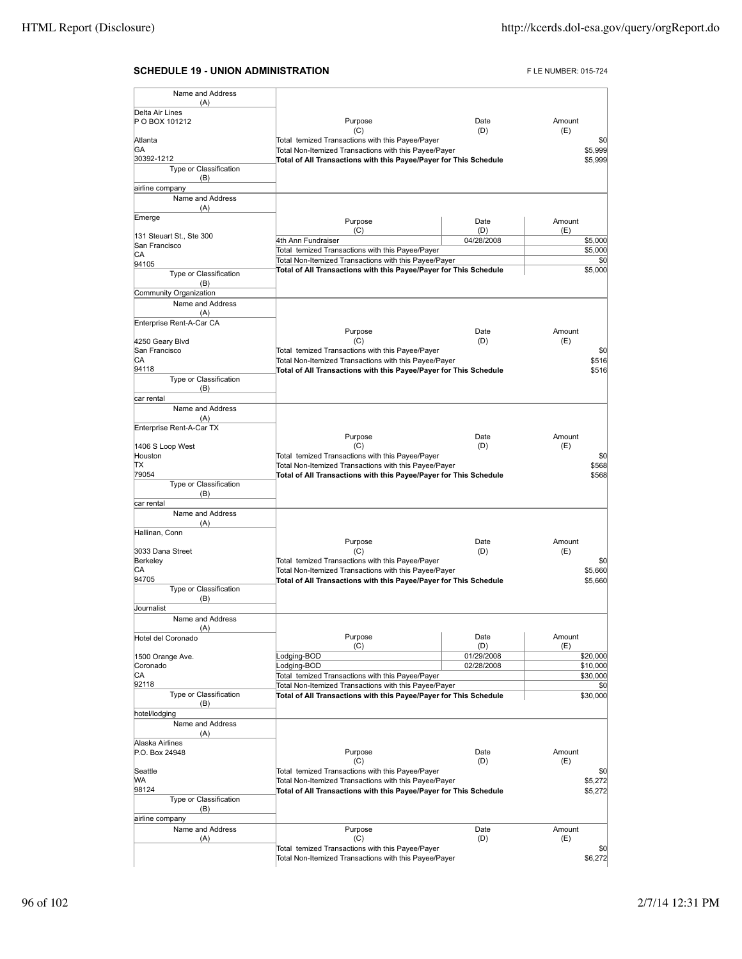# **SCHEDULE 19 - UNION ADMINISTRATION FLE NUMBER: 015-724**

| Name and Address                          |                                                                   |            |        |          |
|-------------------------------------------|-------------------------------------------------------------------|------------|--------|----------|
| (A)                                       |                                                                   |            |        |          |
| Delta Air Lines<br>P O BOX 101212         | Purpose                                                           | Date       | Amount |          |
|                                           | (C)                                                               | (D)        | (E)    |          |
| Atlanta                                   | Total temized Transactions with this Payee/Payer                  |            |        | \$0      |
| GA                                        | Total Non-Itemized Transactions with this Payee/Payer             |            |        | \$5,999  |
| 30392-1212                                | Total of All Transactions with this Payee/Payer for This Schedule |            |        | \$5,999  |
| Type or Classification<br>(B)             |                                                                   |            |        |          |
| airline company                           |                                                                   |            |        |          |
| Name and Address                          |                                                                   |            |        |          |
| (A)                                       |                                                                   |            |        |          |
| Emerge                                    | Purpose                                                           | Date       | Amount |          |
|                                           | (C)                                                               | (D)        | (E)    |          |
| 131 Steuart St., Ste 300<br>San Francisco | 4th Ann Fundraiser                                                | 04/28/2008 |        | \$5,000  |
| CА                                        | Total temized Transactions with this Payee/Payer                  |            |        | \$5,000  |
| 94105                                     | Total Non-Itemized Transactions with this Payee/Payer             |            |        | \$0      |
| Type or Classification                    | Total of All Transactions with this Payee/Payer for This Schedule |            |        | \$5,000  |
| (B)                                       |                                                                   |            |        |          |
| Community Organization                    |                                                                   |            |        |          |
| Name and Address                          |                                                                   |            |        |          |
| (A)                                       |                                                                   |            |        |          |
| Enterprise Rent-A-Car CA                  | Purpose                                                           | Date       | Amount |          |
| 4250 Geary Blvd                           | (C)                                                               | (D)        | (E)    |          |
| San Francisco                             | Total temized Transactions with this Payee/Payer                  |            |        | \$0      |
| CА                                        | Total Non-Itemized Transactions with this Payee/Payer             |            |        | \$516    |
| 94118                                     | Total of All Transactions with this Payee/Payer for This Schedule |            |        | \$516    |
| Type or Classification                    |                                                                   |            |        |          |
| (B)                                       |                                                                   |            |        |          |
| car rental<br>Name and Address            |                                                                   |            |        |          |
| (A)                                       |                                                                   |            |        |          |
| Enterprise Rent-A-Car TX                  |                                                                   |            |        |          |
|                                           | Purpose                                                           | Date       | Amount |          |
| 1406 S Loop West                          | (C)                                                               | (D)        | (E)    |          |
| Houston                                   | Total temized Transactions with this Payee/Payer                  |            |        | \$0      |
| lΤX<br>79054                              | Total Non-Itemized Transactions with this Payee/Payer             |            |        | \$568    |
| Type or Classification                    | Total of All Transactions with this Payee/Payer for This Schedule |            |        | \$568    |
| (B)                                       |                                                                   |            |        |          |
| car rental                                |                                                                   |            |        |          |
| Name and Address                          |                                                                   |            |        |          |
| (A)                                       |                                                                   |            |        |          |
| Hallinan, Conn                            |                                                                   |            |        |          |
|                                           | Purpose                                                           | Date       | Amount |          |
| 3033 Dana Street<br>Berkeley              | (C)<br>Total temized Transactions with this Payee/Payer           | (D)        | (E)    | \$0      |
| CA                                        | Total Non-Itemized Transactions with this Payee/Payer             |            |        | \$5,660  |
| 94705                                     | Total of All Transactions with this Payee/Payer for This Schedule |            |        | \$5,660  |
| Type or Classification                    |                                                                   |            |        |          |
| (B)                                       |                                                                   |            |        |          |
| Journalist                                |                                                                   |            |        |          |
| Name and Address                          |                                                                   |            |        |          |
| (A)<br>Hotel del Coronado                 | Purpose                                                           | Date       | Amount |          |
|                                           | (C)                                                               | (D)        | (E)    |          |
| 1500 Orange Ave.                          | _odging-BOD                                                       | 01/29/2008 |        | \$20,000 |
| Coronado                                  | Lodging-BOD                                                       | 02/28/2008 |        | \$10,000 |
| CА                                        | Total temized Transactions with this Payee/Payer                  |            |        | \$30,000 |
| 92118                                     | Total Non-Itemized Transactions with this Payee/Payer             |            |        | \$0      |
| Type or Classification                    | Total of All Transactions with this Payee/Payer for This Schedule |            |        | \$30,000 |
| (B)<br>hotel/lodging                      |                                                                   |            |        |          |
| Name and Address                          |                                                                   |            |        |          |
| (A)                                       |                                                                   |            |        |          |
| Alaska Airlines                           |                                                                   |            |        |          |
| P.O. Box 24948                            | Purpose                                                           | Date       | Amount |          |
|                                           | (C)                                                               | (D)        | (E)    |          |
| Seattle                                   | Total temized Transactions with this Payee/Payer                  |            |        | \$0      |
| MА<br>98124                               | Total Non-Itemized Transactions with this Payee/Payer             |            |        | \$5,272  |
| Type or Classification                    | Total of All Transactions with this Payee/Payer for This Schedule |            |        | \$5,272  |
| (B)                                       |                                                                   |            |        |          |
| airline company                           |                                                                   |            |        |          |
| Name and Address                          | Purpose                                                           | Date       | Amount |          |
| (A)                                       | (C)                                                               | (D)        | (E)    |          |
|                                           | Total temized Transactions with this Payee/Payer                  |            |        | \$0      |
|                                           | Total Non-Itemized Transactions with this Payee/Payer             |            |        | \$6,272  |
|                                           |                                                                   |            |        |          |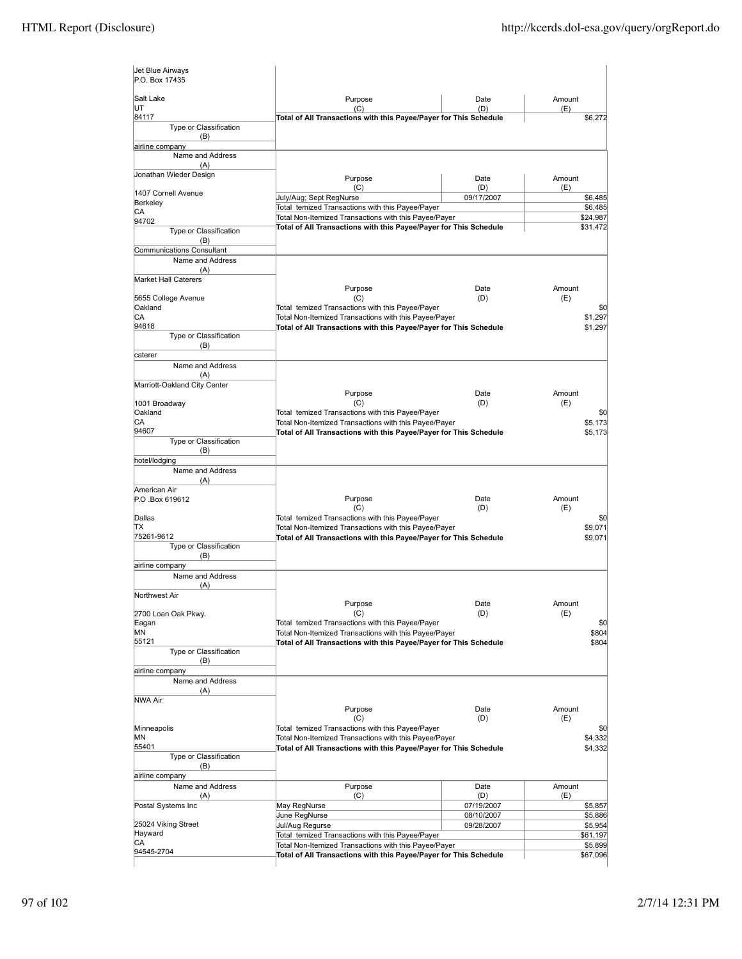| Jet Blue Airways<br>P.O. Box 17435 |                                                                                                                            |             |                      |
|------------------------------------|----------------------------------------------------------------------------------------------------------------------------|-------------|----------------------|
| Salt Lake                          | Purpose                                                                                                                    | Date        | Amount               |
| UT<br>84117                        | (C)<br>Total of All Transactions with this Payee/Payer for This Schedule                                                   | (D)         | (E)<br>\$6,272       |
| Type or Classification<br>(B)      |                                                                                                                            |             |                      |
| airline company                    |                                                                                                                            |             |                      |
| Name and Address                   |                                                                                                                            |             |                      |
| (A)<br>Jonathan Wieder Design      |                                                                                                                            |             |                      |
|                                    | Purpose<br>(C)                                                                                                             | Date<br>(D) | Amount<br>(E)        |
| 1407 Cornell Avenue<br>Berkeley    | July/Aug; Sept RegNurse                                                                                                    | 09/17/2007  | \$6,485              |
| CА                                 | Total temized Transactions with this Payee/Payer                                                                           |             | \$6,485              |
| 94702                              | Total Non-Itemized Transactions with this Payee/Payer<br>Total of All Transactions with this Payee/Payer for This Schedule |             | \$24,987<br>\$31,472 |
| Type or Classification<br>(B)      |                                                                                                                            |             |                      |
| <b>Communications Consultant</b>   |                                                                                                                            |             |                      |
| Name and Address                   |                                                                                                                            |             |                      |
| (A)<br><b>Market Hall Caterers</b> |                                                                                                                            |             |                      |
|                                    | Purpose                                                                                                                    | Date        | Amount               |
| 5655 College Avenue                | (C)                                                                                                                        | (D)         | (E)                  |
| Oakland<br>СA                      | Total temized Transactions with this Payee/Payer                                                                           |             | \$0                  |
| 94618                              | Total Non-Itemized Transactions with this Payee/Payer<br>Total of All Transactions with this Payee/Payer for This Schedule |             | \$1,297<br>\$1,297   |
| Type or Classification             |                                                                                                                            |             |                      |
| (B)                                |                                                                                                                            |             |                      |
| caterer<br>Name and Address        |                                                                                                                            |             |                      |
| (A)                                |                                                                                                                            |             |                      |
| Marriott-Oakland City Center       |                                                                                                                            |             |                      |
| 1001 Broadway                      | Purpose<br>(C)                                                                                                             | Date<br>(D) | Amount<br>(E)        |
| Oakland                            | Total temized Transactions with this Payee/Payer                                                                           |             | \$0                  |
| СA                                 | Total Non-Itemized Transactions with this Payee/Payer                                                                      |             | \$5,173              |
| 94607<br>Type or Classification    | Total of All Transactions with this Payee/Payer for This Schedule                                                          |             | \$5,173              |
| (B)                                |                                                                                                                            |             |                      |
| hotel/lodging                      |                                                                                                                            |             |                      |
| Name and Address<br>(A)            |                                                                                                                            |             |                      |
| American Air                       |                                                                                                                            |             |                      |
| P.O.Box 619612                     | Purpose                                                                                                                    | Date        | Amount               |
| Dallas                             | (C)<br>Total temized Transactions with this Payee/Payer                                                                    | (D)         | (E)<br>\$0           |
| ΠX                                 | Total Non-Itemized Transactions with this Payee/Payer                                                                      |             | \$9,071              |
| 75261-9612                         | Total of All Transactions with this Payee/Payer for This Schedule                                                          |             | \$9,071              |
| Type or Classification<br>(B)      |                                                                                                                            |             |                      |
| airline company                    |                                                                                                                            |             |                      |
| Name and Address                   |                                                                                                                            |             |                      |
| (A)<br>Northwest Air               |                                                                                                                            |             |                      |
|                                    | Purpose                                                                                                                    | Date        | Amount               |
| 2700 Loan Oak Pkwy.                | (C)                                                                                                                        | (D)         | (E)                  |
| Eagan<br>MN                        | Total temized Transactions with this Payee/Payer<br>Total Non-Itemized Transactions with this Payee/Payer                  |             | \$0<br>\$804         |
| 55121                              | Total of All Transactions with this Payee/Payer for This Schedule                                                          |             | \$804                |
| Type or Classification             |                                                                                                                            |             |                      |
| (B)<br>airline company             |                                                                                                                            |             |                      |
| Name and Address                   |                                                                                                                            |             |                      |
| (A)                                |                                                                                                                            |             |                      |
| NWA Air                            |                                                                                                                            |             | Amount               |
|                                    | Purpose<br>(C)                                                                                                             | Date<br>(D) | (E)                  |
| Minneapolis                        | Total temized Transactions with this Payee/Payer                                                                           |             | \$0                  |
| ΜN                                 | Total Non-Itemized Transactions with this Payee/Payer<br>\$4,332                                                           |             |                      |
| 55401<br>Type or Classification    | Total of All Transactions with this Payee/Payer for This Schedule                                                          |             | \$4,332              |
| (B)                                |                                                                                                                            |             |                      |
| airline company                    |                                                                                                                            |             |                      |
| Name and Address<br>(A)            | Purpose<br>(C)                                                                                                             | Date<br>(D) | Amount<br>(E)        |
| Postal Systems Inc                 | May RegNurse                                                                                                               | 07/19/2007  | \$5,857              |
|                                    | June RegNurse                                                                                                              | 08/10/2007  | \$5,886              |
| 25024 Viking Street<br>Hayward     | Jul/Aug Regurse                                                                                                            | 09/28/2007  | \$5,954              |
| СA                                 | Total temized Transactions with this Payee/Payer<br>Total Non-Itemized Transactions with this Payee/Payer                  |             | \$61,197<br>\$5,899  |
| 94545-2704                         | Total of All Transactions with this Payee/Payer for This Schedule                                                          |             | \$67,096             |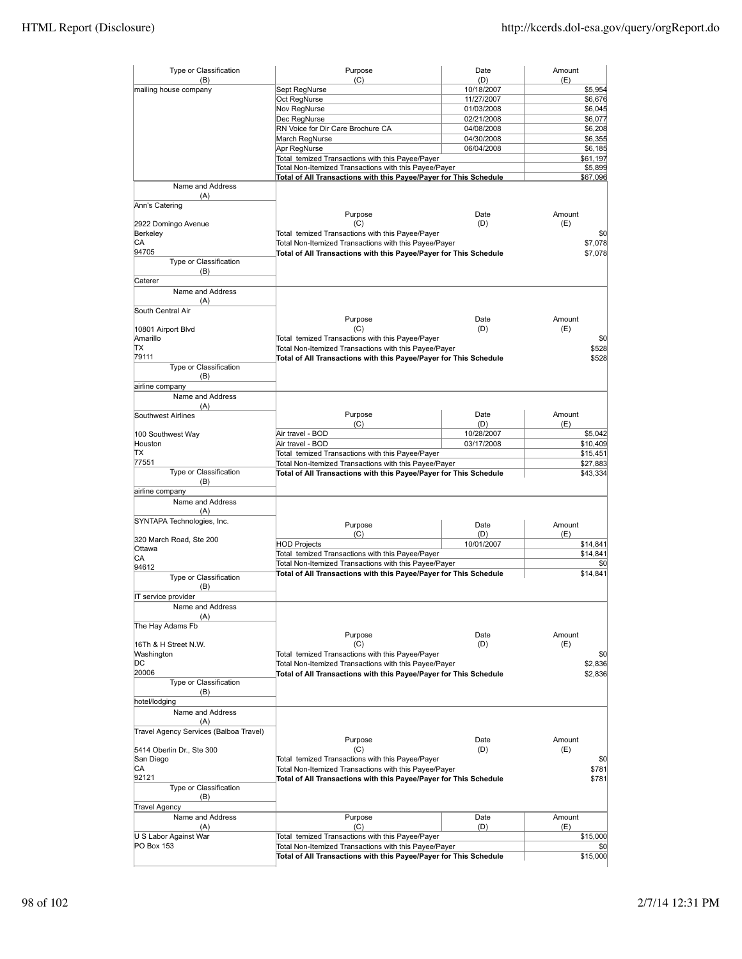| Type or Classification                 | Purpose                                                                                                   | Date                     | Amount               |
|----------------------------------------|-----------------------------------------------------------------------------------------------------------|--------------------------|----------------------|
| (B)<br>mailing house company           | (C)<br>Sept RegNurse                                                                                      | (D)<br>10/18/2007        | (E)<br>\$5,954       |
|                                        | Oct RegNurse                                                                                              | 11/27/2007               | \$6,676              |
|                                        | Nov RegNurse                                                                                              | 01/03/2008               | \$6,045              |
|                                        | Dec RegNurse                                                                                              | 02/21/2008               | \$6,077              |
|                                        | RN Voice for Dir Care Brochure CA                                                                         | 04/08/2008               | \$6,208              |
|                                        | March RegNurse                                                                                            | 04/30/2008               | \$6,355              |
|                                        | Apr RegNurse                                                                                              | 06/04/2008               | \$6,185              |
|                                        | Total temized Transactions with this Payee/Payer                                                          |                          | \$61,197             |
|                                        | Total Non-Itemized Transactions with this Payee/Payer                                                     |                          | \$5,899              |
| Name and Address                       | Total of All Transactions with this Payee/Payer for This Schedule                                         |                          | \$67,096             |
| (A)                                    |                                                                                                           |                          |                      |
| Ann's Catering                         |                                                                                                           |                          |                      |
|                                        | Purpose                                                                                                   | Date                     | Amount               |
| 2922 Domingo Avenue                    | (C)                                                                                                       | (D)                      | (E)                  |
| Berkeley                               | Total temized Transactions with this Payee/Payer                                                          |                          | \$0                  |
| СA<br>94705                            | Total Non-Itemized Transactions with this Payee/Payer<br>\$7,078                                          |                          |                      |
| Type or Classification                 | Total of All Transactions with this Payee/Payer for This Schedule                                         |                          | \$7,078              |
| (B)                                    |                                                                                                           |                          |                      |
| Caterer                                |                                                                                                           |                          |                      |
| Name and Address                       |                                                                                                           |                          |                      |
| (A)                                    |                                                                                                           |                          |                      |
| South Central Air                      |                                                                                                           |                          |                      |
|                                        | Purpose                                                                                                   | Date                     | Amount               |
| 10801 Airport Blvd                     | (C)                                                                                                       | (D)                      | (E)                  |
| Amarillo<br>TХ                         | Total temized Transactions with this Payee/Payer<br>Total Non-Itemized Transactions with this Payee/Payer |                          | \$0<br>\$528         |
| 79111                                  | Total of All Transactions with this Payee/Payer for This Schedule                                         |                          | \$528                |
| Type or Classification                 |                                                                                                           |                          |                      |
| (B)                                    |                                                                                                           |                          |                      |
| airline company                        |                                                                                                           |                          |                      |
| Name and Address                       |                                                                                                           |                          |                      |
| (A)                                    |                                                                                                           |                          |                      |
| Southwest Airlines                     | Purpose                                                                                                   | Date                     | Amount               |
|                                        | (C)                                                                                                       | (D)                      | (E)                  |
| 100 Southwest Way<br>Houston           | Air travel - BOD<br>Air travel - BOD                                                                      | 10/28/2007<br>03/17/2008 | \$5,042              |
| ΠX                                     | Total temized Transactions with this Payee/Payer                                                          |                          | \$10,409<br>\$15,451 |
| 77551                                  | Total Non-Itemized Transactions with this Payee/Payer                                                     |                          | \$27,883             |
| Type or Classification                 | Total of All Transactions with this Payee/Payer for This Schedule                                         |                          | \$43,334             |
| (B)                                    |                                                                                                           |                          |                      |
| airline company                        |                                                                                                           |                          |                      |
| Name and Address                       |                                                                                                           |                          |                      |
| (A)                                    |                                                                                                           |                          |                      |
| SYNTAPA Technologies, Inc.             | Purpose                                                                                                   | Date                     | Amount               |
| 320 March Road, Ste 200                | (C)                                                                                                       | (D)                      | (E)                  |
| Ottawa                                 | <b>HOD Projects</b>                                                                                       | 10/01/2007               | \$14,841             |
| СA                                     | Total temized Transactions with this Payee/Payer                                                          |                          | \$14,841             |
| 94612                                  | Total Non-Itemized Transactions with this Payee/Payer                                                     |                          | \$0                  |
| Type or Classification                 | Total of All Transactions with this Payee/Payer for This Schedule                                         |                          | \$14.841             |
| (B)                                    |                                                                                                           |                          |                      |
| IT service provider                    |                                                                                                           |                          |                      |
| Name and Address                       |                                                                                                           |                          |                      |
| (A)                                    |                                                                                                           |                          |                      |
| The Hay Adams Fb                       |                                                                                                           |                          |                      |
| 16Th & H Street N.W.                   | Purpose<br>(C)                                                                                            | Date<br>(D)              | Amount<br>(E)        |
| Washington                             | Total temized Transactions with this Payee/Payer                                                          |                          | \$0                  |
| DС                                     | Total Non-Itemized Transactions with this Payee/Payer                                                     |                          | \$2,836              |
| 20006                                  | Total of All Transactions with this Payee/Payer for This Schedule                                         |                          | \$2,836              |
| Type or Classification                 |                                                                                                           |                          |                      |
| (B)                                    |                                                                                                           |                          |                      |
| hotel/lodging                          |                                                                                                           |                          |                      |
| Name and Address                       |                                                                                                           |                          |                      |
| (A)                                    |                                                                                                           |                          |                      |
| Travel Agency Services (Balboa Travel) |                                                                                                           |                          |                      |
| 5414 Oberlin Dr., Ste 300              | Purpose<br>(C)                                                                                            | Date<br>(D)              | Amount<br>(E)        |
| San Diego                              | Total temized Transactions with this Payee/Payer                                                          |                          | \$0                  |
| CА                                     | Total Non-Itemized Transactions with this Payee/Payer                                                     |                          | \$781                |
| 92121                                  | Total of All Transactions with this Payee/Payer for This Schedule<br>\$781                                |                          |                      |
| Type or Classification                 |                                                                                                           |                          |                      |
| (B)                                    |                                                                                                           |                          |                      |
| <b>Travel Agency</b>                   |                                                                                                           |                          |                      |
| Name and Address                       | Purpose                                                                                                   | Date                     | Amount               |
| (A)                                    | (C)                                                                                                       | (D)                      | (E)                  |
| U S Labor Against War                  | Total temized Transactions with this Payee/Payer                                                          |                          | \$15,000             |
| PO Box 153                             | Total Non-Itemized Transactions with this Payee/Payer                                                     |                          | \$0                  |
|                                        | Total of All Transactions with this Payee/Payer for This Schedule                                         |                          | \$15,000             |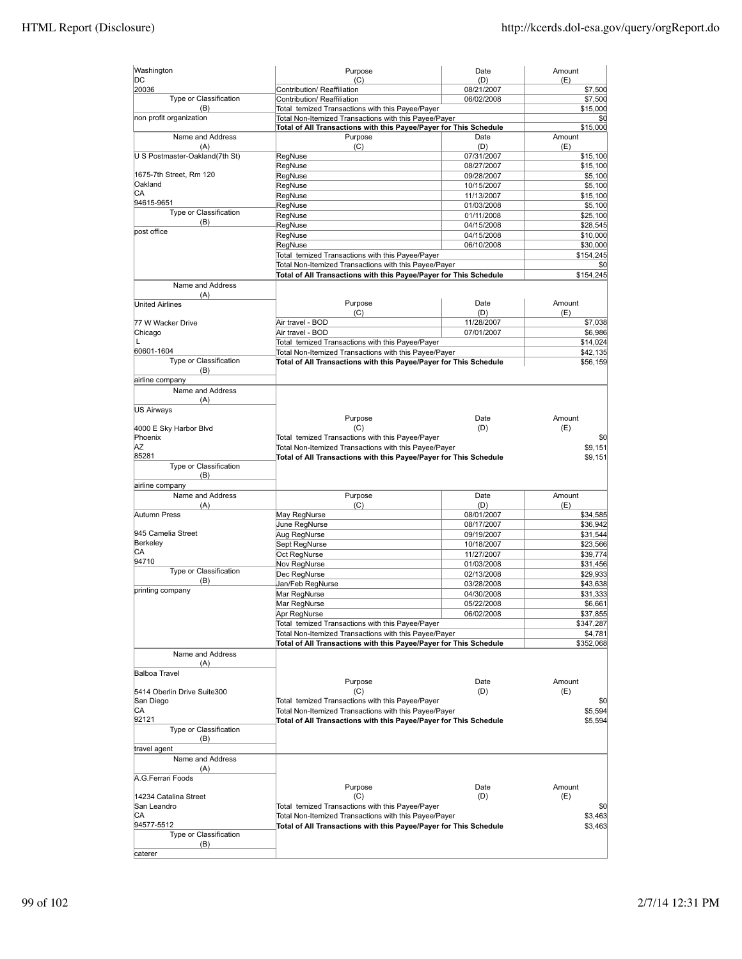| Washington                     | Purpose                                                           | Date                     | Amount                |
|--------------------------------|-------------------------------------------------------------------|--------------------------|-----------------------|
| DC<br>20036                    | (C)<br>Contribution/ Reaffiliation                                | (D)                      | (E)                   |
| Type or Classification         | Contribution/ Reaffiliation                                       | 08/21/2007<br>06/02/2008 | \$7,500<br>\$7,500    |
| (B)                            | Total temized Transactions with this Payee/Payer                  |                          | \$15,000              |
| non profit organization        | Total Non-Itemized Transactions with this Payee/Payer             |                          | \$0                   |
|                                | Total of All Transactions with this Payee/Payer for This Schedule |                          | \$15,000              |
| Name and Address               | Purpose                                                           | Date                     | Amount                |
| (A)                            | (C)                                                               | (D)                      | (E)                   |
| U S Postmaster-Oakland(7th St) | RegNuse                                                           | 07/31/2007               | \$15,100              |
|                                | RegNuse                                                           | 08/27/2007               | \$15,100              |
| 1675-7th Street, Rm 120        | RegNuse                                                           | 09/28/2007               | \$5,100               |
| Oakland                        | RegNuse                                                           | 10/15/2007               | \$5,100               |
| СA                             | RegNuse                                                           | 11/13/2007               | \$15,100              |
| 94615-9651                     | RegNuse                                                           | 01/03/2008               | \$5,100               |
| Type or Classification         | RegNuse                                                           | 01/11/2008               | \$25,100              |
| (B)                            | RegNuse                                                           | 04/15/2008               | \$28,545              |
| post office                    | RegNuse                                                           | 04/15/2008               | \$10,000              |
|                                | RegNuse                                                           | 06/10/2008               | \$30,000              |
|                                | Total temized Transactions with this Payee/Payer                  |                          | \$154,245             |
|                                | Total Non-Itemized Transactions with this Payee/Payer             |                          | \$0                   |
|                                | Total of All Transactions with this Payee/Payer for This Schedule |                          | \$154,245             |
| Name and Address               |                                                                   |                          |                       |
| (A)                            |                                                                   |                          |                       |
| <b>United Airlines</b>         | Purpose                                                           | Date                     | Amount                |
|                                | (C)                                                               | (D)                      | (E)                   |
| 77 W Wacker Drive              | Air travel - BOD                                                  | 11/28/2007               | \$7,038               |
| Chicago                        | Air travel - BOD                                                  | 07/01/2007               | \$6,986               |
| L                              | Total temized Transactions with this Payee/Payer                  |                          | \$14,024              |
| 60601-1604                     | Total Non-Itemized Transactions with this Payee/Payer             |                          | \$42,135              |
| Type or Classification         | Total of All Transactions with this Payee/Payer for This Schedule |                          | \$56,159              |
| (B)                            |                                                                   |                          |                       |
| airline company                |                                                                   |                          |                       |
| Name and Address               |                                                                   |                          |                       |
| (A)                            |                                                                   |                          |                       |
| US Airways                     |                                                                   |                          |                       |
|                                | Purpose                                                           | Date                     | Amount                |
| 4000 E Sky Harbor Blvd         | (C)                                                               | (D)                      | (E)                   |
| Phoenix<br>ΑZ                  | Total temized Transactions with this Payee/Payer                  |                          | \$0                   |
| 85281                          | Total Non-Itemized Transactions with this Payee/Payer             |                          | \$9,151               |
| Type or Classification         | Total of All Transactions with this Payee/Payer for This Schedule |                          | \$9,151               |
| (B)                            |                                                                   |                          |                       |
| airline company                |                                                                   |                          |                       |
| Name and Address               | Purpose                                                           | Date                     | Amount                |
| (A)                            | (C)                                                               | (D)                      | (E)                   |
| Autumn Press                   | May RegNurse                                                      | 08/01/2007               | \$34,585              |
|                                | June RegNurse                                                     | 08/17/2007               | \$36,942              |
| 945 Camelia Street             | Aug RegNurse                                                      | 09/19/2007               | \$31,544              |
| Berkeley                       | Sept RegNurse                                                     | 10/18/2007               | \$23,566              |
| CА                             | Oct RegNurse                                                      | 11/27/2007               | \$39,774              |
| 94710                          | Nov RegNurse                                                      | 01/03/2008               | \$31,456              |
| Type or Classification         | Dec RegNurse                                                      | 02/13/2008               | \$29,933              |
| (B)                            | Jan/Feb RegNurse                                                  | 03/28/2008               | \$43,638              |
| printing company               | Mar RegNurse                                                      | 04/30/2008               | \$31,333              |
|                                | Mar RegNurse                                                      | 05/22/2008               | \$6.661               |
|                                |                                                                   |                          |                       |
|                                | Apr RegNurse<br>Total temized Transactions with this Payee/Payer  | 06/02/2008               | \$37,855<br>\$347,287 |
|                                | Total Non-Itemized Transactions with this Payee/Payer             |                          |                       |
|                                | Total of All Transactions with this Payee/Payer for This Schedule |                          | \$4,781               |
|                                |                                                                   |                          | \$352,068             |
| Name and Address               |                                                                   |                          |                       |
| (A)<br>Balboa Travel           |                                                                   |                          |                       |
|                                | Purpose                                                           | Date                     | Amount                |
| 5414 Oberlin Drive Suite300    | (C)                                                               | (D)                      | (E)                   |
| San Diego                      | Total temized Transactions with this Payee/Payer                  |                          | \$0                   |
| СA                             | Total Non-Itemized Transactions with this Payee/Payer             |                          | \$5,594               |
| 92121                          | Total of All Transactions with this Payee/Payer for This Schedule |                          | \$5,594               |
| Type or Classification         |                                                                   |                          |                       |
| (B)                            |                                                                   |                          |                       |
| travel agent                   |                                                                   |                          |                       |
| Name and Address               |                                                                   |                          |                       |
| (A)                            |                                                                   |                          |                       |
| A.G.Ferrari Foods              |                                                                   |                          |                       |
|                                | Purpose                                                           | Date                     | Amount                |
| 14234 Catalina Street          | (C)                                                               | (D)                      | (E)                   |
| San Leandro                    | Total temized Transactions with this Payee/Payer                  |                          | \$0                   |
| СA                             | Total Non-Itemized Transactions with this Payee/Payer             |                          | \$3,463               |
| 94577-5512                     | Total of All Transactions with this Payee/Payer for This Schedule |                          | \$3,463               |
| Type or Classification         |                                                                   |                          |                       |
| (B)                            |                                                                   |                          |                       |
| caterer                        |                                                                   |                          |                       |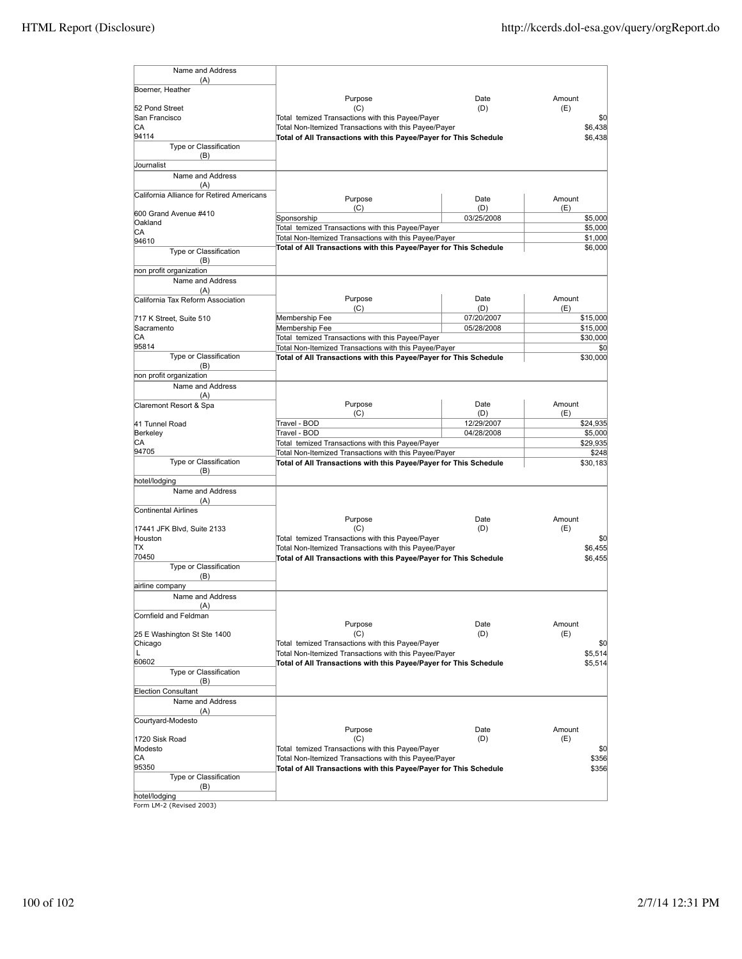| Name and Address                                 |                                                                                                           |                          |                     |
|--------------------------------------------------|-----------------------------------------------------------------------------------------------------------|--------------------------|---------------------|
| (A)<br>Boerner, Heather                          |                                                                                                           |                          |                     |
|                                                  | Purpose                                                                                                   | Date                     | Amount              |
| 52 Pond Street                                   | (C)                                                                                                       | (D)                      | (E)                 |
| San Francisco                                    | Total temized Transactions with this Payee/Payer                                                          |                          | \$0                 |
| CА                                               | Total Non-Itemized Transactions with this Payee/Payer                                                     |                          | \$6.438             |
| 94114                                            | Total of All Transactions with this Payee/Payer for This Schedule                                         |                          | \$6,438             |
| Type or Classification                           |                                                                                                           |                          |                     |
| (B)                                              |                                                                                                           |                          |                     |
| <b>Journalist</b>                                |                                                                                                           |                          |                     |
| Name and Address                                 |                                                                                                           |                          |                     |
| (A)<br>California Alliance for Retired Americans |                                                                                                           |                          |                     |
|                                                  | Purpose                                                                                                   | Date                     | Amount              |
| 600 Grand Avenue #410                            | (C)                                                                                                       | (D)                      | (E)                 |
| Oakland                                          | Sponsorship                                                                                               | 03/25/2008               | \$5,000             |
| СA                                               | Total temized Transactions with this Payee/Payer                                                          |                          | \$5,000             |
| 94610                                            | Total Non-Itemized Transactions with this Payee/Payer                                                     |                          | \$1,000             |
| Type or Classification                           | Total of All Transactions with this Payee/Payer for This Schedule                                         |                          | \$6,000             |
| (B)                                              |                                                                                                           |                          |                     |
| non profit organization                          |                                                                                                           |                          |                     |
| Name and Address                                 |                                                                                                           |                          |                     |
| (A)                                              |                                                                                                           |                          |                     |
| California Tax Reform Association                | Purpose                                                                                                   | Date                     | Amount              |
| 717 K Street, Suite 510                          | (C)<br>Membership Fee                                                                                     | (D)<br>07/20/2007        | (E)<br>\$15,000     |
| Sacramento                                       | Membership Fee                                                                                            | 05/28/2008               | \$15,000            |
| СA                                               | Total temized Transactions with this Payee/Payer                                                          |                          | \$30,000            |
| 95814                                            | Total Non-Itemized Transactions with this Payee/Payer                                                     |                          | \$0                 |
| Type or Classification                           | Total of All Transactions with this Payee/Payer for This Schedule                                         |                          | \$30,000            |
| (B)                                              |                                                                                                           |                          |                     |
| non profit organization                          |                                                                                                           |                          |                     |
| Name and Address                                 |                                                                                                           |                          |                     |
| (A)                                              |                                                                                                           |                          |                     |
| Claremont Resort & Spa                           | Purpose                                                                                                   | Date                     | Amount              |
|                                                  | (C)                                                                                                       | (D)                      | (E)                 |
| 41 Tunnel Road<br>Berkeley                       | Travel - BOD<br>Travel - BOD                                                                              | 12/29/2007<br>04/28/2008 | \$24,935            |
| СA                                               | Total temized Transactions with this Payee/Payer                                                          |                          | \$5,000<br>\$29,935 |
| 94705                                            | Total Non-Itemized Transactions with this Payee/Payer                                                     |                          | \$248               |
| Type or Classification                           | Total of All Transactions with this Payee/Payer for This Schedule                                         |                          | \$30,183            |
| (B)                                              |                                                                                                           |                          |                     |
| hotel/lodging                                    |                                                                                                           |                          |                     |
| Name and Address                                 |                                                                                                           |                          |                     |
| (A)                                              |                                                                                                           |                          |                     |
| Continental Airlines                             |                                                                                                           |                          |                     |
|                                                  | Purpose                                                                                                   | Date                     | Amount              |
| 17441 JFK Blvd, Suite 2133                       | (C)                                                                                                       | (D)                      | (E)                 |
| Houston<br>ΠX                                    | Total temized Transactions with this Payee/Payer<br>Total Non-Itemized Transactions with this Payee/Payer |                          | \$0<br>\$6,455      |
| 70450                                            | Total of All Transactions with this Payee/Payer for This Schedule                                         |                          | \$6,455             |
| Type or Classification                           |                                                                                                           |                          |                     |
| (B)                                              |                                                                                                           |                          |                     |
| airline company                                  |                                                                                                           |                          |                     |
| Name and Address                                 |                                                                                                           |                          |                     |
| (A)                                              |                                                                                                           |                          |                     |
| Cornfield and Feldman                            |                                                                                                           |                          |                     |
|                                                  | Purpose                                                                                                   | Date                     | Amount              |
| 25 E Washington St Ste 1400                      | (C)                                                                                                       | (D)                      | (E)                 |
| Chicago                                          | Total temized Transactions with this Payee/Payer                                                          |                          | \$0                 |
| L<br>60602                                       | Total Non-Itemized Transactions with this Payee/Payer                                                     |                          | \$5,514             |
| Type or Classification                           | Total of All Transactions with this Payee/Payer for This Schedule                                         |                          | \$5,514             |
| (B)                                              |                                                                                                           |                          |                     |
| <b>Election Consultant</b>                       |                                                                                                           |                          |                     |
| Name and Address                                 |                                                                                                           |                          |                     |
| (A)                                              |                                                                                                           |                          |                     |
| Courtyard-Modesto                                |                                                                                                           |                          |                     |
|                                                  | Purpose                                                                                                   | Date                     | Amount              |
| 1720 Sisk Road                                   | (C)                                                                                                       | (D)                      | (E)                 |
| Modesto                                          | Total temized Transactions with this Payee/Payer                                                          |                          | \$0                 |
| СA                                               | \$356<br>Total Non-Itemized Transactions with this Payee/Payer                                            |                          |                     |
| 95350                                            | Total of All Transactions with this Payee/Payer for This Schedule                                         |                          | \$356               |
| Type or Classification                           |                                                                                                           |                          |                     |
| (B)                                              |                                                                                                           |                          |                     |
| hotel/lodaina                                    |                                                                                                           |                          |                     |

hotel/lodging Form LM-2 (Revised 2003)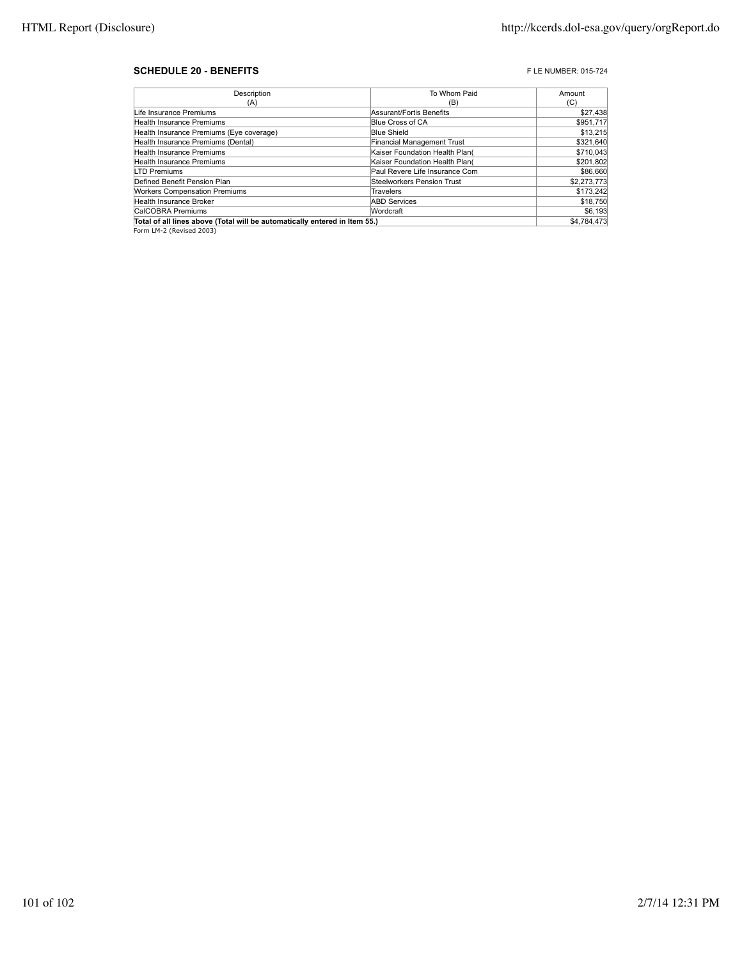#### **SCHEDULE 20 - BENEFITS F** LE NUMBER: 015-724

| Description                                                                | To Whom Paid                   | Amount      |
|----------------------------------------------------------------------------|--------------------------------|-------------|
| (A)                                                                        | (B)                            | (C)         |
| Life Insurance Premiums                                                    | Assurant/Fortis Benefits       | \$27,438    |
| Health Insurance Premiums                                                  | Blue Cross of CA               | \$951,717   |
| Health Insurance Premiums (Eye coverage)                                   | <b>Blue Shield</b>             | \$13,215    |
| Health Insurance Premiums (Dental)                                         | Financial Management Trust     | \$321,640   |
| Health Insurance Premiums                                                  | Kaiser Foundation Health Plan( | \$710.043   |
| Health Insurance Premiums                                                  | Kaiser Foundation Health Plan( | \$201,802   |
| <b>LTD Premiums</b>                                                        | Paul Revere Life Insurance Com | \$86,660    |
| Defined Benefit Pension Plan                                               | Steelworkers Pension Trust     | \$2,273,773 |
| <b>Workers Compensation Premiums</b>                                       | Travelers                      | \$173.242   |
| Health Insurance Broker                                                    | <b>ABD Services</b>            | \$18,750    |
| CalCOBRA Premiums                                                          | Wordcraft                      | \$6,193     |
| Total of all lines above (Total will be automatically entered in Item 55.) |                                | \$4,784,473 |
| Form LM-2 (Revised 2003)                                                   |                                |             |